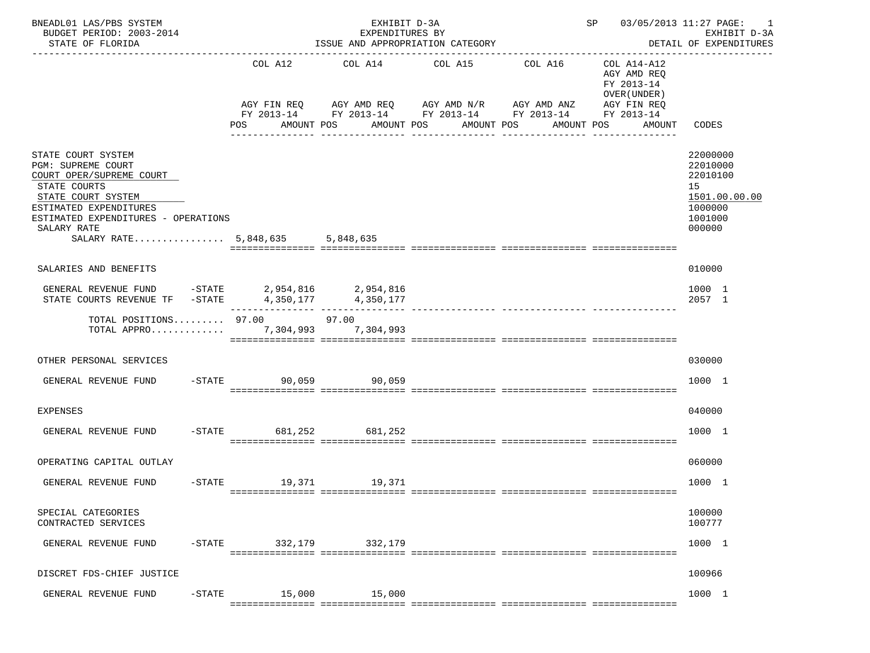| BNEADL01 LAS/PBS SYSTEM<br>BUDGET PERIOD: 2003-2014<br>STATE OF FLORIDA                                                                                                                                                       |           |                                                                                                      | EXHIBIT D-3A<br>EXPENDITURES BY    | ISSUE AND APPROPRIATION CATEGORY |                                                                                                               | SP 03/05/2013 11:27 PAGE:                                                             | 1<br>EXHIBIT D-3A<br>DETAIL OF EXPENDITURES                                             |
|-------------------------------------------------------------------------------------------------------------------------------------------------------------------------------------------------------------------------------|-----------|------------------------------------------------------------------------------------------------------|------------------------------------|----------------------------------|---------------------------------------------------------------------------------------------------------------|---------------------------------------------------------------------------------------|-----------------------------------------------------------------------------------------|
|                                                                                                                                                                                                                               |           | COL A12<br>AGY FIN REQ                                                                               | COL A14<br>AGY AMD REQ AGY AMD N/R | COL A15                          | ------------------------------------<br>COL A16<br>AGY AMD ANZ<br>FY 2013-14 FY 2013-14 FY 2013-14 FY 2013-14 | COL A14-A12<br>AGY AMD REO<br>FY 2013-14<br>OVER (UNDER)<br>AGY FIN REQ<br>FY 2013-14 |                                                                                         |
|                                                                                                                                                                                                                               |           | POS                                                                                                  | AMOUNT POS<br>AMOUNT POS           | AMOUNT POS<br>_______________    | AMOUNT POS<br>_______________                                                                                 | AMOUNT                                                                                | CODES                                                                                   |
| STATE COURT SYSTEM<br>PGM: SUPREME COURT<br>COURT OPER/SUPREME COURT<br>STATE COURTS<br>STATE COURT SYSTEM<br>ESTIMATED EXPENDITURES<br>ESTIMATED EXPENDITURES - OPERATIONS<br>SALARY RATE<br>SALARY RATE 5,848,635 5,848,635 |           |                                                                                                      |                                    |                                  |                                                                                                               |                                                                                       | 22000000<br>22010000<br>22010100<br>15<br>1501.00.00.00<br>1000000<br>1001000<br>000000 |
| SALARIES AND BENEFITS                                                                                                                                                                                                         |           |                                                                                                      |                                    |                                  |                                                                                                               |                                                                                       | 010000                                                                                  |
| GENERAL REVENUE FUND<br>STATE COURTS REVENUE TF - STATE                                                                                                                                                                       |           | 5018, 10 = 7.954, 2.954, 2.954, 2.954, 2.954, 2.954, 2.954, 2.954, 2.954, 2.954, 2.954, 2.954, 2.954 |                                    |                                  |                                                                                                               |                                                                                       | 1000 1<br>2057 1                                                                        |
| TOTAL POSITIONS $97.00$ 97.00<br>TOTAL APPRO                                                                                                                                                                                  |           |                                                                                                      | 7,304,993 7,304,993                |                                  |                                                                                                               |                                                                                       |                                                                                         |
| OTHER PERSONAL SERVICES                                                                                                                                                                                                       |           |                                                                                                      |                                    |                                  |                                                                                                               |                                                                                       | 030000                                                                                  |
| GENERAL REVENUE FUND                                                                                                                                                                                                          |           | $-STATE$                                                                                             | 90,059 90,059                      |                                  |                                                                                                               |                                                                                       | 1000 1                                                                                  |
| <b>EXPENSES</b>                                                                                                                                                                                                               |           |                                                                                                      |                                    |                                  |                                                                                                               |                                                                                       | 040000                                                                                  |
| GENERAL REVENUE FUND                                                                                                                                                                                                          |           | $-$ STATE                                                                                            | 681,252<br>681,252                 |                                  |                                                                                                               |                                                                                       | 1000 1                                                                                  |
| OPERATING CAPITAL OUTLAY                                                                                                                                                                                                      |           |                                                                                                      |                                    |                                  |                                                                                                               |                                                                                       | 060000                                                                                  |
| GENERAL REVENUE FUND                                                                                                                                                                                                          |           | -STATE 19,371 19,371                                                                                 |                                    |                                  |                                                                                                               |                                                                                       | 1000 1                                                                                  |
| SPECIAL CATEGORIES<br>CONTRACTED SERVICES                                                                                                                                                                                     |           |                                                                                                      |                                    |                                  |                                                                                                               |                                                                                       | 100000<br>100777                                                                        |
| GENERAL REVENUE FUND                                                                                                                                                                                                          | $-$ STATE | 332,179                                                                                              | 332,179                            |                                  |                                                                                                               |                                                                                       | 1000 1                                                                                  |
| DISCRET FDS-CHIEF JUSTICE                                                                                                                                                                                                     |           |                                                                                                      |                                    |                                  |                                                                                                               |                                                                                       | 100966                                                                                  |
| GENERAL REVENUE FUND                                                                                                                                                                                                          | $-$ STATE | 15,000                                                                                               | 15,000                             |                                  |                                                                                                               |                                                                                       | 1000 1                                                                                  |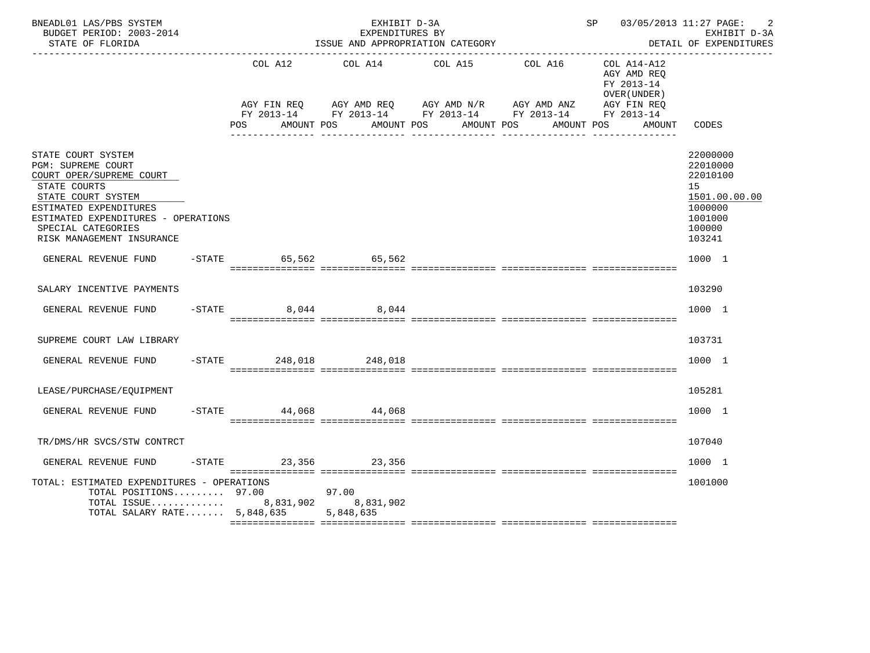| BNEADL01 LAS/PBS SYSTEM<br>BUDGET PERIOD: 2003-2014<br>STATE OF FLORIDA                                                                                                                                                        |                         | EXHIBIT D-3A<br>EXPENDITURES BY | ISSUE AND APPROPRIATION CATEGORY                                                   |            | SP 03/05/2013 11:27 PAGE:                                | EXHIBIT D-3A<br>DETAIL OF EXPENDITURES                                                            |
|--------------------------------------------------------------------------------------------------------------------------------------------------------------------------------------------------------------------------------|-------------------------|---------------------------------|------------------------------------------------------------------------------------|------------|----------------------------------------------------------|---------------------------------------------------------------------------------------------------|
|                                                                                                                                                                                                                                | COL A12                 |                                 | COL A14 COL A15<br>AGY FIN REQ AGY AMD REQ AGY AMD N/R AGY AMD ANZ AGY FIN REQ     | COL A16    | COL A14-A12<br>AGY AMD REQ<br>FY 2013-14<br>OVER (UNDER) |                                                                                                   |
|                                                                                                                                                                                                                                | <b>POS</b>              | AMOUNT POS                      | FY 2013-14 FY 2013-14 FY 2013-14 FY 2013-14 FY 2013-14<br>AMOUNT POS<br>AMOUNT POS | AMOUNT POS | AMOUNT                                                   | CODES                                                                                             |
| STATE COURT SYSTEM<br>PGM: SUPREME COURT<br>COURT OPER/SUPREME COURT<br>STATE COURTS<br>STATE COURT SYSTEM<br>ESTIMATED EXPENDITURES<br>ESTIMATED EXPENDITURES - OPERATIONS<br>SPECIAL CATEGORIES<br>RISK MANAGEMENT INSURANCE |                         |                                 |                                                                                    |            |                                                          | 22000000<br>22010000<br>22010100<br>15<br>1501.00.00.00<br>1000000<br>1001000<br>100000<br>103241 |
| GENERAL REVENUE FUND                                                                                                                                                                                                           | -STATE 65,562 65,562    |                                 |                                                                                    |            |                                                          | 1000 1                                                                                            |
| SALARY INCENTIVE PAYMENTS                                                                                                                                                                                                      |                         |                                 |                                                                                    |            |                                                          | 103290                                                                                            |
| GENERAL REVENUE FUND -STATE 8,044 8,044                                                                                                                                                                                        |                         |                                 |                                                                                    |            |                                                          | 1000 1                                                                                            |
| SUPREME COURT LAW LIBRARY                                                                                                                                                                                                      |                         |                                 |                                                                                    |            |                                                          | 103731                                                                                            |
| GENERAL REVENUE FUND                                                                                                                                                                                                           | -STATE 248,018 248,018  |                                 |                                                                                    |            |                                                          | 1000 1                                                                                            |
| LEASE/PURCHASE/EQUIPMENT                                                                                                                                                                                                       |                         |                                 |                                                                                    |            |                                                          | 105281                                                                                            |
| GENERAL REVENUE FUND                                                                                                                                                                                                           | $-$ STATE 44,068 44,068 |                                 |                                                                                    |            |                                                          | 1000 1                                                                                            |
| TR/DMS/HR SVCS/STW CONTRCT                                                                                                                                                                                                     |                         |                                 |                                                                                    |            |                                                          | 107040                                                                                            |
| GENERAL REVENUE FUND                                                                                                                                                                                                           | -STATE 23,356 23,356    |                                 |                                                                                    |            |                                                          | 1000 1                                                                                            |
| TOTAL: ESTIMATED EXPENDITURES - OPERATIONS<br>TOTAL POSITIONS $97.00$<br>TOTAL ISSUE 8,831,902 8,831,902<br>TOTAL SALARY RATE $5,848,635$                                                                                      |                         | 97.00<br>5,848,635              |                                                                                    |            |                                                          | 1001000                                                                                           |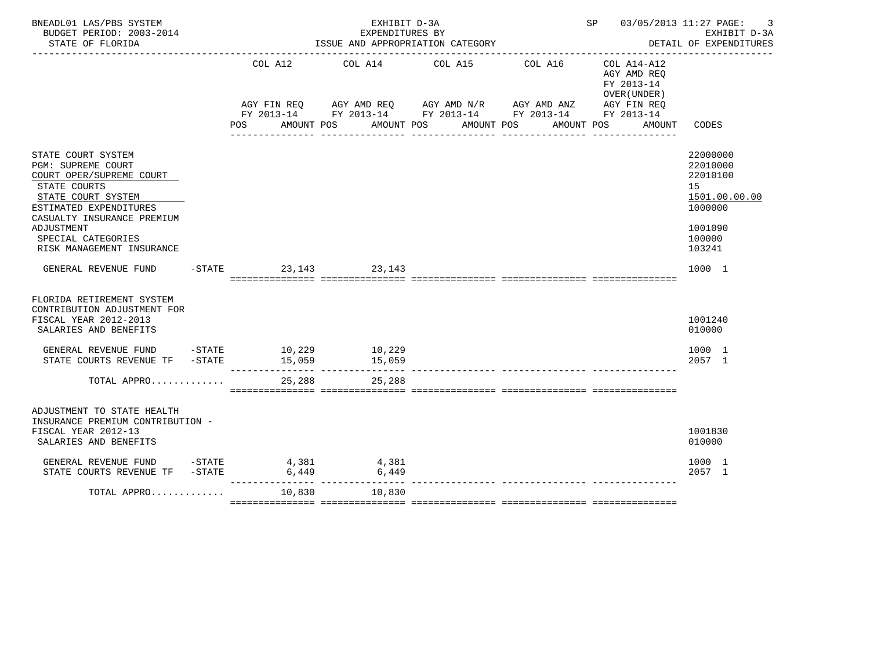| BNEADL01 LAS/PBS SYSTEM<br>BUDGET PERIOD: 2003-2014<br>STATE OF FLORIDA                                                                                                                                                             |                               |            |             | EXHIBIT D-3A<br>EXPENDITURES BY | ISSUE AND APPROPRIATION CATEGORY                                                                                                                             |         |            | SP                                                                       |        | 03/05/2013 11:27 PAGE:<br>3<br>EXHIBIT D-3A<br>DETAIL OF EXPENDITURES                             |
|-------------------------------------------------------------------------------------------------------------------------------------------------------------------------------------------------------------------------------------|-------------------------------|------------|-------------|---------------------------------|--------------------------------------------------------------------------------------------------------------------------------------------------------------|---------|------------|--------------------------------------------------------------------------|--------|---------------------------------------------------------------------------------------------------|
|                                                                                                                                                                                                                                     | COL A12<br>AGY FIN REQ<br>POS | AMOUNT POS | AGY AMD REQ | AMOUNT POS                      | COL A14 COL A15<br>AGY AMD N/R AGY AMD ANZ<br>FY 2013-14 FY 2013-14 FY 2013-14 FY 2013-14 FY 2013-14<br>AMOUNT POS<br>______________________________________ | COL A16 | AMOUNT POS | COL A14-A12<br>AGY AMD REO<br>FY 2013-14<br>OVER (UNDER )<br>AGY FIN REQ | AMOUNT | CODES                                                                                             |
| STATE COURT SYSTEM<br>PGM: SUPREME COURT<br>COURT OPER/SUPREME COURT<br>STATE COURTS<br>STATE COURT SYSTEM<br>ESTIMATED EXPENDITURES<br>CASUALTY INSURANCE PREMIUM<br>ADJUSTMENT<br>SPECIAL CATEGORIES<br>RISK MANAGEMENT INSURANCE |                               |            |             |                                 |                                                                                                                                                              |         |            |                                                                          |        | 22000000<br>22010000<br>22010100<br>15<br>1501.00.00.00<br>1000000<br>1001090<br>100000<br>103241 |
| GENERAL REVENUE FUND                                                                                                                                                                                                                | -STATE 23, 143 23, 143        |            |             |                                 |                                                                                                                                                              |         |            |                                                                          |        | 1000 1                                                                                            |
| FLORIDA RETIREMENT SYSTEM<br>CONTRIBUTION ADJUSTMENT FOR<br>FISCAL YEAR 2012-2013<br>SALARIES AND BENEFITS                                                                                                                          |                               |            |             |                                 |                                                                                                                                                              |         |            |                                                                          |        | 1001240<br>010000                                                                                 |
| GENERAL REVENUE FUND -STATE 10,229 10,229<br>STATE COURTS REVENUE TF -STATE                                                                                                                                                         |                               | 15,059     |             | 15,059                          |                                                                                                                                                              |         |            |                                                                          |        | 1000 1<br>2057 1                                                                                  |
| TOTAL APPRO                                                                                                                                                                                                                         |                               | 25,288     |             | 25,288                          |                                                                                                                                                              |         |            |                                                                          |        |                                                                                                   |
| ADJUSTMENT TO STATE HEALTH<br>INSURANCE PREMIUM CONTRIBUTION -<br>FISCAL YEAR 2012-13<br>SALARIES AND BENEFITS                                                                                                                      |                               |            |             |                                 |                                                                                                                                                              |         |            |                                                                          |        | 1001830<br>010000                                                                                 |
| GENERAL REVENUE FUND -STATE<br>STATE COURTS REVENUE TF -STATE                                                                                                                                                                       | 4,381                         | 6,449      |             | 4,381<br>6,449                  |                                                                                                                                                              |         |            |                                                                          |        | 1000 1<br>2057 1                                                                                  |
| TOTAL APPRO                                                                                                                                                                                                                         |                               | 10,830     |             | 10,830                          |                                                                                                                                                              |         |            |                                                                          |        |                                                                                                   |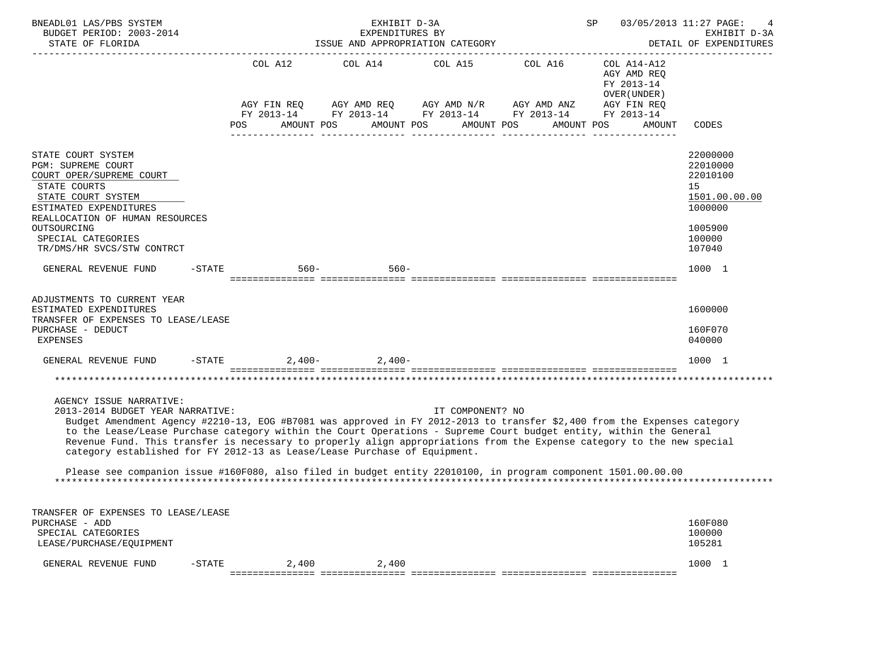| BNEADL01 LAS/PBS SYSTEM<br>BUDGET PERIOD: 2003-2014<br>STATE OF FLORIDA                                                                                                                                                                                                                                                                                                                                                                                                                                                                                                                                                                                   |           |                |            | EXHIBIT D-3A<br>EXPENDITURES BY | ISSUE AND APPROPRIATION CATEGORY |                                                                                                                                                    | 03/05/2013 11:27 PAGE:<br>SP                                                                    | EXHIBIT D-3A<br>DETAIL OF EXPENDITURES                                                            |
|-----------------------------------------------------------------------------------------------------------------------------------------------------------------------------------------------------------------------------------------------------------------------------------------------------------------------------------------------------------------------------------------------------------------------------------------------------------------------------------------------------------------------------------------------------------------------------------------------------------------------------------------------------------|-----------|----------------|------------|---------------------------------|----------------------------------|----------------------------------------------------------------------------------------------------------------------------------------------------|-------------------------------------------------------------------------------------------------|---------------------------------------------------------------------------------------------------|
|                                                                                                                                                                                                                                                                                                                                                                                                                                                                                                                                                                                                                                                           |           | COL A12<br>POS | AMOUNT POS | AMOUNT POS                      |                                  | COL A14 COL A15 COL A16<br>AGY FIN REQ AGY AMD REQ AGY AMD N/R AGY AMD ANZ<br>FY 2013-14 FY 2013-14 FY 2013-14 FY 2013-14 FY 2013-14<br>AMOUNT POS | COL A14-A12<br>AGY AMD REQ<br>FY 2013-14<br>OVER (UNDER)<br>AGY FIN REQ<br>AMOUNT POS<br>AMOUNT | CODES                                                                                             |
| STATE COURT SYSTEM<br><b>PGM: SUPREME COURT</b><br>COURT OPER/SUPREME COURT<br>STATE COURTS<br>STATE COURT SYSTEM<br>ESTIMATED EXPENDITURES<br>REALLOCATION OF HUMAN RESOURCES<br>OUTSOURCING<br>SPECIAL CATEGORIES<br>TR/DMS/HR SVCS/STW CONTRCT                                                                                                                                                                                                                                                                                                                                                                                                         |           |                |            |                                 |                                  |                                                                                                                                                    |                                                                                                 | 22000000<br>22010000<br>22010100<br>15<br>1501.00.00.00<br>1000000<br>1005900<br>100000<br>107040 |
| GENERAL REVENUE FUND                                                                                                                                                                                                                                                                                                                                                                                                                                                                                                                                                                                                                                      | $-$ STATE |                | 560-       | $560 -$                         |                                  |                                                                                                                                                    |                                                                                                 | 1000 1                                                                                            |
| ADJUSTMENTS TO CURRENT YEAR<br>ESTIMATED EXPENDITURES<br>TRANSFER OF EXPENSES TO LEASE/LEASE<br>PURCHASE - DEDUCT<br><b>EXPENSES</b>                                                                                                                                                                                                                                                                                                                                                                                                                                                                                                                      |           |                |            |                                 |                                  |                                                                                                                                                    |                                                                                                 | 1600000<br>160F070<br>040000                                                                      |
| GENERAL REVENUE FUND $-$ STATE $2,400 2,400-$                                                                                                                                                                                                                                                                                                                                                                                                                                                                                                                                                                                                             |           |                |            |                                 |                                  |                                                                                                                                                    |                                                                                                 | 1000 1                                                                                            |
| AGENCY ISSUE NARRATIVE:<br>2013-2014 BUDGET YEAR NARRATIVE:<br>IT COMPONENT? NO<br>Budget Amendment Agency #2210-13, EOG #B7081 was approved in FY 2012-2013 to transfer \$2,400 from the Expenses category<br>to the Lease/Lease Purchase category within the Court Operations - Supreme Court budget entity, within the General<br>Revenue Fund. This transfer is necessary to properly align appropriations from the Expense category to the new special<br>category established for FY 2012-13 as Lease/Lease Purchase of Equipment.<br>Please see companion issue #160F080, also filed in budget entity 22010100, in program component 1501.00.00.00 |           |                |            |                                 |                                  |                                                                                                                                                    |                                                                                                 |                                                                                                   |
| TRANSFER OF EXPENSES TO LEASE/LEASE<br>PURCHASE - ADD<br>SPECIAL CATEGORIES<br>LEASE/PURCHASE/EOUIPMENT                                                                                                                                                                                                                                                                                                                                                                                                                                                                                                                                                   |           |                |            |                                 |                                  |                                                                                                                                                    |                                                                                                 | 160F080<br>100000<br>105281                                                                       |
| GENERAL REVENUE FUND                                                                                                                                                                                                                                                                                                                                                                                                                                                                                                                                                                                                                                      | $-$ STATE |                | 2,400      | 2,400                           |                                  |                                                                                                                                                    |                                                                                                 | 1000 1                                                                                            |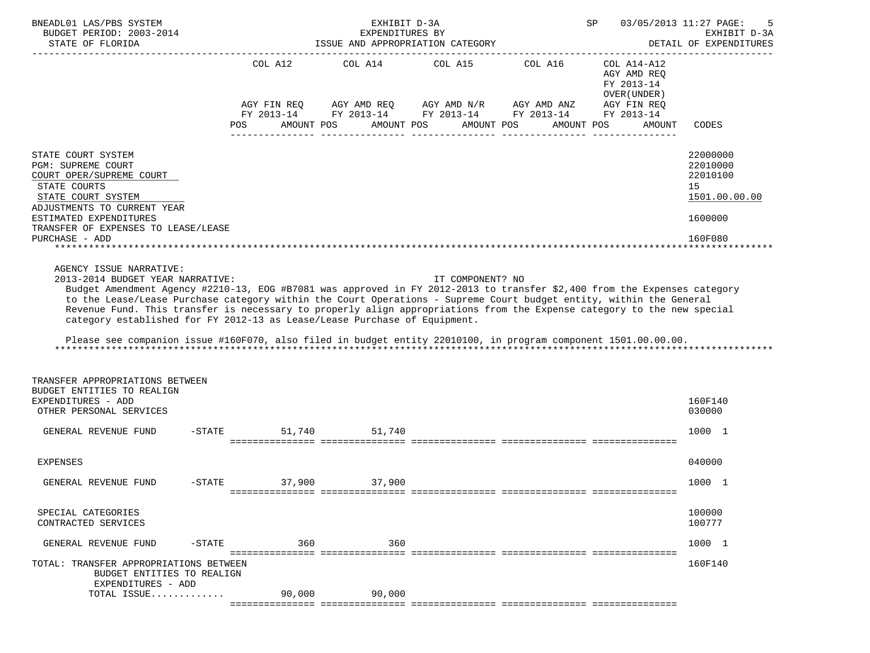| BNEADL01 LAS/PBS SYSTEM<br>BUDGET PERIOD: 2003-2014<br>STATE OF FLORIDA<br>-------------------                                                                                                                                                                                                                                                                                                                                                                                                                                                                                                                                         |                   | EXHIBIT D-3A<br>EXPENDITURES BY | ISSUE AND APPROPRIATION CATEGORY |                                                                                                                         | 03/05/2013 11:27 PAGE:<br>SP                             | -5<br>EXHIBIT D-3A<br>DETAIL OF EXPENDITURES                                  |
|----------------------------------------------------------------------------------------------------------------------------------------------------------------------------------------------------------------------------------------------------------------------------------------------------------------------------------------------------------------------------------------------------------------------------------------------------------------------------------------------------------------------------------------------------------------------------------------------------------------------------------------|-------------------|---------------------------------|----------------------------------|-------------------------------------------------------------------------------------------------------------------------|----------------------------------------------------------|-------------------------------------------------------------------------------|
|                                                                                                                                                                                                                                                                                                                                                                                                                                                                                                                                                                                                                                        |                   |                                 |                                  | COL A12 COL A14 COL A15 COL A16                                                                                         | COL A14-A12<br>AGY AMD REO<br>FY 2013-14<br>OVER (UNDER) |                                                                               |
|                                                                                                                                                                                                                                                                                                                                                                                                                                                                                                                                                                                                                                        | AMOUNT POS<br>POS | AMOUNT POS                      | AMOUNT POS                       | AGY FIN REQ AGY AMD REQ AGY AMD N/R AGY AMD ANZ<br>FY 2013-14 FY 2013-14 FY 2013-14 FY 2013-14 FY 2013-14<br>AMOUNT POS | AGY FIN REQ<br>AMOUNT                                    | CODES                                                                         |
| STATE COURT SYSTEM<br>PGM: SUPREME COURT<br>COURT OPER/SUPREME COURT<br>STATE COURTS<br>STATE COURT SYSTEM<br>ADJUSTMENTS TO CURRENT YEAR<br>ESTIMATED EXPENDITURES<br>TRANSFER OF EXPENSES TO LEASE/LEASE<br>PURCHASE - ADD                                                                                                                                                                                                                                                                                                                                                                                                           |                   |                                 |                                  |                                                                                                                         |                                                          | 22000000<br>22010000<br>22010100<br>15<br>1501.00.00.00<br>1600000<br>160F080 |
| AGENCY ISSUE NARRATIVE:<br>2013-2014 BUDGET YEAR NARRATIVE:<br>Budget Amendment Agency #2210-13, EOG #B7081 was approved in FY 2012-2013 to transfer \$2,400 from the Expenses category<br>to the Lease/Lease Purchase category within the Court Operations - Supreme Court budget entity, within the General<br>Revenue Fund. This transfer is necessary to properly align appropriations from the Expense category to the new special<br>category established for FY 2012-13 as Lease/Lease Purchase of Equipment.<br>Please see companion issue #160F070, also filed in budget entity 22010100, in program component 1501.00.00.00. |                   |                                 | IT COMPONENT? NO                 |                                                                                                                         |                                                          |                                                                               |
| TRANSFER APPROPRIATIONS BETWEEN<br>BUDGET ENTITIES TO REALIGN<br>EXPENDITURES - ADD<br>OTHER PERSONAL SERVICES                                                                                                                                                                                                                                                                                                                                                                                                                                                                                                                         |                   |                                 |                                  |                                                                                                                         |                                                          | 160F140<br>030000                                                             |
| GENERAL REVENUE FUND -STATE                                                                                                                                                                                                                                                                                                                                                                                                                                                                                                                                                                                                            |                   | 51,740 51,740                   |                                  |                                                                                                                         |                                                          | 1000 1                                                                        |
| <b>EXPENSES</b>                                                                                                                                                                                                                                                                                                                                                                                                                                                                                                                                                                                                                        |                   |                                 |                                  |                                                                                                                         |                                                          | 040000                                                                        |
| GENERAL REVENUE FUND -STATE 37,900 37,900                                                                                                                                                                                                                                                                                                                                                                                                                                                                                                                                                                                              |                   |                                 |                                  |                                                                                                                         |                                                          | 1000 1                                                                        |
| SPECIAL CATEGORIES<br>CONTRACTED SERVICES                                                                                                                                                                                                                                                                                                                                                                                                                                                                                                                                                                                              |                   |                                 |                                  |                                                                                                                         |                                                          | 100000<br>100777                                                              |
| GENERAL REVENUE FUND<br>-STATE                                                                                                                                                                                                                                                                                                                                                                                                                                                                                                                                                                                                         | 360               | 360                             |                                  |                                                                                                                         |                                                          | 1000 1                                                                        |
| TOTAL: TRANSFER APPROPRIATIONS BETWEEN<br>BUDGET ENTITIES TO REALIGN<br>EXPENDITURES - ADD                                                                                                                                                                                                                                                                                                                                                                                                                                                                                                                                             | 90,000            | 90,000                          |                                  |                                                                                                                         |                                                          | 160F140                                                                       |
| TOTAL ISSUE                                                                                                                                                                                                                                                                                                                                                                                                                                                                                                                                                                                                                            |                   |                                 |                                  |                                                                                                                         |                                                          |                                                                               |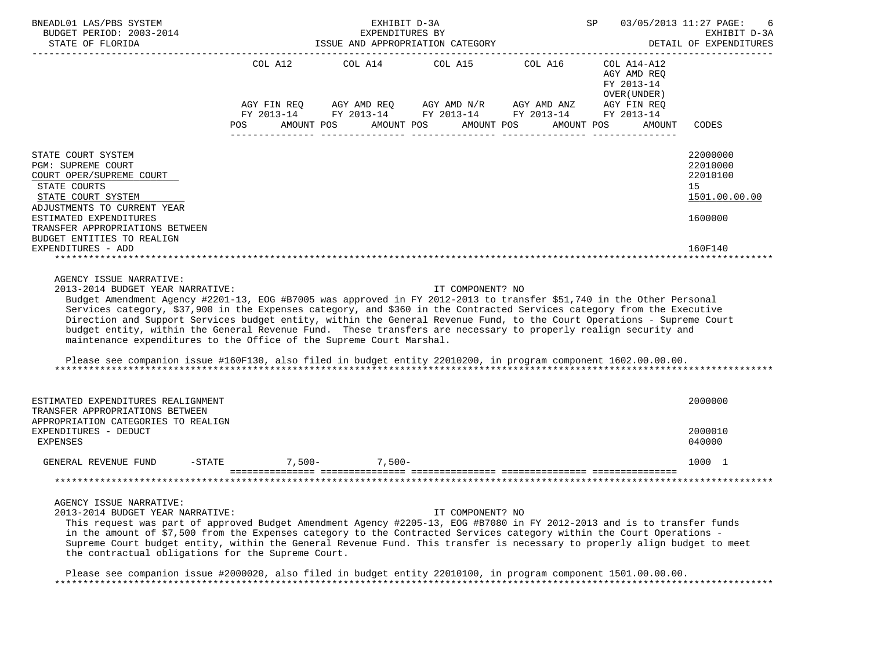| BNEADL01 LAS/PBS SYSTEM<br>BUDGET PERIOD: 2003-2014                                                                                                                                                                                                                                                                                                                                                                                                                                                                                                                                                                                                                                                                                                 |                      | EXHIBIT D-3A<br>EXPENDITURES BY  |                  |                                                                                                                                                   | SP                                                                  | 03/05/2013 11:27 PAGE:<br>EXHIBIT D-3A                                        |
|-----------------------------------------------------------------------------------------------------------------------------------------------------------------------------------------------------------------------------------------------------------------------------------------------------------------------------------------------------------------------------------------------------------------------------------------------------------------------------------------------------------------------------------------------------------------------------------------------------------------------------------------------------------------------------------------------------------------------------------------------------|----------------------|----------------------------------|------------------|---------------------------------------------------------------------------------------------------------------------------------------------------|---------------------------------------------------------------------|-------------------------------------------------------------------------------|
| STATE OF FLORIDA                                                                                                                                                                                                                                                                                                                                                                                                                                                                                                                                                                                                                                                                                                                                    |                      | ISSUE AND APPROPRIATION CATEGORY |                  |                                                                                                                                                   | ----------------------------------                                  | DETAIL OF EXPENDITURES                                                        |
|                                                                                                                                                                                                                                                                                                                                                                                                                                                                                                                                                                                                                                                                                                                                                     | AMOUNT POS<br>POS    | COL A12 COL A14 COL A15 COL A16  | AMOUNT POS       | AGY FIN REQ AGY AMD REQ AGY AMD N/R AGY AMD ANZ AGY FIN REQ<br>FY 2013-14 FY 2013-14 FY 2013-14 FY 2013-14 FY 2013-14<br>AMOUNT POS<br>AMOUNT POS | COL A14-A12<br>AGY AMD REQ<br>FY 2013-14<br>OVER (UNDER )<br>AMOUNT | <b>CODES</b>                                                                  |
| STATE COURT SYSTEM<br>PGM: SUPREME COURT<br>COURT OPER/SUPREME COURT<br>STATE COURTS<br>STATE COURT SYSTEM<br>ADJUSTMENTS TO CURRENT YEAR<br>ESTIMATED EXPENDITURES<br>TRANSFER APPROPRIATIONS BETWEEN<br>BUDGET ENTITIES TO REALIGN<br>EXPENDITURES - ADD                                                                                                                                                                                                                                                                                                                                                                                                                                                                                          |                      |                                  |                  |                                                                                                                                                   |                                                                     | 22000000<br>22010000<br>22010100<br>15<br>1501.00.00.00<br>1600000<br>160F140 |
| AGENCY ISSUE NARRATIVE:<br>2013-2014 BUDGET YEAR NARRATIVE:<br>Budget Amendment Agency #2201-13, EOG #B7005 was approved in FY 2012-2013 to transfer \$51,740 in the Other Personal<br>Services category, \$37,900 in the Expenses category, and \$360 in the Contracted Services category from the Executive<br>Direction and Support Services budget entity, within the General Revenue Fund, to the Court Operations - Supreme Court<br>budget entity, within the General Revenue Fund. These transfers are necessary to properly realign security and<br>maintenance expenditures to the Office of the Supreme Court Marshal.<br>Please see companion issue #160F130, also filed in budget entity 22010200, in program component 1602.00.00.00. |                      |                                  | IT COMPONENT? NO |                                                                                                                                                   |                                                                     |                                                                               |
| ESTIMATED EXPENDITURES REALIGNMENT<br>TRANSFER APPROPRIATIONS BETWEEN<br>APPROPRIATION CATEGORIES TO REALIGN                                                                                                                                                                                                                                                                                                                                                                                                                                                                                                                                                                                                                                        |                      |                                  |                  |                                                                                                                                                   |                                                                     | 2000000                                                                       |
| EXPENDITURES - DEDUCT<br><b>EXPENSES</b>                                                                                                                                                                                                                                                                                                                                                                                                                                                                                                                                                                                                                                                                                                            |                      |                                  |                  |                                                                                                                                                   |                                                                     | 2000010<br>040000                                                             |
| GENERAL REVENUE FUND                                                                                                                                                                                                                                                                                                                                                                                                                                                                                                                                                                                                                                                                                                                                | -STATE 7,500- 7,500- |                                  |                  |                                                                                                                                                   |                                                                     | 1000 1                                                                        |
|                                                                                                                                                                                                                                                                                                                                                                                                                                                                                                                                                                                                                                                                                                                                                     |                      |                                  |                  |                                                                                                                                                   |                                                                     |                                                                               |
| AGENCY ISSUE NARRATIVE:<br>2013-2014 BUDGET YEAR NARRATIVE:<br>This request was part of approved Budget Amendment Agency #2205-13, EOG #B7080 in FY 2012-2013 and is to transfer funds<br>in the amount of \$7,500 from the Expenses category to the Contracted Services category within the Court Operations -<br>Supreme Court budget entity, within the General Revenue Fund. This transfer is necessary to properly align budget to meet<br>the contractual obligations for the Supreme Court.<br>Please see companion issue #2000020, also filed in budget entity 22010100, in program component 1501.00.00.00.                                                                                                                                |                      |                                  | IT COMPONENT? NO |                                                                                                                                                   |                                                                     |                                                                               |

\*\*\*\*\*\*\*\*\*\*\*\*\*\*\*\*\*\*\*\*\*\*\*\*\*\*\*\*\*\*\*\*\*\*\*\*\*\*\*\*\*\*\*\*\*\*\*\*\*\*\*\*\*\*\*\*\*\*\*\*\*\*\*\*\*\*\*\*\*\*\*\*\*\*\*\*\*\*\*\*\*\*\*\*\*\*\*\*\*\*\*\*\*\*\*\*\*\*\*\*\*\*\*\*\*\*\*\*\*\*\*\*\*\*\*\*\*\*\*\*\*\*\*\*\*\*\*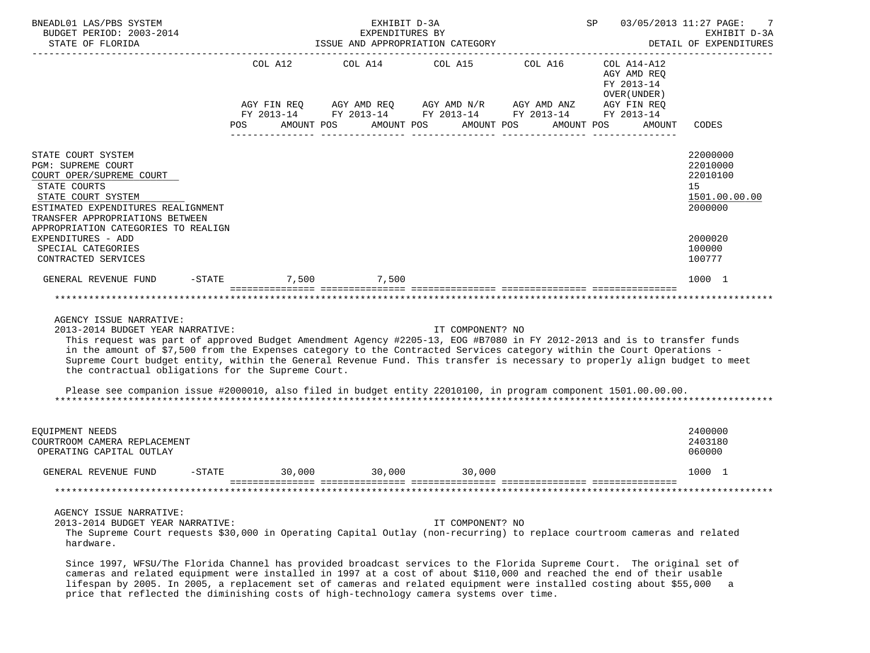| BNEADL01 LAS/PBS SYSTEM<br>BUDGET PERIOD: 2003-2014<br>STATE OF FLORIDA                                                                                                                                                                                                                                                                                                                                                                                                                                                                                                                                              |                                      | EXHIBIT D-3A<br>EXPENDITURES BY<br>ISSUE AND APPROPRIATION CATEGORY |                  | SP 03/05/2013 11:27 PAGE:                                                                               | 7<br>EXHIBIT D-3A<br>DETAIL OF EXPENDITURES |                                                                    |
|----------------------------------------------------------------------------------------------------------------------------------------------------------------------------------------------------------------------------------------------------------------------------------------------------------------------------------------------------------------------------------------------------------------------------------------------------------------------------------------------------------------------------------------------------------------------------------------------------------------------|--------------------------------------|---------------------------------------------------------------------|------------------|---------------------------------------------------------------------------------------------------------|---------------------------------------------|--------------------------------------------------------------------|
|                                                                                                                                                                                                                                                                                                                                                                                                                                                                                                                                                                                                                      |                                      |                                                                     |                  | COL A12 COL A14 COL A15 COL A16 COL A14-A12                                                             | AGY AMD REO<br>FY 2013-14<br>OVER (UNDER )  |                                                                    |
|                                                                                                                                                                                                                                                                                                                                                                                                                                                                                                                                                                                                                      | POS AMOUNT POS AMOUNT POS AMOUNT POS |                                                                     |                  | AGY FIN REQ AGY AMD REQ AGY AMD N/R AGY AMD ANZ AGY FIN REQ FIN REQ AGY AMD N/R AGY AMD ANZ AGY FIN REQ | AMOUNT POS<br>AMOUNT                        | CODES                                                              |
|                                                                                                                                                                                                                                                                                                                                                                                                                                                                                                                                                                                                                      |                                      |                                                                     |                  |                                                                                                         |                                             |                                                                    |
| STATE COURT SYSTEM<br>PGM: SUPREME COURT<br>COURT OPER/SUPREME COURT<br>STATE COURTS<br>STATE COURT SYSTEM<br>ESTIMATED EXPENDITURES REALIGNMENT<br>TRANSFER APPROPRIATIONS BETWEEN<br>APPROPRIATION CATEGORIES TO REALIGN                                                                                                                                                                                                                                                                                                                                                                                           |                                      |                                                                     |                  |                                                                                                         |                                             | 22000000<br>22010000<br>22010100<br>15<br>1501.00.00.00<br>2000000 |
| EXPENDITURES - ADD<br>SPECIAL CATEGORIES<br>CONTRACTED SERVICES                                                                                                                                                                                                                                                                                                                                                                                                                                                                                                                                                      |                                      |                                                                     |                  |                                                                                                         |                                             | 2000020<br>100000<br>100777                                        |
| GENERAL REVENUE FUND -STATE 7,500 7,500                                                                                                                                                                                                                                                                                                                                                                                                                                                                                                                                                                              |                                      |                                                                     |                  |                                                                                                         |                                             | 1000 1                                                             |
|                                                                                                                                                                                                                                                                                                                                                                                                                                                                                                                                                                                                                      |                                      |                                                                     |                  |                                                                                                         |                                             |                                                                    |
| AGENCY ISSUE NARRATIVE:<br>2013-2014 BUDGET YEAR NARRATIVE:<br>This request was part of approved Budget Amendment Agency #2205-13, EOG #B7080 in FY 2012-2013 and is to transfer funds<br>in the amount of \$7,500 from the Expenses category to the Contracted Services category within the Court Operations -<br>Supreme Court budget entity, within the General Revenue Fund. This transfer is necessary to properly align budget to meet<br>the contractual obligations for the Supreme Court.<br>Please see companion issue #2000010, also filed in budget entity 22010100, in program component 1501.00.00.00. |                                      |                                                                     | IT COMPONENT? NO |                                                                                                         |                                             |                                                                    |
| EQUIPMENT NEEDS<br>COURTROOM CAMERA REPLACEMENT<br>OPERATING CAPITAL OUTLAY                                                                                                                                                                                                                                                                                                                                                                                                                                                                                                                                          |                                      |                                                                     |                  |                                                                                                         |                                             | 2400000<br>2403180<br>060000                                       |
| GENERAL REVENUE FUND -STATE 30,000 30,000 30,000                                                                                                                                                                                                                                                                                                                                                                                                                                                                                                                                                                     |                                      |                                                                     |                  |                                                                                                         |                                             | 1000 1                                                             |
|                                                                                                                                                                                                                                                                                                                                                                                                                                                                                                                                                                                                                      |                                      |                                                                     |                  |                                                                                                         |                                             |                                                                    |
| AGENCY ISSUE NARRATIVE:<br>2013-2014 BUDGET YEAR NARRATIVE:<br>The Supreme Court requests \$30,000 in Operating Capital Outlay (non-recurring) to replace courtroom cameras and related<br>hardware.                                                                                                                                                                                                                                                                                                                                                                                                                 |                                      |                                                                     | IT COMPONENT? NO |                                                                                                         |                                             |                                                                    |

 Since 1997, WFSU/The Florida Channel has provided broadcast services to the Florida Supreme Court. The original set of cameras and related equipment were installed in 1997 at a cost of about \$110,000 and reached the end of their usable lifespan by 2005. In 2005, a replacement set of cameras and related equipment were installed costing about \$55,000 a price that reflected the diminishing costs of high-technology camera systems over time.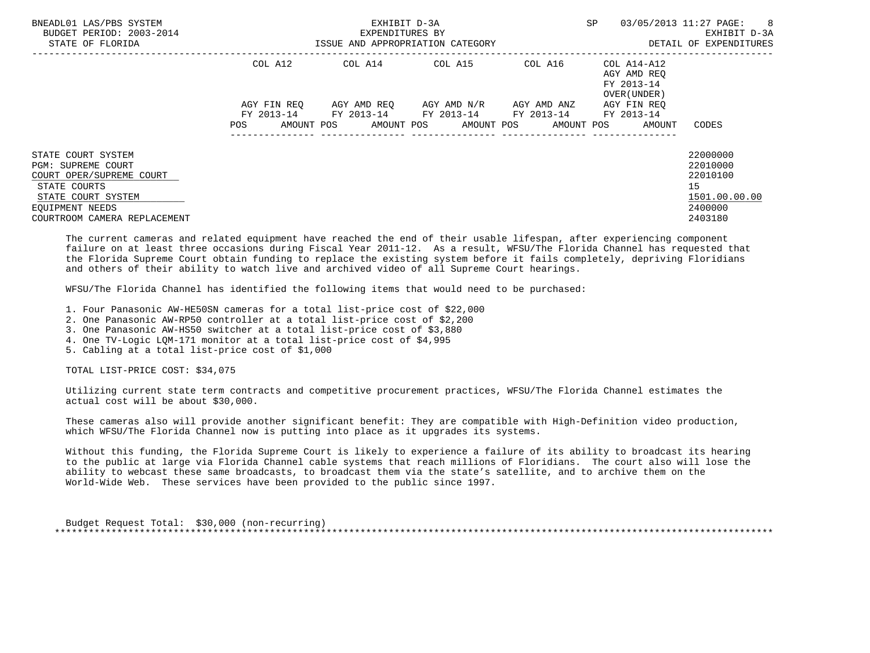| BNEADL01 LAS/PBS SYSTEM<br>BUDGET PERIOD: 2003-2014<br>STATE OF FLORIDA |                   | EXHIBIT D-3A<br>EXPENDITURES BY<br>ISSUE AND APPROPRIATION CATEGORY | <b>SP</b>                        | 03/05/2013 11:27 PAGE:<br>8 <sup>8</sup><br>EXHIBIT D-3A<br>DETAIL OF EXPENDITURES |                                                                  |               |
|-------------------------------------------------------------------------|-------------------|---------------------------------------------------------------------|----------------------------------|------------------------------------------------------------------------------------|------------------------------------------------------------------|---------------|
|                                                                         | COL A12           | COL A14                                                             | COL A15                          |                                                                                    | COL A16 COL A14-A12<br>AGY AMD REO<br>FY 2013-14<br>OVER (UNDER) |               |
|                                                                         | AGY FIN REO       |                                                                     | AGY AMD REO AGY AMD N/R          | AGY AMD ANZ                                                                        | AGY FIN REO                                                      |               |
|                                                                         | AMOUNT POS<br>POS | FY 2013-14 FY 2013-14 FY 2013-14 FY 2013-14                         | AMOUNT POS AMOUNT POS AMOUNT POS |                                                                                    | FY 2013-14<br>AMOUNT                                             | CODES         |
| STATE COURT SYSTEM                                                      |                   |                                                                     |                                  |                                                                                    |                                                                  | 22000000      |
| PGM: SUPREME COURT                                                      |                   |                                                                     |                                  |                                                                                    |                                                                  | 22010000      |
| COURT OPER/SUPREME COURT                                                |                   |                                                                     |                                  |                                                                                    |                                                                  | 22010100      |
| STATE COURTS                                                            |                   |                                                                     |                                  |                                                                                    |                                                                  | 15            |
| STATE COURT SYSTEM                                                      |                   |                                                                     |                                  |                                                                                    |                                                                  | 1501.00.00.00 |
| EQUIPMENT NEEDS                                                         |                   |                                                                     |                                  |                                                                                    |                                                                  | 2400000       |
| COURTROOM CAMERA REPLACEMENT                                            |                   |                                                                     |                                  |                                                                                    |                                                                  | 2403180       |

 The current cameras and related equipment have reached the end of their usable lifespan, after experiencing component failure on at least three occasions during Fiscal Year 2011-12. As a result, WFSU/The Florida Channel has requested that the Florida Supreme Court obtain funding to replace the existing system before it fails completely, depriving Floridians and others of their ability to watch live and archived video of all Supreme Court hearings.

WFSU/The Florida Channel has identified the following items that would need to be purchased:

- 1. Four Panasonic AW-HE50SN cameras for a total list-price cost of \$22,000
- 2. One Panasonic AW-RP50 controller at a total list-price cost of \$2,200
- 3. One Panasonic AW-HS50 switcher at a total list-price cost of \$3,880
- 4. One TV-Logic LQM-171 monitor at a total list-price cost of \$4,995
- 5. Cabling at a total list-price cost of \$1,000

TOTAL LIST-PRICE COST: \$34,075

 Utilizing current state term contracts and competitive procurement practices, WFSU/The Florida Channel estimates the actual cost will be about \$30,000.

 These cameras also will provide another significant benefit: They are compatible with High-Definition video production, which WFSU/The Florida Channel now is putting into place as it upgrades its systems.

 Without this funding, the Florida Supreme Court is likely to experience a failure of its ability to broadcast its hearing to the public at large via Florida Channel cable systems that reach millions of Floridians. The court also will lose the ability to webcast these same broadcasts, to broadcast them via the state's satellite, and to archive them on the World-Wide Web. These services have been provided to the public since 1997.

 Budget Request Total: \$30,000 (non-recurring) \*\*\*\*\*\*\*\*\*\*\*\*\*\*\*\*\*\*\*\*\*\*\*\*\*\*\*\*\*\*\*\*\*\*\*\*\*\*\*\*\*\*\*\*\*\*\*\*\*\*\*\*\*\*\*\*\*\*\*\*\*\*\*\*\*\*\*\*\*\*\*\*\*\*\*\*\*\*\*\*\*\*\*\*\*\*\*\*\*\*\*\*\*\*\*\*\*\*\*\*\*\*\*\*\*\*\*\*\*\*\*\*\*\*\*\*\*\*\*\*\*\*\*\*\*\*\*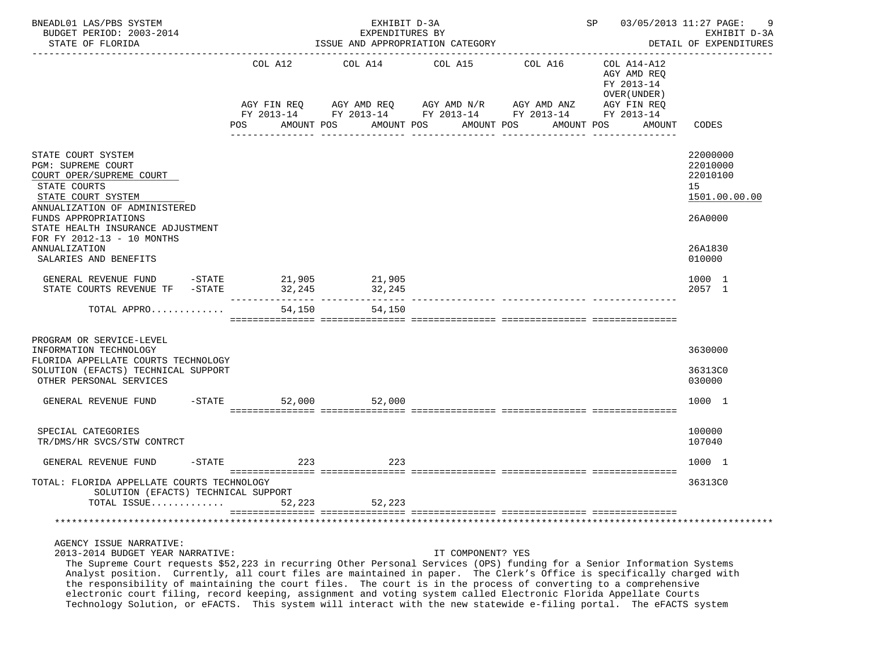| BNEADL01 LAS/PBS SYSTEM<br>BUDGET PERIOD: 2003-2014<br>STATE OF FLORIDA                                                                                                                                                                                                                                       |                    | EXHIBIT D-3A<br>EXPENDITURES BY<br>ISSUE AND APPROPRIATION CATEGORY |                                                                                                                |            | SP 03/05/2013 11:27 PAGE:                                | EXHIBIT D-3A<br>DETAIL OF EXPENDITURES                             |
|---------------------------------------------------------------------------------------------------------------------------------------------------------------------------------------------------------------------------------------------------------------------------------------------------------------|--------------------|---------------------------------------------------------------------|----------------------------------------------------------------------------------------------------------------|------------|----------------------------------------------------------|--------------------------------------------------------------------|
|                                                                                                                                                                                                                                                                                                               | COL A12            | COL A14                                                             | COL A15                                                                                                        | COL A16    | COL A14-A12<br>AGY AMD REQ<br>FY 2013-14<br>OVER (UNDER) |                                                                    |
|                                                                                                                                                                                                                                                                                                               | AGY FIN REQ<br>POS | AMOUNT POS                                                          | AGY AMD REQ AGY AMD N/R AGY AMD ANZ<br>FY 2013-14 FY 2013-14 FY 2013-14 FY 2013-14<br>AMOUNT POS<br>AMOUNT POS | AMOUNT POS | AGY FIN REQ<br>FY 2013-14<br>AMOUNT                      | CODES                                                              |
| STATE COURT SYSTEM<br>PGM: SUPREME COURT<br>COURT OPER/SUPREME COURT<br>STATE COURTS<br>STATE COURT SYSTEM<br>ANNUALIZATION OF ADMINISTERED<br>FUNDS APPROPRIATIONS<br>STATE HEALTH INSURANCE ADJUSTMENT                                                                                                      |                    |                                                                     |                                                                                                                |            |                                                          | 22000000<br>22010000<br>22010100<br>15<br>1501.00.00.00<br>26A0000 |
| FOR FY 2012-13 - 10 MONTHS<br>ANNUALIZATION<br>SALARIES AND BENEFITS                                                                                                                                                                                                                                          |                    |                                                                     |                                                                                                                |            |                                                          | 26A1830<br>010000                                                  |
| GENERAL REVENUE FUND -STATE 21,905<br>STATE COURTS REVENUE TF - STATE                                                                                                                                                                                                                                         |                    | 21,905<br>32, 245 32, 245                                           |                                                                                                                |            |                                                          | 1000 1<br>2057 1                                                   |
| TOTAL APPRO                                                                                                                                                                                                                                                                                                   |                    | 54,150<br>54,150                                                    |                                                                                                                |            |                                                          |                                                                    |
| PROGRAM OR SERVICE-LEVEL<br>INFORMATION TECHNOLOGY<br>FLORIDA APPELLATE COURTS TECHNOLOGY                                                                                                                                                                                                                     |                    |                                                                     |                                                                                                                |            |                                                          | 3630000                                                            |
| SOLUTION (EFACTS) TECHNICAL SUPPORT<br>OTHER PERSONAL SERVICES                                                                                                                                                                                                                                                |                    |                                                                     |                                                                                                                |            |                                                          | 36313C0<br>030000                                                  |
| GENERAL REVENUE FUND -STATE                                                                                                                                                                                                                                                                                   |                    | 52,000 52,000                                                       |                                                                                                                |            |                                                          | 1000 1                                                             |
| SPECIAL CATEGORIES<br>TR/DMS/HR SVCS/STW CONTRCT                                                                                                                                                                                                                                                              |                    |                                                                     |                                                                                                                |            |                                                          | 100000<br>107040                                                   |
| $-$ STATE<br>GENERAL REVENUE FUND                                                                                                                                                                                                                                                                             | 223                | 223                                                                 |                                                                                                                |            |                                                          | 1000 1                                                             |
| TOTAL: FLORIDA APPELLATE COURTS TECHNOLOGY<br>SOLUTION (EFACTS) TECHNICAL SUPPORT                                                                                                                                                                                                                             |                    |                                                                     |                                                                                                                |            |                                                          | 36313C0                                                            |
| TOTAL ISSUE                                                                                                                                                                                                                                                                                                   | 52,223             | 52,223                                                              |                                                                                                                |            |                                                          |                                                                    |
|                                                                                                                                                                                                                                                                                                               |                    |                                                                     |                                                                                                                |            |                                                          |                                                                    |
| AGENCY ISSUE NARRATIVE:<br>2013-2014 BUDGET YEAR NARRATIVE:<br>The Supreme Court requests \$52,223 in recurring Other Personal Services (OPS) funding for a Senior Information Systems<br>Analyst position Currently all court files are maintained in paper. The Clerk's Office is specifically charged with |                    |                                                                     | IT COMPONENT? YES                                                                                              |            |                                                          |                                                                    |

 Analyst position. Currently, all court files are maintained in paper. The Clerk's Office is specifically charged with the responsibility of maintaining the court files. The court is in the process of converting to a comprehensive electronic court filing, record keeping, assignment and voting system called Electronic Florida Appellate Courts Technology Solution, or eFACTS. This system will interact with the new statewide e-filing portal. The eFACTS system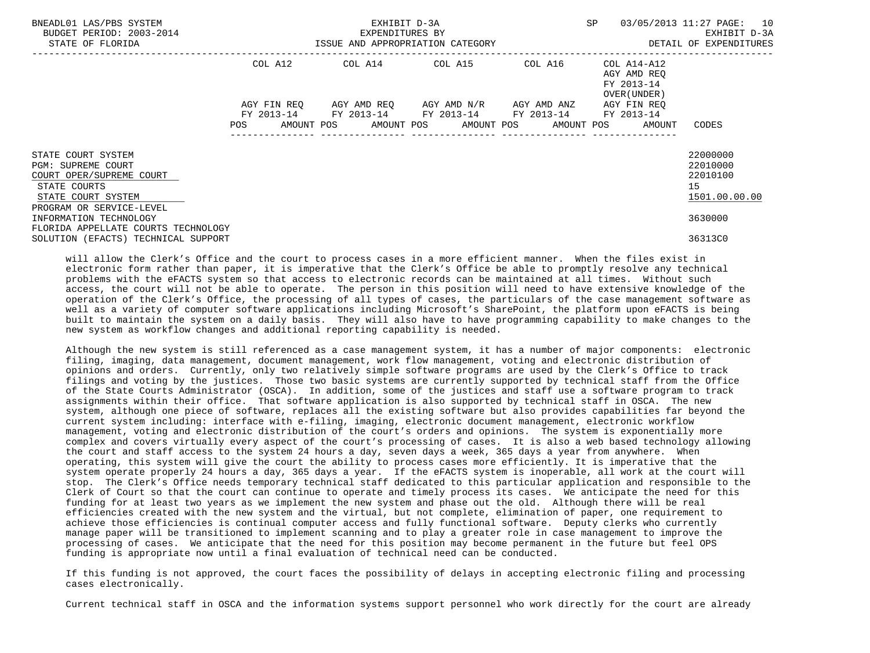| BNEADL01 LAS/PBS SYSTEM<br>BUDGET PERIOD: 2003-2014                                                                              |             | EXHIBIT D-3A<br>EXPENDITURES BY | SP                                                                                            | 03/05/2013 11:27 PAGE: 10<br>EXHIBIT D-3A |                                                                       |                                                         |
|----------------------------------------------------------------------------------------------------------------------------------|-------------|---------------------------------|-----------------------------------------------------------------------------------------------|-------------------------------------------|-----------------------------------------------------------------------|---------------------------------------------------------|
| STATE OF FLORIDA                                                                                                                 |             |                                 | ISSUE AND APPROPRIATION CATEGORY                                                              |                                           |                                                                       | DETAIL OF EXPENDITURES                                  |
|                                                                                                                                  | COL A12     |                                 | COL A14 COL A15 COL A16                                                                       |                                           | COL A14-A12<br>AGY AMD REO<br>FY 2013-14<br>OVER (UNDER)              |                                                         |
|                                                                                                                                  | AGY FIN REO |                                 | AGY AMD REO AGY AMD N/R AGY AMD ANZ<br>FY 2013-14 FY 2013-14 FY 2013-14 FY 2013-14 FY 2013-14 |                                           | AGY FIN REO<br>POS AMOUNT POS AMOUNT POS AMOUNT POS AMOUNT POS AMOUNT | CODES                                                   |
| STATE COURT SYSTEM<br><b>PGM: SUPREME COURT</b><br>COURT OPER/SUPREME COURT<br>STATE COURTS<br>STATE COURT SYSTEM                |             |                                 |                                                                                               |                                           |                                                                       | 22000000<br>22010000<br>22010100<br>15<br>1501.00.00.00 |
| PROGRAM OR SERVICE-LEVEL<br>INFORMATION TECHNOLOGY<br>FLORIDA APPELLATE COURTS TECHNOLOGY<br>SOLUTION (EFACTS) TECHNICAL SUPPORT |             |                                 |                                                                                               |                                           |                                                                       | 3630000<br>36313C0                                      |

 will allow the Clerk's Office and the court to process cases in a more efficient manner. When the files exist in electronic form rather than paper, it is imperative that the Clerk's Office be able to promptly resolve any technical problems with the eFACTS system so that access to electronic records can be maintained at all times. Without such access, the court will not be able to operate. The person in this position will need to have extensive knowledge of the operation of the Clerk's Office, the processing of all types of cases, the particulars of the case management software as well as a variety of computer software applications including Microsoft's SharePoint, the platform upon eFACTS is being built to maintain the system on a daily basis. They will also have to have programming capability to make changes to the new system as workflow changes and additional reporting capability is needed.

 Although the new system is still referenced as a case management system, it has a number of major components: electronic filing, imaging, data management, document management, work flow management, voting and electronic distribution of opinions and orders. Currently, only two relatively simple software programs are used by the Clerk's Office to track filings and voting by the justices. Those two basic systems are currently supported by technical staff from the Office of the State Courts Administrator (OSCA). In addition, some of the justices and staff use a software program to track assignments within their office. That software application is also supported by technical staff in OSCA. The new system, although one piece of software, replaces all the existing software but also provides capabilities far beyond the current system including: interface with e-filing, imaging, electronic document management, electronic workflow management, voting and electronic distribution of the court's orders and opinions. The system is exponentially more complex and covers virtually every aspect of the court's processing of cases. It is also a web based technology allowing the court and staff access to the system 24 hours a day, seven days a week, 365 days a year from anywhere. When operating, this system will give the court the ability to process cases more efficiently. It is imperative that the system operate properly 24 hours a day, 365 days a year. If the eFACTS system is inoperable, all work at the court will stop. The Clerk's Office needs temporary technical staff dedicated to this particular application and responsible to the Clerk of Court so that the court can continue to operate and timely process its cases. We anticipate the need for this funding for at least two years as we implement the new system and phase out the old. Although there will be real efficiencies created with the new system and the virtual, but not complete, elimination of paper, one requirement to achieve those efficiencies is continual computer access and fully functional software. Deputy clerks who currently manage paper will be transitioned to implement scanning and to play a greater role in case management to improve the processing of cases. We anticipate that the need for this position may become permanent in the future but feel OPS funding is appropriate now until a final evaluation of technical need can be conducted.

 If this funding is not approved, the court faces the possibility of delays in accepting electronic filing and processing cases electronically.

Current technical staff in OSCA and the information systems support personnel who work directly for the court are already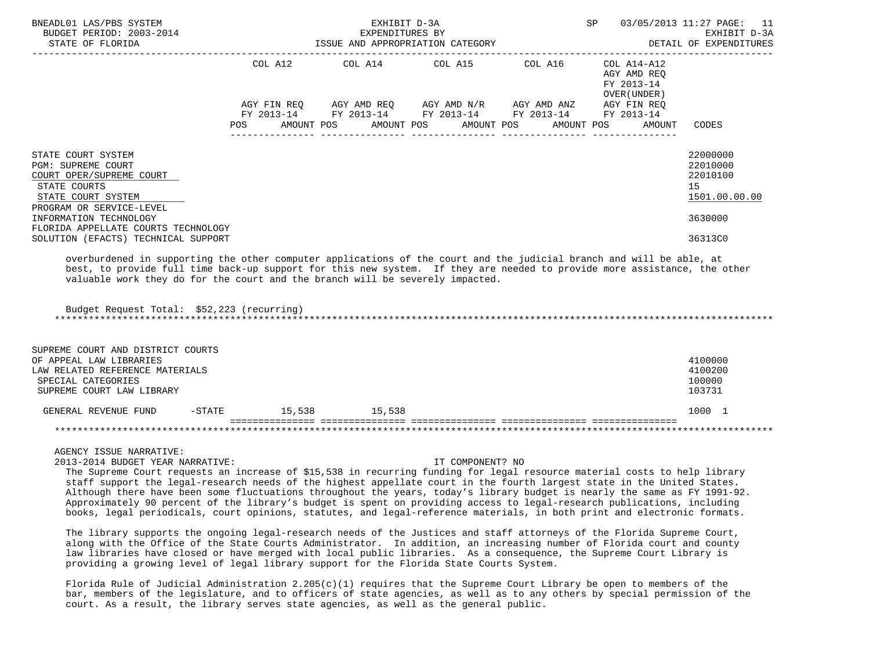| BNEADL01 LAS/PBS SYSTEM<br>BUDGET PERIOD: 2003-2014<br>STATE OF FLORIDA                                                          |                        | EXHIBIT D-3A<br>EXPENDITURES BY<br>ISSUE AND APPROPRIATION CATEGORY | SP                                                                              | 03/05/2013 11:27 PAGE: 11<br>EXHIBIT D-3A<br>DETAIL OF EXPENDITURES |                                                          |                                                         |
|----------------------------------------------------------------------------------------------------------------------------------|------------------------|---------------------------------------------------------------------|---------------------------------------------------------------------------------|---------------------------------------------------------------------|----------------------------------------------------------|---------------------------------------------------------|
|                                                                                                                                  | COL A12<br>AGY FIN REO |                                                                     | COL A14 COL A15 COL A16 COL A14-A12<br>AGY AMD REQ AGY AMD N/R AGY AMD ANZ      |                                                                     | AGY AMD REO<br>FY 2013-14<br>OVER (UNDER)<br>AGY FIN REO |                                                         |
|                                                                                                                                  | POS                    |                                                                     | FY 2013-14 FY 2013-14 FY 2013-14 FY 2013-14<br>AMOUNT POS AMOUNT POS AMOUNT POS |                                                                     | FY 2013-14<br>AMOUNT POS<br>AMOUNT                       | CODES                                                   |
| STATE COURT SYSTEM<br><b>PGM: SUPREME COURT</b><br>COURT OPER/SUPREME COURT<br>STATE COURTS<br>STATE COURT SYSTEM                |                        |                                                                     |                                                                                 |                                                                     |                                                          | 22000000<br>22010000<br>22010100<br>15<br>1501.00.00.00 |
| PROGRAM OR SERVICE-LEVEL<br>INFORMATION TECHNOLOGY<br>FLORIDA APPELLATE COURTS TECHNOLOGY<br>SOLUTION (EFACTS) TECHNICAL SUPPORT |                        |                                                                     |                                                                                 |                                                                     |                                                          | 3630000<br>36313C0                                      |

 overburdened in supporting the other computer applications of the court and the judicial branch and will be able, at best, to provide full time back-up support for this new system. If they are needed to provide more assistance, the other valuable work they do for the court and the branch will be severely impacted.

\*\*\*\*\*\*\*\*\*\*\*\*\*\*\*\*\*\*\*\*\*\*\*\*\*\*\*\*\*\*\*\*\*\*\*\*\*\*\*\*\*\*\*\*\*\*\*\*\*\*\*\*\*\*\*\*\*\*\*\*\*\*\*\*\*\*\*\*\*\*\*\*\*\*\*\*\*\*\*\*\*\*\*\*\*\*\*\*\*\*\*\*\*\*\*\*\*\*\*\*\*\*\*\*\*\*\*\*\*\*\*\*\*\*\*\*\*\*\*\*\*\*\*\*\*\*\*

| SUPREME COURT AND DISTRICT COURTS<br>OF APPEAL LAW LIBRARIES<br>LAW RELATED REFERENCE MATERIALS<br>SPECIAL CATEGORIES<br>SUPREME COURT LAW LIBRARY |           |        |        | 4100000<br>4100200<br>100000<br>103731 |
|----------------------------------------------------------------------------------------------------------------------------------------------------|-----------|--------|--------|----------------------------------------|
| GENERAL REVENUE FUND                                                                                                                               | $-$ STATE | 15,538 | 15,538 | 1000                                   |
|                                                                                                                                                    |           |        |        |                                        |

AGENCY ISSUE NARRATIVE:

2013-2014 BUDGET YEAR NARRATIVE: IT COMPONENT? NO

 The Supreme Court requests an increase of \$15,538 in recurring funding for legal resource material costs to help library staff support the legal-research needs of the highest appellate court in the fourth largest state in the United States. Although there have been some fluctuations throughout the years, today's library budget is nearly the same as FY 1991-92. Approximately 90 percent of the library's budget is spent on providing access to legal-research publications, including books, legal periodicals, court opinions, statutes, and legal-reference materials, in both print and electronic formats.

 The library supports the ongoing legal-research needs of the Justices and staff attorneys of the Florida Supreme Court, along with the Office of the State Courts Administrator. In addition, an increasing number of Florida court and county law libraries have closed or have merged with local public libraries. As a consequence, the Supreme Court Library is providing a growing level of legal library support for the Florida State Courts System.

Florida Rule of Judicial Administration  $2.205(c)(1)$  requires that the Supreme Court Library be open to members of the bar, members of the legislature, and to officers of state agencies, as well as to any others by special permission of the court. As a result, the library serves state agencies, as well as the general public.

Budget Request Total: \$52,223 (recurring)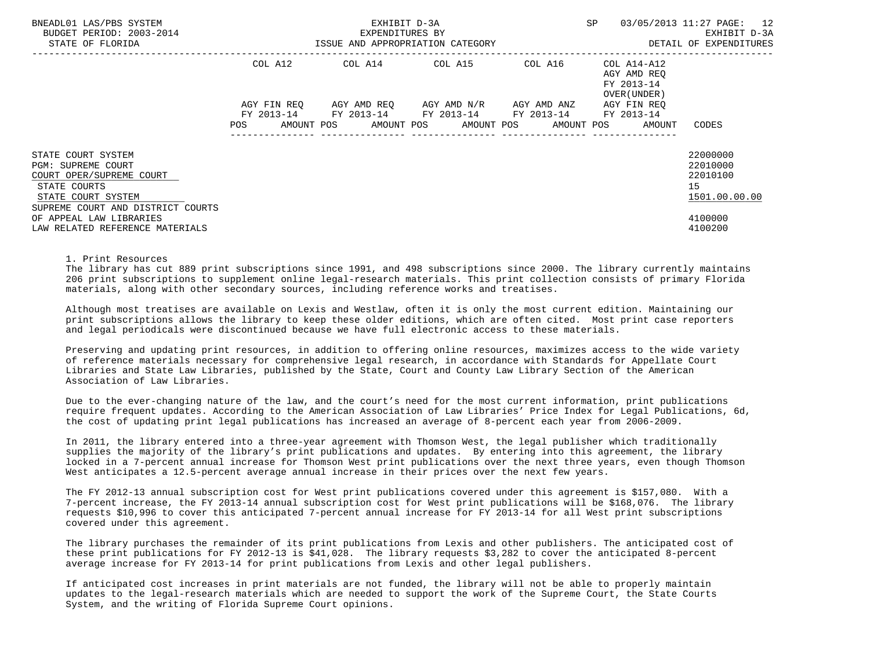| BNEADL01 LAS/PBS SYSTEM<br>BUDGET PERIOD: 2003-2014<br>STATE OF FLORIDA                                    |                                  | EXHIBIT D-3A<br>EXPENDITURES BY<br>ISSUE AND APPROPRIATION CATEGORY             | SP                                  | 03/05/2013 11:27 PAGE: 12<br>EXHIBIT D-3A<br>DETAIL OF EXPENDITURES |                                                          |                                                         |
|------------------------------------------------------------------------------------------------------------|----------------------------------|---------------------------------------------------------------------------------|-------------------------------------|---------------------------------------------------------------------|----------------------------------------------------------|---------------------------------------------------------|
|                                                                                                            | COL A12                          |                                                                                 | COL A14 COL A15                     | COL A16                                                             | COL A14-A12<br>AGY AMD REO<br>FY 2013-14<br>OVER (UNDER) |                                                         |
|                                                                                                            | AGY FIN REO<br>FY 2013-14<br>POS | FY 2013-14 FY 2013-14 FY 2013-14<br>AMOUNT POS AMOUNT POS AMOUNT POS AMOUNT POS | AGY AMD REO AGY AMD N/R AGY AMD ANZ |                                                                     | AGY FIN REO<br>FY 2013-14<br>AMOUNT                      | CODES                                                   |
| STATE COURT SYSTEM<br>PGM: SUPREME COURT<br>COURT OPER/SUPREME COURT<br>STATE COURTS<br>STATE COURT SYSTEM |                                  |                                                                                 |                                     |                                                                     |                                                          | 22000000<br>22010000<br>22010100<br>15<br>1501.00.00.00 |
| SUPREME COURT AND DISTRICT COURTS<br>OF APPEAL LAW LIBRARIES<br>LAW RELATED REFERENCE MATERIALS            |                                  |                                                                                 |                                     |                                                                     |                                                          | 4100000<br>4100200                                      |

1. Print Resources

 The library has cut 889 print subscriptions since 1991, and 498 subscriptions since 2000. The library currently maintains 206 print subscriptions to supplement online legal-research materials. This print collection consists of primary Florida materials, along with other secondary sources, including reference works and treatises.

 Although most treatises are available on Lexis and Westlaw, often it is only the most current edition. Maintaining our print subscriptions allows the library to keep these older editions, which are often cited. Most print case reporters and legal periodicals were discontinued because we have full electronic access to these materials.

 Preserving and updating print resources, in addition to offering online resources, maximizes access to the wide variety of reference materials necessary for comprehensive legal research, in accordance with Standards for Appellate Court Libraries and State Law Libraries, published by the State, Court and County Law Library Section of the American Association of Law Libraries.

 Due to the ever-changing nature of the law, and the court's need for the most current information, print publications require frequent updates. According to the American Association of Law Libraries' Price Index for Legal Publications, 6d, the cost of updating print legal publications has increased an average of 8-percent each year from 2006-2009.

 In 2011, the library entered into a three-year agreement with Thomson West, the legal publisher which traditionally supplies the majority of the library's print publications and updates. By entering into this agreement, the library locked in a 7-percent annual increase for Thomson West print publications over the next three years, even though Thomson West anticipates a 12.5-percent average annual increase in their prices over the next few years.

 The FY 2012-13 annual subscription cost for West print publications covered under this agreement is \$157,080. With a 7-percent increase, the FY 2013-14 annual subscription cost for West print publications will be \$168,076. The library requests \$10,996 to cover this anticipated 7-percent annual increase for FY 2013-14 for all West print subscriptions covered under this agreement.

 The library purchases the remainder of its print publications from Lexis and other publishers. The anticipated cost of these print publications for FY 2012-13 is \$41,028. The library requests \$3,282 to cover the anticipated 8-percent average increase for FY 2013-14 for print publications from Lexis and other legal publishers.

 If anticipated cost increases in print materials are not funded, the library will not be able to properly maintain updates to the legal-research materials which are needed to support the work of the Supreme Court, the State Courts System, and the writing of Florida Supreme Court opinions.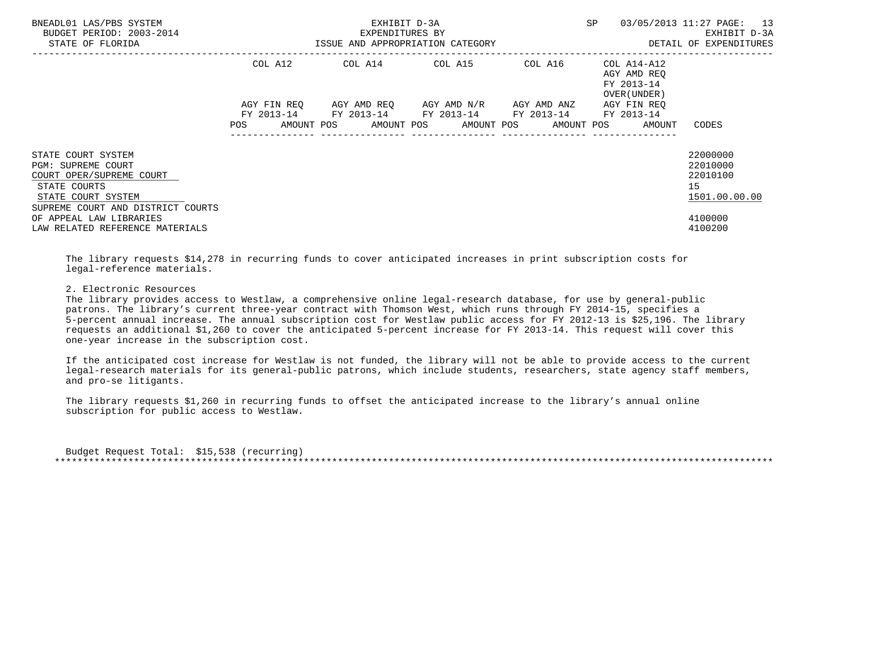| BNEADL01 LAS/PBS SYSTEM<br>BUDGET PERIOD: 2003-2014<br>STATE OF FLORIDA                                    |                                  | EXHIBIT D-3A<br>EXPENDITURES BY<br>ISSUE AND APPROPRIATION CATEGORY             | <b>SP</b>                           | 03/05/2013 11:27 PAGE: 13<br>EXHIBIT D-3A<br>DETAIL OF EXPENDITURES |                                                          |                                                         |
|------------------------------------------------------------------------------------------------------------|----------------------------------|---------------------------------------------------------------------------------|-------------------------------------|---------------------------------------------------------------------|----------------------------------------------------------|---------------------------------------------------------|
|                                                                                                            | COL A12                          | COL A14 COL A15                                                                 |                                     | COL A16                                                             | COL A14-A12<br>AGY AMD REO<br>FY 2013-14<br>OVER (UNDER) |                                                         |
|                                                                                                            | AGY FIN REO<br>FY 2013-14<br>POS | FY 2013-14 FY 2013-14 FY 2013-14<br>AMOUNT POS AMOUNT POS AMOUNT POS AMOUNT POS | AGY AMD REO AGY AMD N/R AGY AMD ANZ |                                                                     | AGY FIN REO<br>FY 2013-14<br>AMOUNT                      | CODES                                                   |
| STATE COURT SYSTEM<br>PGM: SUPREME COURT<br>COURT OPER/SUPREME COURT<br>STATE COURTS<br>STATE COURT SYSTEM |                                  |                                                                                 |                                     |                                                                     |                                                          | 22000000<br>22010000<br>22010100<br>15<br>1501.00.00.00 |
| SUPREME COURT AND DISTRICT COURTS<br>OF APPEAL LAW LIBRARIES<br>LAW RELATED REFERENCE MATERIALS            |                                  |                                                                                 |                                     |                                                                     |                                                          | 4100000<br>4100200                                      |

 The library requests \$14,278 in recurring funds to cover anticipated increases in print subscription costs for legal-reference materials.

### 2. Electronic Resources

 The library provides access to Westlaw, a comprehensive online legal-research database, for use by general-public patrons. The library's current three-year contract with Thomson West, which runs through FY 2014-15, specifies a 5-percent annual increase. The annual subscription cost for Westlaw public access for FY 2012-13 is \$25,196. The library requests an additional \$1,260 to cover the anticipated 5-percent increase for FY 2013-14. This request will cover this one-year increase in the subscription cost.

 If the anticipated cost increase for Westlaw is not funded, the library will not be able to provide access to the current legal-research materials for its general-public patrons, which include students, researchers, state agency staff members, and pro-se litigants.

 The library requests \$1,260 in recurring funds to offset the anticipated increase to the library's annual online subscription for public access to Westlaw.

 Budget Request Total: \$15,538 (recurring) \*\*\*\*\*\*\*\*\*\*\*\*\*\*\*\*\*\*\*\*\*\*\*\*\*\*\*\*\*\*\*\*\*\*\*\*\*\*\*\*\*\*\*\*\*\*\*\*\*\*\*\*\*\*\*\*\*\*\*\*\*\*\*\*\*\*\*\*\*\*\*\*\*\*\*\*\*\*\*\*\*\*\*\*\*\*\*\*\*\*\*\*\*\*\*\*\*\*\*\*\*\*\*\*\*\*\*\*\*\*\*\*\*\*\*\*\*\*\*\*\*\*\*\*\*\*\*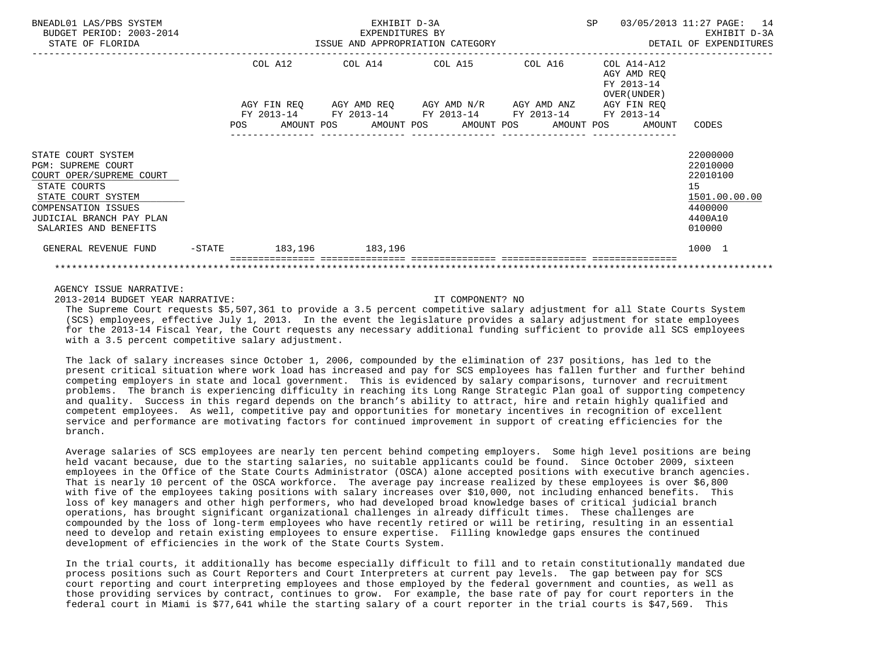| BNEADL01 LAS/PBS SYSTEM<br>BUDGET PERIOD: 2003-2014<br>STATE OF FLORIDA                                    |           | EXHIBIT D-3A<br>EXPENDITURES BY<br>ISSUE AND APPROPRIATION CATEGORY <b>ALL SECONS</b> DETAIL OF EXPENDITURES |         |  |                 |  |                                                                                                       |  |  | SP 03/05/2013 11:27 PAGE: 14<br>EXHIBIT D-3A                            |                                                         |
|------------------------------------------------------------------------------------------------------------|-----------|--------------------------------------------------------------------------------------------------------------|---------|--|-----------------|--|-------------------------------------------------------------------------------------------------------|--|--|-------------------------------------------------------------------------|---------------------------------------------------------|
|                                                                                                            |           |                                                                                                              | COL A12 |  |                 |  | COL A14 COL A15 COL A16<br>AGY FIN REQ AGY AMD REQ AGY AMD N/R AGY AMD ANZ                            |  |  | COL A14-A12<br>AGY AMD REO<br>FY 2013-14<br>OVER (UNDER)<br>AGY FIN REO |                                                         |
|                                                                                                            |           |                                                                                                              |         |  |                 |  | FY 2013-14 FY 2013-14 FY 2013-14 FY 2013-14<br>POS AMOUNT POS AMOUNT POS AMOUNT POS AMOUNT POS AMOUNT |  |  | FY 2013-14                                                              | CODES                                                   |
| STATE COURT SYSTEM<br>PGM: SUPREME COURT<br>COURT OPER/SUPREME COURT<br>STATE COURTS<br>STATE COURT SYSTEM |           |                                                                                                              |         |  |                 |  |                                                                                                       |  |  |                                                                         | 22000000<br>22010000<br>22010100<br>15<br>1501.00.00.00 |
| COMPENSATION ISSUES<br>JUDICIAL BRANCH PAY PLAN<br>SALARIES AND BENEFITS                                   |           |                                                                                                              |         |  |                 |  |                                                                                                       |  |  |                                                                         | 4400000<br>4400A10<br>010000                            |
| GENERAL REVENUE FUND                                                                                       | $-$ STATE |                                                                                                              |         |  | 183,196 183,196 |  |                                                                                                       |  |  |                                                                         | 1000 1                                                  |
|                                                                                                            |           |                                                                                                              |         |  |                 |  |                                                                                                       |  |  |                                                                         |                                                         |

# AGENCY ISSUE NARRATIVE:

2013-2014 BUDGET YEAR NARRATIVE: IT COMPONENT? NO

 The Supreme Court requests \$5,507,361 to provide a 3.5 percent competitive salary adjustment for all State Courts System (SCS) employees, effective July 1, 2013. In the event the legislature provides a salary adjustment for state employees for the 2013-14 Fiscal Year, the Court requests any necessary additional funding sufficient to provide all SCS employees with a 3.5 percent competitive salary adjustment.

 The lack of salary increases since October 1, 2006, compounded by the elimination of 237 positions, has led to the present critical situation where work load has increased and pay for SCS employees has fallen further and further behind competing employers in state and local government. This is evidenced by salary comparisons, turnover and recruitment problems. The branch is experiencing difficulty in reaching its Long Range Strategic Plan goal of supporting competency and quality. Success in this regard depends on the branch's ability to attract, hire and retain highly qualified and competent employees. As well, competitive pay and opportunities for monetary incentives in recognition of excellent service and performance are motivating factors for continued improvement in support of creating efficiencies for the branch.

 Average salaries of SCS employees are nearly ten percent behind competing employers. Some high level positions are being held vacant because, due to the starting salaries, no suitable applicants could be found. Since October 2009, sixteen employees in the Office of the State Courts Administrator (OSCA) alone accepted positions with executive branch agencies. That is nearly 10 percent of the OSCA workforce. The average pay increase realized by these employees is over \$6,800 with five of the employees taking positions with salary increases over \$10,000, not including enhanced benefits. This loss of key managers and other high performers, who had developed broad knowledge bases of critical judicial branch operations, has brought significant organizational challenges in already difficult times. These challenges are compounded by the loss of long-term employees who have recently retired or will be retiring, resulting in an essential need to develop and retain existing employees to ensure expertise. Filling knowledge gaps ensures the continued development of efficiencies in the work of the State Courts System.

 In the trial courts, it additionally has become especially difficult to fill and to retain constitutionally mandated due process positions such as Court Reporters and Court Interpreters at current pay levels. The gap between pay for SCS court reporting and court interpreting employees and those employed by the federal government and counties, as well as those providing services by contract, continues to grow. For example, the base rate of pay for court reporters in the federal court in Miami is \$77,641 while the starting salary of a court reporter in the trial courts is \$47,569. This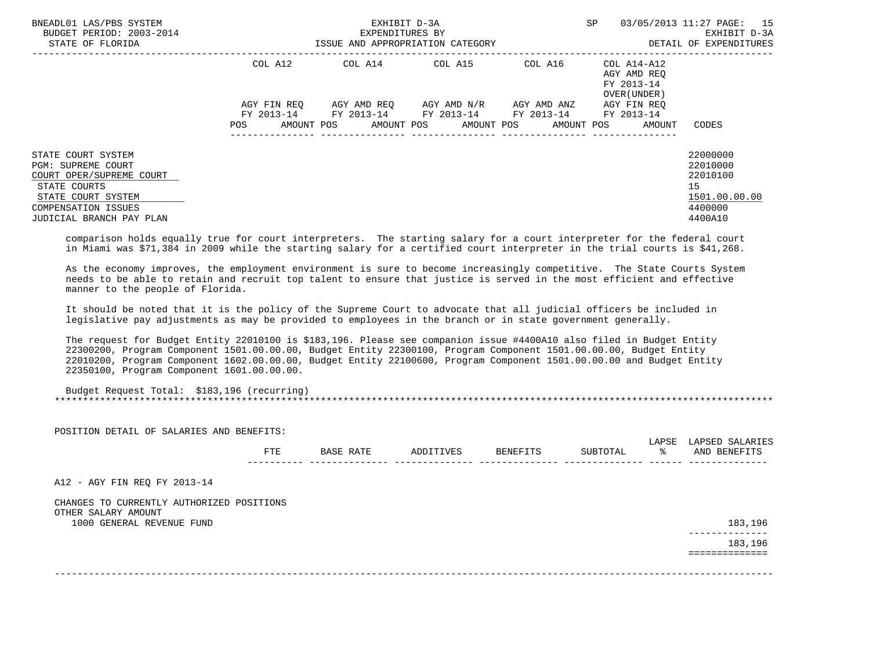| BNEADL01 LAS/PBS SYSTEM<br>BUDGET PERIOD: 2003-2014<br>STATE OF FLORIDA                                                                                              |                    | EXHIBIT D-3A<br>EXPENDITURES BY<br>ISSUE AND APPROPRIATION CATEGORY |                         | SP          | 03/05/2013 11:27 PAGE:<br>15<br>EXHIBIT D-3A<br>DETAIL OF EXPENDITURES |                                                                               |
|----------------------------------------------------------------------------------------------------------------------------------------------------------------------|--------------------|---------------------------------------------------------------------|-------------------------|-------------|------------------------------------------------------------------------|-------------------------------------------------------------------------------|
|                                                                                                                                                                      | COL A12            | COL A14                                                             | COL A15                 | COL A16     | COL A14-A12<br>AGY AMD REO<br>FY 2013-14<br>OVER (UNDER)               |                                                                               |
|                                                                                                                                                                      | AGY FIN REO        |                                                                     | AGY AMD REO AGY AMD N/R | AGY AMD ANZ | AGY FIN REO                                                            |                                                                               |
|                                                                                                                                                                      | AMOUNT POS<br>POS. | FY 2013-14 FY 2013-14 FY 2013-14 FY 2013-14                         | AMOUNT POS AMOUNT POS   | AMOUNT POS  | FY 2013-14<br>AMOUNT                                                   | CODES                                                                         |
| STATE COURT SYSTEM<br><b>PGM: SUPREME COURT</b><br>COURT OPER/SUPREME COURT<br>STATE COURTS<br>STATE COURT SYSTEM<br>COMPENSATION ISSUES<br>JUDICIAL BRANCH PAY PLAN |                    |                                                                     |                         |             |                                                                        | 22000000<br>22010000<br>22010100<br>15<br>1501.00.00.00<br>4400000<br>4400A10 |

 comparison holds equally true for court interpreters. The starting salary for a court interpreter for the federal court in Miami was \$71,384 in 2009 while the starting salary for a certified court interpreter in the trial courts is \$41,268.

 As the economy improves, the employment environment is sure to become increasingly competitive. The State Courts System needs to be able to retain and recruit top talent to ensure that justice is served in the most efficient and effective manner to the people of Florida.

 It should be noted that it is the policy of the Supreme Court to advocate that all judicial officers be included in legislative pay adjustments as may be provided to employees in the branch or in state government generally.

 The request for Budget Entity 22010100 is \$183,196. Please see companion issue #4400A10 also filed in Budget Entity 22300200, Program Component 1501.00.00.00, Budget Entity 22300100, Program Component 1501.00.00.00, Budget Entity 22010200, Program Component 1602.00.00.00, Budget Entity 22100600, Program Component 1501.00.00.00 and Budget Entity 22350100, Program Component 1601.00.00.00.

 Budget Request Total: \$183,196 (recurring) \*\*\*\*\*\*\*\*\*\*\*\*\*\*\*\*\*\*\*\*\*\*\*\*\*\*\*\*\*\*\*\*\*\*\*\*\*\*\*\*\*\*\*\*\*\*\*\*\*\*\*\*\*\*\*\*\*\*\*\*\*\*\*\*\*\*\*\*\*\*\*\*\*\*\*\*\*\*\*\*\*\*\*\*\*\*\*\*\*\*\*\*\*\*\*\*\*\*\*\*\*\*\*\*\*\*\*\*\*\*\*\*\*\*\*\*\*\*\*\*\*\*\*\*\*\*\*

| POSITION DETAIL OF SALARIES AND BENEFITS:        |     |           |           |          |          |             |                                 |
|--------------------------------------------------|-----|-----------|-----------|----------|----------|-------------|---------------------------------|
|                                                  | FTE | BASE RATE | ADDITIVES | BENEFITS | SUBTOTAL | LAPSE<br>°≈ | LAPSED SALARIES<br>AND BENEFITS |
| A12 - AGY FIN REQ FY 2013-14                     |     |           |           |          |          |             |                                 |
| CHANGES TO CURRENTLY AUTHORIZED POSITIONS        |     |           |           |          |          |             |                                 |
| OTHER SALARY AMOUNT<br>1000 GENERAL REVENUE FUND |     |           |           |          |          |             | 183,196                         |
|                                                  |     |           |           |          |          |             | ----------<br>183,196           |
|                                                  |     |           |           |          |          |             |                                 |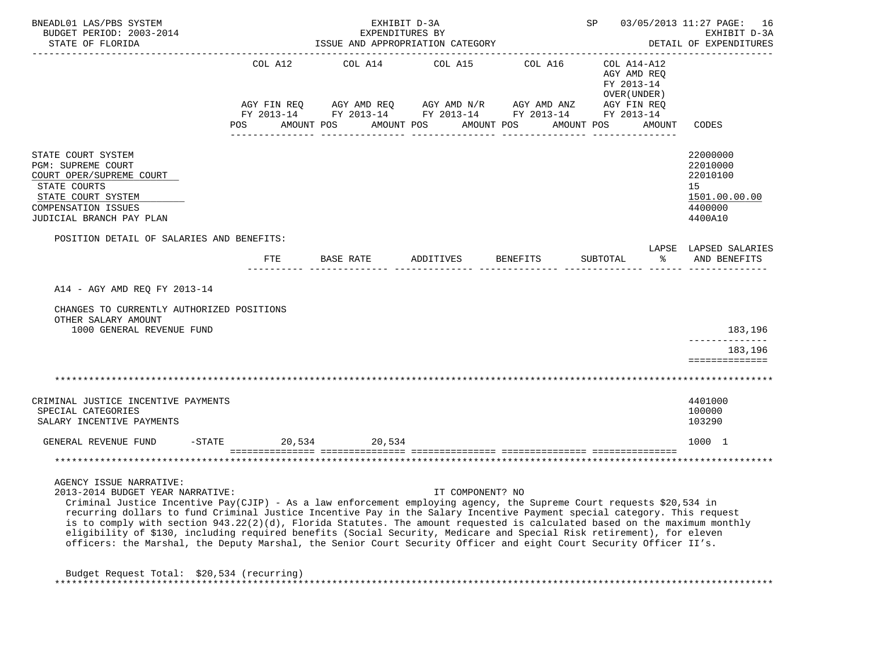| BNEADL01 LAS/PBS SYSTEM<br>BUDGET PERIOD: 2003-2014<br>STATE OF FLORIDA                                                                                                                                                                                                                                                                                                                                                                                                                                                                                                                                                                                                                     |                        | EXHIBIT D-3A<br>EXPENDITURES BY<br>ISSUE AND APPROPRIATION CATEGORY |                                |            | SP 03/05/2013 11:27 PAGE: 16<br>EXHIBIT D-3A<br>DETAIL OF EXPENDITURES  |        |                                                                               |
|---------------------------------------------------------------------------------------------------------------------------------------------------------------------------------------------------------------------------------------------------------------------------------------------------------------------------------------------------------------------------------------------------------------------------------------------------------------------------------------------------------------------------------------------------------------------------------------------------------------------------------------------------------------------------------------------|------------------------|---------------------------------------------------------------------|--------------------------------|------------|-------------------------------------------------------------------------|--------|-------------------------------------------------------------------------------|
|                                                                                                                                                                                                                                                                                                                                                                                                                                                                                                                                                                                                                                                                                             | COL A12<br>AGY FIN REQ | COL A14<br>AGY AMD REQ AGY AMD N/R AGY AMD ANZ                      | COL A15                        | COL A16    | COL A14-A12<br>AGY AMD REO<br>FY 2013-14<br>OVER (UNDER)<br>AGY FIN REQ |        |                                                                               |
|                                                                                                                                                                                                                                                                                                                                                                                                                                                                                                                                                                                                                                                                                             |                        | FY 2013-14 FY 2013-14 FY 2013-14 FY 2013-14 FY 2013-14              |                                |            |                                                                         |        |                                                                               |
|                                                                                                                                                                                                                                                                                                                                                                                                                                                                                                                                                                                                                                                                                             | POS                    | AMOUNT POS                                                          | AMOUNT POS<br>---------------- | AMOUNT POS | AMOUNT POS                                                              | AMOUNT | CODES                                                                         |
| STATE COURT SYSTEM<br>PGM: SUPREME COURT<br>COURT OPER/SUPREME COURT<br>STATE COURTS<br>STATE COURT SYSTEM<br>COMPENSATION ISSUES<br>JUDICIAL BRANCH PAY PLAN                                                                                                                                                                                                                                                                                                                                                                                                                                                                                                                               |                        |                                                                     |                                |            |                                                                         |        | 22000000<br>22010000<br>22010100<br>15<br>1501.00.00.00<br>4400000<br>4400A10 |
| POSITION DETAIL OF SALARIES AND BENEFITS:                                                                                                                                                                                                                                                                                                                                                                                                                                                                                                                                                                                                                                                   |                        |                                                                     |                                |            |                                                                         |        | LAPSE LAPSED SALARIES                                                         |
|                                                                                                                                                                                                                                                                                                                                                                                                                                                                                                                                                                                                                                                                                             | FTE                    | BASE RATE                                                           | ADDITIVES                      | BENEFITS   | SUBTOTAL                                                                | ႜ      | AND BENEFITS                                                                  |
| A14 - AGY AMD REQ FY 2013-14<br>CHANGES TO CURRENTLY AUTHORIZED POSITIONS<br>OTHER SALARY AMOUNT<br>1000 GENERAL REVENUE FUND                                                                                                                                                                                                                                                                                                                                                                                                                                                                                                                                                               |                        |                                                                     |                                |            |                                                                         |        | 183,196<br>183,196<br>==============                                          |
|                                                                                                                                                                                                                                                                                                                                                                                                                                                                                                                                                                                                                                                                                             |                        |                                                                     |                                |            |                                                                         |        |                                                                               |
| CRIMINAL JUSTICE INCENTIVE PAYMENTS<br>SPECIAL CATEGORIES<br>SALARY INCENTIVE PAYMENTS                                                                                                                                                                                                                                                                                                                                                                                                                                                                                                                                                                                                      |                        |                                                                     |                                |            |                                                                         |        | 4401000<br>100000<br>103290                                                   |
| GENERAL REVENUE FUND<br>$-$ STATE                                                                                                                                                                                                                                                                                                                                                                                                                                                                                                                                                                                                                                                           | 20,534                 | 20,534                                                              |                                |            |                                                                         |        | 1000 1                                                                        |
|                                                                                                                                                                                                                                                                                                                                                                                                                                                                                                                                                                                                                                                                                             |                        |                                                                     |                                |            |                                                                         |        | * * * * * * * * * * * * * * * * * * * *                                       |
| AGENCY ISSUE NARRATIVE:<br>2013-2014 BUDGET YEAR NARRATIVE:<br>Criminal Justice Incentive Pay(CJIP) - As a law enforcement employing agency, the Supreme Court requests \$20,534 in<br>recurring dollars to fund Criminal Justice Incentive Pay in the Salary Incentive Payment special category. This request<br>is to comply with section 943.22(2)(d), Florida Statutes. The amount requested is calculated based on the maximum monthly<br>eligibility of \$130, including required benefits (Social Security, Medicare and Special Risk retirement), for eleven<br>officers: the Marshal, the Deputy Marshal, the Senior Court Security Officer and eight Court Security Officer II's. |                        |                                                                     | IT COMPONENT? NO               |            |                                                                         |        |                                                                               |
| Budget Request Total: \$20,534 (recurring)                                                                                                                                                                                                                                                                                                                                                                                                                                                                                                                                                                                                                                                  |                        |                                                                     |                                |            |                                                                         |        |                                                                               |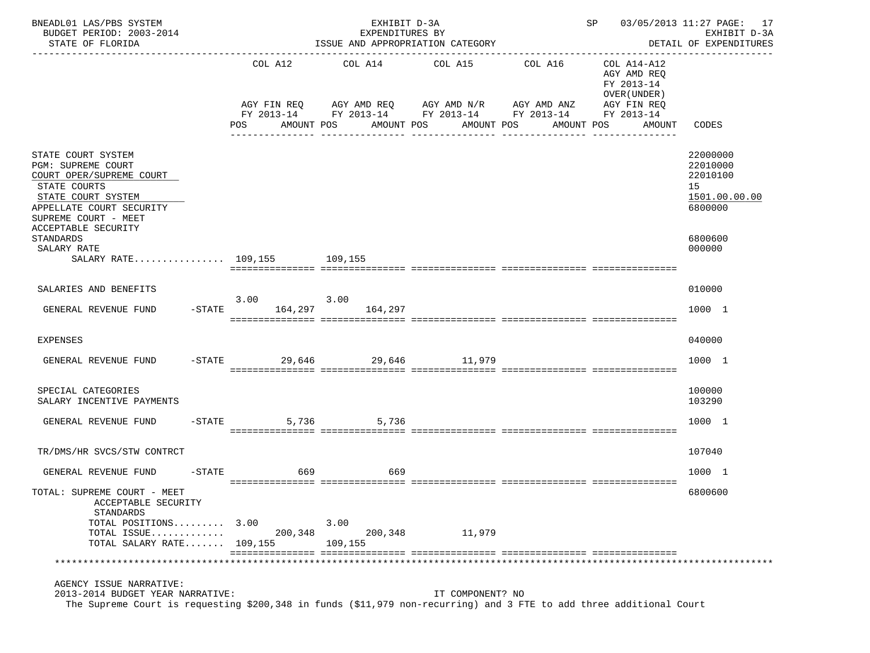| BNEADL01 LAS/PBS SYSTEM<br>BUDGET PERIOD: 2003-2014<br>STATE OF FLORIDA                                                                                                            |                               | EXHIBIT D-3A<br>EXPENDITURES BY<br>ISSUE AND APPROPRIATION CATEGORY                                                    |                       |                       | SP 03/05/2013 11:27 PAGE: 17                                                                    | EXHIBIT D-3A<br>DETAIL OF EXPENDITURES                             |
|------------------------------------------------------------------------------------------------------------------------------------------------------------------------------------|-------------------------------|------------------------------------------------------------------------------------------------------------------------|-----------------------|-----------------------|-------------------------------------------------------------------------------------------------|--------------------------------------------------------------------|
|                                                                                                                                                                                    | COL A12<br>AGY FIN REQ<br>POS | COL A14<br>AGY AMD REQ AGY AMD N/R AGY AMD ANZ<br>FY 2013-14 FY 2013-14 FY 2013-14 FY 2013-14 FY 2013-14<br>AMOUNT POS | COL A15<br>AMOUNT POS | COL A16<br>AMOUNT POS | COL A14-A12<br>AGY AMD REQ<br>FY 2013-14<br>OVER (UNDER)<br>AGY FIN REQ<br>AMOUNT POS<br>AMOUNT | CODES                                                              |
| STATE COURT SYSTEM<br>PGM: SUPREME COURT<br>COURT OPER/SUPREME COURT<br>STATE COURTS<br>STATE COURT SYSTEM<br>APPELLATE COURT SECURITY<br>SUPREME COURT - MEET                     |                               |                                                                                                                        |                       |                       |                                                                                                 | 22000000<br>22010000<br>22010100<br>15<br>1501.00.00.00<br>6800000 |
| ACCEPTABLE SECURITY<br>STANDARDS<br>SALARY RATE<br>SALARY RATE 109,155 109,155                                                                                                     |                               |                                                                                                                        |                       |                       |                                                                                                 | 6800600<br>000000                                                  |
| SALARIES AND BENEFITS                                                                                                                                                              | $3.00$ $3.00$                 |                                                                                                                        |                       |                       |                                                                                                 | 010000                                                             |
| GENERAL REVENUE FUND                                                                                                                                                               | -STATE 164,297 164,297        |                                                                                                                        |                       |                       |                                                                                                 | 1000 1                                                             |
| EXPENSES                                                                                                                                                                           |                               |                                                                                                                        |                       |                       |                                                                                                 | 040000                                                             |
| GENERAL REVENUE FUND -STATE 29,646 29,646 29,646 11,979                                                                                                                            |                               |                                                                                                                        |                       |                       |                                                                                                 | 1000 1                                                             |
| SPECIAL CATEGORIES<br>SALARY INCENTIVE PAYMENTS                                                                                                                                    |                               |                                                                                                                        |                       |                       |                                                                                                 | 100000<br>103290                                                   |
| GENERAL REVENUE FUND                                                                                                                                                               | $-STATE$                      | 5,736 5,736                                                                                                            |                       |                       |                                                                                                 | 1000 1                                                             |
| TR/DMS/HR SVCS/STW CONTRCT                                                                                                                                                         |                               |                                                                                                                        |                       |                       |                                                                                                 | 107040                                                             |
| GENERAL REVENUE FUND                                                                                                                                                               | $-STATE$<br>669               | 669                                                                                                                    |                       |                       |                                                                                                 | 1000 1                                                             |
| TOTAL: SUPREME COURT - MEET<br>ACCEPTABLE SECURITY<br>STANDARDS                                                                                                                    |                               |                                                                                                                        |                       |                       |                                                                                                 | 6800600                                                            |
| TOTAL POSITIONS 3.00<br>TOTAL ISSUE<br>TOTAL SALARY RATE $109,155$                                                                                                                 | 200,348                       | 3.00<br>200,348<br>109,155                                                                                             | 11,979                |                       |                                                                                                 |                                                                    |
|                                                                                                                                                                                    |                               |                                                                                                                        |                       |                       |                                                                                                 |                                                                    |
| AGENCY ISSUE NARRATIVE:<br>2013-2014 BUDGET YEAR NARRATIVE:<br>The Supreme Court is requesting \$200,348 in funds (\$11,979 non-recurring) and 3 FTE to add three additional Court |                               |                                                                                                                        | IT COMPONENT? NO      |                       |                                                                                                 |                                                                    |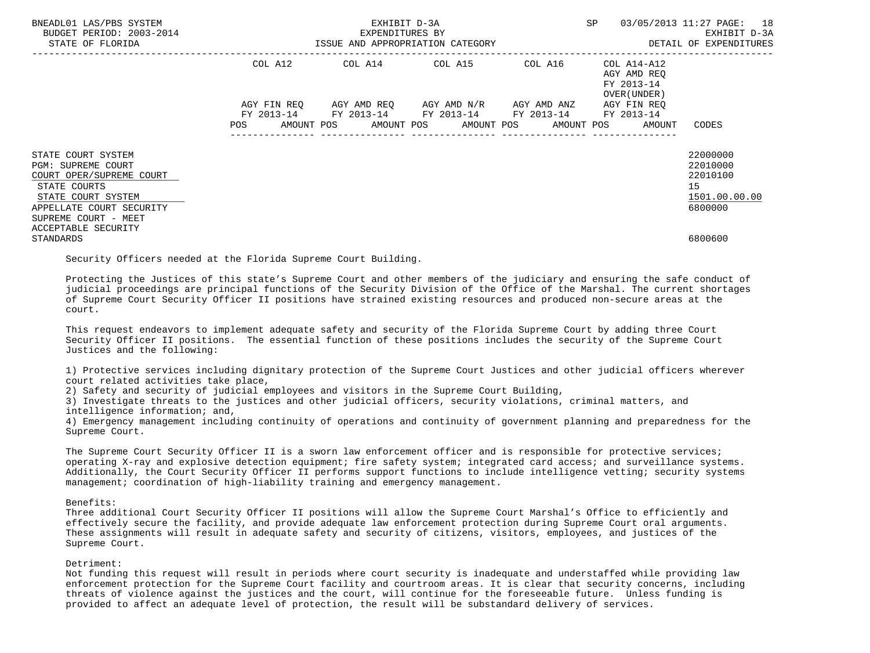| BNEADL01 LAS/PBS SYSTEM<br>BUDGET PERIOD: 2003-2014<br>STATE OF FLORIDA                                                                                               | ISSUE AND APPROPRIATION CATEGORY | EXHIBIT D-3A<br>EXPENDITURES BY                                                                    | SP                               | 03/05/2013 11:27 PAGE: 18<br>EXHIBIT D-3A<br>DETAIL OF EXPENDITURES |                                                           |                                                                    |
|-----------------------------------------------------------------------------------------------------------------------------------------------------------------------|----------------------------------|----------------------------------------------------------------------------------------------------|----------------------------------|---------------------------------------------------------------------|-----------------------------------------------------------|--------------------------------------------------------------------|
|                                                                                                                                                                       | COL A12                          | COL A14 COL A15 COL A16                                                                            |                                  |                                                                     | COL A14-A12<br>AGY AMD REO<br>FY 2013-14<br>OVER (UNDER ) |                                                                    |
|                                                                                                                                                                       | FY 2013-14                       | AGY FIN REQ 6GY AMD REQ 6GY AMD N/R 6GY AMD ANZ<br>POS AMOUNT POS AMOUNT POS AMOUNT POS AMOUNT POS | FY 2013-14 FY 2013-14 FY 2013-14 |                                                                     | AGY FIN REO<br>FY 2013-14<br>AMOUNT                       | CODES                                                              |
| STATE COURT SYSTEM<br><b>PGM: SUPREME COURT</b><br>COURT OPER/SUPREME COURT<br>STATE COURTS<br>STATE COURT SYSTEM<br>APPELLATE COURT SECURITY<br>SUPREME COURT - MEET |                                  |                                                                                                    |                                  |                                                                     |                                                           | 22000000<br>22010000<br>22010100<br>15<br>1501.00.00.00<br>6800000 |
| ACCEPTABLE SECURITY<br>STANDARDS                                                                                                                                      |                                  |                                                                                                    |                                  |                                                                     |                                                           | 6800600                                                            |

Security Officers needed at the Florida Supreme Court Building.

 Protecting the Justices of this state's Supreme Court and other members of the judiciary and ensuring the safe conduct of judicial proceedings are principal functions of the Security Division of the Office of the Marshal. The current shortages of Supreme Court Security Officer II positions have strained existing resources and produced non-secure areas at the court.

 This request endeavors to implement adequate safety and security of the Florida Supreme Court by adding three Court Security Officer II positions. The essential function of these positions includes the security of the Supreme Court Justices and the following:

 1) Protective services including dignitary protection of the Supreme Court Justices and other judicial officers wherever court related activities take place,

2) Safety and security of judicial employees and visitors in the Supreme Court Building,

 3) Investigate threats to the justices and other judicial officers, security violations, criminal matters, and intelligence information; and,

 4) Emergency management including continuity of operations and continuity of government planning and preparedness for the Supreme Court.

 The Supreme Court Security Officer II is a sworn law enforcement officer and is responsible for protective services; operating X-ray and explosive detection equipment; fire safety system; integrated card access; and surveillance systems. Additionally, the Court Security Officer II performs support functions to include intelligence vetting; security systems management; coordination of high-liability training and emergency management.

# Benefits:

 Three additional Court Security Officer II positions will allow the Supreme Court Marshal's Office to efficiently and effectively secure the facility, and provide adequate law enforcement protection during Supreme Court oral arguments. These assignments will result in adequate safety and security of citizens, visitors, employees, and justices of the Supreme Court.

# Detriment:

 Not funding this request will result in periods where court security is inadequate and understaffed while providing law enforcement protection for the Supreme Court facility and courtroom areas. It is clear that security concerns, including threats of violence against the justices and the court, will continue for the foreseeable future. Unless funding is provided to affect an adequate level of protection, the result will be substandard delivery of services.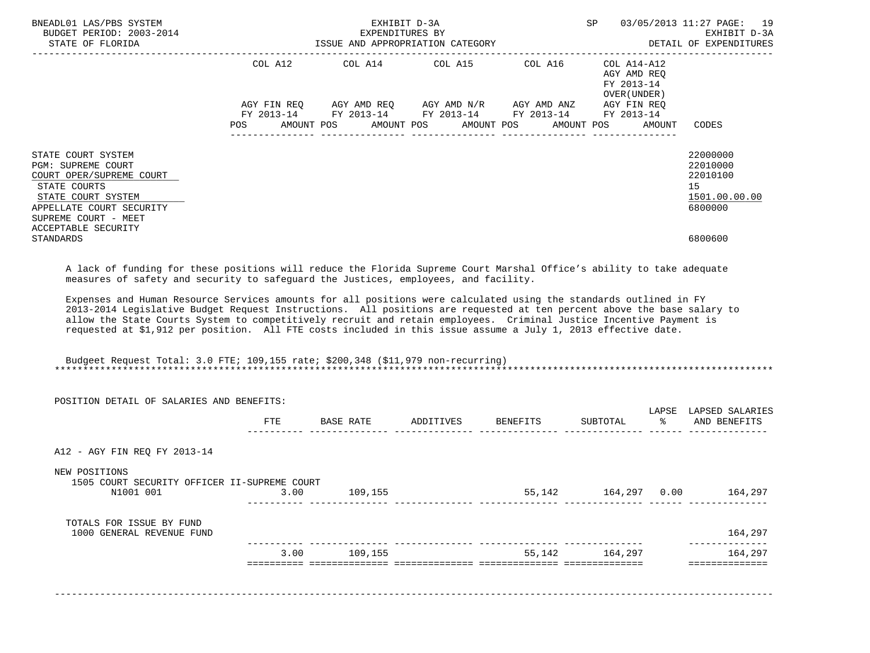| BNEADL01 LAS/PBS SYSTEM<br>BUDGET PERIOD: 2003-2014<br>STATE OF FLORIDA                                                                                                                                                                                                                                                                                           | EXPENDITURES BY EXPLOSE EXPENDITURE BY EXHIBIT D-3A EXPLOSE AND APPROPRIATION CATEGORY CONTROL CONTROL AND A SUSTAIL OF EXPENDITURES |                                                                                            | EXHIBIT D-3A | SP                                       | 03/05/2013 11:27 PAGE: 19                                          |
|-------------------------------------------------------------------------------------------------------------------------------------------------------------------------------------------------------------------------------------------------------------------------------------------------------------------------------------------------------------------|--------------------------------------------------------------------------------------------------------------------------------------|--------------------------------------------------------------------------------------------|--------------|------------------------------------------|--------------------------------------------------------------------|
|                                                                                                                                                                                                                                                                                                                                                                   | COL A12                                                                                                                              | COL A14 COL A15 COL A16                                                                    |              | COL A14-A12<br>AGY AMD REO<br>FY 2013-14 |                                                                    |
|                                                                                                                                                                                                                                                                                                                                                                   |                                                                                                                                      | AGY FIN REQ AGY AMD REQ AGY AMD N/R AGY AMD ANZ AGY FIN REQ                                |              | OVER (UNDER)                             |                                                                    |
|                                                                                                                                                                                                                                                                                                                                                                   | POS FOR THE POST OF THE STATE STATE STATE STATE STATE STATE STATE STATE STATE STATE STATE STATE STATE STATE ST                       | FY 2013-14 FY 2013-14 FY 2013-14 FY 2013-14 FY 2013-14<br>AMOUNT POS AMOUNT POS AMOUNT POS |              | AMOUNT POS<br>AMOUNT                     | CODES                                                              |
| STATE COURT SYSTEM<br><b>PGM: SUPREME COURT</b><br>COURT OPER/SUPREME COURT<br>STATE COURTS<br>STATE COURT SYSTEM<br>APPELLATE COURT SECURITY<br>SUPREME COURT - MEET                                                                                                                                                                                             |                                                                                                                                      |                                                                                            |              |                                          | 22000000<br>22010000<br>22010100<br>15<br>1501.00.00.00<br>6800000 |
| ACCEPTABLE SECURITY<br>STANDARDS                                                                                                                                                                                                                                                                                                                                  |                                                                                                                                      |                                                                                            |              |                                          | 6800600                                                            |
| A lack of funding for these positions will reduce the Florida Supreme Court Marshal Office's ability to take adequate<br>measures of safety and security to safequard the Justices, employees, and facility.                                                                                                                                                      |                                                                                                                                      |                                                                                            |              |                                          |                                                                    |
| Expenses and Human Resource Services amounts for all positions were calculated using the standards outlined in FY<br>2013-2014 Legislative Budget Request Instructions. All positions are requested at ten percent above the base salary to<br>allow the State Courts System to competitively recruit and retain employees. Criminal Justice Incentive Payment is |                                                                                                                                      |                                                                                            |              |                                          |                                                                    |

requested at \$1,912 per position. All FTE costs included in this issue assume a July 1, 2013 effective date.

 Budgeet Request Total: 3.0 FTE; 109,155 rate; \$200,348 (\$11,979 non-recurring) \*\*\*\*\*\*\*\*\*\*\*\*\*\*\*\*\*\*\*\*\*\*\*\*\*\*\*\*\*\*\*\*\*\*\*\*\*\*\*\*\*\*\*\*\*\*\*\*\*\*\*\*\*\*\*\*\*\*\*\*\*\*\*\*\*\*\*\*\*\*\*\*\*\*\*\*\*\*\*\*\*\*\*\*\*\*\*\*\*\*\*\*\*\*\*\*\*\*\*\*\*\*\*\*\*\*\*\*\*\*\*\*\*\*\*\*\*\*\*\*\*\*\*\*\*\*\*

|                                                               | POSITION DETAIL OF SALARIES AND BENEFITS: |           |                    |        |                             | LAPSE | LAPSED SALARIES         |
|---------------------------------------------------------------|-------------------------------------------|-----------|--------------------|--------|-----------------------------|-------|-------------------------|
|                                                               | FTE                                       | BASE RATE | ADDITIVES BENEFITS |        | SUBTOTAL                    | ႜၟ    | AND BENEFITS            |
|                                                               |                                           |           |                    |        |                             |       |                         |
| A12 - AGY FIN REQ FY 2013-14                                  |                                           |           |                    |        |                             |       |                         |
| NEW POSITIONS<br>1505 COURT SECURITY OFFICER II-SUPREME COURT |                                           |           |                    |        |                             |       |                         |
| N1001 001                                                     | 3.00                                      | 109,155   |                    |        | 55,142 164,297 0.00 164,297 |       |                         |
| TOTALS FOR ISSUE BY FUND                                      |                                           |           |                    |        |                             |       |                         |
| 1000 GENERAL REVENUE FUND                                     |                                           |           |                    |        |                             |       | 164,297<br>------------ |
|                                                               | 3.00                                      | 109,155   |                    | 55,142 | 164,297                     |       | 164,297                 |
|                                                               |                                           |           |                    |        |                             |       |                         |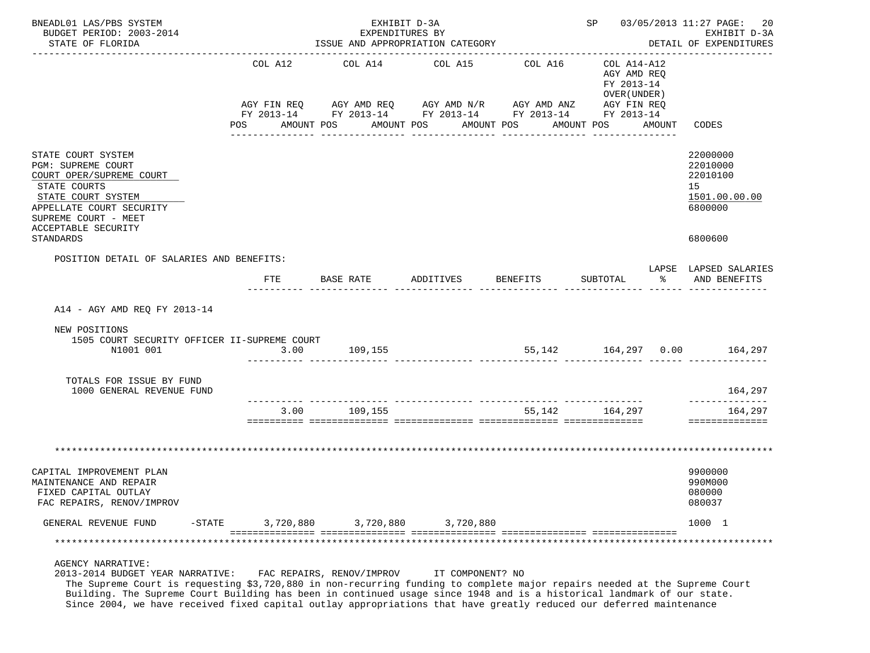| BNEADL01 LAS/PBS SYSTEM<br>BUDGET PERIOD: 2003-2014                                                                                                                                                                                                                                                                  |                | EXHIBIT D-3A<br>EXPENDITURES BY  |                                                                                                                                                        |                                        |                                                                                       |        | SP 03/05/2013 11:27 PAGE:<br>20<br>EXHIBIT D-3A                               |
|----------------------------------------------------------------------------------------------------------------------------------------------------------------------------------------------------------------------------------------------------------------------------------------------------------------------|----------------|----------------------------------|--------------------------------------------------------------------------------------------------------------------------------------------------------|----------------------------------------|---------------------------------------------------------------------------------------|--------|-------------------------------------------------------------------------------|
| STATE OF FLORIDA                                                                                                                                                                                                                                                                                                     |                | ISSUE AND APPROPRIATION CATEGORY |                                                                                                                                                        |                                        | DETAIL OF EXPENDITURES                                                                |        |                                                                               |
|                                                                                                                                                                                                                                                                                                                      | COL A12<br>POS | COL A14<br>AMOUNT POS            | COL A15<br>AGY FIN REQ AGY AMD REQ AGY AMD N/R AGY AMD ANZ<br>FY 2013-14 FY 2013-14 FY 2013-14 FY 2013-14 FY 2013-14<br>AMOUNT POS<br>________________ | COL A16<br>AMOUNT POS<br>------------- | COL A14-A12<br>AGY AMD REQ<br>FY 2013-14<br>OVER (UNDER)<br>AGY FIN REQ<br>AMOUNT POS | AMOUNT | CODES                                                                         |
| STATE COURT SYSTEM<br>PGM: SUPREME COURT<br>COURT OPER/SUPREME COURT<br>STATE COURTS<br>STATE COURT SYSTEM<br>APPELLATE COURT SECURITY<br>SUPREME COURT - MEET<br>ACCEPTABLE SECURITY<br>STANDARDS                                                                                                                   |                |                                  |                                                                                                                                                        |                                        |                                                                                       |        | 22000000<br>22010000<br>22010100<br>15<br>1501.00.00.00<br>6800000<br>6800600 |
| POSITION DETAIL OF SALARIES AND BENEFITS:                                                                                                                                                                                                                                                                            | <b>FTE</b>     | BASE RATE ADDITIVES              |                                                                                                                                                        | <b>BENEFITS</b>                        | SUBTOTAL                                                                              | ႜ      | LAPSE LAPSED SALARIES<br>AND BENEFITS                                         |
| A14 - AGY AMD REQ FY 2013-14                                                                                                                                                                                                                                                                                         |                |                                  |                                                                                                                                                        |                                        |                                                                                       |        |                                                                               |
| NEW POSITIONS<br>1505 COURT SECURITY OFFICER II-SUPREME COURT<br>N1001 001                                                                                                                                                                                                                                           |                | 3.00 109,155                     |                                                                                                                                                        |                                        |                                                                                       |        | 55,142   164,297   0.00   164,297                                             |
|                                                                                                                                                                                                                                                                                                                      |                |                                  | <u> 1999-1999-1999- Situationista situationista interi</u>                                                                                             |                                        |                                                                                       |        |                                                                               |
| TOTALS FOR ISSUE BY FUND<br>1000 GENERAL REVENUE FUND                                                                                                                                                                                                                                                                |                |                                  |                                                                                                                                                        |                                        |                                                                                       |        | 164,297                                                                       |
|                                                                                                                                                                                                                                                                                                                      | 3.00           | 109,155                          |                                                                                                                                                        |                                        | 55, 142 164, 297                                                                      |        | 164,297<br>==============                                                     |
|                                                                                                                                                                                                                                                                                                                      |                |                                  |                                                                                                                                                        |                                        |                                                                                       |        |                                                                               |
| CAPITAL IMPROVEMENT PLAN<br>MAINTENANCE AND REPAIR<br>FIXED CAPITAL OUTLAY<br>FAC REPAIRS, RENOV/IMPROV                                                                                                                                                                                                              |                |                                  |                                                                                                                                                        |                                        |                                                                                       |        | 9900000<br>990M000<br>080000<br>080037                                        |
| GENERAL REVENUE FUND<br>$-$ STATE                                                                                                                                                                                                                                                                                    | 3,720,880      | 3,720,880                        | 3,720,880                                                                                                                                              |                                        |                                                                                       |        | 1000 1                                                                        |
|                                                                                                                                                                                                                                                                                                                      |                |                                  |                                                                                                                                                        |                                        |                                                                                       |        | ********************                                                          |
| <b>AGENCY NARRATIVE:</b><br>2013-2014 BUDGET YEAR NARRATIVE:<br>The Supreme Court is requesting \$3,720,880 in non-recurring funding to complete major repairs needed at the Supreme Court<br>Building. The Supreme Court Building has been in continued usage since 1948 and is a historical landmark of our state. |                | FAC REPAIRS, RENOV/IMPROV        | IT COMPONENT? NO                                                                                                                                       |                                        |                                                                                       |        |                                                                               |

Since 2004, we have received fixed capital outlay appropriations that have greatly reduced our deferred maintenance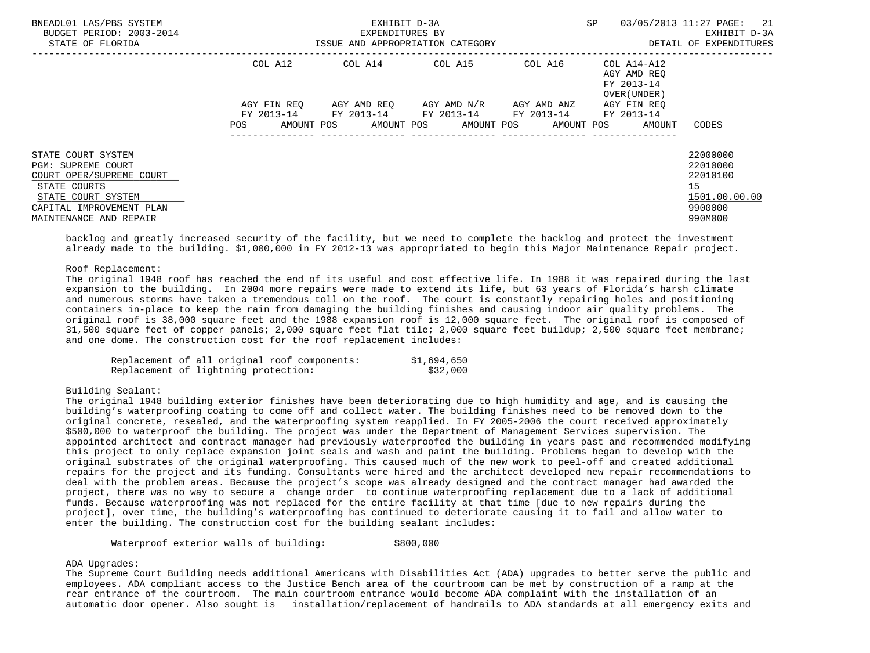|         |     |                                      | 03/05/2013 11:27 PAGE:<br>21<br>EXHIBIT D-3A<br>DETAIL OF EXPENDITURES |                                                                        |                                                                                                                  |
|---------|-----|--------------------------------------|------------------------------------------------------------------------|------------------------------------------------------------------------|------------------------------------------------------------------------------------------------------------------|
| COL A12 |     |                                      | COL A16<br>AGY AMD ANZ                                                 | AGY AMD REO<br>FY 2013-14<br>OVER (UNDER)<br>AGY FIN REO<br>FY 2013-14 |                                                                                                                  |
|         |     |                                      |                                                                        |                                                                        | CODES<br>22000000<br>22010000<br>22010100<br>15<br>1501.00.00.00<br>9900000                                      |
|         | POS | COL A14<br>AGY FIN REO<br>AMOUNT POS | EXHIBIT D-3A<br>EXPENDITURES BY<br>COL A15                             | ISSUE AND APPROPRIATION CATEGORY<br>AGY AMD REO AGY AMD N/R            | SP<br>$COLA14- A12$<br>FY 2013-14 FY 2013-14 FY 2013-14 FY 2013-14<br>AMOUNT POS AMOUNT POS AMOUNT POS<br>AMOUNT |

 backlog and greatly increased security of the facility, but we need to complete the backlog and protect the investment already made to the building. \$1,000,000 in FY 2012-13 was appropriated to begin this Major Maintenance Repair project.

## Roof Replacement:

 The original 1948 roof has reached the end of its useful and cost effective life. In 1988 it was repaired during the last expansion to the building. In 2004 more repairs were made to extend its life, but 63 years of Florida's harsh climate and numerous storms have taken a tremendous toll on the roof. The court is constantly repairing holes and positioning containers in-place to keep the rain from damaging the building finishes and causing indoor air quality problems. The original roof is 38,000 square feet and the 1988 expansion roof is 12,000 square feet. The original roof is composed of 31,500 square feet of copper panels; 2,000 square feet flat tile; 2,000 square feet buildup; 2,500 square feet membrane; and one dome. The construction cost for the roof replacement includes:

|  |                                      | Replacement of all original roof components: | \$1,694,650 |
|--|--------------------------------------|----------------------------------------------|-------------|
|  | Replacement of lightning protection: |                                              | \$32,000    |

Building Sealant:

 The original 1948 building exterior finishes have been deteriorating due to high humidity and age, and is causing the building's waterproofing coating to come off and collect water. The building finishes need to be removed down to the original concrete, resealed, and the waterproofing system reapplied. In FY 2005-2006 the court received approximately \$500,000 to waterproof the building. The project was under the Department of Management Services supervision. The appointed architect and contract manager had previously waterproofed the building in years past and recommended modifying this project to only replace expansion joint seals and wash and paint the building. Problems began to develop with the original substrates of the original waterproofing. This caused much of the new work to peel-off and created additional repairs for the project and its funding. Consultants were hired and the architect developed new repair recommendations to deal with the problem areas. Because the project's scope was already designed and the contract manager had awarded the project, there was no way to secure a change order to continue waterproofing replacement due to a lack of additional funds. Because waterproofing was not replaced for the entire facility at that time [due to new repairs during the project], over time, the building's waterproofing has continued to deteriorate causing it to fail and allow water to enter the building. The construction cost for the building sealant includes:

Waterproof exterior walls of building:  $$800,000$ 

# ADA Upgrades:

 The Supreme Court Building needs additional Americans with Disabilities Act (ADA) upgrades to better serve the public and employees. ADA compliant access to the Justice Bench area of the courtroom can be met by construction of a ramp at the rear entrance of the courtroom. The main courtroom entrance would become ADA complaint with the installation of an automatic door opener. Also sought is installation/replacement of handrails to ADA standards at all emergency exits and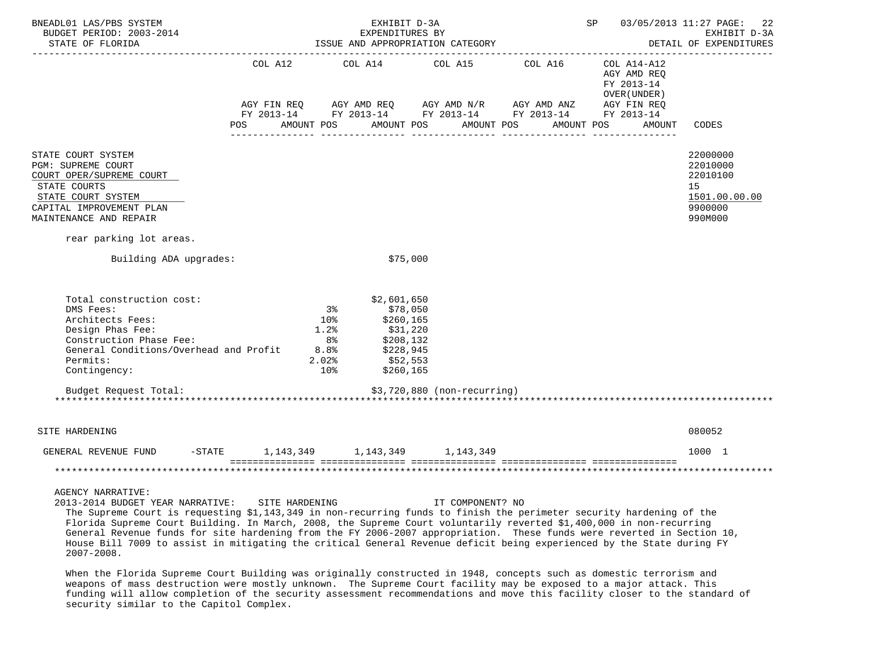| BNEADL01 LAS/PBS SYSTEM<br>BUDGET PERIOD: 2003-2014<br>STATE OF FLORIDA                                                                                                                                                                                                                                                    |            |                 | EXHIBIT D-3A                                         | EXPENDITURES BY<br>ISSUE AND APPROPRIATION CATEGORY | <b>SP</b>                                                                                                                                                                               |                                                          | 03/05/2013 11:27 PAGE:<br>22<br>EXHIBIT D-3A<br>DETAIL OF EXPENDITURES<br>__________________ |  |
|----------------------------------------------------------------------------------------------------------------------------------------------------------------------------------------------------------------------------------------------------------------------------------------------------------------------------|------------|-----------------|------------------------------------------------------|-----------------------------------------------------|-----------------------------------------------------------------------------------------------------------------------------------------------------------------------------------------|----------------------------------------------------------|----------------------------------------------------------------------------------------------|--|
|                                                                                                                                                                                                                                                                                                                            |            |                 |                                                      |                                                     | COL A12 COL A14 COL A15 COL A16                                                                                                                                                         | COL A14-A12<br>AGY AMD REQ<br>FY 2013-14<br>OVER (UNDER) |                                                                                              |  |
|                                                                                                                                                                                                                                                                                                                            |            |                 |                                                      |                                                     | $AGY \text{ FIN REQ} \qquad \text{AGY AMD REQ} \qquad \text{AGY AMD N/R} \qquad \text{AGY AMD ANZ} \qquad \text{AGY FIN REQ}$<br>FY 2013-14 FY 2013-14 FY 2013-14 FY 2013-14 FY 2013-14 |                                                          |                                                                                              |  |
|                                                                                                                                                                                                                                                                                                                            | <b>POS</b> |                 |                                                      |                                                     | AMOUNT POS AMOUNT POS AMOUNT POS AMOUNT POS                                                                                                                                             | AMOUNT                                                   | CODES                                                                                        |  |
| STATE COURT SYSTEM<br>PGM: SUPREME COURT<br>COURT OPER/SUPREME COURT<br>STATE COURTS<br>STATE COURT SYSTEM<br>CAPITAL IMPROVEMENT PLAN<br>MAINTENANCE AND REPAIR                                                                                                                                                           |            |                 |                                                      |                                                     |                                                                                                                                                                                         |                                                          | 22000000<br>22010000<br>22010100<br>15<br>1501.00.00.00<br>9900000<br>990M000                |  |
| rear parking lot areas.                                                                                                                                                                                                                                                                                                    |            |                 |                                                      |                                                     |                                                                                                                                                                                         |                                                          |                                                                                              |  |
| Building ADA upgrades:                                                                                                                                                                                                                                                                                                     |            |                 |                                                      | \$75,000                                            |                                                                                                                                                                                         |                                                          |                                                                                              |  |
| Total construction cost:                                                                                                                                                                                                                                                                                                   |            |                 | \$2,601,650                                          |                                                     |                                                                                                                                                                                         |                                                          |                                                                                              |  |
| DMS Fees:                                                                                                                                                                                                                                                                                                                  |            | 3 <sup>8</sup>  |                                                      | \$78,050                                            |                                                                                                                                                                                         |                                                          |                                                                                              |  |
| Architects Fees:                                                                                                                                                                                                                                                                                                           |            | 10 <sub>8</sub> | \$260,165                                            |                                                     |                                                                                                                                                                                         |                                                          |                                                                                              |  |
| Design Phas Fee:                                                                                                                                                                                                                                                                                                           |            | 1.2%            | \$31,220                                             |                                                     |                                                                                                                                                                                         |                                                          |                                                                                              |  |
| Construction Phase Fee:<br>Construction Phase Fee: 8% 8% \$208,132<br>General Conditions/Overhead and Profit 8.8% \$228,945                                                                                                                                                                                                |            | 8 %             | \$208,132                                            |                                                     |                                                                                                                                                                                         |                                                          |                                                                                              |  |
| Permits:                                                                                                                                                                                                                                                                                                                   |            |                 |                                                      |                                                     |                                                                                                                                                                                         |                                                          |                                                                                              |  |
| Contingency:                                                                                                                                                                                                                                                                                                               |            |                 | حة د <sub>ر د -</sub><br>552,553 \$10<br>260 ^ ^ 260 |                                                     |                                                                                                                                                                                         |                                                          |                                                                                              |  |
| Budget Request Total:                                                                                                                                                                                                                                                                                                      |            |                 |                                                      | \$3,720,880 (non-recurring)                         |                                                                                                                                                                                         |                                                          |                                                                                              |  |
| SITE HARDENING                                                                                                                                                                                                                                                                                                             |            |                 |                                                      |                                                     |                                                                                                                                                                                         |                                                          | 080052                                                                                       |  |
| GENERAL REVENUE FUND -STATE 1,143,349 1,143,349 1,143,349                                                                                                                                                                                                                                                                  |            |                 |                                                      |                                                     |                                                                                                                                                                                         |                                                          | 1000 1                                                                                       |  |
|                                                                                                                                                                                                                                                                                                                            |            |                 |                                                      |                                                     |                                                                                                                                                                                         |                                                          |                                                                                              |  |
| <b>AGENCY NARRATIVE:</b><br>2013-2014 BUDGET YEAR NARRATIVE: SITE HARDENING<br>The Supreme Court is requesting \$1,143,349 in non-recurring funds to finish the perimeter security hardening of the<br>Florida Supreme Court Building. In March, 2008, the Supreme Court voluntarily reverted \$1,400,000 in non-recurring |            |                 |                                                      | IT COMPONENT? NO                                    |                                                                                                                                                                                         |                                                          |                                                                                              |  |

 General Revenue funds for site hardening from the FY 2006-2007 appropriation. These funds were reverted in Section 10, House Bill 7009 to assist in mitigating the critical General Revenue deficit being experienced by the State during FY 2007-2008.

 When the Florida Supreme Court Building was originally constructed in 1948, concepts such as domestic terrorism and weapons of mass destruction were mostly unknown. The Supreme Court facility may be exposed to a major attack. This funding will allow completion of the security assessment recommendations and move this facility closer to the standard of security similar to the Capitol Complex.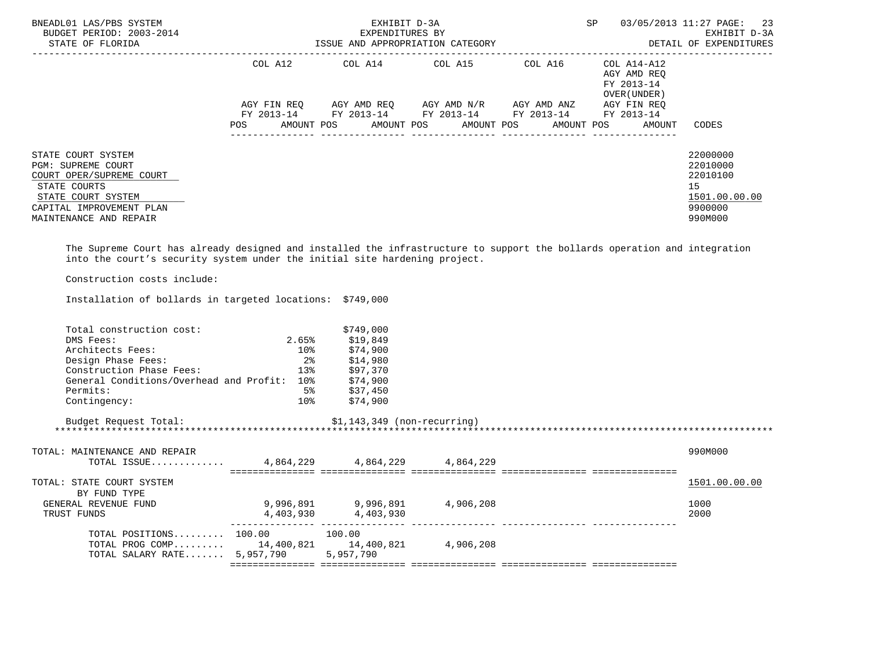| BNEADL01 LAS/PBS SYSTEM<br>BUDGET PERIOD: 2003-2014<br>STATE OF FLORIDA                                                                                                                                 |                           | EXHIBIT D-3A<br>EXPENDITURES BY<br>ISSUE AND APPROPRIATION CATEGORY | SP<br>--------------------------------- | 03/05/2013 11:27 PAGE:<br>23<br>EXHIBIT D-3A<br>DETAIL OF EXPENDITURES |                                                          |                                                                               |
|---------------------------------------------------------------------------------------------------------------------------------------------------------------------------------------------------------|---------------------------|---------------------------------------------------------------------|-----------------------------------------|------------------------------------------------------------------------|----------------------------------------------------------|-------------------------------------------------------------------------------|
|                                                                                                                                                                                                         | COL A12                   |                                                                     | COL A14 COL A15                         | COL A16                                                                | COL A14-A12<br>AGY AMD REO<br>FY 2013-14<br>OVER (UNDER) |                                                                               |
|                                                                                                                                                                                                         | AGY FIN REO<br>FY 2013-14 | AGY AMD REQ<br>FY 2013-14                                           | AGY AMD N/R<br>FY 2013-14               | AGY AMD ANZ<br>FY 2013-14                                              | AGY FIN REO<br>FY 2013-14                                |                                                                               |
|                                                                                                                                                                                                         | <b>POS</b>                |                                                                     | AMOUNT POS AMOUNT POS AMOUNT POS        | AMOUNT POS                                                             | AMOUNT                                                   | CODES                                                                         |
| STATE COURT SYSTEM<br>PGM: SUPREME COURT<br>COURT OPER/SUPREME COURT<br>STATE COURTS<br>STATE COURT SYSTEM<br>CAPITAL IMPROVEMENT PLAN<br>MAINTENANCE AND REPAIR                                        |                           |                                                                     |                                         |                                                                        |                                                          | 22000000<br>22010000<br>22010100<br>15<br>1501.00.00.00<br>9900000<br>990M000 |
| The Supreme Court has already designed and installed the infrastructure to support the bollards operation and integration<br>into the court's security system under the initial site hardening project. |                           |                                                                     |                                         |                                                                        |                                                          |                                                                               |

Construction costs include:

Installation of bollards in targeted locations: \$749,000

| Total construction cost:                        |                          | \$749,000                     |  |               |
|-------------------------------------------------|--------------------------|-------------------------------|--|---------------|
| DMS Fees:                                       | 2.65%                    | \$19,849                      |  |               |
| Architects Fees:                                | $10\%$                   | \$74,900                      |  |               |
| Design Phase Fees:                              | $2\,$                    | \$14,980                      |  |               |
| Construction Phase Fees:                        | 13 <sup>8</sup>          | \$97,370                      |  |               |
| General Conditions/Overhead and Profit: 10%     |                          | \$74,900                      |  |               |
| Permits:                                        | 5%                       | \$37,450                      |  |               |
| Contingency:                                    | $10\mathrm{\textdegree}$ | \$74,900                      |  |               |
| Budget Request Total:                           |                          | $$1,143,349$ (non-recurring)  |  |               |
|                                                 |                          |                               |  |               |
| TOTAL: MAINTENANCE AND REPAIR                   |                          |                               |  | 990M000       |
| TOTAL ISSUE 4,864,229 4,864,229 4,864,229       |                          |                               |  |               |
|                                                 |                          |                               |  |               |
| TOTAL: STATE COURT SYSTEM                       |                          |                               |  | 1501.00.00.00 |
| BY FUND TYPE                                    |                          |                               |  |               |
| GENERAL REVENUE FUND                            |                          | 9,996,891 9,996,891 4,906,208 |  | 1000          |
| TRUST FUNDS                                     |                          | 4,403,930 4,403,930           |  | 2000          |
| TOTAL POSITIONS $100.00$ 100.00                 |                          |                               |  |               |
| TOTAL PROG COMP 14,400,821 14,400,821 4,906,208 |                          |                               |  |               |
| TOTAL SALARY RATE $5,957,790$                   |                          | 5,957,790                     |  |               |
|                                                 |                          |                               |  |               |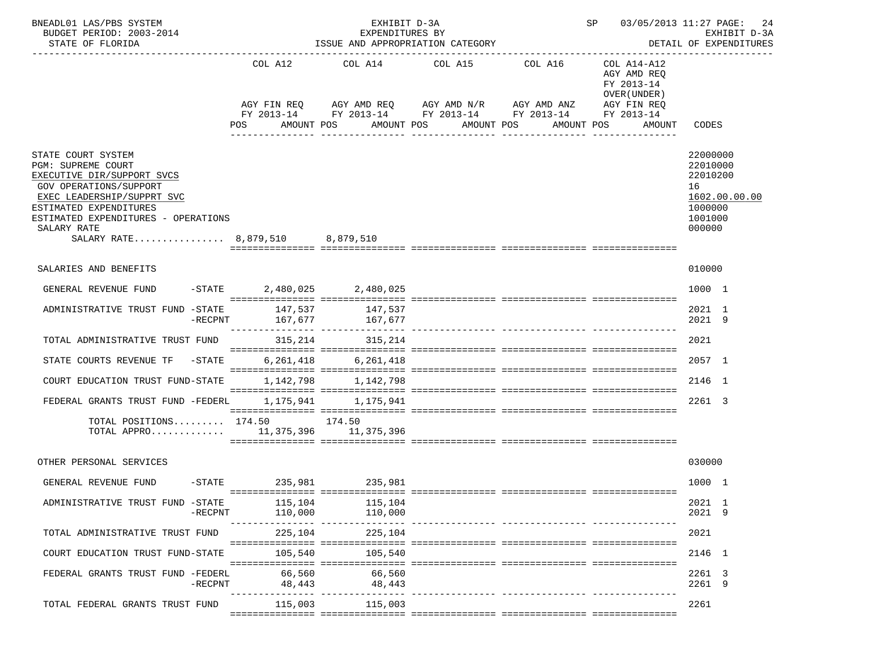| BNEADL01 LAS/PBS SYSTEM<br>BUDGET PERIOD: 2003-2014<br>STATE OF FLORIDA                                                                                                                                                                                  |                                | EXHIBIT D-3A<br>EXPENDITURES BY<br>ISSUE AND APPROPRIATION CATEGORY           | 03/05/2013 11:27 PAGE:<br>SP<br>24<br>EXHIBIT D-3A<br>DETAIL OF EXPENDITURES               |                                                           |                                                                                                 |                                                                                         |
|----------------------------------------------------------------------------------------------------------------------------------------------------------------------------------------------------------------------------------------------------------|--------------------------------|-------------------------------------------------------------------------------|--------------------------------------------------------------------------------------------|-----------------------------------------------------------|-------------------------------------------------------------------------------------------------|-----------------------------------------------------------------------------------------|
|                                                                                                                                                                                                                                                          | COL A12<br>AGY FIN REO<br>POS. | AMOUNT POS                                                                    | COL A14 COL A15 COL A16<br>AGY AMD REQ AGY AMD N/R AGY AMD ANZ<br>AMOUNT POS<br>AMOUNT POS | FY 2013-14 FY 2013-14 FY 2013-14 FY 2013-14<br>AMOUNT POS | COL A14-A12<br>AGY AMD REQ<br>FY 2013-14<br>OVER (UNDER)<br>AGY FIN REQ<br>FY 2013-14<br>AMOUNT | CODES                                                                                   |
| STATE COURT SYSTEM<br>PGM: SUPREME COURT<br>EXECUTIVE DIR/SUPPORT SVCS<br><b>GOV OPERATIONS/SUPPORT</b><br>EXEC LEADERSHIP/SUPPRT SVC<br>ESTIMATED EXPENDITURES<br>ESTIMATED EXPENDITURES - OPERATIONS<br>SALARY RATE<br>SALARY RATE 8,879,510 8,879,510 |                                |                                                                               |                                                                                            |                                                           |                                                                                                 | 22000000<br>22010000<br>22010200<br>16<br>1602.00.00.00<br>1000000<br>1001000<br>000000 |
| SALARIES AND BENEFITS                                                                                                                                                                                                                                    |                                |                                                                               |                                                                                            |                                                           |                                                                                                 | 010000                                                                                  |
| GENERAL REVENUE FUND                                                                                                                                                                                                                                     | $-$ STATE 2,480,025 2,480,025  |                                                                               |                                                                                            |                                                           |                                                                                                 | 1000 1                                                                                  |
| ADMINISTRATIVE TRUST FUND -STATE<br>$-RECPNT$                                                                                                                                                                                                            |                                | 147,537                        147,537<br>167,677                     167,677 |                                                                                            |                                                           |                                                                                                 | 2021 1<br>2021 9                                                                        |
| TOTAL ADMINISTRATIVE TRUST FUND                                                                                                                                                                                                                          | 315,214                        | 315,214                                                                       |                                                                                            |                                                           |                                                                                                 | 2021                                                                                    |
| STATE COURTS REVENUE TF<br>$-$ STATE                                                                                                                                                                                                                     |                                | 6, 261, 418 6, 261, 418                                                       |                                                                                            |                                                           |                                                                                                 | 2057 1                                                                                  |
| COURT EDUCATION TRUST FUND-STATE                                                                                                                                                                                                                         | 1,142,798                      | 1,142,798                                                                     |                                                                                            |                                                           |                                                                                                 | 2146 1                                                                                  |
| FEDERAL GRANTS TRUST FUND -FEDERL                                                                                                                                                                                                                        |                                | 1, 175, 941 1, 175, 941                                                       |                                                                                            |                                                           |                                                                                                 | 2261 3                                                                                  |
| TOTAL POSITIONS $174.50$ 174.50<br>TOTAL APPRO 11,375,396 11,375,396                                                                                                                                                                                     |                                |                                                                               |                                                                                            |                                                           |                                                                                                 |                                                                                         |
| OTHER PERSONAL SERVICES                                                                                                                                                                                                                                  |                                |                                                                               |                                                                                            |                                                           |                                                                                                 | 030000                                                                                  |
| GENERAL REVENUE FUND -STATE 235,981 235,981                                                                                                                                                                                                              |                                |                                                                               |                                                                                            |                                                           |                                                                                                 | 1000 1                                                                                  |
| ADMINISTRATIVE TRUST FUND -STATE<br>-RECPNT                                                                                                                                                                                                              | 115,104<br>110,000             | 115,104<br>110,000                                                            |                                                                                            |                                                           |                                                                                                 | 2021 1<br>2021 9                                                                        |
| TOTAL ADMINISTRATIVE TRUST FUND                                                                                                                                                                                                                          | 225,104                        | 225,104                                                                       |                                                                                            |                                                           |                                                                                                 | 2021                                                                                    |
| COURT EDUCATION TRUST FUND-STATE                                                                                                                                                                                                                         | 105,540                        | 105,540                                                                       |                                                                                            |                                                           |                                                                                                 | 2146 1                                                                                  |
| FEDERAL GRANTS TRUST FUND -FEDERL<br>$-$ RECPNT                                                                                                                                                                                                          | 66,560<br>48,443               | 66,560<br>48,443                                                              |                                                                                            | ------------- ---------------- --                         |                                                                                                 | 2261 3<br>2261 9                                                                        |
| TOTAL FEDERAL GRANTS TRUST FUND                                                                                                                                                                                                                          | 115,003                        | 115,003                                                                       |                                                                                            |                                                           |                                                                                                 | 2261                                                                                    |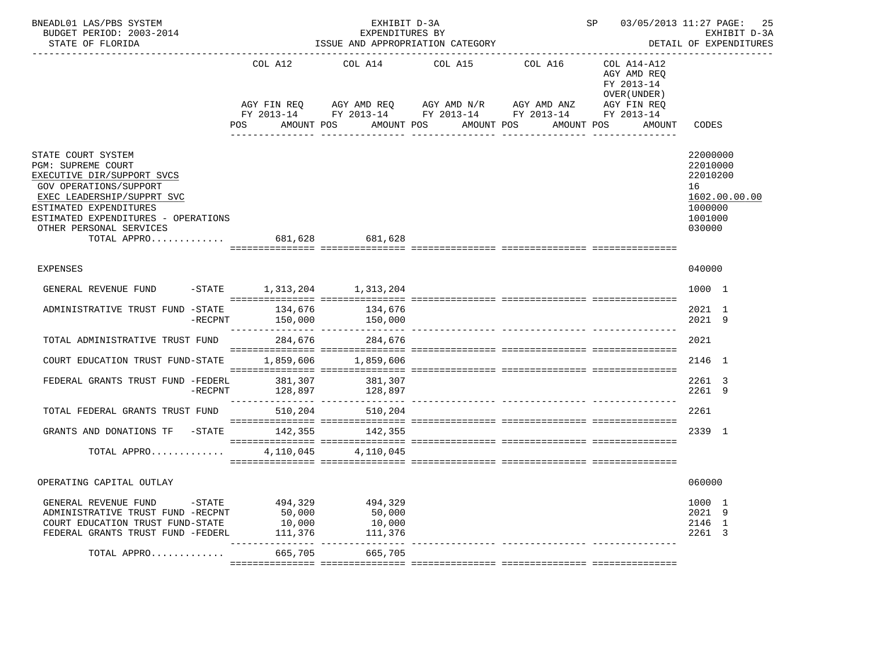| BNEADL01 LAS/PBS SYSTEM<br>BUDGET PERIOD: 2003-2014<br>STATE OF FLORIDA                                                                                                                                                                                          |                                        | EXHIBIT D-3A<br>EXPENDITURES BY<br>ISSUE AND APPROPRIATION CATEGORY |                                                                                                                                           | SP<br>03/05/2013 11:27 PAGE:<br>25<br>EXHIBIT D-3A<br>DETAIL OF EXPENDITURES |                                                                                                 |                                                                                         |
|------------------------------------------------------------------------------------------------------------------------------------------------------------------------------------------------------------------------------------------------------------------|----------------------------------------|---------------------------------------------------------------------|-------------------------------------------------------------------------------------------------------------------------------------------|------------------------------------------------------------------------------|-------------------------------------------------------------------------------------------------|-----------------------------------------------------------------------------------------|
|                                                                                                                                                                                                                                                                  | COL A12<br>AGY FIN REQ<br>POS          | AMOUNT POS                                                          | COL A14 COL A15 COL A16<br>AGY AMD REQ AGY AMD N/R AGY AMD ANZ<br>FY 2013-14 FY 2013-14 FY 2013-14 FY 2013-14<br>AMOUNT POS<br>AMOUNT POS | AMOUNT POS<br>_______________                                                | COL A14-A12<br>AGY AMD REQ<br>FY 2013-14<br>OVER (UNDER)<br>AGY FIN REQ<br>FY 2013-14<br>AMOUNT | CODES                                                                                   |
| STATE COURT SYSTEM<br><b>PGM: SUPREME COURT</b><br>EXECUTIVE DIR/SUPPORT SVCS<br>GOV OPERATIONS/SUPPORT<br>EXEC LEADERSHIP/SUPPRT SVC<br>ESTIMATED EXPENDITURES<br>ESTIMATED EXPENDITURES - OPERATIONS<br>OTHER PERSONAL SERVICES<br>TOTAL APPRO 681,628 681,628 |                                        |                                                                     |                                                                                                                                           |                                                                              |                                                                                                 | 22000000<br>22010000<br>22010200<br>16<br>1602.00.00.00<br>1000000<br>1001000<br>030000 |
| <b>EXPENSES</b>                                                                                                                                                                                                                                                  |                                        |                                                                     |                                                                                                                                           |                                                                              |                                                                                                 | 040000                                                                                  |
| GENERAL REVENUE FUND                                                                                                                                                                                                                                             | -STATE 1,313,204 1,313,204             |                                                                     |                                                                                                                                           |                                                                              |                                                                                                 | 1000 1                                                                                  |
| ADMINISTRATIVE TRUST FUND -STATE<br>$-RECPNT$                                                                                                                                                                                                                    | 134,676<br>150,000                     | 134,676<br>150,000                                                  |                                                                                                                                           |                                                                              |                                                                                                 | 2021 1<br>2021 9                                                                        |
| TOTAL ADMINISTRATIVE TRUST FUND                                                                                                                                                                                                                                  | 284,676                                | 284,676                                                             |                                                                                                                                           |                                                                              |                                                                                                 | 2021                                                                                    |
| COURT EDUCATION TRUST FUND-STATE                                                                                                                                                                                                                                 |                                        | 1,859,606 1,859,606                                                 |                                                                                                                                           |                                                                              |                                                                                                 | 2146 1                                                                                  |
| FEDERAL GRANTS TRUST FUND -FEDERL<br>$-RECPNT$                                                                                                                                                                                                                   | 381,307                                | 381,307<br>128,897 128,897                                          |                                                                                                                                           |                                                                              |                                                                                                 | 2261 3<br>2261 9                                                                        |
| TOTAL FEDERAL GRANTS TRUST FUND                                                                                                                                                                                                                                  | 510,204                                | 510,204                                                             |                                                                                                                                           |                                                                              |                                                                                                 | 2261                                                                                    |
| GRANTS AND DONATIONS TF -STATE 142,355 142,355                                                                                                                                                                                                                   |                                        |                                                                     |                                                                                                                                           |                                                                              |                                                                                                 | 2339 1                                                                                  |
| TOTAL APPRO                                                                                                                                                                                                                                                      |                                        | 4.110.045 4.110.045                                                 |                                                                                                                                           |                                                                              |                                                                                                 |                                                                                         |
| OPERATING CAPITAL OUTLAY                                                                                                                                                                                                                                         |                                        |                                                                     |                                                                                                                                           |                                                                              |                                                                                                 | 060000                                                                                  |
| $-$ STATE<br>GENERAL REVENUE FUND<br>ADMINISTRATIVE TRUST FUND -RECPNT<br>COURT EDUCATION TRUST FUND-STATE<br>FEDERAL GRANTS TRUST FUND -FEDERL                                                                                                                  | 494,329<br>50,000<br>10,000<br>111,376 | 494,329<br>50,000<br>10,000<br>111,376                              |                                                                                                                                           |                                                                              |                                                                                                 | 1000 1<br>2021 9<br>2146 1<br>2261 3                                                    |
| TOTAL APPRO                                                                                                                                                                                                                                                      | ---------------<br>665,705             | 665,705                                                             |                                                                                                                                           |                                                                              |                                                                                                 |                                                                                         |
|                                                                                                                                                                                                                                                                  |                                        |                                                                     |                                                                                                                                           |                                                                              |                                                                                                 |                                                                                         |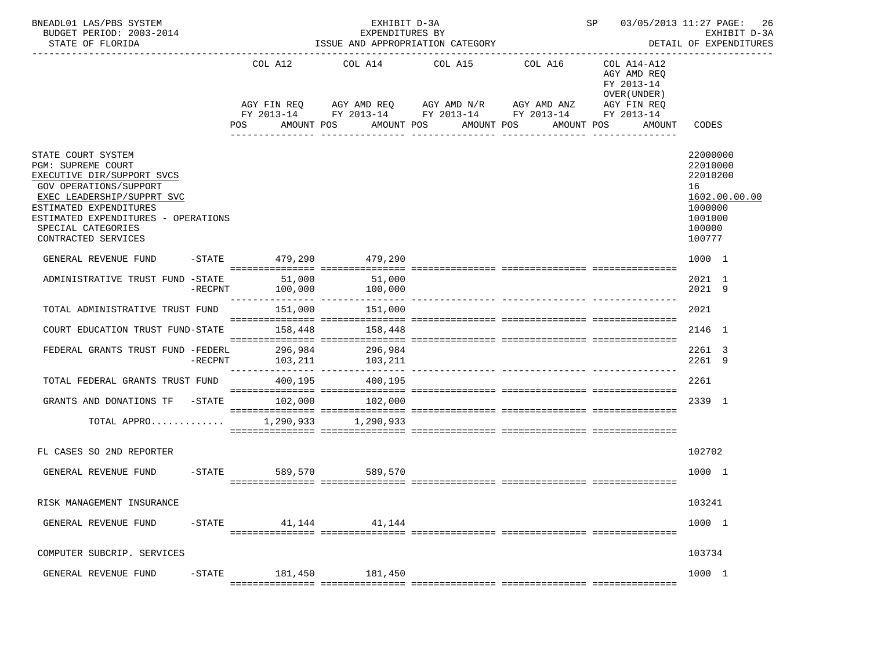| BNEADL01 LAS/PBS SYSTEM<br>BUDGET PERIOD: 2003-2014<br>STATE OF FLORIDA                                                                                                                                                                                    |           |                             | EXHIBIT D-3A<br>EXPENDITURES BY<br>ISSUE AND APPROPRIATION CATEGORY | SP 03/05/2013 11:27 PAGE:                                                                                                                                                         | 26<br>EXHIBIT D-3A<br>DETAIL OF EXPENDITURES |                                                                                  |                                                                                                   |
|------------------------------------------------------------------------------------------------------------------------------------------------------------------------------------------------------------------------------------------------------------|-----------|-----------------------------|---------------------------------------------------------------------|-----------------------------------------------------------------------------------------------------------------------------------------------------------------------------------|----------------------------------------------|----------------------------------------------------------------------------------|---------------------------------------------------------------------------------------------------|
|                                                                                                                                                                                                                                                            |           | <b>POS</b>                  | AMOUNT POS                                                          | COL A12 COL A14 COL A15 COL A16<br>AGY FIN REQ AGY AMD REQ AGY AMD N/R AGY AMD ANZ AGY FIN REQ<br>FY 2013-14 FY 2013-14 FY 2013-14 FY 2013-14 FY 2013-14<br>AMOUNT POS AMOUNT POS |                                              | COL A14-A12<br>AGY AMD REQ<br>FY 2013-14<br>OVER (UNDER)<br>AMOUNT POS<br>AMOUNT | CODES                                                                                             |
| STATE COURT SYSTEM<br><b>PGM: SUPREME COURT</b><br>EXECUTIVE DIR/SUPPORT SVCS<br><b>GOV OPERATIONS/SUPPORT</b><br>EXEC LEADERSHIP/SUPPRT SVC<br>ESTIMATED EXPENDITURES<br>ESTIMATED EXPENDITURES - OPERATIONS<br>SPECIAL CATEGORIES<br>CONTRACTED SERVICES |           |                             |                                                                     |                                                                                                                                                                                   |                                              |                                                                                  | 22000000<br>22010000<br>22010200<br>16<br>1602.00.00.00<br>1000000<br>1001000<br>100000<br>100777 |
| GENERAL REVENUE FUND -STATE 479,290 479,290                                                                                                                                                                                                                |           |                             |                                                                     |                                                                                                                                                                                   |                                              |                                                                                  | 1000 1                                                                                            |
| ADMINISTRATIVE TRUST FUND -STATE                                                                                                                                                                                                                           |           | 51,000<br>$-RECPNT$ 100,000 | 51,000<br>100,000                                                   |                                                                                                                                                                                   |                                              |                                                                                  | 2021 1<br>2021 9                                                                                  |
| TOTAL ADMINISTRATIVE TRUST FUND 151,000 151,000                                                                                                                                                                                                            |           |                             |                                                                     |                                                                                                                                                                                   |                                              |                                                                                  | 2021                                                                                              |
| COURT EDUCATION TRUST FUND-STATE                                                                                                                                                                                                                           |           |                             | 158,448 158,448                                                     |                                                                                                                                                                                   |                                              |                                                                                  | 2146 1                                                                                            |
| FEDERAL GRANTS TRUST FUND -FEDERL 296,984 296,984                                                                                                                                                                                                          |           |                             | -RECPNT 103, 211 103, 211                                           |                                                                                                                                                                                   |                                              |                                                                                  | 2261 3<br>2261 9                                                                                  |
| TOTAL FEDERAL GRANTS TRUST FUND 400,195                                                                                                                                                                                                                    |           |                             | 400,195                                                             |                                                                                                                                                                                   |                                              |                                                                                  | 2261                                                                                              |
| GRANTS AND DONATIONS TF -STATE 102,000 102,000                                                                                                                                                                                                             |           |                             |                                                                     |                                                                                                                                                                                   |                                              |                                                                                  | 2339 1                                                                                            |
| TOTAL APPRO 1,290,933 1,290,933                                                                                                                                                                                                                            |           |                             |                                                                     |                                                                                                                                                                                   |                                              |                                                                                  |                                                                                                   |
| FL CASES SO 2ND REPORTER                                                                                                                                                                                                                                   |           |                             |                                                                     |                                                                                                                                                                                   |                                              |                                                                                  | 102702                                                                                            |
| GENERAL REVENUE FUND                                                                                                                                                                                                                                       |           | -STATE 589,570 589,570      |                                                                     |                                                                                                                                                                                   |                                              |                                                                                  | 1000 1                                                                                            |
| RISK MANAGEMENT INSURANCE                                                                                                                                                                                                                                  |           |                             |                                                                     |                                                                                                                                                                                   |                                              |                                                                                  | 103241                                                                                            |
| GENERAL REVENUE FUND                                                                                                                                                                                                                                       | $-$ STATE | 41,144                      | 41,144                                                              |                                                                                                                                                                                   |                                              |                                                                                  | 1000 1                                                                                            |
| COMPUTER SUBCRIP. SERVICES                                                                                                                                                                                                                                 |           |                             |                                                                     |                                                                                                                                                                                   |                                              |                                                                                  | 103734                                                                                            |
| GENERAL REVENUE FUND                                                                                                                                                                                                                                       | $-$ STATE | 181,450<br>===========      | 181,450                                                             | == ================ ==:                                                                                                                                                           |                                              |                                                                                  | 1000 1                                                                                            |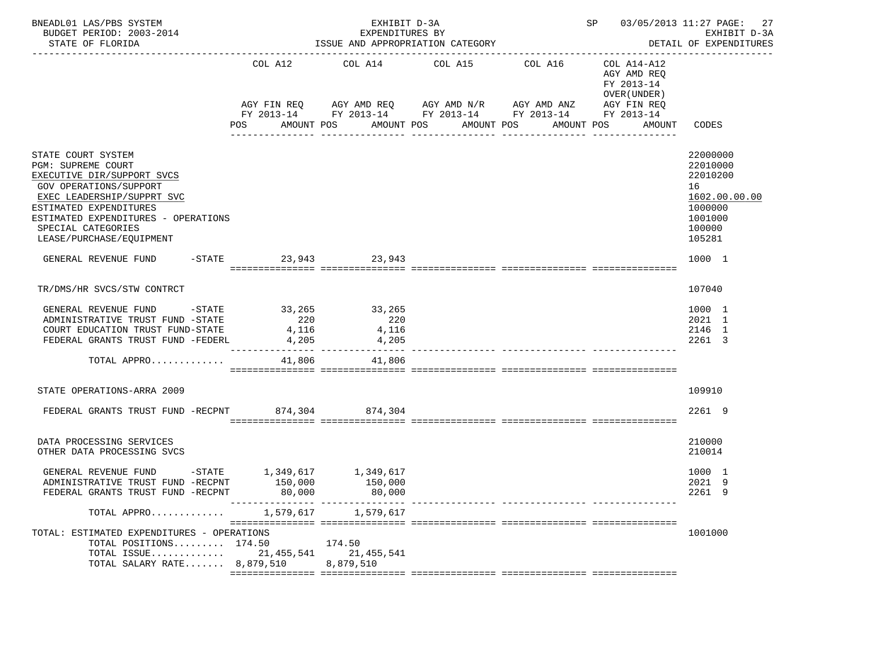| BNEADL01 LAS/PBS SYSTEM<br>BUDGET PERIOD: 2003-2014<br>STATE OF FLORIDA                                                                                                                                                                                  |                           | EXHIBIT D-3A<br>EXPENDITURES BY<br>ISSUE AND APPROPRIATION CATEGORY | SP 03/05/2013 11:27 PAGE:<br>27<br>EXHIBIT D-3A<br>DETAIL OF EXPENDITURES                                                                                                                    |              |                                                                                         |                                                                                                   |
|----------------------------------------------------------------------------------------------------------------------------------------------------------------------------------------------------------------------------------------------------------|---------------------------|---------------------------------------------------------------------|----------------------------------------------------------------------------------------------------------------------------------------------------------------------------------------------|--------------|-----------------------------------------------------------------------------------------|---------------------------------------------------------------------------------------------------|
|                                                                                                                                                                                                                                                          | COL A12<br>POS AMOUNT POS |                                                                     | COL A14 COL A15 COL A16<br>AGY FIN REQ AGY AMD REQ AGY AMD N/R AGY AMD ANZ AGY FIN REQ<br>FY 2013-14 FY 2013-14 FY 2013-14 FY 2013-14 FY 2013-14<br>AMOUNT POS AMOUNT POS<br>--------------- | ____________ | COL A14-A12<br>AGY AMD REQ<br>FY 2013-14<br>OVER (UNDER )<br>AMOUNT POS<br>AMOUNT CODES |                                                                                                   |
| STATE COURT SYSTEM<br>PGM: SUPREME COURT<br>EXECUTIVE DIR/SUPPORT SVCS<br><b>GOV OPERATIONS/SUPPORT</b><br>EXEC LEADERSHIP/SUPPRT SVC<br>ESTIMATED EXPENDITURES<br>ESTIMATED EXPENDITURES - OPERATIONS<br>SPECIAL CATEGORIES<br>LEASE/PURCHASE/EQUIPMENT |                           |                                                                     |                                                                                                                                                                                              |              |                                                                                         | 22000000<br>22010000<br>22010200<br>16<br>1602.00.00.00<br>1000000<br>1001000<br>100000<br>105281 |
| GENERAL REVENUE FUND -STATE 23,943 23,943                                                                                                                                                                                                                |                           |                                                                     |                                                                                                                                                                                              |              |                                                                                         | 1000 1                                                                                            |
| TR/DMS/HR SVCS/STW CONTRCT<br>GENERAL REVENUE FUND -STATE 33,265 33,265<br>ADMINISTRATIVE TRUST FUND -STATE<br>ADMINISTRATIVE TRUST FUND -STATE 220<br>COURT EDUCATION TRUST FUND-STATE 4,116<br>FEDERAL GRANTS TRUST FUND -FEDERL 4,205                 |                           | 220<br>4,116<br>4,205                                               |                                                                                                                                                                                              |              |                                                                                         | 107040<br>1000 1<br>2021 1<br>2146 1<br>2261 3                                                    |
| TOTAL APPRO                                                                                                                                                                                                                                              |                           | 41,806 41,806                                                       |                                                                                                                                                                                              |              |                                                                                         |                                                                                                   |
| STATE OPERATIONS-ARRA 2009<br>FEDERAL GRANTS TRUST FUND -RECPNT 874,304 874,304                                                                                                                                                                          |                           |                                                                     |                                                                                                                                                                                              |              |                                                                                         | 109910<br>2261 9                                                                                  |
| DATA PROCESSING SERVICES<br>OTHER DATA PROCESSING SVCS                                                                                                                                                                                                   |                           |                                                                     |                                                                                                                                                                                              |              |                                                                                         | 210000<br>210014                                                                                  |
| GENERAL REVENUE FUND $-$ STATE 1,349,617 1,349,617<br>ADMINISTRATIVE TRUST FUND -RECPNT<br>FEDERAL GRANTS TRUST FUND -RECPNT                                                                                                                             | 150,000<br>80,000         | 150,000<br>80,000                                                   |                                                                                                                                                                                              |              |                                                                                         | 1000 1<br>2021 9<br>2261 9                                                                        |
| TOTAL APPRO 1,579,617 1,579,617                                                                                                                                                                                                                          |                           |                                                                     |                                                                                                                                                                                              |              |                                                                                         |                                                                                                   |
| TOTAL: ESTIMATED EXPENDITURES - OPERATIONS<br>TOTAL POSITIONS $174.50$<br>TOTAL ISSUE 21,455,541 21,455,541<br>TOTAL SALARY RATE $8,879,510$                                                                                                             | 174.50                    | 8,879,510                                                           |                                                                                                                                                                                              |              |                                                                                         | 1001000                                                                                           |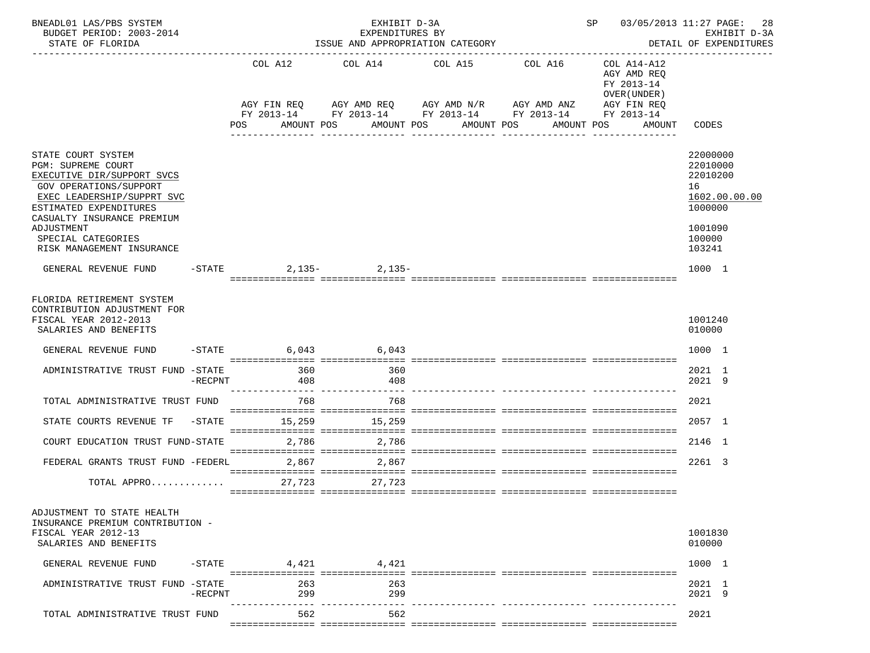| BNEADL01 LAS/PBS SYSTEM<br>BUDGET PERIOD: 2003-2014<br>STATE OF FLORIDA                                                                                                                                                                                 |            |            | EXPENDITURES BY<br>ISSUE AND APPROPRIATION CATEGORY        | EXHIBIT D-3A          |         | SP 03/05/2013 11:27 PAGE:                                | 28<br>EXHIBIT D-3A<br>DETAIL OF EXPENDITURES                                                      |
|---------------------------------------------------------------------------------------------------------------------------------------------------------------------------------------------------------------------------------------------------------|------------|------------|------------------------------------------------------------|-----------------------|---------|----------------------------------------------------------|---------------------------------------------------------------------------------------------------|
|                                                                                                                                                                                                                                                         |            | COL A12    | COL A14<br>AGY FIN REQ AGY AMD REQ AGY AMD N/R AGY AMD ANZ | COL A15               | COL A16 | COL A14-A12<br>AGY AMD REO<br>FY 2013-14<br>OVER (UNDER) |                                                                                                   |
|                                                                                                                                                                                                                                                         |            |            | FY 2013-14 FY 2013-14 FY 2013-14 FY 2013-14 FY 2013-14     |                       |         | AGY FIN REQ                                              |                                                                                                   |
|                                                                                                                                                                                                                                                         |            | POS        | AMOUNT POS                                                 | AMOUNT POS AMOUNT POS |         | AMOUNT POS<br>AMOUNT                                     | CODES                                                                                             |
| STATE COURT SYSTEM<br>PGM: SUPREME COURT<br>EXECUTIVE DIR/SUPPORT SVCS<br>GOV OPERATIONS/SUPPORT<br>EXEC LEADERSHIP/SUPPRT SVC<br>ESTIMATED EXPENDITURES<br>CASUALTY INSURANCE PREMIUM<br>ADJUSTMENT<br>SPECIAL CATEGORIES<br>RISK MANAGEMENT INSURANCE |            |            |                                                            |                       |         |                                                          | 22000000<br>22010000<br>22010200<br>16<br>1602.00.00.00<br>1000000<br>1001090<br>100000<br>103241 |
| GENERAL REVENUE FUND                                                                                                                                                                                                                                    |            |            | -STATE 2,135-2,135-                                        |                       |         |                                                          | 1000 1                                                                                            |
| FLORIDA RETIREMENT SYSTEM<br>CONTRIBUTION ADJUSTMENT FOR<br>FISCAL YEAR 2012-2013<br>SALARIES AND BENEFITS                                                                                                                                              |            |            |                                                            |                       |         |                                                          | 1001240<br>010000                                                                                 |
| GENERAL REVENUE FUND                                                                                                                                                                                                                                    |            |            | $-$ STATE 6,043 6,043                                      |                       |         |                                                          | 1000 1                                                                                            |
| ADMINISTRATIVE TRUST FUND -STATE                                                                                                                                                                                                                        | $-$ RECPNT | 360<br>408 | 360<br>408                                                 |                       |         |                                                          | 2021 1<br>2021 9                                                                                  |
| TOTAL ADMINISTRATIVE TRUST FUND                                                                                                                                                                                                                         |            | 768        | 768                                                        |                       |         |                                                          | 2021                                                                                              |
| STATE COURTS REVENUE TF -STATE 15,259 15,259                                                                                                                                                                                                            |            |            |                                                            |                       |         |                                                          | 2057 1                                                                                            |
| COURT EDUCATION TRUST FUND-STATE                                                                                                                                                                                                                        |            | 2,786      | 2,786                                                      |                       |         |                                                          | 2146 1                                                                                            |
| FEDERAL GRANTS TRUST FUND -FEDERL                                                                                                                                                                                                                       |            | 2,867      | 2,867                                                      |                       |         |                                                          | 2261 3                                                                                            |
| TOTAL APPRO 27,723 27,723                                                                                                                                                                                                                               |            |            |                                                            |                       |         |                                                          |                                                                                                   |
| ADJUSTMENT TO STATE HEALTH<br>INSURANCE PREMIUM CONTRIBUTION -<br>FISCAL YEAR 2012-13<br>SALARIES AND BENEFITS                                                                                                                                          |            |            |                                                            |                       |         |                                                          | 1001830<br>010000                                                                                 |
| GENERAL REVENUE FUND                                                                                                                                                                                                                                    | $-$ STATE  | 4,421      | 4,421                                                      |                       |         |                                                          | 1000 1                                                                                            |
| ADMINISTRATIVE TRUST FUND -STATE                                                                                                                                                                                                                        | -RECPNT    | 263<br>299 | 263<br>299                                                 |                       |         |                                                          | 2021 1<br>2021 9                                                                                  |
| TOTAL ADMINISTRATIVE TRUST FUND                                                                                                                                                                                                                         |            | 562        | 562                                                        |                       |         |                                                          | 2021                                                                                              |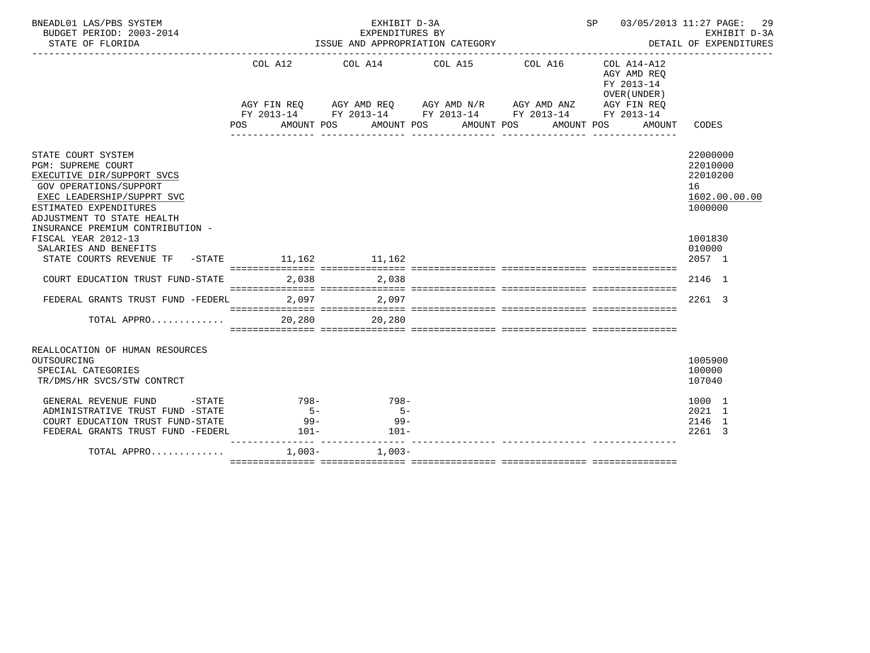| BNEADL01 LAS/PBS SYSTEM<br>BUDGET PERIOD: 2003-2014<br>STATE OF FLORIDA                                                                                                                                                    |                          | EXHIBIT D-3A                       | EXPENDITURES BY<br>ISSUE AND APPROPRIATION CATEGORY                                                                                                                                                 |                                                          | SP 03/05/2013 11:27 PAGE:<br>29<br>EXHIBIT D-3A<br>DETAIL OF EXPENDITURES |
|----------------------------------------------------------------------------------------------------------------------------------------------------------------------------------------------------------------------------|--------------------------|------------------------------------|-----------------------------------------------------------------------------------------------------------------------------------------------------------------------------------------------------|----------------------------------------------------------|---------------------------------------------------------------------------|
|                                                                                                                                                                                                                            | COL A12                  |                                    | COL A14 COL A15 COL A16<br>AGY FIN REQ AGY AMD REQ AGY AMD N/R AGY AMD ANZ AGY FIN REQ<br>FY 2013-14 FY 2013-14 FY 2013-14 FY 2013-14 FY 2013-14<br>POS AMOUNT POS AMOUNT POS AMOUNT POS AMOUNT POS | COL A14-A12<br>AGY AMD REO<br>FY 2013-14<br>OVER (UNDER) | CODES<br>AMOUNT                                                           |
| STATE COURT SYSTEM<br>PGM: SUPREME COURT<br>EXECUTIVE DIR/SUPPORT SVCS<br>GOV OPERATIONS/SUPPORT<br>EXEC LEADERSHIP/SUPPRT SVC<br>ESTIMATED EXPENDITURES<br>ADJUSTMENT TO STATE HEALTH<br>INSURANCE PREMIUM CONTRIBUTION - |                          |                                    |                                                                                                                                                                                                     |                                                          | 22000000<br>22010000<br>22010200<br>16<br>1602.00.00.00<br>1000000        |
| FISCAL YEAR 2012-13<br>SALARIES AND BENEFITS<br>STATE COURTS REVENUE TF -STATE 11,162 11,162                                                                                                                               |                          |                                    |                                                                                                                                                                                                     |                                                          | 1001830<br>010000<br>2057 1                                               |
| COURT EDUCATION TRUST FUND-STATE 2,038 2,038                                                                                                                                                                               |                          |                                    |                                                                                                                                                                                                     |                                                          | 2146 1                                                                    |
| FEDERAL GRANTS TRUST FUND -FEDERL                                                                                                                                                                                          |                          | 2,097 2,097                        |                                                                                                                                                                                                     |                                                          | 2261 3                                                                    |
| TOTAL APPRO                                                                                                                                                                                                                |                          | 20,280 20,280                      |                                                                                                                                                                                                     |                                                          |                                                                           |
| REALLOCATION OF HUMAN RESOURCES<br>OUTSOURCING<br>SPECIAL CATEGORIES<br>TR/DMS/HR SVCS/STW CONTRCT                                                                                                                         |                          |                                    |                                                                                                                                                                                                     |                                                          | 1005900<br>100000<br>107040                                               |
| GENERAL REVENUE FUND -STATE 798-<br>ADMINISTRATIVE TRUST FUND -STATE<br>COURT EDUCATION TRUST FUND-STATE<br>FEDERAL GRANTS TRUST FUND -FEDERL                                                                              | $5-$<br>$99 -$<br>$101-$ | $798-$<br>$5-$<br>$99 -$<br>$101-$ |                                                                                                                                                                                                     |                                                          | 1000 1<br>2021 1<br>2146 1<br>2261 3                                      |
| TOTAL APPRO $\ldots \ldots \ldots \ldots$ 1.003-<br>1.003-                                                                                                                                                                 |                          |                                    |                                                                                                                                                                                                     |                                                          |                                                                           |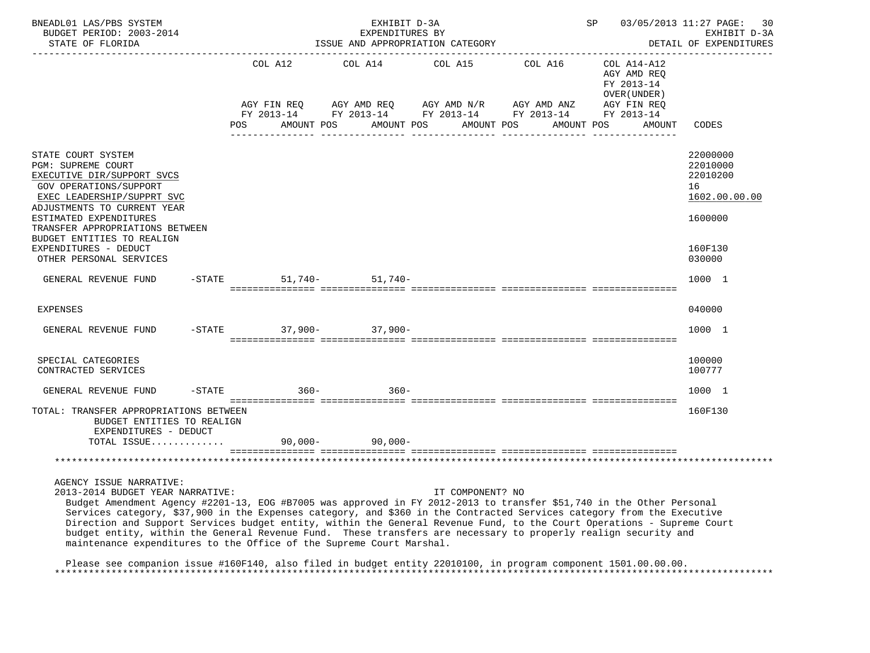| BNEADL01 LAS/PBS SYSTEM<br>BUDGET PERIOD: 2003-2014<br>STATE OF FLORIDA<br>--------------------                                                                                                                                                                                                                                                                                                                                                                                                                                                                                                                                   |           |         |            | EXHIBIT D-3A<br>EXPENDITURES BY<br>ISSUE AND APPROPRIATION CATEGORY |                  |            | <b>SP</b>  |                                                          |        | 03/05/2013 11:27 PAGE:<br>30<br>EXHIBIT D-3A<br>DETAIL OF EXPENDITURES<br>. <u>.</u> . |
|-----------------------------------------------------------------------------------------------------------------------------------------------------------------------------------------------------------------------------------------------------------------------------------------------------------------------------------------------------------------------------------------------------------------------------------------------------------------------------------------------------------------------------------------------------------------------------------------------------------------------------------|-----------|---------|------------|---------------------------------------------------------------------|------------------|------------|------------|----------------------------------------------------------|--------|----------------------------------------------------------------------------------------|
|                                                                                                                                                                                                                                                                                                                                                                                                                                                                                                                                                                                                                                   |           | COL A12 |            | COL A14                                                             | COL A15 COL A16  |            |            | COL A14-A12<br>AGY AMD REQ<br>FY 2013-14<br>OVER (UNDER) |        |                                                                                        |
|                                                                                                                                                                                                                                                                                                                                                                                                                                                                                                                                                                                                                                   | POS       |         | AMOUNT POS | AMOUNT POS                                                          |                  | AMOUNT POS | AMOUNT POS | AGY FIN REQ                                              | AMOUNT | CODES                                                                                  |
| STATE COURT SYSTEM<br>PGM: SUPREME COURT<br>EXECUTIVE DIR/SUPPORT SVCS<br><b>GOV OPERATIONS/SUPPORT</b><br>EXEC LEADERSHIP/SUPPRT SVC<br>ADJUSTMENTS TO CURRENT YEAR<br>ESTIMATED EXPENDITURES<br>TRANSFER APPROPRIATIONS BETWEEN<br>BUDGET ENTITIES TO REALIGN<br>EXPENDITURES - DEDUCT                                                                                                                                                                                                                                                                                                                                          |           |         |            |                                                                     |                  |            |            |                                                          |        | 22000000<br>22010000<br>22010200<br>16<br>1602.00.00.00<br>1600000<br>160F130          |
| OTHER PERSONAL SERVICES                                                                                                                                                                                                                                                                                                                                                                                                                                                                                                                                                                                                           |           |         |            |                                                                     |                  |            |            |                                                          |        | 030000                                                                                 |
| GENERAL REVENUE FUND                                                                                                                                                                                                                                                                                                                                                                                                                                                                                                                                                                                                              | $-STATE$  |         |            | $51,740-51,740-$                                                    |                  |            |            |                                                          |        | 1000 1                                                                                 |
| <b>EXPENSES</b>                                                                                                                                                                                                                                                                                                                                                                                                                                                                                                                                                                                                                   |           |         |            |                                                                     |                  |            |            |                                                          |        | 040000                                                                                 |
| GENERAL REVENUE FUND                                                                                                                                                                                                                                                                                                                                                                                                                                                                                                                                                                                                              |           |         |            | -STATE 37,900-37,900-                                               |                  |            |            |                                                          |        | 1000 1                                                                                 |
| SPECIAL CATEGORIES<br>CONTRACTED SERVICES                                                                                                                                                                                                                                                                                                                                                                                                                                                                                                                                                                                         |           |         |            |                                                                     |                  |            |            |                                                          |        | 100000<br>100777                                                                       |
| GENERAL REVENUE FUND                                                                                                                                                                                                                                                                                                                                                                                                                                                                                                                                                                                                              | $-$ STATE |         | $360 -$    | $360 -$                                                             |                  |            |            |                                                          |        | 1000 1                                                                                 |
| TOTAL: TRANSFER APPROPRIATIONS BETWEEN<br>BUDGET ENTITIES TO REALIGN<br>EXPENDITURES - DEDUCT<br>TOTAL ISSUE                                                                                                                                                                                                                                                                                                                                                                                                                                                                                                                      |           |         |            | $90.000 - 90.000 -$                                                 |                  |            |            |                                                          |        | 160F130                                                                                |
|                                                                                                                                                                                                                                                                                                                                                                                                                                                                                                                                                                                                                                   |           |         |            |                                                                     |                  |            |            |                                                          |        |                                                                                        |
| AGENCY ISSUE NARRATIVE:<br>2013-2014 BUDGET YEAR NARRATIVE:<br>Budget Amendment Agency #2201-13, EOG #B7005 was approved in FY 2012-2013 to transfer \$51,740 in the Other Personal<br>Services category, \$37,900 in the Expenses category, and \$360 in the Contracted Services category from the Executive<br>Direction and Support Services budget entity, within the General Revenue Fund, to the Court Operations - Supreme Court<br>budget entity, within the General Revenue Fund. These transfers are necessary to properly realign security and<br>maintenance expenditures to the Office of the Supreme Court Marshal. |           |         |            |                                                                     | IT COMPONENT? NO |            |            |                                                          |        |                                                                                        |

 Please see companion issue #160F140, also filed in budget entity 22010100, in program component 1501.00.00.00. \*\*\*\*\*\*\*\*\*\*\*\*\*\*\*\*\*\*\*\*\*\*\*\*\*\*\*\*\*\*\*\*\*\*\*\*\*\*\*\*\*\*\*\*\*\*\*\*\*\*\*\*\*\*\*\*\*\*\*\*\*\*\*\*\*\*\*\*\*\*\*\*\*\*\*\*\*\*\*\*\*\*\*\*\*\*\*\*\*\*\*\*\*\*\*\*\*\*\*\*\*\*\*\*\*\*\*\*\*\*\*\*\*\*\*\*\*\*\*\*\*\*\*\*\*\*\*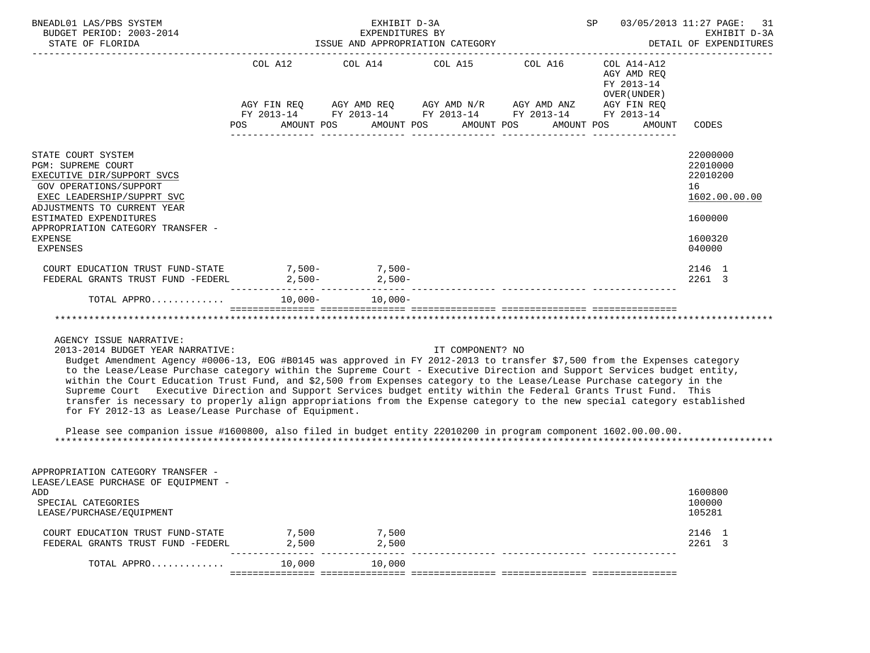| BNEADL01 LAS/PBS SYSTEM<br>BUDGET PERIOD: 2003-2014<br>STATE OF FLORIDA                                                                                                                                                                                           |         | EXHIBIT D-3A<br>EXPENDITURES BY<br>ISSUE AND APPROPRIATION CATEGORY                                   | SP 03/05/2013 11:27 PAGE: 31 | EXHIBIT D-3A<br>DETAIL OF EXPENDITURES                   |                                                                                         |
|-------------------------------------------------------------------------------------------------------------------------------------------------------------------------------------------------------------------------------------------------------------------|---------|-------------------------------------------------------------------------------------------------------|------------------------------|----------------------------------------------------------|-----------------------------------------------------------------------------------------|
|                                                                                                                                                                                                                                                                   | COL A12 | COL A14 COL A15 COL A16<br>AGY FIN REQ AGY AMD REQ AGY AMD N/R AGY AMD ANZ AGY FIN REQ                |                              | COL A14-A12<br>AGY AMD REO<br>FY 2013-14<br>OVER (UNDER) |                                                                                         |
|                                                                                                                                                                                                                                                                   | POS     | FY 2013-14 FY 2013-14 FY 2013-14 FY 2013-14 FY 2013-14<br>AMOUNT POS AMOUNT POS AMOUNT POS AMOUNT POS |                              | AMOUNT                                                   | CODES                                                                                   |
| STATE COURT SYSTEM<br><b>PGM: SUPREME COURT</b><br>EXECUTIVE DIR/SUPPORT SVCS<br>GOV OPERATIONS/SUPPORT<br>EXEC LEADERSHIP/SUPPRT SVC<br>ADJUSTMENTS TO CURRENT YEAR<br>ESTIMATED EXPENDITURES<br>APPROPRIATION CATEGORY TRANSFER -<br><b>EXPENSE</b><br>EXPENSES |         |                                                                                                       |                              |                                                          | 22000000<br>22010000<br>22010200<br>16<br>1602.00.00.00<br>1600000<br>1600320<br>040000 |
| COURT EDUCATION TRUST FUND-STATE 7,500-<br>7,500-<br>7,500-<br>FEDERAL GRANTS TRUST FUND -FEDERL                                                                                                                                                                  |         | $2,500-2,500-$                                                                                        |                              |                                                          | 2146 1<br>2261 3                                                                        |
|                                                                                                                                                                                                                                                                   |         |                                                                                                       |                              |                                                          |                                                                                         |
|                                                                                                                                                                                                                                                                   |         |                                                                                                       |                              |                                                          |                                                                                         |

#### AGENCY ISSUE NARRATIVE:

2013-2014 BUDGET YEAR NARRATIVE: IT COMPONENT? NO

 Budget Amendment Agency #0006-13, EOG #B0145 was approved in FY 2012-2013 to transfer \$7,500 from the Expenses category to the Lease/Lease Purchase category within the Supreme Court - Executive Direction and Support Services budget entity, within the Court Education Trust Fund, and \$2,500 from Expenses category to the Lease/Lease Purchase category in the Supreme Court Executive Direction and Support Services budget entity within the Federal Grants Trust Fund. This transfer is necessary to properly align appropriations from the Expense category to the new special category established for FY 2012-13 as Lease/Lease Purchase of Equipment.

 Please see companion issue #1600800, also filed in budget entity 22010200 in program component 1602.00.00.00. \*\*\*\*\*\*\*\*\*\*\*\*\*\*\*\*\*\*\*\*\*\*\*\*\*\*\*\*\*\*\*\*\*\*\*\*\*\*\*\*\*\*\*\*\*\*\*\*\*\*\*\*\*\*\*\*\*\*\*\*\*\*\*\*\*\*\*\*\*\*\*\*\*\*\*\*\*\*\*\*\*\*\*\*\*\*\*\*\*\*\*\*\*\*\*\*\*\*\*\*\*\*\*\*\*\*\*\*\*\*\*\*\*\*\*\*\*\*\*\*\*\*\*\*\*\*\*

| APPROPRIATION CATEGORY TRANSFER -   |        |        |         |  |
|-------------------------------------|--------|--------|---------|--|
| LEASE/LEASE PURCHASE OF EOUIPMENT - |        |        |         |  |
| ADD                                 |        |        | 1600800 |  |
| SPECIAL CATEGORIES                  |        |        | 100000  |  |
| LEASE/PURCHASE/EOUIPMENT            |        |        | 105281  |  |
|                                     |        |        |         |  |
| COURT EDUCATION TRUST FUND-STATE    | 7,500  | 7,500  | 2146 1  |  |
| FEDERAL GRANTS TRUST FUND -FEDERL   | 2,500  | 2,500  | 2261 3  |  |
|                                     |        |        |         |  |
| TOTAL APPRO                         | 10,000 | 10,000 |         |  |
|                                     |        |        |         |  |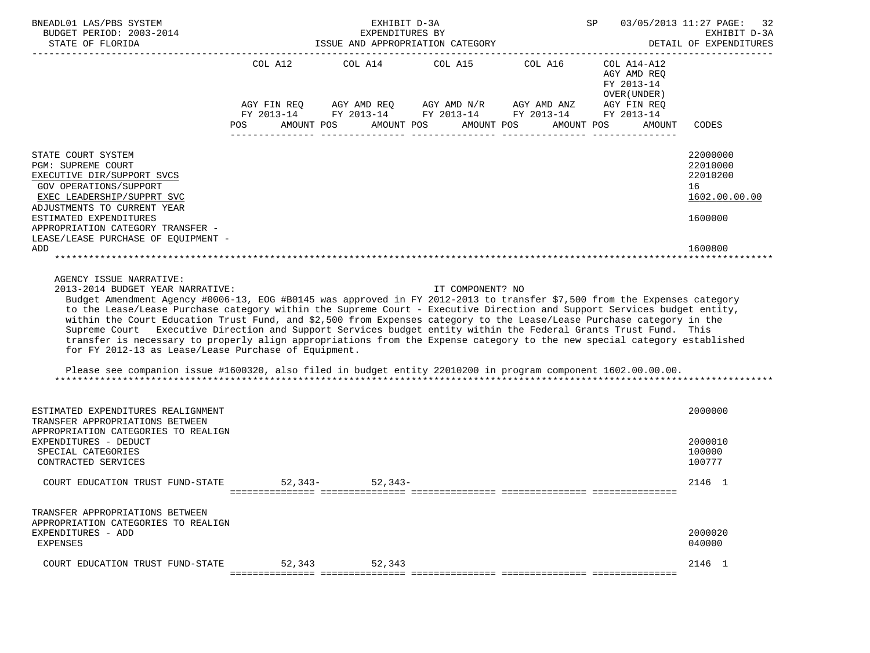| BNEADL01 LAS/PBS SYSTEM<br>BUDGET PERIOD: 2003-2014                                                                                                                                                                                                                                                                                                                                                                                                                                                                                                                                                                                                                                                                                                                                                                                                                 |                   | EXHIBIT D-3A                                        | SP<br>03/05/2013 11:27 PAGE: 32<br>EXHIBIT D-3A |                                                                                                                                                                                                                     |                                                                      |                                                                               |
|---------------------------------------------------------------------------------------------------------------------------------------------------------------------------------------------------------------------------------------------------------------------------------------------------------------------------------------------------------------------------------------------------------------------------------------------------------------------------------------------------------------------------------------------------------------------------------------------------------------------------------------------------------------------------------------------------------------------------------------------------------------------------------------------------------------------------------------------------------------------|-------------------|-----------------------------------------------------|-------------------------------------------------|---------------------------------------------------------------------------------------------------------------------------------------------------------------------------------------------------------------------|----------------------------------------------------------------------|-------------------------------------------------------------------------------|
| STATE OF FLORIDA                                                                                                                                                                                                                                                                                                                                                                                                                                                                                                                                                                                                                                                                                                                                                                                                                                                    |                   | EXPENDITURES BY<br>ISSUE AND APPROPRIATION CATEGORY |                                                 | DETAIL OF EXPENDITURES                                                                                                                                                                                              |                                                                      |                                                                               |
|                                                                                                                                                                                                                                                                                                                                                                                                                                                                                                                                                                                                                                                                                                                                                                                                                                                                     | AMOUNT POS<br>POS | COL A12 COL A14 COL A15 COL A16<br>AMOUNT POS       |                                                 | $AGY \text{ FIN REQ} \qquad \text{AGY AMD REQ} \qquad \text{AGY AMD N/R} \qquad \text{AGY AMD ANZ} \qquad \text{AGY FIN REQ}$<br>FY 2013-14 FY 2013-14 FY 2013-14 FY 2013-14 FY 2013-14<br>AMOUNT POS<br>AMOUNT POS | COL A14-A12<br>AGY AMD REQ<br>FY 2013-14<br>OVER ( UNDER )<br>AMOUNT | CODES                                                                         |
| STATE COURT SYSTEM<br>PGM: SUPREME COURT<br>EXECUTIVE DIR/SUPPORT SVCS<br>GOV OPERATIONS/SUPPORT<br>EXEC LEADERSHIP/SUPPRT SVC<br>ADJUSTMENTS TO CURRENT YEAR<br>ESTIMATED EXPENDITURES<br>APPROPRIATION CATEGORY TRANSFER -<br>LEASE/LEASE PURCHASE OF EQUIPMENT -<br>ADD                                                                                                                                                                                                                                                                                                                                                                                                                                                                                                                                                                                          |                   |                                                     |                                                 |                                                                                                                                                                                                                     |                                                                      | 22000000<br>22010000<br>22010200<br>16<br>1602.00.00.00<br>1600000<br>1600800 |
| AGENCY ISSUE NARRATIVE:<br>2013-2014 BUDGET YEAR NARRATIVE:<br>Budget Amendment Agency #0006-13, EOG #B0145 was approved in FY 2012-2013 to transfer \$7,500 from the Expenses category<br>to the Lease/Lease Purchase category within the Supreme Court - Executive Direction and Support Services budget entity,<br>within the Court Education Trust Fund, and \$2,500 from Expenses category to the Lease/Lease Purchase category in the<br>Supreme Court Executive Direction and Support Services budget entity within the Federal Grants Trust Fund. This<br>transfer is necessary to properly align appropriations from the Expense category to the new special category established<br>for FY 2012-13 as Lease/Lease Purchase of Equipment.<br>Please see companion issue #1600320, also filed in budget entity 22010200 in program component 1602.00.00.00. |                   |                                                     | IT COMPONENT? NO                                |                                                                                                                                                                                                                     |                                                                      |                                                                               |
| ESTIMATED EXPENDITURES REALIGNMENT<br>TRANSFER APPROPRIATIONS BETWEEN<br>APPROPRIATION CATEGORIES TO REALIGN<br>EXPENDITURES - DEDUCT<br>SPECIAL CATEGORIES<br>CONTRACTED SERVICES                                                                                                                                                                                                                                                                                                                                                                                                                                                                                                                                                                                                                                                                                  |                   |                                                     |                                                 |                                                                                                                                                                                                                     |                                                                      | 2000000<br>2000010<br>100000<br>100777                                        |
| COURT EDUCATION TRUST FUND-STATE                                                                                                                                                                                                                                                                                                                                                                                                                                                                                                                                                                                                                                                                                                                                                                                                                                    |                   | $52.343 - 52.343 -$                                 |                                                 |                                                                                                                                                                                                                     |                                                                      | 2146 1                                                                        |
| TRANSFER APPROPRIATIONS BETWEEN<br>APPROPRIATION CATEGORIES TO REALIGN<br>EXPENDITURES - ADD<br><b>EXPENSES</b>                                                                                                                                                                                                                                                                                                                                                                                                                                                                                                                                                                                                                                                                                                                                                     |                   |                                                     |                                                 |                                                                                                                                                                                                                     |                                                                      | 2000020<br>040000                                                             |
| COURT EDUCATION TRUST FUND-STATE                                                                                                                                                                                                                                                                                                                                                                                                                                                                                                                                                                                                                                                                                                                                                                                                                                    | 52,343            | 52,343                                              |                                                 |                                                                                                                                                                                                                     |                                                                      | 2146 1                                                                        |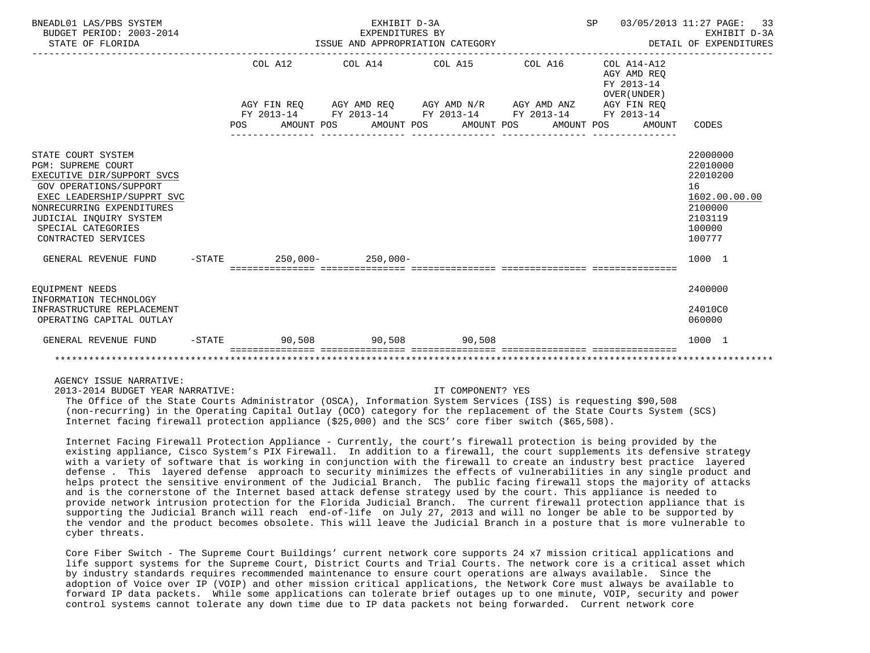| BNEADL01 LAS/PBS SYSTEM<br>BUDGET PERIOD: 2003-2014<br>STATE OF FLORIDA                                                                                                                                                                           |           | ISSUE AND APPROPRIATION CATEGORY | SP 03/05/2013 11:27 PAGE:                                                                  | 33<br>EXHIBIT D-3A<br>DETAIL OF EXPENDITURES |                                                          |                                                                                                   |
|---------------------------------------------------------------------------------------------------------------------------------------------------------------------------------------------------------------------------------------------------|-----------|----------------------------------|--------------------------------------------------------------------------------------------|----------------------------------------------|----------------------------------------------------------|---------------------------------------------------------------------------------------------------|
|                                                                                                                                                                                                                                                   |           | COL A12                          | COL A14 COL A15 COL A16                                                                    |                                              | COL A14-A12<br>AGY AMD REO<br>FY 2013-14<br>OVER (UNDER) |                                                                                                   |
|                                                                                                                                                                                                                                                   |           |                                  | AGY FIN REQ AGY AMD REQ AGY AMD N/R AGY AMD ANZ AGY FIN REQ                                |                                              |                                                          |                                                                                                   |
|                                                                                                                                                                                                                                                   |           | POS                              | FY 2013-14 FY 2013-14 FY 2013-14 FY 2013-14 FY 2013-14<br>AMOUNT POS AMOUNT POS AMOUNT POS |                                              | AMOUNT POS<br>AMOUNT                                     | CODES                                                                                             |
| STATE COURT SYSTEM<br><b>PGM: SUPREME COURT</b><br>EXECUTIVE DIR/SUPPORT SVCS<br><b>GOV OPERATIONS/SUPPORT</b><br>EXEC LEADERSHIP/SUPPRT SVC<br>NONRECURRING EXPENDITURES<br>JUDICIAL INOUIRY SYSTEM<br>SPECIAL CATEGORIES<br>CONTRACTED SERVICES |           |                                  |                                                                                            |                                              |                                                          | 22000000<br>22010000<br>22010200<br>16<br>1602.00.00.00<br>2100000<br>2103119<br>100000<br>100777 |
| GENERAL REVENUE FUND                                                                                                                                                                                                                              |           | $-$ STATE 250,000 - 250,000 -    |                                                                                            |                                              |                                                          | 1000 1                                                                                            |
| EOUIPMENT NEEDS<br>INFORMATION TECHNOLOGY<br>INFRASTRUCTURE REPLACEMENT<br>OPERATING CAPITAL OUTLAY                                                                                                                                               |           |                                  |                                                                                            |                                              |                                                          | 2400000<br>24010C0<br>060000                                                                      |
| GENERAL REVENUE FUND                                                                                                                                                                                                                              | $-$ STATE |                                  | $90.508$ $90.508$ $90.508$ $90.508$                                                        |                                              |                                                          | 1000 1                                                                                            |
|                                                                                                                                                                                                                                                   |           |                                  |                                                                                            |                                              |                                                          |                                                                                                   |

AGENCY ISSUE NARRATIVE:

2013-2014 BUDGET YEAR NARRATIVE: IT COMPONENT? YES

 The Office of the State Courts Administrator (OSCA), Information System Services (ISS) is requesting \$90,508 (non-recurring) in the Operating Capital Outlay (OCO) category for the replacement of the State Courts System (SCS) Internet facing firewall protection appliance (\$25,000) and the SCS' core fiber switch (\$65,508).

 Internet Facing Firewall Protection Appliance - Currently, the court's firewall protection is being provided by the existing appliance, Cisco System's PIX Firewall. In addition to a firewall, the court supplements its defensive strategy with a variety of software that is working in conjunction with the firewall to create an industry best practice layered defense . This layered defense approach to security minimizes the effects of vulnerabilities in any single product and helps protect the sensitive environment of the Judicial Branch. The public facing firewall stops the majority of attacks and is the cornerstone of the Internet based attack defense strategy used by the court. This appliance is needed to provide network intrusion protection for the Florida Judicial Branch. The current firewall protection appliance that is supporting the Judicial Branch will reach end-of-life on July 27, 2013 and will no longer be able to be supported by the vendor and the product becomes obsolete. This will leave the Judicial Branch in a posture that is more vulnerable to cyber threats.

 Core Fiber Switch - The Supreme Court Buildings' current network core supports 24 x7 mission critical applications and life support systems for the Supreme Court, District Courts and Trial Courts. The network core is a critical asset which by industry standards requires recommended maintenance to ensure court operations are always available. Since the adoption of Voice over IP (VOIP) and other mission critical applications, the Network Core must always be available to forward IP data packets. While some applications can tolerate brief outages up to one minute, VOIP, security and power control systems cannot tolerate any down time due to IP data packets not being forwarded. Current network core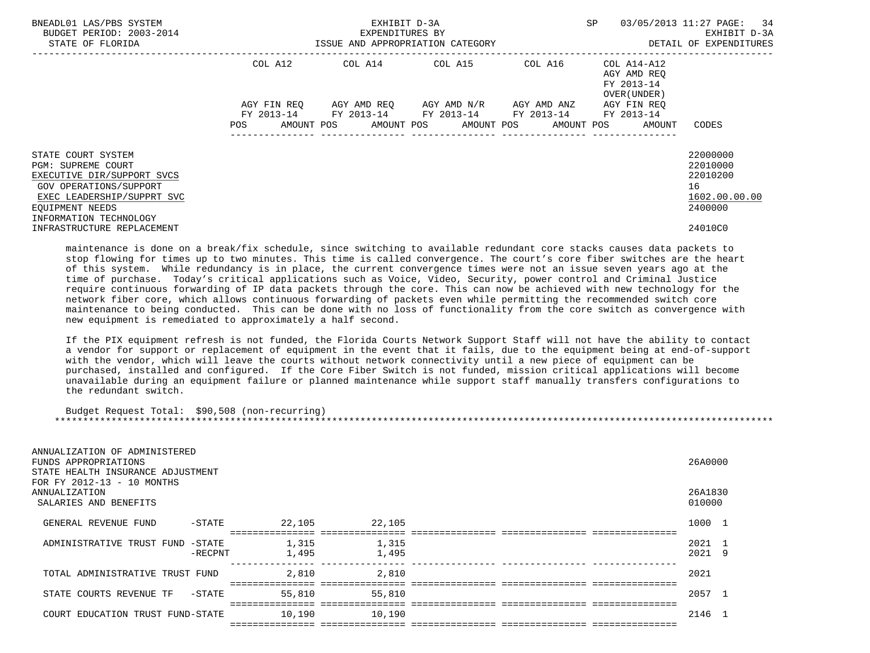| BNEADL01 LAS/PBS SYSTEM<br>BUDGET PERIOD: 2003-2014<br>STATE OF FLORIDA                                                                                                            | ISSUE AND APPROPRIATION CATEGORY | EXHIBIT D-3A<br>EXPENDITURES BY | SP                                                                                                      | 03/05/2013 11:27 PAGE: 34<br>EXHIBIT D-3A<br>DETAIL OF EXPENDITURES |                                                                   |                                                                    |
|------------------------------------------------------------------------------------------------------------------------------------------------------------------------------------|----------------------------------|---------------------------------|---------------------------------------------------------------------------------------------------------|---------------------------------------------------------------------|-------------------------------------------------------------------|--------------------------------------------------------------------|
|                                                                                                                                                                                    |                                  |                                 | COL A12 COL A14 COL A15                                                                                 | COL A16                                                             | COL A14-A12<br>AGY AMD REO<br>FY 2013-14<br>OVER (UNDER)          |                                                                    |
|                                                                                                                                                                                    | AGY FIN REO<br>POS               |                                 | AGY AMD REO      AGY AMD N/R      AGY AMD ANZ<br>FY 2013-14 FY 2013-14 FY 2013-14 FY 2013-14 FY 2013-14 |                                                                     | AGY FIN REO<br>AMOUNT POS AMOUNT POS AMOUNT POS AMOUNT POS AMOUNT | CODES                                                              |
| STATE COURT SYSTEM<br><b>PGM: SUPREME COURT</b><br>EXECUTIVE DIR/SUPPORT SVCS<br>GOV OPERATIONS/SUPPORT<br>EXEC LEADERSHIP/SUPPRT SVC<br>EOUIPMENT NEEDS<br>INFORMATION TECHNOLOGY |                                  |                                 |                                                                                                         |                                                                     |                                                                   | 22000000<br>22010000<br>22010200<br>16<br>1602.00.00.00<br>2400000 |
| INFRASTRUCTURE REPLACEMENT                                                                                                                                                         |                                  |                                 |                                                                                                         |                                                                     |                                                                   | 24010C0                                                            |

 maintenance is done on a break/fix schedule, since switching to available redundant core stacks causes data packets to stop flowing for times up to two minutes. This time is called convergence. The court's core fiber switches are the heart of this system. While redundancy is in place, the current convergence times were not an issue seven years ago at the time of purchase. Today's critical applications such as Voice, Video, Security, power control and Criminal Justice require continuous forwarding of IP data packets through the core. This can now be achieved with new technology for the network fiber core, which allows continuous forwarding of packets even while permitting the recommended switch core maintenance to being conducted. This can be done with no loss of functionality from the core switch as convergence with new equipment is remediated to approximately a half second.

 If the PIX equipment refresh is not funded, the Florida Courts Network Support Staff will not have the ability to contact a vendor for support or replacement of equipment in the event that it fails, due to the equipment being at end-of-support with the vendor, which will leave the courts without network connectivity until a new piece of equipment can be purchased, installed and configured. If the Core Fiber Switch is not funded, mission critical applications will become unavailable during an equipment failure or planned maintenance while support staff manually transfers configurations to the redundant switch.

 Budget Request Total: \$90,508 (non-recurring) \*\*\*\*\*\*\*\*\*\*\*\*\*\*\*\*\*\*\*\*\*\*\*\*\*\*\*\*\*\*\*\*\*\*\*\*\*\*\*\*\*\*\*\*\*\*\*\*\*\*\*\*\*\*\*\*\*\*\*\*\*\*\*\*\*\*\*\*\*\*\*\*\*\*\*\*\*\*\*\*\*\*\*\*\*\*\*\*\*\*\*\*\*\*\*\*\*\*\*\*\*\*\*\*\*\*\*\*\*\*\*\*\*\*\*\*\*\*\*\*\*\*\*\*\*\*\*

| ANNUALIZATION OF ADMINISTERED<br>FUNDS APPROPRIATIONS<br>STATE HEALTH INSURANCE ADJUSTMENT<br>FOR FY 2012-13 - 10 MONTHS |            |                |                |  | 26A0000      |                |
|--------------------------------------------------------------------------------------------------------------------------|------------|----------------|----------------|--|--------------|----------------|
| ANNUALIZATION                                                                                                            |            |                |                |  | 26A1830      |                |
| SALARIES AND BENEFITS                                                                                                    |            |                |                |  | 010000       |                |
| GENERAL REVENUE FUND                                                                                                     | -STATE     | 22,105         | 22,105         |  | 1000         |                |
|                                                                                                                          |            |                |                |  |              |                |
| ADMINISTRATIVE TRUST FUND -STATE                                                                                         | $-$ RECPNT | 1,315<br>1,495 | 1,315<br>1,495 |  | 2021<br>2021 | - 9            |
|                                                                                                                          |            |                |                |  |              |                |
| TOTAL ADMINISTRATIVE TRUST FUND                                                                                          |            | 2,810          | 2,810          |  | 2021         |                |
| STATE COURTS REVENUE TF                                                                                                  | -STATE     | 55,810         | 55,810         |  | 2057         |                |
|                                                                                                                          |            |                | =====          |  |              |                |
| COURT EDUCATION TRUST FUND-STATE                                                                                         |            | 10,190         | 10,190         |  | 2146         | $\overline{1}$ |
|                                                                                                                          |            |                |                |  |              |                |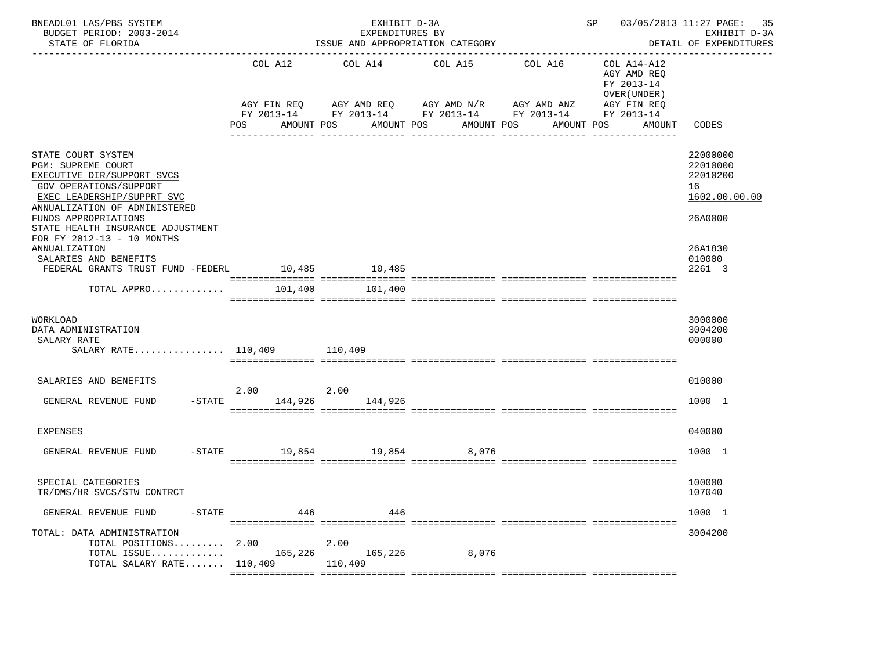| BNEADL01 LAS/PBS SYSTEM<br>BUDGET PERIOD: 2003-2014<br>STATE OF FLORIDA                                                                                                                                                                                           | EXHIBIT D-3A<br>EXPENDITURES BY<br>ISSUE AND APPROPRIATION CATEGORY |                                                  |                                                                      |                                      | 03/05/2013 11:27 PAGE:<br>SP and the set of the set of the set of the set of the set of the set of the set of the set of the set of the set of the set of the set of the set of the set of the set of the set of the set of the set of the set of the se<br>EXHIBIT D-3A<br>DETAIL OF EXPENDITURES |                                                                    |  |
|-------------------------------------------------------------------------------------------------------------------------------------------------------------------------------------------------------------------------------------------------------------------|---------------------------------------------------------------------|--------------------------------------------------|----------------------------------------------------------------------|--------------------------------------|----------------------------------------------------------------------------------------------------------------------------------------------------------------------------------------------------------------------------------------------------------------------------------------------------|--------------------------------------------------------------------|--|
|                                                                                                                                                                                                                                                                   | COL A12<br>AGY FIN REQ<br>POS<br>AMOUNT POS                         | COL A14<br>AGY AMD REQ AGY AMD N/R<br>AMOUNT POS | COL A15<br>FY 2013-14 FY 2013-14 FY 2013-14 FY 2013-14<br>AMOUNT POS | COL A16<br>AGY AMD ANZ<br>AMOUNT POS | COL A14-A12<br>AGY AMD REQ<br>FY 2013-14<br>OVER (UNDER)<br>AGY FIN REQ<br>FY 2013-14<br>AMOUNT                                                                                                                                                                                                    | CODES                                                              |  |
| STATE COURT SYSTEM<br>PGM: SUPREME COURT<br>EXECUTIVE DIR/SUPPORT SVCS<br><b>GOV OPERATIONS/SUPPORT</b><br>EXEC LEADERSHIP/SUPPRT SVC<br>ANNUALIZATION OF ADMINISTERED<br>FUNDS APPROPRIATIONS<br>STATE HEALTH INSURANCE ADJUSTMENT<br>FOR FY 2012-13 - 10 MONTHS |                                                                     |                                                  |                                                                      |                                      |                                                                                                                                                                                                                                                                                                    | 22000000<br>22010000<br>22010200<br>16<br>1602.00.00.00<br>26A0000 |  |
| ANNUALIZATION<br>SALARIES AND BENEFITS<br>FEDERAL GRANTS TRUST FUND -FEDERL<br>TOTAL APPRO                                                                                                                                                                        | 10,485<br>101,400                                                   | 10,485<br>101,400                                |                                                                      |                                      |                                                                                                                                                                                                                                                                                                    | 26A1830<br>010000<br>2261 3                                        |  |
| WORKLOAD<br>DATA ADMINISTRATION<br>SALARY RATE<br>SALARY RATE 110,409 110,409                                                                                                                                                                                     |                                                                     |                                                  |                                                                      |                                      |                                                                                                                                                                                                                                                                                                    | 3000000<br>3004200<br>000000                                       |  |
| SALARIES AND BENEFITS<br>$-$ STATE<br>GENERAL REVENUE FUND                                                                                                                                                                                                        | 2.00<br>144,926                                                     | 2.00<br>144,926                                  |                                                                      |                                      |                                                                                                                                                                                                                                                                                                    | 010000<br>1000 1                                                   |  |
| EXPENSES<br>$-$ STATE<br>GENERAL REVENUE FUND                                                                                                                                                                                                                     | 19,854                                                              | 19,854                                           | 8,076                                                                |                                      |                                                                                                                                                                                                                                                                                                    | 040000<br>1000 1                                                   |  |
| SPECIAL CATEGORIES<br>TR/DMS/HR SVCS/STW CONTRCT                                                                                                                                                                                                                  |                                                                     |                                                  |                                                                      |                                      |                                                                                                                                                                                                                                                                                                    | 100000<br>107040                                                   |  |
| GENERAL REVENUE FUND<br>-STATE                                                                                                                                                                                                                                    | 446                                                                 | 446                                              |                                                                      |                                      |                                                                                                                                                                                                                                                                                                    | 1000 1                                                             |  |
| TOTAL: DATA ADMINISTRATION<br>TOTAL POSITIONS 2.00<br>TOTAL ISSUE<br>TOTAL SALARY RATE 110,409                                                                                                                                                                    | 165,226                                                             | 2.00<br>165,226<br>110,409                       | 8,076                                                                |                                      |                                                                                                                                                                                                                                                                                                    | 3004200                                                            |  |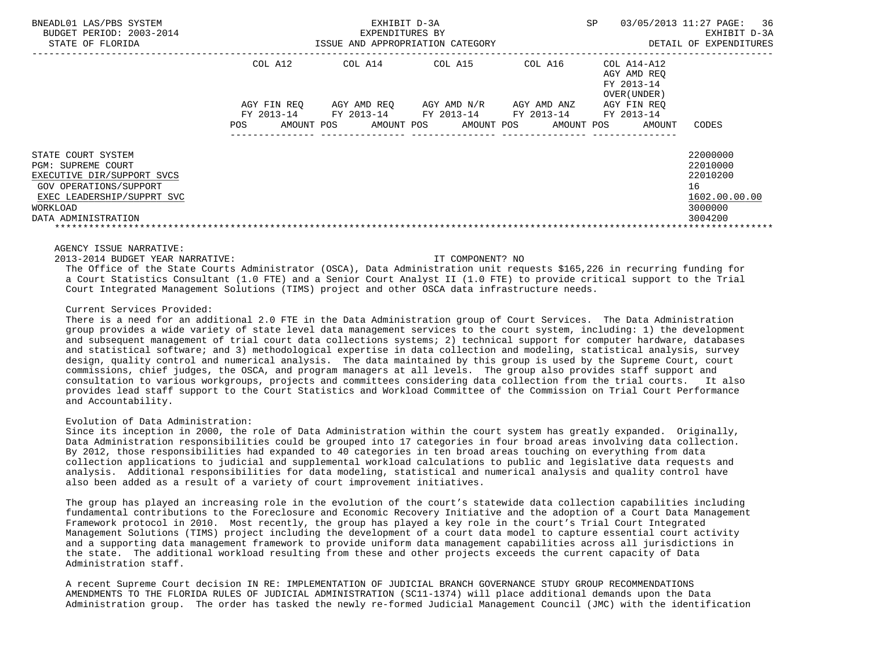| BNEADL01 LAS/PBS SYSTEM<br>BUDGET PERIOD: 2003-2014<br>STATE OF FLORIDA |                   | EXHIBIT D-3A<br>EXPENDITURES BY<br>ISSUE AND APPROPRIATION CATEGORY | SP          | 36<br>03/05/2013 11:27 PAGE:<br>EXHIBIT D-3A<br>DETAIL OF EXPENDITURES |                                                          |               |
|-------------------------------------------------------------------------|-------------------|---------------------------------------------------------------------|-------------|------------------------------------------------------------------------|----------------------------------------------------------|---------------|
|                                                                         | COL A12           | COL A14                                                             | COL A15     | COL A16                                                                | COL A14-A12<br>AGY AMD REO<br>FY 2013-14<br>OVER (UNDER) |               |
|                                                                         | AGY FIN REO       | AGY AMD REO                                                         | AGY AMD N/R | AGY AMD ANZ                                                            | AGY FIN REO                                              |               |
|                                                                         | FY 2013-14        | FY 2013-14                                                          | FY 2013-14  | FY 2013-14                                                             | FY 2013-14                                               |               |
|                                                                         | AMOUNT POS<br>POS | AMOUNT POS                                                          | AMOUNT POS  | AMOUNT POS                                                             | AMOUNT                                                   | CODES         |
| STATE COURT SYSTEM                                                      |                   |                                                                     |             |                                                                        |                                                          | 22000000      |
| <b>PGM: SUPREME COURT</b>                                               |                   |                                                                     |             |                                                                        |                                                          | 22010000      |
| EXECUTIVE DIR/SUPPORT SVCS                                              |                   |                                                                     |             |                                                                        |                                                          | 22010200      |
| GOV OPERATIONS/SUPPORT                                                  |                   |                                                                     |             |                                                                        |                                                          | 16            |
| EXEC LEADERSHIP/SUPPRT SVC                                              |                   |                                                                     |             |                                                                        |                                                          | 1602.00.00.00 |
| WORKLOAD                                                                |                   |                                                                     |             |                                                                        |                                                          | 3000000       |
| DATA ADMINISTRATION                                                     |                   |                                                                     |             |                                                                        |                                                          | 3004200       |

AGENCY ISSUE NARRATIVE:

2013-2014 BUDGET YEAR NARRATIVE: IT COMPONENT? NO

 The Office of the State Courts Administrator (OSCA), Data Administration unit requests \$165,226 in recurring funding for a Court Statistics Consultant (1.0 FTE) and a Senior Court Analyst II (1.0 FTE) to provide critical support to the Trial Court Integrated Management Solutions (TIMS) project and other OSCA data infrastructure needs.

## Current Services Provided:

 There is a need for an additional 2.0 FTE in the Data Administration group of Court Services. The Data Administration group provides a wide variety of state level data management services to the court system, including: 1) the development and subsequent management of trial court data collections systems; 2) technical support for computer hardware, databases and statistical software; and 3) methodological expertise in data collection and modeling, statistical analysis, survey design, quality control and numerical analysis. The data maintained by this group is used by the Supreme Court, court commissions, chief judges, the OSCA, and program managers at all levels. The group also provides staff support and consultation to various workgroups, projects and committees considering data collection from the trial courts. It also provides lead staff support to the Court Statistics and Workload Committee of the Commission on Trial Court Performance and Accountability.

### Evolution of Data Administration:

 Since its inception in 2000, the role of Data Administration within the court system has greatly expanded. Originally, Data Administration responsibilities could be grouped into 17 categories in four broad areas involving data collection. By 2012, those responsibilities had expanded to 40 categories in ten broad areas touching on everything from data collection applications to judicial and supplemental workload calculations to public and legislative data requests and analysis. Additional responsibilities for data modeling, statistical and numerical analysis and quality control have also been added as a result of a variety of court improvement initiatives.

 The group has played an increasing role in the evolution of the court's statewide data collection capabilities including fundamental contributions to the Foreclosure and Economic Recovery Initiative and the adoption of a Court Data Management Framework protocol in 2010. Most recently, the group has played a key role in the court's Trial Court Integrated Management Solutions (TIMS) project including the development of a court data model to capture essential court activity and a supporting data management framework to provide uniform data management capabilities across all jurisdictions in the state. The additional workload resulting from these and other projects exceeds the current capacity of Data Administration staff.

 A recent Supreme Court decision IN RE: IMPLEMENTATION OF JUDICIAL BRANCH GOVERNANCE STUDY GROUP RECOMMENDATIONS AMENDMENTS TO THE FLORIDA RULES OF JUDICIAL ADMINISTRATION (SC11-1374) will place additional demands upon the Data Administration group. The order has tasked the newly re-formed Judicial Management Council (JMC) with the identification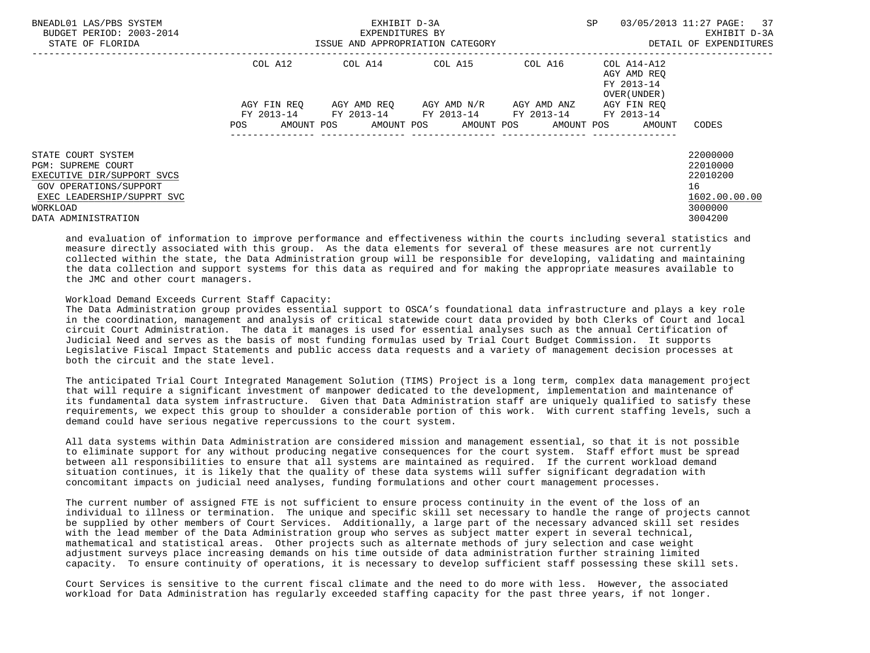| BNEADL01 LAS/PBS SYSTEM<br>BUDGET PERIOD: 2003-2014<br>STATE OF FLORIDA                                                                                                  |                          | EXHIBIT D-3A<br>EXPENDITURES BY<br>ISSUE AND APPROPRIATION CATEGORY |                         |                                      | <b>SP</b>                                                         | 03/05/2013 11:27 PAGE:<br>37<br>EXHIBIT D-3A<br>DETAIL OF EXPENDITURES        |
|--------------------------------------------------------------------------------------------------------------------------------------------------------------------------|--------------------------|---------------------------------------------------------------------|-------------------------|--------------------------------------|-------------------------------------------------------------------|-------------------------------------------------------------------------------|
|                                                                                                                                                                          | COL A12                  | COL A14 COL A15                                                     |                         |                                      | COL A16 COL A14-A12<br>AGY AMD REO<br>FY 2013-14<br>OVER (UNDER ) |                                                                               |
|                                                                                                                                                                          | AGY FIN REO              | FY 2013-14 FY 2013-14 FY 2013-14                                    | AGY AMD REO AGY AMD N/R | AGY AMD ANZ<br>FY 2013-14 FY 2013-14 | AGY FIN REO                                                       |                                                                               |
|                                                                                                                                                                          | <b>POS</b><br>AMOUNT POS |                                                                     |                         | AMOUNT POS AMOUNT POS AMOUNT POS     | AMOUNT                                                            | CODES                                                                         |
| STATE COURT SYSTEM<br><b>PGM: SUPREME COURT</b><br>EXECUTIVE DIR/SUPPORT SVCS<br>GOV OPERATIONS/SUPPORT<br>EXEC LEADERSHIP/SUPPRT SVC<br>WORKLOAD<br>DATA ADMINISTRATION |                          |                                                                     |                         |                                      |                                                                   | 22000000<br>22010000<br>22010200<br>16<br>1602.00.00.00<br>3000000<br>3004200 |

 and evaluation of information to improve performance and effectiveness within the courts including several statistics and measure directly associated with this group. As the data elements for several of these measures are not currently collected within the state, the Data Administration group will be responsible for developing, validating and maintaining the data collection and support systems for this data as required and for making the appropriate measures available to the JMC and other court managers.

## Workload Demand Exceeds Current Staff Capacity:

 The Data Administration group provides essential support to OSCA's foundational data infrastructure and plays a key role in the coordination, management and analysis of critical statewide court data provided by both Clerks of Court and local circuit Court Administration. The data it manages is used for essential analyses such as the annual Certification of Judicial Need and serves as the basis of most funding formulas used by Trial Court Budget Commission. It supports Legislative Fiscal Impact Statements and public access data requests and a variety of management decision processes at both the circuit and the state level.

 The anticipated Trial Court Integrated Management Solution (TIMS) Project is a long term, complex data management project that will require a significant investment of manpower dedicated to the development, implementation and maintenance of its fundamental data system infrastructure. Given that Data Administration staff are uniquely qualified to satisfy these requirements, we expect this group to shoulder a considerable portion of this work. With current staffing levels, such a demand could have serious negative repercussions to the court system.

 All data systems within Data Administration are considered mission and management essential, so that it is not possible to eliminate support for any without producing negative consequences for the court system. Staff effort must be spread between all responsibilities to ensure that all systems are maintained as required. If the current workload demand situation continues, it is likely that the quality of these data systems will suffer significant degradation with concomitant impacts on judicial need analyses, funding formulations and other court management processes.

 The current number of assigned FTE is not sufficient to ensure process continuity in the event of the loss of an individual to illness or termination. The unique and specific skill set necessary to handle the range of projects cannot be supplied by other members of Court Services. Additionally, a large part of the necessary advanced skill set resides with the lead member of the Data Administration group who serves as subject matter expert in several technical, mathematical and statistical areas. Other projects such as alternate methods of jury selection and case weight adjustment surveys place increasing demands on his time outside of data administration further straining limited capacity. To ensure continuity of operations, it is necessary to develop sufficient staff possessing these skill sets.

 Court Services is sensitive to the current fiscal climate and the need to do more with less. However, the associated workload for Data Administration has regularly exceeded staffing capacity for the past three years, if not longer.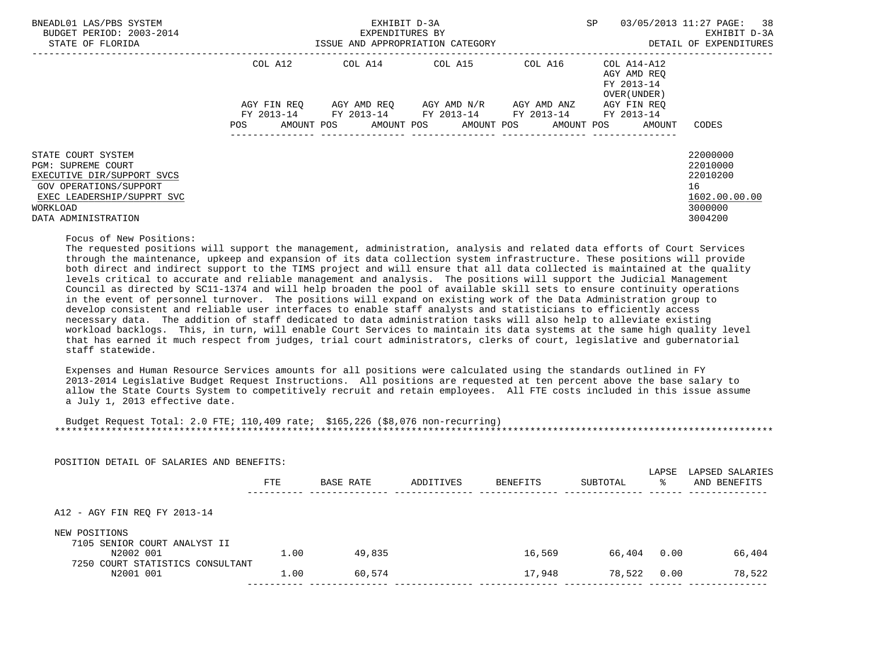| BNEADL01 LAS/PBS SYSTEM<br>BUDGET PERIOD: 2003-2014<br>STATE OF FLORIDA                                                                                           |                           | EXHIBIT D-3A<br>EXPENDITURES BY<br>ISSUE AND APPROPRIATION CATEGORY | SP                                               | 03/05/2013 11:27 PAGE: 38<br>EXHIBIT D-3A<br>DETAIL OF EXPENDITURES |                                                           |                                                                               |
|-------------------------------------------------------------------------------------------------------------------------------------------------------------------|---------------------------|---------------------------------------------------------------------|--------------------------------------------------|---------------------------------------------------------------------|-----------------------------------------------------------|-------------------------------------------------------------------------------|
|                                                                                                                                                                   | COL A12                   |                                                                     | COL A14 COL A15                                  | COL A16                                                             | COL A14-A12<br>AGY AMD REO<br>FY 2013-14<br>OVER (UNDER ) |                                                                               |
|                                                                                                                                                                   | AGY FIN REO<br>FY 2013-14 |                                                                     | AGY AMD REO AGY AMD N/R<br>FY 2013-14 FY 2013-14 | AGY AMD ANZ<br>FY 2013-14                                           | AGY FIN REO<br>FY 2013-14                                 |                                                                               |
|                                                                                                                                                                   | AMOUNT POS<br>POS         |                                                                     | AMOUNT POS AMOUNT POS                            | AMOUNT POS                                                          | AMOUNT                                                    | CODES                                                                         |
| STATE COURT SYSTEM<br>PGM: SUPREME COURT<br>EXECUTIVE DIR/SUPPORT SVCS<br>GOV OPERATIONS/SUPPORT<br>EXEC LEADERSHIP/SUPPRT SVC<br>WORKLOAD<br>DATA ADMINISTRATION |                           |                                                                     |                                                  |                                                                     |                                                           | 22000000<br>22010000<br>22010200<br>16<br>1602.00.00.00<br>3000000<br>3004200 |

# Focus of New Positions:

 The requested positions will support the management, administration, analysis and related data efforts of Court Services through the maintenance, upkeep and expansion of its data collection system infrastructure. These positions will provide both direct and indirect support to the TIMS project and will ensure that all data collected is maintained at the quality levels critical to accurate and reliable management and analysis. The positions will support the Judicial Management Council as directed by SC11-1374 and will help broaden the pool of available skill sets to ensure continuity operations in the event of personnel turnover. The positions will expand on existing work of the Data Administration group to develop consistent and reliable user interfaces to enable staff analysts and statisticians to efficiently access necessary data. The addition of staff dedicated to data administration tasks will also help to alleviate existing workload backlogs. This, in turn, will enable Court Services to maintain its data systems at the same high quality level that has earned it much respect from judges, trial court administrators, clerks of court, legislative and gubernatorial staff statewide.

 Expenses and Human Resource Services amounts for all positions were calculated using the standards outlined in FY 2013-2014 Legislative Budget Request Instructions. All positions are requested at ten percent above the base salary to allow the State Courts System to competitively recruit and retain employees. All FTE costs included in this issue assume a July 1, 2013 effective date.

 Budget Request Total: 2.0 FTE; 110,409 rate; \$165,226 (\$8,076 non-recurring) \*\*\*\*\*\*\*\*\*\*\*\*\*\*\*\*\*\*\*\*\*\*\*\*\*\*\*\*\*\*\*\*\*\*\*\*\*\*\*\*\*\*\*\*\*\*\*\*\*\*\*\*\*\*\*\*\*\*\*\*\*\*\*\*\*\*\*\*\*\*\*\*\*\*\*\*\*\*\*\*\*\*\*\*\*\*\*\*\*\*\*\*\*\*\*\*\*\*\*\*\*\*\*\*\*\*\*\*\*\*\*\*\*\*\*\*\*\*\*\*\*\*\*\*\*\*\*

| 1.00 | 49,835 | 16,569 | 66,404 | 0.00 | 66,404 |
|------|--------|--------|--------|------|--------|
|      |        |        |        |      |        |
| 1.00 | 60,574 | 17,948 | 78,522 | 0.00 | 78,522 |
|      |        |        |        |      |        |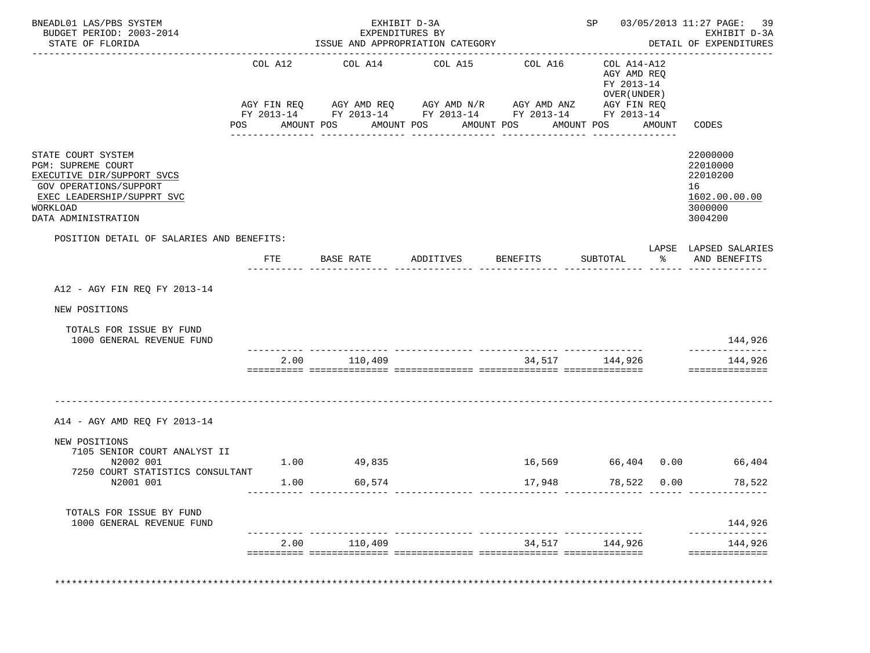| COL A12<br>AGY FIN REQ<br>POSITION DETAIL OF SALARIES AND BENEFITS:<br>FTE | -------------------------<br>COL A14<br>AMOUNT POS<br>-------------<br>BASE RATE | COL A15<br>AMOUNT POS<br>_______________<br>ADDITIVES | ----------------------------------<br>COL A16<br>AGY AMD REQ AGY AMD N/R AGY AMD ANZ<br>FY 2013-14 FY 2013-14 FY 2013-14 FY 2013-14 FY 2013-14<br>AMOUNT POS<br>------------<br><b>BENEFITS</b> | COL A14-A12<br>AGY AMD REQ<br>FY 2013-14<br>OVER (UNDER)<br>AGY FIN REQ<br>AMOUNT POS<br>SUBTOTAL | AMOUNT<br>ႜ | CODES<br>22000000<br>22010000<br>22010200<br>16<br>1602.00.00.00<br>3000000<br>3004200<br>LAPSE LAPSED SALARIES<br>AND BENEFITS |
|----------------------------------------------------------------------------|----------------------------------------------------------------------------------|-------------------------------------------------------|-------------------------------------------------------------------------------------------------------------------------------------------------------------------------------------------------|---------------------------------------------------------------------------------------------------|-------------|---------------------------------------------------------------------------------------------------------------------------------|
|                                                                            |                                                                                  |                                                       |                                                                                                                                                                                                 |                                                                                                   |             |                                                                                                                                 |
|                                                                            |                                                                                  |                                                       |                                                                                                                                                                                                 |                                                                                                   |             |                                                                                                                                 |
|                                                                            |                                                                                  |                                                       |                                                                                                                                                                                                 |                                                                                                   |             |                                                                                                                                 |
|                                                                            |                                                                                  |                                                       |                                                                                                                                                                                                 |                                                                                                   |             |                                                                                                                                 |
|                                                                            |                                                                                  |                                                       |                                                                                                                                                                                                 |                                                                                                   |             |                                                                                                                                 |
|                                                                            |                                                                                  |                                                       |                                                                                                                                                                                                 |                                                                                                   |             |                                                                                                                                 |
|                                                                            |                                                                                  |                                                       |                                                                                                                                                                                                 |                                                                                                   |             |                                                                                                                                 |
|                                                                            |                                                                                  |                                                       |                                                                                                                                                                                                 |                                                                                                   |             |                                                                                                                                 |
|                                                                            |                                                                                  |                                                       |                                                                                                                                                                                                 |                                                                                                   |             | 144,926                                                                                                                         |
|                                                                            | 2.00 110,409                                                                     |                                                       |                                                                                                                                                                                                 | 34,517 144,926                                                                                    |             | 144,926<br>==============                                                                                                       |
|                                                                            |                                                                                  |                                                       |                                                                                                                                                                                                 |                                                                                                   |             |                                                                                                                                 |
| 1.00                                                                       |                                                                                  |                                                       | 16,569                                                                                                                                                                                          |                                                                                                   |             | 66,404                                                                                                                          |
| 1.00                                                                       | 60,574                                                                           |                                                       | 17,948                                                                                                                                                                                          |                                                                                                   |             | 78,522                                                                                                                          |
|                                                                            |                                                                                  |                                                       |                                                                                                                                                                                                 |                                                                                                   |             | 144,926                                                                                                                         |
|                                                                            |                                                                                  |                                                       |                                                                                                                                                                                                 |                                                                                                   |             | 144,926<br>==============                                                                                                       |
|                                                                            |                                                                                  | 49,835<br>2.00 110,409                                |                                                                                                                                                                                                 |                                                                                                   |             | 66,404 0.00<br>78,522<br>0.00<br>34,517 144,926                                                                                 |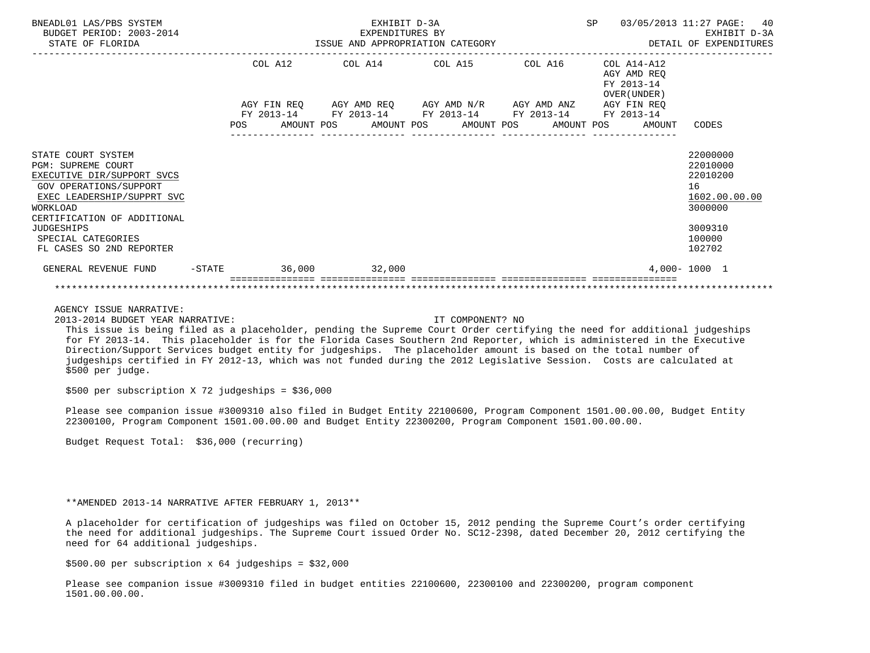| BNEADL01 LAS/PBS SYSTEM<br>BUDGET PERIOD: 2003-2014<br>STATE OF FLORIDA                                                                                                                                                                                 |  |         | EXHIBIT D-3A<br>EXPENDITURES BY | ISSUE AND APPROPRIATION CATEGORY                                                                                                                                                      |  |                                           | SP 03/05/2013 11:27 PAGE: 40<br>EXHIBIT D-3A<br>DETAIL OF EXPENDITURES                            |
|---------------------------------------------------------------------------------------------------------------------------------------------------------------------------------------------------------------------------------------------------------|--|---------|---------------------------------|---------------------------------------------------------------------------------------------------------------------------------------------------------------------------------------|--|-------------------------------------------|---------------------------------------------------------------------------------------------------|
|                                                                                                                                                                                                                                                         |  | COL A12 |                                 | $COL A14$ $COL A15$ $COL A16$ $COL A14-A12$                                                                                                                                           |  | AGY AMD REO<br>FY 2013-14<br>OVER (UNDER) |                                                                                                   |
|                                                                                                                                                                                                                                                         |  |         |                                 | AGY FIN REQ AGY AMD REQ AGY AMD N/R AGY AMD ANZ AGY FIN REQ<br>FY 2013-14 FY 2013-14 FY 2013-14 FY 2013-14 FY 2013-14<br>POS AMOUNT POS AMOUNT POS AMOUNT POS AMOUNT POS AMOUNT CODES |  |                                           |                                                                                                   |
| STATE COURT SYSTEM<br><b>PGM: SUPREME COURT</b><br>EXECUTIVE DIR/SUPPORT SVCS<br>GOV OPERATIONS/SUPPORT<br>EXEC LEADERSHIP/SUPPRT SVC<br>WORKLOAD<br>CERTIFICATION OF ADDITIONAL<br><b>JUDGESHIPS</b><br>SPECIAL CATEGORIES<br>FL CASES SO 2ND REPORTER |  |         |                                 |                                                                                                                                                                                       |  |                                           | 22000000<br>22010000<br>22010200<br>16<br>1602.00.00.00<br>3000000<br>3009310<br>100000<br>102702 |
| GENERAL REVENUE FUND -STATE 36,000 32,000                                                                                                                                                                                                               |  |         |                                 |                                                                                                                                                                                       |  |                                           | 4,000-1000 1                                                                                      |
|                                                                                                                                                                                                                                                         |  |         |                                 |                                                                                                                                                                                       |  |                                           |                                                                                                   |

2013-2014 BUDGET YEAR NARRATIVE: IT COMPONENT? NO

 This issue is being filed as a placeholder, pending the Supreme Court Order certifying the need for additional judgeships for FY 2013-14. This placeholder is for the Florida Cases Southern 2nd Reporter, which is administered in the Executive Direction/Support Services budget entity for judgeships. The placeholder amount is based on the total number of judgeships certified in FY 2012-13, which was not funded during the 2012 Legislative Session. Costs are calculated at \$500 per judge.

\$500 per subscription X 72 judgeships = \$36,000

 Please see companion issue #3009310 also filed in Budget Entity 22100600, Program Component 1501.00.00.00, Budget Entity 22300100, Program Component 1501.00.00.00 and Budget Entity 22300200, Program Component 1501.00.00.00.

Budget Request Total: \$36,000 (recurring)

### \*\*AMENDED 2013-14 NARRATIVE AFTER FEBRUARY 1, 2013\*\*

 A placeholder for certification of judgeships was filed on October 15, 2012 pending the Supreme Court's order certifying the need for additional judgeships. The Supreme Court issued Order No. SC12-2398, dated December 20, 2012 certifying the need for 64 additional judgeships.

 $$500.00$  per subscription x 64 judgeships =  $$32,000$ 

 Please see companion issue #3009310 filed in budget entities 22100600, 22300100 and 22300200, program component 1501.00.00.00.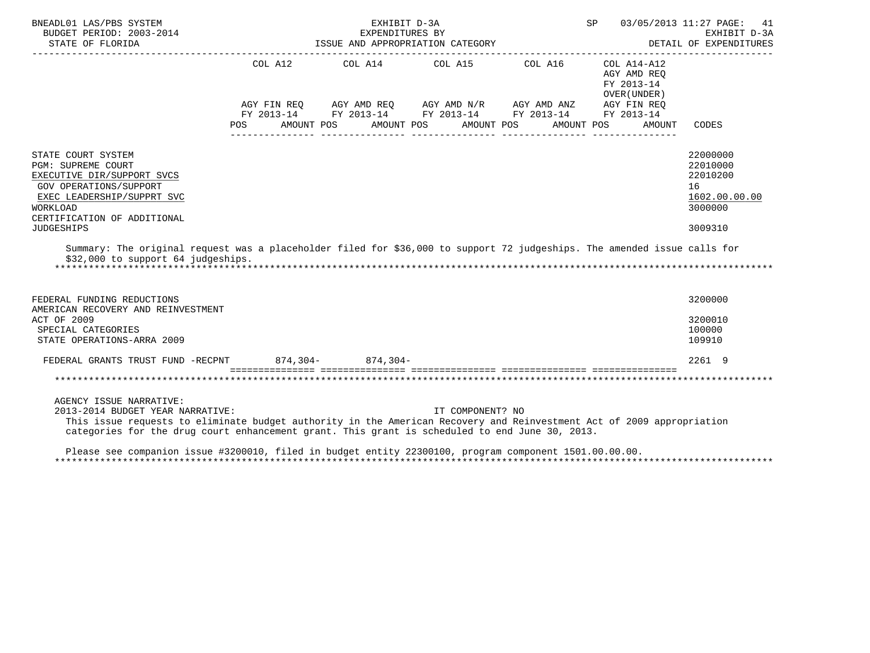| BNEADL01 LAS/PBS SYSTEM<br>BUDGET PERIOD: 2003-2014<br>STATE OF FLORIDA                                                                                                                                                                                                                |         | EXHIBIT D-3A             | EXPENDITURES BY<br>ISSUE AND APPROPRIATION CATEGORY                                                                                                                                                          |            | SP                                        | 03/05/2013 11:27 PAGE: 41<br>EXHIBIT D-3A<br>DETAIL OF EXPENDITURES |
|----------------------------------------------------------------------------------------------------------------------------------------------------------------------------------------------------------------------------------------------------------------------------------------|---------|--------------------------|--------------------------------------------------------------------------------------------------------------------------------------------------------------------------------------------------------------|------------|-------------------------------------------|---------------------------------------------------------------------|
|                                                                                                                                                                                                                                                                                        | COL A12 |                          | COL A14 $\phantom{000}$ COL A15 $\phantom{000}$ COL A16 $\phantom{000}$ COL A14-A12<br>AGY FIN REQ AGY AMD REQ AGY AMD N/R AGY AMD ANZ AGY FIN REQ<br>FY 2013-14 FY 2013-14 FY 2013-14 FY 2013-14 FY 2013-14 |            | AGY AMD REO<br>FY 2013-14<br>OVER (UNDER) |                                                                     |
|                                                                                                                                                                                                                                                                                        | POS.    | AMOUNT POS<br>AMOUNT POS | AMOUNT POS                                                                                                                                                                                                   | AMOUNT POS | AMOUNT                                    | CODES                                                               |
| STATE COURT SYSTEM<br><b>PGM: SUPREME COURT</b><br>EXECUTIVE DIR/SUPPORT SVCS<br>GOV OPERATIONS/SUPPORT<br>EXEC LEADERSHIP/SUPPRT SVC<br>WORKLOAD<br>CERTIFICATION OF ADDITIONAL                                                                                                       |         |                          |                                                                                                                                                                                                              |            |                                           | 22000000<br>22010000<br>22010200<br>16<br>1602.00.00.00<br>3000000  |
| <b>JUDGESHIPS</b>                                                                                                                                                                                                                                                                      |         |                          |                                                                                                                                                                                                              |            |                                           | 3009310                                                             |
| Summary: The original request was a placeholder filed for \$36,000 to support 72 judgeships. The amended issue calls for<br>\$32,000 to support 64 judgeships.                                                                                                                         |         |                          |                                                                                                                                                                                                              |            |                                           |                                                                     |
| FEDERAL FUNDING REDUCTIONS<br>AMERICAN RECOVERY AND REINVESTMENT                                                                                                                                                                                                                       |         |                          |                                                                                                                                                                                                              |            |                                           | 3200000                                                             |
| ACT OF 2009<br>SPECIAL CATEGORIES<br>STATE OPERATIONS-ARRA 2009                                                                                                                                                                                                                        |         |                          |                                                                                                                                                                                                              |            |                                           | 3200010<br>100000<br>109910                                         |
| FEDERAL GRANTS TRUST FUND -RECPNT 874,304- 874,304-                                                                                                                                                                                                                                    |         |                          |                                                                                                                                                                                                              |            |                                           | 2261 9                                                              |
|                                                                                                                                                                                                                                                                                        |         |                          |                                                                                                                                                                                                              |            |                                           |                                                                     |
| AGENCY ISSUE NARRATIVE:<br>2013-2014 BUDGET YEAR NARRATIVE:<br>This issue requests to eliminate budget authority in the American Recovery and Reinvestment Act of 2009 appropriation<br>categories for the drug court enhancement grant. This grant is scheduled to end June 30, 2013. |         |                          | IT COMPONENT? NO                                                                                                                                                                                             |            |                                           |                                                                     |
| Please see companion issue #3200010, filed in budget entity 22300100, program component 1501.00.00.00.                                                                                                                                                                                 |         |                          |                                                                                                                                                                                                              |            |                                           |                                                                     |

\*\*\*\*\*\*\*\*\*\*\*\*\*\*\*\*\*\*\*\*\*\*\*\*\*\*\*\*\*\*\*\*\*\*\*\*\*\*\*\*\*\*\*\*\*\*\*\*\*\*\*\*\*\*\*\*\*\*\*\*\*\*\*\*\*\*\*\*\*\*\*\*\*\*\*\*\*\*\*\*\*\*\*\*\*\*\*\*\*\*\*\*\*\*\*\*\*\*\*\*\*\*\*\*\*\*\*\*\*\*\*\*\*\*\*\*\*\*\*\*\*\*\*\*\*\*\*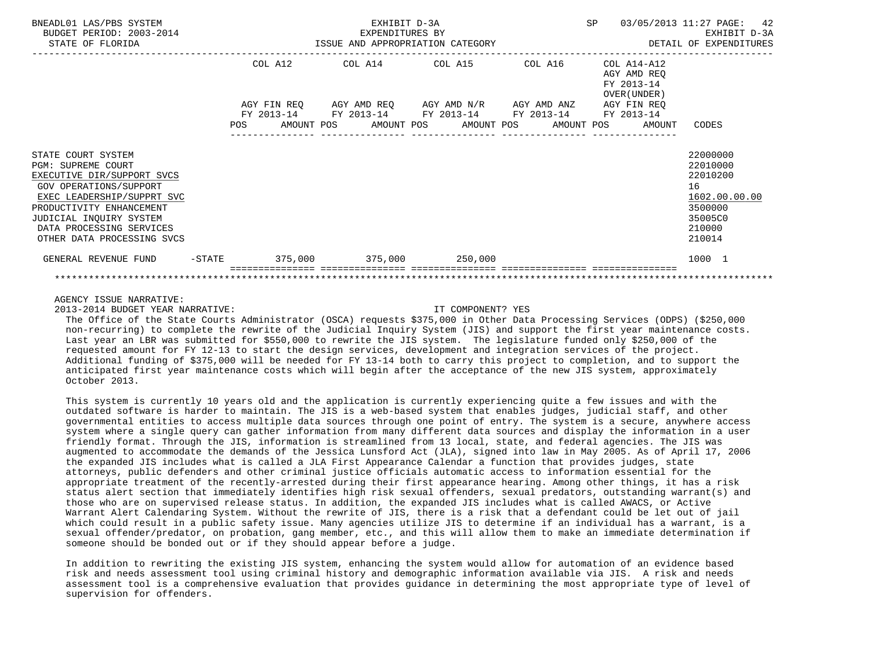| BNEADL01 LAS/PBS SYSTEM<br>BUDGET PERIOD: 2003-2014<br>STATE OF FLORIDA                                                                                                                                                                                       |        |     |                                      | EXHIBIT D-3A<br>EXPENDITURES BY | ISSUE AND APPROPRIATION CATEGORY                                                                               |            | SP |                                                                        | 03/05/2013 11:27 PAGE:<br>EXHIBIT D-3A<br>DETAIL OF EXPENDITURES                                  | 42 |
|---------------------------------------------------------------------------------------------------------------------------------------------------------------------------------------------------------------------------------------------------------------|--------|-----|--------------------------------------|---------------------------------|----------------------------------------------------------------------------------------------------------------|------------|----|------------------------------------------------------------------------|---------------------------------------------------------------------------------------------------|----|
|                                                                                                                                                                                                                                                               |        |     | COL A12<br>AGY FIN REO<br>FY 2013-14 |                                 | COL A14 COL A15 COL A16<br>AGY AMD REQ AGY AMD N/R AGY AMD ANZ AGY FIN REQ<br>FY 2013-14 FY 2013-14 FY 2013-14 |            |    | COL A14-A12<br>AGY AMD REO<br>FY 2013-14<br>OVER (UNDER)<br>FY 2013-14 |                                                                                                   |    |
|                                                                                                                                                                                                                                                               |        | POS |                                      |                                 | AMOUNT POS AMOUNT POS AMOUNT POS                                                                               | AMOUNT POS |    | AMOUNT                                                                 | CODES                                                                                             |    |
| STATE COURT SYSTEM<br><b>PGM: SUPREME COURT</b><br>EXECUTIVE DIR/SUPPORT SVCS<br><b>GOV OPERATIONS/SUPPORT</b><br>EXEC LEADERSHIP/SUPPRT SVC<br>PRODUCTIVITY ENHANCEMENT<br>JUDICIAL INQUIRY SYSTEM<br>DATA PROCESSING SERVICES<br>OTHER DATA PROCESSING SVCS |        |     |                                      |                                 |                                                                                                                |            |    |                                                                        | 22000000<br>22010000<br>22010200<br>16<br>1602.00.00.00<br>3500000<br>35005C0<br>210000<br>210014 |    |
| GENERAL REVENUE FUND                                                                                                                                                                                                                                          | -STATE |     |                                      |                                 | $375,000$ $375,000$ $250,000$                                                                                  |            |    |                                                                        | 1000 1                                                                                            |    |
|                                                                                                                                                                                                                                                               |        |     |                                      |                                 |                                                                                                                |            |    |                                                                        |                                                                                                   |    |

2013-2014 BUDGET YEAR NARRATIVE: IT COMPONENT? YES

 The Office of the State Courts Administrator (OSCA) requests \$375,000 in Other Data Processing Services (ODPS) (\$250,000 non-recurring) to complete the rewrite of the Judicial Inquiry System (JIS) and support the first year maintenance costs. Last year an LBR was submitted for \$550,000 to rewrite the JIS system. The legislature funded only \$250,000 of the requested amount for FY 12-13 to start the design services, development and integration services of the project. Additional funding of \$375,000 will be needed for FY 13-14 both to carry this project to completion, and to support the anticipated first year maintenance costs which will begin after the acceptance of the new JIS system, approximately October 2013.

 This system is currently 10 years old and the application is currently experiencing quite a few issues and with the outdated software is harder to maintain. The JIS is a web-based system that enables judges, judicial staff, and other governmental entities to access multiple data sources through one point of entry. The system is a secure, anywhere access system where a single query can gather information from many different data sources and display the information in a user friendly format. Through the JIS, information is streamlined from 13 local, state, and federal agencies. The JIS was augmented to accommodate the demands of the Jessica Lunsford Act (JLA), signed into law in May 2005. As of April 17, 2006 the expanded JIS includes what is called a JLA First Appearance Calendar a function that provides judges, state attorneys, public defenders and other criminal justice officials automatic access to information essential for the appropriate treatment of the recently-arrested during their first appearance hearing. Among other things, it has a risk status alert section that immediately identifies high risk sexual offenders, sexual predators, outstanding warrant(s) and those who are on supervised release status. In addition, the expanded JIS includes what is called AWACS, or Active Warrant Alert Calendaring System. Without the rewrite of JIS, there is a risk that a defendant could be let out of jail which could result in a public safety issue. Many agencies utilize JIS to determine if an individual has a warrant, is a sexual offender/predator, on probation, gang member, etc., and this will allow them to make an immediate determination if someone should be bonded out or if they should appear before a judge.

 In addition to rewriting the existing JIS system, enhancing the system would allow for automation of an evidence based risk and needs assessment tool using criminal history and demographic information available via JIS. A risk and needs assessment tool is a comprehensive evaluation that provides guidance in determining the most appropriate type of level of supervision for offenders.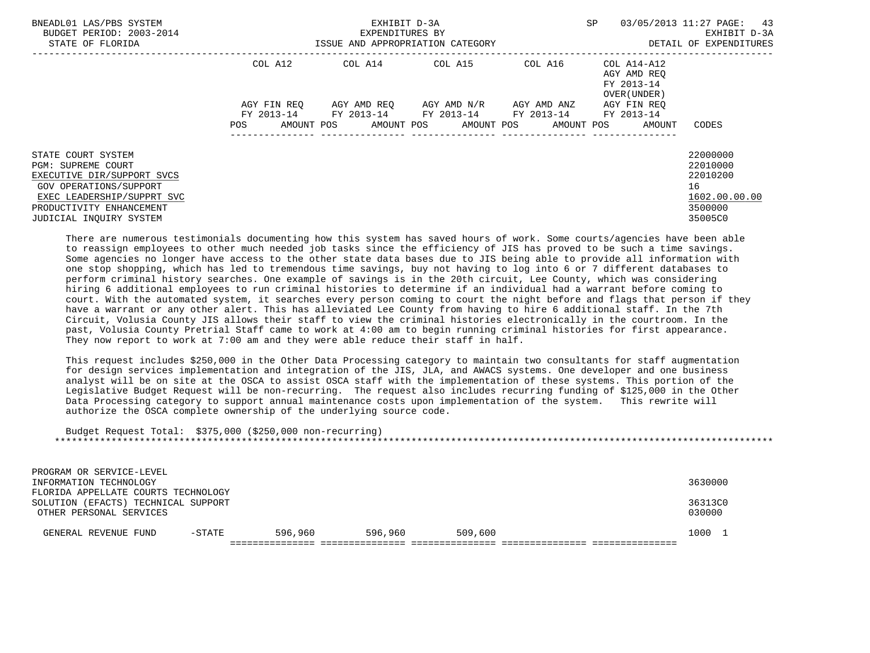| BNEADL01 LAS/PBS SYSTEM<br>BUDGET PERIOD: 2003-2014<br>STATE OF FLORIDA                                                                                                               |                    | EXHIBIT D-3A<br>EXPENDITURES BY<br>ISSUE AND APPROPRIATION CATEGORY | <b>SP</b>                                                                                     | 03/05/2013 11:27 PAGE: 43<br>EXHIBIT D-3A<br>DETAIL OF EXPENDITURES |                                                                   |                                                                               |
|---------------------------------------------------------------------------------------------------------------------------------------------------------------------------------------|--------------------|---------------------------------------------------------------------|-----------------------------------------------------------------------------------------------|---------------------------------------------------------------------|-------------------------------------------------------------------|-------------------------------------------------------------------------------|
|                                                                                                                                                                                       | COL A12            |                                                                     | $COL A14$ $COL A15$ $COL A16$ $COL A14-A12$                                                   |                                                                     | AGY AMD REO<br>FY 2013-14<br>OVER (UNDER)                         |                                                                               |
|                                                                                                                                                                                       | AGY FIN REO<br>POS |                                                                     | AGY AMD REQ AGY AMD N/R AGY AMD ANZ<br>FY 2013-14 FY 2013-14 FY 2013-14 FY 2013-14 FY 2013-14 |                                                                     | AGY FIN REO<br>AMOUNT POS AMOUNT POS AMOUNT POS AMOUNT POS AMOUNT | CODES                                                                         |
|                                                                                                                                                                                       |                    |                                                                     |                                                                                               |                                                                     |                                                                   |                                                                               |
| STATE COURT SYSTEM<br>PGM: SUPREME COURT<br>EXECUTIVE DIR/SUPPORT SVCS<br>GOV OPERATIONS/SUPPORT<br>EXEC LEADERSHIP/SUPPRT SVC<br>PRODUCTIVITY ENHANCEMENT<br>JUDICIAL INOUIRY SYSTEM |                    |                                                                     |                                                                                               |                                                                     |                                                                   | 22000000<br>22010000<br>22010200<br>16<br>1602.00.00.00<br>3500000<br>35005C0 |

 There are numerous testimonials documenting how this system has saved hours of work. Some courts/agencies have been able to reassign employees to other much needed job tasks since the efficiency of JIS has proved to be such a time savings. Some agencies no longer have access to the other state data bases due to JIS being able to provide all information with one stop shopping, which has led to tremendous time savings, buy not having to log into 6 or 7 different databases to perform criminal history searches. One example of savings is in the 20th circuit, Lee County, which was considering hiring 6 additional employees to run criminal histories to determine if an individual had a warrant before coming to court. With the automated system, it searches every person coming to court the night before and flags that person if they have a warrant or any other alert. This has alleviated Lee County from having to hire 6 additional staff. In the 7th Circuit, Volusia County JIS allows their staff to view the criminal histories electronically in the courtroom. In the past, Volusia County Pretrial Staff came to work at 4:00 am to begin running criminal histories for first appearance. They now report to work at 7:00 am and they were able reduce their staff in half.

 This request includes \$250,000 in the Other Data Processing category to maintain two consultants for staff augmentation for design services implementation and integration of the JIS, JLA, and AWACS systems. One developer and one business analyst will be on site at the OSCA to assist OSCA staff with the implementation of these systems. This portion of the Legislative Budget Request will be non-recurring. The request also includes recurring funding of \$125,000 in the Other Data Processing category to support annual maintenance costs upon implementation of the system. This rewrite will authorize the OSCA complete ownership of the underlying source code.

| Budget Request Total: \$375,000 (\$250,000 non-recurring) |           |         |         |         |             |
|-----------------------------------------------------------|-----------|---------|---------|---------|-------------|
|                                                           |           |         |         |         |             |
|                                                           |           |         |         |         |             |
|                                                           |           |         |         |         |             |
| PROGRAM OR SERVICE-LEVEL                                  |           |         |         |         |             |
|                                                           |           |         |         |         | 3630000     |
| INFORMATION TECHNOLOGY                                    |           |         |         |         |             |
| FLORIDA APPELLATE COURTS TECHNOLOGY                       |           |         |         |         |             |
| (EFACTS) TECHNICAL SUPPORT<br>SOLUTION                    |           |         |         |         | 36313C0     |
| OTHER PERSONAL SERVICES                                   |           |         |         |         | 030000      |
|                                                           |           |         |         |         |             |
|                                                           |           |         |         |         |             |
| GENERAL REVENUE FUND                                      | $-$ STATE | 596,960 | 596,960 | 509,600 | 1000<br>- 1 |
|                                                           |           |         |         |         |             |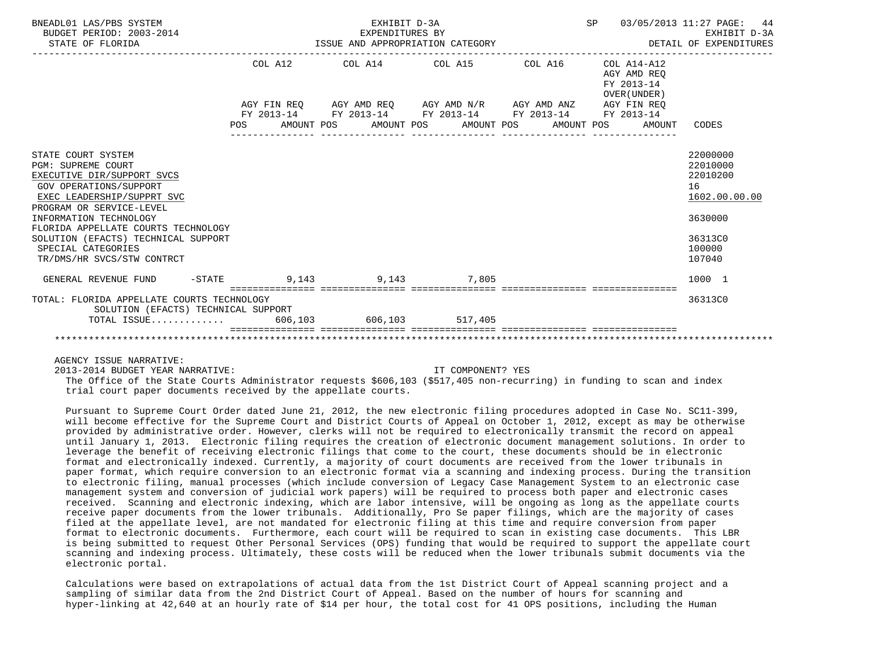| BNEADL01 LAS/PBS SYSTEM<br>BUDGET PERIOD: 2003-2014<br>STATE OF FLORIDA                                                                                                                     | EXHIBIT D-3A<br>EXPENDITURES BY<br>EXPENDITURES BY<br>ISSUE AND APPROPRIATION CATEGORY |  | SP 03/05/2013 11:27 PAGE:                              | 44<br>EXHIBIT D-3A<br>DETAIL OF EXPENDITURES                       |
|---------------------------------------------------------------------------------------------------------------------------------------------------------------------------------------------|----------------------------------------------------------------------------------------|--|--------------------------------------------------------|--------------------------------------------------------------------|
|                                                                                                                                                                                             | COL A12 COL A14 COL A15 COL A16 COL A14-A12                                            |  | AGY AMD REO<br>FY 2013-14<br>OVER (UNDER)              |                                                                    |
|                                                                                                                                                                                             | AGY FIN REQ AGY AMD REQ AGY AMD N/R AGY AMD ANZ AGY FIN REQ                            |  |                                                        |                                                                    |
|                                                                                                                                                                                             | FY 2013-14 FY 2013-14 FY 2013-14 FY 2013-14 FY 2013-14                                 |  | POS AMOUNT POS AMOUNT POS AMOUNT POS AMOUNT POS AMOUNT | CODES                                                              |
| STATE COURT SYSTEM<br>PGM: SUPREME COURT<br>EXECUTIVE DIR/SUPPORT SVCS<br><b>GOV OPERATIONS/SUPPORT</b><br>EXEC LEADERSHIP/SUPPRT SVC<br>PROGRAM OR SERVICE-LEVEL<br>INFORMATION TECHNOLOGY |                                                                                        |  |                                                        | 22000000<br>22010000<br>22010200<br>16<br>1602.00.00.00<br>3630000 |
| FLORIDA APPELLATE COURTS TECHNOLOGY<br>SOLUTION (EFACTS) TECHNICAL SUPPORT<br>SPECIAL CATEGORIES<br>TR/DMS/HR SVCS/STW CONTRCT                                                              |                                                                                        |  |                                                        | 36313C0<br>100000<br>107040                                        |
| GENERAL REVENUE FUND -STATE 5 9.143 9.143 9.143                                                                                                                                             |                                                                                        |  |                                                        | 1000 1                                                             |
| TOTAL: FLORIDA APPELLATE COURTS TECHNOLOGY<br>SOLUTION (EFACTS) TECHNICAL SUPPORT                                                                                                           |                                                                                        |  |                                                        | 36313C0                                                            |
| TOTAL ISSUE 606,103 606,103 517,405                                                                                                                                                         |                                                                                        |  |                                                        |                                                                    |
|                                                                                                                                                                                             |                                                                                        |  |                                                        |                                                                    |

2013-2014 BUDGET YEAR NARRATIVE: IT COMPONENT? YES

 The Office of the State Courts Administrator requests \$606,103 (\$517,405 non-recurring) in funding to scan and index trial court paper documents received by the appellate courts.

 Pursuant to Supreme Court Order dated June 21, 2012, the new electronic filing procedures adopted in Case No. SC11-399, will become effective for the Supreme Court and District Courts of Appeal on October 1, 2012, except as may be otherwise provided by administrative order. However, clerks will not be required to electronically transmit the record on appeal until January 1, 2013. Electronic filing requires the creation of electronic document management solutions. In order to leverage the benefit of receiving electronic filings that come to the court, these documents should be in electronic format and electronically indexed. Currently, a majority of court documents are received from the lower tribunals in paper format, which require conversion to an electronic format via a scanning and indexing process. During the transition to electronic filing, manual processes (which include conversion of Legacy Case Management System to an electronic case management system and conversion of judicial work papers) will be required to process both paper and electronic cases received. Scanning and electronic indexing, which are labor intensive, will be ongoing as long as the appellate courts receive paper documents from the lower tribunals. Additionally, Pro Se paper filings, which are the majority of cases filed at the appellate level, are not mandated for electronic filing at this time and require conversion from paper format to electronic documents. Furthermore, each court will be required to scan in existing case documents. This LBR is being submitted to request Other Personal Services (OPS) funding that would be required to support the appellate court scanning and indexing process. Ultimately, these costs will be reduced when the lower tribunals submit documents via the electronic portal.

 Calculations were based on extrapolations of actual data from the 1st District Court of Appeal scanning project and a sampling of similar data from the 2nd District Court of Appeal. Based on the number of hours for scanning and hyper-linking at 42,640 at an hourly rate of \$14 per hour, the total cost for 41 OPS positions, including the Human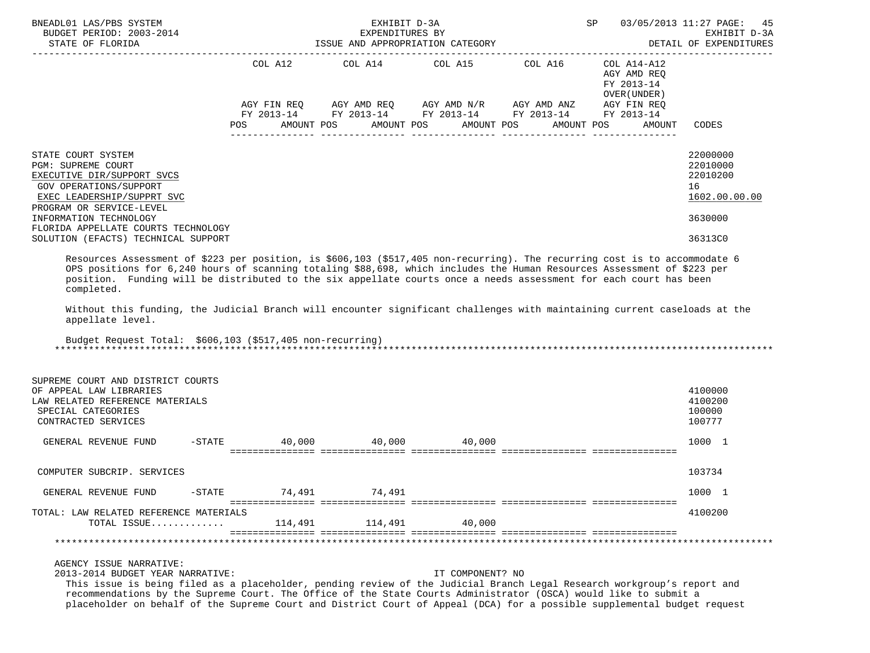| BNEADL01 LAS/PBS SYSTEM<br>BUDGET PERIOD: 2003-2014<br>STATE OF FLORIDA                                                                                                                                                                                                                                                                                                                                                                                                                                                                                                                                |                   | EXHIBIT D-3A<br>EXPENDITURES BY | ISSUE AND APPROPRIATION CATEGORY |                                                                                                                            | SP                                        | 03/05/2013 11:27 PAGE:<br>-45<br>EXHIBIT D-3A<br>DETAIL OF EXPENDITURES |
|--------------------------------------------------------------------------------------------------------------------------------------------------------------------------------------------------------------------------------------------------------------------------------------------------------------------------------------------------------------------------------------------------------------------------------------------------------------------------------------------------------------------------------------------------------------------------------------------------------|-------------------|---------------------------------|----------------------------------|----------------------------------------------------------------------------------------------------------------------------|-------------------------------------------|-------------------------------------------------------------------------|
|                                                                                                                                                                                                                                                                                                                                                                                                                                                                                                                                                                                                        |                   |                                 | COL A12 COL A14 COL A15 COL A16  |                                                                                                                            | COL A14-A12                               |                                                                         |
|                                                                                                                                                                                                                                                                                                                                                                                                                                                                                                                                                                                                        |                   |                                 |                                  |                                                                                                                            | AGY AMD REQ<br>FY 2013-14<br>OVER (UNDER) |                                                                         |
|                                                                                                                                                                                                                                                                                                                                                                                                                                                                                                                                                                                                        | POS<br>AMOUNT POS |                                 | AMOUNT POS                       | AGY FIN REQ AGY AMD REQ AGY AMD N/R AGY AMD ANZ<br>FY 2013-14 FY 2013-14 FY 2013-14 FY 2013-14<br>AMOUNT POS<br>AMOUNT POS | AGY FIN REQ<br>FY 2013-14<br>AMOUNT       | CODES                                                                   |
|                                                                                                                                                                                                                                                                                                                                                                                                                                                                                                                                                                                                        |                   |                                 |                                  |                                                                                                                            |                                           |                                                                         |
| STATE COURT SYSTEM<br><b>PGM: SUPREME COURT</b><br>EXECUTIVE DIR/SUPPORT SVCS<br><b>GOV OPERATIONS/SUPPORT</b><br>EXEC LEADERSHIP/SUPPRT SVC<br>PROGRAM OR SERVICE-LEVEL                                                                                                                                                                                                                                                                                                                                                                                                                               |                   |                                 |                                  |                                                                                                                            |                                           | 22000000<br>22010000<br>22010200<br>16<br>1602.00.00.00                 |
| INFORMATION TECHNOLOGY<br>FLORIDA APPELLATE COURTS TECHNOLOGY                                                                                                                                                                                                                                                                                                                                                                                                                                                                                                                                          |                   |                                 |                                  |                                                                                                                            |                                           | 3630000                                                                 |
| SOLUTION (EFACTS) TECHNICAL SUPPORT                                                                                                                                                                                                                                                                                                                                                                                                                                                                                                                                                                    |                   |                                 |                                  |                                                                                                                            |                                           | 36313C0                                                                 |
| Resources Assessment of \$223 per position, is \$606,103 (\$517,405 non-recurring). The recurring cost is to accommodate 6<br>OPS positions for 6,240 hours of scanning totaling \$88,698, which includes the Human Resources Assessment of \$223 per<br>position. Funding will be distributed to the six appellate courts once a needs assessment for each court has been<br>completed.<br>Without this funding, the Judicial Branch will encounter significant challenges with maintaining current caseloads at the<br>appellate level.<br>Budget Request Total: \$606,103 (\$517,405 non-recurring) |                   |                                 |                                  |                                                                                                                            |                                           |                                                                         |
| SUPREME COURT AND DISTRICT COURTS<br>OF APPEAL LAW LIBRARIES<br>LAW RELATED REFERENCE MATERIALS<br>SPECIAL CATEGORIES<br>CONTRACTED SERVICES                                                                                                                                                                                                                                                                                                                                                                                                                                                           |                   |                                 |                                  |                                                                                                                            |                                           | 4100000<br>4100200<br>100000<br>100777                                  |
| $-$ STATE<br>GENERAL REVENUE FUND                                                                                                                                                                                                                                                                                                                                                                                                                                                                                                                                                                      |                   | 40,000 40,000                   | 40,000                           |                                                                                                                            |                                           | 1000 1                                                                  |
| COMPUTER SUBCRIP. SERVICES                                                                                                                                                                                                                                                                                                                                                                                                                                                                                                                                                                             |                   |                                 |                                  |                                                                                                                            |                                           | 103734                                                                  |
| GENERAL REVENUE FUND<br>$-$ STATE                                                                                                                                                                                                                                                                                                                                                                                                                                                                                                                                                                      | 74,491            | 74,491                          |                                  |                                                                                                                            |                                           | 1000 1                                                                  |
| TOTAL: LAW RELATED REFERENCE MATERIALS<br>TOTAL ISSUE                                                                                                                                                                                                                                                                                                                                                                                                                                                                                                                                                  | 114,491           | 114,491                         | 40,000                           |                                                                                                                            |                                           | 4100200                                                                 |
|                                                                                                                                                                                                                                                                                                                                                                                                                                                                                                                                                                                                        |                   |                                 |                                  |                                                                                                                            |                                           |                                                                         |
| AGENCY ISSUE NARRATIVE:<br>2013-2014 BUDGET YEAR NARRATIVE:<br>This issue is being filed as a placeholder, pending review of the Judicial Branch Legal Research workgroup's report and<br>recommendations by the Supreme Court. The Office of the State Courts Administrator (OSCA) would like to submit a<br>placeholder on behalf of the Supreme Court and District Court of Appeal (DCA) for a possible supplemental budget request                                                                                                                                                                 |                   |                                 | IT COMPONENT? NO                 |                                                                                                                            |                                           |                                                                         |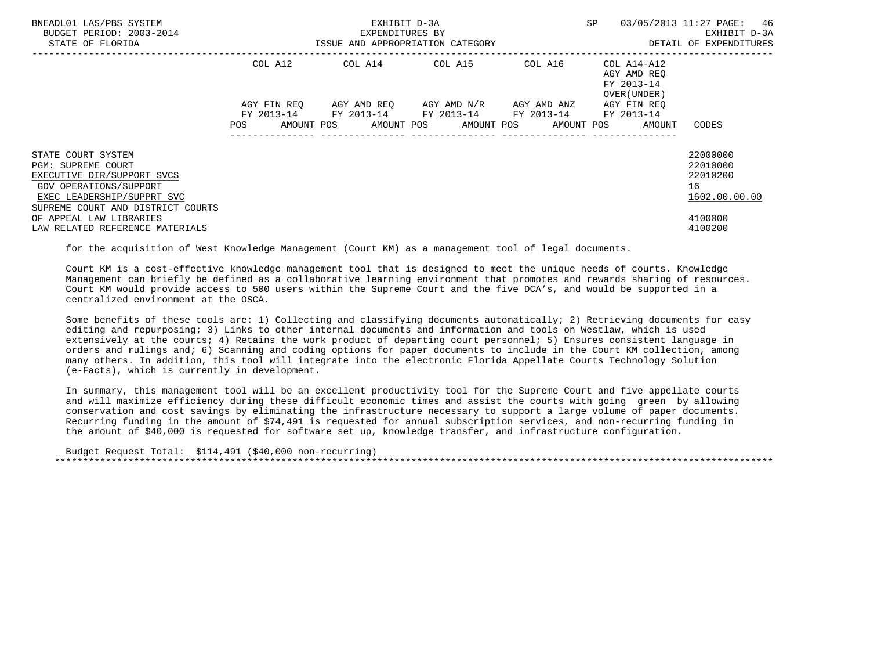| BNEADL01 LAS/PBS SYSTEM<br>BUDGET PERIOD: 2003-2014<br>STATE OF FLORIDA                                                               |                    | EXHIBIT D-3A<br>EXPENDITURES BY<br>ISSUE AND APPROPRIATION CATEGORY | SP                                                                                                      | 03/05/2013 11:27 PAGE: 46<br>EXHIBIT D-3A<br>DETAIL OF EXPENDITURES |                                                                   |                                                         |
|---------------------------------------------------------------------------------------------------------------------------------------|--------------------|---------------------------------------------------------------------|---------------------------------------------------------------------------------------------------------|---------------------------------------------------------------------|-------------------------------------------------------------------|---------------------------------------------------------|
|                                                                                                                                       | COL A12            |                                                                     | COL A14 COL A15                                                                                         | COL A16                                                             | COL A14-A12<br>AGY AMD REO<br>FY 2013-14<br>OVER (UNDER)          |                                                         |
|                                                                                                                                       | AGY FIN REO<br>POS |                                                                     | AGY AMD REQ      AGY AMD N/R      AGY AMD ANZ<br>FY 2013-14 FY 2013-14 FY 2013-14 FY 2013-14 FY 2013-14 |                                                                     | AGY FIN REO<br>AMOUNT POS AMOUNT POS AMOUNT POS AMOUNT POS AMOUNT | CODES                                                   |
| STATE COURT SYSTEM<br><b>PGM: SUPREME COURT</b><br>EXECUTIVE DIR/SUPPORT SVCS<br>GOV OPERATIONS/SUPPORT<br>EXEC LEADERSHIP/SUPPRT SVC |                    |                                                                     |                                                                                                         |                                                                     |                                                                   | 22000000<br>22010000<br>22010200<br>16<br>1602.00.00.00 |
| SUPREME COURT AND DISTRICT COURTS<br>OF APPEAL LAW LIBRARIES<br>LAW RELATED REFERENCE MATERIALS                                       |                    |                                                                     |                                                                                                         |                                                                     |                                                                   | 4100000<br>4100200                                      |

for the acquisition of West Knowledge Management (Court KM) as a management tool of legal documents.

 Court KM is a cost-effective knowledge management tool that is designed to meet the unique needs of courts. Knowledge Management can briefly be defined as a collaborative learning environment that promotes and rewards sharing of resources. Court KM would provide access to 500 users within the Supreme Court and the five DCA's, and would be supported in a centralized environment at the OSCA.

 Some benefits of these tools are: 1) Collecting and classifying documents automatically; 2) Retrieving documents for easy editing and repurposing; 3) Links to other internal documents and information and tools on Westlaw, which is used extensively at the courts; 4) Retains the work product of departing court personnel; 5) Ensures consistent language in orders and rulings and; 6) Scanning and coding options for paper documents to include in the Court KM collection, among many others. In addition, this tool will integrate into the electronic Florida Appellate Courts Technology Solution (e-Facts), which is currently in development.

 In summary, this management tool will be an excellent productivity tool for the Supreme Court and five appellate courts and will maximize efficiency during these difficult economic times and assist the courts with going green by allowing conservation and cost savings by eliminating the infrastructure necessary to support a large volume of paper documents. Recurring funding in the amount of \$74,491 is requested for annual subscription services, and non-recurring funding in the amount of \$40,000 is requested for software set up, knowledge transfer, and infrastructure configuration.

 Budget Request Total: \$114,491 (\$40,000 non-recurring) \*\*\*\*\*\*\*\*\*\*\*\*\*\*\*\*\*\*\*\*\*\*\*\*\*\*\*\*\*\*\*\*\*\*\*\*\*\*\*\*\*\*\*\*\*\*\*\*\*\*\*\*\*\*\*\*\*\*\*\*\*\*\*\*\*\*\*\*\*\*\*\*\*\*\*\*\*\*\*\*\*\*\*\*\*\*\*\*\*\*\*\*\*\*\*\*\*\*\*\*\*\*\*\*\*\*\*\*\*\*\*\*\*\*\*\*\*\*\*\*\*\*\*\*\*\*\*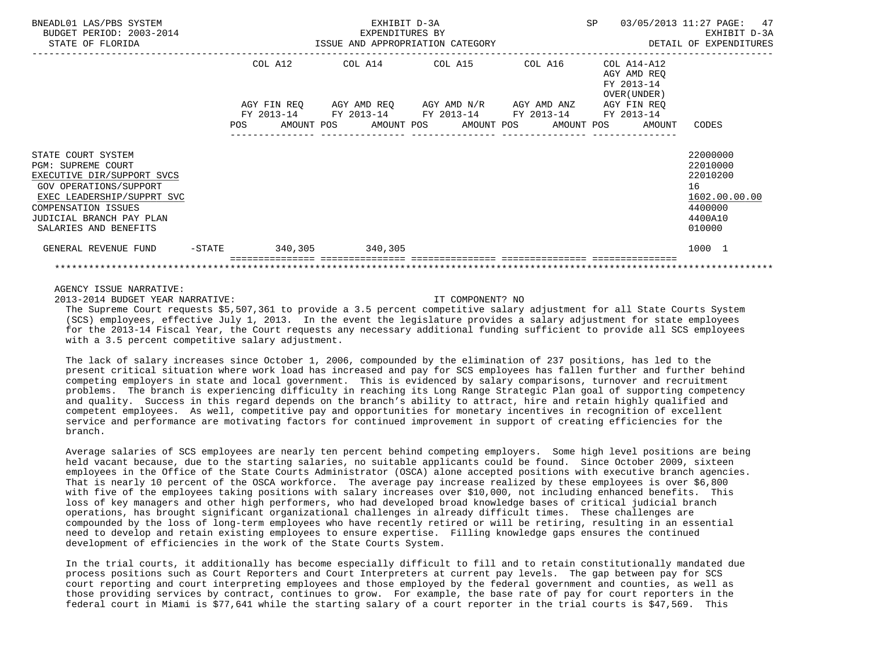| BNEADL01 LAS/PBS SYSTEM<br>BUDGET PERIOD: 2003-2014<br>STATE OF FLORIDA                                                                                                                                                  |           | EXHIBIT D-3A<br>EXPENDITURES BY |  |  |                                                                                                                                                                      |  |  | <b>SP</b> |  | 03/05/2013 11:27 PAGE: 47<br>EXHIBIT D-3A                |                                                                                         |
|--------------------------------------------------------------------------------------------------------------------------------------------------------------------------------------------------------------------------|-----------|---------------------------------|--|--|----------------------------------------------------------------------------------------------------------------------------------------------------------------------|--|--|-----------|--|----------------------------------------------------------|-----------------------------------------------------------------------------------------|
|                                                                                                                                                                                                                          |           |                                 |  |  | COL A12 COL A14 COL A15 COL A16                                                                                                                                      |  |  |           |  | COL A14-A12<br>AGY AMD REO<br>FY 2013-14<br>OVER (UNDER) |                                                                                         |
|                                                                                                                                                                                                                          |           |                                 |  |  | AGY FIN REQ AGY AMD REQ AGY AMD N/R AGY AMD ANZ AGY FIN REQ<br>FY 2013-14 FY 2013-14 FY 2013-14 FY 2013-14<br>POS AMOUNT POS AMOUNT POS AMOUNT POS AMOUNT POS AMOUNT |  |  |           |  | FY 2013-14                                               | CODES                                                                                   |
| STATE COURT SYSTEM<br><b>PGM: SUPREME COURT</b><br>EXECUTIVE DIR/SUPPORT SVCS<br><b>GOV OPERATIONS/SUPPORT</b><br>EXEC LEADERSHIP/SUPPRT SVC<br>COMPENSATION ISSUES<br>JUDICIAL BRANCH PAY PLAN<br>SALARIES AND BENEFITS |           |                                 |  |  |                                                                                                                                                                      |  |  |           |  |                                                          | 22000000<br>22010000<br>22010200<br>16<br>1602.00.00.00<br>4400000<br>4400A10<br>010000 |
| GENERAL REVENUE FUND                                                                                                                                                                                                     | $-$ STATE |                                 |  |  | 340,305 340,305                                                                                                                                                      |  |  |           |  |                                                          | 1000 1                                                                                  |
|                                                                                                                                                                                                                          |           |                                 |  |  |                                                                                                                                                                      |  |  |           |  |                                                          |                                                                                         |

2013-2014 BUDGET YEAR NARRATIVE: IT COMPONENT? NO

 The Supreme Court requests \$5,507,361 to provide a 3.5 percent competitive salary adjustment for all State Courts System (SCS) employees, effective July 1, 2013. In the event the legislature provides a salary adjustment for state employees for the 2013-14 Fiscal Year, the Court requests any necessary additional funding sufficient to provide all SCS employees with a 3.5 percent competitive salary adjustment.

 The lack of salary increases since October 1, 2006, compounded by the elimination of 237 positions, has led to the present critical situation where work load has increased and pay for SCS employees has fallen further and further behind competing employers in state and local government. This is evidenced by salary comparisons, turnover and recruitment problems. The branch is experiencing difficulty in reaching its Long Range Strategic Plan goal of supporting competency and quality. Success in this regard depends on the branch's ability to attract, hire and retain highly qualified and competent employees. As well, competitive pay and opportunities for monetary incentives in recognition of excellent service and performance are motivating factors for continued improvement in support of creating efficiencies for the branch.

 Average salaries of SCS employees are nearly ten percent behind competing employers. Some high level positions are being held vacant because, due to the starting salaries, no suitable applicants could be found. Since October 2009, sixteen employees in the Office of the State Courts Administrator (OSCA) alone accepted positions with executive branch agencies. That is nearly 10 percent of the OSCA workforce. The average pay increase realized by these employees is over \$6,800 with five of the employees taking positions with salary increases over \$10,000, not including enhanced benefits. This loss of key managers and other high performers, who had developed broad knowledge bases of critical judicial branch operations, has brought significant organizational challenges in already difficult times. These challenges are compounded by the loss of long-term employees who have recently retired or will be retiring, resulting in an essential need to develop and retain existing employees to ensure expertise. Filling knowledge gaps ensures the continued development of efficiencies in the work of the State Courts System.

 In the trial courts, it additionally has become especially difficult to fill and to retain constitutionally mandated due process positions such as Court Reporters and Court Interpreters at current pay levels. The gap between pay for SCS court reporting and court interpreting employees and those employed by the federal government and counties, as well as those providing services by contract, continues to grow. For example, the base rate of pay for court reporters in the federal court in Miami is \$77,641 while the starting salary of a court reporter in the trial courts is \$47,569. This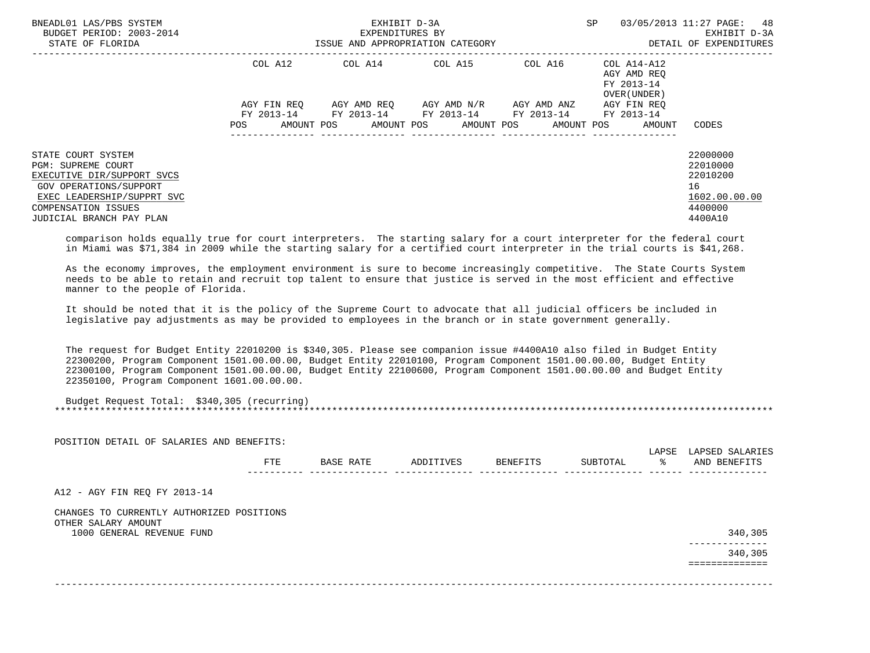| BNEADL01 LAS/PBS SYSTEM<br>BUDGET PERIOD: 2003-2014<br>STATE OF FLORIDA                                                                                                                  |                           | EXHIBIT D-3A<br>EXPENDITURES BY<br>ISSUE AND APPROPRIATION CATEGORY |                         |             | <b>SP</b><br>03/05/2013 11:27 PAGE:                      | 48<br>EXHIBIT D-3A<br>DETAIL OF EXPENDITURES                                  |
|------------------------------------------------------------------------------------------------------------------------------------------------------------------------------------------|---------------------------|---------------------------------------------------------------------|-------------------------|-------------|----------------------------------------------------------|-------------------------------------------------------------------------------|
|                                                                                                                                                                                          | COL A12                   | COL A14 COL A15 COL A16                                             |                         |             | COL A14-A12<br>AGY AMD REO<br>FY 2013-14<br>OVER (UNDER) |                                                                               |
|                                                                                                                                                                                          | AGY FIN REO<br>FY 2013-14 | FY 2013-14 FY 2013-14 FY 2013-14                                    | AGY AMD REO AGY AMD N/R | AGY AMD ANZ | AGY FIN REO<br>FY 2013-14                                |                                                                               |
|                                                                                                                                                                                          | AMOUNT POS<br>POS         | AMOUNT POS                                                          | AMOUNT POS              | AMOUNT POS  | AMOUNT                                                   | CODES                                                                         |
| STATE COURT SYSTEM<br>PGM: SUPREME COURT<br>EXECUTIVE DIR/SUPPORT SVCS<br><b>GOV OPERATIONS/SUPPORT</b><br>EXEC LEADERSHIP/SUPPRT SVC<br>COMPENSATION ISSUES<br>JUDICIAL BRANCH PAY PLAN |                           |                                                                     |                         |             |                                                          | 22000000<br>22010000<br>22010200<br>16<br>1602.00.00.00<br>4400000<br>4400A10 |

 comparison holds equally true for court interpreters. The starting salary for a court interpreter for the federal court in Miami was \$71,384 in 2009 while the starting salary for a certified court interpreter in the trial courts is \$41,268.

 As the economy improves, the employment environment is sure to become increasingly competitive. The State Courts System needs to be able to retain and recruit top talent to ensure that justice is served in the most efficient and effective manner to the people of Florida.

 It should be noted that it is the policy of the Supreme Court to advocate that all judicial officers be included in legislative pay adjustments as may be provided to employees in the branch or in state government generally.

 The request for Budget Entity 22010200 is \$340,305. Please see companion issue #4400A10 also filed in Budget Entity 22300200, Program Component 1501.00.00.00, Budget Entity 22010100, Program Component 1501.00.00.00, Budget Entity 22300100, Program Component 1501.00.00.00, Budget Entity 22100600, Program Component 1501.00.00.00 and Budget Entity 22350100, Program Component 1601.00.00.00.

| Budget Request Total: \$340,305 (recurring) |  |
|---------------------------------------------|--|
|                                             |  |

| POSITION DETAIL OF SALARIES AND BENEFITS:                        |            |           | LAPSE     | LAPSED SALARIES |          |   |                          |
|------------------------------------------------------------------|------------|-----------|-----------|-----------------|----------|---|--------------------------|
|                                                                  | <b>FTE</b> | BASE RATE | ADDITIVES | BENEFITS        | SUBTOTAL | ⊱ | AND BENEFITS             |
| A12 - AGY FIN REQ FY 2013-14                                     |            |           |           |                 |          |   |                          |
| CHANGES TO CURRENTLY AUTHORIZED POSITIONS<br>OTHER SALARY AMOUNT |            |           |           |                 |          |   |                          |
| 1000 GENERAL REVENUE FUND                                        |            |           |           |                 |          |   | 340,305<br>------------- |
|                                                                  |            |           |           |                 |          |   | 340,305                  |
|                                                                  |            |           |           |                 |          |   | ===========              |
|                                                                  |            |           |           |                 |          |   |                          |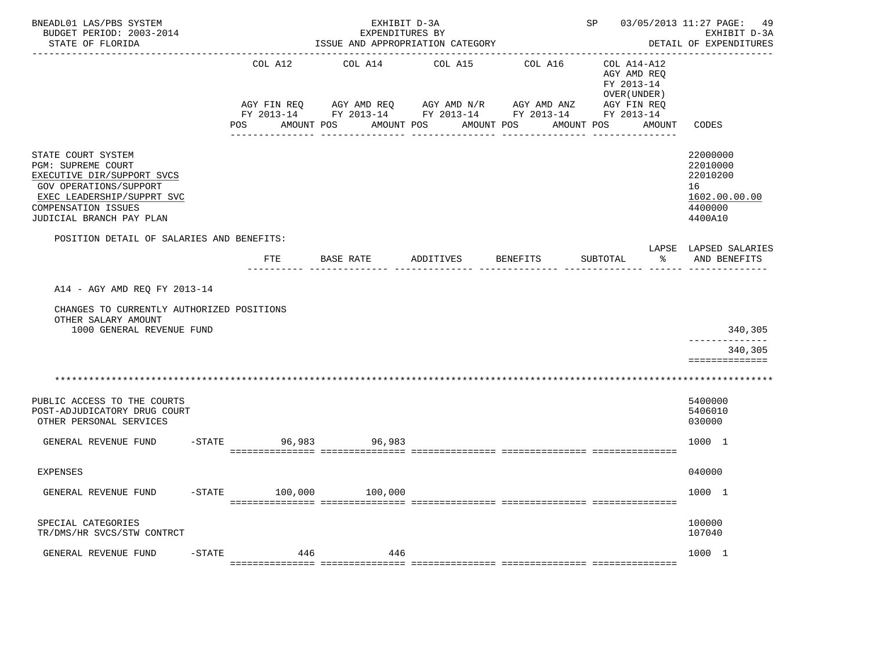| BNEADL01 LAS/PBS SYSTEM<br>BUDGET PERIOD: 2003-2014<br>STATE OF FLORIDA                                                                                                                  |                        | EXHIBIT D-3A<br>EXPENDITURES BY<br>ISSUE AND APPROPRIATION CATEGORY |                                       | --------------------------------                                  | SP 03/05/2013 11:27 PAGE: 49                                            | EXHIBIT D-3A<br>DETAIL OF EXPENDITURES                                        |
|------------------------------------------------------------------------------------------------------------------------------------------------------------------------------------------|------------------------|---------------------------------------------------------------------|---------------------------------------|-------------------------------------------------------------------|-------------------------------------------------------------------------|-------------------------------------------------------------------------------|
|                                                                                                                                                                                          | COL A12<br>AGY FIN REQ | COL A14<br>AGY AMD REQ AGY AMD N/R AGY AMD ANZ                      | COL A15                               | COL A16<br>FY 2013-14 FY 2013-14 FY 2013-14 FY 2013-14 FY 2013-14 | COL A14-A12<br>AGY AMD REO<br>FY 2013-14<br>OVER (UNDER)<br>AGY FIN REQ |                                                                               |
|                                                                                                                                                                                          | AMOUNT POS<br>POS      |                                                                     | AMOUNT POS AMOUNT POS<br>------------ | ------------                                                      | AMOUNT POS AMOUNT                                                       | CODES                                                                         |
| STATE COURT SYSTEM<br>PGM: SUPREME COURT<br>EXECUTIVE DIR/SUPPORT SVCS<br><b>GOV OPERATIONS/SUPPORT</b><br>EXEC LEADERSHIP/SUPPRT SVC<br>COMPENSATION ISSUES<br>JUDICIAL BRANCH PAY PLAN |                        |                                                                     |                                       |                                                                   |                                                                         | 22000000<br>22010000<br>22010200<br>16<br>1602.00.00.00<br>4400000<br>4400A10 |
| POSITION DETAIL OF SALARIES AND BENEFITS:                                                                                                                                                |                        |                                                                     |                                       |                                                                   |                                                                         | LAPSE LAPSED SALARIES                                                         |
|                                                                                                                                                                                          | <b>FTE</b>             | BASE RATE                                                           | ADDITIVES                             | BENEFITS                                                          | SUBTOTAL<br>ႜ                                                           | AND BENEFITS                                                                  |
| A14 - AGY AMD REQ FY 2013-14<br>CHANGES TO CURRENTLY AUTHORIZED POSITIONS<br>OTHER SALARY AMOUNT<br>1000 GENERAL REVENUE FUND                                                            |                        |                                                                     |                                       |                                                                   |                                                                         | 340,305<br>340,305<br>==============                                          |
|                                                                                                                                                                                          |                        |                                                                     |                                       |                                                                   |                                                                         |                                                                               |
| PUBLIC ACCESS TO THE COURTS<br>POST-ADJUDICATORY DRUG COURT<br>OTHER PERSONAL SERVICES                                                                                                   |                        |                                                                     |                                       |                                                                   |                                                                         | 5400000<br>5406010<br>030000                                                  |
| GENERAL REVENUE FUND                                                                                                                                                                     | $-$ STATE              | 96,983 96,983                                                       |                                       |                                                                   |                                                                         | 1000 1                                                                        |
| EXPENSES                                                                                                                                                                                 |                        |                                                                     |                                       |                                                                   |                                                                         | 040000                                                                        |
| $-STATE$<br>GENERAL REVENUE FUND                                                                                                                                                         | 100,000                | 100,000                                                             |                                       |                                                                   |                                                                         | 1000 1                                                                        |
| SPECIAL CATEGORIES<br>TR/DMS/HR SVCS/STW CONTRCT                                                                                                                                         |                        |                                                                     |                                       |                                                                   |                                                                         | 100000<br>107040                                                              |
| GENERAL REVENUE FUND<br>$-STATE$                                                                                                                                                         | 446                    | 446                                                                 |                                       |                                                                   |                                                                         | 1000 1                                                                        |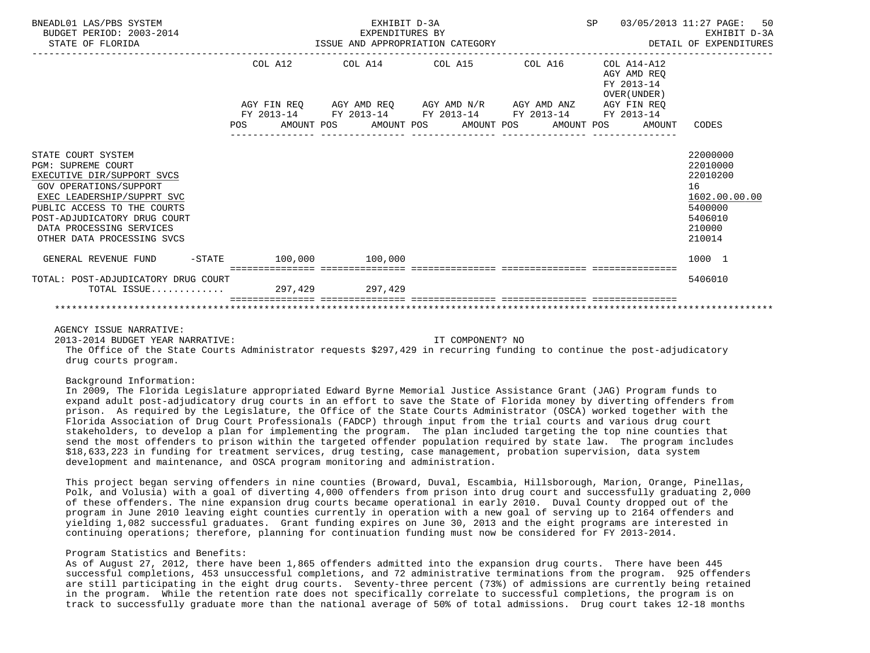| BNEADL01 LAS/PBS SYSTEM<br>BUDGET PERIOD: 2003-2014<br>STATE OF FLORIDA                                                                                                                                                                                        |         | EXHIBIT D-3A | EXPENDITURES BY<br>ISSUE AND APPROPRIATION CATEGORY                        |                  |                                                              | 50<br>SP 03/05/2013 11:27 PAGE:<br>EXHIBIT D-3A<br>DETAIL OF EXPENDITURES                         |
|----------------------------------------------------------------------------------------------------------------------------------------------------------------------------------------------------------------------------------------------------------------|---------|--------------|----------------------------------------------------------------------------|------------------|--------------------------------------------------------------|---------------------------------------------------------------------------------------------------|
|                                                                                                                                                                                                                                                                | COL A12 |              | COL A14 COL A15 COL A16                                                    |                  | COL A14-A12<br>AGY AMD REO<br>FY 2013-14<br>OVER (UNDER)     |                                                                                                   |
|                                                                                                                                                                                                                                                                |         |              | AGY FIN REQ AGY AMD REQ AGY AMD N/R AGY AMD ANZ AGY FIN REQ                |                  |                                                              |                                                                                                   |
|                                                                                                                                                                                                                                                                |         |              | FY 2013-14 FY 2013-14 FY 2013-14 FY 2013-14 FY 2013-14<br>---------------- | ________________ | POS AMOUNT POS AMOUNT POS AMOUNT POS AMOUNT POS AMOUNT CODES |                                                                                                   |
| STATE COURT SYSTEM<br><b>PGM: SUPREME COURT</b><br>EXECUTIVE DIR/SUPPORT SVCS<br>GOV OPERATIONS/SUPPORT<br>EXEC LEADERSHIP/SUPPRT SVC<br>PUBLIC ACCESS TO THE COURTS<br>POST-ADJUDICATORY DRUG COURT<br>DATA PROCESSING SERVICES<br>OTHER DATA PROCESSING SVCS |         |              |                                                                            |                  |                                                              | 22000000<br>22010000<br>22010200<br>16<br>1602.00.00.00<br>5400000<br>5406010<br>210000<br>210014 |
| GENERAL REVENUE FUND -STATE 100,000 100,000                                                                                                                                                                                                                    |         |              |                                                                            |                  |                                                              | 1000 1                                                                                            |
| TOTAL: POST-ADJUDICATORY DRUG COURT<br>TOTAL ISSUE 297,429 297,429                                                                                                                                                                                             |         |              |                                                                            |                  |                                                              | 5406010                                                                                           |
|                                                                                                                                                                                                                                                                |         |              |                                                                            |                  |                                                              |                                                                                                   |

2013-2014 BUDGET YEAR NARRATIVE: IT COMPONENT? NO

 The Office of the State Courts Administrator requests \$297,429 in recurring funding to continue the post-adjudicatory drug courts program.

Background Information:

 In 2009, The Florida Legislature appropriated Edward Byrne Memorial Justice Assistance Grant (JAG) Program funds to expand adult post-adjudicatory drug courts in an effort to save the State of Florida money by diverting offenders from prison. As required by the Legislature, the Office of the State Courts Administrator (OSCA) worked together with the Florida Association of Drug Court Professionals (FADCP) through input from the trial courts and various drug court stakeholders, to develop a plan for implementing the program. The plan included targeting the top nine counties that send the most offenders to prison within the targeted offender population required by state law. The program includes \$18,633,223 in funding for treatment services, drug testing, case management, probation supervision, data system development and maintenance, and OSCA program monitoring and administration.

 This project began serving offenders in nine counties (Broward, Duval, Escambia, Hillsborough, Marion, Orange, Pinellas, Polk, and Volusia) with a goal of diverting 4,000 offenders from prison into drug court and successfully graduating 2,000 of these offenders. The nine expansion drug courts became operational in early 2010. Duval County dropped out of the program in June 2010 leaving eight counties currently in operation with a new goal of serving up to 2164 offenders and yielding 1,082 successful graduates. Grant funding expires on June 30, 2013 and the eight programs are interested in continuing operations; therefore, planning for continuation funding must now be considered for FY 2013-2014.

## Program Statistics and Benefits:

 As of August 27, 2012, there have been 1,865 offenders admitted into the expansion drug courts. There have been 445 successful completions, 453 unsuccessful completions, and 72 administrative terminations from the program. 925 offenders are still participating in the eight drug courts. Seventy-three percent (73%) of admissions are currently being retained in the program. While the retention rate does not specifically correlate to successful completions, the program is on track to successfully graduate more than the national average of 50% of total admissions. Drug court takes 12-18 months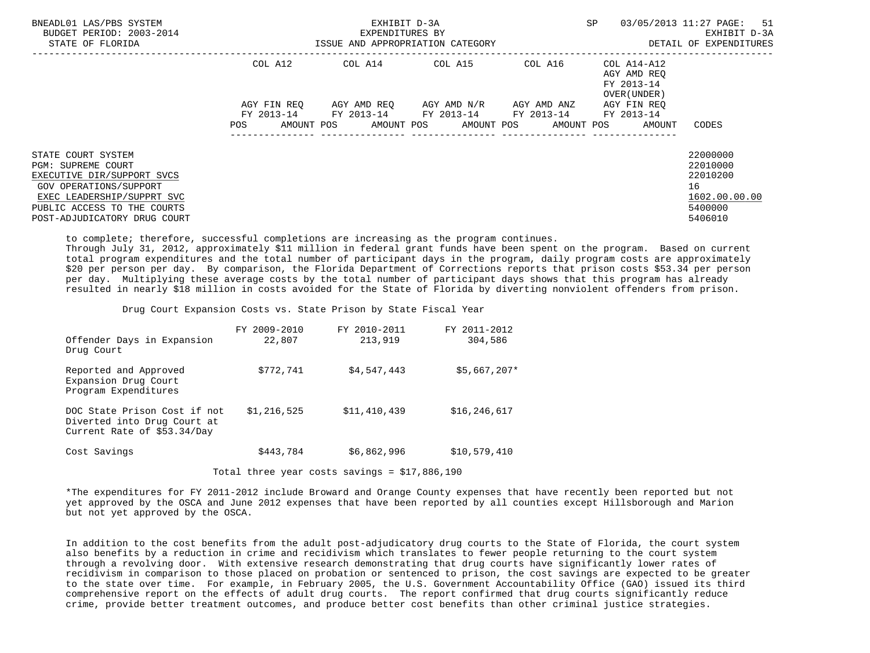| BNEADL01 LAS/PBS SYSTEM<br>BUDGET PERIOD: 2003-2014<br>STATE OF FLORIDA                                                                                                                              | ISSUE AND APPROPRIATION CATEGORY | EXHIBIT D-3A<br>EXPENDITURES BY | <b>SP</b><br>DETAIL OF EXPENDITURES                                                                        | 03/05/2013 11:27 PAGE: 51<br>EXHIBIT D-3A |                                                           |                                                                               |
|------------------------------------------------------------------------------------------------------------------------------------------------------------------------------------------------------|----------------------------------|---------------------------------|------------------------------------------------------------------------------------------------------------|-------------------------------------------|-----------------------------------------------------------|-------------------------------------------------------------------------------|
|                                                                                                                                                                                                      | COL A12                          |                                 | COL A14 COL A15                                                                                            | COL A16                                   | COL A14-A12<br>AGY AMD REO<br>FY 2013-14<br>OVER (UNDER ) |                                                                               |
|                                                                                                                                                                                                      |                                  |                                 | AGY FIN REO AGY AMD REO AGY AMD N/R AGY AMD ANZ AGY FIN REO<br>FY 2013-14 FY 2013-14 FY 2013-14 FY 2013-14 |                                           | FY 2013-14                                                |                                                                               |
|                                                                                                                                                                                                      | POS                              |                                 | AMOUNT POS AMOUNT POS AMOUNT POS                                                                           |                                           | AMOUNT POS<br>AMOUNT                                      | CODES                                                                         |
| STATE COURT SYSTEM<br><b>PGM: SUPREME COURT</b><br>EXECUTIVE DIR/SUPPORT SVCS<br>GOV OPERATIONS/SUPPORT<br>EXEC LEADERSHIP/SUPPRT SVC<br>PUBLIC ACCESS TO THE COURTS<br>POST-ADJUDICATORY DRUG COURT |                                  |                                 |                                                                                                            |                                           |                                                           | 22000000<br>22010000<br>22010200<br>16<br>1602.00.00.00<br>5400000<br>5406010 |

to complete; therefore, successful completions are increasing as the program continues.

 Through July 31, 2012, approximately \$11 million in federal grant funds have been spent on the program. Based on current total program expenditures and the total number of participant days in the program, daily program costs are approximately \$20 per person per day. By comparison, the Florida Department of Corrections reports that prison costs \$53.34 per person per day. Multiplying these average costs by the total number of participant days shows that this program has already resulted in nearly \$18 million in costs avoided for the State of Florida by diverting nonviolent offenders from prison.

Drug Court Expansion Costs vs. State Prison by State Fiscal Year

|            |                                                                                            | FY 2009-2010 | FY 2010-2011 | FY 2011-2012   |
|------------|--------------------------------------------------------------------------------------------|--------------|--------------|----------------|
| Drug Court | Offender Days in Expansion                                                                 | 22,807       | 213,919      | 304,586        |
|            | Reported and Approved<br>Expansion Drug Court<br>Program Expenditures                      | \$772,741    | \$4,547,443  | $$5,667,207*$  |
|            | DOC State Prison Cost if not<br>Diverted into Drug Court at<br>Current Rate of \$53.34/Day | \$1,216,525  | \$11,410,439 | \$16, 246, 617 |
|            | Cost Savings                                                                               | \$443,784    | \$6,862,996  | \$10,579,410   |

Total three year costs savings = \$17,886,190

 \*The expenditures for FY 2011-2012 include Broward and Orange County expenses that have recently been reported but not yet approved by the OSCA and June 2012 expenses that have been reported by all counties except Hillsborough and Marion but not yet approved by the OSCA.

 In addition to the cost benefits from the adult post-adjudicatory drug courts to the State of Florida, the court system also benefits by a reduction in crime and recidivism which translates to fewer people returning to the court system through a revolving door. With extensive research demonstrating that drug courts have significantly lower rates of recidivism in comparison to those placed on probation or sentenced to prison, the cost savings are expected to be greater to the state over time. For example, in February 2005, the U.S. Government Accountability Office (GAO) issued its third comprehensive report on the effects of adult drug courts. The report confirmed that drug courts significantly reduce crime, provide better treatment outcomes, and produce better cost benefits than other criminal justice strategies.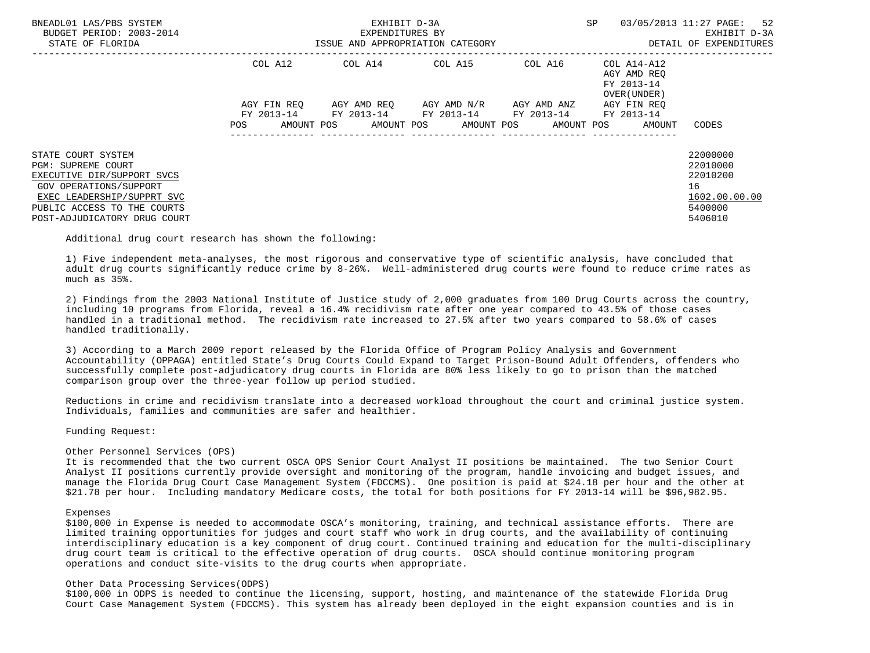| BNEADL01 LAS/PBS SYSTEM<br>BUDGET PERIOD: 2003-2014<br>STATE OF FLORIDA                                             |                        | EXHIBIT D-3A<br>EXPENDITURES BY<br>ISSUE AND APPROPRIATION CATEGORY | <b>SP</b>                                   | 03/05/2013 11:27 PAGE: 52<br>EXHIBIT D-3A<br>DETAIL OF EXPENDITURES |                                                          |                                           |
|---------------------------------------------------------------------------------------------------------------------|------------------------|---------------------------------------------------------------------|---------------------------------------------|---------------------------------------------------------------------|----------------------------------------------------------|-------------------------------------------|
|                                                                                                                     | COL A12<br>AGY FIN REO |                                                                     | AGY AMD REO     AGY AMD N/R     AGY AMD ANZ |                                                                     | AGY AMD REO<br>FY 2013-14<br>OVER (UNDER)<br>AGY FIN REO |                                           |
|                                                                                                                     |                        |                                                                     | FY 2013-14 FY 2013-14 FY 2013-14 FY 2013-14 |                                                                     | FY 2013-14                                               |                                           |
|                                                                                                                     | AMOUNT POS<br>POS      |                                                                     | AMOUNT POS AMOUNT POS                       |                                                                     | AMOUNT POS<br>AMOUNT                                     | CODES                                     |
| STATE COURT SYSTEM                                                                                                  |                        |                                                                     |                                             |                                                                     |                                                          | 22000000                                  |
| PGM: SUPREME COURT<br>EXECUTIVE DIR/SUPPORT SVCS                                                                    |                        |                                                                     |                                             |                                                                     |                                                          | 22010000<br>22010200                      |
| GOV OPERATIONS/SUPPORT<br>EXEC LEADERSHIP/SUPPRT SVC<br>PUBLIC ACCESS TO THE COURTS<br>POST-ADJUDICATORY DRUG COURT |                        |                                                                     |                                             |                                                                     |                                                          | 16<br>1602.00.00.00<br>5400000<br>5406010 |

Additional drug court research has shown the following:

 1) Five independent meta-analyses, the most rigorous and conservative type of scientific analysis, have concluded that adult drug courts significantly reduce crime by 8-26%. Well-administered drug courts were found to reduce crime rates as much as 35%.

 2) Findings from the 2003 National Institute of Justice study of 2,000 graduates from 100 Drug Courts across the country, including 10 programs from Florida, reveal a 16.4% recidivism rate after one year compared to 43.5% of those cases handled in a traditional method. The recidivism rate increased to 27.5% after two years compared to 58.6% of cases handled traditionally.

 3) According to a March 2009 report released by the Florida Office of Program Policy Analysis and Government Accountability (OPPAGA) entitled State's Drug Courts Could Expand to Target Prison-Bound Adult Offenders, offenders who successfully complete post-adjudicatory drug courts in Florida are 80% less likely to go to prison than the matched comparison group over the three-year follow up period studied.

 Reductions in crime and recidivism translate into a decreased workload throughout the court and criminal justice system. Individuals, families and communities are safer and healthier.

Funding Request:

## Other Personnel Services (OPS)

 It is recommended that the two current OSCA OPS Senior Court Analyst II positions be maintained. The two Senior Court Analyst II positions currently provide oversight and monitoring of the program, handle invoicing and budget issues, and manage the Florida Drug Court Case Management System (FDCCMS). One position is paid at \$24.18 per hour and the other at \$21.78 per hour. Including mandatory Medicare costs, the total for both positions for FY 2013-14 will be \$96,982.95.

#### Expenses

 \$100,000 in Expense is needed to accommodate OSCA's monitoring, training, and technical assistance efforts. There are limited training opportunities for judges and court staff who work in drug courts, and the availability of continuing interdisciplinary education is a key component of drug court. Continued training and education for the multi-disciplinary drug court team is critical to the effective operation of drug courts. OSCA should continue monitoring program operations and conduct site-visits to the drug courts when appropriate.

#### Other Data Processing Services(ODPS)

 \$100,000 in ODPS is needed to continue the licensing, support, hosting, and maintenance of the statewide Florida Drug Court Case Management System (FDCCMS). This system has already been deployed in the eight expansion counties and is in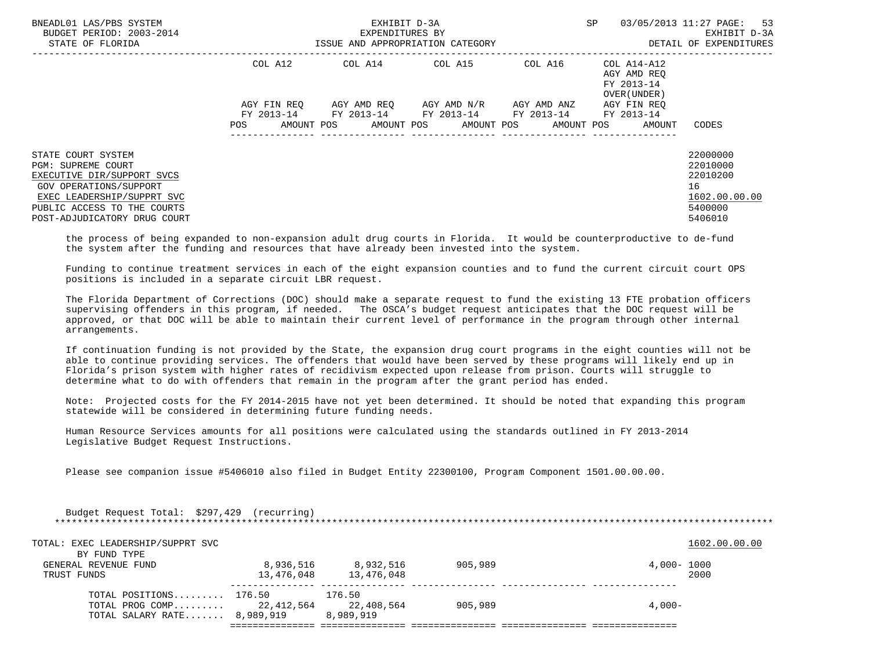| BNEADL01 LAS/PBS SYSTEM<br>BUDGET PERIOD: 2003-2014<br>STATE OF FLORIDA                                                                                                                       |         | EXHIBIT D-3A<br>EXPENDITURES BY | ISSUE AND APPROPRIATION CATEGORY                                                                                        | <b>SP</b>                                         | 03/05/2013 11:27 PAGE: 53<br>EXHIBIT D-3A<br>DETAIL OF EXPENDITURES           |
|-----------------------------------------------------------------------------------------------------------------------------------------------------------------------------------------------|---------|---------------------------------|-------------------------------------------------------------------------------------------------------------------------|---------------------------------------------------|-------------------------------------------------------------------------------|
|                                                                                                                                                                                               | COL A12 |                                 | $COL A14$ $COL A15$ $COL A16$ $COL A14-A12$                                                                             | AGY AMD REO<br>FY 2013-14<br>OVER (UNDER)         |                                                                               |
|                                                                                                                                                                                               | POS     | AMOUNT POS                      | AGY FIN REO AGY AMD REO AGY AMD N/R AGY AMD ANZ<br>FY 2013-14 FY 2013-14 FY 2013-14 FY 2013-14<br>AMOUNT POS AMOUNT POS | AGY FIN REO<br>FY 2013-14<br>AMOUNT POS<br>AMOUNT | CODES                                                                         |
|                                                                                                                                                                                               |         |                                 |                                                                                                                         |                                                   |                                                                               |
| STATE COURT SYSTEM<br>PGM: SUPREME COURT<br>EXECUTIVE DIR/SUPPORT SVCS<br>GOV OPERATIONS/SUPPORT<br>EXEC LEADERSHIP/SUPPRT SVC<br>PUBLIC ACCESS TO THE COURTS<br>POST-ADJUDICATORY DRUG COURT |         |                                 |                                                                                                                         |                                                   | 22000000<br>22010000<br>22010200<br>16<br>1602.00.00.00<br>5400000<br>5406010 |

 the process of being expanded to non-expansion adult drug courts in Florida. It would be counterproductive to de-fund the system after the funding and resources that have already been invested into the system.

 Funding to continue treatment services in each of the eight expansion counties and to fund the current circuit court OPS positions is included in a separate circuit LBR request.

 The Florida Department of Corrections (DOC) should make a separate request to fund the existing 13 FTE probation officers supervising offenders in this program, if needed. The OSCA's budget request anticipates that the DOC request will be approved, or that DOC will be able to maintain their current level of performance in the program through other internal arrangements.

 If continuation funding is not provided by the State, the expansion drug court programs in the eight counties will not be able to continue providing services. The offenders that would have been served by these programs will likely end up in Florida's prison system with higher rates of recidivism expected upon release from prison. Courts will struggle to determine what to do with offenders that remain in the program after the grant period has ended.

 Note: Projected costs for the FY 2014-2015 have not yet been determined. It should be noted that expanding this program statewide will be considered in determining future funding needs.

 Human Resource Services amounts for all positions were calculated using the standards outlined in FY 2013-2014 Legislative Budget Request Instructions.

Please see companion issue #5406010 also filed in Budget Entity 22300100, Program Component 1501.00.00.00.

| Budget Request Total: \$297,429 (recurring)                 |            |                         |         |             |               |  |  |  |  |
|-------------------------------------------------------------|------------|-------------------------|---------|-------------|---------------|--|--|--|--|
| TOTAL: EXEC LEADERSHIP/SUPPRT SVC                           |            |                         |         |             | 1602.00.00.00 |  |  |  |  |
| BY FUND TYPE<br>GENERAL REVENUE FUND                        | 8,936,516  | 8,932,516               | 905,989 | 4,000- 1000 |               |  |  |  |  |
| TRUST FUNDS                                                 | 13,476,048 | 13,476,048              |         |             | 2000          |  |  |  |  |
| TOTAL POSITIONS 176.50                                      |            | 176.50                  |         |             |               |  |  |  |  |
| TOTAL PROG COMP $22,412,564$<br>TOTAL SALARY RATE 8,989,919 |            | 22,408,564<br>8,989,919 | 905,989 | $4.000 -$   |               |  |  |  |  |
|                                                             |            |                         |         |             |               |  |  |  |  |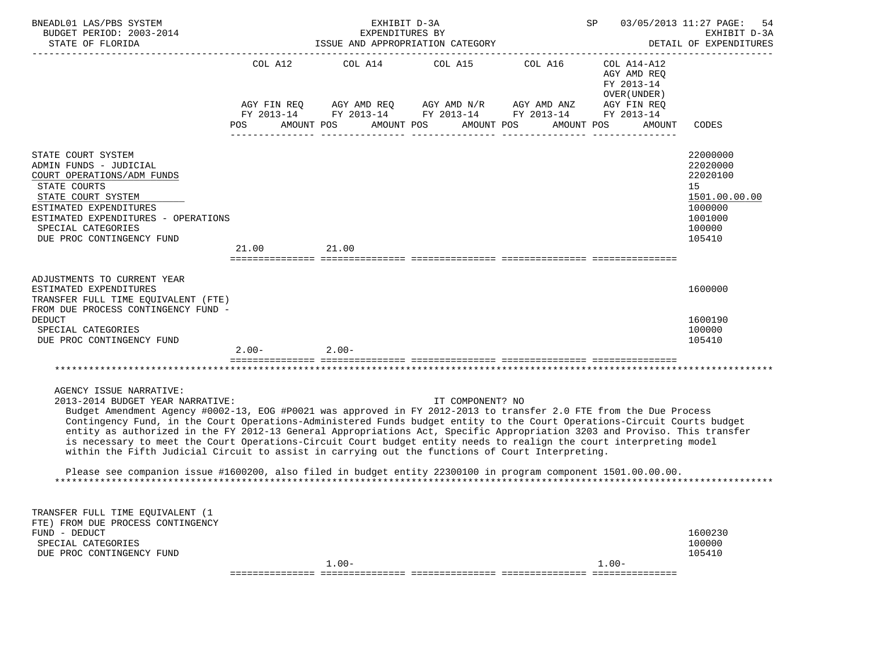| BNEADL01 LAS/PBS SYSTEM<br>BUDGET PERIOD: 2003-2014<br>STATE OF FLORIDA                                                                                                                                                                                                                                                                                                                                                                                                                                                                                                                                                                                               |                 | EXHIBIT D-3A<br>EXPENDITURES BY<br>ISSUE AND APPROPRIATION CATEGORY                                                                                                                                                                                                                                                                                                                                      | SP 03/05/2013 11:27 PAGE: | 54<br>EXHIBIT D-3A<br>DETAIL OF EXPENDITURES |                                                                                                   |
|-----------------------------------------------------------------------------------------------------------------------------------------------------------------------------------------------------------------------------------------------------------------------------------------------------------------------------------------------------------------------------------------------------------------------------------------------------------------------------------------------------------------------------------------------------------------------------------------------------------------------------------------------------------------------|-----------------|----------------------------------------------------------------------------------------------------------------------------------------------------------------------------------------------------------------------------------------------------------------------------------------------------------------------------------------------------------------------------------------------------------|---------------------------|----------------------------------------------|---------------------------------------------------------------------------------------------------|
|                                                                                                                                                                                                                                                                                                                                                                                                                                                                                                                                                                                                                                                                       |                 | COL A12 COL A14 COL A15 COL A16 COL A14-A12                                                                                                                                                                                                                                                                                                                                                              |                           | AGY AMD REQ<br>FY 2013-14<br>OVER (UNDER)    |                                                                                                   |
|                                                                                                                                                                                                                                                                                                                                                                                                                                                                                                                                                                                                                                                                       |                 | $\begin{array}{lllllll} \text{AGY}\ \text{FIN}\ \text{REQ} \qquad & \text{AGY}\ \text{AMD}\ \text{REQ} \qquad & \text{AGY}\ \text{AMD}\ \text{N/R} \qquad & \text{AGY}\ \text{ANN}\ \text{NNZ} \qquad & \text{AGY}\ \text{FIN}\ \text{REQ} \qquad & \text{FY}\ 2013\text{-}14 \qquad & \text{FY}\ 2013\text{-}14 \qquad & \text{FY}\ 2013\text{-}14 \end{array}$<br>POS AMOUNT POS AMOUNT POS AMOUNT POS |                           | AMOUNT POS<br>AMOUNT                         | CODES                                                                                             |
| STATE COURT SYSTEM<br>ADMIN FUNDS - JUDICIAL<br>COURT OPERATIONS/ADM FUNDS<br>STATE COURTS<br>STATE COURT SYSTEM<br>ESTIMATED EXPENDITURES<br>ESTIMATED EXPENDITURES - OPERATIONS<br>SPECIAL CATEGORIES<br>DUE PROC CONTINGENCY FUND                                                                                                                                                                                                                                                                                                                                                                                                                                  | 21.00           | 21.00                                                                                                                                                                                                                                                                                                                                                                                                    |                           |                                              | 22000000<br>22020000<br>22020100<br>15<br>1501.00.00.00<br>1000000<br>1001000<br>100000<br>105410 |
| ADJUSTMENTS TO CURRENT YEAR<br>ESTIMATED EXPENDITURES<br>TRANSFER FULL TIME EQUIVALENT (FTE)<br>FROM DUE PROCESS CONTINGENCY FUND -<br><b>DEDUCT</b><br>SPECIAL CATEGORIES                                                                                                                                                                                                                                                                                                                                                                                                                                                                                            |                 |                                                                                                                                                                                                                                                                                                                                                                                                          |                           |                                              | 1600000<br>1600190<br>100000                                                                      |
| DUE PROC CONTINGENCY FUND                                                                                                                                                                                                                                                                                                                                                                                                                                                                                                                                                                                                                                             | $2.00 - 2.00 -$ |                                                                                                                                                                                                                                                                                                                                                                                                          |                           |                                              | 105410                                                                                            |
|                                                                                                                                                                                                                                                                                                                                                                                                                                                                                                                                                                                                                                                                       |                 |                                                                                                                                                                                                                                                                                                                                                                                                          |                           |                                              |                                                                                                   |
| AGENCY ISSUE NARRATIVE:<br>2013-2014 BUDGET YEAR NARRATIVE:<br>Budget Amendment Agency #0002-13, EOG #P0021 was approved in FY 2012-2013 to transfer 2.0 FTE from the Due Process<br>Contingency Fund, in the Court Operations-Administered Funds budget entity to the Court Operations-Circuit Courts budget<br>entity as authorized in the FY 2012-13 General Appropriations Act, Specific Appropriation 3203 and Proviso. This transfer<br>is necessary to meet the Court Operations-Circuit Court budget entity needs to realign the court interpreting model<br>within the Fifth Judicial Circuit to assist in carrying out the functions of Court Interpreting. |                 |                                                                                                                                                                                                                                                                                                                                                                                                          | IT COMPONENT? NO          |                                              |                                                                                                   |
| Please see companion issue #1600200, also filed in budget entity 22300100 in program component 1501.00.00.00.                                                                                                                                                                                                                                                                                                                                                                                                                                                                                                                                                         |                 |                                                                                                                                                                                                                                                                                                                                                                                                          |                           |                                              |                                                                                                   |
| TRANSFER FULL TIME EOUIVALENT (1<br>FTE) FROM DUE PROCESS CONTINGENCY<br>FUND - DEDUCT<br>SPECIAL CATEGORIES<br>DUE PROC CONTINGENCY FUND                                                                                                                                                                                                                                                                                                                                                                                                                                                                                                                             |                 |                                                                                                                                                                                                                                                                                                                                                                                                          |                           |                                              | 1600230<br>100000<br>105410                                                                       |
|                                                                                                                                                                                                                                                                                                                                                                                                                                                                                                                                                                                                                                                                       |                 | $1.00 -$<br>=================================                                                                                                                                                                                                                                                                                                                                                            |                           | $1.00 -$<br>=========================        |                                                                                                   |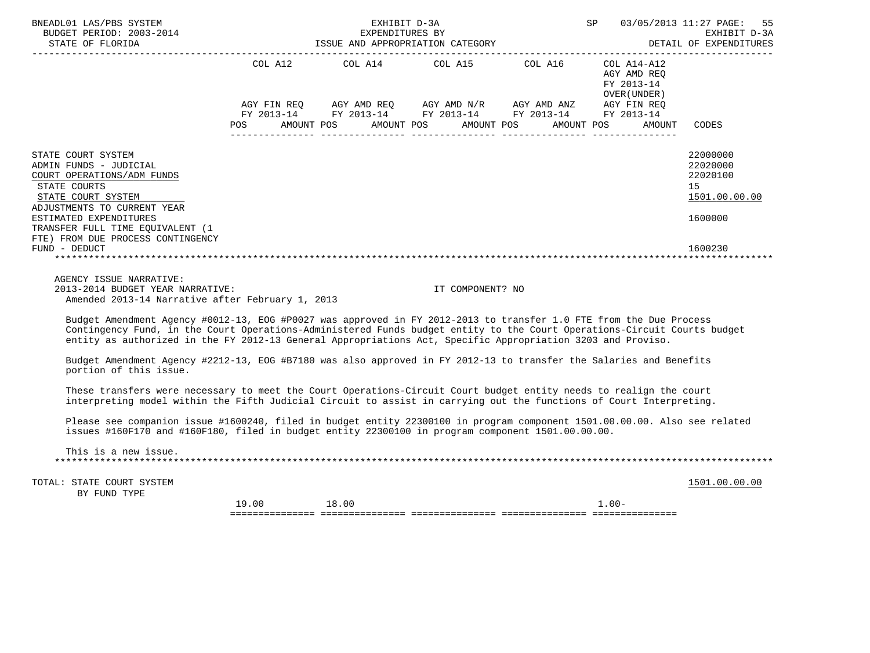| BNEADL01 LAS/PBS SYSTEM<br>EXPENDITURES BY<br>BUDGET PERIOD: 2003-2014<br>SISUE AND APPROPRIATION CATEGORY<br>_____________________                                                                                                                                                                                                                           |         | 03/05/2013 11:27 PAGE:<br>55<br>EXHIBIT D-3A<br>DETAIL OF EXPENDITURES                                                |                         |                                                              |                                                         |
|---------------------------------------------------------------------------------------------------------------------------------------------------------------------------------------------------------------------------------------------------------------------------------------------------------------------------------------------------------------|---------|-----------------------------------------------------------------------------------------------------------------------|-------------------------|--------------------------------------------------------------|---------------------------------------------------------|
|                                                                                                                                                                                                                                                                                                                                                               | COL A12 |                                                                                                                       | COL A14 COL A15 COL A16 | $COL A14- A12$<br>AGY AMD REQ<br>FY 2013-14<br>OVER (UNDER ) |                                                         |
|                                                                                                                                                                                                                                                                                                                                                               |         | AGY FIN REQ AGY AMD REQ AGY AMD N/R AGY AMD ANZ AGY FIN REQ<br>FY 2013-14 FY 2013-14 FY 2013-14 FY 2013-14 FY 2013-14 |                         |                                                              |                                                         |
|                                                                                                                                                                                                                                                                                                                                                               | POS FOR | AMOUNT POS AMOUNT POS AMOUNT POS AMOUNT POS                                                                           |                         | AMOUNT                                                       | CODES                                                   |
| STATE COURT SYSTEM<br>ADMIN FUNDS - JUDICIAL<br>COURT OPERATIONS/ADM FUNDS<br>STATE COURTS<br>STATE COURT SYSTEM<br>ADJUSTMENTS TO CURRENT YEAR                                                                                                                                                                                                               |         |                                                                                                                       |                         |                                                              | 22000000<br>22020000<br>22020100<br>15<br>1501.00.00.00 |
| ESTIMATED EXPENDITURES<br>TRANSFER FULL TIME EQUIVALENT (1<br>FTE) FROM DUE PROCESS CONTINGENCY<br>FUND - DEDUCT                                                                                                                                                                                                                                              |         |                                                                                                                       |                         |                                                              | 1600000<br>1600230                                      |
| AGENCY ISSUE NARRATIVE:<br>2013-2014 BUDGET YEAR NARRATIVE:<br>Amended 2013-14 Narrative after February 1, 2013                                                                                                                                                                                                                                               |         |                                                                                                                       | IT COMPONENT? NO        |                                                              |                                                         |
| Budget Amendment Agency #0012-13, EOG #P0027 was approved in FY 2012-2013 to transfer 1.0 FTE from the Due Process<br>Contingency Fund, in the Court Operations-Administered Funds budget entity to the Court Operations-Circuit Courts budget<br>entity as authorized in the FY 2012-13 General Appropriations Act, Specific Appropriation 3203 and Proviso. |         |                                                                                                                       |                         |                                                              |                                                         |
| Budget Amendment Agency #2212-13, EOG #B7180 was also approved in FY 2012-13 to transfer the Salaries and Benefits<br>portion of this issue.                                                                                                                                                                                                                  |         |                                                                                                                       |                         |                                                              |                                                         |
| These transfers were necessary to meet the Court Operations-Circuit Court budget entity needs to realign the court<br>interpreting model within the Fifth Judicial Circuit to assist in carrying out the functions of Court Interpreting.                                                                                                                     |         |                                                                                                                       |                         |                                                              |                                                         |
| Please see companion issue #1600240, filed in budget entity 22300100 in program component 1501.00.00.00. Also see related<br>issues #160F170 and #160F180, filed in budget entity 22300100 in program component 1501.00.00.00.                                                                                                                                |         |                                                                                                                       |                         |                                                              |                                                         |
| This is a new issue.                                                                                                                                                                                                                                                                                                                                          |         |                                                                                                                       |                         |                                                              |                                                         |
| TOTAL: STATE COURT SYSTEM<br>BY FUND TYPE                                                                                                                                                                                                                                                                                                                     |         |                                                                                                                       |                         |                                                              | 1501.00.00.00                                           |
|                                                                                                                                                                                                                                                                                                                                                               | 19.00   | 18.00                                                                                                                 |                         | $1.00 -$                                                     |                                                         |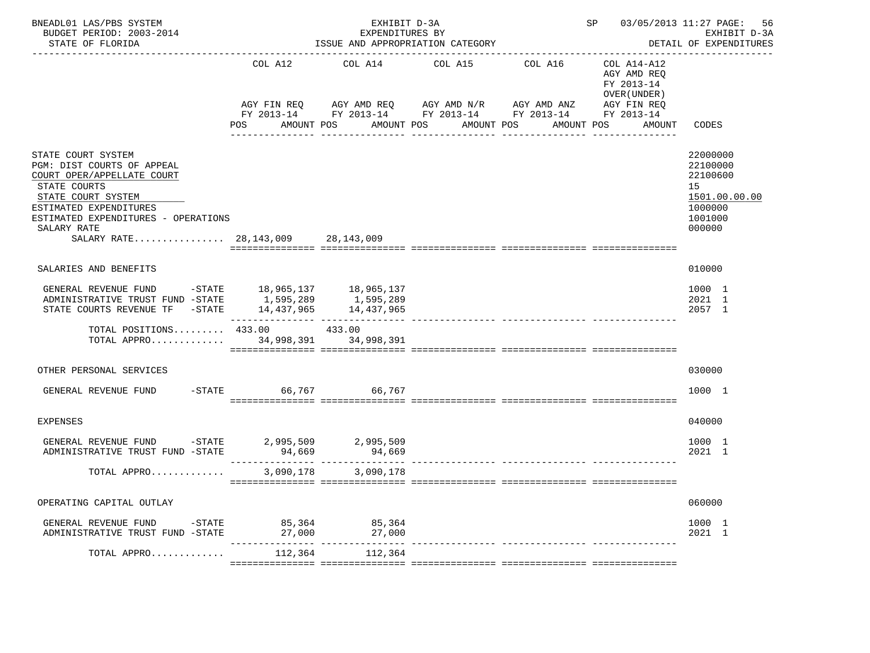| BNEADL01 LAS/PBS SYSTEM<br>BUDGET PERIOD: 2003-2014<br>STATE OF FLORIDA                                                                                                                                                                       |                   | EXHIBIT D-3A<br>EXPENDITURES BY<br>ISSUE AND APPROPRIATION CATEGORY                                                                                    |                       |                                   | SP 03/05/2013 11:27 PAGE:                            | 56<br>EXHIBIT D-3A<br>DETAIL OF EXPENDITURES                                            |
|-----------------------------------------------------------------------------------------------------------------------------------------------------------------------------------------------------------------------------------------------|-------------------|--------------------------------------------------------------------------------------------------------------------------------------------------------|-----------------------|-----------------------------------|------------------------------------------------------|-----------------------------------------------------------------------------------------|
|                                                                                                                                                                                                                                               | AMOUNT POS<br>POS | COL A12 COL A14<br>AGY FIN REQ AGY AMD REQ AGY AMD N/R AGY AMD ANZ AGY FIN REQ<br>FY 2013-14 FY 2013-14 FY 2013-14 FY 2013-14 FY 2013-14<br>AMOUNT POS | COL A15<br>AMOUNT POS | COL A16 COL A14-A12<br>AMOUNT POS | AGY AMD REO<br>FY 2013-14<br>OVER (UNDER )<br>AMOUNT | CODES                                                                                   |
| STATE COURT SYSTEM<br>PGM: DIST COURTS OF APPEAL<br>COURT OPER/APPELLATE COURT<br>STATE COURTS<br>STATE COURT SYSTEM<br>ESTIMATED EXPENDITURES<br>ESTIMATED EXPENDITURES - OPERATIONS<br>SALARY RATE<br>SALARY RATE 28, 143, 009 28, 143, 009 |                   |                                                                                                                                                        |                       |                                   |                                                      | 22000000<br>22100000<br>22100600<br>15<br>1501.00.00.00<br>1000000<br>1001000<br>000000 |
| SALARIES AND BENEFITS                                                                                                                                                                                                                         |                   |                                                                                                                                                        |                       |                                   |                                                      | 010000                                                                                  |
| GENERAL REVENUE FUND -STATE 18,965,137 18,965,137<br>ADMINISTRATIVE TRUST FUND -STATE $1,595,289$ $1,595,289$<br>STATE COURTS REVENUE TF -STATE $14,437,965$ $14,437,965$                                                                     |                   |                                                                                                                                                        |                       |                                   |                                                      | 1000 1<br>2021 1<br>2057 1                                                              |
| TOTAL POSITIONS 433.00 433.00<br>TOTAL APPRO 34,998,391 34,998,391                                                                                                                                                                            |                   |                                                                                                                                                        |                       |                                   |                                                      |                                                                                         |
| OTHER PERSONAL SERVICES                                                                                                                                                                                                                       |                   |                                                                                                                                                        |                       |                                   |                                                      | 030000                                                                                  |
| GENERAL REVENUE FUND -STATE 66,767 66,767                                                                                                                                                                                                     |                   |                                                                                                                                                        |                       |                                   |                                                      | 1000 1                                                                                  |
| <b>EXPENSES</b>                                                                                                                                                                                                                               |                   |                                                                                                                                                        |                       |                                   |                                                      | 040000                                                                                  |
| GENERAL REVENUE FUND -STATE 2,995,509<br>ADMINISTRATIVE TRUST FUND -STATE                                                                                                                                                                     | 94,669            | 2,995,509<br>94,669                                                                                                                                    |                       |                                   |                                                      | 1000 1<br>2021 1                                                                        |
| TOTAL APPRO                                                                                                                                                                                                                                   | 3,090,178         | 3,090,178                                                                                                                                              |                       |                                   |                                                      |                                                                                         |
| OPERATING CAPITAL OUTLAY                                                                                                                                                                                                                      |                   |                                                                                                                                                        |                       |                                   |                                                      | 060000                                                                                  |
| GENERAL REVENUE FUND -STATE 85,364 85,364<br>ADMINISTRATIVE TRUST FUND -STATE 27,000 27,000                                                                                                                                                   |                   |                                                                                                                                                        |                       |                                   |                                                      | 1000 1<br>2021 1                                                                        |
| TOTAL APPRO                                                                                                                                                                                                                                   | 112,364           | 112,364                                                                                                                                                |                       |                                   |                                                      |                                                                                         |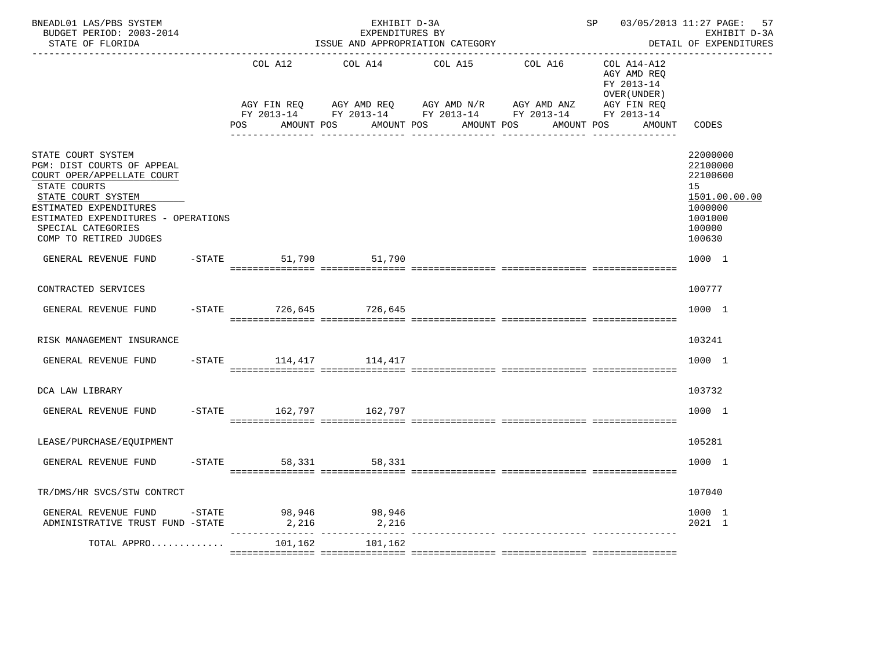| BNEADL01 LAS/PBS SYSTEM<br>BUDGET PERIOD: 2003-2014<br>STATE OF FLORIDA                                                                                                                                                               |                        | EXHIBIT D-3A<br>EXPENDITURES BY    | ISSUE AND APPROPRIATION CATEGORY                                                            | SP 03/05/2013 11:27 PAGE:                                               | 57<br>EXHIBIT D-3A<br>DETAIL OF EXPENDITURES                                                      |
|---------------------------------------------------------------------------------------------------------------------------------------------------------------------------------------------------------------------------------------|------------------------|------------------------------------|---------------------------------------------------------------------------------------------|-------------------------------------------------------------------------|---------------------------------------------------------------------------------------------------|
|                                                                                                                                                                                                                                       | COL A12<br>AGY FIN REQ | COL A14<br>AGY AMD REQ AGY AMD N/R | COL A15<br>COL A16<br>AGY AMD ANZ<br>FY 2013-14 FY 2013-14 FY 2013-14 FY 2013-14 FY 2013-14 | COL A14-A12<br>AGY AMD REQ<br>FY 2013-14<br>OVER (UNDER)<br>AGY FIN REQ |                                                                                                   |
|                                                                                                                                                                                                                                       | AMOUNT POS<br>POS DO   | AMOUNT POS                         | AMOUNT POS                                                                                  | AMOUNT POS<br>AMOUNT                                                    | CODES                                                                                             |
| STATE COURT SYSTEM<br>PGM: DIST COURTS OF APPEAL<br>COURT OPER/APPELLATE COURT<br>STATE COURTS<br>STATE COURT SYSTEM<br>ESTIMATED EXPENDITURES<br>ESTIMATED EXPENDITURES - OPERATIONS<br>SPECIAL CATEGORIES<br>COMP TO RETIRED JUDGES |                        |                                    |                                                                                             |                                                                         | 22000000<br>22100000<br>22100600<br>15<br>1501.00.00.00<br>1000000<br>1001000<br>100000<br>100630 |
| GENERAL REVENUE FUND                                                                                                                                                                                                                  | -STATE 51,790 51,790   |                                    |                                                                                             |                                                                         | 1000 1                                                                                            |
| CONTRACTED SERVICES                                                                                                                                                                                                                   |                        |                                    |                                                                                             |                                                                         | 100777                                                                                            |
| GENERAL REVENUE FUND                                                                                                                                                                                                                  | -STATE 726,645 726,645 |                                    |                                                                                             |                                                                         | 1000 1                                                                                            |
| RISK MANAGEMENT INSURANCE                                                                                                                                                                                                             |                        |                                    |                                                                                             |                                                                         | 103241                                                                                            |
| GENERAL REVENUE FUND                                                                                                                                                                                                                  | -STATE 114,417 114,417 |                                    |                                                                                             |                                                                         | 1000 1                                                                                            |
| DCA LAW LIBRARY                                                                                                                                                                                                                       |                        |                                    |                                                                                             |                                                                         | 103732                                                                                            |
| GENERAL REVENUE FUND                                                                                                                                                                                                                  | -STATE 162,797 162,797 |                                    |                                                                                             |                                                                         | 1000 1                                                                                            |
| LEASE/PURCHASE/EQUIPMENT                                                                                                                                                                                                              |                        |                                    |                                                                                             |                                                                         | 105281                                                                                            |
| GENERAL REVENUE FUND                                                                                                                                                                                                                  | $-STATE$<br>58,331     | 58,331                             |                                                                                             |                                                                         | 1000 1                                                                                            |
| TR/DMS/HR SVCS/STW CONTRCT                                                                                                                                                                                                            |                        |                                    |                                                                                             |                                                                         | 107040                                                                                            |
| GENERAL REVENUE FUND $-$ STATE 98,946 98,946<br>ADMINISTRATIVE TRUST FUND -STATE                                                                                                                                                      | 2,216                  | 2,216                              |                                                                                             |                                                                         | 1000 1<br>2021 1                                                                                  |
| TOTAL APPRO                                                                                                                                                                                                                           | 101,162                | 101,162                            |                                                                                             |                                                                         |                                                                                                   |
|                                                                                                                                                                                                                                       |                        |                                    |                                                                                             |                                                                         |                                                                                                   |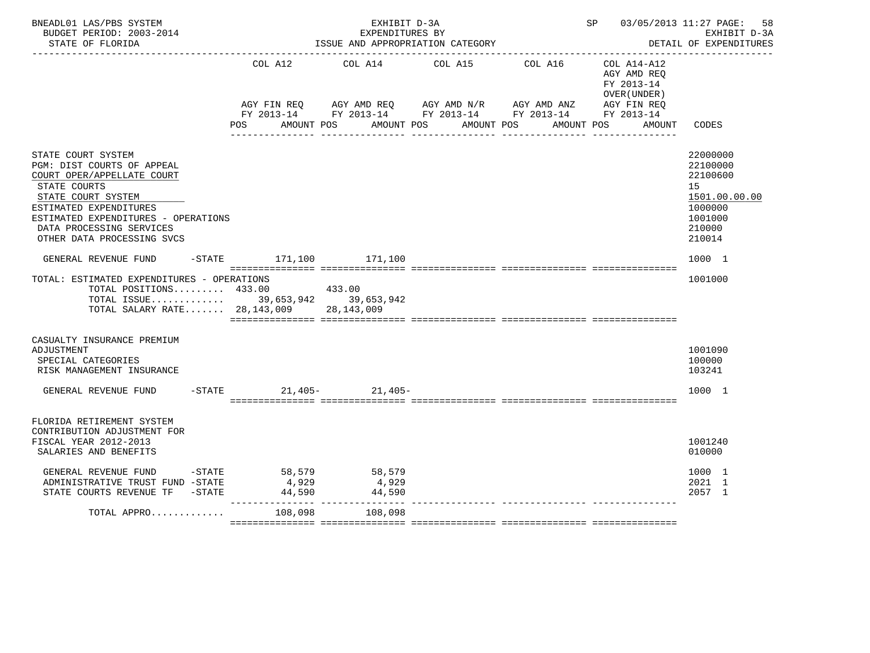| BNEADL01 LAS/PBS SYSTEM<br>BUDGET PERIOD: 2003-2014<br>STATE OF FLORIDA                                                                                                                                                                         |                             | EXHIBIT D-3A<br>EXPENDITURES BY         | ISSUE AND APPROPRIATION CATEGORY                                                                                                         |                                                                     | SP 03/05/2013 11:27 PAGE:<br>58<br>EXHIBIT D-3A<br>DETAIL OF EXPENDITURES                         |
|-------------------------------------------------------------------------------------------------------------------------------------------------------------------------------------------------------------------------------------------------|-----------------------------|-----------------------------------------|------------------------------------------------------------------------------------------------------------------------------------------|---------------------------------------------------------------------|---------------------------------------------------------------------------------------------------|
|                                                                                                                                                                                                                                                 | COL A12                     |                                         | COL A14 COL A15<br>AGY FIN REQ AGY AMD REQ AGY AMD N/R AGY AMD ANZ AGY FIN REQ<br>FY 2013-14 FY 2013-14 FY 2013-14 FY 2013-14 FY 2013-14 | COL A16<br>COL A14-A12<br>AGY AMD REO<br>FY 2013-14<br>OVER (UNDER) |                                                                                                   |
|                                                                                                                                                                                                                                                 | <b>POS</b>                  | AMOUNT POS                              | AMOUNT POS<br>AMOUNT POS                                                                                                                 | AMOUNT POS                                                          | CODES<br>AMOUNT                                                                                   |
| STATE COURT SYSTEM<br>PGM: DIST COURTS OF APPEAL<br>COURT OPER/APPELLATE COURT<br>STATE COURTS<br>STATE COURT SYSTEM<br>ESTIMATED EXPENDITURES<br>ESTIMATED EXPENDITURES - OPERATIONS<br>DATA PROCESSING SERVICES<br>OTHER DATA PROCESSING SVCS |                             |                                         |                                                                                                                                          |                                                                     | 22000000<br>22100000<br>22100600<br>15<br>1501.00.00.00<br>1000000<br>1001000<br>210000<br>210014 |
| GENERAL REVENUE FUND -STATE 171,100 171,100                                                                                                                                                                                                     |                             |                                         |                                                                                                                                          |                                                                     | 1000 1                                                                                            |
| TOTAL: ESTIMATED EXPENDITURES - OPERATIONS<br>TOTAL POSITIONS 433.00<br>TOTAL ISSUE 39,653,942 39,653,942<br>TOTAL SALARY RATE 28, 143, 009 28, 143, 009                                                                                        |                             | 433.00                                  |                                                                                                                                          |                                                                     | 1001000                                                                                           |
| CASUALTY INSURANCE PREMIUM<br>ADJUSTMENT<br>SPECIAL CATEGORIES<br>RISK MANAGEMENT INSURANCE                                                                                                                                                     |                             |                                         |                                                                                                                                          |                                                                     | 1001090<br>100000<br>103241                                                                       |
| GENERAL REVENUE FUND                                                                                                                                                                                                                            | $-$ STATE 21,405 - 21,405 - |                                         |                                                                                                                                          |                                                                     | 1000 1                                                                                            |
| FLORIDA RETIREMENT SYSTEM<br>CONTRIBUTION ADJUSTMENT FOR<br>FISCAL YEAR 2012-2013<br>SALARIES AND BENEFITS                                                                                                                                      |                             |                                         |                                                                                                                                          |                                                                     | 1001240<br>010000                                                                                 |
| GENERAL REVENUE FUND -STATE<br>ADMINISTRATIVE TRUST FUND -STATE<br>STATE COURTS REVENUE TF -STATE                                                                                                                                               | 4,929<br>44,590             | 58,579 58,579<br>4,929<br>44,590        |                                                                                                                                          |                                                                     | 1000 1<br>2021 1<br>2057 1                                                                        |
| TOTAL APPRO                                                                                                                                                                                                                                     | 108,098                     | ----------- ----------------<br>108,098 |                                                                                                                                          |                                                                     |                                                                                                   |
|                                                                                                                                                                                                                                                 |                             |                                         |                                                                                                                                          |                                                                     |                                                                                                   |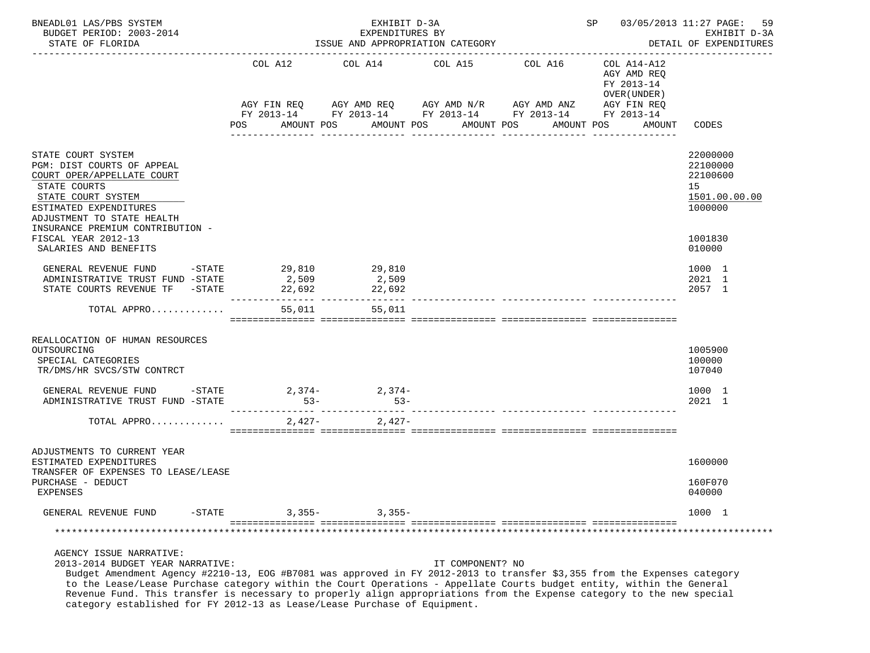| BNEADL01 LAS/PBS SYSTEM<br>BUDGET PERIOD: 2003-2014<br>STATE OF FLORIDA                                                                                                                                                                                                                                                                                                       |                                            | EXHIBIT D-3A<br>EXPENDITURES BY     | ISSUE AND APPROPRIATION CATEGORY                                                                                             |             | SP 03/05/2013 11:27 PAGE:                                                | 59<br>EXHIBIT D-3A<br>DETAIL OF EXPENDITURES                                                                          |
|-------------------------------------------------------------------------------------------------------------------------------------------------------------------------------------------------------------------------------------------------------------------------------------------------------------------------------------------------------------------------------|--------------------------------------------|-------------------------------------|------------------------------------------------------------------------------------------------------------------------------|-------------|--------------------------------------------------------------------------|-----------------------------------------------------------------------------------------------------------------------|
|                                                                                                                                                                                                                                                                                                                                                                               | COL A12                                    | COL A14                             | COL A15 COL A16<br>AGY FIN REQ AGY AMD REQ AGY AMD N/R AGY AMD ANZ<br>FY 2013-14 FY 2013-14 FY 2013-14 FY 2013-14 FY 2013-14 |             | COL A14-A12<br>AGY AMD REQ<br>FY 2013-14<br>OVER (UNDER )<br>AGY FIN REQ |                                                                                                                       |
|                                                                                                                                                                                                                                                                                                                                                                               | POS                                        | AMOUNT POS                          | AMOUNT POS<br>AMOUNT POS                                                                                                     | AMOUNT POS  | AMOUNT                                                                   | CODES                                                                                                                 |
| STATE COURT SYSTEM<br>PGM: DIST COURTS OF APPEAL<br>COURT OPER/APPELLATE COURT<br>STATE COURTS<br>STATE COURT SYSTEM<br>ESTIMATED EXPENDITURES<br>ADJUSTMENT TO STATE HEALTH<br>INSURANCE PREMIUM CONTRIBUTION -<br>FISCAL YEAR 2012-13<br>SALARIES AND BENEFITS<br>GENERAL REVENUE FUND<br>ADMINISTRATIVE TRUST FUND -STATE<br>STATE COURTS REVENUE TF -STATE<br>TOTAL APPRO | $-$ STATE 29,810 29,810<br>2,509<br>22,692 | 2,509<br>22,692<br>55,011<br>55,011 | ----------                                                                                                                   | ----------- |                                                                          | 22000000<br>22100000<br>22100600<br>15<br>1501.00.00.00<br>1000000<br>1001830<br>010000<br>1000 1<br>2021 1<br>2057 1 |
| REALLOCATION OF HUMAN RESOURCES<br>OUTSOURCING<br>SPECIAL CATEGORIES<br>TR/DMS/HR SVCS/STW CONTRCT                                                                                                                                                                                                                                                                            |                                            |                                     |                                                                                                                              |             |                                                                          | 1005900<br>100000<br>107040                                                                                           |
| GENERAL REVENUE FUND -STATE<br>ADMINISTRATIVE TRUST FUND -STATE                                                                                                                                                                                                                                                                                                               | $53-$                                      | $2,374-2,374-$<br>$53-$             |                                                                                                                              |             |                                                                          | 1000 1<br>2021 1                                                                                                      |
| TOTAL APPRO                                                                                                                                                                                                                                                                                                                                                                   |                                            | $2,427-2,427-$                      |                                                                                                                              |             |                                                                          |                                                                                                                       |
| ADJUSTMENTS TO CURRENT YEAR<br>ESTIMATED EXPENDITURES<br>TRANSFER OF EXPENSES TO LEASE/LEASE<br>PURCHASE - DEDUCT<br>EXPENSES                                                                                                                                                                                                                                                 |                                            |                                     |                                                                                                                              |             |                                                                          | 1600000<br>160F070<br>040000                                                                                          |
| $-$ STATE<br>GENERAL REVENUE FUND                                                                                                                                                                                                                                                                                                                                             | $3,355-$                                   | $3,355-$                            |                                                                                                                              |             |                                                                          | 1000 1                                                                                                                |
|                                                                                                                                                                                                                                                                                                                                                                               |                                            |                                     |                                                                                                                              |             |                                                                          |                                                                                                                       |
| AGENCY ISSUE NARRATIVE:<br>2013-2014 BUDGET YEAR NARRATIVE:<br>Budget Amendment Agency #2210-13, EOG #B7081 was approved in FY 2012-2013 to transfer \$3,355 from the Expenses category                                                                                                                                                                                       |                                            |                                     | IT COMPONENT? NO                                                                                                             |             |                                                                          |                                                                                                                       |

 to the Lease/Lease Purchase category within the Court Operations - Appellate Courts budget entity, within the General Revenue Fund. This transfer is necessary to properly align appropriations from the Expense category to the new special category established for FY 2012-13 as Lease/Lease Purchase of Equipment.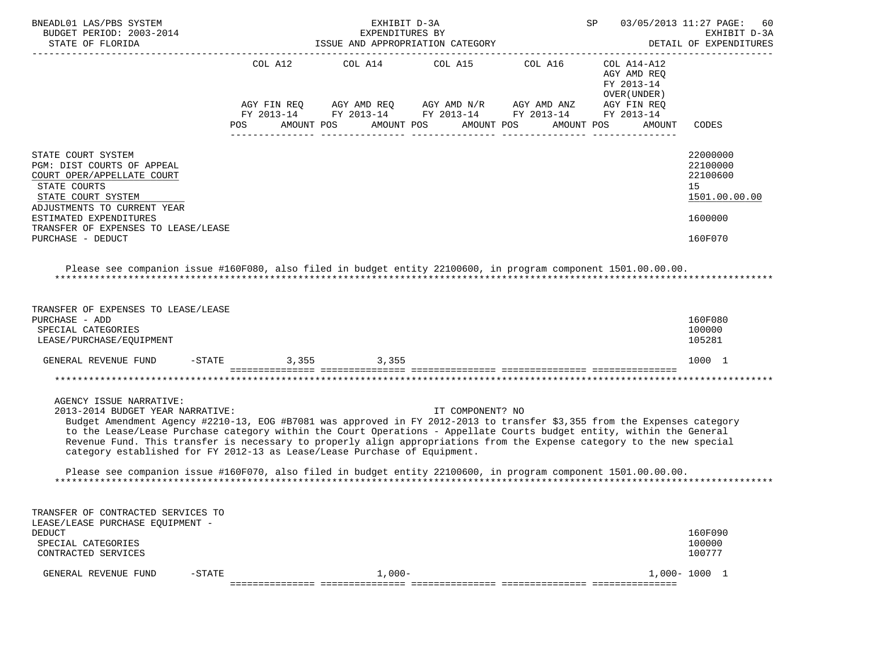| BNEADL01 LAS/PBS SYSTEM<br>BUDGET PERIOD: 2003-2014                                                                                                                                                                                                                                                                                                                                                                                                                                                                                                                                                                                       |                    | EXHIBIT D-3A<br>EXPENDITURES BY |                                  |                                                                                                                                                            | SP                                                        | 03/05/2013 11:27 PAGE:<br>60<br>EXHIBIT D-3A<br>DETAIL OF EXPENDITURES        |
|-------------------------------------------------------------------------------------------------------------------------------------------------------------------------------------------------------------------------------------------------------------------------------------------------------------------------------------------------------------------------------------------------------------------------------------------------------------------------------------------------------------------------------------------------------------------------------------------------------------------------------------------|--------------------|---------------------------------|----------------------------------|------------------------------------------------------------------------------------------------------------------------------------------------------------|-----------------------------------------------------------|-------------------------------------------------------------------------------|
|                                                                                                                                                                                                                                                                                                                                                                                                                                                                                                                                                                                                                                           |                    |                                 |                                  | COL A12 COL A14 COL A15 COL A16 COL A14-A12<br>AGY FIN REQ AGY AMD REQ AGY AMD $N/R$ AGY AMD ANZ<br>FY 2013-14 FY 2013-14 FY 2013-14 FY 2013-14 FY 2013-14 | AGY AMD REQ<br>FY 2013-14<br>OVER (UNDER )<br>AGY FIN REQ |                                                                               |
|                                                                                                                                                                                                                                                                                                                                                                                                                                                                                                                                                                                                                                           | <b>POS</b>         |                                 | AMOUNT POS AMOUNT POS AMOUNT POS |                                                                                                                                                            | AMOUNT POS<br>AMOUNT                                      | CODES                                                                         |
| STATE COURT SYSTEM<br>PGM: DIST COURTS OF APPEAL<br>COURT OPER/APPELLATE COURT<br>STATE COURTS<br>STATE COURT SYSTEM<br>ADJUSTMENTS TO CURRENT YEAR<br>ESTIMATED EXPENDITURES<br>TRANSFER OF EXPENSES TO LEASE/LEASE<br>PURCHASE - DEDUCT                                                                                                                                                                                                                                                                                                                                                                                                 |                    |                                 |                                  |                                                                                                                                                            |                                                           | 22000000<br>22100000<br>22100600<br>15<br>1501.00.00.00<br>1600000<br>160F070 |
| Please see companion issue #160F080, also filed in budget entity 22100600, in program component 1501.00.00.00.                                                                                                                                                                                                                                                                                                                                                                                                                                                                                                                            |                    |                                 |                                  |                                                                                                                                                            |                                                           |                                                                               |
|                                                                                                                                                                                                                                                                                                                                                                                                                                                                                                                                                                                                                                           |                    |                                 |                                  |                                                                                                                                                            |                                                           |                                                                               |
| TRANSFER OF EXPENSES TO LEASE/LEASE<br>PURCHASE - ADD<br>SPECIAL CATEGORIES<br>LEASE/PURCHASE/EQUIPMENT                                                                                                                                                                                                                                                                                                                                                                                                                                                                                                                                   |                    |                                 |                                  |                                                                                                                                                            |                                                           | 160F080<br>100000<br>105281                                                   |
| GENERAL REVENUE FUND                                                                                                                                                                                                                                                                                                                                                                                                                                                                                                                                                                                                                      | -STATE 3,355 3,355 |                                 |                                  |                                                                                                                                                            |                                                           | 1000 1                                                                        |
|                                                                                                                                                                                                                                                                                                                                                                                                                                                                                                                                                                                                                                           |                    |                                 |                                  |                                                                                                                                                            |                                                           |                                                                               |
| AGENCY ISSUE NARRATIVE:<br>2013-2014 BUDGET YEAR NARRATIVE:<br>Budget Amendment Agency #2210-13, EOG #B7081 was approved in FY 2012-2013 to transfer \$3,355 from the Expenses category<br>to the Lease/Lease Purchase category within the Court Operations - Appellate Courts budget entity, within the General<br>Revenue Fund. This transfer is necessary to properly align appropriations from the Expense category to the new special<br>category established for FY 2012-13 as Lease/Lease Purchase of Equipment.<br>Please see companion issue #160F070, also filed in budget entity 22100600, in program component 1501.00.00.00. |                    |                                 | IT COMPONENT? NO                 |                                                                                                                                                            |                                                           |                                                                               |
| TRANSFER OF CONTRACTED SERVICES TO<br>LEASE/LEASE PURCHASE EOUIPMENT -                                                                                                                                                                                                                                                                                                                                                                                                                                                                                                                                                                    |                    |                                 |                                  |                                                                                                                                                            |                                                           |                                                                               |
| <b>DEDUCT</b><br>SPECIAL CATEGORIES<br>CONTRACTED SERVICES                                                                                                                                                                                                                                                                                                                                                                                                                                                                                                                                                                                |                    |                                 |                                  |                                                                                                                                                            |                                                           | 160F090<br>100000<br>100777                                                   |
| GENERAL REVENUE FUND<br>$-STATE$                                                                                                                                                                                                                                                                                                                                                                                                                                                                                                                                                                                                          |                    | $1,000-$                        |                                  |                                                                                                                                                            |                                                           | $1,000 - 1000$ 1                                                              |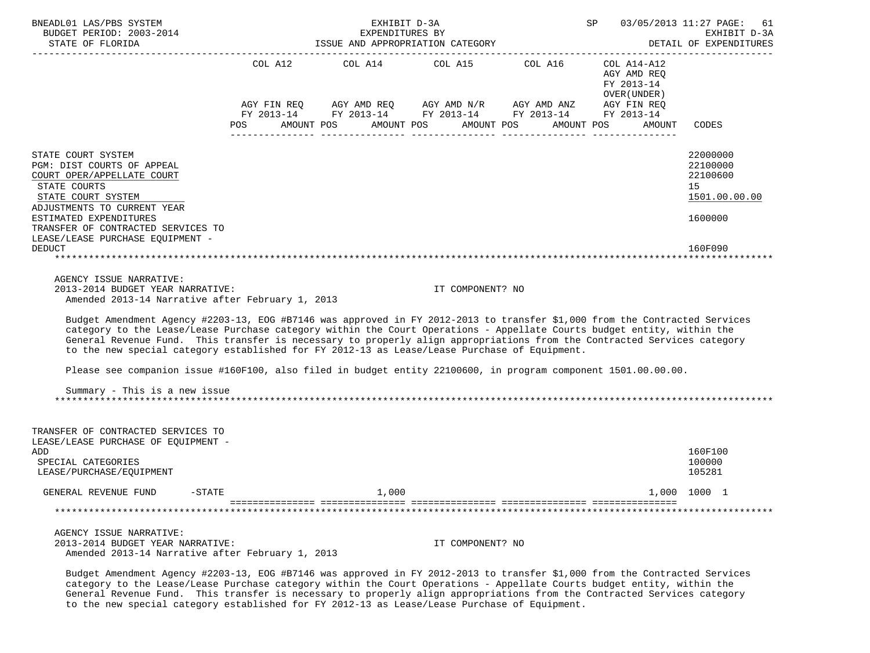| BNEADL01 LAS/PBS SYSTEM<br>BUDGET PERIOD: 2003-2014<br>STATE OF FLORIDA                                                                                                                                                                                                                                                                                                                                                                                                         |     | EXHIBIT D-3A<br>EXPENDITURES BY<br>ISSUE AND APPROPRIATION CATEGORY |                       | SP 03/05/2013 11:27 PAGE:                                                                                             | 61<br>EXHIBIT D-3A<br>DETAIL OF EXPENDITURES |                                        |
|---------------------------------------------------------------------------------------------------------------------------------------------------------------------------------------------------------------------------------------------------------------------------------------------------------------------------------------------------------------------------------------------------------------------------------------------------------------------------------|-----|---------------------------------------------------------------------|-----------------------|-----------------------------------------------------------------------------------------------------------------------|----------------------------------------------|----------------------------------------|
|                                                                                                                                                                                                                                                                                                                                                                                                                                                                                 |     |                                                                     |                       | COL A12 COL A14 COL A15 COL A16 COL A14-A12                                                                           | AGY AMD REQ<br>FY 2013-14<br>OVER (UNDER )   |                                        |
|                                                                                                                                                                                                                                                                                                                                                                                                                                                                                 |     |                                                                     |                       | AGY FIN REQ AGY AMD REQ AGY AMD N/R AGY AMD ANZ AGY FIN REQ<br>FY 2013-14 FY 2013-14 FY 2013-14 FY 2013-14 FY 2013-14 |                                              |                                        |
|                                                                                                                                                                                                                                                                                                                                                                                                                                                                                 | POS | AMOUNT POS                                                          | AMOUNT POS AMOUNT POS |                                                                                                                       | AMOUNT POS<br>AMOUNT                         | CODES                                  |
|                                                                                                                                                                                                                                                                                                                                                                                                                                                                                 |     |                                                                     |                       |                                                                                                                       |                                              |                                        |
| STATE COURT SYSTEM<br>PGM: DIST COURTS OF APPEAL<br>COURT OPER/APPELLATE COURT<br>STATE COURTS                                                                                                                                                                                                                                                                                                                                                                                  |     |                                                                     |                       |                                                                                                                       |                                              | 22000000<br>22100000<br>22100600<br>15 |
| STATE COURT SYSTEM                                                                                                                                                                                                                                                                                                                                                                                                                                                              |     |                                                                     |                       |                                                                                                                       |                                              | 1501.00.00.00                          |
| ADJUSTMENTS TO CURRENT YEAR<br>ESTIMATED EXPENDITURES<br>TRANSFER OF CONTRACTED SERVICES TO                                                                                                                                                                                                                                                                                                                                                                                     |     |                                                                     |                       |                                                                                                                       |                                              | 1600000                                |
| LEASE/LEASE PURCHASE EQUIPMENT -<br><b>DEDUCT</b>                                                                                                                                                                                                                                                                                                                                                                                                                               |     |                                                                     |                       |                                                                                                                       |                                              | 160F090                                |
|                                                                                                                                                                                                                                                                                                                                                                                                                                                                                 |     |                                                                     |                       |                                                                                                                       |                                              |                                        |
| AGENCY ISSUE NARRATIVE:<br>2013-2014 BUDGET YEAR NARRATIVE:<br>Amended 2013-14 Narrative after February 1, 2013                                                                                                                                                                                                                                                                                                                                                                 |     |                                                                     | IT COMPONENT? NO      |                                                                                                                       |                                              |                                        |
| Budget Amendment Agency #2203-13, EOG #B7146 was approved in FY 2012-2013 to transfer \$1,000 from the Contracted Services<br>category to the Lease/Lease Purchase category within the Court Operations - Appellate Courts budget entity, within the<br>General Revenue Fund. This transfer is necessary to properly align appropriations from the Contracted Services category<br>to the new special category established for FY 2012-13 as Lease/Lease Purchase of Equipment. |     |                                                                     |                       |                                                                                                                       |                                              |                                        |
| Please see companion issue #160F100, also filed in budget entity 22100600, in program component 1501.00.00.00.                                                                                                                                                                                                                                                                                                                                                                  |     |                                                                     |                       |                                                                                                                       |                                              |                                        |
| Summary - This is a new issue                                                                                                                                                                                                                                                                                                                                                                                                                                                   |     |                                                                     |                       |                                                                                                                       |                                              |                                        |
| TRANSFER OF CONTRACTED SERVICES TO<br>LEASE/LEASE PURCHASE OF EQUIPMENT -                                                                                                                                                                                                                                                                                                                                                                                                       |     |                                                                     |                       |                                                                                                                       |                                              |                                        |
| ADD<br>SPECIAL CATEGORIES<br>LEASE/PURCHASE/EQUIPMENT                                                                                                                                                                                                                                                                                                                                                                                                                           |     |                                                                     |                       |                                                                                                                       |                                              | 160F100<br>100000<br>105281            |
| GENERAL REVENUE FUND<br>$-STATE$                                                                                                                                                                                                                                                                                                                                                                                                                                                |     | 1,000                                                               |                       |                                                                                                                       |                                              | 1,000 1000 1                           |
|                                                                                                                                                                                                                                                                                                                                                                                                                                                                                 |     |                                                                     |                       |                                                                                                                       |                                              |                                        |
|                                                                                                                                                                                                                                                                                                                                                                                                                                                                                 |     |                                                                     |                       |                                                                                                                       |                                              |                                        |
| AGENCY ISSUE NARRATIVE:<br>2013-2014 BUDGET YEAR NARRATIVE:<br>Amended 2013-14 Narrative after February 1, 2013                                                                                                                                                                                                                                                                                                                                                                 |     |                                                                     | IT COMPONENT? NO      |                                                                                                                       |                                              |                                        |

 Budget Amendment Agency #2203-13, EOG #B7146 was approved in FY 2012-2013 to transfer \$1,000 from the Contracted Services category to the Lease/Lease Purchase category within the Court Operations - Appellate Courts budget entity, within the General Revenue Fund. This transfer is necessary to properly align appropriations from the Contracted Services category to the new special category established for FY 2012-13 as Lease/Lease Purchase of Equipment.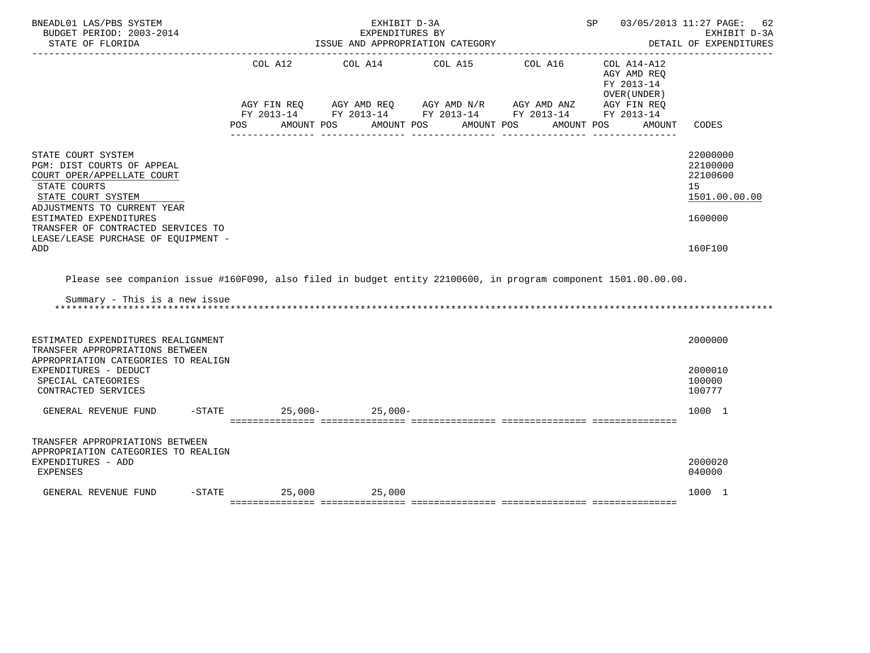| BNEADL01 LAS/PBS SYSTEM<br>BUDGET PERIOD: 2003-2014<br>STATE OF FLORIDA                                                                                                                                                                                           |                    | EXHIBIT D-3A<br>EXPENDITURES BY<br>ISSUE AND APPROPRIATION CATEGORY                                                                                                               | SP                       |                                                                    | 03/05/2013 11:27 PAGE:<br>62<br>EXHIBIT D-3A<br>DETAIL OF EXPENDITURES<br>------------- |
|-------------------------------------------------------------------------------------------------------------------------------------------------------------------------------------------------------------------------------------------------------------------|--------------------|-----------------------------------------------------------------------------------------------------------------------------------------------------------------------------------|--------------------------|--------------------------------------------------------------------|-----------------------------------------------------------------------------------------|
|                                                                                                                                                                                                                                                                   | POS                | COL A12 COL A14 COL A15 COL A16<br>AGY FIN REQ AGY AMD REQ AGY AMD N/R AGY AMD ANZ AGY FIN REQ<br>FY 2013-14 FY 2013-14 FY 2013-14 FY 2013-14 FY 2013-14<br>AMOUNT POS AMOUNT POS | AMOUNT POS<br>AMOUNT POS | COL A14-A12<br>AGY AMD REQ<br>FY 2013-14<br>OVER (UNDER)<br>AMOUNT | CODES                                                                                   |
| STATE COURT SYSTEM<br>PGM: DIST COURTS OF APPEAL<br>COURT OPER/APPELLATE COURT<br>STATE COURTS<br>STATE COURT SYSTEM<br>ADJUSTMENTS TO CURRENT YEAR<br>ESTIMATED EXPENDITURES<br>TRANSFER OF CONTRACTED SERVICES TO<br>LEASE/LEASE PURCHASE OF EQUIPMENT -<br>ADD |                    |                                                                                                                                                                                   |                          |                                                                    | 22000000<br>22100000<br>22100600<br>15<br>1501.00.00.00<br>1600000<br>160F100           |
| Please see companion issue #160F090, also filed in budget entity 22100600, in program component 1501.00.00.00.<br>Summary - This is a new issue                                                                                                                   |                    |                                                                                                                                                                                   |                          |                                                                    |                                                                                         |
| ESTIMATED EXPENDITURES REALIGNMENT<br>TRANSFER APPROPRIATIONS BETWEEN<br>APPROPRIATION CATEGORIES TO REALIGN<br>EXPENDITURES - DEDUCT<br>SPECIAL CATEGORIES<br>CONTRACTED SERVICES                                                                                |                    |                                                                                                                                                                                   |                          |                                                                    | 2000000<br>2000010<br>100000<br>100777                                                  |
| GENERAL REVENUE FUND                                                                                                                                                                                                                                              | $-STATE$           | $25.000 - 25.000 -$                                                                                                                                                               |                          |                                                                    | 1000 1                                                                                  |
| TRANSFER APPROPRIATIONS BETWEEN<br>APPROPRIATION CATEGORIES TO REALIGN<br>EXPENDITURES - ADD<br><b>EXPENSES</b>                                                                                                                                                   |                    |                                                                                                                                                                                   |                          |                                                                    | 2000020<br>040000                                                                       |
| GENERAL REVENUE FUND                                                                                                                                                                                                                                              | $-STATE$<br>25,000 | 25,000                                                                                                                                                                            |                          |                                                                    | 1000 1                                                                                  |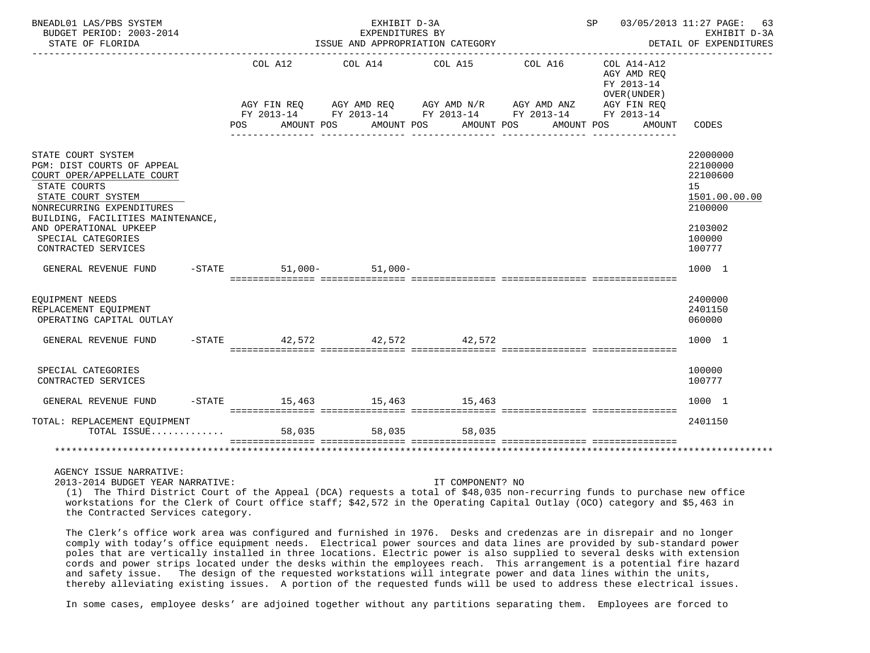| BNEADL01 LAS/PBS SYSTEM<br>BUDGET PERIOD: 2003-2014<br>STATE OF FLORIDA                                                                                                                                                                                       |                                  | EXHIBIT D-3A     | EXPENDITURES BY<br>ISSUE AND APPROPRIATION CATEGORY |                                                                                                                                  | SP 03/05/2013 11:27 PAGE: 63                                                      | EXHIBIT D-3A<br>DETAIL OF EXPENDITURES                                                            |
|---------------------------------------------------------------------------------------------------------------------------------------------------------------------------------------------------------------------------------------------------------------|----------------------------------|------------------|-----------------------------------------------------|----------------------------------------------------------------------------------------------------------------------------------|-----------------------------------------------------------------------------------|---------------------------------------------------------------------------------------------------|
|                                                                                                                                                                                                                                                               | COL A12<br>AMOUNT POS<br>POS FOR | COL A14          | COL A15<br>AMOUNT POS AMOUNT POS                    | COL A16<br>AGY FIN REQ AGY AMD REQ AGY AMD N/R AGY AMD ANZ AGY FIN REQ<br>FY 2013-14 FY 2013-14 FY 2013-14 FY 2013-14 FY 2013-14 | COL A14-A12<br>AGY AMD REO<br>FY 2013-14<br>OVER (UNDER )<br>AMOUNT POS<br>AMOUNT | CODES                                                                                             |
| STATE COURT SYSTEM<br>PGM: DIST COURTS OF APPEAL<br>COURT OPER/APPELLATE COURT<br>STATE COURTS<br>STATE COURT SYSTEM<br>NONRECURRING EXPENDITURES<br>BUILDING, FACILITIES MAINTENANCE,<br>AND OPERATIONAL UPKEEP<br>SPECIAL CATEGORIES<br>CONTRACTED SERVICES |                                  |                  |                                                     |                                                                                                                                  |                                                                                   | 22000000<br>22100000<br>22100600<br>15<br>1501.00.00.00<br>2100000<br>2103002<br>100000<br>100777 |
| GENERAL REVENUE FUND                                                                                                                                                                                                                                          | $-STATE$                         | $51,000 51,000-$ |                                                     |                                                                                                                                  |                                                                                   | 1000 1                                                                                            |
| EQUIPMENT NEEDS<br>REPLACEMENT EOUIPMENT<br>OPERATING CAPITAL OUTLAY                                                                                                                                                                                          |                                  |                  |                                                     |                                                                                                                                  |                                                                                   | 2400000<br>2401150<br>060000                                                                      |
| GENERAL REVENUE FUND                                                                                                                                                                                                                                          |                                  |                  | $-STATE$ 42,572 42,572 42,572 42,572                |                                                                                                                                  |                                                                                   | 1000 1                                                                                            |
| SPECIAL CATEGORIES<br>CONTRACTED SERVICES                                                                                                                                                                                                                     |                                  |                  |                                                     |                                                                                                                                  |                                                                                   | 100000<br>100777                                                                                  |
| GENERAL REVENUE FUND                                                                                                                                                                                                                                          |                                  |                  | $-$ STATE $-$ 15,463 $-$ 15,463 $-$ 15,463          |                                                                                                                                  |                                                                                   | 1000 1                                                                                            |
| TOTAL: REPLACEMENT EOUIPMENT<br>TOTAL ISSUE                                                                                                                                                                                                                   | 58,035                           | 58,035           | 58,035                                              |                                                                                                                                  |                                                                                   | 2401150                                                                                           |
|                                                                                                                                                                                                                                                               |                                  |                  |                                                     |                                                                                                                                  |                                                                                   |                                                                                                   |
| AGENCY ISSUE NARRATIVE:                                                                                                                                                                                                                                       |                                  |                  |                                                     |                                                                                                                                  |                                                                                   |                                                                                                   |

2013-2014 BUDGET YEAR NARRATIVE: IT COMPONENT? NO

 (1) The Third District Court of the Appeal (DCA) requests a total of \$48,035 non-recurring funds to purchase new office workstations for the Clerk of Court office staff; \$42,572 in the Operating Capital Outlay (OCO) category and \$5,463 in the Contracted Services category.

 The Clerk's office work area was configured and furnished in 1976. Desks and credenzas are in disrepair and no longer comply with today's office equipment needs. Electrical power sources and data lines are provided by sub-standard power poles that are vertically installed in three locations. Electric power is also supplied to several desks with extension cords and power strips located under the desks within the employees reach. This arrangement is a potential fire hazard and safety issue. The design of the requested workstations will integrate power and data lines within the units, thereby alleviating existing issues. A portion of the requested funds will be used to address these electrical issues.

In some cases, employee desks' are adjoined together without any partitions separating them. Employees are forced to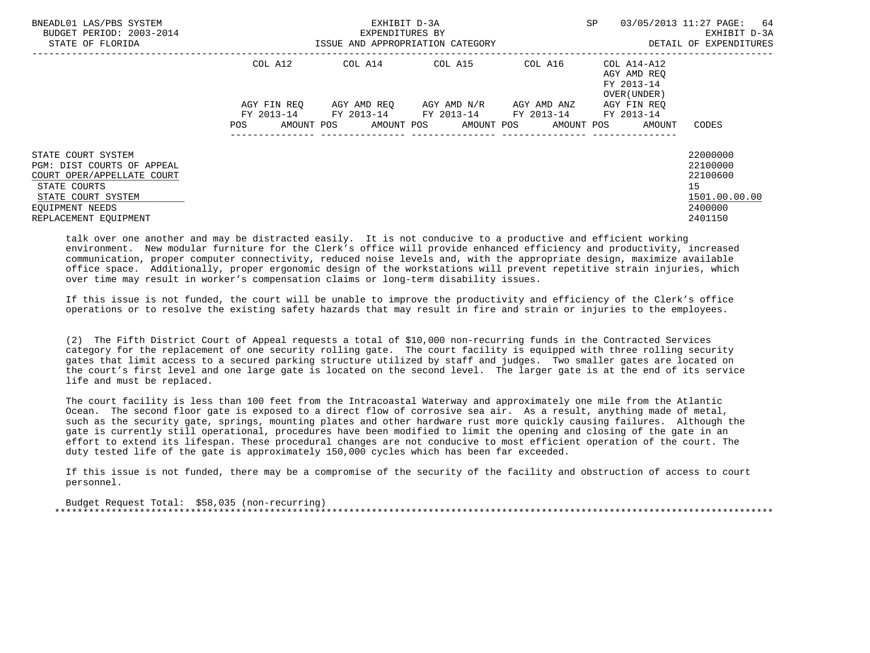| BNEADL01 LAS/PBS SYSTEM<br>BUDGET PERIOD: 2003-2014<br>STATE OF FLORIDA        |                          | EXHIBIT D-3A<br>EXPENDITURES BY<br>ISSUE AND APPROPRIATION CATEGORY | <b>SP</b>               | 03/05/2013 11:27 PAGE:<br>-64<br>EXHIBIT D-3A<br>DETAIL OF EXPENDITURES |                                                                  |                                  |
|--------------------------------------------------------------------------------|--------------------------|---------------------------------------------------------------------|-------------------------|-------------------------------------------------------------------------|------------------------------------------------------------------|----------------------------------|
|                                                                                | COL A12                  | COL A14 COL A15                                                     |                         |                                                                         | COL A16 COL A14-A12<br>AGY AMD REO<br>FY 2013-14<br>OVER (UNDER) |                                  |
|                                                                                | AGY FIN REO              |                                                                     | AGY AMD REQ AGY AMD N/R | AGY AMD ANZ                                                             | AGY FIN REQ                                                      |                                  |
|                                                                                | AMOUNT POS<br><b>POS</b> | FY 2013-14 FY 2013-14 FY 2013-14                                    |                         | FY 2013-14 FY 2013-14<br>AMOUNT POS AMOUNT POS AMOUNT POS               | AMOUNT                                                           | CODES                            |
| STATE COURT SYSTEM<br>PGM: DIST COURTS OF APPEAL<br>COURT OPER/APPELLATE COURT |                          |                                                                     |                         |                                                                         |                                                                  | 22000000<br>22100000<br>22100600 |
| STATE COURTS<br>STATE COURT SYSTEM                                             |                          |                                                                     |                         |                                                                         |                                                                  | 15<br>1501.00.00.00              |
| EOUIPMENT NEEDS<br>REPLACEMENT EOUIPMENT                                       |                          |                                                                     |                         |                                                                         |                                                                  | 2400000<br>2401150               |

 talk over one another and may be distracted easily. It is not conducive to a productive and efficient working environment. New modular furniture for the Clerk's office will provide enhanced efficiency and productivity, increased communication, proper computer connectivity, reduced noise levels and, with the appropriate design, maximize available office space. Additionally, proper ergonomic design of the workstations will prevent repetitive strain injuries, which over time may result in worker's compensation claims or long-term disability issues.

 If this issue is not funded, the court will be unable to improve the productivity and efficiency of the Clerk's office operations or to resolve the existing safety hazards that may result in fire and strain or injuries to the employees.

 (2) The Fifth District Court of Appeal requests a total of \$10,000 non-recurring funds in the Contracted Services category for the replacement of one security rolling gate. The court facility is equipped with three rolling security gates that limit access to a secured parking structure utilized by staff and judges. Two smaller gates are located on the court's first level and one large gate is located on the second level. The larger gate is at the end of its service life and must be replaced.

 The court facility is less than 100 feet from the Intracoastal Waterway and approximately one mile from the Atlantic Ocean. The second floor gate is exposed to a direct flow of corrosive sea air. As a result, anything made of metal, such as the security gate, springs, mounting plates and other hardware rust more quickly causing failures. Although the gate is currently still operational, procedures have been modified to limit the opening and closing of the gate in an effort to extend its lifespan. These procedural changes are not conducive to most efficient operation of the court. The duty tested life of the gate is approximately 150,000 cycles which has been far exceeded.

 If this issue is not funded, there may be a compromise of the security of the facility and obstruction of access to court personnel.

 Budget Request Total: \$58,035 (non-recurring) \*\*\*\*\*\*\*\*\*\*\*\*\*\*\*\*\*\*\*\*\*\*\*\*\*\*\*\*\*\*\*\*\*\*\*\*\*\*\*\*\*\*\*\*\*\*\*\*\*\*\*\*\*\*\*\*\*\*\*\*\*\*\*\*\*\*\*\*\*\*\*\*\*\*\*\*\*\*\*\*\*\*\*\*\*\*\*\*\*\*\*\*\*\*\*\*\*\*\*\*\*\*\*\*\*\*\*\*\*\*\*\*\*\*\*\*\*\*\*\*\*\*\*\*\*\*\*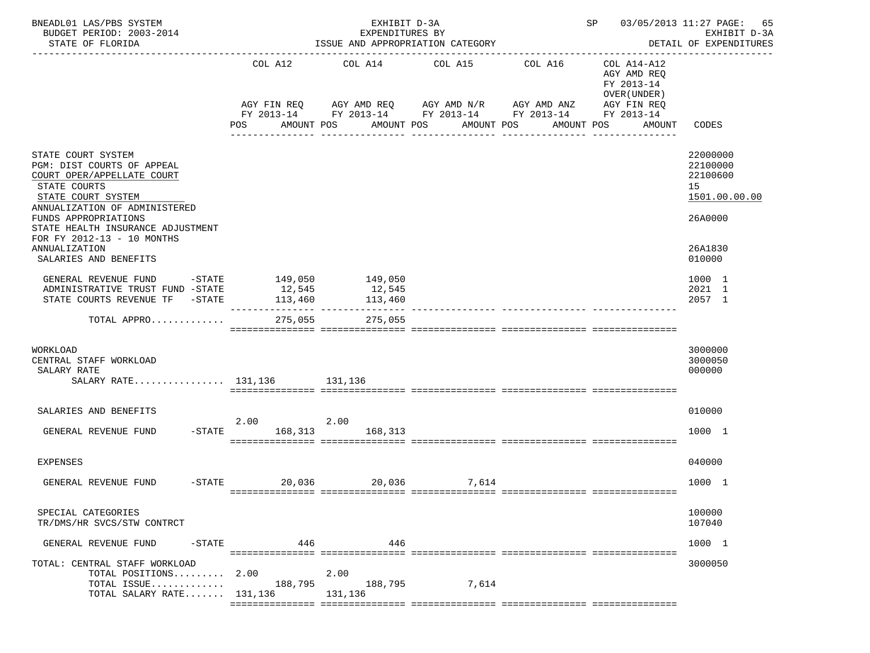| BNEADL01 LAS/PBS SYSTEM<br>BUDGET PERIOD: 2003-2014<br>STATE OF FLORIDA                                                                                                                                                                          |                                     | EXHIBIT D-3A<br>EXPENDITURES BY<br>ISSUE AND APPROPRIATION CATEGORY |                           | SP 03/05/2013 11:27 PAGE:<br>65<br>EXHIBIT D-3A<br>DETAIL OF EXPENDITURES |                                                                                       |                                                                    |
|--------------------------------------------------------------------------------------------------------------------------------------------------------------------------------------------------------------------------------------------------|-------------------------------------|---------------------------------------------------------------------|---------------------------|---------------------------------------------------------------------------|---------------------------------------------------------------------------------------|--------------------------------------------------------------------|
|                                                                                                                                                                                                                                                  | COL A12<br>AGY FIN REQ              | COL A14<br>AGY AMD REQ AGY AMD N/R AGY AMD ANZ                      | COL A15                   | COL A16<br>FY 2013-14 FY 2013-14 FY 2013-14 FY 2013-14                    | COL A14-A12<br>AGY AMD REQ<br>FY 2013-14<br>OVER (UNDER)<br>AGY FIN REQ<br>FY 2013-14 |                                                                    |
|                                                                                                                                                                                                                                                  | POS                                 | AMOUNT POS<br>AMOUNT POS                                            | AMOUNT POS<br>----------- | AMOUNT POS<br>-----------                                                 | AMOUNT                                                                                | CODES                                                              |
| STATE COURT SYSTEM<br>PGM: DIST COURTS OF APPEAL<br>COURT OPER/APPELLATE COURT<br>STATE COURTS<br>STATE COURT SYSTEM<br>ANNUALIZATION OF ADMINISTERED<br>FUNDS APPROPRIATIONS<br>STATE HEALTH INSURANCE ADJUSTMENT<br>FOR FY 2012-13 - 10 MONTHS |                                     |                                                                     |                           |                                                                           |                                                                                       | 22000000<br>22100000<br>22100600<br>15<br>1501.00.00.00<br>26A0000 |
| ANNUALIZATION<br>SALARIES AND BENEFITS                                                                                                                                                                                                           |                                     |                                                                     |                           |                                                                           |                                                                                       | 26A1830<br>010000                                                  |
| GENERAL REVENUE FUND<br>-STATE<br>ADMINISTRATIVE TRUST FUND -STATE<br>STATE COURTS REVENUE TF -STATE                                                                                                                                             | 149,050<br>12,545<br>113,460        | 149,050<br>12,545<br>113,460<br>----------- ----------------        |                           |                                                                           |                                                                                       | 1000 1<br>2021 1<br>2057 1                                         |
| TOTAL APPRO                                                                                                                                                                                                                                      | 275,055                             | 275,055                                                             |                           |                                                                           |                                                                                       |                                                                    |
| WORKLOAD<br>CENTRAL STAFF WORKLOAD<br>SALARY RATE<br>SALARY RATE 131,136 131,136                                                                                                                                                                 |                                     |                                                                     |                           |                                                                           |                                                                                       | 3000000<br>3000050<br>000000                                       |
| SALARIES AND BENEFITS                                                                                                                                                                                                                            | 2.00                                | 2.00                                                                |                           |                                                                           |                                                                                       | 010000                                                             |
| GENERAL REVENUE FUND                                                                                                                                                                                                                             | -STATE 168,313 168,313              |                                                                     |                           |                                                                           |                                                                                       | 1000 1                                                             |
| <b>EXPENSES</b>                                                                                                                                                                                                                                  |                                     |                                                                     |                           |                                                                           |                                                                                       | 040000                                                             |
| GENERAL REVENUE FUND                                                                                                                                                                                                                             | $-$ STATE $20,036$ $20,036$ $7,614$ |                                                                     |                           |                                                                           |                                                                                       | 1000 1                                                             |
| SPECIAL CATEGORIES<br>TR/DMS/HR SVCS/STW CONTRCT                                                                                                                                                                                                 |                                     |                                                                     |                           |                                                                           |                                                                                       | 100000<br>107040                                                   |
| GENERAL REVENUE FUND<br>$-$ STATE                                                                                                                                                                                                                | 446                                 | 446                                                                 |                           |                                                                           |                                                                                       | 1000 1                                                             |
| TOTAL: CENTRAL STAFF WORKLOAD<br>TOTAL POSITIONS<br>TOTAL ISSUE<br>TOTAL SALARY RATE $131,136$                                                                                                                                                   | 2.00<br>188,795                     | 2.00<br>188,795<br>131,136                                          | 7,614                     |                                                                           |                                                                                       | 3000050                                                            |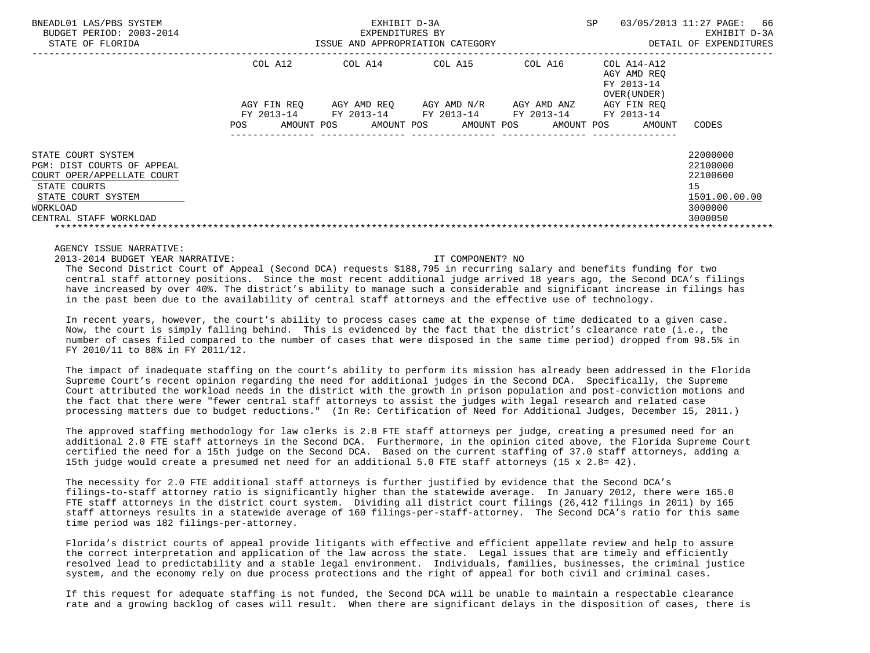| BNEADL01 LAS/PBS SYSTEM<br>BUDGET PERIOD: 2003-2014<br>STATE OF FLORIDA                                                                                    |                                                | EXHIBIT D-3A<br>EXPENDITURES BY<br>ISSUE AND APPROPRIATION CATEGORY | SP                                                                        | 03/05/2013 11:27 PAGE: 66<br>EXHIBIT D-3A<br>DETAIL OF EXPENDITURES |                                                          |                                                                               |
|------------------------------------------------------------------------------------------------------------------------------------------------------------|------------------------------------------------|---------------------------------------------------------------------|---------------------------------------------------------------------------|---------------------------------------------------------------------|----------------------------------------------------------|-------------------------------------------------------------------------------|
|                                                                                                                                                            | COL A12                                        | COL A14                                                             | COL A15                                                                   | COL A16                                                             | COL A14-A12<br>AGY AMD REO<br>FY 2013-14<br>OVER (UNDER) |                                                                               |
|                                                                                                                                                            | AGY FIN REO<br>FY 2013-14<br>AMOUNT POS<br>POS |                                                                     | AGY AMD REO AGY AMD N/R<br>FY 2013-14 FY 2013-14<br>AMOUNT POS AMOUNT POS | AGY AMD ANZ<br>FY 2013-14<br>AMOUNT POS                             | AGY FIN REO<br>FY 2013-14<br>AMOUNT                      | CODES                                                                         |
| STATE COURT SYSTEM<br>PGM: DIST COURTS OF APPEAL<br>COURT OPER/APPELLATE COURT<br>STATE COURTS<br>STATE COURT SYSTEM<br>WORKLOAD<br>CENTRAL STAFF WORKLOAD |                                                |                                                                     |                                                                           |                                                                     |                                                          | 22000000<br>22100000<br>22100600<br>15<br>1501.00.00.00<br>3000000<br>3000050 |

2013-2014 BUDGET YEAR NARRATIVE: IT COMPONENT? NO

 The Second District Court of Appeal (Second DCA) requests \$188,795 in recurring salary and benefits funding for two central staff attorney positions. Since the most recent additional judge arrived 18 years ago, the Second DCA's filings have increased by over 40%. The district's ability to manage such a considerable and significant increase in filings has in the past been due to the availability of central staff attorneys and the effective use of technology.

 In recent years, however, the court's ability to process cases came at the expense of time dedicated to a given case. Now, the court is simply falling behind. This is evidenced by the fact that the district's clearance rate (i.e., the number of cases filed compared to the number of cases that were disposed in the same time period) dropped from 98.5% in FY 2010/11 to 88% in FY 2011/12.

 The impact of inadequate staffing on the court's ability to perform its mission has already been addressed in the Florida Supreme Court's recent opinion regarding the need for additional judges in the Second DCA. Specifically, the Supreme Court attributed the workload needs in the district with the growth in prison population and post-conviction motions and the fact that there were "fewer central staff attorneys to assist the judges with legal research and related case processing matters due to budget reductions." (In Re: Certification of Need for Additional Judges, December 15, 2011.)

 The approved staffing methodology for law clerks is 2.8 FTE staff attorneys per judge, creating a presumed need for an additional 2.0 FTE staff attorneys in the Second DCA. Furthermore, in the opinion cited above, the Florida Supreme Court certified the need for a 15th judge on the Second DCA. Based on the current staffing of 37.0 staff attorneys, adding a 15th judge would create a presumed net need for an additional 5.0 FTE staff attorneys (15 x 2.8= 42).

 The necessity for 2.0 FTE additional staff attorneys is further justified by evidence that the Second DCA's filings-to-staff attorney ratio is significantly higher than the statewide average. In January 2012, there were 165.0 FTE staff attorneys in the district court system. Dividing all district court filings (26,412 filings in 2011) by 165 staff attorneys results in a statewide average of 160 filings-per-staff-attorney. The Second DCA's ratio for this same time period was 182 filings-per-attorney.

 Florida's district courts of appeal provide litigants with effective and efficient appellate review and help to assure the correct interpretation and application of the law across the state. Legal issues that are timely and efficiently resolved lead to predictability and a stable legal environment. Individuals, families, businesses, the criminal justice system, and the economy rely on due process protections and the right of appeal for both civil and criminal cases.

 If this request for adequate staffing is not funded, the Second DCA will be unable to maintain a respectable clearance rate and a growing backlog of cases will result. When there are significant delays in the disposition of cases, there is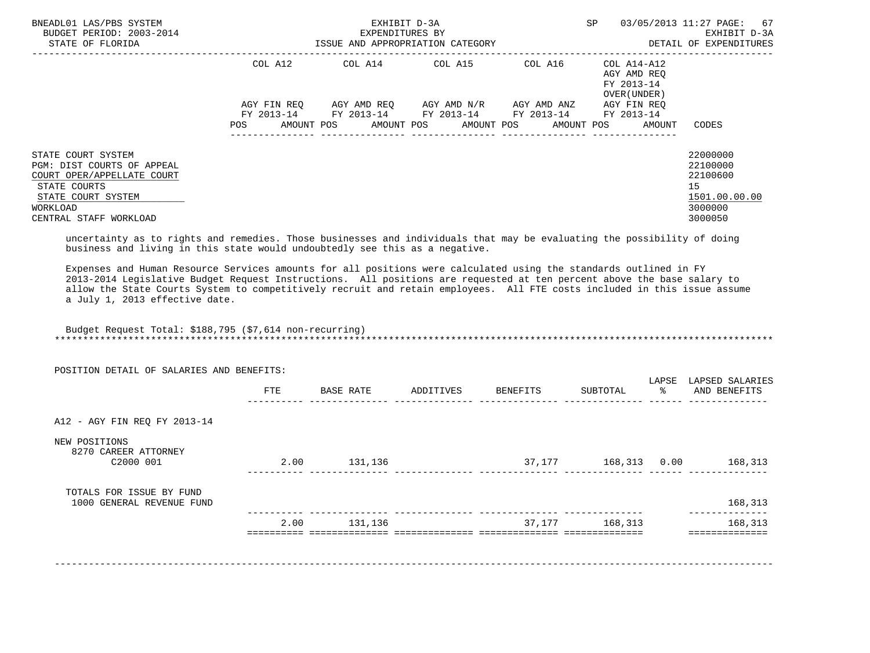| BNEADL01 LAS/PBS SYSTEM<br>BUDGET PERIOD: 2003-2014<br>STATE OF FLORIDA                                                                                    | ISSUE AND APPROPRIATION CATEGORY | EXHIBIT D-3A<br>EXPENDITURES BY |                                                                                                | SP          | 03/05/2013 11:27 PAGE: 67<br>EXHIBIT D-3A<br>DETAIL OF EXPENDITURES |                                                                               |
|------------------------------------------------------------------------------------------------------------------------------------------------------------|----------------------------------|---------------------------------|------------------------------------------------------------------------------------------------|-------------|---------------------------------------------------------------------|-------------------------------------------------------------------------------|
|                                                                                                                                                            | COL A12                          |                                 | COL A14 COL A15                                                                                | COL A16     | COL A14-A12<br>AGY AMD REO<br>FY 2013-14<br>OVER (UNDER)            |                                                                               |
|                                                                                                                                                            | AGY FIN REO<br>FY 2013-14<br>POS | AGY AMD REO                     | AGY AMD N/R<br>FY 2013-14 FY 2013-14 FY 2013-14<br>AMOUNT POS AMOUNT POS AMOUNT POS AMOUNT POS | AGY AMD ANZ | AGY FIN REO<br>FY 2013-14<br>AMOUNT                                 | CODES                                                                         |
| STATE COURT SYSTEM<br>PGM: DIST COURTS OF APPEAL<br>COURT OPER/APPELLATE COURT<br>STATE COURTS<br>STATE COURT SYSTEM<br>WORKLOAD<br>CENTRAL STAFF WORKLOAD |                                  |                                 |                                                                                                |             |                                                                     | 22000000<br>22100000<br>22100600<br>15<br>1501.00.00.00<br>3000000<br>3000050 |

 uncertainty as to rights and remedies. Those businesses and individuals that may be evaluating the possibility of doing business and living in this state would undoubtedly see this as a negative.

 Expenses and Human Resource Services amounts for all positions were calculated using the standards outlined in FY 2013-2014 Legislative Budget Request Instructions. All positions are requested at ten percent above the base salary to allow the State Courts System to competitively recruit and retain employees. All FTE costs included in this issue assume a July 1, 2013 effective date.

 Budget Request Total: \$188,795 (\$7,614 non-recurring) \*\*\*\*\*\*\*\*\*\*\*\*\*\*\*\*\*\*\*\*\*\*\*\*\*\*\*\*\*\*\*\*\*\*\*\*\*\*\*\*\*\*\*\*\*\*\*\*\*\*\*\*\*\*\*\*\*\*\*\*\*\*\*\*\*\*\*\*\*\*\*\*\*\*\*\*\*\*\*\*\*\*\*\*\*\*\*\*\*\*\*\*\*\*\*\*\*\*\*\*\*\*\*\*\*\*\*\*\*\*\*\*\*\*\*\*\*\*\*\*\*\*\*\*\*\*\*

| POSITION DETAIL OF SALARIES AND BENEFITS:             | FTE  | BASE RATE | ADDITIVES | BENEFITS | SUBTOTAL     | LAPSE<br>ႜႂ | LAPSED SALARIES<br>AND BENEFITS |
|-------------------------------------------------------|------|-----------|-----------|----------|--------------|-------------|---------------------------------|
| A12 - AGY FIN REQ FY 2013-14                          |      |           |           |          |              |             |                                 |
| NEW POSITIONS<br>8270 CAREER ATTORNEY<br>C2000 001    | 2.00 | 131,136   |           | 37,177   | 168,313 0.00 |             | 168,313                         |
| TOTALS FOR ISSUE BY FUND<br>1000 GENERAL REVENUE FUND |      |           |           |          |              |             | 168,313                         |
|                                                       | 2.00 | 131,136   |           | 37,177   | 168,313      |             | 168,313                         |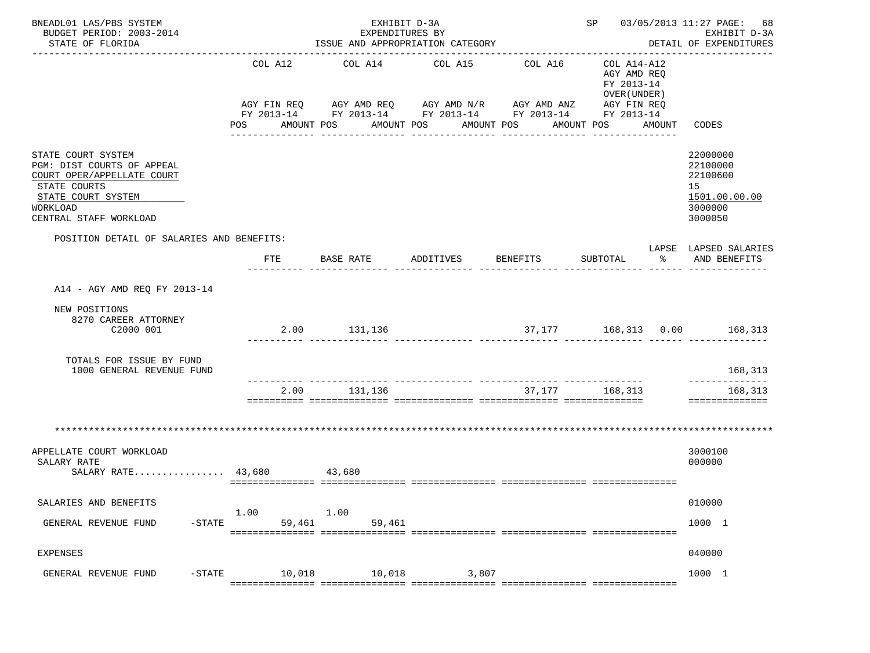| BNEADL01 LAS/PBS SYSTEM<br>BUDGET PERIOD: 2003-2014<br>STATE OF FLORIDA                                                                                    |                              | EXHIBIT D-3A<br>EXPENDITURES BY<br>ISSUE AND APPROPRIATION CATEGORY |                                                                                                                                                                      |                             |                                                                                                                 | SP 03/05/2013 11:27 PAGE: 68<br>EXHIBIT D-3A<br>DETAIL OF EXPENDITURES |                                                                               |
|------------------------------------------------------------------------------------------------------------------------------------------------------------|------------------------------|---------------------------------------------------------------------|----------------------------------------------------------------------------------------------------------------------------------------------------------------------|-----------------------------|-----------------------------------------------------------------------------------------------------------------|------------------------------------------------------------------------|-------------------------------------------------------------------------------|
|                                                                                                                                                            | COL A12<br>AMOUNT POS<br>POS | COL A14                                                             | COL A15<br>AGY FIN REQ 6 AGY AMD REQ 6 AGY AMD N/R 66 AGY AMD ANZ<br>FY 2013-14 FY 2013-14 FY 2013-14 FY 2013-14 FY 2013-14<br>AMOUNT POS AMOUNT POS<br>------------ | COL A16<br>----------       | COL A14-A12<br>AGY AMD REQ<br>FY 2013-14<br>OVER (UNDER)<br>AGY FIN REQ<br>AMOUNT POS AMOUNT<br>_______________ |                                                                        | CODES                                                                         |
| STATE COURT SYSTEM<br>PGM: DIST COURTS OF APPEAL<br>COURT OPER/APPELLATE COURT<br>STATE COURTS<br>STATE COURT SYSTEM<br>WORKLOAD<br>CENTRAL STAFF WORKLOAD |                              |                                                                     |                                                                                                                                                                      |                             |                                                                                                                 |                                                                        | 22000000<br>22100000<br>22100600<br>15<br>1501.00.00.00<br>3000000<br>3000050 |
| POSITION DETAIL OF SALARIES AND BENEFITS:                                                                                                                  |                              |                                                                     |                                                                                                                                                                      |                             |                                                                                                                 |                                                                        | LAPSE LAPSED SALARIES                                                         |
|                                                                                                                                                            | <b>FTE</b>                   | BASE RATE                                                           | ADDITIVES                                                                                                                                                            | <b>BENEFITS</b>             | SUBTOTAL                                                                                                        | ႜ                                                                      | AND BENEFITS                                                                  |
| A14 - AGY AMD REQ FY 2013-14                                                                                                                               |                              |                                                                     |                                                                                                                                                                      |                             |                                                                                                                 |                                                                        |                                                                               |
| NEW POSITIONS<br>8270 CAREER ATTORNEY<br>C2000 001                                                                                                         |                              | 2.00 131,136                                                        |                                                                                                                                                                      | 37,177 168,313 0.00 168,313 |                                                                                                                 |                                                                        |                                                                               |
| TOTALS FOR ISSUE BY FUND<br>1000 GENERAL REVENUE FUND                                                                                                      |                              |                                                                     |                                                                                                                                                                      |                             |                                                                                                                 |                                                                        | 168,313<br>--------------                                                     |
|                                                                                                                                                            | 2.00                         | 131,136                                                             |                                                                                                                                                                      | 37,177 168,313              |                                                                                                                 |                                                                        | 168,313<br>==============                                                     |
|                                                                                                                                                            |                              |                                                                     |                                                                                                                                                                      |                             |                                                                                                                 |                                                                        |                                                                               |
| APPELLATE COURT WORKLOAD<br>SALARY RATE<br>SALARY RATE 43,680 43,680                                                                                       |                              |                                                                     |                                                                                                                                                                      |                             |                                                                                                                 |                                                                        | 3000100<br>000000                                                             |
| SALARIES AND BENEFITS                                                                                                                                      | 1.00                         | 1.00                                                                |                                                                                                                                                                      |                             |                                                                                                                 |                                                                        | 010000                                                                        |
| $-$ STATE<br>GENERAL REVENUE FUND                                                                                                                          | 59,461                       | 59,461                                                              |                                                                                                                                                                      |                             |                                                                                                                 |                                                                        | 1000 1                                                                        |
| <b>EXPENSES</b>                                                                                                                                            |                              |                                                                     |                                                                                                                                                                      |                             |                                                                                                                 |                                                                        | 040000                                                                        |
| GENERAL REVENUE FUND<br>$-$ STATE                                                                                                                          | 10,018                       | 10,018                                                              | 3,807                                                                                                                                                                |                             |                                                                                                                 |                                                                        | 1000 1                                                                        |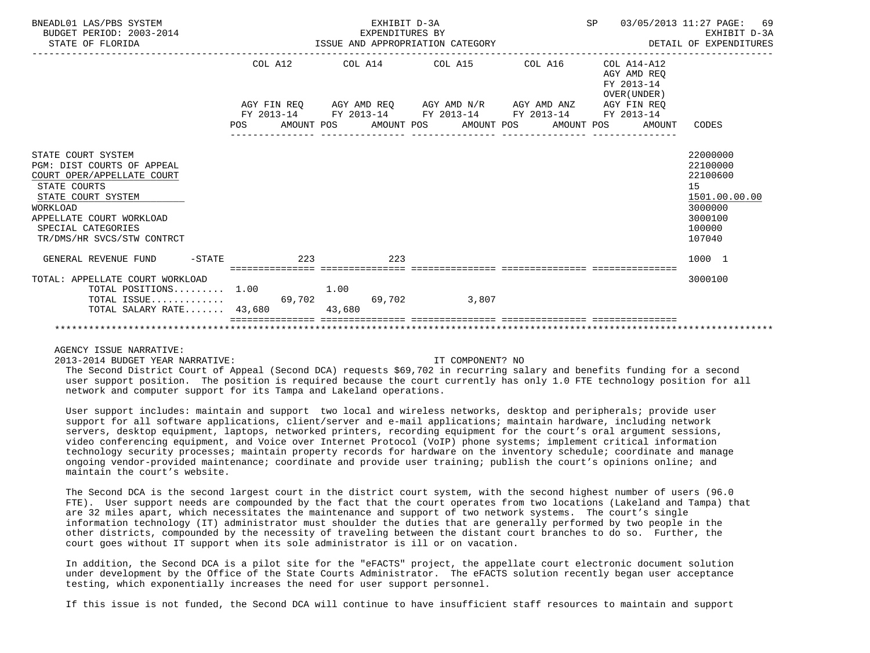| BNEADL01 LAS/PBS SYSTEM<br>BUDGET PERIOD: 2003-2014<br>STATE OF FLORIDA                                                                                                                                                 | EXHIBIT D-3A<br>EXPENDITURES BY<br>ISSUE AND APPROPRIATION CATEGORY DETAIL OF EXPENDITURES                             |                 | SP 03/05/2013 11:27 PAGE:                 | 69<br>EXHIBIT D-3A                                                                                |
|-------------------------------------------------------------------------------------------------------------------------------------------------------------------------------------------------------------------------|------------------------------------------------------------------------------------------------------------------------|-----------------|-------------------------------------------|---------------------------------------------------------------------------------------------------|
|                                                                                                                                                                                                                         | COL A12 COL A14 COL A15 COL A16 COL A14-A12                                                                            |                 | AGY AMD REO<br>FY 2013-14<br>OVER (UNDER) |                                                                                                   |
|                                                                                                                                                                                                                         | AGY FIN REQ AGY AMD REQ AGY AMD N/R AGY AMD ANZ AGY FIN REQ                                                            |                 |                                           |                                                                                                   |
|                                                                                                                                                                                                                         | FY 2013-14 FY 2013-14 FY 2013-14 FY 2013-14 FY 2013-14<br>POS AMOUNT POS AMOUNT POS AMOUNT POS AMOUNT POS AMOUNT CODES | --------------- |                                           |                                                                                                   |
| STATE COURT SYSTEM<br>PGM: DIST COURTS OF APPEAL<br>COURT OPER/APPELLATE COURT<br>STATE COURTS<br>STATE COURT SYSTEM<br><b>WORKLOAD</b><br>APPELLATE COURT WORKLOAD<br>SPECIAL CATEGORIES<br>TR/DMS/HR SVCS/STW CONTRCT |                                                                                                                        |                 |                                           | 22000000<br>22100000<br>22100600<br>15<br>1501.00.00.00<br>3000000<br>3000100<br>100000<br>107040 |
| GENERAL REVENUE FUND -STATE 223                                                                                                                                                                                         | 223                                                                                                                    |                 |                                           | 1000 1                                                                                            |
| TOTAL: APPELLATE COURT WORKLOAD<br>TOTAL POSITIONS $1.00$<br>TOTAL SALARY RATE 43,680                                                                                                                                   | 1.00<br>43,680                                                                                                         |                 | ==============================            | 3000100                                                                                           |
|                                                                                                                                                                                                                         |                                                                                                                        |                 |                                           |                                                                                                   |

2013-2014 BUDGET YEAR NARRATIVE: IT COMPONENT? NO

 The Second District Court of Appeal (Second DCA) requests \$69,702 in recurring salary and benefits funding for a second user support position. The position is required because the court currently has only 1.0 FTE technology position for all network and computer support for its Tampa and Lakeland operations.

 User support includes: maintain and support two local and wireless networks, desktop and peripherals; provide user support for all software applications, client/server and e-mail applications; maintain hardware, including network servers, desktop equipment, laptops, networked printers, recording equipment for the court's oral argument sessions, video conferencing equipment, and Voice over Internet Protocol (VoIP) phone systems; implement critical information technology security processes; maintain property records for hardware on the inventory schedule; coordinate and manage ongoing vendor-provided maintenance; coordinate and provide user training; publish the court's opinions online; and maintain the court's website.

 The Second DCA is the second largest court in the district court system, with the second highest number of users (96.0 FTE). User support needs are compounded by the fact that the court operates from two locations (Lakeland and Tampa) that are 32 miles apart, which necessitates the maintenance and support of two network systems. The court's single information technology (IT) administrator must shoulder the duties that are generally performed by two people in the other districts, compounded by the necessity of traveling between the distant court branches to do so. Further, the court goes without IT support when its sole administrator is ill or on vacation.

 In addition, the Second DCA is a pilot site for the "eFACTS" project, the appellate court electronic document solution under development by the Office of the State Courts Administrator. The eFACTS solution recently began user acceptance testing, which exponentially increases the need for user support personnel.

If this issue is not funded, the Second DCA will continue to have insufficient staff resources to maintain and support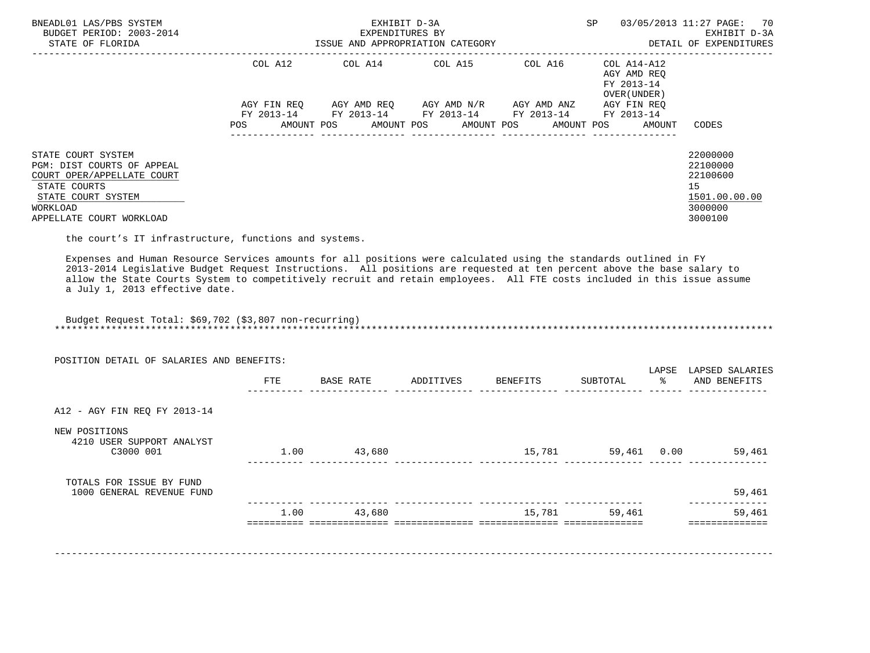| BNEADL01 LAS/PBS SYSTEM<br>BUDGET PERIOD: 2003-2014<br>STATE OF FLORIDA                                                                                                                                                                                                                                                                                                                                                                                            |            |             | EXHIBIT D-3A<br>EXPENDITURES BY | ISSUE AND APPROPRIATION CATEGORY                                                               |                                             | SP |                                                          | 03/05/2013 11:27 PAGE:<br>70<br>EXHIBIT D-3A<br>DETAIL OF EXPENDITURES        |
|--------------------------------------------------------------------------------------------------------------------------------------------------------------------------------------------------------------------------------------------------------------------------------------------------------------------------------------------------------------------------------------------------------------------------------------------------------------------|------------|-------------|---------------------------------|------------------------------------------------------------------------------------------------|---------------------------------------------|----|----------------------------------------------------------|-------------------------------------------------------------------------------|
|                                                                                                                                                                                                                                                                                                                                                                                                                                                                    |            | COL A12     |                                 | COL A14 COL A15                                                                                | --------------------------------<br>COL A16 |    | COL A14-A12<br>AGY AMD REO<br>FY 2013-14<br>OVER (UNDER) |                                                                               |
|                                                                                                                                                                                                                                                                                                                                                                                                                                                                    |            | AGY FIN REO |                                 | AGY AMD REQ       AGY AMD N/R       AGY AMD ANZ<br>FY 2013-14 FY 2013-14 FY 2013-14 FY 2013-14 |                                             |    | AGY FIN REO<br>FY 2013-14                                |                                                                               |
|                                                                                                                                                                                                                                                                                                                                                                                                                                                                    | <b>POS</b> |             |                                 | AMOUNT POS       AMOUNT POS      AMOUNT POS      AMOUNT POS                                    |                                             |    | AMOUNT                                                   | CODES                                                                         |
| STATE COURT SYSTEM<br>PGM: DIST COURTS OF APPEAL<br>COURT OPER/APPELLATE COURT<br>STATE COURTS<br>STATE COURT SYSTEM<br>WORKLOAD<br>APPELLATE COURT WORKLOAD                                                                                                                                                                                                                                                                                                       |            |             |                                 |                                                                                                |                                             |    |                                                          | 22000000<br>22100000<br>22100600<br>15<br>1501.00.00.00<br>3000000<br>3000100 |
| the court's IT infrastructure, functions and systems.<br>Expenses and Human Resource Services amounts for all positions were calculated using the standards outlined in FY<br>2013-2014 Legislative Budget Request Instructions. All positions are requested at ten percent above the base salary to<br>allow the State Courts System to competitively recruit and retain employees. All FTE costs included in this issue assume<br>a July 1, 2013 effective date. |            |             |                                 |                                                                                                |                                             |    |                                                          |                                                                               |

 Budget Request Total: \$69,702 (\$3,807 non-recurring) \*\*\*\*\*\*\*\*\*\*\*\*\*\*\*\*\*\*\*\*\*\*\*\*\*\*\*\*\*\*\*\*\*\*\*\*\*\*\*\*\*\*\*\*\*\*\*\*\*\*\*\*\*\*\*\*\*\*\*\*\*\*\*\*\*\*\*\*\*\*\*\*\*\*\*\*\*\*\*\*\*\*\*\*\*\*\*\*\*\*\*\*\*\*\*\*\*\*\*\*\*\*\*\*\*\*\*\*\*\*\*\*\*\*\*\*\*\*\*\*\*\*\*\*\*\*\*

|                                                         | FTE  | BASE RATE | ADDITIVES | BENEFITS | SUBTOTAL    | LAPSE<br>ႜႂ | LAPSED SALARIES<br>AND BENEFITS |
|---------------------------------------------------------|------|-----------|-----------|----------|-------------|-------------|---------------------------------|
| A12 - AGY FIN REQ FY 2013-14                            |      |           |           |          |             |             |                                 |
| NEW POSITIONS<br>4210 USER SUPPORT ANALYST<br>C3000 001 | 1.00 | 43,680    |           | 15,781   | 59,461 0.00 |             | 59,461                          |
| TOTALS FOR ISSUE BY FUND<br>1000 GENERAL REVENUE FUND   |      |           |           |          |             |             | 59,461                          |
|                                                         | 1.00 | 43,680    |           | 15,781   | 59,461      |             | 59,461                          |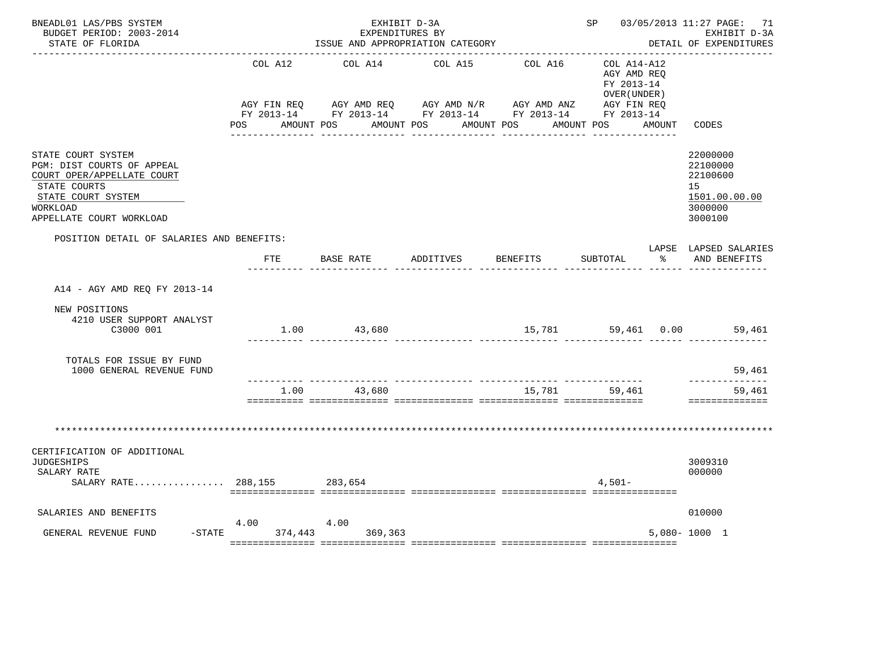| BNEADL01 LAS/PBS SYSTEM<br>BUDGET PERIOD: 2003-2014<br>STATE OF FLORIDA                                                                                      |                    | EXHIBIT D-3A<br>EXPENDITURES BY<br>ISSUE AND APPROPRIATION CATEGORY |                                     |                 | SP 03/05/2013 11:27 PAGE: 71<br>EXHIBIT D-3A<br>DETAIL OF EXPENDITURES |    |                                                                               |
|--------------------------------------------------------------------------------------------------------------------------------------------------------------|--------------------|---------------------------------------------------------------------|-------------------------------------|-----------------|------------------------------------------------------------------------|----|-------------------------------------------------------------------------------|
|                                                                                                                                                              | COL A12            | COL A14                                                             | COL A15                             | COL A16         | COL A14-A12<br>AGY AMD REO<br>FY 2013-14<br>OVER (UNDER)               |    |                                                                               |
|                                                                                                                                                              |                    | POS AMOUNT POS AMOUNT POS AMOUNT POS                                | ___________________________________ | ____________    | AMOUNT POS AMOUNT                                                      |    | CODES                                                                         |
| STATE COURT SYSTEM<br>PGM: DIST COURTS OF APPEAL<br>COURT OPER/APPELLATE COURT<br>STATE COURTS<br>STATE COURT SYSTEM<br>WORKLOAD<br>APPELLATE COURT WORKLOAD |                    |                                                                     |                                     |                 |                                                                        |    | 22000000<br>22100000<br>22100600<br>15<br>1501.00.00.00<br>3000000<br>3000100 |
| POSITION DETAIL OF SALARIES AND BENEFITS:                                                                                                                    | FTE                | BASE RATE ADDITIVES                                                 |                                     | <b>BENEFITS</b> | SUBTOTAL                                                               | ွေ | LAPSE LAPSED SALARIES<br>AND BENEFITS                                         |
| A14 - AGY AMD REO FY 2013-14                                                                                                                                 |                    |                                                                     |                                     |                 |                                                                        |    |                                                                               |
| NEW POSITIONS<br>4210 USER SUPPORT ANALYST<br>C3000 001                                                                                                      |                    | 1.00 43,680                                                         |                                     |                 |                                                                        |    | 15,781 59,461 0.00 59,461                                                     |
| TOTALS FOR ISSUE BY FUND<br>1000 GENERAL REVENUE FUND                                                                                                        |                    |                                                                     |                                     |                 |                                                                        |    | 59,461                                                                        |
|                                                                                                                                                              | 1.00               | 43,680                                                              |                                     | 15,781          | 59,461                                                                 |    | --------------<br>59,461<br>==============                                    |
|                                                                                                                                                              |                    |                                                                     |                                     |                 |                                                                        |    |                                                                               |
| CERTIFICATION OF ADDITIONAL<br><b>JUDGESHIPS</b><br>SALARY RATE<br>SALARY RATE 288,155                                                                       |                    | 283,654                                                             |                                     |                 | $4.501 -$                                                              |    | 3009310<br>000000                                                             |
| SALARIES AND BENEFITS                                                                                                                                        | 4.00               | 4.00                                                                |                                     |                 |                                                                        |    | 010000                                                                        |
| GENERAL REVENUE FUND                                                                                                                                         | $-$ STATE 374, 443 | 369,363                                                             |                                     |                 |                                                                        |    | $5,080 - 1000$ 1                                                              |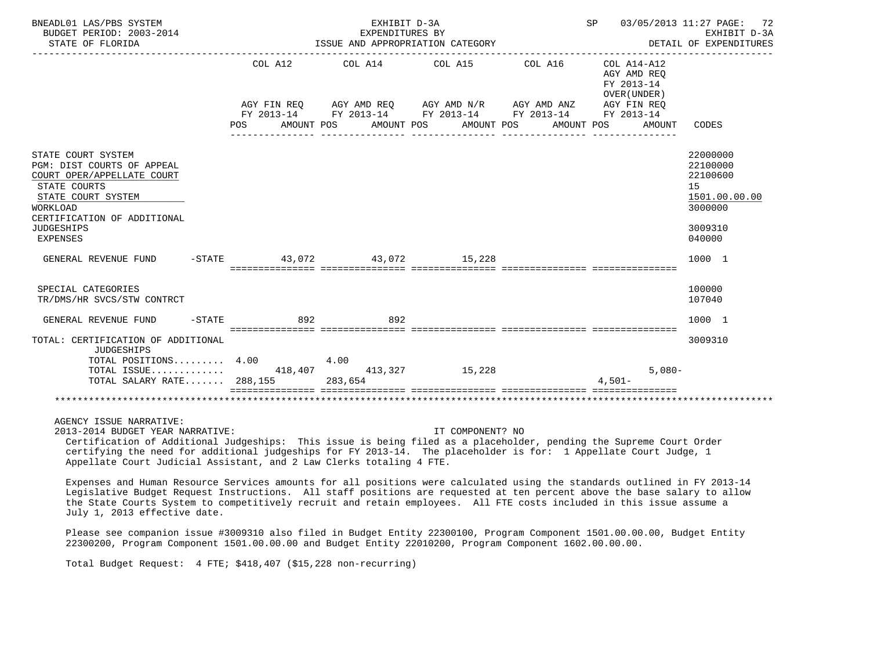| BNEADL01 LAS/PBS SYSTEM<br>BUDGET PERIOD: 2003-2014<br>STATE OF FLORIDA                                                                                                                                 |                             | EXHIBIT D-3A<br>EXPENDITURES BY<br>ISSUE AND APPROPRIATION CATEGORY |                                                                                                                                                           | SP 03/05/2013 11:27 PAGE: 72<br>EXHIBIT D-3A<br>DETAIL OF EXPENDITURES |                                                                        |                                                                                         |
|---------------------------------------------------------------------------------------------------------------------------------------------------------------------------------------------------------|-----------------------------|---------------------------------------------------------------------|-----------------------------------------------------------------------------------------------------------------------------------------------------------|------------------------------------------------------------------------|------------------------------------------------------------------------|-----------------------------------------------------------------------------------------|
|                                                                                                                                                                                                         | COL A12<br>POS              | COL A14 COL A15                                                     | AGY FIN REQ AGY AMD REQ AGY AMD N/R AGY AMD ANZ AGY FIN REQ<br>FY 2013-14 FY 2013-14 FY 2013-14 FY 2013-14 FY 2013-14<br>AMOUNT POS AMOUNT POS AMOUNT POS | COL A16                                                                | COL A14-A12<br>AGY AMD REO<br>FY 2013-14<br>OVER (UNDER)<br>AMOUNT POS | AMOUNT CODES                                                                            |
| STATE COURT SYSTEM<br>PGM: DIST COURTS OF APPEAL<br>COURT OPER/APPELLATE COURT<br>STATE COURTS<br>STATE COURT SYSTEM<br>WORKLOAD<br>CERTIFICATION OF ADDITIONAL<br><b>JUDGESHIPS</b><br><b>EXPENSES</b> |                             |                                                                     |                                                                                                                                                           |                                                                        |                                                                        | 22000000<br>22100000<br>22100600<br>15<br>1501.00.00.00<br>3000000<br>3009310<br>040000 |
| GENERAL REVENUE FUND                                                                                                                                                                                    | -STATE 43.072 43.072 15.228 |                                                                     |                                                                                                                                                           |                                                                        |                                                                        | 1000 1                                                                                  |
| SPECIAL CATEGORIES<br>TR/DMS/HR SVCS/STW CONTRCT                                                                                                                                                        |                             |                                                                     |                                                                                                                                                           |                                                                        |                                                                        | 100000<br>107040                                                                        |
| $-$ STATE<br>GENERAL REVENUE FUND                                                                                                                                                                       | 892                         | 892                                                                 |                                                                                                                                                           |                                                                        |                                                                        | 1000 1                                                                                  |
| TOTAL: CERTIFICATION OF ADDITIONAL<br><b>JUDGESHIPS</b><br>TOTAL POSITIONS $4.00$ $4.00$<br>TOTAL ISSUE 418,407 413,327 15,228<br>TOTAL SALARY RATE 288,155 283,654                                     |                             |                                                                     |                                                                                                                                                           |                                                                        | $5,080-$<br>$4.501 -$                                                  | 3009310                                                                                 |
|                                                                                                                                                                                                         |                             |                                                                     |                                                                                                                                                           |                                                                        |                                                                        |                                                                                         |
| AGENCY ISSUE NARRATIVE:<br>2013-2014 BUDGET YEAR NARRATIVE:                                                                                                                                             |                             |                                                                     | IT COMPONENT? NO                                                                                                                                          |                                                                        |                                                                        |                                                                                         |

 Certification of Additional Judgeships: This issue is being filed as a placeholder, pending the Supreme Court Order certifying the need for additional judgeships for FY 2013-14. The placeholder is for: 1 Appellate Court Judge, 1 Appellate Court Judicial Assistant, and 2 Law Clerks totaling 4 FTE.

 Expenses and Human Resource Services amounts for all positions were calculated using the standards outlined in FY 2013-14 Legislative Budget Request Instructions. All staff positions are requested at ten percent above the base salary to allow the State Courts System to competitively recruit and retain employees. All FTE costs included in this issue assume a July 1, 2013 effective date.

 Please see companion issue #3009310 also filed in Budget Entity 22300100, Program Component 1501.00.00.00, Budget Entity 22300200, Program Component 1501.00.00.00 and Budget Entity 22010200, Program Component 1602.00.00.00.

Total Budget Request: 4 FTE; \$418,407 (\$15,228 non-recurring)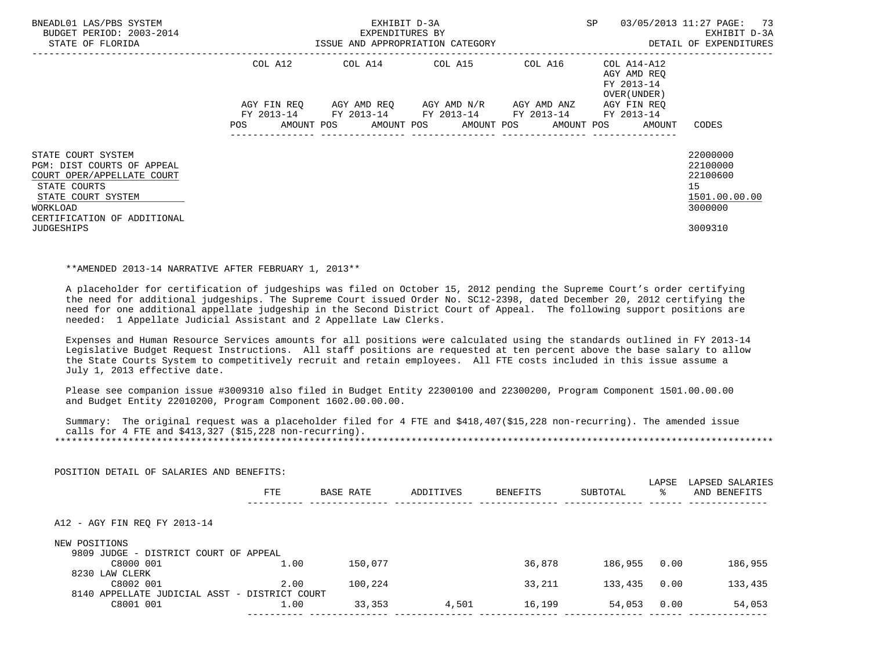| BNEADL01 LAS/PBS SYSTEM<br>BUDGET PERIOD: 2003-2014<br>STATE OF FLORIDA | ISSUE AND APPROPRIATION CATEGORY | EXHIBIT D-3A<br>EXPENDITURES BY                        |                                     | <b>SP</b> | 03/05/2013 11:27 PAGE: 73<br>EXHIBIT D-3A<br>DETAIL OF EXPENDITURES |                      |
|-------------------------------------------------------------------------|----------------------------------|--------------------------------------------------------|-------------------------------------|-----------|---------------------------------------------------------------------|----------------------|
|                                                                         | COL A12                          | COL A14 COL A15                                        |                                     | COL A16   | COL A14-A12<br>AGY AMD REO<br>FY 2013-14<br>OVER (UNDER)            |                      |
|                                                                         | AGY FIN REO<br><b>POS</b>        | FY 2013-14 FY 2013-14 FY 2013-14 FY 2013-14 FY 2013-14 | AGY AMD REO AGY AMD N/R AGY AMD ANZ |           | AGY FIN REO<br>AMOUNT POS AMOUNT POS AMOUNT POS AMOUNT POS AMOUNT   | CODES                |
|                                                                         |                                  |                                                        |                                     |           |                                                                     |                      |
| STATE COURT SYSTEM<br>PGM: DIST COURTS OF APPEAL                        |                                  |                                                        |                                     |           |                                                                     | 22000000<br>22100000 |
| COURT OPER/APPELLATE COURT                                              |                                  |                                                        |                                     |           |                                                                     | 22100600             |
| STATE COURTS<br>STATE COURT SYSTEM                                      |                                  |                                                        |                                     |           |                                                                     | 15<br>1501.00.00.00  |
| WORKLOAD<br>CERTIFICATION OF ADDITIONAL                                 |                                  |                                                        |                                     |           |                                                                     | 3000000              |
| <b>JUDGESHIPS</b>                                                       |                                  |                                                        |                                     |           |                                                                     | 3009310              |

#### \*\*AMENDED 2013-14 NARRATIVE AFTER FEBRUARY 1, 2013\*\*

 A placeholder for certification of judgeships was filed on October 15, 2012 pending the Supreme Court's order certifying the need for additional judgeships. The Supreme Court issued Order No. SC12-2398, dated December 20, 2012 certifying the need for one additional appellate judgeship in the Second District Court of Appeal. The following support positions are needed: 1 Appellate Judicial Assistant and 2 Appellate Law Clerks.

 Expenses and Human Resource Services amounts for all positions were calculated using the standards outlined in FY 2013-14 Legislative Budget Request Instructions. All staff positions are requested at ten percent above the base salary to allow the State Courts System to competitively recruit and retain employees. All FTE costs included in this issue assume a July 1, 2013 effective date.

 Please see companion issue #3009310 also filed in Budget Entity 22300100 and 22300200, Program Component 1501.00.00.00 and Budget Entity 22010200, Program Component 1602.00.00.00.

 Summary: The original request was a placeholder filed for 4 FTE and \$418,407(\$15,228 non-recurring). The amended issue calls for  $4$  FTE and  $$413,327$  ( $$15,228$  non-recurring). \*\*\*\*\*\*\*\*\*\*\*\*\*\*\*\*\*\*\*\*\*\*\*\*\*\*\*\*\*\*\*\*\*\*\*\*\*\*\*\*\*\*\*\*\*\*\*\*\*\*\*\*\*\*\*\*\*\*\*\*\*\*\*\*\*\*\*\*\*\*\*\*\*\*\*\*\*\*\*\*\*\*\*\*\*\*\*\*\*\*\*\*\*\*\*\*\*\*\*\*\*\*\*\*\*\*\*\*\*\*\*\*\*\*\*\*\*\*\*\*\*\*\*\*\*\*\*

|                                                    | <b>FTE</b> | BASE RATE | ADDITIVES | <b>BENEFITS</b> | SUBTOTAL | LAPSE<br>°≈ | LAPSED SALARIES<br>AND BENEFITS |
|----------------------------------------------------|------------|-----------|-----------|-----------------|----------|-------------|---------------------------------|
| A12 - AGY FIN REQ FY 2013-14                       |            |           |           |                 |          |             |                                 |
| NEW POSITIONS                                      |            |           |           |                 |          |             |                                 |
| 9809 JUDGE - DISTRICT COURT OF APPEAL<br>C8000 001 | 1.00       | 150,077   |           | 36,878          | 186,955  | 0.00        | 186,955                         |
| 8230 LAW CLERK                                     |            |           |           |                 |          |             |                                 |
|                                                    | 2.00       | 100,224   |           | 33,211          | 133,435  | 0.00        | 133,435                         |
| C8002 001                                          |            |           |           |                 |          |             |                                 |
| 8140 APPELLATE JUDICIAL ASST - DISTRICT COURT      |            |           |           |                 |          |             |                                 |

POSITION DETAIL OF SALARIES AND BENEFITS: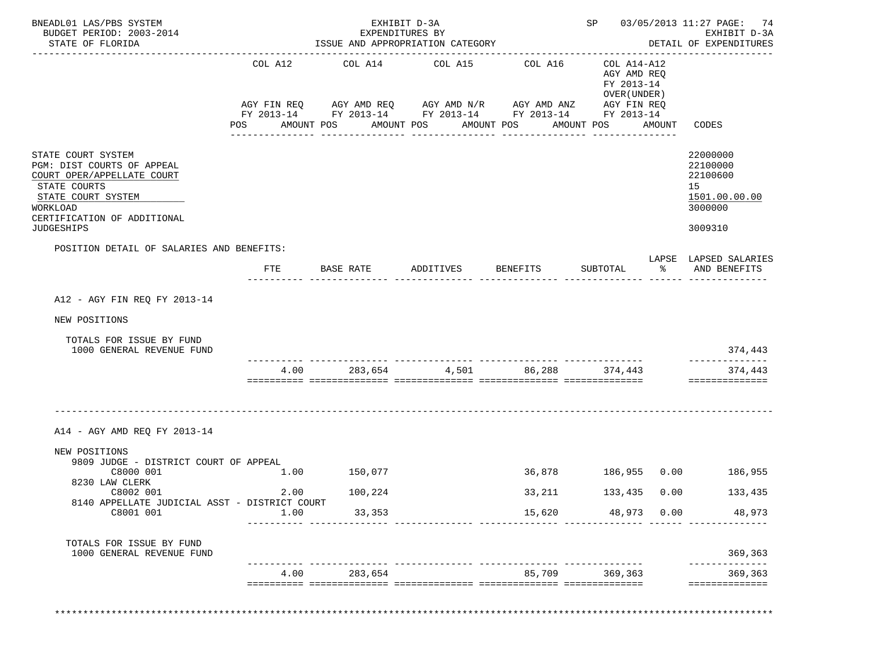| STATE OF FLORIDA                                                                                                                                                                     |                | EXHIBIT D-3A<br>EXPENDITURES BY<br>ISSUE AND APPROPRIATION CATEGORY                                                                                             | ---------------------------------      |                                         |                                                                                           | SP 03/05/2013 11:27 PAGE: 74<br>EXHIBIT D-3A<br>DETAIL OF EXPENDITURES<br>------------ |                                                                               |
|--------------------------------------------------------------------------------------------------------------------------------------------------------------------------------------|----------------|-----------------------------------------------------------------------------------------------------------------------------------------------------------------|----------------------------------------|-----------------------------------------|-------------------------------------------------------------------------------------------|----------------------------------------------------------------------------------------|-------------------------------------------------------------------------------|
|                                                                                                                                                                                      | COL A12<br>POS | COL A14<br>AGY FIN REQ AGY AMD REQ AGY AMD N/R AGY AMD ANZ AGY FIN REQ<br>FY 2013-14 FY 2013-14 FY 2013-14 FY 2013-14 FY 2013-14<br>AMOUNT POS<br>------------- | COL A15<br>AMOUNT POS<br>_____________ | COL A16<br>AMOUNT POS<br>-------------- | COL A14-A12<br>AGY AMD REQ<br>FY 2013-14<br>OVER (UNDER)<br>AMOUNT POS<br>--------------- | AMOUNT                                                                                 | CODES                                                                         |
| STATE COURT SYSTEM<br>PGM: DIST COURTS OF APPEAL<br>COURT OPER/APPELLATE COURT<br>STATE COURTS<br>STATE COURT SYSTEM<br>WORKLOAD<br>CERTIFICATION OF ADDITIONAL<br><b>JUDGESHIPS</b> |                |                                                                                                                                                                 |                                        |                                         |                                                                                           |                                                                                        | 22000000<br>22100000<br>22100600<br>15<br>1501.00.00.00<br>3000000<br>3009310 |
| POSITION DETAIL OF SALARIES AND BENEFITS:                                                                                                                                            |                |                                                                                                                                                                 |                                        |                                         |                                                                                           |                                                                                        |                                                                               |
|                                                                                                                                                                                      | FTE            | BASE RATE                                                                                                                                                       | ADDITIVES                              | <b>BENEFITS</b>                         | SUBTOTAL                                                                                  |                                                                                        | LAPSE LAPSED SALARIES<br>% AND BENEFITS                                       |
| NEW POSITIONS<br>TOTALS FOR ISSUE BY FUND<br>1000 GENERAL REVENUE FUND                                                                                                               |                |                                                                                                                                                                 |                                        | 4.00 283,654 4,501 86,288 374,443       |                                                                                           |                                                                                        | 374,443<br>374,443                                                            |
|                                                                                                                                                                                      |                |                                                                                                                                                                 |                                        |                                         |                                                                                           |                                                                                        | ==============                                                                |
| A14 - AGY AMD REO FY 2013-14                                                                                                                                                         |                |                                                                                                                                                                 |                                        |                                         |                                                                                           |                                                                                        |                                                                               |
| NEW POSITIONS<br>9809 JUDGE - DISTRICT COURT OF APPEAL<br>C8000 001                                                                                                                  | 1.00           | 150,077                                                                                                                                                         |                                        |                                         |                                                                                           |                                                                                        | 36,878 186,955 0.00 186,955                                                   |
| 8230 LAW CLERK<br>C8002 001                                                                                                                                                          | 2.00           | 100,224                                                                                                                                                         |                                        | 33,211                                  | 133,435                                                                                   | 0.00                                                                                   | 133,435                                                                       |
| 8140 APPELLATE JUDICIAL ASST - DISTRICT COURT<br>C8001 001                                                                                                                           | 1.00           | 33,353                                                                                                                                                          |                                        | 15,620                                  | 48,973                                                                                    | 0.00                                                                                   | 48,973                                                                        |
| TOTALS FOR ISSUE BY FUND<br>1000 GENERAL REVENUE FUND                                                                                                                                |                |                                                                                                                                                                 |                                        |                                         | <u>_________________</u>                                                                  |                                                                                        | 369,363                                                                       |

\*\*\*\*\*\*\*\*\*\*\*\*\*\*\*\*\*\*\*\*\*\*\*\*\*\*\*\*\*\*\*\*\*\*\*\*\*\*\*\*\*\*\*\*\*\*\*\*\*\*\*\*\*\*\*\*\*\*\*\*\*\*\*\*\*\*\*\*\*\*\*\*\*\*\*\*\*\*\*\*\*\*\*\*\*\*\*\*\*\*\*\*\*\*\*\*\*\*\*\*\*\*\*\*\*\*\*\*\*\*\*\*\*\*\*\*\*\*\*\*\*\*\*\*\*\*\*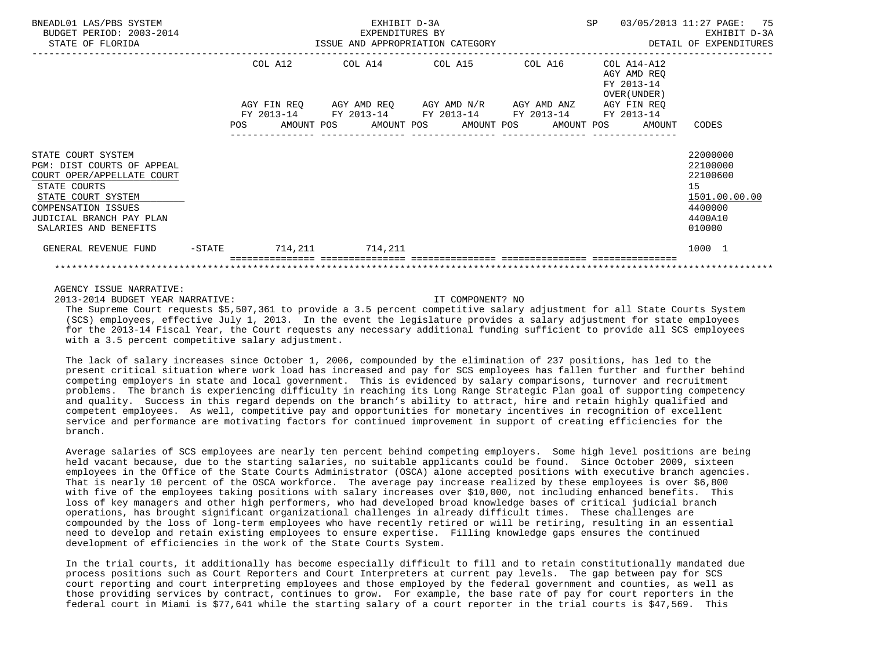| BNEADL01 LAS/PBS SYSTEM<br>BUDGET PERIOD: 2003-2014<br>STATE OF FLORIDA                                                                                                                          |           | EXHIBIT D-3A<br>EXPENDITURES BY<br>ISSUE AND APPROPRIATION CATEGORY |         |  |                                                                                                                  |  |  |  |  |                                                           | SP 03/05/2013 11:27 PAGE: 75<br>EXHIBIT D-3A<br>DETAIL OF EXPENDITURES                  |
|--------------------------------------------------------------------------------------------------------------------------------------------------------------------------------------------------|-----------|---------------------------------------------------------------------|---------|--|------------------------------------------------------------------------------------------------------------------|--|--|--|--|-----------------------------------------------------------|-----------------------------------------------------------------------------------------|
|                                                                                                                                                                                                  |           |                                                                     | COL A12 |  | COL A14 COL A15 COL A16<br>AGY FIN REQ AGY AMD REQ AGY AMD N/R AGY AMD ANZ AGY FIN REQ                           |  |  |  |  | COL A14-A12<br>AGY AMD REO<br>FY 2013-14<br>OVER (UNDER ) |                                                                                         |
|                                                                                                                                                                                                  |           |                                                                     |         |  | FY 2013-14 FY 2013-14 FY 2013-14 FY 2013-14 FY 2013-14<br>POS AMOUNT POS AMOUNT POS AMOUNT POS AMOUNT POS AMOUNT |  |  |  |  |                                                           | CODES                                                                                   |
| STATE COURT SYSTEM<br>PGM: DIST COURTS OF APPEAL<br>COURT OPER/APPELLATE COURT<br>STATE COURTS<br>STATE COURT SYSTEM<br>COMPENSATION ISSUES<br>JUDICIAL BRANCH PAY PLAN<br>SALARIES AND BENEFITS |           |                                                                     |         |  |                                                                                                                  |  |  |  |  |                                                           | 22000000<br>22100000<br>22100600<br>15<br>1501.00.00.00<br>4400000<br>4400A10<br>010000 |
| GENERAL REVENUE FUND                                                                                                                                                                             | $-$ STATE |                                                                     |         |  | 714,211 714,211                                                                                                  |  |  |  |  |                                                           | 1000 1                                                                                  |
|                                                                                                                                                                                                  |           |                                                                     |         |  |                                                                                                                  |  |  |  |  |                                                           |                                                                                         |

# AGENCY ISSUE NARRATIVE:

2013-2014 BUDGET YEAR NARRATIVE: IT COMPONENT? NO

 The Supreme Court requests \$5,507,361 to provide a 3.5 percent competitive salary adjustment for all State Courts System (SCS) employees, effective July 1, 2013. In the event the legislature provides a salary adjustment for state employees for the 2013-14 Fiscal Year, the Court requests any necessary additional funding sufficient to provide all SCS employees with a 3.5 percent competitive salary adjustment.

 The lack of salary increases since October 1, 2006, compounded by the elimination of 237 positions, has led to the present critical situation where work load has increased and pay for SCS employees has fallen further and further behind competing employers in state and local government. This is evidenced by salary comparisons, turnover and recruitment problems. The branch is experiencing difficulty in reaching its Long Range Strategic Plan goal of supporting competency and quality. Success in this regard depends on the branch's ability to attract, hire and retain highly qualified and competent employees. As well, competitive pay and opportunities for monetary incentives in recognition of excellent service and performance are motivating factors for continued improvement in support of creating efficiencies for the branch.

 Average salaries of SCS employees are nearly ten percent behind competing employers. Some high level positions are being held vacant because, due to the starting salaries, no suitable applicants could be found. Since October 2009, sixteen employees in the Office of the State Courts Administrator (OSCA) alone accepted positions with executive branch agencies. That is nearly 10 percent of the OSCA workforce. The average pay increase realized by these employees is over \$6,800 with five of the employees taking positions with salary increases over \$10,000, not including enhanced benefits. This loss of key managers and other high performers, who had developed broad knowledge bases of critical judicial branch operations, has brought significant organizational challenges in already difficult times. These challenges are compounded by the loss of long-term employees who have recently retired or will be retiring, resulting in an essential need to develop and retain existing employees to ensure expertise. Filling knowledge gaps ensures the continued development of efficiencies in the work of the State Courts System.

 In the trial courts, it additionally has become especially difficult to fill and to retain constitutionally mandated due process positions such as Court Reporters and Court Interpreters at current pay levels. The gap between pay for SCS court reporting and court interpreting employees and those employed by the federal government and counties, as well as those providing services by contract, continues to grow. For example, the base rate of pay for court reporters in the federal court in Miami is \$77,641 while the starting salary of a court reporter in the trial courts is \$47,569. This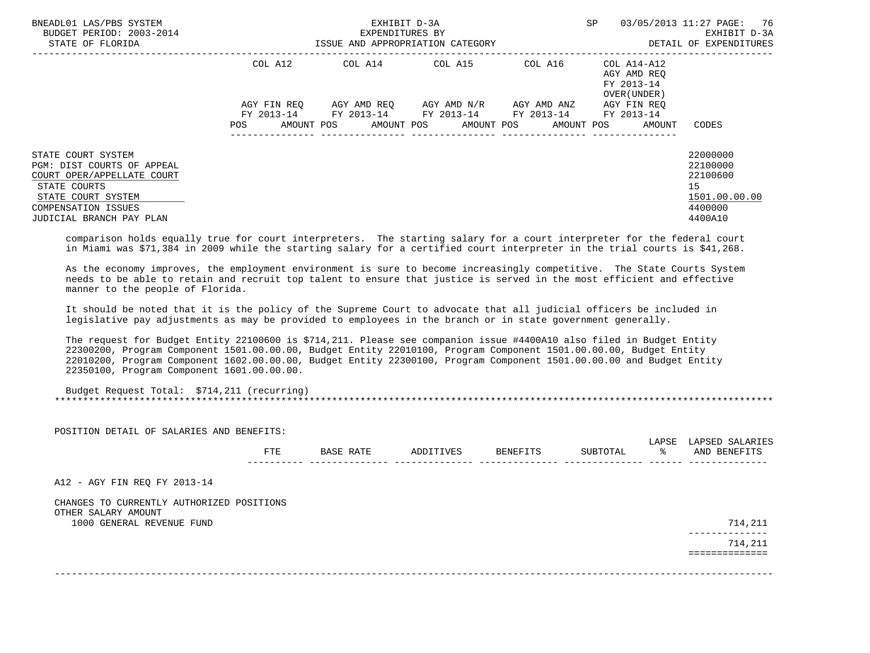| BNEADL01 LAS/PBS SYSTEM<br>BUDGET PERIOD: 2003-2014<br>STATE OF FLORIDA                                                                                                        |                   | EXHIBIT D-3A<br>EXPENDITURES BY<br>ISSUE AND APPROPRIATION CATEGORY | SP                                                                                                      | 03/05/2013 11:27 PAGE: 76<br>EXHIBIT D-3A<br>DETAIL OF EXPENDITURES |                                           |                                                                               |
|--------------------------------------------------------------------------------------------------------------------------------------------------------------------------------|-------------------|---------------------------------------------------------------------|---------------------------------------------------------------------------------------------------------|---------------------------------------------------------------------|-------------------------------------------|-------------------------------------------------------------------------------|
|                                                                                                                                                                                | COL A12           |                                                                     |                                                                                                         |                                                                     | AGY AMD REO<br>FY 2013-14<br>OVER (UNDER) |                                                                               |
|                                                                                                                                                                                | AGY FIN REO       |                                                                     | AGY AMD REO      AGY AMD N/R      AGY AMD ANZ<br>FY 2013-14 FY 2013-14 FY 2013-14 FY 2013-14 FY 2013-14 |                                                                     | AGY FIN REO                               |                                                                               |
|                                                                                                                                                                                | AMOUNT POS<br>POS |                                                                     | AMOUNT POS AMOUNT POS AMOUNT POS                                                                        |                                                                     | AMOUNT                                    | CODES                                                                         |
| STATE COURT SYSTEM<br>PGM: DIST COURTS OF APPEAL<br>COURT OPER/APPELLATE COURT<br>STATE COURTS<br>STATE COURT SYSTEM<br><b>COMPENSATION ISSUES</b><br>JUDICIAL BRANCH PAY PLAN |                   |                                                                     |                                                                                                         |                                                                     |                                           | 22000000<br>22100000<br>22100600<br>15<br>1501.00.00.00<br>4400000<br>4400A10 |

 comparison holds equally true for court interpreters. The starting salary for a court interpreter for the federal court in Miami was \$71,384 in 2009 while the starting salary for a certified court interpreter in the trial courts is \$41,268.

 As the economy improves, the employment environment is sure to become increasingly competitive. The State Courts System needs to be able to retain and recruit top talent to ensure that justice is served in the most efficient and effective manner to the people of Florida.

 It should be noted that it is the policy of the Supreme Court to advocate that all judicial officers be included in legislative pay adjustments as may be provided to employees in the branch or in state government generally.

 The request for Budget Entity 22100600 is \$714,211. Please see companion issue #4400A10 also filed in Budget Entity 22300200, Program Component 1501.00.00.00, Budget Entity 22010100, Program Component 1501.00.00.00, Budget Entity 22010200, Program Component 1602.00.00.00, Budget Entity 22300100, Program Component 1501.00.00.00 and Budget Entity 22350100, Program Component 1601.00.00.00.

 Budget Request Total: \$714,211 (recurring) \*\*\*\*\*\*\*\*\*\*\*\*\*\*\*\*\*\*\*\*\*\*\*\*\*\*\*\*\*\*\*\*\*\*\*\*\*\*\*\*\*\*\*\*\*\*\*\*\*\*\*\*\*\*\*\*\*\*\*\*\*\*\*\*\*\*\*\*\*\*\*\*\*\*\*\*\*\*\*\*\*\*\*\*\*\*\*\*\*\*\*\*\*\*\*\*\*\*\*\*\*\*\*\*\*\*\*\*\*\*\*\*\*\*\*\*\*\*\*\*\*\*\*\*\*\*\*

| POSITION DETAIL OF SALARIES AND BENEFITS:                        |     |           |           |          |          |             |                                 |
|------------------------------------------------------------------|-----|-----------|-----------|----------|----------|-------------|---------------------------------|
|                                                                  | FTE | BASE RATE | ADDITIVES | BENEFITS | SUBTOTAL | LAPSE<br>°≈ | LAPSED SALARIES<br>AND BENEFITS |
|                                                                  |     |           |           |          |          |             |                                 |
| A12 - AGY FIN REQ FY 2013-14                                     |     |           |           |          |          |             |                                 |
| CHANGES TO CURRENTLY AUTHORIZED POSITIONS<br>OTHER SALARY AMOUNT |     |           |           |          |          |             |                                 |
| 1000 GENERAL REVENUE FUND                                        |     |           |           |          |          |             | 714,211<br>-----------          |
|                                                                  |     |           |           |          |          |             | 714,211                         |
|                                                                  |     |           |           |          |          |             |                                 |
|                                                                  |     |           |           |          |          |             |                                 |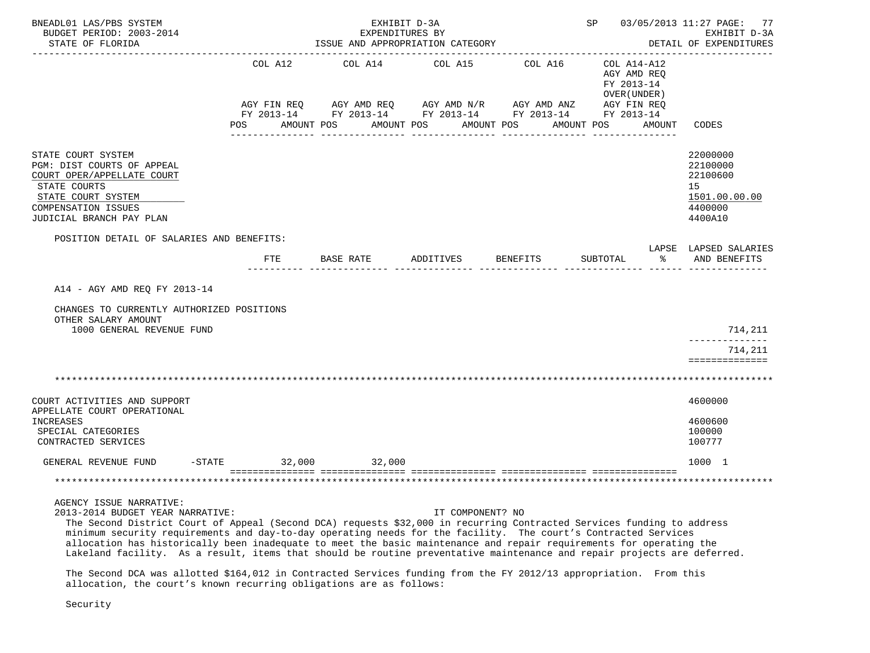| BNEADL01 LAS/PBS SYSTEM<br>BUDGET PERIOD: 2003-2014<br>STATE OF FLORIDA                                                                                                               | EXHIBIT D-3A<br>EXPENDITURES BY<br>ISSUE AND APPROPRIATION CATEGORY      |                  |                         |            |                  |                    |            |          |                                                           | SP 03/05/2013 11:27 PAGE: 77<br>EXHIBIT D-3A<br>DETAIL OF EXPENDITURES        |  |
|---------------------------------------------------------------------------------------------------------------------------------------------------------------------------------------|--------------------------------------------------------------------------|------------------|-------------------------|------------|------------------|--------------------|------------|----------|-----------------------------------------------------------|-------------------------------------------------------------------------------|--|
|                                                                                                                                                                                       | COL A12                                                                  |                  | COL A14 COL A15 COL A16 |            |                  |                    |            |          | COL A14-A12<br>AGY AMD REO<br>FY 2013-14<br>OVER (UNDER ) |                                                                               |  |
|                                                                                                                                                                                       | AGY FIN REQ AGY AMD REQ AGY AMD N/R AGY AMD ANZ AGY FIN REQ              |                  |                         |            |                  |                    |            |          |                                                           |                                                                               |  |
|                                                                                                                                                                                       | FY 2013-14 FY 2013-14 FY 2013-14 FY 2013-14 FY 2013-14<br>POS AMOUNT POS |                  |                         | AMOUNT POS |                  | AMOUNT POS         | AMOUNT POS |          | AMOUNT                                                    | CODES                                                                         |  |
|                                                                                                                                                                                       |                                                                          |                  |                         |            |                  |                    |            |          |                                                           |                                                                               |  |
| STATE COURT SYSTEM<br>PGM: DIST COURTS OF APPEAL<br>COURT OPER/APPELLATE COURT<br>STATE COURTS<br>STATE COURT SYSTEM<br>COMPENSATION ISSUES<br>JUDICIAL BRANCH PAY PLAN               |                                                                          |                  |                         |            |                  |                    |            |          |                                                           | 22000000<br>22100000<br>22100600<br>15<br>1501.00.00.00<br>4400000<br>4400A10 |  |
| POSITION DETAIL OF SALARIES AND BENEFITS:                                                                                                                                             |                                                                          |                  |                         |            |                  |                    |            |          |                                                           | LAPSE LAPSED SALARIES                                                         |  |
|                                                                                                                                                                                       | FTE                                                                      | <b>BASE RATE</b> |                         |            |                  | ADDITIVES BENEFITS |            | SUBTOTAL | $\sim$ $\sim$ $\sim$                                      | AND BENEFITS                                                                  |  |
| A14 - AGY AMD REO FY 2013-14<br>CHANGES TO CURRENTLY AUTHORIZED POSITIONS<br>OTHER SALARY AMOUNT<br>1000 GENERAL REVENUE FUND                                                         |                                                                          |                  |                         |            |                  |                    |            |          |                                                           | 714,211                                                                       |  |
|                                                                                                                                                                                       |                                                                          |                  |                         |            |                  |                    |            |          |                                                           | 714,211<br>==============                                                     |  |
|                                                                                                                                                                                       |                                                                          |                  |                         |            |                  |                    |            |          |                                                           |                                                                               |  |
| COURT ACTIVITIES AND SUPPORT<br>APPELLATE COURT OPERATIONAL                                                                                                                           |                                                                          |                  |                         |            |                  |                    |            |          |                                                           | 4600000                                                                       |  |
| INCREASES<br>SPECIAL CATEGORIES<br>CONTRACTED SERVICES                                                                                                                                |                                                                          |                  |                         |            |                  |                    |            |          |                                                           | 4600600<br>100000<br>100777                                                   |  |
| GENERAL REVENUE FUND                                                                                                                                                                  | $-STATE$ 32,000                                                          |                  | 32,000                  |            |                  |                    |            |          |                                                           | 1000 1                                                                        |  |
|                                                                                                                                                                                       |                                                                          |                  |                         |            |                  |                    |            |          |                                                           |                                                                               |  |
| AGENCY ISSUE NARRATIVE:<br>2013-2014 BUDGET YEAR NARRATIVE:<br>The Second District Court of Appeal (Second DCA) requests \$32,000 in recurring Contracted Services funding to address |                                                                          |                  |                         |            | IT COMPONENT? NO |                    |            |          |                                                           |                                                                               |  |

 minimum security requirements and day-to-day operating needs for the facility. The court's Contracted Services allocation has historically been inadequate to meet the basic maintenance and repair requirements for operating the Lakeland facility. As a result, items that should be routine preventative maintenance and repair projects are deferred.

 The Second DCA was allotted \$164,012 in Contracted Services funding from the FY 2012/13 appropriation. From this allocation, the court's known recurring obligations are as follows:

Security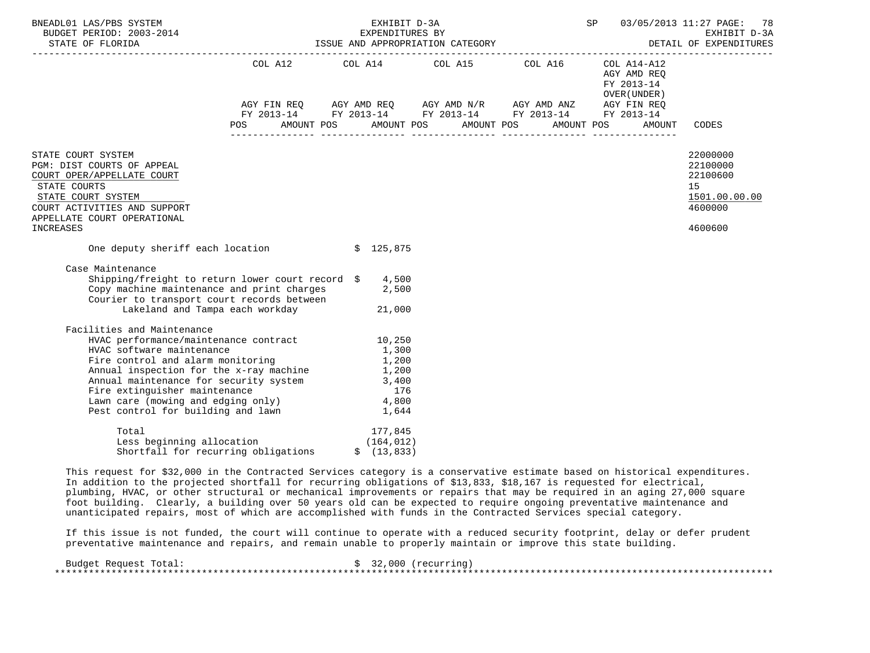| BNEADL01 LAS/PBS SYSTEM                                                                                                              |                                                             | EXHIBIT D-3A<br>SP<br>EXPENDITURES BY EXEMPLES BY EXEMPLES BY EXHIBITURES BY EXHIBITURES AND APPROPRIATION CATEGORY DETAIL OF EXPEND<br>STATE OF FLORIDA ISSUE AND APPROPRIATION CATEGORY DETAIL OF EXPEND |             |  |  |  |            |                                                                                                                              |        | 03/05/2013 11:27 PAGE: 78<br>EXHIBIT D-3A<br>DETAIL OF EXPENDITURES |
|--------------------------------------------------------------------------------------------------------------------------------------|-------------------------------------------------------------|------------------------------------------------------------------------------------------------------------------------------------------------------------------------------------------------------------|-------------|--|--|--|------------|------------------------------------------------------------------------------------------------------------------------------|--------|---------------------------------------------------------------------|
|                                                                                                                                      | AGY FIN REQ AGY AMD REQ AGY AMD N/R AGY AMD ANZ AGY FIN REQ |                                                                                                                                                                                                            |             |  |  |  |            | COL A12 $\qquad$ COL A14 $\qquad$ COL A15 $\qquad$ COL A16 $\qquad$ COL A14-A12<br>AGY AMD REO<br>FY 2013-14<br>OVER (UNDER) |        |                                                                     |
|                                                                                                                                      | FY 2013-14 FY 2013-14 FY 2013-14 FY 2013-14 FY 2013-14      |                                                                                                                                                                                                            |             |  |  |  |            |                                                                                                                              |        |                                                                     |
| <b>POS</b>                                                                                                                           | AMOUNT POS AMOUNT POS AMOUNT POS                            |                                                                                                                                                                                                            |             |  |  |  | AMOUNT POS |                                                                                                                              | AMOUNT | CODES                                                               |
| STATE COURT SYSTEM                                                                                                                   |                                                             |                                                                                                                                                                                                            |             |  |  |  |            |                                                                                                                              |        | 22000000                                                            |
| PGM: DIST COURTS OF APPEAL                                                                                                           |                                                             |                                                                                                                                                                                                            |             |  |  |  |            |                                                                                                                              |        | 22100000                                                            |
| COURT OPER/APPELLATE COURT                                                                                                           |                                                             |                                                                                                                                                                                                            |             |  |  |  |            |                                                                                                                              |        | 22100600                                                            |
| STATE COURTS                                                                                                                         |                                                             |                                                                                                                                                                                                            |             |  |  |  |            |                                                                                                                              |        | 15                                                                  |
| STATE COURT SYSTEM                                                                                                                   |                                                             |                                                                                                                                                                                                            |             |  |  |  |            |                                                                                                                              |        | 1501.00.00.00                                                       |
| COURT ACTIVITIES AND SUPPORT                                                                                                         |                                                             |                                                                                                                                                                                                            |             |  |  |  |            |                                                                                                                              |        | 4600000                                                             |
| APPELLATE COURT OPERATIONAL                                                                                                          |                                                             |                                                                                                                                                                                                            |             |  |  |  |            |                                                                                                                              |        |                                                                     |
| <b>INCREASES</b>                                                                                                                     |                                                             |                                                                                                                                                                                                            |             |  |  |  |            |                                                                                                                              |        | 4600600                                                             |
| One deputy sheriff each location \$ 125,875                                                                                          |                                                             |                                                                                                                                                                                                            |             |  |  |  |            |                                                                                                                              |        |                                                                     |
| Case Maintenance                                                                                                                     |                                                             |                                                                                                                                                                                                            |             |  |  |  |            |                                                                                                                              |        |                                                                     |
| Shipping/freight to return lower court record \$                                                                                     |                                                             |                                                                                                                                                                                                            | 4,500       |  |  |  |            |                                                                                                                              |        |                                                                     |
| Copy machine maintenance and print charges                                                                                           |                                                             |                                                                                                                                                                                                            | 2,500       |  |  |  |            |                                                                                                                              |        |                                                                     |
| Courier to transport court records between                                                                                           |                                                             |                                                                                                                                                                                                            |             |  |  |  |            |                                                                                                                              |        |                                                                     |
| Lakeland and Tampa each workday                                                                                                      |                                                             |                                                                                                                                                                                                            | 21,000      |  |  |  |            |                                                                                                                              |        |                                                                     |
| Facilities and Maintenance                                                                                                           |                                                             |                                                                                                                                                                                                            |             |  |  |  |            |                                                                                                                              |        |                                                                     |
| HVAC performance/maintenance contract 10,250<br>HVAC enftware maintenance contract 1,300                                             |                                                             |                                                                                                                                                                                                            |             |  |  |  |            |                                                                                                                              |        |                                                                     |
|                                                                                                                                      |                                                             |                                                                                                                                                                                                            |             |  |  |  |            |                                                                                                                              |        |                                                                     |
| Fire control and alarm monitoring                                                                                                    |                                                             |                                                                                                                                                                                                            | 1,200       |  |  |  |            |                                                                                                                              |        |                                                                     |
| Annual inspection for the $x$ -ray machine $1,200$<br>Annual maintenance for security system $3,400$<br>Five attinuished maintenance |                                                             |                                                                                                                                                                                                            |             |  |  |  |            |                                                                                                                              |        |                                                                     |
|                                                                                                                                      |                                                             |                                                                                                                                                                                                            |             |  |  |  |            |                                                                                                                              |        |                                                                     |
| Fire extinguisher maintenance                                                                                                        |                                                             |                                                                                                                                                                                                            | 176         |  |  |  |            |                                                                                                                              |        |                                                                     |
| Lawn care (mowing and edging only) 4,800                                                                                             |                                                             |                                                                                                                                                                                                            |             |  |  |  |            |                                                                                                                              |        |                                                                     |
| Pest control for building and lawn                                                                                                   |                                                             |                                                                                                                                                                                                            | 1,644       |  |  |  |            |                                                                                                                              |        |                                                                     |
| Total                                                                                                                                |                                                             |                                                                                                                                                                                                            | 177,845     |  |  |  |            |                                                                                                                              |        |                                                                     |
| Less beginning allocation (164,012)                                                                                                  |                                                             |                                                                                                                                                                                                            |             |  |  |  |            |                                                                                                                              |        |                                                                     |
| Shortfall for recurring obligations                                                                                                  |                                                             |                                                                                                                                                                                                            | \$(13, 833) |  |  |  |            |                                                                                                                              |        |                                                                     |

 This request for \$32,000 in the Contracted Services category is a conservative estimate based on historical expenditures. In addition to the projected shortfall for recurring obligations of \$13,833, \$18,167 is requested for electrical, plumbing, HVAC, or other structural or mechanical improvements or repairs that may be required in an aging 27,000 square foot building. Clearly, a building over 50 years old can be expected to require ongoing preventative maintenance and unanticipated repairs, most of which are accomplished with funds in the Contracted Services special category.

 If this issue is not funded, the court will continue to operate with a reduced security footprint, delay or defer prudent preventative maintenance and repairs, and remain unable to properly maintain or improve this state building.

| Budget Request Total: | \$32,000 (recurring) |
|-----------------------|----------------------|
|                       |                      |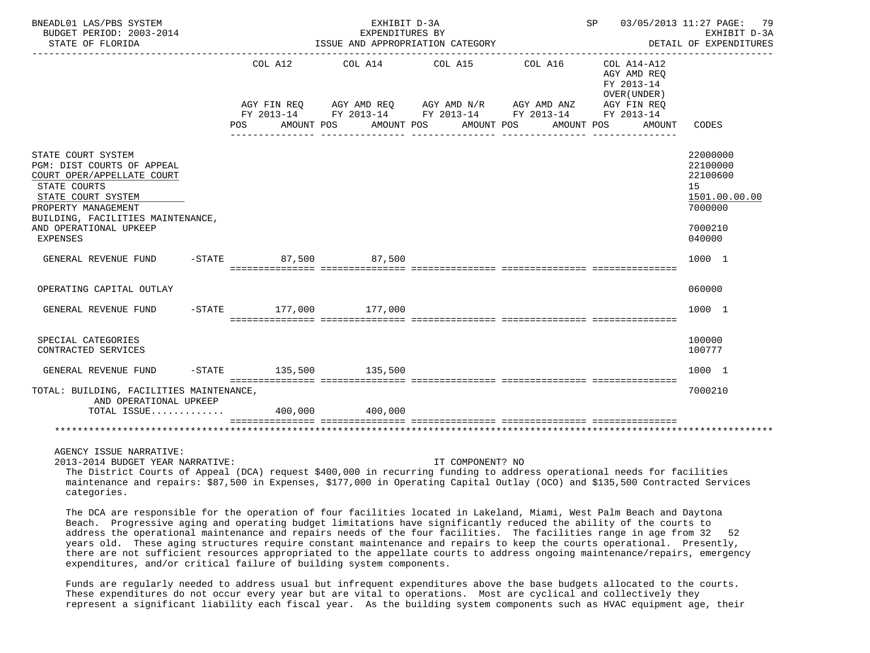| BNEADL01 LAS/PBS SYSTEM<br>BUDGET PERIOD: 2003-2014<br>STATE OF FLORIDA                                                                                                                                                       |         |                        | EXHIBIT D-3A<br>EXPENDITURES BY |            | ISSUE AND APPROPRIATION CATEGORY |                                                                                                                      | SP |                                                                         | 03/05/2013 11:27 PAGE: 79<br>EXHIBIT D-3A<br>DETAIL OF EXPENDITURES                     |
|-------------------------------------------------------------------------------------------------------------------------------------------------------------------------------------------------------------------------------|---------|------------------------|---------------------------------|------------|----------------------------------|----------------------------------------------------------------------------------------------------------------------|----|-------------------------------------------------------------------------|-----------------------------------------------------------------------------------------|
|                                                                                                                                                                                                                               | COL A12 |                        | COL A14 COL A15                 |            |                                  | COL A16<br>AGY FIN REQ AGY AMD REQ AGY AMD N/R AGY AMD ANZ<br>FY 2013-14 FY 2013-14 FY 2013-14 FY 2013-14 FY 2013-14 |    | COL A14-A12<br>AGY AMD REO<br>FY 2013-14<br>OVER (UNDER)<br>AGY FIN REO |                                                                                         |
|                                                                                                                                                                                                                               | POS.    | AMOUNT POS             |                                 | AMOUNT POS | AMOUNT POS                       | AMOUNT POS                                                                                                           |    | AMOUNT                                                                  | CODES                                                                                   |
| STATE COURT SYSTEM<br>PGM: DIST COURTS OF APPEAL<br>COURT OPER/APPELLATE COURT<br>STATE COURTS<br>STATE COURT SYSTEM<br>PROPERTY MANAGEMENT<br>BUILDING, FACILITIES MAINTENANCE,<br>AND OPERATIONAL UPKEEP<br><b>EXPENSES</b> |         |                        |                                 |            |                                  |                                                                                                                      |    |                                                                         | 22000000<br>22100000<br>22100600<br>15<br>1501.00.00.00<br>7000000<br>7000210<br>040000 |
| GENERAL REVENUE FUND                                                                                                                                                                                                          |         | $-STATE$ 87.500 87.500 |                                 |            |                                  |                                                                                                                      |    |                                                                         | 1000 1                                                                                  |
| OPERATING CAPITAL OUTLAY                                                                                                                                                                                                      |         |                        |                                 |            |                                  |                                                                                                                      |    |                                                                         | 060000                                                                                  |
| GENERAL REVENUE FUND                                                                                                                                                                                                          |         | -STATE 177,000 177,000 |                                 |            |                                  |                                                                                                                      |    |                                                                         | 1000 1                                                                                  |
| SPECIAL CATEGORIES<br>CONTRACTED SERVICES                                                                                                                                                                                     |         |                        |                                 |            |                                  |                                                                                                                      |    |                                                                         | 100000<br>100777                                                                        |
| GENERAL REVENUE FUND                                                                                                                                                                                                          |         | -STATE 135,500 135,500 |                                 |            |                                  |                                                                                                                      |    |                                                                         | 1000 1                                                                                  |
| TOTAL: BUILDING, FACILITIES MAINTENANCE,<br>AND OPERATIONAL UPKEEP                                                                                                                                                            |         |                        |                                 |            |                                  |                                                                                                                      |    |                                                                         | 7000210                                                                                 |
| TOTAL ISSUE 400,000 400,000                                                                                                                                                                                                   |         |                        |                                 |            |                                  |                                                                                                                      |    |                                                                         |                                                                                         |
|                                                                                                                                                                                                                               |         |                        |                                 |            |                                  |                                                                                                                      |    |                                                                         |                                                                                         |

#### AGENCY ISSUE NARRATIVE:

2013-2014 BUDGET YEAR NARRATIVE: IT COMPONENT? NO

 The District Courts of Appeal (DCA) request \$400,000 in recurring funding to address operational needs for facilities maintenance and repairs: \$87,500 in Expenses, \$177,000 in Operating Capital Outlay (OCO) and \$135,500 Contracted Services categories.

 The DCA are responsible for the operation of four facilities located in Lakeland, Miami, West Palm Beach and Daytona Beach. Progressive aging and operating budget limitations have significantly reduced the ability of the courts to address the operational maintenance and repairs needs of the four facilities. The facilities range in age from 32 52 years old. These aging structures require constant maintenance and repairs to keep the courts operational. Presently, there are not sufficient resources appropriated to the appellate courts to address ongoing maintenance/repairs, emergency expenditures, and/or critical failure of building system components.

 Funds are regularly needed to address usual but infrequent expenditures above the base budgets allocated to the courts. These expenditures do not occur every year but are vital to operations. Most are cyclical and collectively they represent a significant liability each fiscal year. As the building system components such as HVAC equipment age, their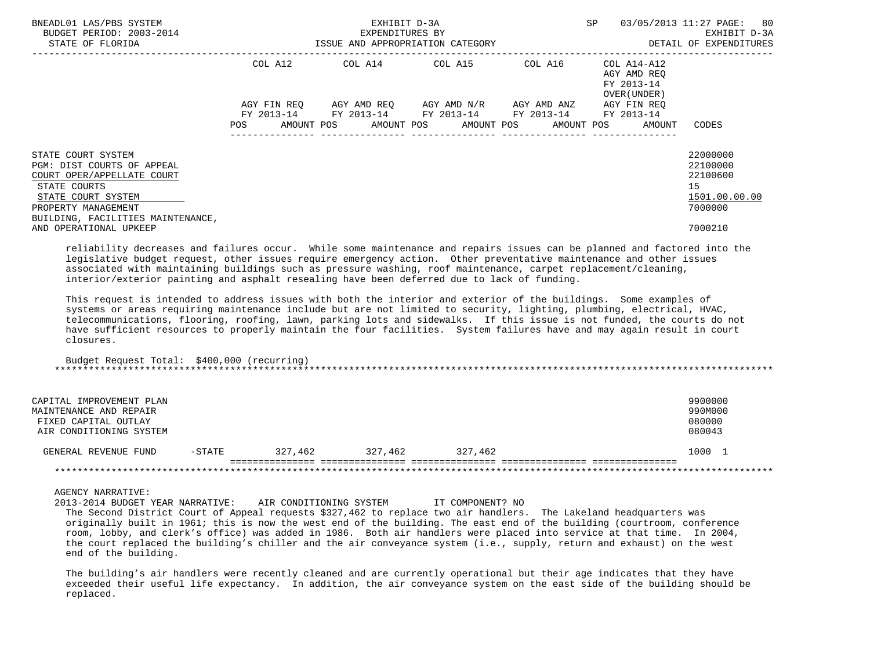| BNEADL01 LAS/PBS SYSTEM<br>BUDGET PERIOD: 2003-2014<br>STATE OF FLORIDA                                                                                                                                    | ISSUE AND APPROPRIATION CATEGORY                                                                                              | EXHIBIT D-3A<br>EXPENDITURES BY | SP                                                                                                                                                              | 03/05/2013 11:27 PAGE: 80<br>EXHIBIT D-3A<br>DETAIL OF EXPENDITURES |                                                          |                                                                               |
|------------------------------------------------------------------------------------------------------------------------------------------------------------------------------------------------------------|-------------------------------------------------------------------------------------------------------------------------------|---------------------------------|-----------------------------------------------------------------------------------------------------------------------------------------------------------------|---------------------------------------------------------------------|----------------------------------------------------------|-------------------------------------------------------------------------------|
|                                                                                                                                                                                                            | COL A12                                                                                                                       |                                 | COL A14 COL A15 COL A16                                                                                                                                         |                                                                     | COL A14-A12<br>AGY AMD REO<br>FY 2013-14<br>OVER (UNDER) |                                                                               |
|                                                                                                                                                                                                            | AGY FIN REO<br>POS FOR THE POST OF THE STATE STATE STATE STATE STATE STATE STATE STATE STATE STATE STATE STATE STATE STATE ST |                                 | AGY AMD REO AGY AMD N/R<br>FY 2013-14 FY 2013-14 FY 2013-14 FY 2013-14<br>AMOUNT POS AMOUNT POS AMOUNT POS AMOUNT POS<br>______________________________________ | AGY AMD ANZ                                                         | AGY FIN REO<br>FY 2013-14<br>AMOUNT                      | CODES                                                                         |
| STATE COURT SYSTEM<br>PGM: DIST COURTS OF APPEAL<br>COURT OPER/APPELLATE COURT<br>STATE COURTS<br>STATE COURT SYSTEM<br>PROPERTY MANAGEMENT<br>BUILDING, FACILITIES MAINTENANCE,<br>AND OPERATIONAL UPKEEP |                                                                                                                               |                                 |                                                                                                                                                                 |                                                                     |                                                          | 22000000<br>22100000<br>22100600<br>15<br>1501.00.00.00<br>7000000<br>7000210 |

 reliability decreases and failures occur. While some maintenance and repairs issues can be planned and factored into the legislative budget request, other issues require emergency action. Other preventative maintenance and other issues associated with maintaining buildings such as pressure washing, roof maintenance, carpet replacement/cleaning, interior/exterior painting and asphalt resealing have been deferred due to lack of funding.

 This request is intended to address issues with both the interior and exterior of the buildings. Some examples of systems or areas requiring maintenance include but are not limited to security, lighting, plumbing, electrical, HVAC, telecommunications, flooring, roofing, lawn, parking lots and sidewalks. If this issue is not funded, the courts do not have sufficient resources to properly maintain the four facilities. System failures have and may again result in court closures.

 Budget Request Total: \$400,000 (recurring) \*\*\*\*\*\*\*\*\*\*\*\*\*\*\*\*\*\*\*\*\*\*\*\*\*\*\*\*\*\*\*\*\*\*\*\*\*\*\*\*\*\*\*\*\*\*\*\*\*\*\*\*\*\*\*\*\*\*\*\*\*\*\*\*\*\*\*\*\*\*\*\*\*\*\*\*\*\*\*\*\*\*\*\*\*\*\*\*\*\*\*\*\*\*\*\*\*\*\*\*\*\*\*\*\*\*\*\*\*\*\*\*\*\*\*\*\*\*\*\*\*\*\*\*\*\*\*

| CAPITAL IMPROVEMENT PLAN<br>MAINTENANCE AND REPAIR<br>FIXED CAPITAL OUTLAY<br>AIR CONDITIONING SYSTEM |          |         |         |         | 9900000<br>990M000<br>080000<br>080043 |
|-------------------------------------------------------------------------------------------------------|----------|---------|---------|---------|----------------------------------------|
| GENERAL REVENUE FUND                                                                                  | $-STATE$ | 327,462 | 327,462 | 327,462 | 1000                                   |
|                                                                                                       |          |         |         |         |                                        |

#### AGENCY NARRATIVE:

 2013-2014 BUDGET YEAR NARRATIVE: AIR CONDITIONING SYSTEM IT COMPONENT? NO The Second District Court of Appeal requests \$327,462 to replace two air handlers. The Lakeland headquarters was originally built in 1961; this is now the west end of the building. The east end of the building (courtroom, conference room, lobby, and clerk's office) was added in 1986. Both air handlers were placed into service at that time. In 2004, the court replaced the building's chiller and the air conveyance system (i.e., supply, return and exhaust) on the west end of the building.

 The building's air handlers were recently cleaned and are currently operational but their age indicates that they have exceeded their useful life expectancy. In addition, the air conveyance system on the east side of the building should be replaced.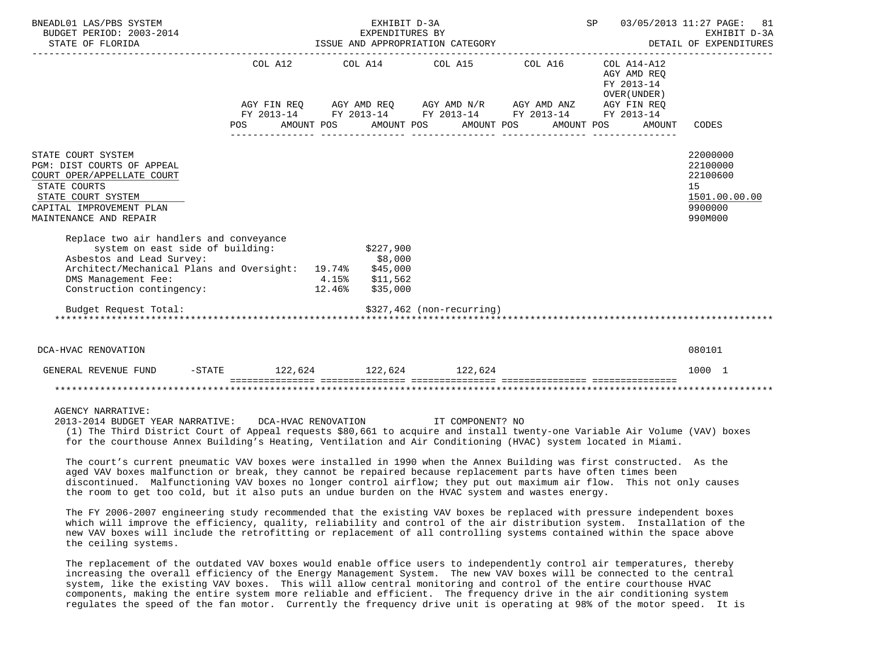| BNEADL01 LAS/PBS SYSTEM<br>BUDGET PERIOD: 2003-2014<br>STATE OF FLORIDA                                                                                                    |                  | EXHIBIT D-3A<br>EXPENDITURES BY |                                  | ISSUE AND APPROPRIATION CATEGORY                                                                                      | SP 03/05/2013 11:27 PAGE:                 | 81<br>EXHIBIT D-3A<br>DETAIL OF EXPENDITURES                                  |
|----------------------------------------------------------------------------------------------------------------------------------------------------------------------------|------------------|---------------------------------|----------------------------------|-----------------------------------------------------------------------------------------------------------------------|-------------------------------------------|-------------------------------------------------------------------------------|
|                                                                                                                                                                            |                  |                                 |                                  | COL A12 COL A14 COL A15 COL A16 COL A14-A12                                                                           | AGY AMD REO<br>FY 2013-14<br>OVER (UNDER) |                                                                               |
|                                                                                                                                                                            |                  |                                 |                                  | AGY FIN REQ AGY AMD REQ AGY AMD N/R AGY AMD ANZ AGY FIN REQ<br>FY 2013-14 FY 2013-14 FY 2013-14 FY 2013-14 FY 2013-14 |                                           |                                                                               |
|                                                                                                                                                                            | POS FOR          |                                 | AMOUNT POS AMOUNT POS AMOUNT POS |                                                                                                                       | AMOUNT POS<br>AMOUNT CODES                |                                                                               |
| STATE COURT SYSTEM<br>PGM: DIST COURTS OF APPEAL<br>COURT OPER/APPELLATE COURT<br>STATE COURTS<br>STATE COURT SYSTEM<br>CAPITAL IMPROVEMENT PLAN<br>MAINTENANCE AND REPAIR |                  |                                 |                                  |                                                                                                                       |                                           | 22000000<br>22100000<br>22100600<br>15<br>1501.00.00.00<br>9900000<br>990M000 |
| Replace two air handlers and conveyance<br>system on east side of building: \$227,900                                                                                      |                  |                                 |                                  |                                                                                                                       |                                           |                                                                               |
| Asbestos and Lead Survey:                                                                                                                                                  |                  | \$8,000                         |                                  |                                                                                                                       |                                           |                                                                               |
| Architect/Mechanical Plans and Oversight: 19.74% \$45,000<br>DMS Management Fee:                                                                                           |                  |                                 |                                  |                                                                                                                       |                                           |                                                                               |
| Construction contingency: 12.46% \$35,000                                                                                                                                  | $4.15%$ \$11,562 |                                 |                                  |                                                                                                                       |                                           |                                                                               |
| Budget Request Total:                                                                                                                                                      |                  |                                 | \$327,462 (non-recurring)        |                                                                                                                       |                                           |                                                                               |
| DCA-HVAC RENOVATION                                                                                                                                                        |                  |                                 |                                  |                                                                                                                       |                                           | 080101                                                                        |
| GENERAL REVENUE FUND -STATE 122,624 122,624 122,624                                                                                                                        |                  |                                 |                                  |                                                                                                                       |                                           | 1000 1                                                                        |
|                                                                                                                                                                            |                  |                                 |                                  |                                                                                                                       |                                           |                                                                               |
| AGENCY NARRATIVE:                                                                                                                                                          |                  |                                 |                                  |                                                                                                                       |                                           |                                                                               |

 2013-2014 BUDGET YEAR NARRATIVE: DCA-HVAC RENOVATION IT COMPONENT? NO (1) The Third District Court of Appeal requests \$80,661 to acquire and install twenty-one Variable Air Volume (VAV) boxes for the courthouse Annex Building's Heating, Ventilation and Air Conditioning (HVAC) system located in Miami.

 The court's current pneumatic VAV boxes were installed in 1990 when the Annex Building was first constructed. As the aged VAV boxes malfunction or break, they cannot be repaired because replacement parts have often times been discontinued. Malfunctioning VAV boxes no longer control airflow; they put out maximum air flow. This not only causes the room to get too cold, but it also puts an undue burden on the HVAC system and wastes energy.

 The FY 2006-2007 engineering study recommended that the existing VAV boxes be replaced with pressure independent boxes which will improve the efficiency, quality, reliability and control of the air distribution system. Installation of the new VAV boxes will include the retrofitting or replacement of all controlling systems contained within the space above the ceiling systems.

 The replacement of the outdated VAV boxes would enable office users to independently control air temperatures, thereby increasing the overall efficiency of the Energy Management System. The new VAV boxes will be connected to the central system, like the existing VAV boxes. This will allow central monitoring and control of the entire courthouse HVAC components, making the entire system more reliable and efficient. The frequency drive in the air conditioning system regulates the speed of the fan motor. Currently the frequency drive unit is operating at 98% of the motor speed. It is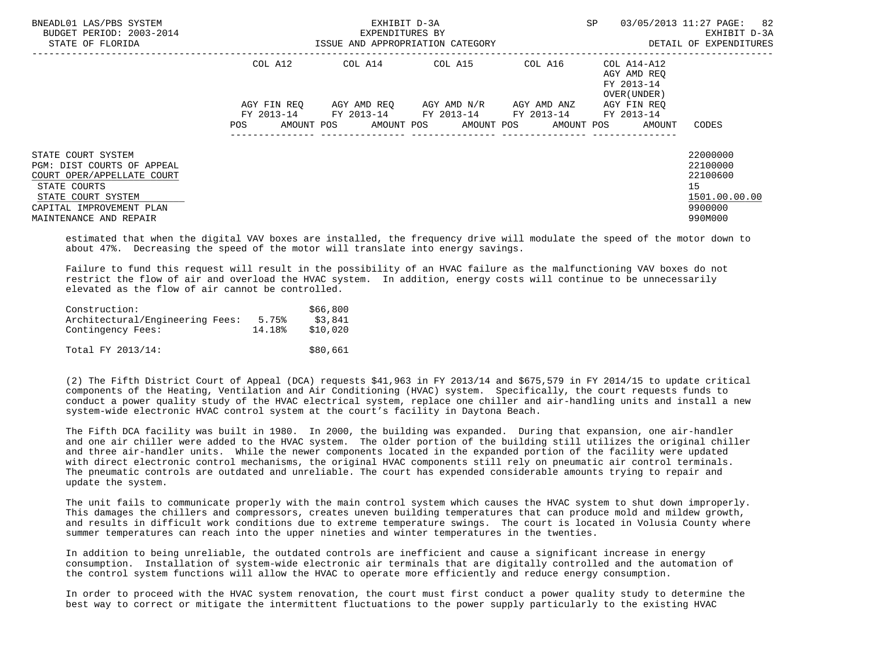| BNEADL01 LAS/PBS SYSTEM<br>BUDGET PERIOD: 2003-2014<br>STATE OF FLORIDA |                                 | EXHIBIT D-3A<br>EXPENDITURES BY<br>ISSUE AND APPROPRIATION CATEGORY |                       | SP                       | 03/05/2013 11:27 PAGE:<br>82<br>EXHIBIT D-3A<br>DETAIL OF EXPENDITURES |               |
|-------------------------------------------------------------------------|---------------------------------|---------------------------------------------------------------------|-----------------------|--------------------------|------------------------------------------------------------------------|---------------|
|                                                                         | COL A12                         | COL A14 COL A15                                                     |                       | COL A16                  | COL A14-A12<br>AGY AMD REO<br>FY 2013-14<br>OVER (UNDER)               |               |
|                                                                         | AGY FIN REO                     | AGY AMD REQ                                                         | AGY AMD N/R           | AGY AMD ANZ              | AGY FIN REO                                                            |               |
|                                                                         | FY 2013-14<br>AMOUNT POS<br>POS | FY 2013-14 FY 2013-14                                               | AMOUNT POS AMOUNT POS | FY 2013-14<br>AMOUNT POS | FY 2013-14<br>AMOUNT                                                   | CODES         |
| STATE COURT SYSTEM                                                      |                                 |                                                                     |                       |                          |                                                                        | 22000000      |
| PGM: DIST COURTS OF APPEAL                                              |                                 |                                                                     |                       |                          |                                                                        | 22100000      |
| COURT OPER/APPELLATE COURT                                              |                                 |                                                                     |                       |                          |                                                                        | 22100600      |
| STATE COURTS                                                            |                                 |                                                                     |                       |                          |                                                                        | 15            |
| STATE COURT SYSTEM                                                      |                                 |                                                                     |                       |                          |                                                                        | 1501.00.00.00 |
| CAPITAL IMPROVEMENT PLAN                                                |                                 |                                                                     |                       |                          |                                                                        | 9900000       |
| MAINTENANCE AND REPAIR                                                  |                                 |                                                                     |                       |                          |                                                                        | 990M000       |

 estimated that when the digital VAV boxes are installed, the frequency drive will modulate the speed of the motor down to about 47%. Decreasing the speed of the motor will translate into energy savings.

 Failure to fund this request will result in the possibility of an HVAC failure as the malfunctioning VAV boxes do not restrict the flow of air and overload the HVAC system. In addition, energy costs will continue to be unnecessarily elevated as the flow of air cannot be controlled.

| Construction:                   |        | \$66,800 |
|---------------------------------|--------|----------|
| Architectural/Engineering Fees: | 5.75%  | \$3,841  |
| Contingency Fees:               | 14.18% | \$10,020 |
|                                 |        |          |

Total FY 2013/14: \$80,661

 (2) The Fifth District Court of Appeal (DCA) requests \$41,963 in FY 2013/14 and \$675,579 in FY 2014/15 to update critical components of the Heating, Ventilation and Air Conditioning (HVAC) system. Specifically, the court requests funds to conduct a power quality study of the HVAC electrical system, replace one chiller and air-handling units and install a new system-wide electronic HVAC control system at the court's facility in Daytona Beach.

 The Fifth DCA facility was built in 1980. In 2000, the building was expanded. During that expansion, one air-handler and one air chiller were added to the HVAC system. The older portion of the building still utilizes the original chiller and three air-handler units. While the newer components located in the expanded portion of the facility were updated with direct electronic control mechanisms, the original HVAC components still rely on pneumatic air control terminals. The pneumatic controls are outdated and unreliable. The court has expended considerable amounts trying to repair and update the system.

 The unit fails to communicate properly with the main control system which causes the HVAC system to shut down improperly. This damages the chillers and compressors, creates uneven building temperatures that can produce mold and mildew growth, and results in difficult work conditions due to extreme temperature swings. The court is located in Volusia County where summer temperatures can reach into the upper nineties and winter temperatures in the twenties.

 In addition to being unreliable, the outdated controls are inefficient and cause a significant increase in energy consumption. Installation of system-wide electronic air terminals that are digitally controlled and the automation of the control system functions will allow the HVAC to operate more efficiently and reduce energy consumption.

 In order to proceed with the HVAC system renovation, the court must first conduct a power quality study to determine the best way to correct or mitigate the intermittent fluctuations to the power supply particularly to the existing HVAC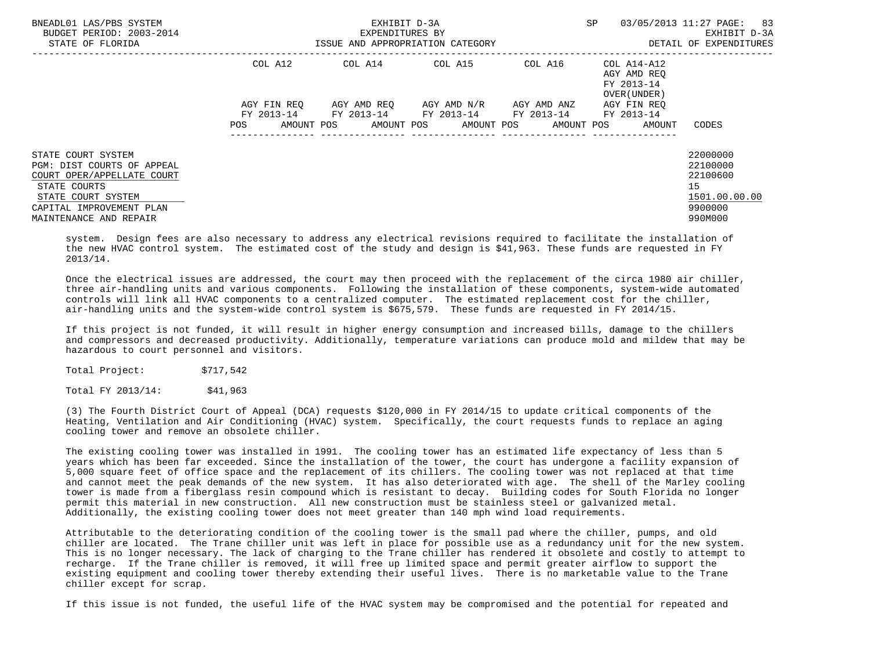| BNEADL01 LAS/PBS SYSTEM<br>BUDGET PERIOD: 2003-2014<br>STATE OF FLORIDA                                                                                                    |                          | EXHIBIT D-3A<br>EXPENDITURES BY<br>ISSUE AND APPROPRIATION CATEGORY | SP<br>03/05/2013 11:27 PAGE: | 83<br>EXHIBIT D-3A<br>DETAIL OF EXPENDITURES |                                                          |                                                                               |
|----------------------------------------------------------------------------------------------------------------------------------------------------------------------------|--------------------------|---------------------------------------------------------------------|------------------------------|----------------------------------------------|----------------------------------------------------------|-------------------------------------------------------------------------------|
|                                                                                                                                                                            | COL A12                  | COL A14                                                             | COL A15                      | COL A16                                      | COL A14-A12<br>AGY AMD REO<br>FY 2013-14<br>OVER (UNDER) |                                                                               |
|                                                                                                                                                                            | AGY FIN REO              |                                                                     | AGY AMD REO AGY AMD N/R      | AGY AMD ANZ                                  | AGY FIN REO                                              |                                                                               |
|                                                                                                                                                                            | AMOUNT POS<br><b>POS</b> | FY 2013-14 FY 2013-14 FY 2013-14 FY 2013-14                         | AMOUNT POS AMOUNT POS        | AMOUNT POS                                   | FY 2013-14<br>AMOUNT                                     | CODES                                                                         |
| STATE COURT SYSTEM<br>PGM: DIST COURTS OF APPEAL<br>COURT OPER/APPELLATE COURT<br>STATE COURTS<br>STATE COURT SYSTEM<br>CAPITAL IMPROVEMENT PLAN<br>MAINTENANCE AND REPAIR |                          |                                                                     |                              |                                              |                                                          | 22000000<br>22100000<br>22100600<br>15<br>1501.00.00.00<br>9900000<br>990M000 |

 system. Design fees are also necessary to address any electrical revisions required to facilitate the installation of the new HVAC control system. The estimated cost of the study and design is \$41,963. These funds are requested in FY 2013/14.

 Once the electrical issues are addressed, the court may then proceed with the replacement of the circa 1980 air chiller, three air-handling units and various components. Following the installation of these components, system-wide automated controls will link all HVAC components to a centralized computer. The estimated replacement cost for the chiller, air-handling units and the system-wide control system is \$675,579. These funds are requested in FY 2014/15.

 If this project is not funded, it will result in higher energy consumption and increased bills, damage to the chillers and compressors and decreased productivity. Additionally, temperature variations can produce mold and mildew that may be hazardous to court personnel and visitors.

Total Project: \$717,542

Total FY 2013/14: \$41,963

 (3) The Fourth District Court of Appeal (DCA) requests \$120,000 in FY 2014/15 to update critical components of the Heating, Ventilation and Air Conditioning (HVAC) system. Specifically, the court requests funds to replace an aging cooling tower and remove an obsolete chiller.

 The existing cooling tower was installed in 1991. The cooling tower has an estimated life expectancy of less than 5 years which has been far exceeded. Since the installation of the tower, the court has undergone a facility expansion of 5,000 square feet of office space and the replacement of its chillers. The cooling tower was not replaced at that time and cannot meet the peak demands of the new system. It has also deteriorated with age. The shell of the Marley cooling tower is made from a fiberglass resin compound which is resistant to decay. Building codes for South Florida no longer permit this material in new construction. All new construction must be stainless steel or galvanized metal. Additionally, the existing cooling tower does not meet greater than 140 mph wind load requirements.

 Attributable to the deteriorating condition of the cooling tower is the small pad where the chiller, pumps, and old chiller are located. The Trane chiller unit was left in place for possible use as a redundancy unit for the new system. This is no longer necessary. The lack of charging to the Trane chiller has rendered it obsolete and costly to attempt to recharge. If the Trane chiller is removed, it will free up limited space and permit greater airflow to support the existing equipment and cooling tower thereby extending their useful lives. There is no marketable value to the Trane chiller except for scrap.

If this issue is not funded, the useful life of the HVAC system may be compromised and the potential for repeated and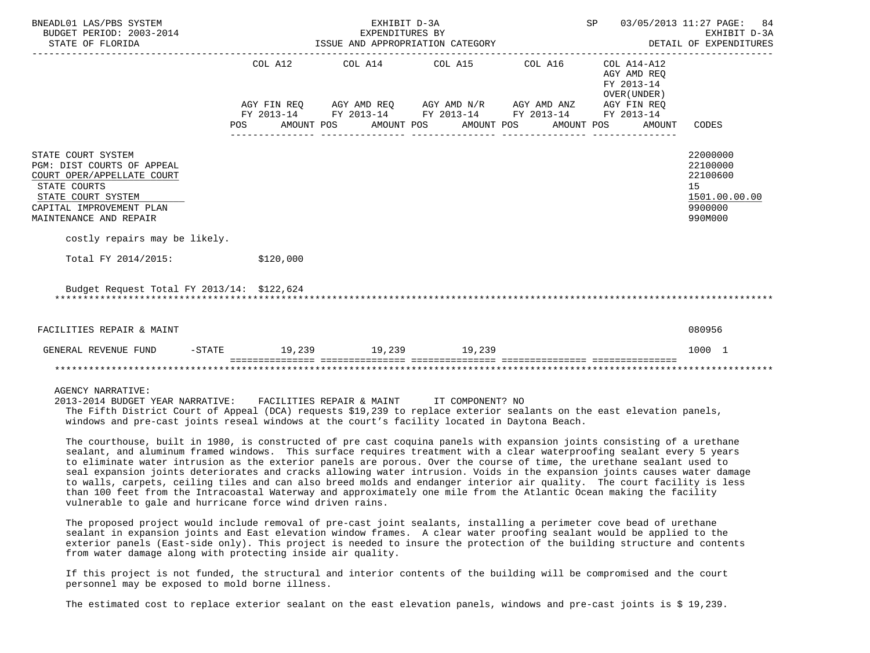| BNEADL01 LAS/PBS SYSTEM<br>BUDGET PERIOD: 2003-2014<br>STATE OF FLORIDA                                                                                                                                     | SP 03/05/2013 11:27 PAGE: 84<br>EXHIBIT D-3A<br>EXPENDITURES BY<br>ISSUE AND APPROPRIATION CATEGORY<br>DETAIL OF EXPENDITURES |  |                                                                                                                                                                      |            |                                                     |                                                                               |  |  |  |  |
|-------------------------------------------------------------------------------------------------------------------------------------------------------------------------------------------------------------|-------------------------------------------------------------------------------------------------------------------------------|--|----------------------------------------------------------------------------------------------------------------------------------------------------------------------|------------|-----------------------------------------------------|-------------------------------------------------------------------------------|--|--|--|--|
|                                                                                                                                                                                                             | POS AMOUNT POS AMOUNT POS AMOUNT POS                                                                                          |  | COL A12 COL A14 COL A15 COL A16 COL A14-A12<br>AGY FIN REQ AGY AMD REQ AGY AMD N/R AGY AMD ANZ AGY FIN REQ<br>FY 2013-14 FY 2013-14 FY 2013-14 FY 2013-14 FY 2013-14 | AMOUNT POS | AGY AMD REO<br>FY 2013-14<br>OVER (UNDER)<br>AMOUNT | CODES                                                                         |  |  |  |  |
| STATE COURT SYSTEM<br>PGM: DIST COURTS OF APPEAL<br>COURT OPER/APPELLATE COURT<br>STATE COURTS<br>STATE COURT SYSTEM<br>CAPITAL IMPROVEMENT PLAN<br>MAINTENANCE AND REPAIR<br>costly repairs may be likely. |                                                                                                                               |  |                                                                                                                                                                      |            |                                                     | 22000000<br>22100000<br>22100600<br>15<br>1501.00.00.00<br>9900000<br>990M000 |  |  |  |  |
| Total FY 2014/2015:                                                                                                                                                                                         | \$120,000                                                                                                                     |  |                                                                                                                                                                      |            |                                                     |                                                                               |  |  |  |  |
| Budget Request Total FY 2013/14: \$122,624                                                                                                                                                                  |                                                                                                                               |  |                                                                                                                                                                      |            |                                                     |                                                                               |  |  |  |  |
| FACILITIES REPAIR & MAINT                                                                                                                                                                                   |                                                                                                                               |  |                                                                                                                                                                      |            |                                                     | 080956                                                                        |  |  |  |  |
| GENERAL REVENUE FUND                                                                                                                                                                                        | -STATE 19,239 19,239 19,239                                                                                                   |  |                                                                                                                                                                      |            |                                                     | 1000 1                                                                        |  |  |  |  |
|                                                                                                                                                                                                             |                                                                                                                               |  |                                                                                                                                                                      |            |                                                     |                                                                               |  |  |  |  |
| <b>AGENCY NARRATIVE:</b><br>חות המידוגה המידוגה המודיקה מידוגה המידוגה המידוגה המידוגה המידוגה המידוגה המידוגה מוחר כוחר                                                                                    |                                                                                                                               |  |                                                                                                                                                                      |            |                                                     |                                                                               |  |  |  |  |

 2013-2014 BUDGET YEAR NARRATIVE: FACILITIES REPAIR & MAINT IT COMPONENT? NO The Fifth District Court of Appeal (DCA) requests \$19,239 to replace exterior sealants on the east elevation panels, windows and pre-cast joints reseal windows at the court's facility located in Daytona Beach.

 The courthouse, built in 1980, is constructed of pre cast coquina panels with expansion joints consisting of a urethane sealant, and aluminum framed windows. This surface requires treatment with a clear waterproofing sealant every 5 years to eliminate water intrusion as the exterior panels are porous. Over the course of time, the urethane sealant used to seal expansion joints deteriorates and cracks allowing water intrusion. Voids in the expansion joints causes water damage to walls, carpets, ceiling tiles and can also breed molds and endanger interior air quality. The court facility is less than 100 feet from the Intracoastal Waterway and approximately one mile from the Atlantic Ocean making the facility vulnerable to gale and hurricane force wind driven rains.

 The proposed project would include removal of pre-cast joint sealants, installing a perimeter cove bead of urethane sealant in expansion joints and East elevation window frames. A clear water proofing sealant would be applied to the exterior panels (East-side only). This project is needed to insure the protection of the building structure and contents from water damage along with protecting inside air quality.

 If this project is not funded, the structural and interior contents of the building will be compromised and the court personnel may be exposed to mold borne illness.

The estimated cost to replace exterior sealant on the east elevation panels, windows and pre-cast joints is \$ 19,239.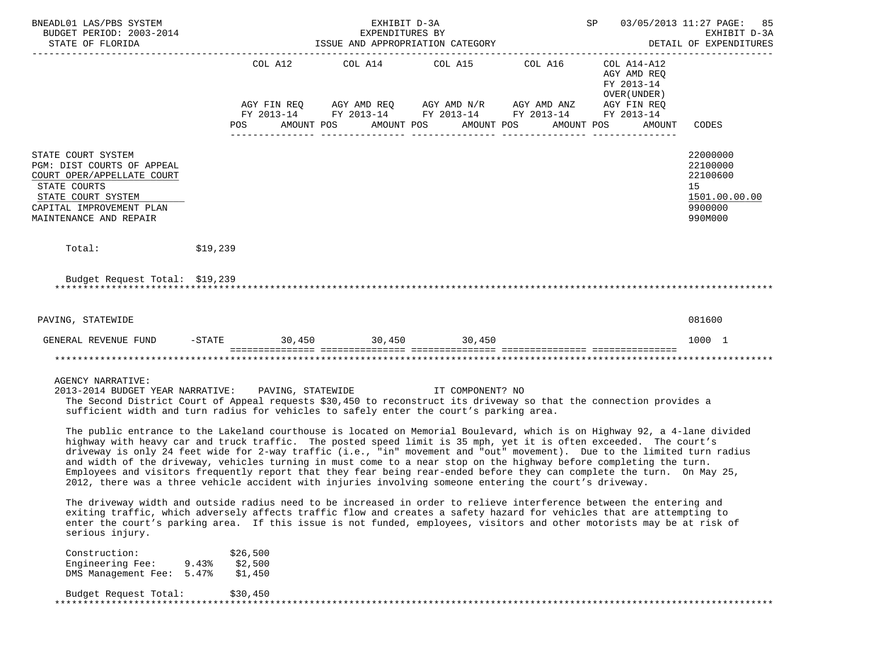| BNEADL01 LAS/PBS SYSTEM<br>BUDGET PERIOD: 2003-2014<br>STATE OF FLORIDA                                                                                                                                                                                                                                                                                                                                                                                                                                                                                                                                                                                                                                                               |                                                  |                | EXPENDITURES BY | EXHIBIT D-3A<br>ISSUE AND APPROPRIATION CATEGORY |                                                                                                                                                                      |                                                                    | SP 03/05/2013 11:27 PAGE: 85<br>EXHIBIT D-3A<br>DETAIL OF EXPENDITURES        |
|---------------------------------------------------------------------------------------------------------------------------------------------------------------------------------------------------------------------------------------------------------------------------------------------------------------------------------------------------------------------------------------------------------------------------------------------------------------------------------------------------------------------------------------------------------------------------------------------------------------------------------------------------------------------------------------------------------------------------------------|--------------------------------------------------|----------------|-----------------|--------------------------------------------------|----------------------------------------------------------------------------------------------------------------------------------------------------------------------|--------------------------------------------------------------------|-------------------------------------------------------------------------------|
|                                                                                                                                                                                                                                                                                                                                                                                                                                                                                                                                                                                                                                                                                                                                       |                                                  | POS AMOUNT POS |                 | AMOUNT POS AMOUNT POS                            | COL A12 COL A14 COL A15 COL A16 COL A14-A12<br>AGY FIN REQ AGY AMD REQ AGY AMD N/R AGY AMD ANZ AGY FIN REQ<br>FY 2013-14 FY 2013-14 FY 2013-14 FY 2013-14 FY 2013-14 | AGY AMD REQ<br>FY 2013-14<br>OVER (UNDER )<br>AMOUNT POS<br>AMOUNT | CODES                                                                         |
| STATE COURT SYSTEM<br>PGM: DIST COURTS OF APPEAL<br>COURT OPER/APPELLATE COURT<br>STATE COURTS<br>STATE COURT SYSTEM<br>CAPITAL IMPROVEMENT PLAN<br>MAINTENANCE AND REPAIR                                                                                                                                                                                                                                                                                                                                                                                                                                                                                                                                                            |                                                  |                |                 |                                                  |                                                                                                                                                                      |                                                                    | 22000000<br>22100000<br>22100600<br>15<br>1501.00.00.00<br>9900000<br>990M000 |
| Total:<br>\$19,239                                                                                                                                                                                                                                                                                                                                                                                                                                                                                                                                                                                                                                                                                                                    |                                                  |                |                 |                                                  |                                                                                                                                                                      |                                                                    |                                                                               |
| Budget Request Total: \$19,239                                                                                                                                                                                                                                                                                                                                                                                                                                                                                                                                                                                                                                                                                                        |                                                  |                |                 |                                                  |                                                                                                                                                                      |                                                                    |                                                                               |
| PAVING, STATEWIDE                                                                                                                                                                                                                                                                                                                                                                                                                                                                                                                                                                                                                                                                                                                     |                                                  |                |                 |                                                  |                                                                                                                                                                      |                                                                    | 081600                                                                        |
| GENERAL REVENUE FUND -STATE 30,450 30,450 30,450                                                                                                                                                                                                                                                                                                                                                                                                                                                                                                                                                                                                                                                                                      |                                                  |                |                 |                                                  |                                                                                                                                                                      |                                                                    | 1000 1                                                                        |
|                                                                                                                                                                                                                                                                                                                                                                                                                                                                                                                                                                                                                                                                                                                                       |                                                  |                |                 |                                                  |                                                                                                                                                                      |                                                                    |                                                                               |
| AGENCY NARRATIVE:<br>2013-2014 BUDGET YEAR NARRATIVE: PAVING, STATEWIDE<br>The Second District Court of Appeal requests \$30,450 to reconstruct its driveway so that the connection provides a<br>sufficient width and turn radius for vehicles to safely enter the court's parking area.                                                                                                                                                                                                                                                                                                                                                                                                                                             |                                                  |                |                 | IT COMPONENT? NO                                 |                                                                                                                                                                      |                                                                    |                                                                               |
| The public entrance to the Lakeland courthouse is located on Memorial Boulevard, which is on Highway 92, a 4-lane divided<br>highway with heavy car and truck traffic. The posted speed limit is 35 mph, yet it is often exceeded. The court's<br>driveway is only 24 feet wide for 2-way traffic (i.e., "in" movement and "out" movement). Due to the limited turn radius<br>and width of the driveway, vehicles turning in must come to a near stop on the highway before completing the turn.<br>Employees and visitors frequently report that they fear being rear-ended before they can complete the turn. On May 25,<br>2012, there was a three vehicle accident with injuries involving someone entering the court's driveway. |                                                  |                |                 |                                                  |                                                                                                                                                                      |                                                                    |                                                                               |
| The driveway width and outside radius need to be increased in order to relieve interference between the entering and<br>exiting traffic, which adversely affects traffic flow and creates a safety hazard for vehicles that are attempting to<br>enter the court's parking area. If this issue is not funded, employees, visitors and other motorists may be at risk of<br>serious injury.                                                                                                                                                                                                                                                                                                                                            |                                                  |                |                 |                                                  |                                                                                                                                                                      |                                                                    |                                                                               |
| Construction:<br>Engineering Fee:<br>DMS Management Fee:                                                                                                                                                                                                                                                                                                                                                                                                                                                                                                                                                                                                                                                                              | \$26,500<br>\$2,500<br>9.43%<br>\$1,450<br>5.47% |                |                 |                                                  |                                                                                                                                                                      |                                                                    |                                                                               |
| Budget Request Total:                                                                                                                                                                                                                                                                                                                                                                                                                                                                                                                                                                                                                                                                                                                 | \$30,450                                         |                |                 |                                                  |                                                                                                                                                                      |                                                                    |                                                                               |

\*\*\*\*\*\*\*\*\*\*\*\*\*\*\*\*\*\*\*\*\*\*\*\*\*\*\*\*\*\*\*\*\*\*\*\*\*\*\*\*\*\*\*\*\*\*\*\*\*\*\*\*\*\*\*\*\*\*\*\*\*\*\*\*\*\*\*\*\*\*\*\*\*\*\*\*\*\*\*\*\*\*\*\*\*\*\*\*\*\*\*\*\*\*\*\*\*\*\*\*\*\*\*\*\*\*\*\*\*\*\*\*\*\*\*\*\*\*\*\*\*\*\*\*\*\*\*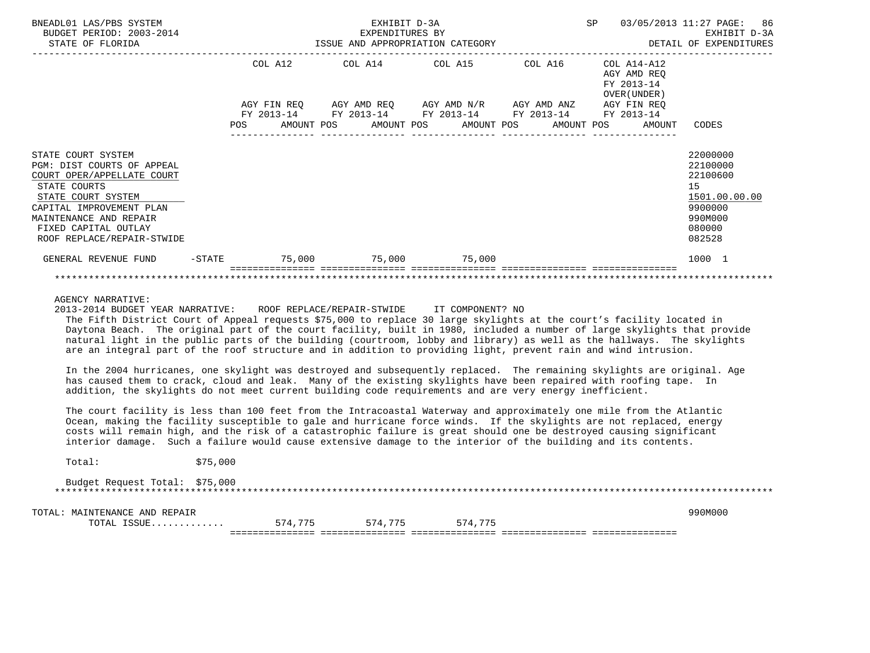| BNEADL01 LAS/PBS SYSTEM<br>BUDGET PERIOD: 2003-2014<br>STATE OF FLORIDA                                                                                                                                                          |           |            |         | EXHIBIT D-3A<br>EXPENDITURES BY | ISSUE AND APPROPRIATION CATEGORY                                                                                                                          |  | SP                        |                              | 03/05/2013 11:27 PAGE: 86<br>EXHIBIT D-3A<br>DETAIL OF EXPENDITURES                               |  |
|----------------------------------------------------------------------------------------------------------------------------------------------------------------------------------------------------------------------------------|-----------|------------|---------|---------------------------------|-----------------------------------------------------------------------------------------------------------------------------------------------------------|--|---------------------------|------------------------------|---------------------------------------------------------------------------------------------------|--|
|                                                                                                                                                                                                                                  |           |            | COL A12 |                                 | COL A14 COL A15 COL A16                                                                                                                                   |  | COL A14-A12<br>FY 2013-14 | AGY AMD REO<br>OVER (UNDER ) |                                                                                                   |  |
|                                                                                                                                                                                                                                  |           | <b>POS</b> |         |                                 | AGY FIN REQ AGY AMD REQ AGY AMD N/R AGY AMD ANZ AGY FIN REQ<br>FY 2013-14 FY 2013-14 FY 2013-14 FY 2013-14 FY 2013-14<br>AMOUNT POS AMOUNT POS AMOUNT POS |  |                           | AMOUNT POS AMOUNT            | CODES                                                                                             |  |
| STATE COURT SYSTEM<br>PGM: DIST COURTS OF APPEAL<br>COURT OPER/APPELLATE COURT<br>STATE COURTS<br>STATE COURT SYSTEM<br>CAPITAL IMPROVEMENT PLAN<br>MAINTENANCE AND REPAIR<br>FIXED CAPITAL OUTLAY<br>ROOF REPLACE/REPAIR-STWIDE |           |            |         |                                 |                                                                                                                                                           |  |                           |                              | 22000000<br>22100000<br>22100600<br>15<br>1501.00.00.00<br>9900000<br>990M000<br>080000<br>082528 |  |
| GENERAL REVENUE FUND                                                                                                                                                                                                             | $-$ STATE |            |         |                                 | $75,000$ $75,000$ $75,000$                                                                                                                                |  |                           |                              | 1000 1                                                                                            |  |
|                                                                                                                                                                                                                                  |           |            |         |                                 |                                                                                                                                                           |  |                           |                              |                                                                                                   |  |

2013-2014 BUDGET YEAR NARRATIVE: ROOF REPLACE/REPAIR-STWIDE IT COMPONENT? NO

 The Fifth District Court of Appeal requests \$75,000 to replace 30 large skylights at the court's facility located in Daytona Beach. The original part of the court facility, built in 1980, included a number of large skylights that provide natural light in the public parts of the building (courtroom, lobby and library) as well as the hallways. The skylights are an integral part of the roof structure and in addition to providing light, prevent rain and wind intrusion.

 In the 2004 hurricanes, one skylight was destroyed and subsequently replaced. The remaining skylights are original. Age has caused them to crack, cloud and leak. Many of the existing skylights have been repaired with roofing tape. In addition, the skylights do not meet current building code requirements and are very energy inefficient.

 The court facility is less than 100 feet from the Intracoastal Waterway and approximately one mile from the Atlantic Ocean, making the facility susceptible to gale and hurricane force winds. If the skylights are not replaced, energy costs will remain high, and the risk of a catastrophic failure is great should one be destroyed causing significant interior damage. Such a failure would cause extensive damage to the interior of the building and its contents.

Total: \$75,000

 Budget Request Total: \$75,000 \*\*\*\*\*\*\*\*\*\*\*\*\*\*\*\*\*\*\*\*\*\*\*\*\*\*\*\*\*\*\*\*\*\*\*\*\*\*\*\*\*\*\*\*\*\*\*\*\*\*\*\*\*\*\*\*\*\*\*\*\*\*\*\*\*\*\*\*\*\*\*\*\*\*\*\*\*\*\*\*\*\*\*\*\*\*\*\*\*\*\*\*\*\*\*\*\*\*\*\*\*\*\*\*\*\*\*\*\*\*\*\*\*\*\*\*\*\*\*\*\*\*\*\*\*\*\*

TOTAL: MAINTENANCE AND REPAIR 990M000

TOTAL ISSUE............. 574,775 574,775 574,775

=============== =============== =============== =============== ===============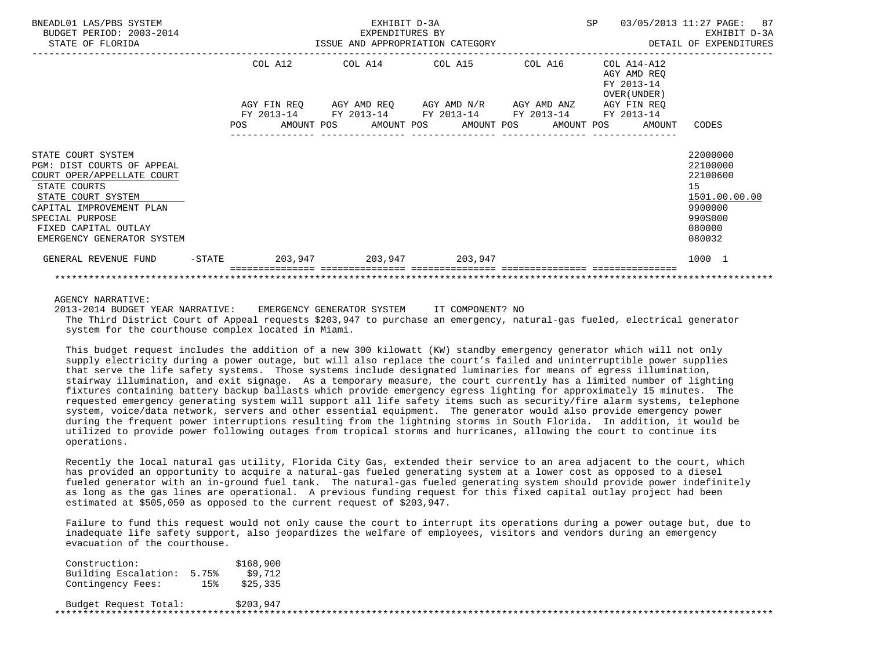| BNEADL01 LAS/PBS SYSTEM<br>BUDGET PERIOD: 2003-2014<br>STATE OF FLORIDA                                                                                                                                                   |            |                        | EXHIBIT D-3A<br>EXPENDITURES BY | ISSUE AND APPROPRIATION CATEGORY                                                                      |  | SP |                                                           | 03/05/2013 11:27 PAGE: 87<br>EXHIBIT D-3A<br>DETAIL OF EXPENDITURES                               |
|---------------------------------------------------------------------------------------------------------------------------------------------------------------------------------------------------------------------------|------------|------------------------|---------------------------------|-------------------------------------------------------------------------------------------------------|--|----|-----------------------------------------------------------|---------------------------------------------------------------------------------------------------|
|                                                                                                                                                                                                                           |            | COL A12<br>AGY FIN REO |                                 | COL A14 COL A15 COL A16<br>AGY AMD REQ AGY AMD N/R AGY AMD ANZ AGY FIN REQ                            |  |    | COL A14-A12<br>AGY AMD REO<br>FY 2013-14<br>OVER (UNDER ) |                                                                                                   |
|                                                                                                                                                                                                                           | <b>POS</b> |                        |                                 | FY 2013-14 FY 2013-14 FY 2013-14 FY 2013-14 FY 2013-14<br>AMOUNT POS AMOUNT POS AMOUNT POS AMOUNT POS |  |    | AMOUNT                                                    | CODES                                                                                             |
| STATE COURT SYSTEM<br>PGM: DIST COURTS OF APPEAL<br>COURT OPER/APPELLATE COURT<br>STATE COURTS<br>STATE COURT SYSTEM<br>CAPITAL IMPROVEMENT PLAN<br>SPECIAL PURPOSE<br>FIXED CAPITAL OUTLAY<br>EMERGENCY GENERATOR SYSTEM |            |                        |                                 |                                                                                                       |  |    |                                                           | 22000000<br>22100000<br>22100600<br>15<br>1501.00.00.00<br>9900000<br>990S000<br>080000<br>080032 |
| GENERAL REVENUE FUND                                                                                                                                                                                                      |            |                        |                                 | -STATE 203,947 203,947 203,947                                                                        |  |    |                                                           | 1000 1                                                                                            |
|                                                                                                                                                                                                                           |            |                        |                                 |                                                                                                       |  |    |                                                           |                                                                                                   |

 2013-2014 BUDGET YEAR NARRATIVE: EMERGENCY GENERATOR SYSTEM IT COMPONENT? NO The Third District Court of Appeal requests \$203,947 to purchase an emergency, natural-gas fueled, electrical generator system for the courthouse complex located in Miami.

 This budget request includes the addition of a new 300 kilowatt (KW) standby emergency generator which will not only supply electricity during a power outage, but will also replace the court's failed and uninterruptible power supplies that serve the life safety systems. Those systems include designated luminaries for means of egress illumination, stairway illumination, and exit signage. As a temporary measure, the court currently has a limited number of lighting fixtures containing battery backup ballasts which provide emergency egress lighting for approximately 15 minutes. The requested emergency generating system will support all life safety items such as security/fire alarm systems, telephone system, voice/data network, servers and other essential equipment. The generator would also provide emergency power during the frequent power interruptions resulting from the lightning storms in South Florida. In addition, it would be utilized to provide power following outages from tropical storms and hurricanes, allowing the court to continue its operations.

 Recently the local natural gas utility, Florida City Gas, extended their service to an area adjacent to the court, which has provided an opportunity to acquire a natural-gas fueled generating system at a lower cost as opposed to a diesel fueled generator with an in-ground fuel tank. The natural-gas fueled generating system should provide power indefinitely as long as the gas lines are operational. A previous funding request for this fixed capital outlay project had been estimated at \$505,050 as opposed to the current request of \$203,947.

 Failure to fund this request would not only cause the court to interrupt its operations during a power outage but, due to inadequate life safety support, also jeopardizes the welfare of employees, visitors and vendors during an emergency evacuation of the courthouse.

| Construction:              |        | \$168,900 |  |
|----------------------------|--------|-----------|--|
| Building Escalation: 5.75% |        | \$9,712   |  |
| Contingency Fees:          | $15$ % | \$25.335  |  |
| Budget Request Total:      |        | \$203.947 |  |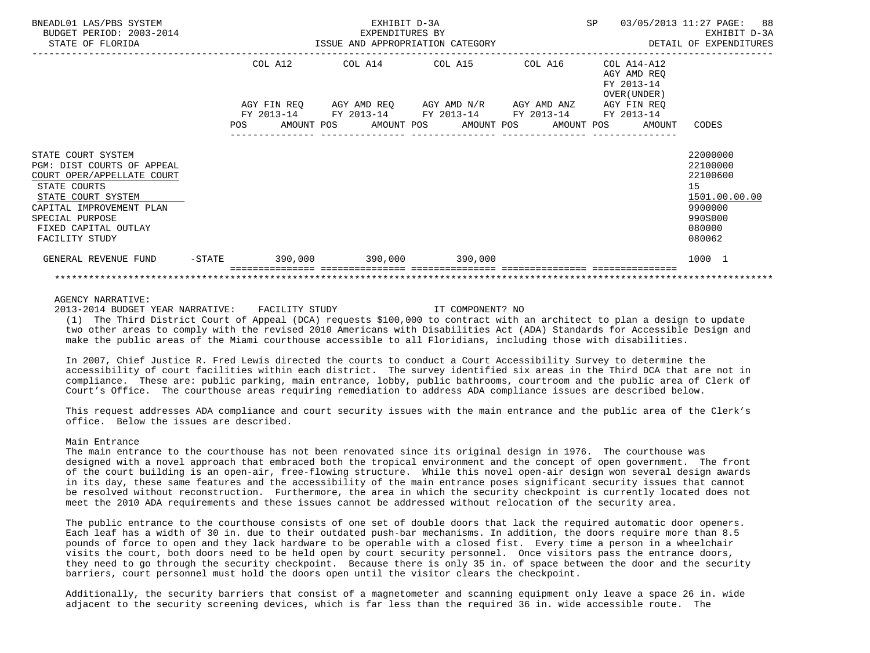| BNEADL01 LAS/PBS SYSTEM<br>BUDGET PERIOD: 2003-2014<br>STATE OF FLORIDA                                                                                                                                       |  |  | EXHIBIT D-3A<br>EXPENDITURES BY | ISSUE AND APPROPRIATION CATEGORY                                                                                                                                     |  | <b>SP</b> |                                                        | 03/05/2013 11:27 PAGE: 88<br>EXHIBIT D-3A<br>DETAIL OF EXPENDITURES                               |  |
|---------------------------------------------------------------------------------------------------------------------------------------------------------------------------------------------------------------|--|--|---------------------------------|----------------------------------------------------------------------------------------------------------------------------------------------------------------------|--|-----------|--------------------------------------------------------|---------------------------------------------------------------------------------------------------|--|
|                                                                                                                                                                                                               |  |  |                                 | COL A12 COL A14 COL A15 COL A16 COL A14-A12<br>AGY FIN REQ AGY AMD REQ AGY AMD N/R AGY AMD ANZ AGY FIN REQ<br>FY 2013-14 FY 2013-14 FY 2013-14 FY 2013-14 FY 2013-14 |  |           | AGY AMD REO<br>FY 2013-14<br>OVER (UNDER )             |                                                                                                   |  |
|                                                                                                                                                                                                               |  |  |                                 |                                                                                                                                                                      |  |           | POS AMOUNT POS AMOUNT POS AMOUNT POS AMOUNT POS AMOUNT | CODES                                                                                             |  |
| STATE COURT SYSTEM<br>PGM: DIST COURTS OF APPEAL<br>COURT OPER/APPELLATE COURT<br>STATE COURTS<br>STATE COURT SYSTEM<br>CAPITAL IMPROVEMENT PLAN<br>SPECIAL PURPOSE<br>FIXED CAPITAL OUTLAY<br>FACILITY STUDY |  |  |                                 |                                                                                                                                                                      |  |           |                                                        | 22000000<br>22100000<br>22100600<br>15<br>1501.00.00.00<br>9900000<br>990S000<br>080000<br>080062 |  |
| GENERAL REVENUE FUND -STATE 390,000 390,000 390,000 390,000                                                                                                                                                   |  |  |                                 |                                                                                                                                                                      |  |           |                                                        | 1000 1                                                                                            |  |
|                                                                                                                                                                                                               |  |  |                                 |                                                                                                                                                                      |  |           |                                                        |                                                                                                   |  |

2013-2014 BUDGET YEAR NARRATIVE: FACILITY STUDY IT COMPONENT? NO

 (1) The Third District Court of Appeal (DCA) requests \$100,000 to contract with an architect to plan a design to update two other areas to comply with the revised 2010 Americans with Disabilities Act (ADA) Standards for Accessible Design and make the public areas of the Miami courthouse accessible to all Floridians, including those with disabilities.

 In 2007, Chief Justice R. Fred Lewis directed the courts to conduct a Court Accessibility Survey to determine the accessibility of court facilities within each district. The survey identified six areas in the Third DCA that are not in compliance. These are: public parking, main entrance, lobby, public bathrooms, courtroom and the public area of Clerk of Court's Office. The courthouse areas requiring remediation to address ADA compliance issues are described below.

 This request addresses ADA compliance and court security issues with the main entrance and the public area of the Clerk's office. Below the issues are described.

## Main Entrance

 The main entrance to the courthouse has not been renovated since its original design in 1976. The courthouse was designed with a novel approach that embraced both the tropical environment and the concept of open government. The front of the court building is an open-air, free-flowing structure. While this novel open-air design won several design awards in its day, these same features and the accessibility of the main entrance poses significant security issues that cannot be resolved without reconstruction. Furthermore, the area in which the security checkpoint is currently located does not meet the 2010 ADA requirements and these issues cannot be addressed without relocation of the security area.

 The public entrance to the courthouse consists of one set of double doors that lack the required automatic door openers. Each leaf has a width of 30 in. due to their outdated push-bar mechanisms. In addition, the doors require more than 8.5 pounds of force to open and they lack hardware to be operable with a closed fist. Every time a person in a wheelchair visits the court, both doors need to be held open by court security personnel. Once visitors pass the entrance doors, they need to go through the security checkpoint. Because there is only 35 in. of space between the door and the security barriers, court personnel must hold the doors open until the visitor clears the checkpoint.

 Additionally, the security barriers that consist of a magnetometer and scanning equipment only leave a space 26 in. wide adjacent to the security screening devices, which is far less than the required 36 in. wide accessible route. The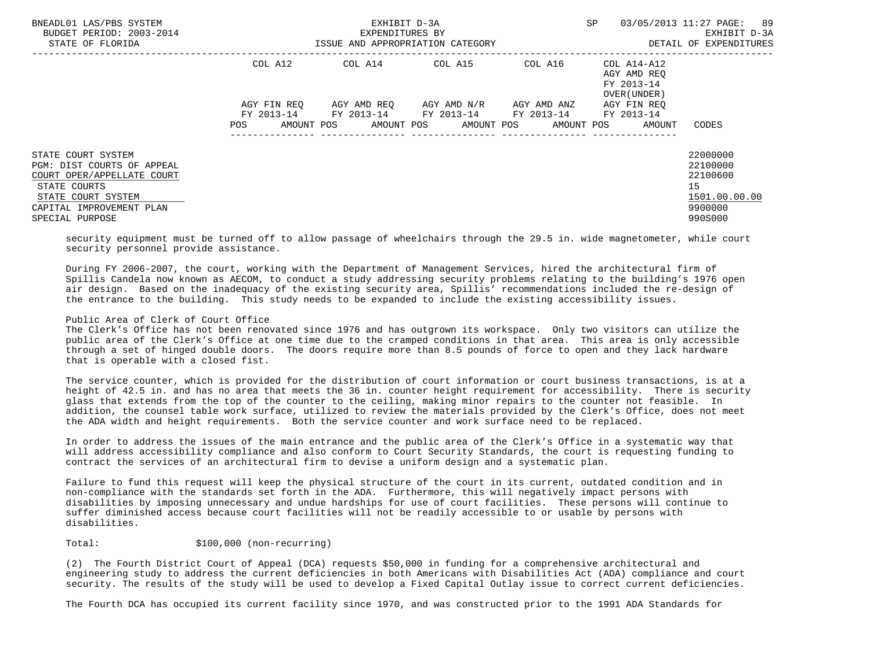| BNEADL01 LAS/PBS SYSTEM<br>BUDGET PERIOD: 2003-2014<br>STATE OF FLORIDA |                   | EXHIBIT D-3A<br>EXPENDITURES BY<br>ISSUE AND APPROPRIATION CATEGORY | SP                      | 03/05/2013 11:27 PAGE:<br>-89<br>EXHIBIT D-3A<br>DETAIL OF EXPENDITURES |                                           |               |
|-------------------------------------------------------------------------|-------------------|---------------------------------------------------------------------|-------------------------|-------------------------------------------------------------------------|-------------------------------------------|---------------|
|                                                                         | COL A12           | $COL A14$ $COL A15$ $COL A16$ $COL A14-A12$                         |                         |                                                                         | AGY AMD REO<br>FY 2013-14<br>OVER (UNDER) |               |
|                                                                         | AGY FIN REQ       |                                                                     | AGY AMD REO AGY AMD N/R | AGY AMD ANZ                                                             | AGY FIN REO                               |               |
|                                                                         | AMOUNT POS<br>POS | FY 2013-14 FY 2013-14 FY 2013-14                                    | AMOUNT POS AMOUNT POS   | FY 2013-14 FY 2013-14                                                   | AMOUNT POS<br>AMOUNT                      | CODES         |
| STATE COURT SYSTEM                                                      |                   |                                                                     |                         |                                                                         |                                           | 22000000      |
| PGM: DIST COURTS OF APPEAL                                              |                   |                                                                     |                         |                                                                         |                                           | 22100000      |
| COURT OPER/APPELLATE COURT                                              |                   |                                                                     |                         |                                                                         |                                           | 22100600      |
| STATE COURTS                                                            |                   |                                                                     |                         |                                                                         |                                           | 15            |
| STATE COURT SYSTEM                                                      |                   |                                                                     |                         |                                                                         |                                           | 1501.00.00.00 |
| CAPITAL IMPROVEMENT PLAN                                                |                   |                                                                     |                         |                                                                         |                                           | 9900000       |
| SPECIAL PURPOSE                                                         |                   |                                                                     |                         |                                                                         |                                           | 990S000       |

 security equipment must be turned off to allow passage of wheelchairs through the 29.5 in. wide magnetometer, while court security personnel provide assistance.

 During FY 2006-2007, the court, working with the Department of Management Services, hired the architectural firm of Spillis Candela now known as AECOM, to conduct a study addressing security problems relating to the building's 1976 open air design. Based on the inadequacy of the existing security area, Spillis' recommendations included the re-design of the entrance to the building. This study needs to be expanded to include the existing accessibility issues.

# Public Area of Clerk of Court Office

 The Clerk's Office has not been renovated since 1976 and has outgrown its workspace. Only two visitors can utilize the public area of the Clerk's Office at one time due to the cramped conditions in that area. This area is only accessible through a set of hinged double doors. The doors require more than 8.5 pounds of force to open and they lack hardware that is operable with a closed fist.

 The service counter, which is provided for the distribution of court information or court business transactions, is at a height of 42.5 in. and has no area that meets the 36 in. counter height requirement for accessibility. There is security glass that extends from the top of the counter to the ceiling, making minor repairs to the counter not feasible. In addition, the counsel table work surface, utilized to review the materials provided by the Clerk's Office, does not meet the ADA width and height requirements. Both the service counter and work surface need to be replaced.

 In order to address the issues of the main entrance and the public area of the Clerk's Office in a systematic way that will address accessibility compliance and also conform to Court Security Standards, the court is requesting funding to contract the services of an architectural firm to devise a uniform design and a systematic plan.

 Failure to fund this request will keep the physical structure of the court in its current, outdated condition and in non-compliance with the standards set forth in the ADA. Furthermore, this will negatively impact persons with disabilities by imposing unnecessary and undue hardships for use of court facilities. These persons will continue to suffer diminished access because court facilities will not be readily accessible to or usable by persons with disabilities.

# Total:  $$100,000$  (non-recurring)

 (2) The Fourth District Court of Appeal (DCA) requests \$50,000 in funding for a comprehensive architectural and engineering study to address the current deficiencies in both Americans with Disabilities Act (ADA) compliance and court security. The results of the study will be used to develop a Fixed Capital Outlay issue to correct current deficiencies.

The Fourth DCA has occupied its current facility since 1970, and was constructed prior to the 1991 ADA Standards for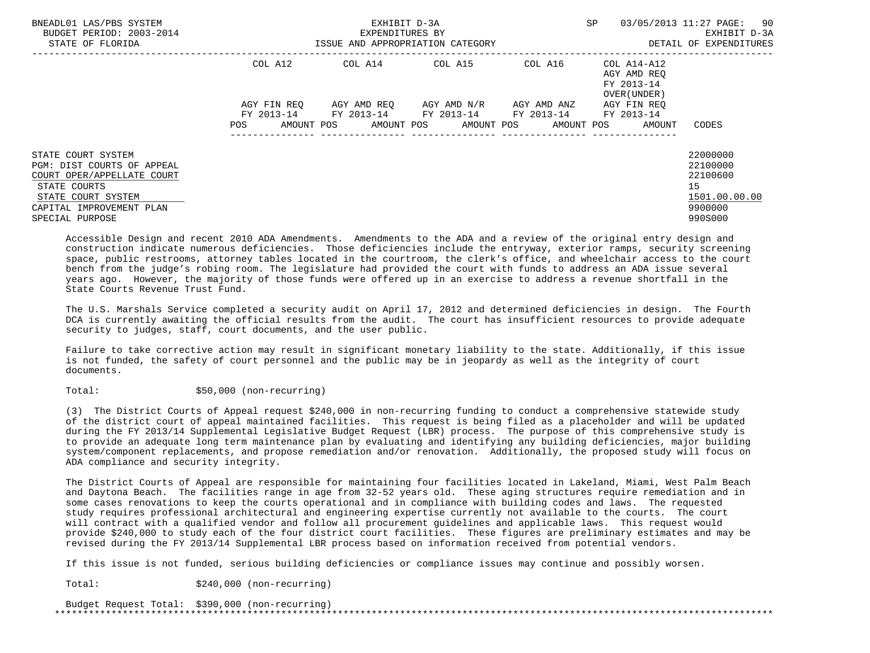| BNEADL01 LAS/PBS SYSTEM<br>BUDGET PERIOD: 2003-2014<br>STATE OF FLORIDA |             | EXHIBIT D-3A<br>EXPENDITURES BY<br>ISSUE AND APPROPRIATION CATEGORY | SP                                                     | 03/05/2013 11:27 PAGE:<br>-90<br>EXHIBIT D-3A<br>DETAIL OF EXPENDITURES |                                                    |               |
|-------------------------------------------------------------------------|-------------|---------------------------------------------------------------------|--------------------------------------------------------|-------------------------------------------------------------------------|----------------------------------------------------|---------------|
|                                                                         | COL A12     |                                                                     | $COL A14$ $COL A15$ $COL A16$ $COL A14-A12$            |                                                                         | AGY AMD REO<br>FY 2013-14<br>OVER (UNDER)          |               |
|                                                                         | AGY FIN REO |                                                                     | AGY AMD REQ AGY AMD N/R                                | AGY AMD ANZ                                                             | AGY FIN REO                                        |               |
|                                                                         | POS         |                                                                     | FY 2013-14 FY 2013-14 FY 2013-14 FY 2013-14 FY 2013-14 |                                                                         | AMOUNT POS AMOUNT POS AMOUNT POS AMOUNT POS AMOUNT | CODES         |
|                                                                         |             |                                                                     |                                                        |                                                                         |                                                    |               |
| STATE COURT SYSTEM                                                      |             |                                                                     |                                                        |                                                                         |                                                    | 22000000      |
| PGM: DIST COURTS OF APPEAL                                              |             |                                                                     |                                                        |                                                                         |                                                    | 22100000      |
| COURT OPER/APPELLATE COURT                                              |             |                                                                     |                                                        |                                                                         |                                                    | 22100600      |
| STATE COURTS                                                            |             |                                                                     |                                                        |                                                                         |                                                    | 15            |
| STATE COURT SYSTEM                                                      |             |                                                                     |                                                        |                                                                         |                                                    | 1501.00.00.00 |
| CAPITAL IMPROVEMENT PLAN                                                |             |                                                                     |                                                        |                                                                         |                                                    | 9900000       |
| SPECIAL PURPOSE                                                         |             |                                                                     |                                                        |                                                                         |                                                    | 990S000       |

 Accessible Design and recent 2010 ADA Amendments. Amendments to the ADA and a review of the original entry design and construction indicate numerous deficiencies. Those deficiencies include the entryway, exterior ramps, security screening space, public restrooms, attorney tables located in the courtroom, the clerk's office, and wheelchair access to the court bench from the judge's robing room. The legislature had provided the court with funds to address an ADA issue several years ago. However, the majority of those funds were offered up in an exercise to address a revenue shortfall in the State Courts Revenue Trust Fund.

 The U.S. Marshals Service completed a security audit on April 17, 2012 and determined deficiencies in design. The Fourth DCA is currently awaiting the official results from the audit. The court has insufficient resources to provide adequate security to judges, staff, court documents, and the user public.

 Failure to take corrective action may result in significant monetary liability to the state. Additionally, if this issue is not funded, the safety of court personnel and the public may be in jeopardy as well as the integrity of court documents.

## Total:  $$50,000 (non-recurring)$

 (3) The District Courts of Appeal request \$240,000 in non-recurring funding to conduct a comprehensive statewide study of the district court of appeal maintained facilities. This request is being filed as a placeholder and will be updated during the FY 2013/14 Supplemental Legislative Budget Request (LBR) process. The purpose of this comprehensive study is to provide an adequate long term maintenance plan by evaluating and identifying any building deficiencies, major building system/component replacements, and propose remediation and/or renovation. Additionally, the proposed study will focus on ADA compliance and security integrity.

 The District Courts of Appeal are responsible for maintaining four facilities located in Lakeland, Miami, West Palm Beach and Daytona Beach. The facilities range in age from 32-52 years old. These aging structures require remediation and in some cases renovations to keep the courts operational and in compliance with building codes and laws. The requested study requires professional architectural and engineering expertise currently not available to the courts. The court will contract with a qualified vendor and follow all procurement guidelines and applicable laws. This request would provide \$240,000 to study each of the four district court facilities. These figures are preliminary estimates and may be revised during the FY 2013/14 Supplemental LBR process based on information received from potential vendors.

If this issue is not funded, serious building deficiencies or compliance issues may continue and possibly worsen.

Total:  $$240,000 (non-recurring)$ 

 Budget Request Total: \$390,000 (non-recurring) \*\*\*\*\*\*\*\*\*\*\*\*\*\*\*\*\*\*\*\*\*\*\*\*\*\*\*\*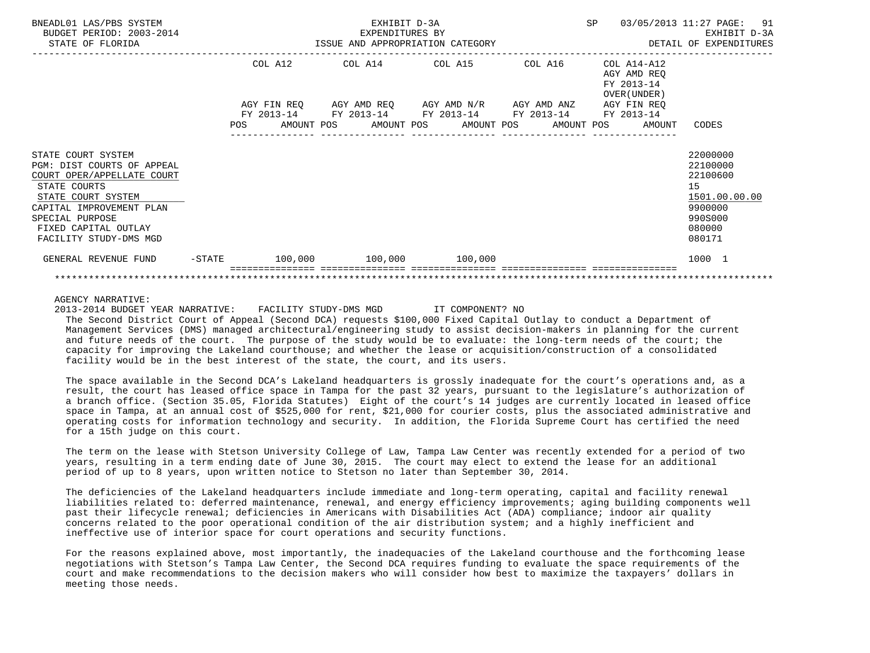| BNEADL01 LAS/PBS SYSTEM<br>BUDGET PERIOD: 2003-2014<br>STATE OF FLORIDA                                                                                                                                               |  |  | EXHIBIT D-3A<br>EXPENDITURES BY<br>ISSUE AND APPROPRIATION CATEGORY                                                                                                  |  |  | SP | 03/05/2013 11:27 PAGE: 91                              | EXHIBIT D-3A<br>DETAIL OF EXPENDITURES                                                            |  |
|-----------------------------------------------------------------------------------------------------------------------------------------------------------------------------------------------------------------------|--|--|----------------------------------------------------------------------------------------------------------------------------------------------------------------------|--|--|----|--------------------------------------------------------|---------------------------------------------------------------------------------------------------|--|
|                                                                                                                                                                                                                       |  |  | COL A12 COL A14 COL A15 COL A16 COL A14-A12<br>AGY FIN REQ AGY AMD REQ AGY AMD N/R AGY AMD ANZ AGY FIN REQ<br>FY 2013-14 FY 2013-14 FY 2013-14 FY 2013-14 FY 2013-14 |  |  |    | AGY AMD REO<br>FY 2013-14<br>OVER (UNDER )             |                                                                                                   |  |
|                                                                                                                                                                                                                       |  |  |                                                                                                                                                                      |  |  |    | POS AMOUNT POS AMOUNT POS AMOUNT POS AMOUNT POS AMOUNT | CODES                                                                                             |  |
| STATE COURT SYSTEM<br>PGM: DIST COURTS OF APPEAL<br>COURT OPER/APPELLATE COURT<br>STATE COURTS<br>STATE COURT SYSTEM<br>CAPITAL IMPROVEMENT PLAN<br>SPECIAL PURPOSE<br>FIXED CAPITAL OUTLAY<br>FACILITY STUDY-DMS MGD |  |  |                                                                                                                                                                      |  |  |    |                                                        | 22000000<br>22100000<br>22100600<br>15<br>1501.00.00.00<br>9900000<br>990S000<br>080000<br>080171 |  |
| GENERAL REVENUE FUND                                                                                                                                                                                                  |  |  | $-$ STATE $100,000$ $100,000$ $100$                                                                                                                                  |  |  |    |                                                        | 1000 1                                                                                            |  |
|                                                                                                                                                                                                                       |  |  |                                                                                                                                                                      |  |  |    |                                                        |                                                                                                   |  |

2013-2014 BUDGET YEAR NARRATIVE: FACILITY STUDY-DMS MGD IT COMPONENT? NO

 The Second District Court of Appeal (Second DCA) requests \$100,000 Fixed Capital Outlay to conduct a Department of Management Services (DMS) managed architectural/engineering study to assist decision-makers in planning for the current and future needs of the court. The purpose of the study would be to evaluate: the long-term needs of the court; the capacity for improving the Lakeland courthouse; and whether the lease or acquisition/construction of a consolidated facility would be in the best interest of the state, the court, and its users.

 The space available in the Second DCA's Lakeland headquarters is grossly inadequate for the court's operations and, as a result, the court has leased office space in Tampa for the past 32 years, pursuant to the legislature's authorization of a branch office. (Section 35.05, Florida Statutes) Eight of the court's 14 judges are currently located in leased office space in Tampa, at an annual cost of \$525,000 for rent, \$21,000 for courier costs, plus the associated administrative and operating costs for information technology and security. In addition, the Florida Supreme Court has certified the need for a 15th judge on this court.

 The term on the lease with Stetson University College of Law, Tampa Law Center was recently extended for a period of two years, resulting in a term ending date of June 30, 2015. The court may elect to extend the lease for an additional period of up to 8 years, upon written notice to Stetson no later than September 30, 2014.

 The deficiencies of the Lakeland headquarters include immediate and long-term operating, capital and facility renewal liabilities related to: deferred maintenance, renewal, and energy efficiency improvements; aging building components well past their lifecycle renewal; deficiencies in Americans with Disabilities Act (ADA) compliance; indoor air quality concerns related to the poor operational condition of the air distribution system; and a highly inefficient and ineffective use of interior space for court operations and security functions.

 For the reasons explained above, most importantly, the inadequacies of the Lakeland courthouse and the forthcoming lease negotiations with Stetson's Tampa Law Center, the Second DCA requires funding to evaluate the space requirements of the court and make recommendations to the decision makers who will consider how best to maximize the taxpayers' dollars in meeting those needs.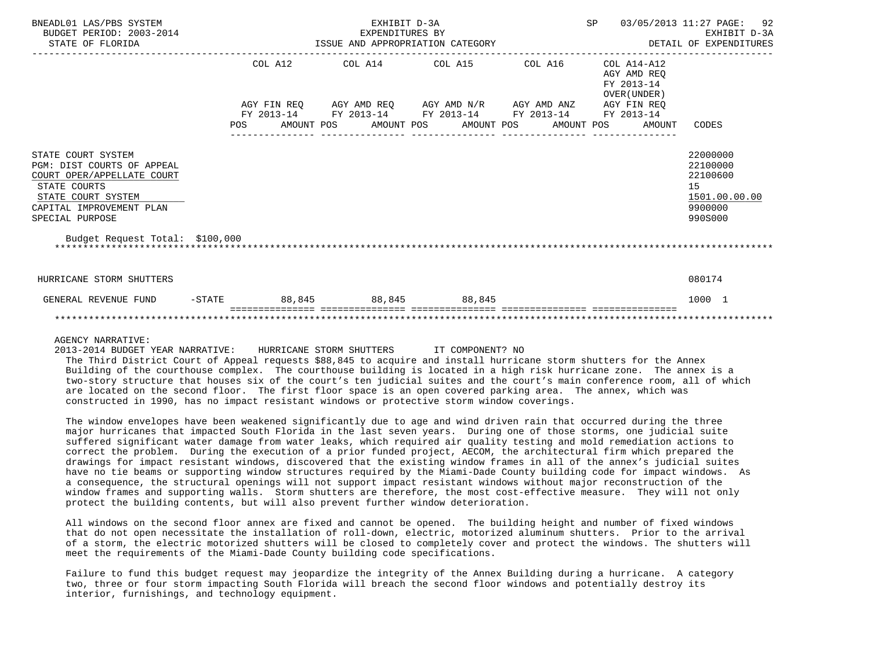| BNEADL01 LAS/PBS SYSTEM<br>BUDGET PERIOD: 2003-2014<br>STATE OF FLORIDA                                                                                                                                |            | ISSUE AND APPROPRIATION CATEGORY | SP                                                                                                         | 92<br>03/05/2013 11:27 PAGE:<br>EXHIBIT D-3A<br>DETAIL OF EXPENDITURES |                                                          |                                                                               |
|--------------------------------------------------------------------------------------------------------------------------------------------------------------------------------------------------------|------------|----------------------------------|------------------------------------------------------------------------------------------------------------|------------------------------------------------------------------------|----------------------------------------------------------|-------------------------------------------------------------------------------|
|                                                                                                                                                                                                        |            | COL A12                          | COL A14 COL A15                                                                                            | COL A16                                                                | COL A14-A12<br>AGY AMD REO<br>FY 2013-14<br>OVER (UNDER) |                                                                               |
|                                                                                                                                                                                                        |            | FY 2013-14                       | AGY FIN REQ AGY AMD REQ AGY AMD N/R AGY AMD ANZ AGY FIN REQ<br>FY 2013-14 FY 2013-14 FY 2013-14 FY 2013-14 |                                                                        |                                                          |                                                                               |
|                                                                                                                                                                                                        | <b>POS</b> |                                  | AMOUNT POS AMOUNT POS AMOUNT POS AMOUNT POS                                                                |                                                                        | AMOUNT                                                   | CODES                                                                         |
| STATE COURT SYSTEM<br>PGM: DIST COURTS OF APPEAL<br>COURT OPER/APPELLATE COURT<br>STATE COURTS<br>STATE COURT SYSTEM<br>CAPITAL IMPROVEMENT PLAN<br>SPECIAL PURPOSE<br>Budget Request Total: \$100,000 |            |                                  |                                                                                                            |                                                                        |                                                          | 22000000<br>22100000<br>22100600<br>15<br>1501.00.00.00<br>9900000<br>990S000 |
| HURRICANE STORM SHUTTERS                                                                                                                                                                               |            |                                  |                                                                                                            |                                                                        |                                                          | 080174                                                                        |
| GENERAL REVENUE FUND                                                                                                                                                                                   | $-$ STATE  |                                  | 88,845 88,845 88,845                                                                                       |                                                                        |                                                          | 1000 1                                                                        |
|                                                                                                                                                                                                        |            |                                  |                                                                                                            |                                                                        |                                                          |                                                                               |

2013-2014 BUDGET YEAR NARRATIVE: HURRICANE STORM SHUTTERS IT COMPONENT? NO

 The Third District Court of Appeal requests \$88,845 to acquire and install hurricane storm shutters for the Annex Building of the courthouse complex. The courthouse building is located in a high risk hurricane zone. The annex is a two-story structure that houses six of the court's ten judicial suites and the court's main conference room, all of which are located on the second floor. The first floor space is an open covered parking area. The annex, which was constructed in 1990, has no impact resistant windows or protective storm window coverings.

 The window envelopes have been weakened significantly due to age and wind driven rain that occurred during the three major hurricanes that impacted South Florida in the last seven years. During one of those storms, one judicial suite suffered significant water damage from water leaks, which required air quality testing and mold remediation actions to correct the problem. During the execution of a prior funded project, AECOM, the architectural firm which prepared the drawings for impact resistant windows, discovered that the existing window frames in all of the annex's judicial suites have no tie beams or supporting window structures required by the Miami-Dade County building code for impact windows. As a consequence, the structural openings will not support impact resistant windows without major reconstruction of the window frames and supporting walls. Storm shutters are therefore, the most cost-effective measure. They will not only protect the building contents, but will also prevent further window deterioration.

 All windows on the second floor annex are fixed and cannot be opened. The building height and number of fixed windows that do not open necessitate the installation of roll-down, electric, motorized aluminum shutters. Prior to the arrival of a storm, the electric motorized shutters will be closed to completely cover and protect the windows. The shutters will meet the requirements of the Miami-Dade County building code specifications.

 Failure to fund this budget request may jeopardize the integrity of the Annex Building during a hurricane. A category two, three or four storm impacting South Florida will breach the second floor windows and potentially destroy its interior, furnishings, and technology equipment.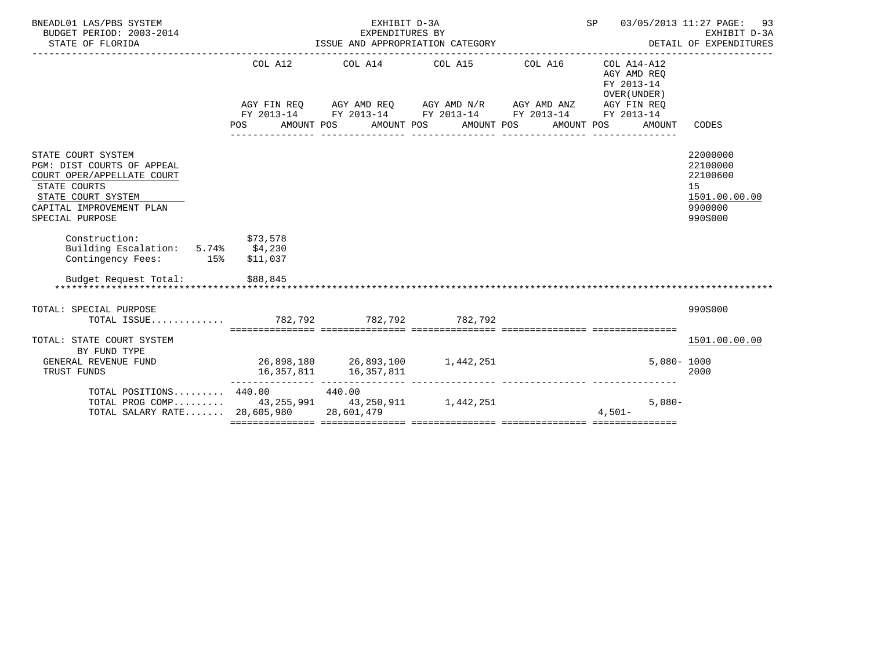| BNEADL01 LAS/PBS SYSTEM<br>BUDGET PERIOD: 2003-2014<br>STATE OF FLORIDA                                                                                             |                                   | EXHIBIT D-3A<br>EXPENDITURES BY |                                                                                                                                                                                       | SP 03/05/2013 11:27 PAGE: 93<br>EXHIBIT D-3A |                                                                   |                                                                               |
|---------------------------------------------------------------------------------------------------------------------------------------------------------------------|-----------------------------------|---------------------------------|---------------------------------------------------------------------------------------------------------------------------------------------------------------------------------------|----------------------------------------------|-------------------------------------------------------------------|-------------------------------------------------------------------------------|
|                                                                                                                                                                     | COL A12<br>POS AMOUNT POS         |                                 | COL A14 COL A15 COL A16 COL A14-A12<br>AGY FIN REQ AGY AMD REQ AGY AMD N/R AGY AMD ANZ AGY FIN REQ<br>FY 2013-14 FY 2013-14 FY 2013-14 FY 2013-14 FY 2013-14<br>AMOUNT POS AMOUNT POS |                                              | AGY AMD REO<br>FY 2013-14<br>OVER (UNDER)<br>AMOUNT POS<br>AMOUNT | CODES                                                                         |
| STATE COURT SYSTEM<br>PGM: DIST COURTS OF APPEAL<br>COURT OPER/APPELLATE COURT<br>STATE COURTS<br>STATE COURT SYSTEM<br>CAPITAL IMPROVEMENT PLAN<br>SPECIAL PURPOSE |                                   |                                 |                                                                                                                                                                                       |                                              |                                                                   | 22000000<br>22100000<br>22100600<br>15<br>1501.00.00.00<br>9900000<br>990S000 |
| Construction:<br>\$73,578<br>Building Escalation: 5.74% \$4,230<br>Contingency Fees: 15%                                                                            | \$11,037                          |                                 |                                                                                                                                                                                       |                                              |                                                                   |                                                                               |
| Budget Request Total: \$88,845                                                                                                                                      |                                   |                                 |                                                                                                                                                                                       |                                              |                                                                   |                                                                               |
| TOTAL: SPECIAL PURPOSE<br>TOTAL ISSUE 782,792 782,792 782,792                                                                                                       |                                   |                                 |                                                                                                                                                                                       |                                              |                                                                   | 990S000                                                                       |
| TOTAL: STATE COURT SYSTEM<br>BY FUND TYPE<br>GENERAL REVENUE FUND<br>TRUST FUNDS                                                                                    | 26,898,180  26,893,100  1,442,251 | 16, 357, 811 16, 357, 811       |                                                                                                                                                                                       |                                              |                                                                   | 1501.00.00.00<br>$5,080 - 1000$<br>2000                                       |
| TOTAL POSITIONS $440.00$ $440.00$<br>TOTAL PROG COMP 43,255,991 43,250,911 1,442,251<br>TOTAL SALARY RATE 28,605,980 28,601,479                                     |                                   |                                 |                                                                                                                                                                                       |                                              | $5.080 -$<br>$4.501 -$                                            |                                                                               |
|                                                                                                                                                                     |                                   |                                 |                                                                                                                                                                                       |                                              |                                                                   |                                                                               |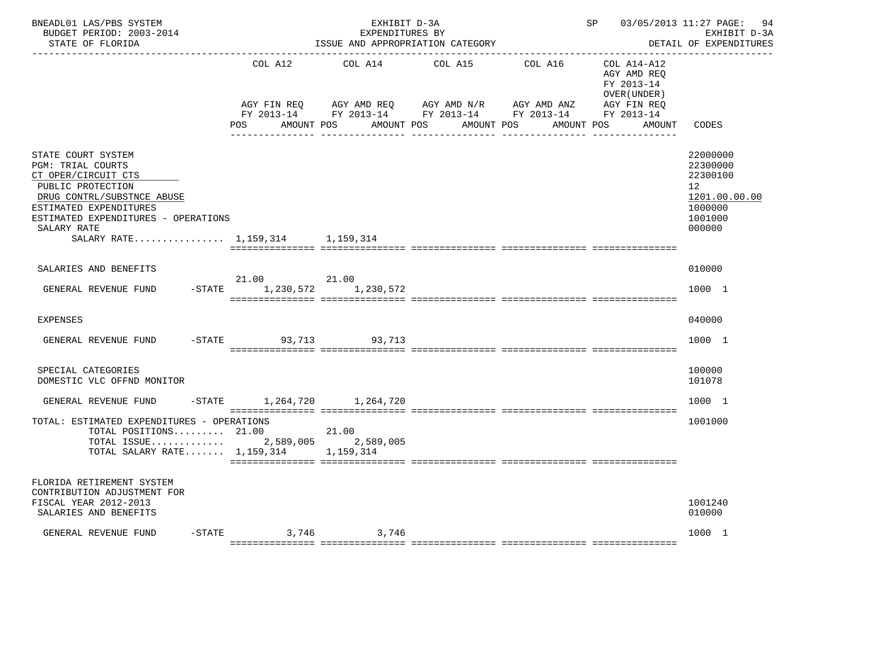| BNEADL01 LAS/PBS SYSTEM<br>BUDGET PERIOD: 2003-2014<br>STATE OF FLORIDA                                                                                                                                                                     |                                | EXHIBIT D-3A<br>EXPENDITURES BY | ISSUE AND APPROPRIATION CATEGORY                                                                                         |            | SP 03/05/2013 11:27 PAGE:                                | 94<br>EXHIBIT D-3A<br>DETAIL OF EXPENDITURES                                                         |
|---------------------------------------------------------------------------------------------------------------------------------------------------------------------------------------------------------------------------------------------|--------------------------------|---------------------------------|--------------------------------------------------------------------------------------------------------------------------|------------|----------------------------------------------------------|------------------------------------------------------------------------------------------------------|
|                                                                                                                                                                                                                                             | COL A12                        | COL A14                         | COL A15                                                                                                                  | COL A16    | COL A14-A12<br>AGY AMD REQ<br>FY 2013-14<br>OVER (UNDER) |                                                                                                      |
|                                                                                                                                                                                                                                             | POS                            | AMOUNT POS                      | AGY FIN REQ AGY AMD REQ AGY AMD N/R AGY AMD ANZ AGY FIN REQ FY 2013-14 FY 2013-14 FY 2013-14<br>AMOUNT POS<br>AMOUNT POS | AMOUNT POS | AGY FIN REO<br>AMOUNT                                    | CODES                                                                                                |
| STATE COURT SYSTEM<br><b>PGM: TRIAL COURTS</b><br>CT OPER/CIRCUIT CTS<br>PUBLIC PROTECTION<br>DRUG CONTRL/SUBSTNCE ABUSE<br>ESTIMATED EXPENDITURES<br>ESTIMATED EXPENDITURES - OPERATIONS<br>SALARY RATE<br>SALARY RATE 1,159,314 1,159,314 |                                |                                 |                                                                                                                          |            |                                                          | 22000000<br>22300000<br>22300100<br>12 <sup>°</sup><br>1201.00.00.00<br>1000000<br>1001000<br>000000 |
|                                                                                                                                                                                                                                             |                                |                                 |                                                                                                                          |            |                                                          |                                                                                                      |
| SALARIES AND BENEFITS                                                                                                                                                                                                                       | 21.00 21.00                    |                                 |                                                                                                                          |            |                                                          | 010000                                                                                               |
| GENERAL REVENUE FUND                                                                                                                                                                                                                        | -STATE 1,230,572 1,230,572     |                                 |                                                                                                                          |            |                                                          | 1000 1                                                                                               |
| <b>EXPENSES</b>                                                                                                                                                                                                                             |                                |                                 |                                                                                                                          |            |                                                          | 040000                                                                                               |
| GENERAL REVENUE FUND                                                                                                                                                                                                                        | $-$ STATE<br>93,713            | 93,713                          |                                                                                                                          |            |                                                          | 1000 1                                                                                               |
| SPECIAL CATEGORIES<br>DOMESTIC VLC OFFND MONITOR                                                                                                                                                                                            |                                |                                 |                                                                                                                          |            |                                                          | 100000<br>101078                                                                                     |
| GENERAL REVENUE FUND                                                                                                                                                                                                                        | -STATE 1, 264, 720 1, 264, 720 |                                 |                                                                                                                          |            |                                                          | 1000 1                                                                                               |
| TOTAL: ESTIMATED EXPENDITURES - OPERATIONS<br>TOTAL POSITIONS $21.00$<br>TOTAL ISSUE 2,589,005 2,589,005<br>TOTAL SALARY RATE $1,159,314$ 1,159,314                                                                                         |                                | 21.00                           |                                                                                                                          |            |                                                          | 1001000                                                                                              |
| FLORIDA RETIREMENT SYSTEM<br>CONTRIBUTION ADJUSTMENT FOR<br>FISCAL YEAR 2012-2013<br>SALARIES AND BENEFITS                                                                                                                                  |                                |                                 |                                                                                                                          |            |                                                          | 1001240<br>010000                                                                                    |
| GENERAL REVENUE FUND                                                                                                                                                                                                                        | $-$ STATE 3,746 3,746          |                                 |                                                                                                                          |            |                                                          | 1000 1                                                                                               |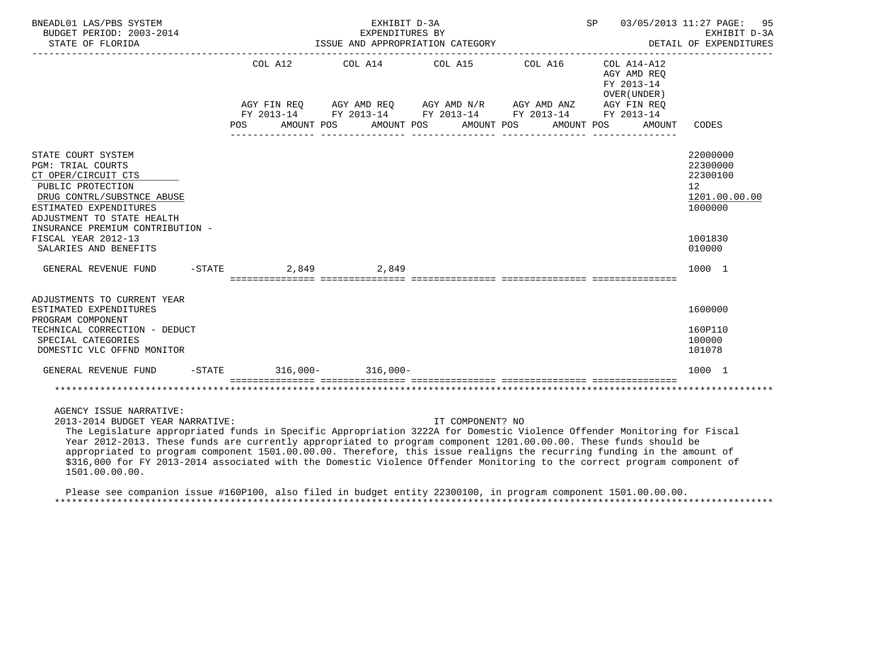| BNEADL01 LAS/PBS SYSTEM<br>BUDGET PERIOD: 2003-2014<br>STATE OF FLORIDA                                                                                                                                                                                              | SP<br>EXHIBIT D-3A<br>03/05/2013 11:27 PAGE:<br>EXPENDITURES BY<br>ISSUE AND APPROPRIATION CATEGORY |            |  |             |  |                       |  |                                                                                                                                                             | 95<br>EXHIBIT D-3A<br>DETAIL OF EXPENDITURES                                     |                                                                                         |
|----------------------------------------------------------------------------------------------------------------------------------------------------------------------------------------------------------------------------------------------------------------------|-----------------------------------------------------------------------------------------------------|------------|--|-------------|--|-----------------------|--|-------------------------------------------------------------------------------------------------------------------------------------------------------------|----------------------------------------------------------------------------------|-----------------------------------------------------------------------------------------|
|                                                                                                                                                                                                                                                                      | POS                                                                                                 | AMOUNT POS |  |             |  | AMOUNT POS AMOUNT POS |  | COL A12 COL A14 COL A15 COL A16<br>AGY FIN REQ AGY AMD REQ AGY AMD N/R AGY AMD ANZ AGY FIN REQ<br>FY 2013-14 FY 2013-14 FY 2013-14 FY 2013-14<br>AMOUNT POS | COL A14-A12<br>AGY AMD REO<br>FY 2013-14<br>OVER (UNDER)<br>FY 2013-14<br>AMOUNT | CODES                                                                                   |
| STATE COURT SYSTEM<br><b>PGM: TRIAL COURTS</b><br>CT OPER/CIRCUIT CTS<br>PUBLIC PROTECTION<br>DRUG CONTRL/SUBSTNCE ABUSE<br>ESTIMATED EXPENDITURES<br>ADJUSTMENT TO STATE HEALTH<br>INSURANCE PREMIUM CONTRIBUTION -<br>FISCAL YEAR 2012-13<br>SALARIES AND BENEFITS |                                                                                                     |            |  |             |  |                       |  |                                                                                                                                                             |                                                                                  | 22000000<br>22300000<br>22300100<br>12<br>1201.00.00.00<br>1000000<br>1001830<br>010000 |
| $-$ STATE<br>GENERAL REVENUE FUND                                                                                                                                                                                                                                    |                                                                                                     |            |  | 2.849 2.849 |  |                       |  |                                                                                                                                                             |                                                                                  | 1000 1                                                                                  |
|                                                                                                                                                                                                                                                                      |                                                                                                     |            |  |             |  |                       |  |                                                                                                                                                             |                                                                                  |                                                                                         |
| ADJUSTMENTS TO CURRENT YEAR<br>ESTIMATED EXPENDITURES<br>PROGRAM COMPONENT                                                                                                                                                                                           |                                                                                                     |            |  |             |  |                       |  |                                                                                                                                                             |                                                                                  | 1600000                                                                                 |
| TECHNICAL CORRECTION - DEDUCT<br>SPECIAL CATEGORIES<br>DOMESTIC VLC OFFND MONITOR                                                                                                                                                                                    |                                                                                                     |            |  |             |  |                       |  |                                                                                                                                                             |                                                                                  | 160P110<br>100000<br>101078                                                             |
| GENERAL REVENUE FUND                                                                                                                                                                                                                                                 | $-STATE$ 316,000- 316,000-                                                                          |            |  |             |  |                       |  |                                                                                                                                                             |                                                                                  | 1000 1                                                                                  |
|                                                                                                                                                                                                                                                                      |                                                                                                     |            |  |             |  |                       |  |                                                                                                                                                             |                                                                                  |                                                                                         |

AGENCY ISSUE NARRATIVE:

2013-2014 BUDGET YEAR NARRATIVE: IT COMPONENT? NO

 The Legislature appropriated funds in Specific Appropriation 3222A for Domestic Violence Offender Monitoring for Fiscal Year 2012-2013. These funds are currently appropriated to program component 1201.00.00.00. These funds should be appropriated to program component 1501.00.00.00. Therefore, this issue realigns the recurring funding in the amount of \$316,000 for FY 2013-2014 associated with the Domestic Violence Offender Monitoring to the correct program component of 1501.00.00.00.

 Please see companion issue #160P100, also filed in budget entity 22300100, in program component 1501.00.00.00. \*\*\*\*\*\*\*\*\*\*\*\*\*\*\*\*\*\*\*\*\*\*\*\*\*\*\*\*\*\*\*\*\*\*\*\*\*\*\*\*\*\*\*\*\*\*\*\*\*\*\*\*\*\*\*\*\*\*\*\*\*\*\*\*\*\*\*\*\*\*\*\*\*\*\*\*\*\*\*\*\*\*\*\*\*\*\*\*\*\*\*\*\*\*\*\*\*\*\*\*\*\*\*\*\*\*\*\*\*\*\*\*\*\*\*\*\*\*\*\*\*\*\*\*\*\*\*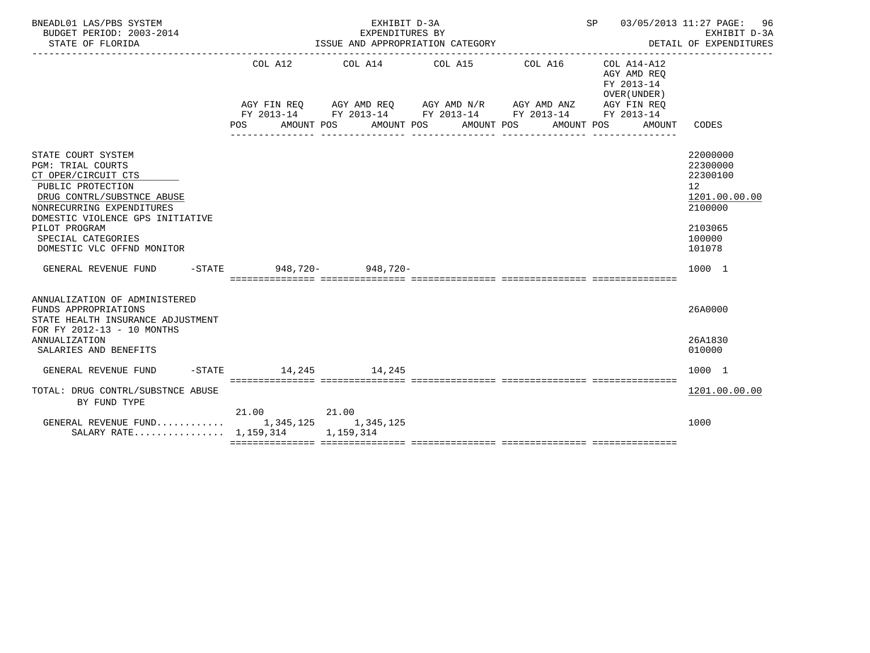| BNEADL01 LAS/PBS SYSTEM<br>BUDGET PERIOD: 2003-2014<br>STATE OF FLORIDA                                                                                                                                                                                        |                                 | EXHIBIT D-3A<br>SP 03/05/2013 11:27 PAGE:<br>EXPENDITURES BY<br>ISSUE AND APPROPRIATION CATEGORY<br>DETAIL OF EXPENDITURES |                                                                                                                                                                    |                 |                                                                        |                                                                                                   |  |  |
|----------------------------------------------------------------------------------------------------------------------------------------------------------------------------------------------------------------------------------------------------------------|---------------------------------|----------------------------------------------------------------------------------------------------------------------------|--------------------------------------------------------------------------------------------------------------------------------------------------------------------|-----------------|------------------------------------------------------------------------|---------------------------------------------------------------------------------------------------|--|--|
|                                                                                                                                                                                                                                                                | COL A12<br>POS                  | COL A14 COL A15<br>AMOUNT POS                                                                                              | AGY FIN REQ AGY AMD REQ AGY AMD N/R AGY AMD ANZ AGY FIN REQ<br>FY 2013-14 FY 2013-14 FY 2013-14 FY 2013-14 FY 2013-14<br>AMOUNT POS AMOUNT POS<br>---------------- | COL A16         | COL A14-A12<br>AGY AMD REO<br>FY 2013-14<br>OVER (UNDER)<br>AMOUNT POS | AMOUNT CODES                                                                                      |  |  |
| STATE COURT SYSTEM<br><b>PGM: TRIAL COURTS</b><br>CT OPER/CIRCUIT CTS<br>PUBLIC PROTECTION<br>DRUG CONTRL/SUBSTNCE ABUSE<br>NONRECURRING EXPENDITURES<br>DOMESTIC VIOLENCE GPS INITIATIVE<br>PILOT PROGRAM<br>SPECIAL CATEGORIES<br>DOMESTIC VLC OFFND MONITOR |                                 |                                                                                                                            |                                                                                                                                                                    | --------------- |                                                                        | 22000000<br>22300000<br>22300100<br>12<br>1201.00.00.00<br>2100000<br>2103065<br>100000<br>101078 |  |  |
| GENERAL REVENUE FUND                                                                                                                                                                                                                                           | -STATE 948.720- 948.720-        |                                                                                                                            |                                                                                                                                                                    |                 |                                                                        | 1000 1                                                                                            |  |  |
| ANNUALIZATION OF ADMINISTERED<br>FUNDS APPROPRIATIONS<br>STATE HEALTH INSURANCE ADJUSTMENT<br>FOR FY 2012-13 - 10 MONTHS                                                                                                                                       |                                 |                                                                                                                            |                                                                                                                                                                    |                 |                                                                        | 26A0000                                                                                           |  |  |
| ANNUALIZATION<br>SALARIES AND BENEFITS                                                                                                                                                                                                                         |                                 |                                                                                                                            |                                                                                                                                                                    |                 |                                                                        | 26A1830<br>010000                                                                                 |  |  |
| GENERAL REVENUE FUND                                                                                                                                                                                                                                           | $-$ STATE $-$ 14.245 $-$ 14.245 |                                                                                                                            |                                                                                                                                                                    |                 |                                                                        | 1000 1                                                                                            |  |  |
| TOTAL: DRUG CONTRL/SUBSTNCE ABUSE<br>BY FUND TYPE                                                                                                                                                                                                              |                                 |                                                                                                                            |                                                                                                                                                                    |                 |                                                                        | 1201.00.00.00                                                                                     |  |  |
| GENERAL REVENUE FUND 1,345,125 1,345,125<br>SALARY RATE 1,159,314 1,159,314                                                                                                                                                                                    | 21.00 21.00                     |                                                                                                                            |                                                                                                                                                                    |                 |                                                                        | 1000                                                                                              |  |  |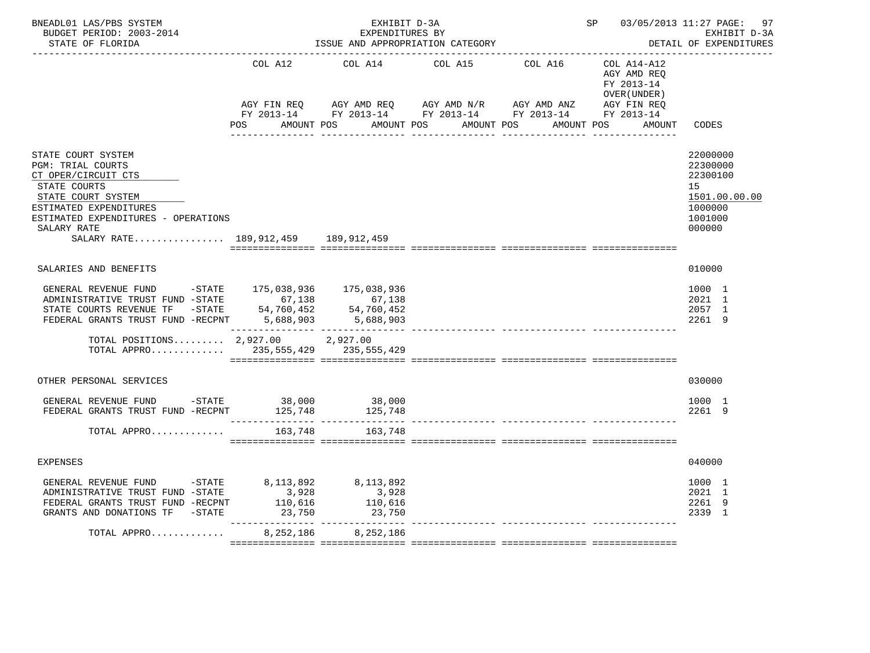| BNEADL01 LAS/PBS SYSTEM<br>BUDGET PERIOD: 2003-2014<br>STATE OF FLORIDA |           | EXHIBIT D-3A<br>EXPENDITURES BY<br>ISSUE AND APPROPRIATION CATEGORY |                       | SP 03/05/2013 11:27 PAGE: 97 | EXHIBIT D-3A<br>DETAIL OF EXPENDITURES                   |                      |
|-------------------------------------------------------------------------|-----------|---------------------------------------------------------------------|-----------------------|------------------------------|----------------------------------------------------------|----------------------|
|                                                                         | COL A12   | COL A14                                                             | COL A15               | COL A16                      | COL A14-A12<br>AGY AMD REQ<br>FY 2013-14<br>OVER (UNDER) |                      |
|                                                                         |           |                                                                     |                       |                              |                                                          |                      |
|                                                                         | POS       | AMOUNT POS                                                          | AMOUNT POS AMOUNT POS | AMOUNT POS                   | AMOUNT                                                   | CODES                |
|                                                                         |           |                                                                     | _______________       |                              |                                                          |                      |
| STATE COURT SYSTEM                                                      |           |                                                                     |                       |                              |                                                          | 22000000             |
| <b>PGM: TRIAL COURTS</b><br>CT OPER/CIRCUIT CTS                         |           |                                                                     |                       |                              |                                                          | 22300000<br>22300100 |
| STATE COURTS                                                            |           |                                                                     |                       |                              |                                                          | 15                   |
| STATE COURT SYSTEM                                                      |           |                                                                     |                       |                              |                                                          | 1501.00.00.00        |
| ESTIMATED EXPENDITURES                                                  |           |                                                                     |                       |                              |                                                          | 1000000              |
| ESTIMATED EXPENDITURES - OPERATIONS                                     |           |                                                                     |                       |                              |                                                          | 1001000              |
| SALARY RATE<br>SALARY RATE 189,912,459 189,912,459                      |           |                                                                     |                       |                              |                                                          | 000000               |
|                                                                         |           |                                                                     |                       |                              |                                                          |                      |
| SALARIES AND BENEFITS                                                   |           |                                                                     |                       |                              |                                                          | 010000               |
| GENERAL REVENUE FUND - STATE 175,038,936 175,038,936                    |           |                                                                     |                       |                              |                                                          | 1000 1               |
| ADMINISTRATIVE TRUST FUND -STATE 67,138                                 |           |                                                                     |                       |                              |                                                          | 2021 1               |
| STATE COURTS REVENUE TF -STATE 54,760,452                               |           | 67,138<br>54,760,452<br>5,688,903                                   |                       |                              |                                                          | 2057 1               |
| FEDERAL GRANTS TRUST FUND -RECPNT                                       | 5,688,903 |                                                                     |                       |                              |                                                          | 2261 9               |
| TOTAL POSITIONS $2,927.00$<br>TOTAL APPRO 235,555,429 235,555,429       |           | 2,927.00                                                            |                       |                              |                                                          |                      |
|                                                                         |           |                                                                     |                       |                              |                                                          |                      |
| OTHER PERSONAL SERVICES                                                 |           |                                                                     |                       |                              |                                                          | 030000               |
| GENERAL REVENUE FUND -STATE 38,000 38,000                               |           |                                                                     |                       |                              |                                                          | 1000 1               |
| FEDERAL GRANTS TRUST FUND -RECPNT 125,748 125,748                       |           |                                                                     |                       |                              |                                                          | 2261 9               |
| TOTAL APPRO                                                             | 163,748   | 163,748                                                             |                       |                              |                                                          |                      |
|                                                                         |           |                                                                     |                       |                              |                                                          |                      |
| <b>EXPENSES</b>                                                         |           |                                                                     |                       |                              |                                                          | 040000               |
| GENERAL REVENUE FUND -STATE                                             | 8,113,892 | 8,113,892                                                           |                       |                              |                                                          | 1000 1               |
| ADMINISTRATIVE TRUST FUND -STATE                                        | 3,928     | 3,928                                                               |                       |                              |                                                          | 2021 1               |
| FEDERAL GRANTS TRUST FUND -RECPNT                                       | 110,616   | 110,616                                                             |                       |                              |                                                          | 2261 9               |
| GRANTS AND DONATIONS TF -STATE                                          | 23,750    | 23,750                                                              |                       |                              |                                                          | 2339 1               |
| TOTAL APPRO                                                             | 8,252,186 | 8,252,186                                                           |                       |                              |                                                          |                      |
|                                                                         |           |                                                                     |                       |                              |                                                          |                      |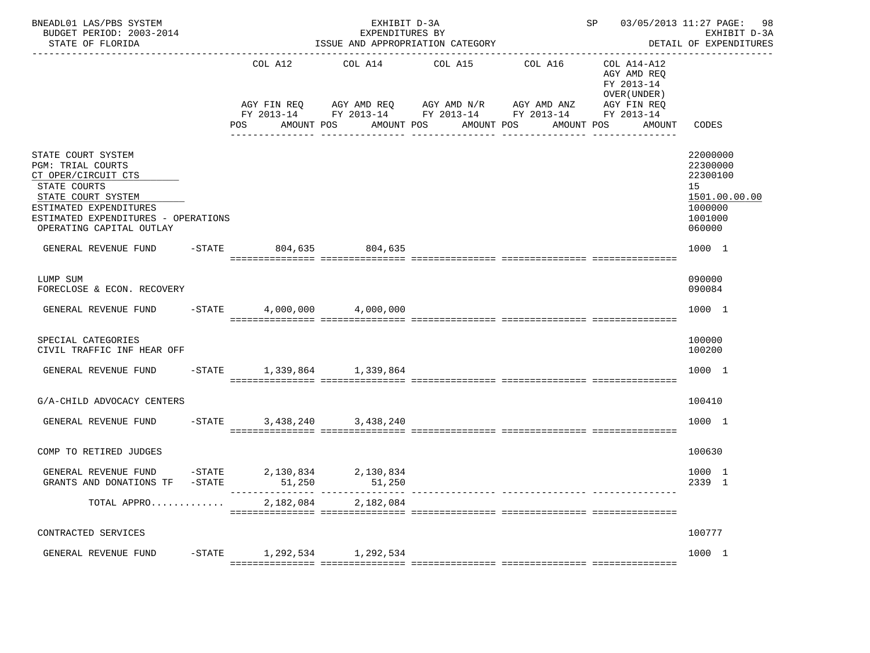| BNEADL01 LAS/PBS SYSTEM<br>BUDGET PERIOD: 2003-2014<br>STATE OF FLORIDA                                                         |                               |                     | EXHIBIT D-3A<br>EXPENDITURES BY<br>ISSUE AND APPROPRIATION CATEGORY<br>------------------------                                           |                                                   |         | SP 03/05/2013 11:27 PAGE: 98                                                                    | EXHIBIT D-3A<br>DETAIL OF EXPENDITURES              |
|---------------------------------------------------------------------------------------------------------------------------------|-------------------------------|---------------------|-------------------------------------------------------------------------------------------------------------------------------------------|---------------------------------------------------|---------|-------------------------------------------------------------------------------------------------|-----------------------------------------------------|
|                                                                                                                                 |                               | COL A12<br>POS      | COL A14<br>AGY FIN REQ 6 AGY AMD REQ 6 AGY AMD N/R 66 AGY AMD ANZ<br>FY 2013-14 FY 2013-14 FY 2013-14 FY 2013-14 FY 2013-14<br>AMOUNT POS | COL A15<br>AMOUNT POS<br>AMOUNT POS<br>---------- | COL A16 | COL A14-A12<br>AGY AMD REQ<br>FY 2013-14<br>OVER (UNDER)<br>AGY FIN REQ<br>AMOUNT POS<br>AMOUNT | CODES                                               |
| STATE COURT SYSTEM<br><b>PGM: TRIAL COURTS</b><br>CT OPER/CIRCUIT CTS                                                           |                               |                     |                                                                                                                                           |                                                   |         |                                                                                                 | 22000000<br>22300000<br>22300100                    |
| STATE COURTS<br>STATE COURT SYSTEM<br>ESTIMATED EXPENDITURES<br>ESTIMATED EXPENDITURES - OPERATIONS<br>OPERATING CAPITAL OUTLAY |                               |                     |                                                                                                                                           |                                                   |         |                                                                                                 | 15<br>1501.00.00.00<br>1000000<br>1001000<br>060000 |
| GENERAL REVENUE FUND -STATE 804,635 804,635                                                                                     |                               |                     |                                                                                                                                           |                                                   |         |                                                                                                 | 1000 1                                              |
| LUMP SUM<br>FORECLOSE & ECON. RECOVERY                                                                                          |                               |                     |                                                                                                                                           |                                                   |         |                                                                                                 | 090000<br>090084                                    |
| GENERAL REVENUE FUND -STATE 4,000,000 4,000,000                                                                                 |                               |                     |                                                                                                                                           |                                                   |         |                                                                                                 | 1000 1                                              |
| SPECIAL CATEGORIES<br>CIVIL TRAFFIC INF HEAR OFF                                                                                |                               |                     |                                                                                                                                           |                                                   |         |                                                                                                 | 100000<br>100200                                    |
| GENERAL REVENUE FUND                                                                                                            |                               |                     | -STATE 1,339,864 1,339,864                                                                                                                |                                                   |         |                                                                                                 | 1000 1                                              |
| G/A-CHILD ADVOCACY CENTERS                                                                                                      |                               |                     |                                                                                                                                           |                                                   |         |                                                                                                 | 100410                                              |
| GENERAL REVENUE FUND                                                                                                            |                               |                     | -STATE 3,438,240 3,438,240                                                                                                                |                                                   |         |                                                                                                 | 1000 1                                              |
| COMP TO RETIRED JUDGES                                                                                                          |                               |                     |                                                                                                                                           |                                                   |         |                                                                                                 | 100630                                              |
| GENERAL REVENUE FUND<br>GRANTS AND DONATIONS TF                                                                                 | $-STATE$<br>$-\mathtt{STATE}$ | 2,130,834<br>51,250 | 2,130,834<br>51,250                                                                                                                       |                                                   |         |                                                                                                 | 1000 1<br>2339 1                                    |
| TOTAL APPRO                                                                                                                     |                               |                     | 2, 182, 084 2, 182, 084                                                                                                                   |                                                   |         |                                                                                                 |                                                     |
| CONTRACTED SERVICES                                                                                                             |                               |                     |                                                                                                                                           |                                                   |         |                                                                                                 | 100777                                              |
| GENERAL REVENUE FUND                                                                                                            |                               |                     | -STATE 1, 292, 534 1, 292, 534                                                                                                            |                                                   |         |                                                                                                 | 1000 1                                              |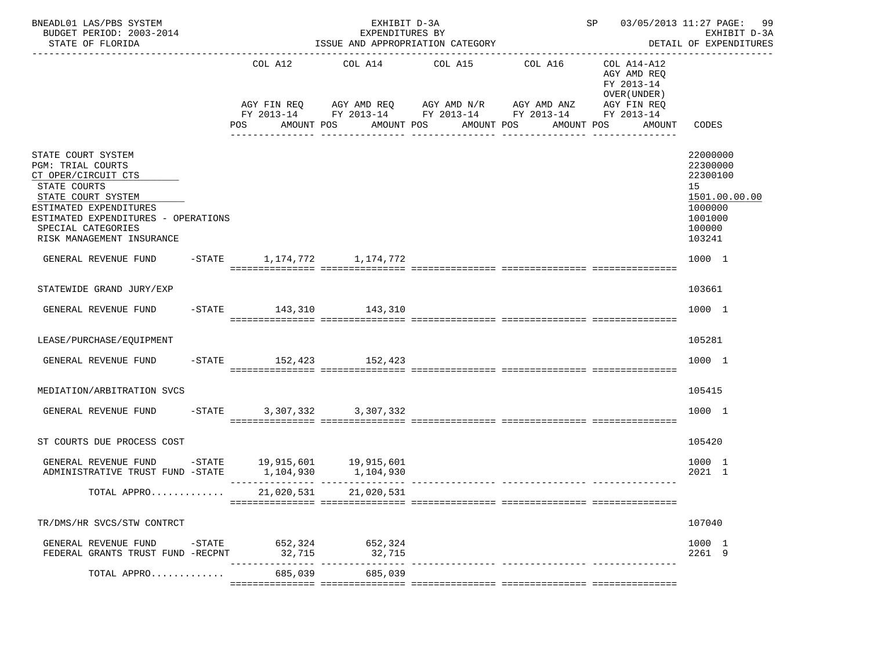| BNEADL01 LAS/PBS SYSTEM<br>BUDGET PERIOD: 2003-2014<br>STATE OF FLORIDA                                                                                                                                                         | SP 03/05/2013 11:27 PAGE:<br>EXHIBIT D-3A<br>EXPENDITURES BY<br>ISSUE AND APPROPRIATION CATEGORY               |                            |                                                                                                                                                                                                          |            |                                                     | 99<br>EXHIBIT D-3A<br>DETAIL OF EXPENDITURES                                                      |  |
|---------------------------------------------------------------------------------------------------------------------------------------------------------------------------------------------------------------------------------|----------------------------------------------------------------------------------------------------------------|----------------------------|----------------------------------------------------------------------------------------------------------------------------------------------------------------------------------------------------------|------------|-----------------------------------------------------|---------------------------------------------------------------------------------------------------|--|
|                                                                                                                                                                                                                                 | POS FOR THE POST OF THE POST OF THE POST OF THE POST OF THE POST OF THE POST OF THE POST OF THE POST OF THE PO |                            | COL A12 COL A14 COL A15 COL A16 COL A14-A12<br>AGY FIN REQ AGY AMD REQ AGY AMD N/R AGY AMD ANZ AGY FIN REQ<br>FY 2013-14 FY 2013-14 FY 2013-14 FY 2013-14 FY 2013-14<br>AMOUNT POS AMOUNT POS AMOUNT POS | AMOUNT POS | AGY AMD REQ<br>FY 2013-14<br>OVER (UNDER)<br>AMOUNT | CODES                                                                                             |  |
| STATE COURT SYSTEM<br><b>PGM: TRIAL COURTS</b><br>CT OPER/CIRCUIT CTS<br>STATE COURTS<br>STATE COURT SYSTEM<br>ESTIMATED EXPENDITURES<br>ESTIMATED EXPENDITURES - OPERATIONS<br>SPECIAL CATEGORIES<br>RISK MANAGEMENT INSURANCE |                                                                                                                |                            |                                                                                                                                                                                                          |            |                                                     | 22000000<br>22300000<br>22300100<br>15<br>1501.00.00.00<br>1000000<br>1001000<br>100000<br>103241 |  |
| GENERAL REVENUE FUND                                                                                                                                                                                                            | -STATE 1, 174, 772 1, 174, 772                                                                                 |                            |                                                                                                                                                                                                          |            |                                                     | 1000 1                                                                                            |  |
| STATEWIDE GRAND JURY/EXP                                                                                                                                                                                                        |                                                                                                                |                            |                                                                                                                                                                                                          |            |                                                     | 103661                                                                                            |  |
| GENERAL REVENUE FUND -STATE 143,310 143,310                                                                                                                                                                                     |                                                                                                                |                            |                                                                                                                                                                                                          |            |                                                     | 1000 1                                                                                            |  |
| LEASE/PURCHASE/EQUIPMENT                                                                                                                                                                                                        |                                                                                                                |                            |                                                                                                                                                                                                          |            |                                                     | 105281                                                                                            |  |
| GENERAL REVENUE FUND -STATE 152,423 152,423                                                                                                                                                                                     |                                                                                                                |                            |                                                                                                                                                                                                          |            |                                                     | 1000 1                                                                                            |  |
| MEDIATION/ARBITRATION SVCS                                                                                                                                                                                                      |                                                                                                                |                            |                                                                                                                                                                                                          |            |                                                     | 105415                                                                                            |  |
| GENERAL REVENUE FUND - STATE 3, 307, 332 3, 307, 332                                                                                                                                                                            |                                                                                                                |                            |                                                                                                                                                                                                          |            |                                                     | 1000 1                                                                                            |  |
| ST COURTS DUE PROCESS COST                                                                                                                                                                                                      |                                                                                                                |                            |                                                                                                                                                                                                          |            |                                                     | 105420                                                                                            |  |
| GENERAL REVENUE FUND -STATE 19,915,601 19,915,601<br>ADMINISTRATIVE TRUST FUND -STATE 1,104,930                                                                                                                                 |                                                                                                                | 1,104,930                  |                                                                                                                                                                                                          |            |                                                     | 1000 1<br>2021 1                                                                                  |  |
| TOTAL APPRO                                                                                                                                                                                                                     | 21,020,531                                                                                                     | 21,020,531                 |                                                                                                                                                                                                          |            |                                                     |                                                                                                   |  |
| TR/DMS/HR SVCS/STW CONTRCT                                                                                                                                                                                                      |                                                                                                                |                            |                                                                                                                                                                                                          |            |                                                     | 107040                                                                                            |  |
| GENERAL REVENUE FUND -STATE 652,324 652,324<br>FEDERAL GRANTS TRUST FUND -RECPNT                                                                                                                                                | 32,715                                                                                                         | 32,715                     |                                                                                                                                                                                                          |            |                                                     | 1000 1<br>2261 9                                                                                  |  |
| TOTAL APPRO                                                                                                                                                                                                                     | ------------<br>685,039                                                                                        | -- ------------<br>685,039 |                                                                                                                                                                                                          |            |                                                     |                                                                                                   |  |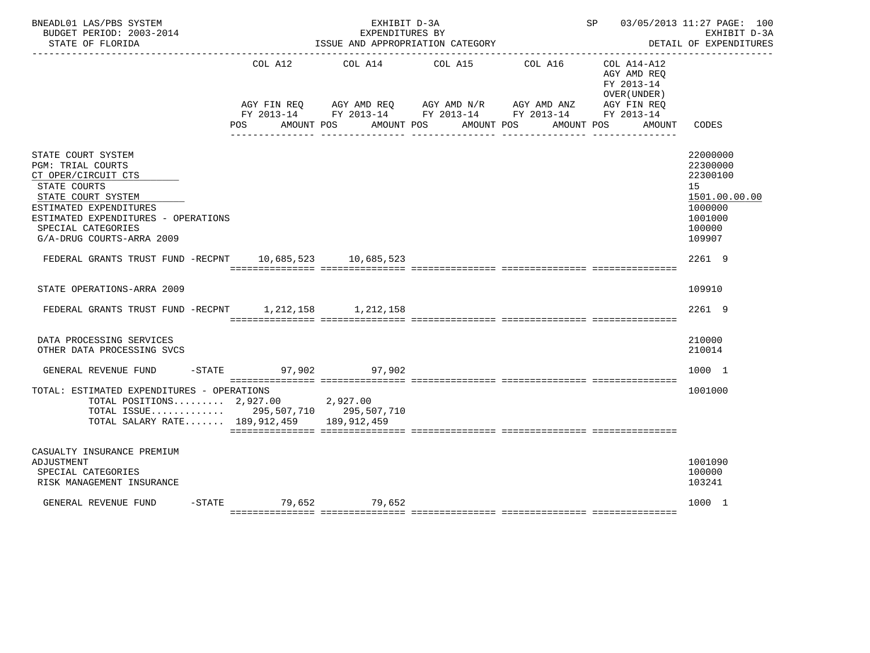| BNEADL01 LAS/PBS SYSTEM<br>BUDGET PERIOD: 2003-2014<br>STATE OF FLORIDA                                                                                                                                                         |                | EXHIBIT D-3A<br>EXPENDITURES BY | ISSUE AND APPROPRIATION CATEGORY                                                                                                                                          |            | SP 03/05/2013 11:27 PAGE: 100                                         | EXHIBIT D-3A<br>DETAIL OF EXPENDITURES<br>______________                                          |
|---------------------------------------------------------------------------------------------------------------------------------------------------------------------------------------------------------------------------------|----------------|---------------------------------|---------------------------------------------------------------------------------------------------------------------------------------------------------------------------|------------|-----------------------------------------------------------------------|---------------------------------------------------------------------------------------------------|
|                                                                                                                                                                                                                                 | COL A12<br>POS | AMOUNT POS                      | COL A14 COL A15 COL A16<br>AGY FIN REQ AGY AMD REQ AGY AMD N/R AGY AMD ANZ AGY FIN REQ<br>FY 2013-14 FY 2013-14 FY 2013-14 FY 2013-14 FY 2013-14<br>AMOUNT POS AMOUNT POS | AMOUNT POS | $COL A14- A12$<br>AGY AMD REQ<br>FY 2013-14<br>OVER (UNDER)<br>AMOUNT | CODES                                                                                             |
| STATE COURT SYSTEM<br><b>PGM: TRIAL COURTS</b><br>CT OPER/CIRCUIT CTS<br>STATE COURTS<br>STATE COURT SYSTEM<br>ESTIMATED EXPENDITURES<br>ESTIMATED EXPENDITURES - OPERATIONS<br>SPECIAL CATEGORIES<br>G/A-DRUG COURTS-ARRA 2009 |                |                                 |                                                                                                                                                                           |            |                                                                       | 22000000<br>22300000<br>22300100<br>15<br>1501.00.00.00<br>1000000<br>1001000<br>100000<br>109907 |
| FEDERAL GRANTS TRUST FUND -RECPNT 10,685,523 10,685,523                                                                                                                                                                         |                |                                 |                                                                                                                                                                           |            |                                                                       | 2261 9                                                                                            |
| STATE OPERATIONS-ARRA 2009                                                                                                                                                                                                      |                |                                 |                                                                                                                                                                           |            |                                                                       | 109910                                                                                            |
| FEDERAL GRANTS TRUST FUND -RECPNT 1, 212, 158 1, 212, 158                                                                                                                                                                       |                |                                 |                                                                                                                                                                           |            |                                                                       | 2261 9                                                                                            |
| DATA PROCESSING SERVICES<br>OTHER DATA PROCESSING SVCS                                                                                                                                                                          |                |                                 |                                                                                                                                                                           |            |                                                                       | 210000<br>210014                                                                                  |
| GENERAL REVENUE FUND -STATE 97,902                                                                                                                                                                                              |                | 97,902                          |                                                                                                                                                                           |            |                                                                       | 1000 1                                                                                            |
| TOTAL: ESTIMATED EXPENDITURES - OPERATIONS<br>TOTAL POSITIONS 2,927.00 2,927.00<br>TOTAL ISSUE 295,507,710 295,507,710<br>TOTAL SALARY RATE 189,912,459 189,912,459                                                             |                |                                 |                                                                                                                                                                           |            |                                                                       | 1001000                                                                                           |
| CASUALTY INSURANCE PREMIUM<br>ADJUSTMENT<br>SPECIAL CATEGORIES<br>RISK MANAGEMENT INSURANCE                                                                                                                                     |                |                                 |                                                                                                                                                                           |            |                                                                       | 1001090<br>100000<br>103241                                                                       |
| GENERAL REVENUE FUND                                                                                                                                                                                                            |                | -STATE 79,652 79,652            |                                                                                                                                                                           |            |                                                                       | 1000 1                                                                                            |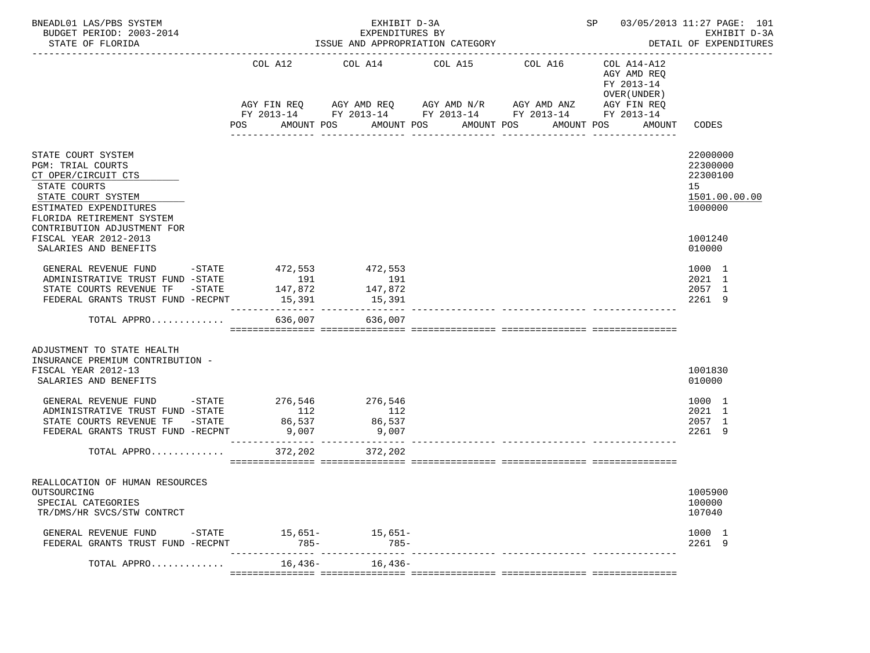| BNEADL01 LAS/PBS SYSTEM<br>BUDGET PERIOD: 2003-2014<br>STATE OF FLORIDA                                                                                                                                                                           | ISSUE AND APPROPRIATION CATEGORY                                |                                                                                                                                              | SP 03/05/2013 11:27 PAGE: 101<br>EXHIBIT D-3A<br>DETAIL OF EXPENDITURES |                                  |                                                                                                       |                                                           |
|---------------------------------------------------------------------------------------------------------------------------------------------------------------------------------------------------------------------------------------------------|-----------------------------------------------------------------|----------------------------------------------------------------------------------------------------------------------------------------------|-------------------------------------------------------------------------|----------------------------------|-------------------------------------------------------------------------------------------------------|-----------------------------------------------------------|
|                                                                                                                                                                                                                                                   | COL A12<br>POS                                                  | COL A14 COL A15<br>AGY FIN REQ AGY AMD REQ AGY AMD $N/R$ AGY AMD ANZ<br>FY 2013-14 FY 2013-14 FY 2013-14 FY 2013-14 FY 2013-14<br>AMOUNT POS | AMOUNT POS                                                              | COL A16<br>AMOUNT POS            | COL A14-A12<br>AGY AMD REQ<br>FY 2013-14<br>OVER (UNDER)<br>AGY FIN REQ<br>AMOUNT POS<br>AMOUNT CODES |                                                           |
|                                                                                                                                                                                                                                                   |                                                                 |                                                                                                                                              |                                                                         | ------------                     |                                                                                                       |                                                           |
| STATE COURT SYSTEM<br>PGM: TRIAL COURTS<br>CT OPER/CIRCUIT CTS<br>STATE COURTS                                                                                                                                                                    |                                                                 |                                                                                                                                              |                                                                         |                                  |                                                                                                       | 22000000<br>22300000<br>22300100<br>15                    |
| STATE COURT SYSTEM<br>ESTIMATED EXPENDITURES<br>FLORIDA RETIREMENT SYSTEM<br>CONTRIBUTION ADJUSTMENT FOR                                                                                                                                          |                                                                 |                                                                                                                                              |                                                                         |                                  |                                                                                                       | 1501.00.00.00<br>1000000                                  |
| FISCAL YEAR 2012-2013<br>SALARIES AND BENEFITS                                                                                                                                                                                                    |                                                                 |                                                                                                                                              |                                                                         |                                  |                                                                                                       | 1001240<br>010000                                         |
| GENERAL REVENUE FUND<br>ADMINISTRATIVE TRUST FUND -STATE<br>STATE COURTS REVENUE TF - STATE<br>FEDERAL GRANTS TRUST FUND -RECPNT                                                                                                                  | -STATE 472,553 472,553<br>191<br>147,872<br>15,391              | 191<br>147,872<br>15,391                                                                                                                     |                                                                         |                                  |                                                                                                       | 1000 1<br>2021 1<br>2057 1<br>2261 9                      |
| TOTAL APPRO                                                                                                                                                                                                                                       |                                                                 | 636,007 636,007                                                                                                                              |                                                                         |                                  |                                                                                                       |                                                           |
| ADJUSTMENT TO STATE HEALTH<br>INSURANCE PREMIUM CONTRIBUTION -<br>FISCAL YEAR 2012-13<br>SALARIES AND BENEFITS<br>GENERAL REVENUE FUND<br>ADMINISTRATIVE TRUST FUND -STATE<br>STATE COURTS REVENUE TF -STATE<br>FEDERAL GRANTS TRUST FUND -RECPNT | $-$ STATE 276,546<br>112<br>86,537<br>9,007<br>________________ | 276,546<br>112<br>86,537<br>9,007                                                                                                            |                                                                         |                                  |                                                                                                       | 1001830<br>010000<br>1000 1<br>2021 1<br>2057 1<br>2261 9 |
| TOTAL APPRO                                                                                                                                                                                                                                       | 372,202                                                         | 372,202                                                                                                                                      |                                                                         |                                  |                                                                                                       |                                                           |
| REALLOCATION OF HUMAN RESOURCES<br>OUTSOURCING<br>SPECIAL CATEGORIES<br>TR/DMS/HR SVCS/STW CONTRCT                                                                                                                                                |                                                                 |                                                                                                                                              |                                                                         |                                  |                                                                                                       | 1005900<br>100000<br>107040                               |
| GENERAL REVENUE FUND -STATE 15,651- 15,651-<br>FEDERAL GRANTS TRUST FUND -RECPNT                                                                                                                                                                  | $785 -$                                                         | $785 -$                                                                                                                                      |                                                                         |                                  |                                                                                                       | 1000 1<br>2261 9                                          |
| TOTAL APPRO                                                                                                                                                                                                                                       | 16,436-                                                         | $16,436-$                                                                                                                                    |                                                                         | --------------- ---------------- |                                                                                                       |                                                           |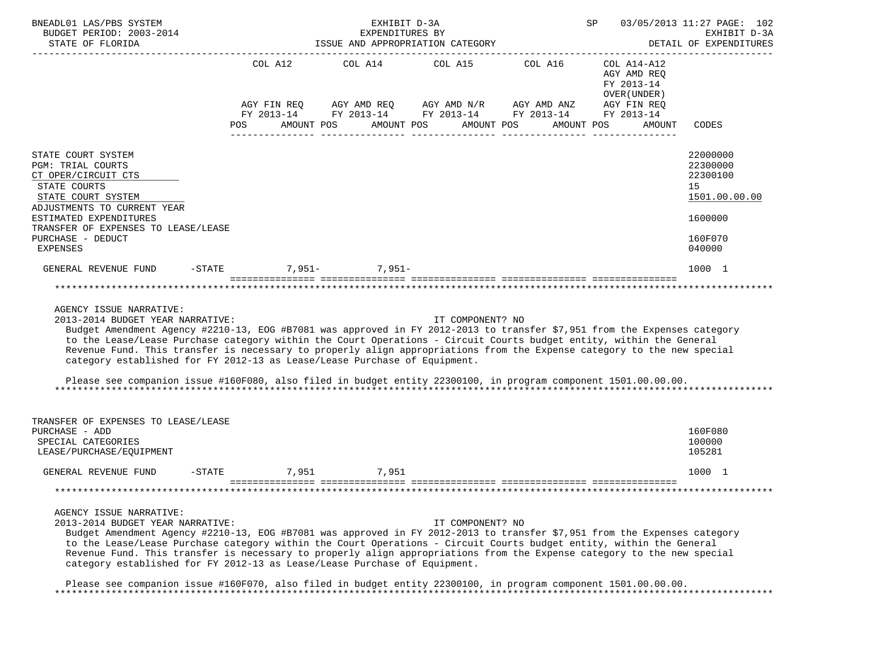| BNEADL01 LAS/PBS SYSTEM<br>BUDGET PERIOD: 2003-2014<br>STATE OF FLORIDA<br>_____________________________________                                                                                                                                                                                                                                                                                                                                                                                                                                                                                                                        | ISSUE AND APPROPRIATION CATEGORY | SP                                                                  | 03/05/2013 11:27 PAGE: 102<br>EXHIBIT D-3A<br>DETAIL OF EXPENDITURES |                                                                                                                       |                                                                                  |                                                                                         |
|-----------------------------------------------------------------------------------------------------------------------------------------------------------------------------------------------------------------------------------------------------------------------------------------------------------------------------------------------------------------------------------------------------------------------------------------------------------------------------------------------------------------------------------------------------------------------------------------------------------------------------------------|----------------------------------|---------------------------------------------------------------------|----------------------------------------------------------------------|-----------------------------------------------------------------------------------------------------------------------|----------------------------------------------------------------------------------|-----------------------------------------------------------------------------------------|
|                                                                                                                                                                                                                                                                                                                                                                                                                                                                                                                                                                                                                                         | POS                              | COL A12 COL A14 COL A15 COL A16<br>AMOUNT POS AMOUNT POS AMOUNT POS |                                                                      | AGY FIN REQ AGY AMD REQ AGY AMD N/R AGY AMD ANZ AGY FIN REQ<br>FY 2013-14 FY 2013-14 FY 2013-14 FY 2013-14 FY 2013-14 | COL A14-A12<br>AGY AMD REQ<br>FY 2013-14<br>OVER (UNDER)<br>AMOUNT POS<br>AMOUNT | CODES                                                                                   |
| STATE COURT SYSTEM<br><b>PGM: TRIAL COURTS</b><br>CT OPER/CIRCUIT CTS<br>STATE COURTS<br>STATE COURT SYSTEM<br>ADJUSTMENTS TO CURRENT YEAR<br>ESTIMATED EXPENDITURES<br>TRANSFER OF EXPENSES TO LEASE/LEASE<br>PURCHASE - DEDUCT<br><b>EXPENSES</b>                                                                                                                                                                                                                                                                                                                                                                                     |                                  |                                                                     |                                                                      |                                                                                                                       |                                                                                  | 22000000<br>22300000<br>22300100<br>15<br>1501.00.00.00<br>1600000<br>160F070<br>040000 |
| GENERAL REVENUE FUND                                                                                                                                                                                                                                                                                                                                                                                                                                                                                                                                                                                                                    | $-STATE$                         | $7.951 - 7.951 -$                                                   |                                                                      |                                                                                                                       |                                                                                  | 1000 1                                                                                  |
| AGENCY ISSUE NARRATIVE:<br>2013-2014 BUDGET YEAR NARRATIVE:<br>Budget Amendment Agency #2210-13, EOG #B7081 was approved in FY 2012-2013 to transfer \$7,951 from the Expenses category<br>to the Lease/Lease Purchase category within the Court Operations - Circuit Courts budget entity, within the General<br>Revenue Fund. This transfer is necessary to properly align appropriations from the Expense category to the new special<br>category established for FY 2012-13 as Lease/Lease Purchase of Equipment.<br>Please see companion issue #160F080, also filed in budget entity 22300100, in program component 1501.00.00.00. |                                  |                                                                     | IT COMPONENT? NO                                                     |                                                                                                                       |                                                                                  |                                                                                         |
| TRANSFER OF EXPENSES TO LEASE/LEASE<br>PURCHASE - ADD<br>SPECIAL CATEGORIES<br>LEASE/PURCHASE/EQUIPMENT                                                                                                                                                                                                                                                                                                                                                                                                                                                                                                                                 |                                  |                                                                     |                                                                      |                                                                                                                       |                                                                                  | 160F080<br>100000<br>105281                                                             |
| GENERAL REVENUE FUND                                                                                                                                                                                                                                                                                                                                                                                                                                                                                                                                                                                                                    | $-STATE$                         | 7,951 7,951                                                         |                                                                      |                                                                                                                       |                                                                                  | 1000 1                                                                                  |
|                                                                                                                                                                                                                                                                                                                                                                                                                                                                                                                                                                                                                                         |                                  |                                                                     |                                                                      |                                                                                                                       |                                                                                  |                                                                                         |
| AGENCY ISSUE NARRATIVE:<br>2013-2014 BUDGET YEAR NARRATIVE:<br>Budget Amendment Agency #2210-13, EOG #B7081 was approved in FY 2012-2013 to transfer \$7,951 from the Expenses category<br>to the Lease/Lease Purchase category within the Court Operations - Circuit Courts budget entity, within the General<br>Revenue Fund. This transfer is necessary to properly align appropriations from the Expense category to the new special<br>category established for FY 2012-13 as Lease/Lease Purchase of Equipment.                                                                                                                   |                                  |                                                                     | IT COMPONENT? NO                                                     |                                                                                                                       |                                                                                  |                                                                                         |

 Please see companion issue #160F070, also filed in budget entity 22300100, in program component 1501.00.00.00. \*\*\*\*\*\*\*\*\*\*\*\*\*\*\*\*\*\*\*\*\*\*\*\*\*\*\*\*\*\*\*\*\*\*\*\*\*\*\*\*\*\*\*\*\*\*\*\*\*\*\*\*\*\*\*\*\*\*\*\*\*\*\*\*\*\*\*\*\*\*\*\*\*\*\*\*\*\*\*\*\*\*\*\*\*\*\*\*\*\*\*\*\*\*\*\*\*\*\*\*\*\*\*\*\*\*\*\*\*\*\*\*\*\*\*\*\*\*\*\*\*\*\*\*\*\*\*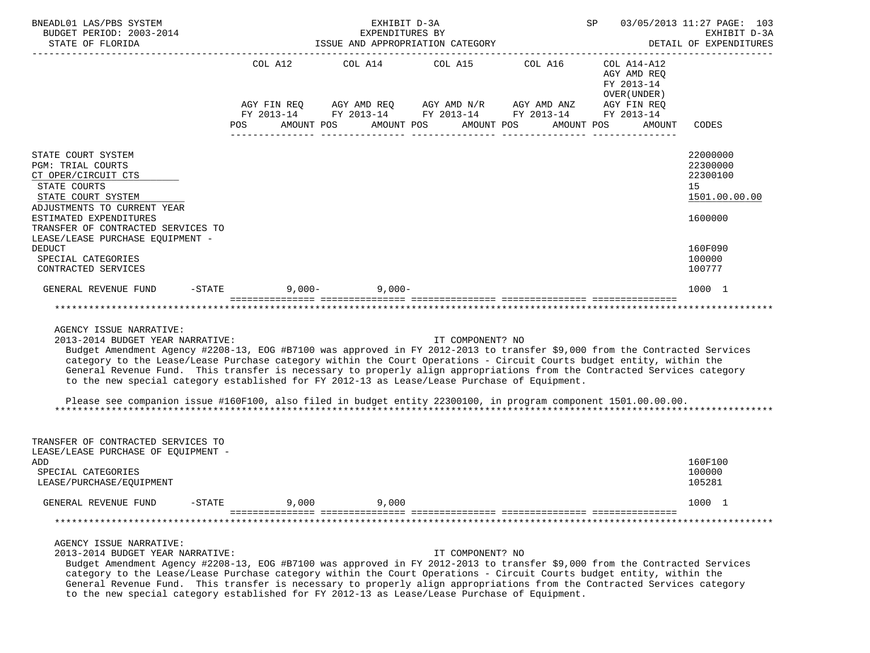| BNEADL01 LAS/PBS SYSTEM<br>BUDGET PERIOD: 2003-2014<br>STATE OF FLORIDA                                                                                                                                                                                                                                                                                                                                                                                                                                                                                                                                                                                        |                               | EXHIBIT D-3A<br>EXPENDITURES BY<br>ISSUE AND APPROPRIATION CATEGORY |                               | SP                                                                                                                                    | 03/05/2013 11:27 PAGE: 103<br>EXHIBIT D-3A<br>DETAIL OF EXPENDITURES |                                                         |
|----------------------------------------------------------------------------------------------------------------------------------------------------------------------------------------------------------------------------------------------------------------------------------------------------------------------------------------------------------------------------------------------------------------------------------------------------------------------------------------------------------------------------------------------------------------------------------------------------------------------------------------------------------------|-------------------------------|---------------------------------------------------------------------|-------------------------------|---------------------------------------------------------------------------------------------------------------------------------------|----------------------------------------------------------------------|---------------------------------------------------------|
|                                                                                                                                                                                                                                                                                                                                                                                                                                                                                                                                                                                                                                                                | COL A12<br>AGY FIN REO<br>POS | COL A14<br>AMOUNT POS                                               | COL A15 COL A16<br>AMOUNT POS | AGY AMD REQ AGY AMD N/R AGY AMD ANZ AGY FIN REQ<br>FY 2013-14 FY 2013-14 FY 2013-14 FY 2013-14 FY 2013-14<br>AMOUNT POS<br>AMOUNT POS | COL A14-A12<br>AGY AMD REO<br>FY 2013-14<br>OVER (UNDER)<br>AMOUNT   | CODES                                                   |
| STATE COURT SYSTEM<br>PGM: TRIAL COURTS<br>CT OPER/CIRCUIT CTS<br>STATE COURTS<br>STATE COURT SYSTEM<br>ADJUSTMENTS TO CURRENT YEAR                                                                                                                                                                                                                                                                                                                                                                                                                                                                                                                            |                               |                                                                     |                               |                                                                                                                                       |                                                                      | 22000000<br>22300000<br>22300100<br>15<br>1501.00.00.00 |
| ESTIMATED EXPENDITURES<br>TRANSFER OF CONTRACTED SERVICES TO<br>LEASE/LEASE PURCHASE EQUIPMENT -<br><b>DEDUCT</b><br>SPECIAL CATEGORIES<br>CONTRACTED SERVICES                                                                                                                                                                                                                                                                                                                                                                                                                                                                                                 |                               |                                                                     |                               |                                                                                                                                       |                                                                      | 1600000<br>160F090<br>100000<br>100777                  |
| GENERAL REVENUE FUND                                                                                                                                                                                                                                                                                                                                                                                                                                                                                                                                                                                                                                           | $-STATE$                      | $9,000-$ 9,000-                                                     |                               |                                                                                                                                       |                                                                      | 1000 1                                                  |
| AGENCY ISSUE NARRATIVE:<br>2013-2014 BUDGET YEAR NARRATIVE:<br>Budget Amendment Agency #2208-13, EOG #B7100 was approved in FY 2012-2013 to transfer \$9,000 from the Contracted Services<br>category to the Lease/Lease Purchase category within the Court Operations - Circuit Courts budget entity, within the<br>General Revenue Fund. This transfer is necessary to properly align appropriations from the Contracted Services category<br>to the new special category established for FY 2012-13 as Lease/Lease Purchase of Equipment.<br>Please see companion issue #160F100, also filed in budget entity 22300100, in program component 1501.00.00.00. |                               |                                                                     | IT COMPONENT? NO              |                                                                                                                                       |                                                                      |                                                         |
| TRANSFER OF CONTRACTED SERVICES TO<br>LEASE/LEASE PURCHASE OF EQUIPMENT -<br>ADD<br>SPECIAL CATEGORIES<br>LEASE/PURCHASE/EQUIPMENT                                                                                                                                                                                                                                                                                                                                                                                                                                                                                                                             |                               |                                                                     |                               |                                                                                                                                       |                                                                      | 160F100<br>100000<br>105281                             |
| GENERAL REVENUE FUND                                                                                                                                                                                                                                                                                                                                                                                                                                                                                                                                                                                                                                           | $-$ STATE                     | 9,000<br>9,000                                                      |                               |                                                                                                                                       |                                                                      | 1000 1                                                  |
|                                                                                                                                                                                                                                                                                                                                                                                                                                                                                                                                                                                                                                                                |                               |                                                                     |                               |                                                                                                                                       |                                                                      |                                                         |
| AGENCY ISSUE NARRATIVE:<br>2013-2014 BUDGET YEAR NARRATIVE:                                                                                                                                                                                                                                                                                                                                                                                                                                                                                                                                                                                                    |                               |                                                                     | IT COMPONENT? NO              |                                                                                                                                       |                                                                      |                                                         |

 Budget Amendment Agency #2208-13, EOG #B7100 was approved in FY 2012-2013 to transfer \$9,000 from the Contracted Services category to the Lease/Lease Purchase category within the Court Operations - Circuit Courts budget entity, within the General Revenue Fund. This transfer is necessary to properly align appropriations from the Contracted Services category to the new special category established for FY 2012-13 as Lease/Lease Purchase of Equipment.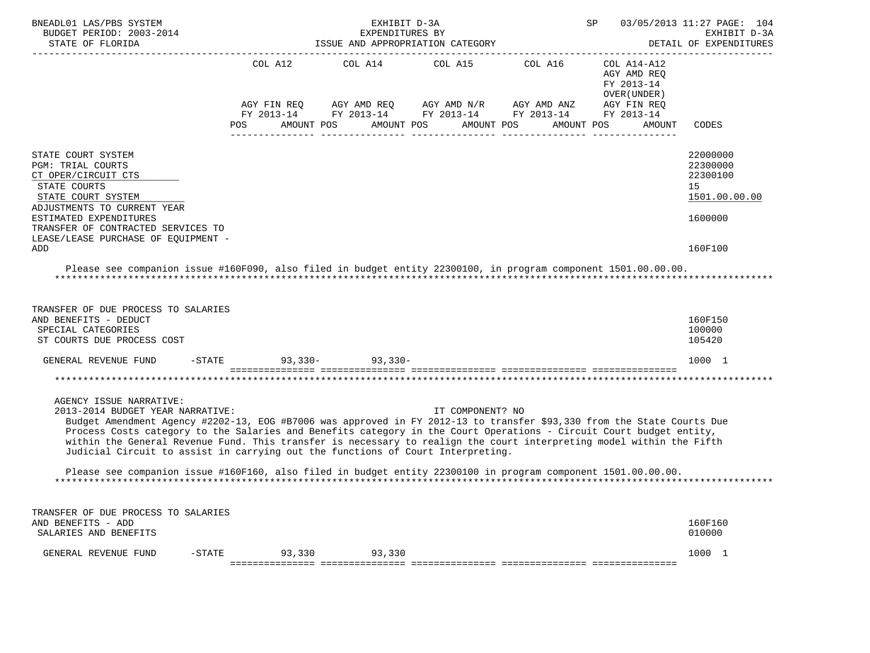| BNEADL01 LAS/PBS SYSTEM<br>BUDGET PERIOD: 2003-2014<br>STATE OF FLORIDA                                                                                                                                                                                                                                                                                                                                                                                                                                                 |                                      | EXHIBIT D-3A<br>EXPENDITURES BY<br>ISSUE AND APPROPRIATION CATEGORY |                                                | SP<br>03/05/2013 11:27 PAGE: 104<br>EXHIBIT D-3A<br>DETAIL OF EXPENDITURES |                                                                                       |                                                         |  |  |
|-------------------------------------------------------------------------------------------------------------------------------------------------------------------------------------------------------------------------------------------------------------------------------------------------------------------------------------------------------------------------------------------------------------------------------------------------------------------------------------------------------------------------|--------------------------------------|---------------------------------------------------------------------|------------------------------------------------|----------------------------------------------------------------------------|---------------------------------------------------------------------------------------|---------------------------------------------------------|--|--|
|                                                                                                                                                                                                                                                                                                                                                                                                                                                                                                                         | COL A12<br>AGY FIN REQ<br>FY 2013-14 | COL A14                                                             | COL A15<br>AGY AMD REQ AGY AMD N/R AGY AMD ANZ | COL A16<br>FY 2013-14 FY 2013-14 FY 2013-14                                | COL A14-A12<br>AGY AMD REO<br>FY 2013-14<br>OVER (UNDER)<br>AGY FIN REQ<br>FY 2013-14 |                                                         |  |  |
|                                                                                                                                                                                                                                                                                                                                                                                                                                                                                                                         | POS<br>AMOUNT POS                    | AMOUNT POS                                                          | AMOUNT POS                                     | AMOUNT POS                                                                 | AMOUNT                                                                                | CODES                                                   |  |  |
| STATE COURT SYSTEM<br><b>PGM: TRIAL COURTS</b><br>CT OPER/CIRCUIT CTS<br>STATE COURTS<br>STATE COURT SYSTEM                                                                                                                                                                                                                                                                                                                                                                                                             |                                      |                                                                     |                                                |                                                                            |                                                                                       | 22000000<br>22300000<br>22300100<br>15<br>1501.00.00.00 |  |  |
| ADJUSTMENTS TO CURRENT YEAR<br>ESTIMATED EXPENDITURES<br>TRANSFER OF CONTRACTED SERVICES TO<br>LEASE/LEASE PURCHASE OF EQUIPMENT -<br>ADD                                                                                                                                                                                                                                                                                                                                                                               |                                      |                                                                     |                                                |                                                                            |                                                                                       | 1600000<br>160F100                                      |  |  |
| Please see companion issue #160F090, also filed in budget entity 22300100, in program component 1501.00.00.00.                                                                                                                                                                                                                                                                                                                                                                                                          |                                      |                                                                     |                                                |                                                                            |                                                                                       |                                                         |  |  |
| TRANSFER OF DUE PROCESS TO SALARIES<br>AND BENEFITS - DEDUCT<br>SPECIAL CATEGORIES<br>ST COURTS DUE PROCESS COST                                                                                                                                                                                                                                                                                                                                                                                                        |                                      |                                                                     |                                                |                                                                            |                                                                                       | 160F150<br>100000<br>105420                             |  |  |
| GENERAL REVENUE FUND                                                                                                                                                                                                                                                                                                                                                                                                                                                                                                    | $-STATE$                             | $93,330 - 93,330 -$                                                 |                                                |                                                                            |                                                                                       | 1000 1                                                  |  |  |
|                                                                                                                                                                                                                                                                                                                                                                                                                                                                                                                         |                                      |                                                                     |                                                |                                                                            |                                                                                       |                                                         |  |  |
| AGENCY ISSUE NARRATIVE:<br>2013-2014 BUDGET YEAR NARRATIVE:<br>Budget Amendment Agency #2202-13, EOG #B7006 was approved in FY 2012-13 to transfer \$93,330 from the State Courts Due<br>Process Costs category to the Salaries and Benefits category in the Court Operations - Circuit Court budget entity,<br>within the General Revenue Fund. This transfer is necessary to realign the court interpreting model within the Fifth<br>Judicial Circuit to assist in carrying out the functions of Court Interpreting. |                                      |                                                                     | IT COMPONENT? NO                               |                                                                            |                                                                                       |                                                         |  |  |
| Please see companion issue #160F160, also filed in budget entity 22300100 in program component 1501.00.00.00.                                                                                                                                                                                                                                                                                                                                                                                                           |                                      |                                                                     |                                                |                                                                            |                                                                                       |                                                         |  |  |
| TRANSFER OF DUE PROCESS TO SALARIES<br>AND BENEFITS - ADD<br>SALARIES AND BENEFITS                                                                                                                                                                                                                                                                                                                                                                                                                                      |                                      |                                                                     |                                                |                                                                            |                                                                                       | 160F160<br>010000                                       |  |  |
| GENERAL REVENUE FUND<br>$-$ STATE                                                                                                                                                                                                                                                                                                                                                                                                                                                                                       | 93,330                               | 93,330                                                              |                                                |                                                                            |                                                                                       | 1000 1                                                  |  |  |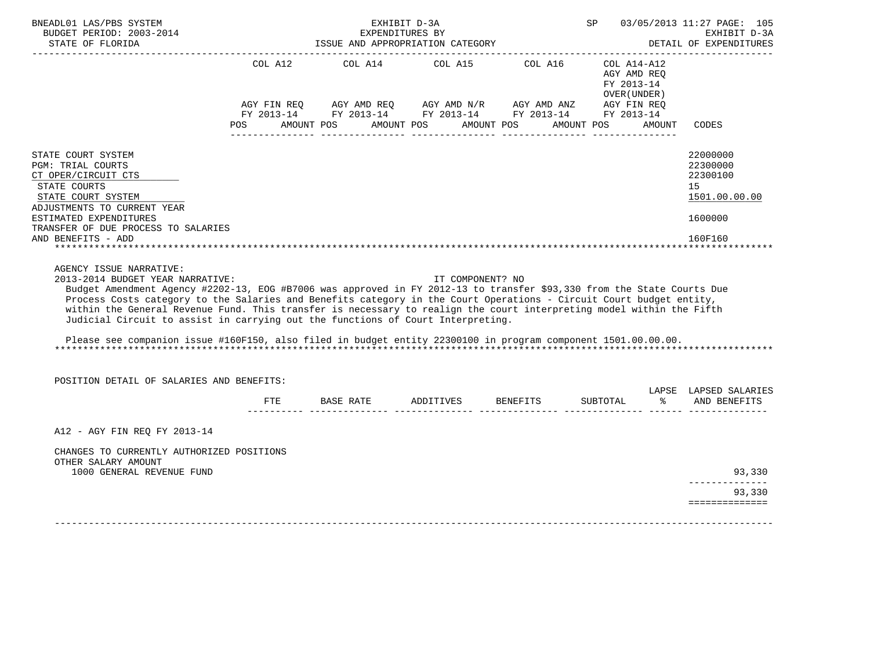| STATE OF FLORIDA                                                                                                                                                                                                                                                                                                                                                                                                                                |     |                                                                                              | EXPENDITURES BY<br>ISSUE AND APPROPRIATION CATEGORY |                                           |               | 03/05/2013 11:27 PAGE: 105<br>EXHIBIT D-3A<br>DETAIL OF EXPENDITURES |  |  |
|-------------------------------------------------------------------------------------------------------------------------------------------------------------------------------------------------------------------------------------------------------------------------------------------------------------------------------------------------------------------------------------------------------------------------------------------------|-----|----------------------------------------------------------------------------------------------|-----------------------------------------------------|-------------------------------------------|---------------|----------------------------------------------------------------------|--|--|
| --------------------                                                                                                                                                                                                                                                                                                                                                                                                                            |     |                                                                                              |                                                     |                                           |               |                                                                      |  |  |
|                                                                                                                                                                                                                                                                                                                                                                                                                                                 |     | COL A12 COL A14 COL A15 COL A16 COL A14-A12                                                  |                                                     | AGY AMD REO<br>FY 2013-14<br>OVER (UNDER) |               |                                                                      |  |  |
|                                                                                                                                                                                                                                                                                                                                                                                                                                                 |     | AGY FIN REQ AGY AMD REQ AGY AMD N/R AGY AMD ANZ AGY FIN REQ FY 2013-14 FY 2013-14 FY 2013-14 |                                                     |                                           |               |                                                                      |  |  |
|                                                                                                                                                                                                                                                                                                                                                                                                                                                 |     | POS AMOUNT POS AMOUNT POS AMOUNT POS                                                         |                                                     | AMOUNT POS                                | AMOUNT        | CODES                                                                |  |  |
| STATE COURT SYSTEM<br><b>PGM: TRIAL COURTS</b><br>CT OPER/CIRCUIT CTS<br>STATE COURTS<br>STATE COURT SYSTEM                                                                                                                                                                                                                                                                                                                                     |     |                                                                                              |                                                     |                                           |               | 22000000<br>22300000<br>22300100<br>15<br>1501.00.00.00              |  |  |
| ADJUSTMENTS TO CURRENT YEAR<br>ESTIMATED EXPENDITURES                                                                                                                                                                                                                                                                                                                                                                                           |     |                                                                                              |                                                     |                                           |               | 1600000                                                              |  |  |
| TRANSFER OF DUE PROCESS TO SALARIES<br>AND BENEFITS - ADD                                                                                                                                                                                                                                                                                                                                                                                       |     |                                                                                              |                                                     |                                           |               | 160F160                                                              |  |  |
| AGENCY ISSUE NARRATIVE:<br>2013-2014 BUDGET YEAR NARRATIVE:<br>Budget Amendment Agency #2202-13, EOG #B7006 was approved in FY 2012-13 to transfer \$93,330 from the State Courts Due                                                                                                                                                                                                                                                           |     |                                                                                              | IT COMPONENT? NO                                    |                                           |               |                                                                      |  |  |
| Process Costs category to the Salaries and Benefits category in the Court Operations - Circuit Court budget entity,<br>within the General Revenue Fund. This transfer is necessary to realign the court interpreting model within the Fifth<br>Judicial Circuit to assist in carrying out the functions of Court Interpreting.<br>Please see companion issue #160F150, also filed in budget entity 22300100 in program component 1501.00.00.00. |     |                                                                                              |                                                     |                                           |               |                                                                      |  |  |
| POSITION DETAIL OF SALARIES AND BENEFITS:                                                                                                                                                                                                                                                                                                                                                                                                       |     |                                                                                              |                                                     |                                           |               |                                                                      |  |  |
|                                                                                                                                                                                                                                                                                                                                                                                                                                                 | FTE | BASE RATE ADDITIVES BENEFITS SUBTOTAL                                                        |                                                     |                                           | $\frac{8}{6}$ | LAPSE LAPSED SALARIES<br>AND BENEFITS                                |  |  |
| A12 - AGY FIN REO FY 2013-14                                                                                                                                                                                                                                                                                                                                                                                                                    |     |                                                                                              |                                                     |                                           |               |                                                                      |  |  |
| CHANGES TO CURRENTLY AUTHORIZED POSITIONS<br>OTHER SALARY AMOUNT                                                                                                                                                                                                                                                                                                                                                                                |     |                                                                                              |                                                     |                                           |               |                                                                      |  |  |
| 1000 GENERAL REVENUE FUND                                                                                                                                                                                                                                                                                                                                                                                                                       |     |                                                                                              |                                                     |                                           |               | 93,330<br>-------------<br>93,330                                    |  |  |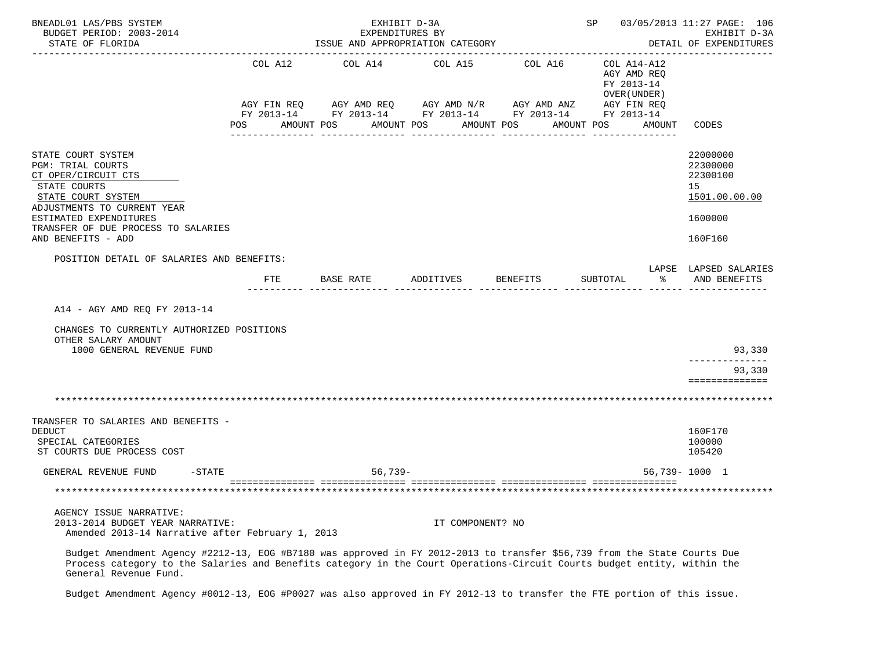| BNEADL01 LAS/PBS SYSTEM<br>BUDGET PERIOD: 2003-2014<br>STATE OF FLORIDA                                                                                                                                                                                                      |              | EXHIBIT D-3A<br>EXPENDITURES BY<br>ISSUE AND APPROPRIATION CATEGORY    |                  |            | SP 03/05/2013 11:27 PAGE: 106<br>EXHIBIT D-3A<br>DETAIL OF EXPENDITURES |                                                                    |  |  |  |
|------------------------------------------------------------------------------------------------------------------------------------------------------------------------------------------------------------------------------------------------------------------------------|--------------|------------------------------------------------------------------------|------------------|------------|-------------------------------------------------------------------------|--------------------------------------------------------------------|--|--|--|
|                                                                                                                                                                                                                                                                              | COL A12      | COL A14<br>AGY FIN REQ AGY AMD REQ AGY AMD N/R AGY AMD ANZ AGY FIN REQ | COL A15          | COL A16    | COL A14-A12<br>AGY AMD REQ<br>FY 2013-14<br>OVER (UNDER )               |                                                                    |  |  |  |
|                                                                                                                                                                                                                                                                              | POS          | FY 2013-14 FY 2013-14 FY 2013-14 FY 2013-14 FY 2013-14<br>AMOUNT POS   | AMOUNT POS       | AMOUNT POS | AMOUNT POS<br>AMOUNT                                                    | CODES                                                              |  |  |  |
| STATE COURT SYSTEM<br>PGM: TRIAL COURTS<br>CT OPER/CIRCUIT CTS<br>STATE COURTS<br>STATE COURT SYSTEM<br>ADJUSTMENTS TO CURRENT YEAR<br>ESTIMATED EXPENDITURES<br>TRANSFER OF DUE PROCESS TO SALARIES                                                                         |              |                                                                        |                  |            |                                                                         | 22000000<br>22300000<br>22300100<br>15<br>1501.00.00.00<br>1600000 |  |  |  |
| AND BENEFITS - ADD<br>POSITION DETAIL OF SALARIES AND BENEFITS:                                                                                                                                                                                                              |              |                                                                        |                  |            |                                                                         | 160F160                                                            |  |  |  |
|                                                                                                                                                                                                                                                                              | $_{\rm FTE}$ | BASE RATE                                                              | ADDITIVES        | BENEFITS   | န္<br>SUBTOTAL                                                          | LAPSE LAPSED SALARIES<br>AND BENEFITS                              |  |  |  |
| A14 - AGY AMD REQ FY 2013-14<br>CHANGES TO CURRENTLY AUTHORIZED POSITIONS<br>OTHER SALARY AMOUNT<br>1000 GENERAL REVENUE FUND                                                                                                                                                |              |                                                                        |                  |            |                                                                         | 93,330                                                             |  |  |  |
|                                                                                                                                                                                                                                                                              |              |                                                                        |                  |            |                                                                         | -------------<br>93,330<br>==============                          |  |  |  |
|                                                                                                                                                                                                                                                                              |              |                                                                        |                  |            |                                                                         |                                                                    |  |  |  |
| TRANSFER TO SALARIES AND BENEFITS -<br><b>DEDUCT</b><br>SPECIAL CATEGORIES<br>ST COURTS DUE PROCESS COST                                                                                                                                                                     |              |                                                                        |                  |            |                                                                         | 160F170<br>100000<br>105420                                        |  |  |  |
| GENERAL REVENUE FUND<br>$-$ STATE                                                                                                                                                                                                                                            |              | 56,739-                                                                |                  |            |                                                                         | 56,739-1000 1                                                      |  |  |  |
|                                                                                                                                                                                                                                                                              |              |                                                                        |                  |            |                                                                         |                                                                    |  |  |  |
| AGENCY ISSUE NARRATIVE:<br>2013-2014 BUDGET YEAR NARRATIVE:<br>Amended 2013-14 Narrative after February 1, 2013                                                                                                                                                              |              |                                                                        | IT COMPONENT? NO |            |                                                                         |                                                                    |  |  |  |
| Budget Amendment Agency #2212-13, EOG #B7180 was approved in FY 2012-2013 to transfer \$56,739 from the State Courts Due<br>Process category to the Salaries and Benefits category in the Court Operations-Circuit Courts budget entity, within the<br>General Revenue Fund. |              |                                                                        |                  |            |                                                                         |                                                                    |  |  |  |

Budget Amendment Agency #0012-13, EOG #P0027 was also approved in FY 2012-13 to transfer the FTE portion of this issue.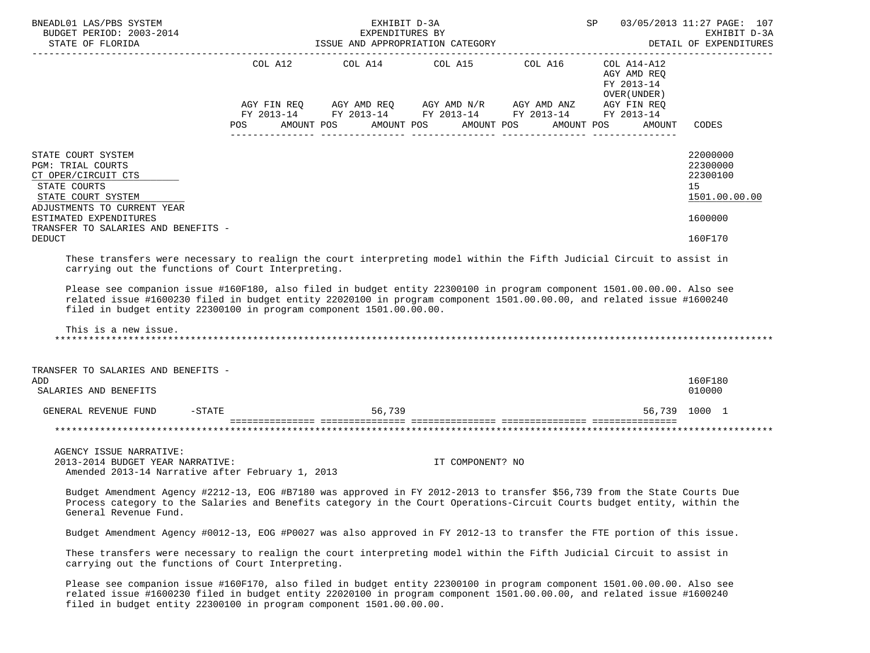| BNEADL01 LAS/PBS SYSTEM                                                                                                                                                                                                                                                      |           | EXHIBIT D-3A                                        |                       | <b>SP</b>                                                                                                                                                            |                                                                    | 03/05/2013 11:27 PAGE: 107                              |
|------------------------------------------------------------------------------------------------------------------------------------------------------------------------------------------------------------------------------------------------------------------------------|-----------|-----------------------------------------------------|-----------------------|----------------------------------------------------------------------------------------------------------------------------------------------------------------------|--------------------------------------------------------------------|---------------------------------------------------------|
| BUDGET PERIOD: 2003-2014<br>STATE OF FLORIDA                                                                                                                                                                                                                                 |           | EXPENDITURES BY<br>ISSUE AND APPROPRIATION CATEGORY |                       |                                                                                                                                                                      |                                                                    | EXHIBIT D-3A<br>DETAIL OF EXPENDITURES                  |
|                                                                                                                                                                                                                                                                              | POS       | AMOUNT POS                                          | AMOUNT POS AMOUNT POS | COL A12 COL A14 COL A15 COL A16 COL A14-A12<br>AGY FIN REQ AGY AMD REQ AGY AMD N/R AGY AMD ANZ AGY FIN REQ<br>FY 2013-14 FY 2013-14 FY 2013-14 FY 2013-14 FY 2013-14 | AGY AMD REO<br>FY 2013-14<br>OVER (UNDER )<br>AMOUNT POS<br>AMOUNT | CODES                                                   |
| STATE COURT SYSTEM<br>PGM: TRIAL COURTS<br>CT OPER/CIRCUIT CTS<br>STATE COURTS<br>STATE COURT SYSTEM<br>ADJUSTMENTS TO CURRENT YEAR                                                                                                                                          |           |                                                     |                       |                                                                                                                                                                      |                                                                    | 22000000<br>22300000<br>22300100<br>15<br>1501.00.00.00 |
| ESTIMATED EXPENDITURES<br>TRANSFER TO SALARIES AND BENEFITS -                                                                                                                                                                                                                |           |                                                     |                       |                                                                                                                                                                      |                                                                    | 1600000                                                 |
| <b>DEDUCT</b>                                                                                                                                                                                                                                                                |           |                                                     |                       |                                                                                                                                                                      |                                                                    | 160F170                                                 |
| This is a new issue.<br>TRANSFER TO SALARIES AND BENEFITS -<br>ADD                                                                                                                                                                                                           |           |                                                     |                       |                                                                                                                                                                      |                                                                    | 160F180                                                 |
| SALARIES AND BENEFITS                                                                                                                                                                                                                                                        |           |                                                     |                       |                                                                                                                                                                      |                                                                    | 010000                                                  |
| GENERAL REVENUE FUND                                                                                                                                                                                                                                                         | $-$ STATE | 56,739                                              |                       |                                                                                                                                                                      |                                                                    | 56,739 1000 1                                           |
|                                                                                                                                                                                                                                                                              |           |                                                     |                       |                                                                                                                                                                      |                                                                    |                                                         |
| AGENCY ISSUE NARRATIVE:<br>2013-2014 BUDGET YEAR NARRATIVE:<br>Amended 2013-14 Narrative after February 1, 2013                                                                                                                                                              |           |                                                     | IT COMPONENT? NO      |                                                                                                                                                                      |                                                                    |                                                         |
| Budget Amendment Agency #2212-13, EOG #B7180 was approved in FY 2012-2013 to transfer \$56,739 from the State Courts Due<br>Process category to the Salaries and Benefits category in the Court Operations-Circuit Courts budget entity, within the<br>General Revenue Fund. |           |                                                     |                       |                                                                                                                                                                      |                                                                    |                                                         |
| Budget Amendment Agency #0012-13, EOG #P0027 was also approved in FY 2012-13 to transfer the FTE portion of this issue.                                                                                                                                                      |           |                                                     |                       |                                                                                                                                                                      |                                                                    |                                                         |
| These transfers were necessary to realign the court interpreting model within the Fifth Judicial Circuit to assist in<br>carrying out the functions of Court Interpreting.                                                                                                   |           |                                                     |                       |                                                                                                                                                                      |                                                                    |                                                         |
| Please see companion issue #160F170, also filed in budget entity 22300100 in program component 1501.00.00.00. Also see<br>related issue #1600230 filed in budget entity 22020100 in program component 1501.00.00.00, and related issue #1600240                              |           |                                                     |                       |                                                                                                                                                                      |                                                                    |                                                         |

filed in budget entity 22300100 in program component 1501.00.00.00.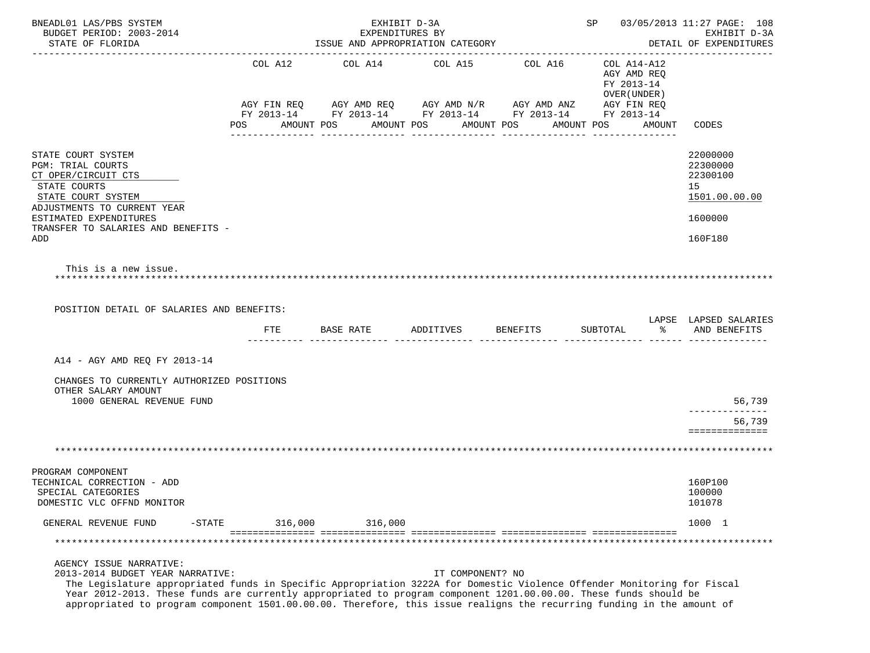| BNEADL01 LAS/PBS SYSTEM<br>BUDGET PERIOD: 2003-2014<br>STATE OF FLORIDA                                                                                                                                                                                                                                                                                                                                                              |                                                                                  |         | ISSUE AND APPROPRIATION CATEGORY               | EXHIBIT D-3A<br>EXPENDITURES BY |            |                  |                               | SP 03/05/2013 11:27 PAGE: 108<br>EXHIBIT D-3A<br>DETAIL OF EXPENDITURES |                                                                         |        |                                                         |  |
|--------------------------------------------------------------------------------------------------------------------------------------------------------------------------------------------------------------------------------------------------------------------------------------------------------------------------------------------------------------------------------------------------------------------------------------|----------------------------------------------------------------------------------|---------|------------------------------------------------|---------------------------------|------------|------------------|-------------------------------|-------------------------------------------------------------------------|-------------------------------------------------------------------------|--------|---------------------------------------------------------|--|
|                                                                                                                                                                                                                                                                                                                                                                                                                                      | COL A12<br>AGY FIN REQ<br>FY 2013-14 FY 2013-14 FY 2013-14 FY 2013-14 FY 2013-14 |         | COL A14<br>AGY AMD REQ AGY AMD N/R AGY AMD ANZ |                                 | COL A15    |                  | COL A16                       |                                                                         | COL A14-A12<br>AGY AMD REQ<br>FY 2013-14<br>OVER (UNDER)<br>AGY FIN REQ |        |                                                         |  |
|                                                                                                                                                                                                                                                                                                                                                                                                                                      | POS                                                                              |         | AMOUNT POS                                     |                                 | AMOUNT POS | _______________  | AMOUNT POS<br>_______________ |                                                                         | AMOUNT POS                                                              | AMOUNT | CODES                                                   |  |
| STATE COURT SYSTEM<br>PGM: TRIAL COURTS<br>CT OPER/CIRCUIT CTS<br>STATE COURTS<br>STATE COURT SYSTEM<br>ADJUSTMENTS TO CURRENT YEAR                                                                                                                                                                                                                                                                                                  |                                                                                  |         |                                                |                                 |            |                  |                               |                                                                         |                                                                         |        | 22000000<br>22300000<br>22300100<br>15<br>1501.00.00.00 |  |
| ESTIMATED EXPENDITURES<br>TRANSFER TO SALARIES AND BENEFITS -<br>ADD                                                                                                                                                                                                                                                                                                                                                                 |                                                                                  |         |                                                |                                 |            |                  |                               |                                                                         |                                                                         |        | 1600000<br>160F180                                      |  |
| This is a new issue.<br>POSITION DETAIL OF SALARIES AND BENEFITS:                                                                                                                                                                                                                                                                                                                                                                    |                                                                                  |         |                                                |                                 |            |                  |                               |                                                                         |                                                                         |        | LAPSE LAPSED SALARIES                                   |  |
|                                                                                                                                                                                                                                                                                                                                                                                                                                      |                                                                                  | FTE     | BASE RATE                                      |                                 | ADDITIVES  |                  | BENEFITS                      |                                                                         | SUBTOTAL                                                                | ႜႜႜႜ   | AND BENEFITS                                            |  |
| A14 - AGY AMD REQ FY 2013-14                                                                                                                                                                                                                                                                                                                                                                                                         |                                                                                  |         |                                                |                                 |            |                  |                               |                                                                         |                                                                         |        |                                                         |  |
| CHANGES TO CURRENTLY AUTHORIZED POSITIONS<br>OTHER SALARY AMOUNT<br>1000 GENERAL REVENUE FUND                                                                                                                                                                                                                                                                                                                                        |                                                                                  |         |                                                |                                 |            |                  |                               |                                                                         |                                                                         |        | 56,739                                                  |  |
|                                                                                                                                                                                                                                                                                                                                                                                                                                      |                                                                                  |         |                                                |                                 |            |                  |                               |                                                                         |                                                                         |        | . _ _ _ _ _ _ _ _ _ _<br>56,739<br>==============       |  |
|                                                                                                                                                                                                                                                                                                                                                                                                                                      |                                                                                  |         |                                                |                                 |            |                  |                               |                                                                         |                                                                         |        |                                                         |  |
| PROGRAM COMPONENT<br>TECHNICAL CORRECTION - ADD<br>SPECIAL CATEGORIES<br>DOMESTIC VLC OFFND MONITOR                                                                                                                                                                                                                                                                                                                                  |                                                                                  |         |                                                |                                 |            |                  |                               |                                                                         |                                                                         |        | 160P100<br>100000<br>101078                             |  |
| GENERAL REVENUE FUND<br>$-$ STATE                                                                                                                                                                                                                                                                                                                                                                                                    |                                                                                  | 316,000 |                                                | 316,000                         |            |                  |                               |                                                                         |                                                                         |        | 1000 1                                                  |  |
|                                                                                                                                                                                                                                                                                                                                                                                                                                      |                                                                                  |         |                                                |                                 |            |                  |                               |                                                                         |                                                                         |        |                                                         |  |
| AGENCY ISSUE NARRATIVE:<br>2013-2014 BUDGET YEAR NARRATIVE:<br>The Legislature appropriated funds in Specific Appropriation 3222A for Domestic Violence Offender Monitoring for Fiscal<br>Year 2012-2013. These funds are currently appropriated to program component 1201.00.00.00. These funds should be<br>appropriated to program component 1501.00.00.00. Therefore, this issue realigns the recurring funding in the amount of |                                                                                  |         |                                                |                                 |            | IT COMPONENT? NO |                               |                                                                         |                                                                         |        |                                                         |  |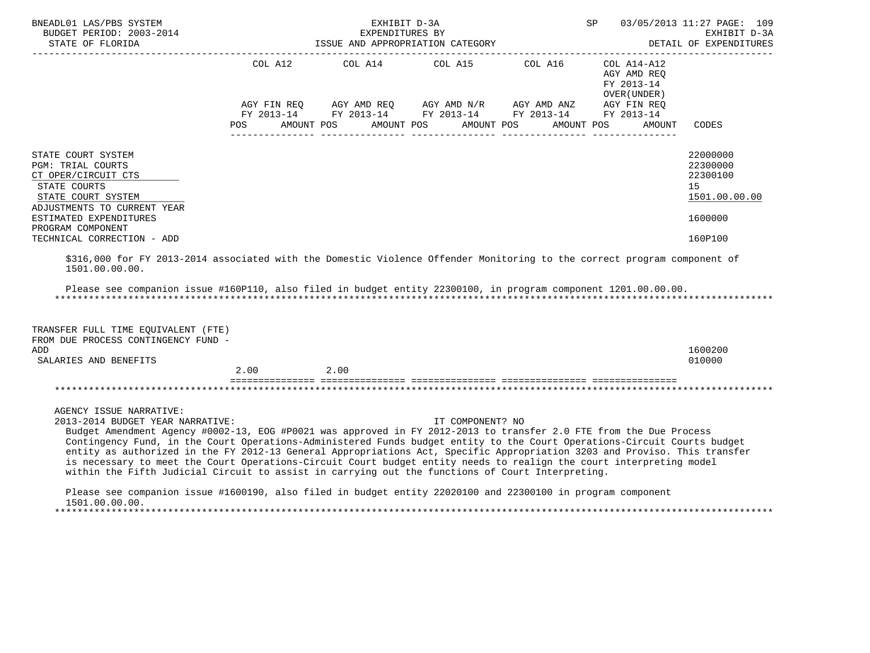| BNEADL01 LAS/PBS SYSTEM<br>BUDGET PERIOD: 2003-2014<br>STATE OF FLORIDA                                                                                                                                                                                                                                                                                                                                                                                                                                                                                                                                                                                                                                                                                                                                |                    | EXHIBIT D-3A<br>EXPENDITURES BY<br>ISSUE AND APPROPRIATION CATEGORY                                                                              |                          |            | SP                                                                                 | 03/05/2013 11:27 PAGE: 109<br>EXHIBIT D-3A<br>DETAIL OF EXPENDITURES |
|--------------------------------------------------------------------------------------------------------------------------------------------------------------------------------------------------------------------------------------------------------------------------------------------------------------------------------------------------------------------------------------------------------------------------------------------------------------------------------------------------------------------------------------------------------------------------------------------------------------------------------------------------------------------------------------------------------------------------------------------------------------------------------------------------------|--------------------|--------------------------------------------------------------------------------------------------------------------------------------------------|--------------------------|------------|------------------------------------------------------------------------------------|----------------------------------------------------------------------|
|                                                                                                                                                                                                                                                                                                                                                                                                                                                                                                                                                                                                                                                                                                                                                                                                        | AGY FIN REQ<br>POS | COL A12 COL A14 COL A15 COL A16<br>AGY AMD REQ AGY AMD $N/R$ AGY AMD ANZ<br>FY 2013-14 FY 2013-14 FY 2013-14 FY 2013-14 FY 2013-14<br>AMOUNT POS | AMOUNT POS<br>AMOUNT POS | AMOUNT POS | COL A14-A12<br>AGY AMD REQ<br>FY 2013-14<br>OVER (UNDER )<br>AGY FIN REQ<br>AMOUNT | CODES                                                                |
| STATE COURT SYSTEM<br><b>PGM: TRIAL COURTS</b><br>CT OPER/CIRCUIT CTS<br>STATE COURTS<br>STATE COURT SYSTEM<br>ADJUSTMENTS TO CURRENT YEAR                                                                                                                                                                                                                                                                                                                                                                                                                                                                                                                                                                                                                                                             |                    |                                                                                                                                                  |                          |            |                                                                                    | 22000000<br>22300000<br>22300100<br>15<br>1501.00.00.00              |
| ESTIMATED EXPENDITURES                                                                                                                                                                                                                                                                                                                                                                                                                                                                                                                                                                                                                                                                                                                                                                                 |                    |                                                                                                                                                  |                          |            |                                                                                    | 1600000                                                              |
| PROGRAM COMPONENT<br>TECHNICAL CORRECTION - ADD                                                                                                                                                                                                                                                                                                                                                                                                                                                                                                                                                                                                                                                                                                                                                        |                    |                                                                                                                                                  |                          |            |                                                                                    | 160P100                                                              |
| \$316,000 for FY 2013-2014 associated with the Domestic Violence Offender Monitoring to the correct program component of<br>1501.00.00.00.<br>Please see companion issue #160P110, also filed in budget entity 22300100, in program component 1201.00.00.00.                                                                                                                                                                                                                                                                                                                                                                                                                                                                                                                                           |                    |                                                                                                                                                  |                          |            |                                                                                    |                                                                      |
| TRANSFER FULL TIME EQUIVALENT (FTE)<br>FROM DUE PROCESS CONTINGENCY FUND -<br>ADD<br>SALARIES AND BENEFITS                                                                                                                                                                                                                                                                                                                                                                                                                                                                                                                                                                                                                                                                                             | 2.00               | 2.00                                                                                                                                             |                          |            |                                                                                    | 1600200<br>010000                                                    |
|                                                                                                                                                                                                                                                                                                                                                                                                                                                                                                                                                                                                                                                                                                                                                                                                        |                    |                                                                                                                                                  |                          |            |                                                                                    |                                                                      |
| AGENCY ISSUE NARRATIVE:<br>2013-2014 BUDGET YEAR NARRATIVE:<br>Budget Amendment Agency #0002-13, EOG #P0021 was approved in FY 2012-2013 to transfer 2.0 FTE from the Due Process<br>Contingency Fund, in the Court Operations-Administered Funds budget entity to the Court Operations-Circuit Courts budget<br>entity as authorized in the FY 2012-13 General Appropriations Act, Specific Appropriation 3203 and Proviso. This transfer<br>is necessary to meet the Court Operations-Circuit Court budget entity needs to realign the court interpreting model<br>within the Fifth Judicial Circuit to assist in carrying out the functions of Court Interpreting.<br>Please see companion issue #1600190, also filed in budget entity 22020100 and 22300100 in program component<br>1501.00.00.00. |                    |                                                                                                                                                  | IT COMPONENT? NO         |            |                                                                                    |                                                                      |

\*\*\*\*\*\*\*\*\*\*\*\*\*\*\*\*\*\*\*\*\*\*\*\*\*\*\*\*\*\*\*\*\*\*\*\*\*\*\*\*\*\*\*\*\*\*\*\*\*\*\*\*\*\*\*\*\*\*\*\*\*\*\*\*\*\*\*\*\*\*\*\*\*\*\*\*\*\*\*\*\*\*\*\*\*\*\*\*\*\*\*\*\*\*\*\*\*\*\*\*\*\*\*\*\*\*\*\*\*\*\*\*\*\*\*\*\*\*\*\*\*\*\*\*\*\*\*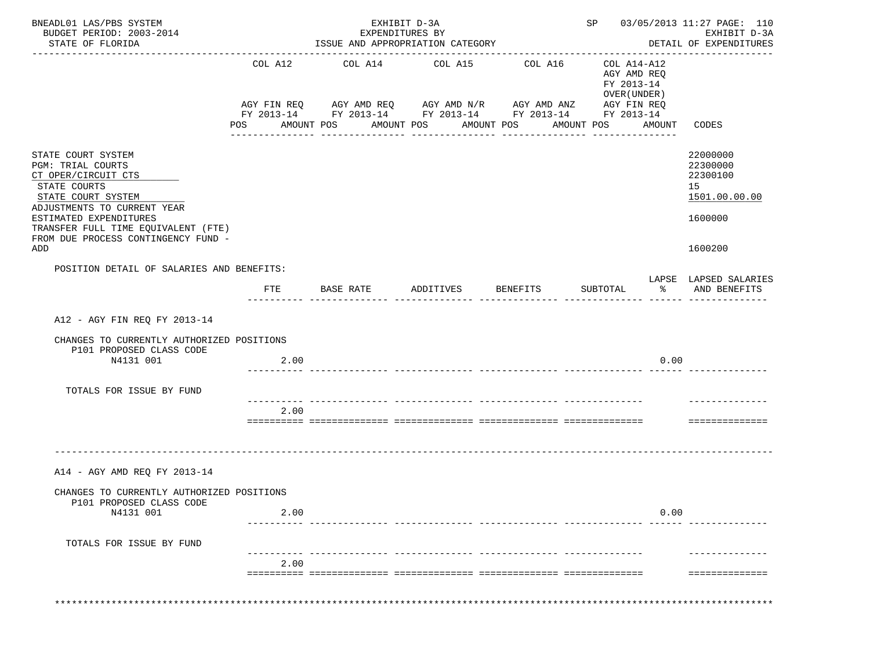| BUDGET PERIOD: 2003-2014<br>STATE OF FLORIDA<br>COL A12<br>POS<br>STATE COURT SYSTEM<br><b>PGM: TRIAL COURTS</b><br>CT OPER/CIRCUIT CTS<br>STATE COURTS<br>STATE COURT SYSTEM<br>ADJUSTMENTS TO CURRENT YEAR<br>ESTIMATED EXPENDITURES<br>TRANSFER FULL TIME EQUIVALENT (FTE)<br>FROM DUE PROCESS CONTINGENCY FUND -<br>ADD<br>POSITION DETAIL OF SALARIES AND BENEFITS:<br>$_{\rm FTE}$<br>A12 - AGY FIN REO FY 2013-14<br>CHANGES TO CURRENTLY AUTHORIZED POSITIONS<br>P101 PROPOSED CLASS CODE<br>N4131 001<br>TOTALS FOR ISSUE BY FUND | AMOUNT POS<br>BASE RATE | EXPENDITURES BY<br>_______________ | ISSUE AND APPROPRIATION CATEGORY<br>AMOUNT POS<br>________________ | COL A14 COL A15 COL A16<br>AGY FIN REQ AGY AMD REQ AGY AMD N/R AGY AMD ANZ AGY FIN REQ<br>FY 2013-14 FY 2013-14 FY 2013-14 FY 2013-14 FY 2013-14<br>AMOUNT POS<br>_______________ | AMOUNT POS | COL A14-A12<br>AGY AMD REQ<br>FY 2013-14<br>OVER (UNDER)<br>AMOUNT<br>_______________ | EXHIBIT D-3A<br>DETAIL OF EXPENDITURES<br>CODES<br>22000000<br>22300000<br>22300100<br>15<br>1501.00.00.00<br>1600000<br>1600200 |
|--------------------------------------------------------------------------------------------------------------------------------------------------------------------------------------------------------------------------------------------------------------------------------------------------------------------------------------------------------------------------------------------------------------------------------------------------------------------------------------------------------------------------------------------|-------------------------|------------------------------------|--------------------------------------------------------------------|-----------------------------------------------------------------------------------------------------------------------------------------------------------------------------------|------------|---------------------------------------------------------------------------------------|----------------------------------------------------------------------------------------------------------------------------------|
|                                                                                                                                                                                                                                                                                                                                                                                                                                                                                                                                            |                         |                                    |                                                                    |                                                                                                                                                                                   |            |                                                                                       |                                                                                                                                  |
|                                                                                                                                                                                                                                                                                                                                                                                                                                                                                                                                            |                         |                                    |                                                                    |                                                                                                                                                                                   |            |                                                                                       |                                                                                                                                  |
|                                                                                                                                                                                                                                                                                                                                                                                                                                                                                                                                            |                         |                                    |                                                                    |                                                                                                                                                                                   |            |                                                                                       |                                                                                                                                  |
|                                                                                                                                                                                                                                                                                                                                                                                                                                                                                                                                            |                         |                                    |                                                                    |                                                                                                                                                                                   |            |                                                                                       |                                                                                                                                  |
|                                                                                                                                                                                                                                                                                                                                                                                                                                                                                                                                            |                         |                                    |                                                                    |                                                                                                                                                                                   |            |                                                                                       |                                                                                                                                  |
|                                                                                                                                                                                                                                                                                                                                                                                                                                                                                                                                            |                         |                                    |                                                                    |                                                                                                                                                                                   |            |                                                                                       |                                                                                                                                  |
|                                                                                                                                                                                                                                                                                                                                                                                                                                                                                                                                            |                         |                                    | ADDITIVES                                                          | BENEFITS                                                                                                                                                                          | SUBTOTAL   | $\frac{8}{6}$                                                                         | LAPSE LAPSED SALARIES<br>AND BENEFITS                                                                                            |
|                                                                                                                                                                                                                                                                                                                                                                                                                                                                                                                                            |                         |                                    |                                                                    |                                                                                                                                                                                   |            |                                                                                       |                                                                                                                                  |
|                                                                                                                                                                                                                                                                                                                                                                                                                                                                                                                                            |                         |                                    |                                                                    |                                                                                                                                                                                   |            |                                                                                       |                                                                                                                                  |
|                                                                                                                                                                                                                                                                                                                                                                                                                                                                                                                                            | 2.00                    |                                    |                                                                    |                                                                                                                                                                                   |            | 0.00                                                                                  |                                                                                                                                  |
|                                                                                                                                                                                                                                                                                                                                                                                                                                                                                                                                            |                         |                                    |                                                                    |                                                                                                                                                                                   |            |                                                                                       |                                                                                                                                  |
|                                                                                                                                                                                                                                                                                                                                                                                                                                                                                                                                            | 2.00                    |                                    |                                                                    |                                                                                                                                                                                   |            |                                                                                       | ==============                                                                                                                   |
| A14 - AGY AMD REQ FY 2013-14                                                                                                                                                                                                                                                                                                                                                                                                                                                                                                               |                         |                                    |                                                                    |                                                                                                                                                                                   |            |                                                                                       |                                                                                                                                  |
| CHANGES TO CURRENTLY AUTHORIZED POSITIONS<br>P101 PROPOSED CLASS CODE<br>N4131 001                                                                                                                                                                                                                                                                                                                                                                                                                                                         | 2.00                    |                                    |                                                                    |                                                                                                                                                                                   |            | 0.00                                                                                  |                                                                                                                                  |
| TOTALS FOR ISSUE BY FUND                                                                                                                                                                                                                                                                                                                                                                                                                                                                                                                   |                         |                                    |                                                                    |                                                                                                                                                                                   |            |                                                                                       |                                                                                                                                  |
|                                                                                                                                                                                                                                                                                                                                                                                                                                                                                                                                            |                         |                                    |                                                                    |                                                                                                                                                                                   |            |                                                                                       |                                                                                                                                  |
|                                                                                                                                                                                                                                                                                                                                                                                                                                                                                                                                            | 2.00                    |                                    |                                                                    |                                                                                                                                                                                   |            |                                                                                       | ==============                                                                                                                   |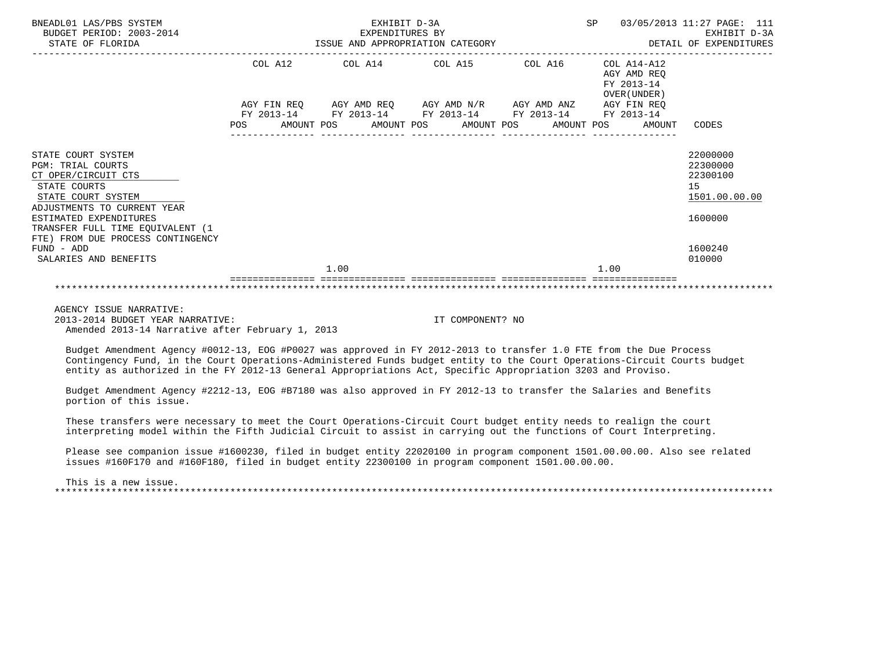| BNEADL01 LAS/PBS SYSTEM<br>BUDGET PERIOD: 2003-2014<br>STATE OF FLORIDA                                                                                              |         |      | EXHIBIT D-3A<br>EXPENDITURES BY | ISSUE AND APPROPRIATION CATEGORY                                                                                      |         | SP   |                                                             | 03/05/2013 11:27 PAGE: 111<br>EXHIBIT D-3A<br>DETAIL OF EXPENDITURES |
|----------------------------------------------------------------------------------------------------------------------------------------------------------------------|---------|------|---------------------------------|-----------------------------------------------------------------------------------------------------------------------|---------|------|-------------------------------------------------------------|----------------------------------------------------------------------|
|                                                                                                                                                                      | COL A12 |      |                                 | COL A14 COL A15                                                                                                       | COL A16 |      | $COL A14- A12$<br>AGY AMD REO<br>FY 2013-14<br>OVER (UNDER) |                                                                      |
|                                                                                                                                                                      |         |      |                                 | AGY FIN REQ AGY AMD REQ AGY AMD N/R AGY AMD ANZ AGY FIN REQ<br>FY 2013-14 FY 2013-14 FY 2013-14 FY 2013-14 FY 2013-14 |         |      |                                                             |                                                                      |
|                                                                                                                                                                      |         |      |                                 |                                                                                                                       |         |      | POS AMOUNT POS AMOUNT POS AMOUNT POS AMOUNT POS AMOUNT      | CODES                                                                |
| STATE COURT SYSTEM<br><b>PGM: TRIAL COURTS</b><br>CT OPER/CIRCUIT CTS<br>STATE COURTS<br>STATE COURT SYSTEM<br>ADJUSTMENTS TO CURRENT YEAR<br>ESTIMATED EXPENDITURES |         |      |                                 |                                                                                                                       |         |      |                                                             | 22000000<br>22300000<br>22300100<br>15<br>1501.00.00.00<br>1600000   |
| TRANSFER FULL TIME EQUIVALENT (1<br>FTE) FROM DUE PROCESS CONTINGENCY                                                                                                |         |      |                                 |                                                                                                                       |         |      |                                                             |                                                                      |
| FUND - ADD<br>SALARIES AND BENEFITS                                                                                                                                  |         |      |                                 |                                                                                                                       |         |      |                                                             | 1600240<br>010000                                                    |
|                                                                                                                                                                      |         | 1.00 |                                 |                                                                                                                       |         | 1.00 |                                                             |                                                                      |
|                                                                                                                                                                      |         |      |                                 |                                                                                                                       |         |      |                                                             |                                                                      |

 AGENCY ISSUE NARRATIVE: 2013-2014 BUDGET YEAR NARRATIVE: IT COMPONENT? NO Amended 2013-14 Narrative after February 1, 2013

 Budget Amendment Agency #0012-13, EOG #P0027 was approved in FY 2012-2013 to transfer 1.0 FTE from the Due Process Contingency Fund, in the Court Operations-Administered Funds budget entity to the Court Operations-Circuit Courts budget entity as authorized in the FY 2012-13 General Appropriations Act, Specific Appropriation 3203 and Proviso.

 Budget Amendment Agency #2212-13, EOG #B7180 was also approved in FY 2012-13 to transfer the Salaries and Benefits portion of this issue.

 These transfers were necessary to meet the Court Operations-Circuit Court budget entity needs to realign the court interpreting model within the Fifth Judicial Circuit to assist in carrying out the functions of Court Interpreting.

 Please see companion issue #1600230, filed in budget entity 22020100 in program component 1501.00.00.00. Also see related issues #160F170 and #160F180, filed in budget entity 22300100 in program component 1501.00.00.00.

 This is a new issue. \*\*\*\*\*\*\*\*\*\*\*\*\*\*\*\*\*\*\*\*\*\*\*\*\*\*\*\*\*\*\*\*\*\*\*\*\*\*\*\*\*\*\*\*\*\*\*\*\*\*\*\*\*\*\*\*\*\*\*\*\*\*\*\*\*\*\*\*\*\*\*\*\*\*\*\*\*\*\*\*\*\*\*\*\*\*\*\*\*\*\*\*\*\*\*\*\*\*\*\*\*\*\*\*\*\*\*\*\*\*\*\*\*\*\*\*\*\*\*\*\*\*\*\*\*\*\*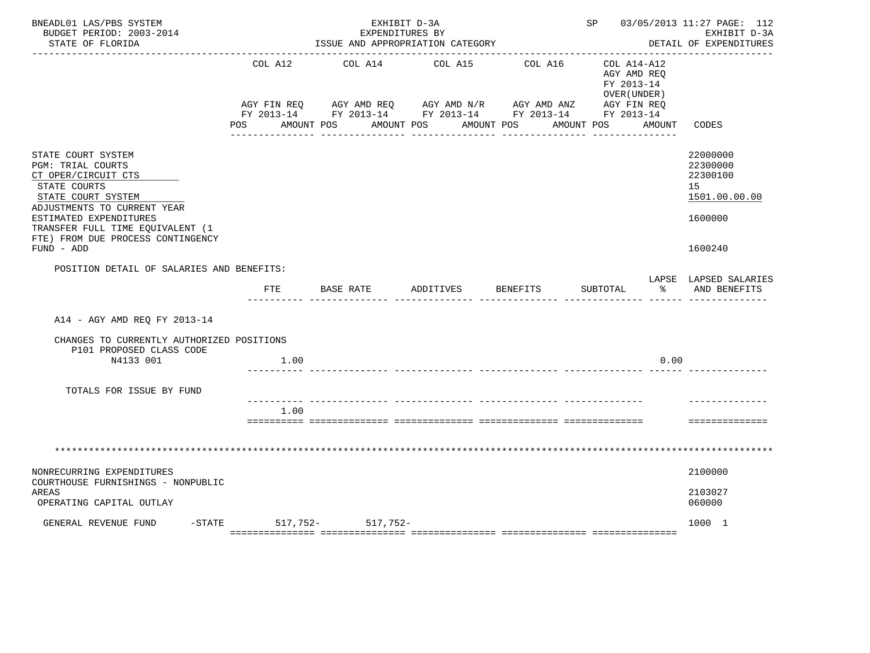| BNEADL01 LAS/PBS SYSTEM<br>BUDGET PERIOD: 2003-2014<br>STATE OF FLORIDA                                                                                                                                                                              |                    | EXHIBIT D-3A<br>EXPENDITURES BY<br>ISSUE AND APPROPRIATION CATEGORY |                       |                                                                                                                                                | SP 03/05/2013 11:27 PAGE: 112                                                    | EXHIBIT D-3A<br>DETAIL OF EXPENDITURES                                        |
|------------------------------------------------------------------------------------------------------------------------------------------------------------------------------------------------------------------------------------------------------|--------------------|---------------------------------------------------------------------|-----------------------|------------------------------------------------------------------------------------------------------------------------------------------------|----------------------------------------------------------------------------------|-------------------------------------------------------------------------------|
|                                                                                                                                                                                                                                                      | COL A12<br>POS FOR | COL A14<br>AMOUNT POS                                               | COL A15<br>AMOUNT POS | COL A16<br>AGY FIN REQ AGY AMD REQ AGY AMD N/R AGY AMD ANZ AGY FIN REQ<br>FY 2013-14 FY 2013-14 FY 2013-14 FY 2013-14 FY 2013-14<br>AMOUNT POS | COL A14-A12<br>AGY AMD REQ<br>FY 2013-14<br>OVER (UNDER)<br>AMOUNT POS<br>AMOUNT | CODES                                                                         |
|                                                                                                                                                                                                                                                      |                    |                                                                     |                       |                                                                                                                                                |                                                                                  |                                                                               |
| STATE COURT SYSTEM<br>PGM: TRIAL COURTS<br>CT OPER/CIRCUIT CTS<br>STATE COURTS<br>STATE COURT SYSTEM<br>ADJUSTMENTS TO CURRENT YEAR<br>ESTIMATED EXPENDITURES<br>TRANSFER FULL TIME EQUIVALENT (1<br>FTE) FROM DUE PROCESS CONTINGENCY<br>FUND - ADD |                    |                                                                     |                       |                                                                                                                                                |                                                                                  | 22000000<br>22300000<br>22300100<br>15<br>1501.00.00.00<br>1600000<br>1600240 |
| POSITION DETAIL OF SALARIES AND BENEFITS:                                                                                                                                                                                                            |                    |                                                                     |                       |                                                                                                                                                |                                                                                  |                                                                               |
|                                                                                                                                                                                                                                                      | FTE                | BASE RATE                                                           | ADDITIVES             | <b>BENEFITS</b>                                                                                                                                | SUBTOTAL<br>ిన                                                                   | LAPSE LAPSED SALARIES<br>AND BENEFITS                                         |
| A14 - AGY AMD REQ FY 2013-14                                                                                                                                                                                                                         |                    |                                                                     |                       |                                                                                                                                                |                                                                                  |                                                                               |
| CHANGES TO CURRENTLY AUTHORIZED POSITIONS                                                                                                                                                                                                            |                    |                                                                     |                       |                                                                                                                                                |                                                                                  |                                                                               |
| P101 PROPOSED CLASS CODE<br>N4133 001                                                                                                                                                                                                                | 1.00               |                                                                     |                       |                                                                                                                                                | 0.00                                                                             |                                                                               |
| TOTALS FOR ISSUE BY FUND                                                                                                                                                                                                                             |                    |                                                                     |                       |                                                                                                                                                |                                                                                  |                                                                               |
|                                                                                                                                                                                                                                                      | 1.00               |                                                                     |                       |                                                                                                                                                |                                                                                  | ==============                                                                |
|                                                                                                                                                                                                                                                      |                    |                                                                     |                       |                                                                                                                                                |                                                                                  |                                                                               |
| NONRECURRING EXPENDITURES<br>COURTHOUSE FURNISHINGS - NONPUBLIC                                                                                                                                                                                      |                    |                                                                     |                       |                                                                                                                                                |                                                                                  | 2100000                                                                       |
| AREAS<br>OPERATING CAPITAL OUTLAY                                                                                                                                                                                                                    |                    |                                                                     |                       |                                                                                                                                                |                                                                                  | 2103027<br>060000                                                             |
| GENERAL REVENUE FUND                                                                                                                                                                                                                                 | -STATE 517, 752-   | 517,752-                                                            |                       |                                                                                                                                                |                                                                                  | 1000 1                                                                        |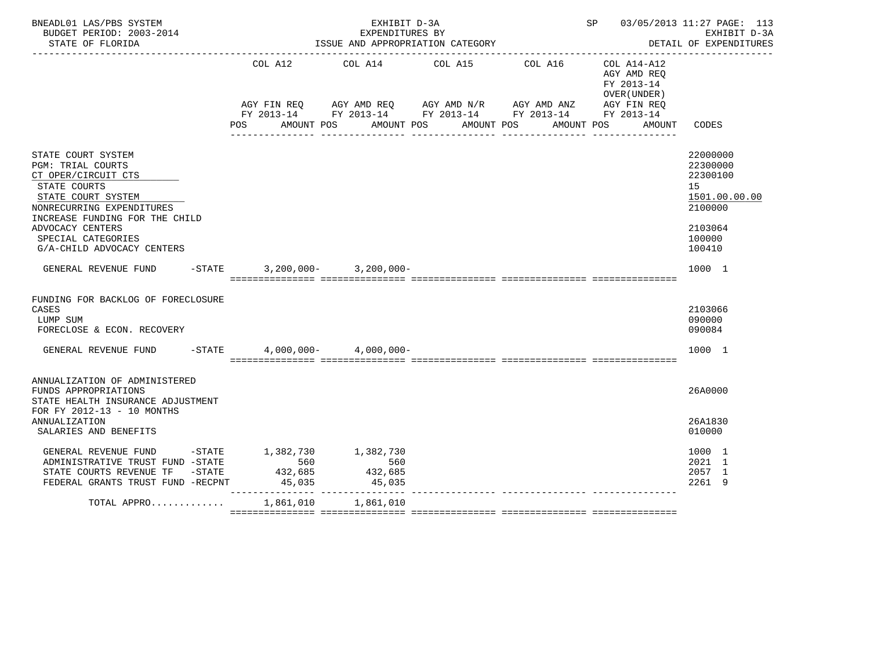| BNEADL01 LAS/PBS SYSTEM<br>BUDGET PERIOD: 2003-2014<br>STATE OF FLORIDA                                                                                                                                                                     |                                      | EXHIBIT D-3A              | EXPENDITURES BY<br>ISSUE AND APPROPRIATION CATEGORY         |                                                                                                                                                                                                           | SP 03/05/2013 11:27 PAGE: 113<br>EXHIBIT D-3A<br>DETAIL OF EXPENDITURES<br>. <u>_ _ _ _ _ _ _ _ _ _ _ _</u> _ |
|---------------------------------------------------------------------------------------------------------------------------------------------------------------------------------------------------------------------------------------------|--------------------------------------|---------------------------|-------------------------------------------------------------|-----------------------------------------------------------------------------------------------------------------------------------------------------------------------------------------------------------|---------------------------------------------------------------------------------------------------------------|
|                                                                                                                                                                                                                                             | COL A12<br>POS                       |                           | COL A14 COL A15 COL A16<br>AMOUNT POS AMOUNT POS AMOUNT POS | $COL A14- A12$<br>AGY AMD REQ<br>FY 2013-14<br>OVER (UNDER)<br>AGY FIN REQ AGY AMD REQ AGY AMD N/R AGY AMD ANZ AGY FIN REQ<br>FY 2013-14 FY 2013-14 FY 2013-14 FY 2013-14 FY 2013-14<br>AMOUNT POS AMOUNT | CODES                                                                                                         |
| STATE COURT SYSTEM<br>PGM: TRIAL COURTS<br>CT OPER/CIRCUIT CTS<br>STATE COURTS<br>STATE COURT SYSTEM<br>NONRECURRING EXPENDITURES<br>INCREASE FUNDING FOR THE CHILD<br>ADVOCACY CENTERS<br>SPECIAL CATEGORIES<br>G/A-CHILD ADVOCACY CENTERS |                                      |                           |                                                             |                                                                                                                                                                                                           | 22000000<br>22300000<br>22300100<br>15<br>1501.00.00.00<br>2100000<br>2103064<br>100000<br>100410             |
| GENERAL REVENUE FUND                                                                                                                                                                                                                        | $-STATE$ 3, 200, 000 - 3, 200, 000 - |                           |                                                             |                                                                                                                                                                                                           | 1000 1                                                                                                        |
| FUNDING FOR BACKLOG OF FORECLOSURE<br>CASES<br>LUMP SUM<br>FORECLOSE & ECON. RECOVERY                                                                                                                                                       |                                      |                           |                                                             |                                                                                                                                                                                                           | 2103066<br>090000<br>090084                                                                                   |
| GENERAL REVENUE FUND -STATE                                                                                                                                                                                                                 |                                      | $4.000.000 - 4.000.000 -$ |                                                             |                                                                                                                                                                                                           | 1000 1                                                                                                        |
| ANNUALIZATION OF ADMINISTERED<br>FUNDS APPROPRIATIONS<br>STATE HEALTH INSURANCE ADJUSTMENT<br>FOR FY 2012-13 - 10 MONTHS<br>ANNUALIZATION<br>SALARIES AND BENEFITS                                                                          |                                      |                           |                                                             |                                                                                                                                                                                                           | 26A0000<br>26A1830<br>010000                                                                                  |
| GENERAL REVENUE FUND                                                                                                                                                                                                                        | -STATE 1,382,730 1,382,730           |                           |                                                             |                                                                                                                                                                                                           | 1000 1                                                                                                        |
| ADMINISTRATIVE TRUST FUND -STATE                                                                                                                                                                                                            | 560                                  | 560                       |                                                             |                                                                                                                                                                                                           | 2021 1                                                                                                        |
|                                                                                                                                                                                                                                             |                                      | 432,685                   |                                                             |                                                                                                                                                                                                           | 2057 1                                                                                                        |
| STATE COURTS REVENUE TF -STATE 432,685<br>FEDERAL GRANTS TRUST FUND -RECPNT 45,035                                                                                                                                                          |                                      | 45,035                    |                                                             |                                                                                                                                                                                                           | 2261 9                                                                                                        |
| TOTAL APPRO $\ldots \ldots \ldots \ldots$ 1,861,010 1,861,010                                                                                                                                                                               |                                      |                           |                                                             |                                                                                                                                                                                                           |                                                                                                               |
|                                                                                                                                                                                                                                             |                                      |                           |                                                             |                                                                                                                                                                                                           |                                                                                                               |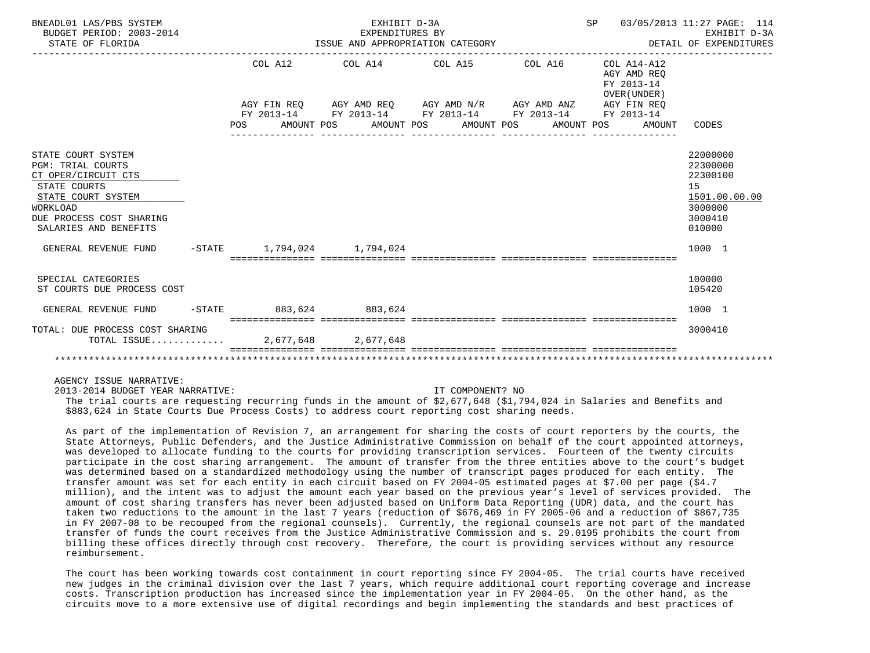| BNEADL01 LAS/PBS SYSTEM<br>BUDGET PERIOD: 2003-2014<br>STATE OF FLORIDA                                                                                                                              |                                   | EXHIBIT D-3A<br>EXPENDITURES BY<br>______________________________ | ISSUE AND APPROPRIATION CATEGORY                                                                           |            | SP<br>------------------------------------               | 03/05/2013 11:27 PAGE: 114<br>EXHIBIT D-3A<br>DETAIL OF EXPENDITURES                              |
|------------------------------------------------------------------------------------------------------------------------------------------------------------------------------------------------------|-----------------------------------|-------------------------------------------------------------------|------------------------------------------------------------------------------------------------------------|------------|----------------------------------------------------------|---------------------------------------------------------------------------------------------------|
|                                                                                                                                                                                                      | COL A12                           |                                                                   | COL A14 COL A15 COL A16                                                                                    |            | COL A14-A12<br>AGY AMD REO<br>FY 2013-14<br>OVER (UNDER) |                                                                                                   |
|                                                                                                                                                                                                      |                                   |                                                                   | AGY FIN REQ AGY AMD REQ AGY AMD N/R AGY AMD ANZ AGY FIN REQ<br>FY 2013-14 FY 2013-14 FY 2013-14 FY 2013-14 |            | FY 2013-14                                               |                                                                                                   |
|                                                                                                                                                                                                      | POS DO                            |                                                                   | AMOUNT POS AMOUNT POS AMOUNT POS                                                                           | AMOUNT POS | AMOUNT CODES                                             |                                                                                                   |
| STATE COURT SYSTEM<br><b>PGM: TRIAL COURTS</b><br>CT OPER/CIRCUIT CTS<br>STATE COURTS<br>STATE COURT SYSTEM<br>WORKLOAD<br>DUE PROCESS COST SHARING<br>SALARIES AND BENEFITS<br>GENERAL REVENUE FUND | $-$ STATE $1,794,024$ $1,794,024$ |                                                                   |                                                                                                            |            |                                                          | 22000000<br>22300000<br>22300100<br>15<br>1501.00.00.00<br>3000000<br>3000410<br>010000<br>1000 1 |
| SPECIAL CATEGORIES<br>ST COURTS DUE PROCESS COST                                                                                                                                                     |                                   |                                                                   |                                                                                                            |            |                                                          | 100000<br>105420                                                                                  |
| GENERAL REVENUE FUND                                                                                                                                                                                 | -STATE 883,624 883,624            |                                                                   |                                                                                                            |            |                                                          | 1000 1                                                                                            |
| TOTAL: DUE PROCESS COST SHARING<br>TOTAL ISSUE                                                                                                                                                       |                                   | 2,677,648 2,677,648                                               |                                                                                                            |            |                                                          | 3000410                                                                                           |
|                                                                                                                                                                                                      |                                   |                                                                   |                                                                                                            |            |                                                          |                                                                                                   |

2013-2014 BUDGET YEAR NARRATIVE: IT COMPONENT? NO

 The trial courts are requesting recurring funds in the amount of \$2,677,648 (\$1,794,024 in Salaries and Benefits and \$883,624 in State Courts Due Process Costs) to address court reporting cost sharing needs.

 As part of the implementation of Revision 7, an arrangement for sharing the costs of court reporters by the courts, the State Attorneys, Public Defenders, and the Justice Administrative Commission on behalf of the court appointed attorneys, was developed to allocate funding to the courts for providing transcription services. Fourteen of the twenty circuits participate in the cost sharing arrangement. The amount of transfer from the three entities above to the court's budget was determined based on a standardized methodology using the number of transcript pages produced for each entity. The transfer amount was set for each entity in each circuit based on FY 2004-05 estimated pages at \$7.00 per page (\$4.7 million), and the intent was to adjust the amount each year based on the previous year's level of services provided. The amount of cost sharing transfers has never been adjusted based on Uniform Data Reporting (UDR) data, and the court has taken two reductions to the amount in the last 7 years (reduction of \$676,469 in FY 2005-06 and a reduction of \$867,735 in FY 2007-08 to be recouped from the regional counsels). Currently, the regional counsels are not part of the mandated transfer of funds the court receives from the Justice Administrative Commission and s. 29.0195 prohibits the court from billing these offices directly through cost recovery. Therefore, the court is providing services without any resource reimbursement.

 The court has been working towards cost containment in court reporting since FY 2004-05. The trial courts have received new judges in the criminal division over the last 7 years, which require additional court reporting coverage and increase costs. Transcription production has increased since the implementation year in FY 2004-05. On the other hand, as the circuits move to a more extensive use of digital recordings and begin implementing the standards and best practices of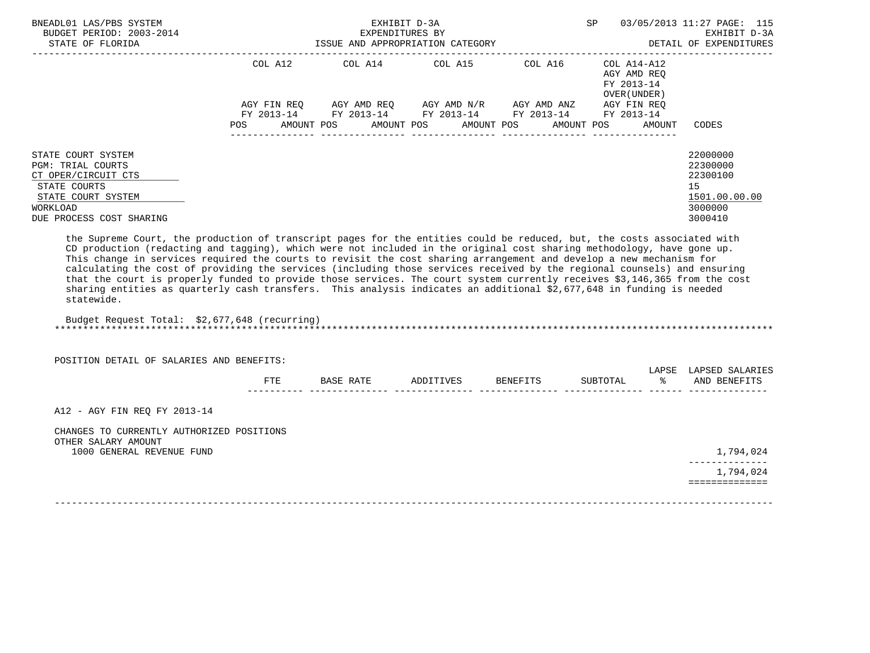| BNEADL01 LAS/PBS SYSTEM<br>BUDGET PERIOD: 2003-2014<br>STATE OF FLORIDA                                                                             | ISSUE AND APPROPRIATION CATEGORY | EXHIBIT D-3A<br>EXPENDITURES BY                        | <b>SP</b>                           | 03/05/2013 11:27 PAGE: 115<br>EXHIBIT D-3A<br>DETAIL OF EXPENDITURES |                                                                   |                                                                               |
|-----------------------------------------------------------------------------------------------------------------------------------------------------|----------------------------------|--------------------------------------------------------|-------------------------------------|----------------------------------------------------------------------|-------------------------------------------------------------------|-------------------------------------------------------------------------------|
|                                                                                                                                                     | COL A12                          | COL A14 COL A15                                        |                                     | COL A16                                                              | COL A14-A12<br>AGY AMD REO<br>FY 2013-14<br>OVER (UNDER)          |                                                                               |
|                                                                                                                                                     | AGY FIN REO<br><b>POS</b>        | FY 2013-14 FY 2013-14 FY 2013-14 FY 2013-14 FY 2013-14 | AGY AMD REO AGY AMD N/R AGY AMD ANZ |                                                                      | AGY FIN REO<br>AMOUNT POS AMOUNT POS AMOUNT POS AMOUNT POS AMOUNT | CODES                                                                         |
| STATE COURT SYSTEM<br><b>PGM: TRIAL COURTS</b><br>CT OPER/CIRCUIT CTS<br>STATE COURTS<br>STATE COURT SYSTEM<br>WORKLOAD<br>DUE PROCESS COST SHARING |                                  |                                                        |                                     |                                                                      |                                                                   | 22000000<br>22300000<br>22300100<br>15<br>1501.00.00.00<br>3000000<br>3000410 |

 the Supreme Court, the production of transcript pages for the entities could be reduced, but, the costs associated with CD production (redacting and tagging), which were not included in the original cost sharing methodology, have gone up. This change in services required the courts to revisit the cost sharing arrangement and develop a new mechanism for calculating the cost of providing the services (including those services received by the regional counsels) and ensuring that the court is properly funded to provide those services. The court system currently receives \$3,146,365 from the cost sharing entities as quarterly cash transfers. This analysis indicates an additional \$2,677,648 in funding is needed statewide.

 Budget Request Total: \$2,677,648 (recurring) \*\*\*\*\*\*\*\*\*\*\*\*\*\*\*\*\*\*\*\*\*\*\*\*\*\*\*\*\*\*\*\*\*\*\*\*\*\*\*\*\*\*\*\*\*\*\*\*\*\*\*\*\*\*\*\*\*\*\*\*\*\*\*\*\*\*\*\*\*\*\*\*\*\*\*\*\*\*\*\*\*\*\*\*\*\*\*\*\*\*\*\*\*\*\*\*\*\*\*\*\*\*\*\*\*\*\*\*\*\*\*\*\*\*\*\*\*\*\*\*\*\*\*\*\*\*\*

POSITION DETAIL OF SALARIES AND BENEFITS:

|              |                   |          |                    | LAPSE | APSET       |
|--------------|-------------------|----------|--------------------|-------|-------------|
| 亚里亚<br>: 1 D | הדרח ג<br>1 L L L | DDITIVES | ו בידרחידי<br>ידר. |       | ΔNT<br>ENE. |
| $- - -$      |                   |          |                    |       |             |

A12 - AGY FIN REQ FY 2013-14

 CHANGES TO CURRENTLY AUTHORIZED POSITIONS OTHER SALARY AMOUNT 1000 GENERAL REVENUE FUND 1,794,024

 -------------- 1,794,024 ==============

-------------------------------------------------------------------------------------------------------------------------------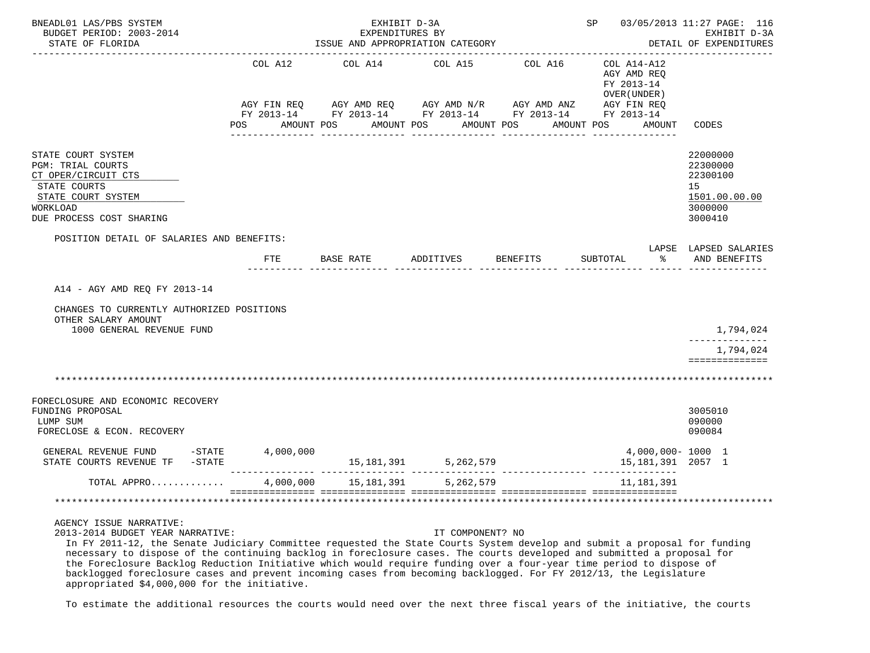| BNEADL01 LAS/PBS SYSTEM<br>BUDGET PERIOD: 2003-2014<br>STATE OF FLORIDA                                                                                    |                              | EXHIBIT D-3A<br>EXPENDITURES BY<br>ISSUE AND APPROPRIATION CATEGORY                                                   |                          |                       | SP 03/05/2013 11:27 PAGE: 116                                       | EXHIBIT D-3A<br>DETAIL OF EXPENDITURES<br>. _ _ _ _ _ _ _ _ _ _ _ _ _ _ _ _   |
|------------------------------------------------------------------------------------------------------------------------------------------------------------|------------------------------|-----------------------------------------------------------------------------------------------------------------------|--------------------------|-----------------------|---------------------------------------------------------------------|-------------------------------------------------------------------------------|
|                                                                                                                                                            | COL A12<br>POS<br>AMOUNT POS | COL A14<br>AGY FIN REQ AGY AMD REQ AGY AMD N/R AGY AMD ANZ AGY FIN REQ FY 2013-14 FY 2013-14 FY 2013-14<br>AMOUNT POS | COL A15<br>AMOUNT POS    | COL A16<br>AMOUNT POS | COL A14-A12<br>AGY AMD REQ<br>FY 2013-14<br>OVER (UNDER )<br>AMOUNT | CODES                                                                         |
| STATE COURT SYSTEM<br><b>PGM: TRIAL COURTS</b><br>CT OPER/CIRCUIT CTS<br>STATE COURTS<br>STATE COURT SYSTEM<br><b>WORKLOAD</b><br>DUE PROCESS COST SHARING |                              |                                                                                                                       |                          |                       |                                                                     | 22000000<br>22300000<br>22300100<br>15<br>1501.00.00.00<br>3000000<br>3000410 |
| POSITION DETAIL OF SALARIES AND BENEFITS:                                                                                                                  | <b>FTE</b>                   | BASE RATE                                                                                                             | ADDITIVES                | <b>BENEFITS</b>       | SUBTOTAL<br>နွ                                                      | LAPSE LAPSED SALARIES<br>AND BENEFITS                                         |
| A14 - AGY AMD REO FY 2013-14                                                                                                                               |                              |                                                                                                                       |                          |                       |                                                                     |                                                                               |
| CHANGES TO CURRENTLY AUTHORIZED POSITIONS<br>OTHER SALARY AMOUNT<br>1000 GENERAL REVENUE FUND                                                              |                              |                                                                                                                       |                          |                       |                                                                     | 1,794,024                                                                     |
|                                                                                                                                                            |                              |                                                                                                                       |                          |                       |                                                                     | --------------<br>1,794,024<br>==============                                 |
|                                                                                                                                                            |                              |                                                                                                                       |                          |                       |                                                                     |                                                                               |
| FORECLOSURE AND ECONOMIC RECOVERY<br>FUNDING PROPOSAL<br>LUMP SUM<br>FORECLOSE & ECON. RECOVERY                                                            |                              |                                                                                                                       |                          |                       |                                                                     | 3005010<br>090000<br>090084                                                   |
| GENERAL REVENUE FUND -STATE<br>STATE COURTS REVENUE TF -STATE                                                                                              | 4,000,000                    |                                                                                                                       | 15, 181, 391 5, 262, 579 |                       | 4,000,000-1000 1<br>15, 181, 391 2057 1                             |                                                                               |
| TOTAL APPRO                                                                                                                                                | 4,000,000                    | 15,181,391                                                                                                            | 5,262,579                |                       | 11,181,391                                                          |                                                                               |
|                                                                                                                                                            |                              |                                                                                                                       |                          |                       | sos essessessessess                                                 |                                                                               |

2013-2014 BUDGET YEAR NARRATIVE: IT COMPONENT? NO

 In FY 2011-12, the Senate Judiciary Committee requested the State Courts System develop and submit a proposal for funding necessary to dispose of the continuing backlog in foreclosure cases. The courts developed and submitted a proposal for the Foreclosure Backlog Reduction Initiative which would require funding over a four-year time period to dispose of backlogged foreclosure cases and prevent incoming cases from becoming backlogged. For FY 2012/13, the Legislature appropriated \$4,000,000 for the initiative.

To estimate the additional resources the courts would need over the next three fiscal years of the initiative, the courts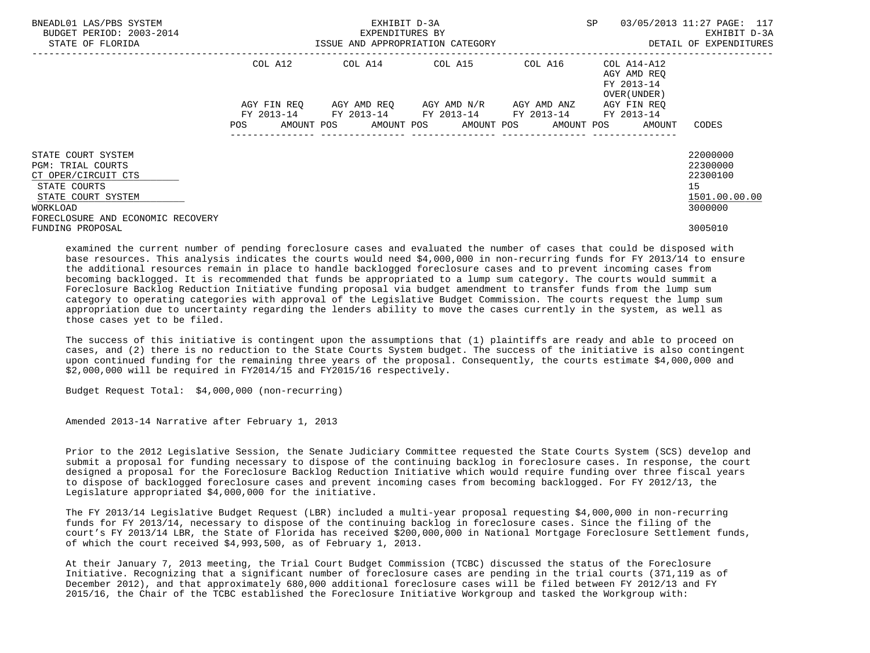| BNEADL01 LAS/PBS SYSTEM<br>BUDGET PERIOD: 2003-2014<br>STATE OF FLORIDA                                                                                      |                    | EXHIBIT D-3A<br>EXPENDITURES BY<br>ISSUE AND APPROPRIATION CATEGORY | SP                      | 03/05/2013 11:27 PAGE: 117<br>EXHIBIT D-3A<br>DETAIL OF EXPENDITURES |                                                                   |                                                                    |
|--------------------------------------------------------------------------------------------------------------------------------------------------------------|--------------------|---------------------------------------------------------------------|-------------------------|----------------------------------------------------------------------|-------------------------------------------------------------------|--------------------------------------------------------------------|
|                                                                                                                                                              | COL A12            | COL A14 COL A15                                                     |                         | COL A16                                                              | COL A14-A12<br>AGY AMD REO<br>FY 2013-14<br>OVER (UNDER)          |                                                                    |
|                                                                                                                                                              | AGY FIN REO<br>POS | FY 2013-14 FY 2013-14 FY 2013-14 FY 2013-14 FY 2013-14              | AGY AMD REO AGY AMD N/R | AGY AMD ANZ<br>---------------                                       | AGY FIN REO<br>AMOUNT POS AMOUNT POS AMOUNT POS AMOUNT POS AMOUNT | CODES                                                              |
| STATE COURT SYSTEM<br><b>PGM: TRIAL COURTS</b><br>CT OPER/CIRCUIT CTS<br>STATE COURTS<br>STATE COURT SYSTEM<br>WORKLOAD<br>FORECLOSURE AND ECONOMIC RECOVERY |                    |                                                                     |                         |                                                                      |                                                                   | 22000000<br>22300000<br>22300100<br>15<br>1501.00.00.00<br>3000000 |
| FUNDING PROPOSAL                                                                                                                                             |                    |                                                                     |                         |                                                                      |                                                                   | 3005010                                                            |

 examined the current number of pending foreclosure cases and evaluated the number of cases that could be disposed with base resources. This analysis indicates the courts would need \$4,000,000 in non-recurring funds for FY 2013/14 to ensure the additional resources remain in place to handle backlogged foreclosure cases and to prevent incoming cases from becoming backlogged. It is recommended that funds be appropriated to a lump sum category. The courts would summit a Foreclosure Backlog Reduction Initiative funding proposal via budget amendment to transfer funds from the lump sum category to operating categories with approval of the Legislative Budget Commission. The courts request the lump sum appropriation due to uncertainty regarding the lenders ability to move the cases currently in the system, as well as those cases yet to be filed.

 The success of this initiative is contingent upon the assumptions that (1) plaintiffs are ready and able to proceed on cases, and (2) there is no reduction to the State Courts System budget. The success of the initiative is also contingent upon continued funding for the remaining three years of the proposal. Consequently, the courts estimate \$4,000,000 and \$2,000,000 will be required in FY2014/15 and FY2015/16 respectively.

Budget Request Total: \$4,000,000 (non-recurring)

Amended 2013-14 Narrative after February 1, 2013

 Prior to the 2012 Legislative Session, the Senate Judiciary Committee requested the State Courts System (SCS) develop and submit a proposal for funding necessary to dispose of the continuing backlog in foreclosure cases. In response, the court designed a proposal for the Foreclosure Backlog Reduction Initiative which would require funding over three fiscal years to dispose of backlogged foreclosure cases and prevent incoming cases from becoming backlogged. For FY 2012/13, the Legislature appropriated \$4,000,000 for the initiative.

 The FY 2013/14 Legislative Budget Request (LBR) included a multi-year proposal requesting \$4,000,000 in non-recurring funds for FY 2013/14, necessary to dispose of the continuing backlog in foreclosure cases. Since the filing of the court's FY 2013/14 LBR, the State of Florida has received \$200,000,000 in National Mortgage Foreclosure Settlement funds, of which the court received \$4,993,500, as of February 1, 2013.

 At their January 7, 2013 meeting, the Trial Court Budget Commission (TCBC) discussed the status of the Foreclosure Initiative. Recognizing that a significant number of foreclosure cases are pending in the trial courts (371,119 as of December 2012), and that approximately 680,000 additional foreclosure cases will be filed between FY 2012/13 and FY 2015/16, the Chair of the TCBC established the Foreclosure Initiative Workgroup and tasked the Workgroup with: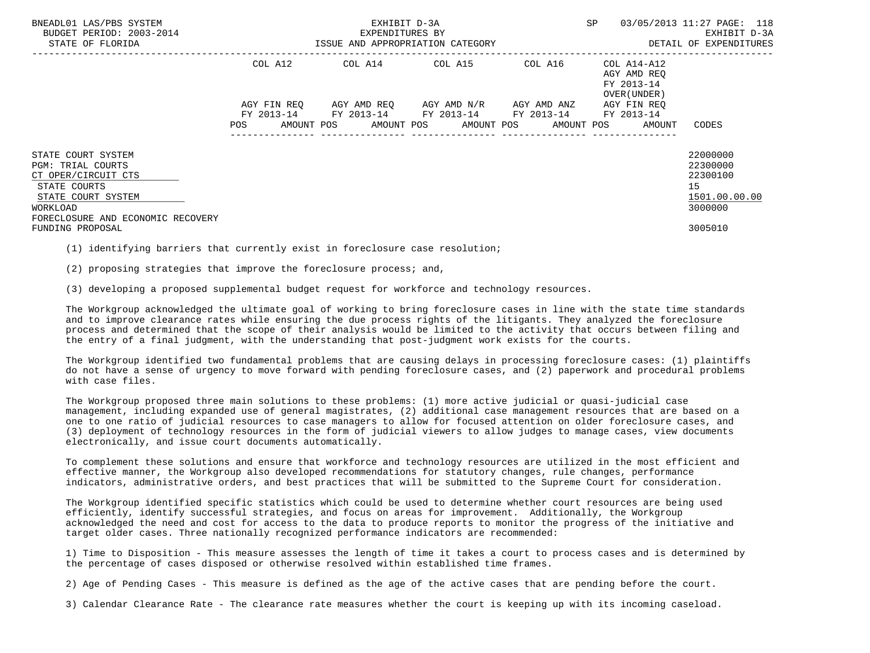| BNEADL01 LAS/PBS SYSTEM<br>BUDGET PERIOD: 2003-2014<br>STATE OF FLORIDA             |                           | EXHIBIT D-3A<br>EXPENDITURES BY<br>ISSUE AND APPROPRIATION CATEGORY | SP                                                                                                                                           | 03/05/2013 11:27 PAGE: 118<br>EXHIBIT D-3A<br>DETAIL OF EXPENDITURES |                                                          |                                  |
|-------------------------------------------------------------------------------------|---------------------------|---------------------------------------------------------------------|----------------------------------------------------------------------------------------------------------------------------------------------|----------------------------------------------------------------------|----------------------------------------------------------|----------------------------------|
|                                                                                     | COL A12                   |                                                                     | COL A14 COL A15                                                                                                                              | COL A16                                                              | COL A14-A12<br>AGY AMD REO<br>FY 2013-14<br>OVER (UNDER) |                                  |
|                                                                                     | AGY FIN REO<br><b>POS</b> |                                                                     | AGY AMD REO AGY AMD N/R AGY AMD ANZ<br>FY 2013-14 FY 2013-14 FY 2013-14 FY 2013-14 FY 2013-14<br>AMOUNT POS AMOUNT POS AMOUNT POS AMOUNT POS |                                                                      | AGY FIN REO<br>AMOUNT                                    | CODES                            |
| STATE COURT SYSTEM<br><b>PGM: TRIAL COURTS</b><br>CT OPER/CIRCUIT CTS               |                           |                                                                     |                                                                                                                                              |                                                                      |                                                          | 22000000<br>22300000<br>22300100 |
| STATE COURTS<br>STATE COURT SYSTEM<br>WORKLOAD<br>FORECLOSURE AND ECONOMIC RECOVERY |                           |                                                                     |                                                                                                                                              |                                                                      |                                                          | 15<br>1501.00.00.00<br>3000000   |
| FUNDING PROPOSAL                                                                    |                           |                                                                     |                                                                                                                                              |                                                                      |                                                          | 3005010                          |

(1) identifying barriers that currently exist in foreclosure case resolution;

(2) proposing strategies that improve the foreclosure process; and,

(3) developing a proposed supplemental budget request for workforce and technology resources.

 The Workgroup acknowledged the ultimate goal of working to bring foreclosure cases in line with the state time standards and to improve clearance rates while ensuring the due process rights of the litigants. They analyzed the foreclosure process and determined that the scope of their analysis would be limited to the activity that occurs between filing and the entry of a final judgment, with the understanding that post-judgment work exists for the courts.

 The Workgroup identified two fundamental problems that are causing delays in processing foreclosure cases: (1) plaintiffs do not have a sense of urgency to move forward with pending foreclosure cases, and (2) paperwork and procedural problems with case files.

 The Workgroup proposed three main solutions to these problems: (1) more active judicial or quasi-judicial case management, including expanded use of general magistrates, (2) additional case management resources that are based on a one to one ratio of judicial resources to case managers to allow for focused attention on older foreclosure cases, and (3) deployment of technology resources in the form of judicial viewers to allow judges to manage cases, view documents electronically, and issue court documents automatically.

 To complement these solutions and ensure that workforce and technology resources are utilized in the most efficient and effective manner, the Workgroup also developed recommendations for statutory changes, rule changes, performance indicators, administrative orders, and best practices that will be submitted to the Supreme Court for consideration.

 The Workgroup identified specific statistics which could be used to determine whether court resources are being used efficiently, identify successful strategies, and focus on areas for improvement. Additionally, the Workgroup acknowledged the need and cost for access to the data to produce reports to monitor the progress of the initiative and target older cases. Three nationally recognized performance indicators are recommended:

 1) Time to Disposition - This measure assesses the length of time it takes a court to process cases and is determined by the percentage of cases disposed or otherwise resolved within established time frames.

2) Age of Pending Cases - This measure is defined as the age of the active cases that are pending before the court.

3) Calendar Clearance Rate - The clearance rate measures whether the court is keeping up with its incoming caseload.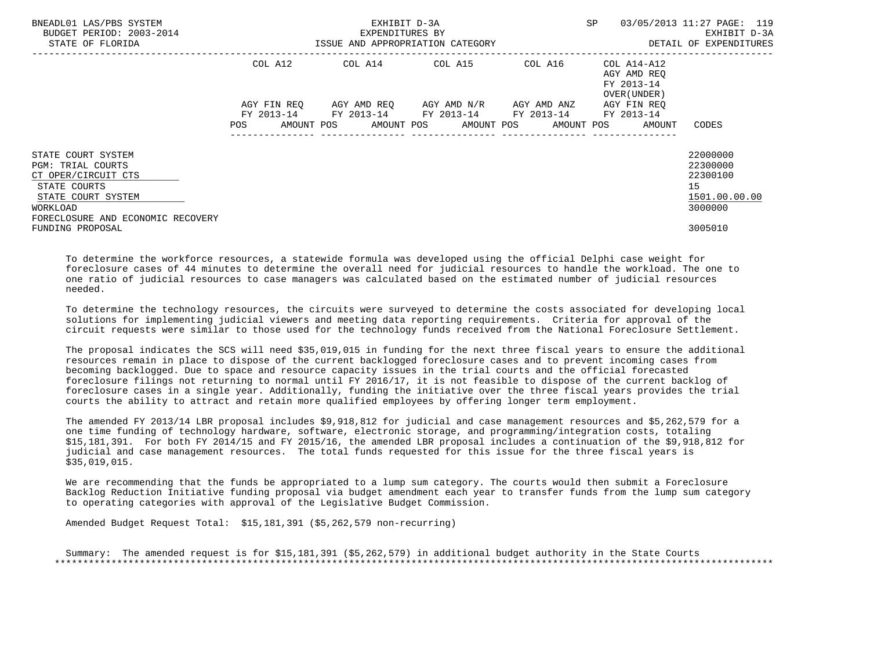| BNEADL01 LAS/PBS SYSTEM<br>BUDGET PERIOD: 2003-2014<br>STATE OF FLORIDA                                                                                      |             | EXHIBIT D-3A<br>EXPENDITURES BY<br>ISSUE AND APPROPRIATION CATEGORY | SP                                            | 03/05/2013 11:27 PAGE: 119<br>EXHIBIT D-3A<br>DETAIL OF EXPENDITURES |                                                                       |                                                                    |
|--------------------------------------------------------------------------------------------------------------------------------------------------------------|-------------|---------------------------------------------------------------------|-----------------------------------------------|----------------------------------------------------------------------|-----------------------------------------------------------------------|--------------------------------------------------------------------|
|                                                                                                                                                              | COL A12     | COL A14 COL A15                                                     |                                               | COL A16                                                              | COL A14-A12<br>AGY AMD REQ<br>FY 2013-14<br>OVER (UNDER)              |                                                                    |
|                                                                                                                                                              | AGY FIN REO | FY 2013-14 FY 2013-14 FY 2013-14 FY 2013-14 FY 2013-14              | AGY AMD REO      AGY AMD N/R      AGY AMD ANZ |                                                                      | AGY FIN REO<br>POS AMOUNT POS AMOUNT POS AMOUNT POS AMOUNT POS AMOUNT | CODES                                                              |
| STATE COURT SYSTEM<br><b>PGM: TRIAL COURTS</b><br>CT OPER/CIRCUIT CTS<br>STATE COURTS<br>STATE COURT SYSTEM<br>WORKLOAD<br>FORECLOSURE AND ECONOMIC RECOVERY |             |                                                                     |                                               |                                                                      |                                                                       | 22000000<br>22300000<br>22300100<br>15<br>1501.00.00.00<br>3000000 |
| FUNDING PROPOSAL                                                                                                                                             |             |                                                                     |                                               |                                                                      |                                                                       | 3005010                                                            |

 To determine the workforce resources, a statewide formula was developed using the official Delphi case weight for foreclosure cases of 44 minutes to determine the overall need for judicial resources to handle the workload. The one to one ratio of judicial resources to case managers was calculated based on the estimated number of judicial resources needed.

 To determine the technology resources, the circuits were surveyed to determine the costs associated for developing local solutions for implementing judicial viewers and meeting data reporting requirements. Criteria for approval of the circuit requests were similar to those used for the technology funds received from the National Foreclosure Settlement.

 The proposal indicates the SCS will need \$35,019,015 in funding for the next three fiscal years to ensure the additional resources remain in place to dispose of the current backlogged foreclosure cases and to prevent incoming cases from becoming backlogged. Due to space and resource capacity issues in the trial courts and the official forecasted foreclosure filings not returning to normal until FY 2016/17, it is not feasible to dispose of the current backlog of foreclosure cases in a single year. Additionally, funding the initiative over the three fiscal years provides the trial courts the ability to attract and retain more qualified employees by offering longer term employment.

 The amended FY 2013/14 LBR proposal includes \$9,918,812 for judicial and case management resources and \$5,262,579 for a one time funding of technology hardware, software, electronic storage, and programming/integration costs, totaling \$15,181,391. For both FY 2014/15 and FY 2015/16, the amended LBR proposal includes a continuation of the \$9,918,812 for judicial and case management resources. The total funds requested for this issue for the three fiscal years is \$35,019,015.

 We are recommending that the funds be appropriated to a lump sum category. The courts would then submit a Foreclosure Backlog Reduction Initiative funding proposal via budget amendment each year to transfer funds from the lump sum category to operating categories with approval of the Legislative Budget Commission.

Amended Budget Request Total: \$15,181,391 (\$5,262,579 non-recurring)

 Summary: The amended request is for \$15,181,391 (\$5,262,579) in additional budget authority in the State Courts \*\*\*\*\*\*\*\*\*\*\*\*\*\*\*\*\*\*\*\*\*\*\*\*\*\*\*\*\*\*\*\*\*\*\*\*\*\*\*\*\*\*\*\*\*\*\*\*\*\*\*\*\*\*\*\*\*\*\*\*\*\*\*\*\*\*\*\*\*\*\*\*\*\*\*\*\*\*\*\*\*\*\*\*\*\*\*\*\*\*\*\*\*\*\*\*\*\*\*\*\*\*\*\*\*\*\*\*\*\*\*\*\*\*\*\*\*\*\*\*\*\*\*\*\*\*\*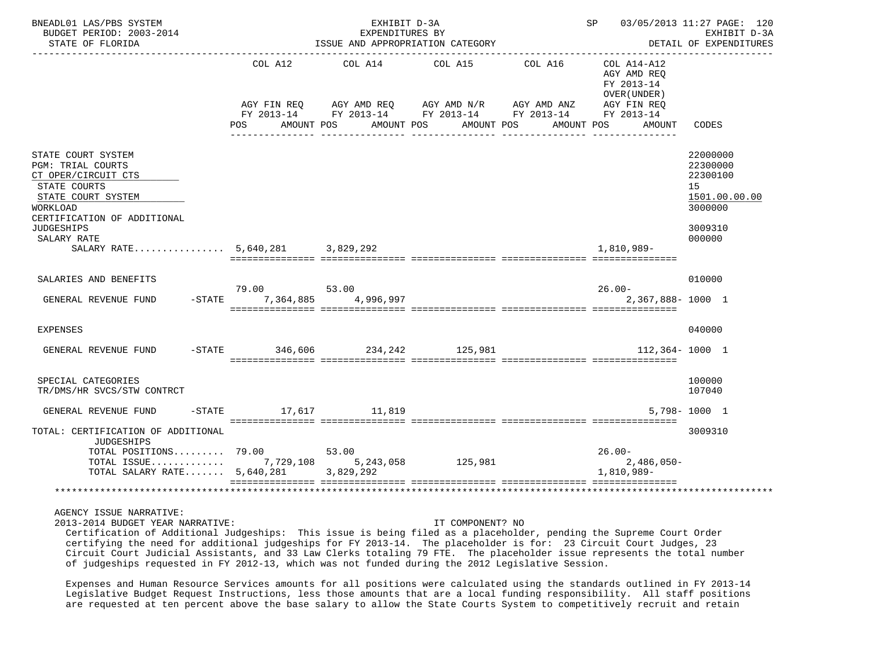| BNEADL01 LAS/PBS SYSTEM<br>BUDGET PERIOD: 2003-2014<br>STATE OF FLORIDA                                                                                                                                                       | ISSUE AND APPROPRIATION CATEGORY                   | SP 03/05/2013 11:27 PAGE: 120<br>EXHIBIT D-3A<br>DETAIL OF EXPENDITURES |                                                                              |                                                                      |                                                                                   |                                                                                         |
|-------------------------------------------------------------------------------------------------------------------------------------------------------------------------------------------------------------------------------|----------------------------------------------------|-------------------------------------------------------------------------|------------------------------------------------------------------------------|----------------------------------------------------------------------|-----------------------------------------------------------------------------------|-----------------------------------------------------------------------------------------|
|                                                                                                                                                                                                                               | COL A12<br>AGY FIN REQ<br><b>POS</b><br>AMOUNT POS | AMOUNT POS                                                              | COL A14 COL A15 COL A16<br>AGY AMD REQ AGY AMD N/R AGY AMD ANZ<br>AMOUNT POS | FY 2013-14 FY 2013-14 FY 2013-14 FY 2013-14 FY 2013-14<br>AMOUNT POS | COL A14-A12<br>AGY AMD REO<br>FY 2013-14<br>OVER (UNDER)<br>AGY FIN REQ<br>AMOUNT | CODES                                                                                   |
| STATE COURT SYSTEM<br><b>PGM: TRIAL COURTS</b><br>CT OPER/CIRCUIT CTS<br>STATE COURTS<br>STATE COURT SYSTEM<br>WORKLOAD<br>CERTIFICATION OF ADDITIONAL<br><b>JUDGESHIPS</b><br>SALARY RATE<br>SALARY RATE 5,640,281 3,829,292 |                                                    |                                                                         |                                                                              |                                                                      | 1,810,989-                                                                        | 22000000<br>22300000<br>22300100<br>15<br>1501.00.00.00<br>3000000<br>3009310<br>000000 |
| SALARIES AND BENEFITS<br>GENERAL REVENUE FUND                                                                                                                                                                                 | 79.00<br>-STATE 7.364.885 4.996.997                | 53.00                                                                   |                                                                              |                                                                      | $26.00 -$<br>2,367,888-1000 1                                                     | 010000                                                                                  |
| EXPENSES                                                                                                                                                                                                                      |                                                    |                                                                         |                                                                              |                                                                      |                                                                                   | 040000                                                                                  |
| GENERAL REVENUE FUND                                                                                                                                                                                                          | $-$ STATE $-$ 346,606 $-$ 234,242 $-$ 125,981      |                                                                         |                                                                              |                                                                      | 112,364-1000 1                                                                    |                                                                                         |
| SPECIAL CATEGORIES<br>TR/DMS/HR SVCS/STW CONTRCT                                                                                                                                                                              |                                                    |                                                                         |                                                                              |                                                                      |                                                                                   | 100000<br>107040                                                                        |
| GENERAL REVENUE FUND                                                                                                                                                                                                          | -STATE 17,617 11,819                               |                                                                         |                                                                              |                                                                      |                                                                                   | $5.798 - 1000$ 1                                                                        |
| TOTAL: CERTIFICATION OF ADDITIONAL<br><b>JUDGESHIPS</b><br>TOTAL POSITIONS 79.00 53.00<br>TOTAL ISSUE 7,729,108 5,243,058<br>TOTAL SALARY RATE $5,640,281$                                                                    |                                                    | 3,829,292                                                               | 125,981                                                                      |                                                                      | $26.00 -$<br>2,486,050-<br>1,810,989-                                             | 3009310                                                                                 |
|                                                                                                                                                                                                                               |                                                    |                                                                         |                                                                              |                                                                      |                                                                                   |                                                                                         |

2013-2014 BUDGET YEAR NARRATIVE: IT COMPONENT? NO

 Certification of Additional Judgeships: This issue is being filed as a placeholder, pending the Supreme Court Order certifying the need for additional judgeships for FY 2013-14. The placeholder is for: 23 Circuit Court Judges, 23 Circuit Court Judicial Assistants, and 33 Law Clerks totaling 79 FTE. The placeholder issue represents the total number of judgeships requested in FY 2012-13, which was not funded during the 2012 Legislative Session.

 Expenses and Human Resource Services amounts for all positions were calculated using the standards outlined in FY 2013-14 Legislative Budget Request Instructions, less those amounts that are a local funding responsibility. All staff positions are requested at ten percent above the base salary to allow the State Courts System to competitively recruit and retain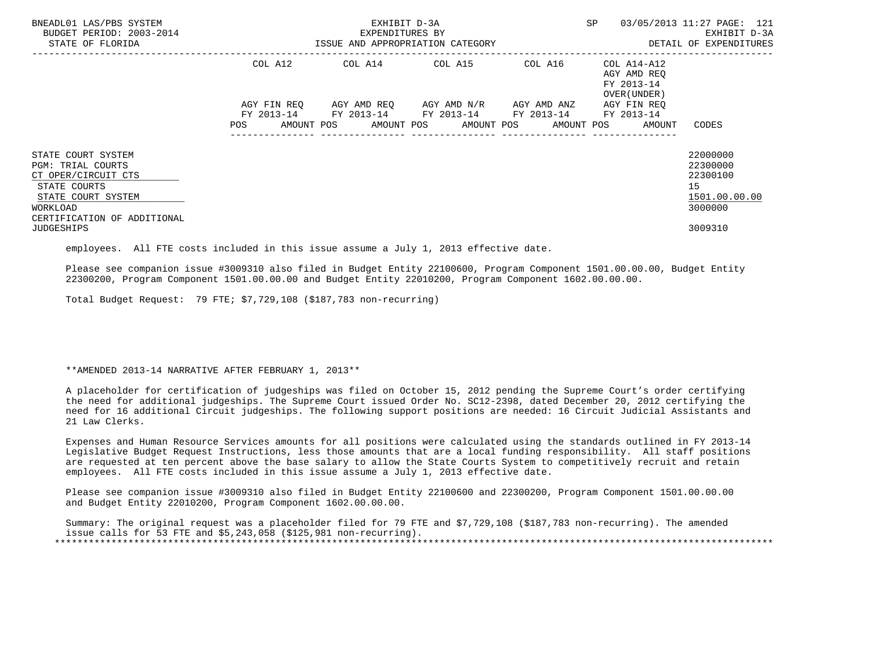| BNEADL01 LAS/PBS SYSTEM<br>BUDGET PERIOD: 2003-2014<br>STATE OF FLORIDA                                                                                |                           | EXHIBIT D-3A<br>EXPENDITURES BY<br>ISSUE AND APPROPRIATION CATEGORY | <b>SP</b>                                                                                     | 03/05/2013 11:27 PAGE: 121<br>EXHIBIT D-3A<br>DETAIL OF EXPENDITURES |                                                                   |                                                                    |
|--------------------------------------------------------------------------------------------------------------------------------------------------------|---------------------------|---------------------------------------------------------------------|-----------------------------------------------------------------------------------------------|----------------------------------------------------------------------|-------------------------------------------------------------------|--------------------------------------------------------------------|
|                                                                                                                                                        | COL A12                   |                                                                     | COL A14 COL A15                                                                               | COL A16                                                              | COL A14-A12<br>AGY AMD REO<br>FY 2013-14<br>OVER (UNDER)          |                                                                    |
|                                                                                                                                                        | AGY FIN REQ<br><b>POS</b> |                                                                     | AGY AMD REQ AGY AMD N/R AGY AMD ANZ<br>FY 2013-14 FY 2013-14 FY 2013-14 FY 2013-14 FY 2013-14 |                                                                      | AGY FIN REO<br>AMOUNT POS AMOUNT POS AMOUNT POS AMOUNT POS AMOUNT | CODES                                                              |
| STATE COURT SYSTEM<br><b>PGM: TRIAL COURTS</b><br>CT OPER/CIRCUIT CTS<br>STATE COURTS<br>STATE COURT SYSTEM<br>WORKLOAD<br>CERTIFICATION OF ADDITIONAL |                           |                                                                     |                                                                                               |                                                                      |                                                                   | 22000000<br>22300000<br>22300100<br>15<br>1501.00.00.00<br>3000000 |
| <b>JUDGESHIPS</b>                                                                                                                                      |                           |                                                                     |                                                                                               |                                                                      |                                                                   | 3009310                                                            |

employees. All FTE costs included in this issue assume a July 1, 2013 effective date.

 Please see companion issue #3009310 also filed in Budget Entity 22100600, Program Component 1501.00.00.00, Budget Entity 22300200, Program Component 1501.00.00.00 and Budget Entity 22010200, Program Component 1602.00.00.00.

Total Budget Request: 79 FTE; \$7,729,108 (\$187,783 non-recurring)

\*\*AMENDED 2013-14 NARRATIVE AFTER FEBRUARY 1, 2013\*\*

 A placeholder for certification of judgeships was filed on October 15, 2012 pending the Supreme Court's order certifying the need for additional judgeships. The Supreme Court issued Order No. SC12-2398, dated December 20, 2012 certifying the need for 16 additional Circuit judgeships. The following support positions are needed: 16 Circuit Judicial Assistants and 21 Law Clerks.

 Expenses and Human Resource Services amounts for all positions were calculated using the standards outlined in FY 2013-14 Legislative Budget Request Instructions, less those amounts that are a local funding responsibility. All staff positions are requested at ten percent above the base salary to allow the State Courts System to competitively recruit and retain employees. All FTE costs included in this issue assume a July 1, 2013 effective date.

 Please see companion issue #3009310 also filed in Budget Entity 22100600 and 22300200, Program Component 1501.00.00.00 and Budget Entity 22010200, Program Component 1602.00.00.00.

 Summary: The original request was a placeholder filed for 79 FTE and \$7,729,108 (\$187,783 non-recurring). The amended issue calls for 53 FTE and \$5,243,058 (\$125,981 non-recurring). \*\*\*\*\*\*\*\*\*\*\*\*\*\*\*\*\*\*\*\*\*\*\*\*\*\*\*\*\*\*\*\*\*\*\*\*\*\*\*\*\*\*\*\*\*\*\*\*\*\*\*\*\*\*\*\*\*\*\*\*\*\*\*\*\*\*\*\*\*\*\*\*\*\*\*\*\*\*\*\*\*\*\*\*\*\*\*\*\*\*\*\*\*\*\*\*\*\*\*\*\*\*\*\*\*\*\*\*\*\*\*\*\*\*\*\*\*\*\*\*\*\*\*\*\*\*\*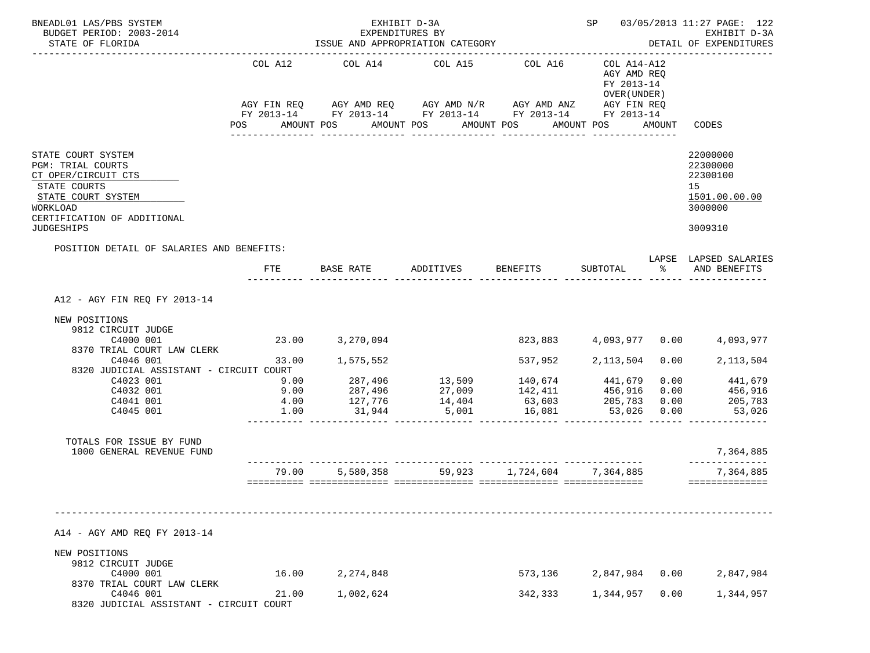| BNEADL01 LAS/PBS SYSTEM<br>BUDGET PERIOD: 2003-2014<br>STATE OF FLORIDA<br>_______________________                                                                     |                                                                                                                | EXHIBIT D-3A<br>EXPENDITURES BY<br>ISSUE AND APPROPRIATION CATEGORY |                                                                                                                       | SP 03/05/2013 11:27 PAGE: 122<br>EXHIBIT D-3A<br>DETAIL OF EXPENDITURES |                                                           |              |                                                                    |
|------------------------------------------------------------------------------------------------------------------------------------------------------------------------|----------------------------------------------------------------------------------------------------------------|---------------------------------------------------------------------|-----------------------------------------------------------------------------------------------------------------------|-------------------------------------------------------------------------|-----------------------------------------------------------|--------------|--------------------------------------------------------------------|
|                                                                                                                                                                        | COL A12                                                                                                        | COL A14 COL A15                                                     | AGY FIN REQ AGY AMD REQ AGY AMD N/R AGY AMD ANZ AGY FIN REQ<br>FY 2013-14 FY 2013-14 FY 2013-14 FY 2013-14 FY 2013-14 | COL A16                                                                 | COL A14-A12<br>AGY AMD REQ<br>FY 2013-14<br>OVER (UNDER ) |              |                                                                    |
|                                                                                                                                                                        | POS FOR THE POST OF THE STATE STATE STATE STATE STATE STATE STATE STATE STATE STATE STATE STATE STATE STATE ST | AMOUNT POS                                                          | AMOUNT POS<br>_____________________________________                                                                   | AMOUNT POS<br>________________                                          | AMOUNT POS AMOUNT                                         |              | CODES                                                              |
| STATE COURT SYSTEM<br><b>PGM: TRIAL COURTS</b><br>CT OPER/CIRCUIT CTS<br>STATE COURTS<br>STATE COURT SYSTEM<br>WORKLOAD<br>CERTIFICATION OF ADDITIONAL                 |                                                                                                                |                                                                     |                                                                                                                       |                                                                         |                                                           |              | 22000000<br>22300000<br>22300100<br>15<br>1501.00.00.00<br>3000000 |
| <b>JUDGESHIPS</b>                                                                                                                                                      |                                                                                                                |                                                                     |                                                                                                                       |                                                                         |                                                           |              | 3009310                                                            |
| POSITION DETAIL OF SALARIES AND BENEFITS:                                                                                                                              | FTE                                                                                                            | BASE RATE ADDITIVES                                                 |                                                                                                                       | <b>BENEFITS</b>                                                         |                                                           |              | LAPSE LAPSED SALARIES<br>SUBTOTAL % AND BENEFITS                   |
|                                                                                                                                                                        |                                                                                                                |                                                                     |                                                                                                                       |                                                                         |                                                           |              |                                                                    |
| A12 - AGY FIN REQ FY 2013-14                                                                                                                                           |                                                                                                                |                                                                     |                                                                                                                       |                                                                         |                                                           |              |                                                                    |
| NEW POSITIONS<br>9812 CIRCUIT JUDGE<br>C4000 001                                                                                                                       |                                                                                                                | 23.00 3,270,094                                                     |                                                                                                                       |                                                                         |                                                           |              | 823,883 4,093,977 0.00 4,093,977                                   |
| 8370 TRIAL COURT LAW CLERK<br>C4046 001                                                                                                                                |                                                                                                                | 33.00 1,575,552                                                     |                                                                                                                       | 537,952 2,113,504                                                       |                                                           |              | 0.00<br>2, 113, 504                                                |
| 8320 JUDICIAL ASSISTANT - CIRCUIT COURT                                                                                                                                |                                                                                                                |                                                                     |                                                                                                                       |                                                                         |                                                           |              |                                                                    |
| C4023 001                                                                                                                                                              | 9.00                                                                                                           |                                                                     | 287,496 13,509 140,674 441,679                                                                                        |                                                                         |                                                           |              | $0.00$ $441,679$                                                   |
| C4032 001                                                                                                                                                              | 9.00                                                                                                           |                                                                     |                                                                                                                       |                                                                         |                                                           | 0.00         | 456,916<br>205,783                                                 |
| C4041 001<br>C4045 001                                                                                                                                                 | 4.00<br>1.00                                                                                                   | 31,944                                                              | 5,001                                                                                                                 | 16,081                                                                  | 53,026                                                    | 0.00<br>0.00 | 53,026                                                             |
| TOTALS FOR ISSUE BY FUND<br>1000 GENERAL REVENUE FUND                                                                                                                  |                                                                                                                |                                                                     |                                                                                                                       |                                                                         |                                                           |              | 7,364,885                                                          |
|                                                                                                                                                                        |                                                                                                                |                                                                     | 79.00 5,580,358 59,923 1,724,604 7,364,885                                                                            |                                                                         |                                                           |              | --------------<br>7,364,885                                        |
| A14 - AGY AMD REQ FY 2013-14<br>NEW POSITIONS<br>9812 CIRCUIT JUDGE<br>C4000 001<br>8370 TRIAL COURT LAW CLERK<br>C4046 001<br>8320 JUDICIAL ASSISTANT - CIRCUIT COURT | 16.00<br>21.00                                                                                                 | 2, 274, 848<br>1,002,624                                            |                                                                                                                       | 573,136<br>342,333                                                      | 2,847,984<br>1,344,957                                    | 0.00<br>0.00 | ==============<br>2,847,984<br>1,344,957                           |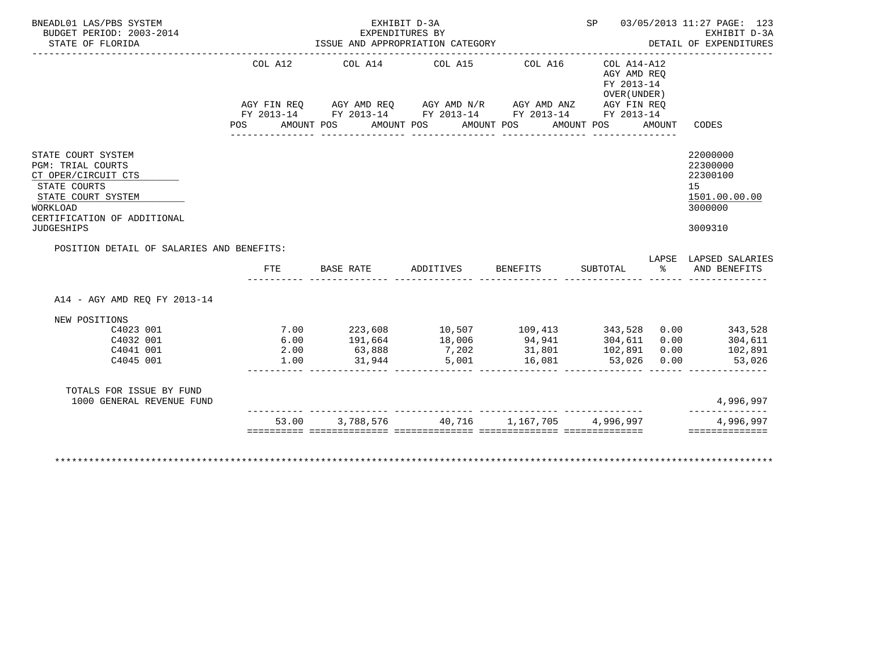| STATE OF FLORIDA                                                                                                                                                            |                | EXHIBIT D-3A<br>EXPENDITURES BY<br>ISSUE AND APPROPRIATION CATEGORY                                                                                                          |                    |                                                      |                                                                        |        | SP 03/05/2013 11:27 PAGE: 123<br>EXHIBIT D-3A<br>DETAIL OF EXPENDITURES       |
|-----------------------------------------------------------------------------------------------------------------------------------------------------------------------------|----------------|------------------------------------------------------------------------------------------------------------------------------------------------------------------------------|--------------------|------------------------------------------------------|------------------------------------------------------------------------|--------|-------------------------------------------------------------------------------|
|                                                                                                                                                                             |                |                                                                                                                                                                              |                    |                                                      |                                                                        |        |                                                                               |
|                                                                                                                                                                             | COL A12<br>POS | COL A14 COL A15<br>AGY FIN REQ AGY AMD REQ AGY AMD N/R AGY AMD ANZ AGY FIN REQ<br>FY 2013-14 FY 2013-14 FY 2013-14 FY 2013-14 FY 2013-14<br>AMOUNT POS AMOUNT POS AMOUNT POS |                    | COL A16                                              | COL A14-A12<br>AGY AMD REO<br>FY 2013-14<br>OVER (UNDER)<br>AMOUNT POS | AMOUNT | CODES                                                                         |
| STATE COURT SYSTEM<br><b>PGM: TRIAL COURTS</b><br>CT OPER/CIRCUIT CTS<br>STATE COURTS<br>STATE COURT SYSTEM<br>WORKLOAD<br>CERTIFICATION OF ADDITIONAL<br><b>JUDGESHIPS</b> |                |                                                                                                                                                                              |                    |                                                      |                                                                        |        | 22000000<br>22300000<br>22300100<br>15<br>1501.00.00.00<br>3000000<br>3009310 |
|                                                                                                                                                                             |                |                                                                                                                                                                              |                    |                                                      |                                                                        |        |                                                                               |
| POSITION DETAIL OF SALARIES AND BENEFITS:                                                                                                                                   |                |                                                                                                                                                                              |                    |                                                      |                                                                        |        | LAPSE LAPSED SALARIES                                                         |
|                                                                                                                                                                             | FTE            | <b>BASE RATE</b>                                                                                                                                                             | ADDITIVES BENEFITS |                                                      | SUBTOTAL                                                               |        | % AND BENEFITS                                                                |
| A14 - AGY AMD REO FY 2013-14                                                                                                                                                |                |                                                                                                                                                                              |                    |                                                      |                                                                        |        |                                                                               |
| NEW POSITIONS                                                                                                                                                               |                |                                                                                                                                                                              |                    |                                                      |                                                                        |        |                                                                               |
| C4023 001                                                                                                                                                                   |                | $7.00$ $223,608$ $10,507$ $109,413$ $343,528$ $0.00$ $343,528$                                                                                                               |                    |                                                      |                                                                        |        |                                                                               |
| C4032 001                                                                                                                                                                   | 6.00           |                                                                                                                                                                              |                    |                                                      |                                                                        |        | 304,611                                                                       |
| C4041 001<br>C4045 001                                                                                                                                                      | 2.00<br>1.00   | 191,664<br>63,888<br>31,944<br>5,001                                                                                                                                         |                    | 94,941 304,611 0.00<br>31,801 102,891 0.00<br>16,081 | 53,026 0.00                                                            |        | 102,891<br>53,026                                                             |
| TOTALS FOR ISSUE BY FUND<br>1000 GENERAL REVENUE FUND                                                                                                                       |                | <u> 1999-1999-1999 - 1999-1999-1999 - 1999-1999-1999 - 1999-1999-1999 -</u>                                                                                                  |                    |                                                      |                                                                        |        | 4,996,997                                                                     |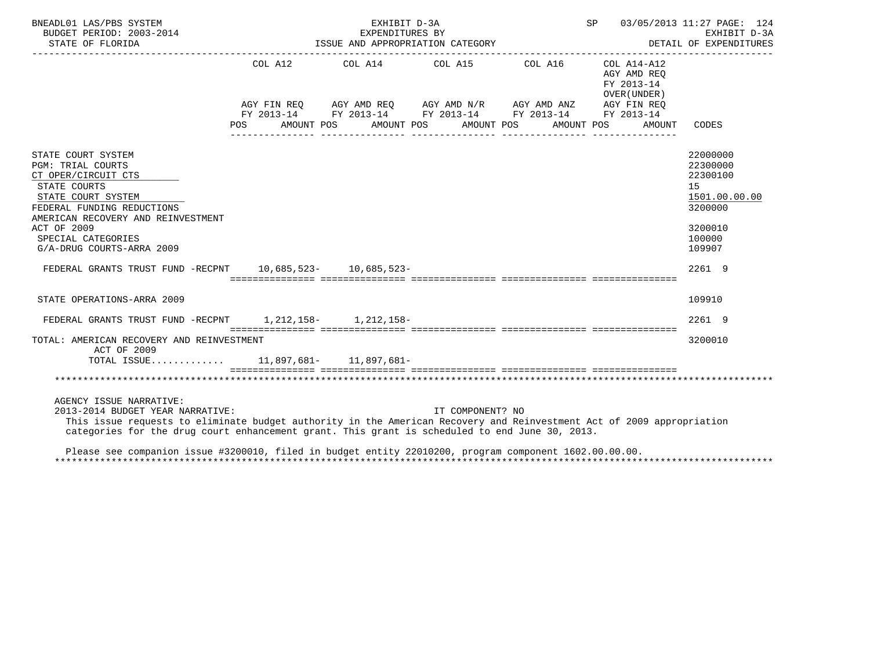|                 |                                                                                                                     |            |                                                                                                                                                                                                                                     |                                                                    | EXHIBIT D-3A<br>DETAIL OF EXPENDITURES                                                                                                                                                                                                                                                                                                                                                                                                                                                                                           |
|-----------------|---------------------------------------------------------------------------------------------------------------------|------------|-------------------------------------------------------------------------------------------------------------------------------------------------------------------------------------------------------------------------------------|--------------------------------------------------------------------|----------------------------------------------------------------------------------------------------------------------------------------------------------------------------------------------------------------------------------------------------------------------------------------------------------------------------------------------------------------------------------------------------------------------------------------------------------------------------------------------------------------------------------|
| COL A12<br>POS. |                                                                                                                     |            |                                                                                                                                                                                                                                     | AGY AMD REO<br>FY 2013-14<br>OVER (UNDER)<br>AMOUNT                | CODES                                                                                                                                                                                                                                                                                                                                                                                                                                                                                                                            |
|                 |                                                                                                                     |            |                                                                                                                                                                                                                                     |                                                                    | 22000000<br>22300000<br>22300100<br>15<br>1501.00.00.00<br>3200000<br>3200010<br>100000<br>109907<br>2261 9                                                                                                                                                                                                                                                                                                                                                                                                                      |
|                 |                                                                                                                     |            |                                                                                                                                                                                                                                     |                                                                    | 109910                                                                                                                                                                                                                                                                                                                                                                                                                                                                                                                           |
|                 |                                                                                                                     |            |                                                                                                                                                                                                                                     |                                                                    | 2261 9                                                                                                                                                                                                                                                                                                                                                                                                                                                                                                                           |
|                 |                                                                                                                     |            |                                                                                                                                                                                                                                     |                                                                    | 3200010                                                                                                                                                                                                                                                                                                                                                                                                                                                                                                                          |
|                 |                                                                                                                     |            |                                                                                                                                                                                                                                     |                                                                    |                                                                                                                                                                                                                                                                                                                                                                                                                                                                                                                                  |
|                 | AMERICAN RECOVERY AND REINVESTMENT<br>TOTAL: AMERICAN RECOVERY AND REINVESTMENT<br>2013-2014 BUDGET YEAR NARRATIVE: | AMOUNT POS | EXHIBIT D-3A<br>EXPENDITURES BY<br>COL A14 COL A15<br>AMOUNT POS<br>FEDERAL GRANTS TRUST FUND -RECPNT 10,685,523- 10,685,523-<br>FEDERAL GRANTS TRUST FUND -RECPNT 1, 212, 158- 1, 212, 158-<br>TOTAL ISSUE 11,897,681- 11,897,681- | ISSUE AND APPROPRIATION CATEGORY<br>AMOUNT POS<br>IT COMPONENT? NO | SP 03/05/2013 11:27 PAGE: 124<br>COL A16 COL A14-A12<br>AGY FIN REQ AGY AMD REQ AGY AMD N/R AGY AMD ANZ AGY FIN REQ<br>FY 2013-14 FY 2013-14 FY 2013-14 FY 2013-14 FY 2013-14<br>AMOUNT POS<br>This issue requests to eliminate budget authority in the American Recovery and Reinvestment Act of 2009 appropriation<br>categories for the drug court enhancement grant. This grant is scheduled to end June 30, 2013.<br>Please see companion issue #3200010, filed in budget entity 22010200, program component 1602.00.00.00. |

\*\*\*\*\*\*\*\*\*\*\*\*\*\*\*\*\*\*\*\*\*\*\*\*\*\*\*\*\*\*\*\*\*\*\*\*\*\*\*\*\*\*\*\*\*\*\*\*\*\*\*\*\*\*\*\*\*\*\*\*\*\*\*\*\*\*\*\*\*\*\*\*\*\*\*\*\*\*\*\*\*\*\*\*\*\*\*\*\*\*\*\*\*\*\*\*\*\*\*\*\*\*\*\*\*\*\*\*\*\*\*\*\*\*\*\*\*\*\*\*\*\*\*\*\*\*\*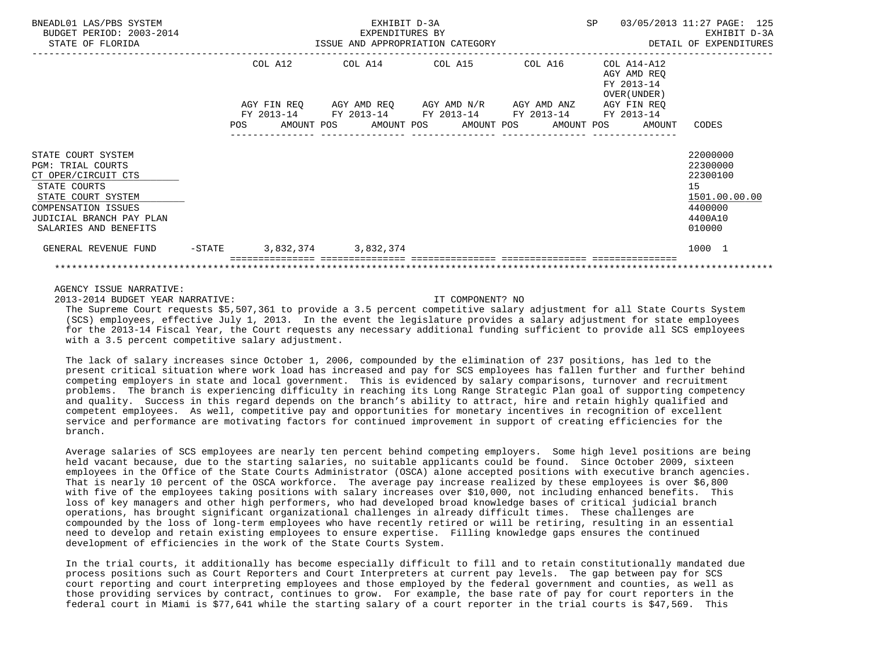| BNEADL01 LAS/PBS SYSTEM<br>BUDGET PERIOD: 2003-2014<br>STATE OF FLORIDA                                                                                                                 | <b>SP</b><br>EXHIBIT D-3A<br>EXPENDITURES BY<br>ISSUE AND APPROPRIATION CATEGORY |         |  |                              |  |                                                                                                                                                           |  |  |  |                                                                         | 03/05/2013 11:27 PAGE: 125<br>EXHIBIT D-3A<br>DETAIL OF EXPENDITURES                    |  |
|-----------------------------------------------------------------------------------------------------------------------------------------------------------------------------------------|----------------------------------------------------------------------------------|---------|--|------------------------------|--|-----------------------------------------------------------------------------------------------------------------------------------------------------------|--|--|--|-------------------------------------------------------------------------|-----------------------------------------------------------------------------------------|--|
|                                                                                                                                                                                         |                                                                                  | COL A12 |  |                              |  | COL A14 COL A15 COL A16<br>AGY FIN REQ      AGY AMD REQ      AGY AMD N/R      AGY AMD ANZ                                                                 |  |  |  | COL A14-A12<br>AGY AMD REO<br>FY 2013-14<br>OVER (UNDER)<br>AGY FIN REO |                                                                                         |  |
|                                                                                                                                                                                         |                                                                                  |         |  |                              |  | FY 2013-14 FY 2013-14 FY 2013-14 FY 2013-14 FY 2013-14<br>POS AMOUNT POS AMOUNT POS AMOUNT POS AMOUNT POS AMOUNT<br>_____________________________________ |  |  |  |                                                                         | CODES                                                                                   |  |
| STATE COURT SYSTEM<br><b>PGM: TRIAL COURTS</b><br>CT OPER/CIRCUIT CTS<br>STATE COURTS<br>STATE COURT SYSTEM<br>COMPENSATION ISSUES<br>JUDICIAL BRANCH PAY PLAN<br>SALARIES AND BENEFITS |                                                                                  |         |  |                              |  |                                                                                                                                                           |  |  |  |                                                                         | 22000000<br>22300000<br>22300100<br>15<br>1501.00.00.00<br>4400000<br>4400A10<br>010000 |  |
| GENERAL REVENUE FUND                                                                                                                                                                    |                                                                                  |         |  | $-STATE$ 3,832,374 3,832,374 |  |                                                                                                                                                           |  |  |  |                                                                         | 1000 1                                                                                  |  |
|                                                                                                                                                                                         |                                                                                  |         |  |                              |  |                                                                                                                                                           |  |  |  |                                                                         |                                                                                         |  |

2013-2014 BUDGET YEAR NARRATIVE: IT COMPONENT? NO

 The Supreme Court requests \$5,507,361 to provide a 3.5 percent competitive salary adjustment for all State Courts System (SCS) employees, effective July 1, 2013. In the event the legislature provides a salary adjustment for state employees for the 2013-14 Fiscal Year, the Court requests any necessary additional funding sufficient to provide all SCS employees with a 3.5 percent competitive salary adjustment.

 The lack of salary increases since October 1, 2006, compounded by the elimination of 237 positions, has led to the present critical situation where work load has increased and pay for SCS employees has fallen further and further behind competing employers in state and local government. This is evidenced by salary comparisons, turnover and recruitment problems. The branch is experiencing difficulty in reaching its Long Range Strategic Plan goal of supporting competency and quality. Success in this regard depends on the branch's ability to attract, hire and retain highly qualified and competent employees. As well, competitive pay and opportunities for monetary incentives in recognition of excellent service and performance are motivating factors for continued improvement in support of creating efficiencies for the branch.

 Average salaries of SCS employees are nearly ten percent behind competing employers. Some high level positions are being held vacant because, due to the starting salaries, no suitable applicants could be found. Since October 2009, sixteen employees in the Office of the State Courts Administrator (OSCA) alone accepted positions with executive branch agencies. That is nearly 10 percent of the OSCA workforce. The average pay increase realized by these employees is over \$6,800 with five of the employees taking positions with salary increases over \$10,000, not including enhanced benefits. This loss of key managers and other high performers, who had developed broad knowledge bases of critical judicial branch operations, has brought significant organizational challenges in already difficult times. These challenges are compounded by the loss of long-term employees who have recently retired or will be retiring, resulting in an essential need to develop and retain existing employees to ensure expertise. Filling knowledge gaps ensures the continued development of efficiencies in the work of the State Courts System.

 In the trial courts, it additionally has become especially difficult to fill and to retain constitutionally mandated due process positions such as Court Reporters and Court Interpreters at current pay levels. The gap between pay for SCS court reporting and court interpreting employees and those employed by the federal government and counties, as well as those providing services by contract, continues to grow. For example, the base rate of pay for court reporters in the federal court in Miami is \$77,641 while the starting salary of a court reporter in the trial courts is \$47,569. This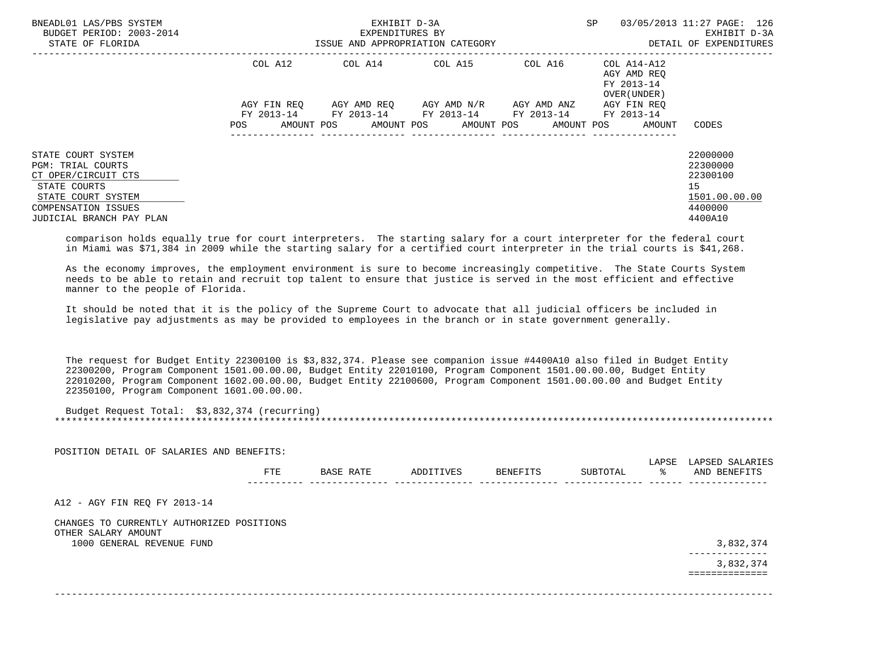| BNEADL01 LAS/PBS SYSTEM<br>BUDGET PERIOD: 2003-2014<br>STATE OF FLORIDA                                                                                        |                    | EXHIBIT D-3A<br>EXPENDITURES BY<br>ISSUE AND APPROPRIATION CATEGORY | SP                                                                                                                                | 03/05/2013 11:27 PAGE: 126<br>EXHIBIT D-3A<br>DETAIL OF EXPENDITURES |                                                          |                                                                               |
|----------------------------------------------------------------------------------------------------------------------------------------------------------------|--------------------|---------------------------------------------------------------------|-----------------------------------------------------------------------------------------------------------------------------------|----------------------------------------------------------------------|----------------------------------------------------------|-------------------------------------------------------------------------------|
|                                                                                                                                                                | COL A12            |                                                                     | COL A14 COL A15                                                                                                                   | COL A16                                                              | COL A14-A12<br>AGY AMD REO<br>FY 2013-14<br>OVER (UNDER) |                                                                               |
|                                                                                                                                                                | AGY FIN REO<br>POS |                                                                     | AGY AMD REO AGY AMD N/R AGY AMD ANZ<br>FY 2013-14 FY 2013-14 FY 2013-14 FY 2013-14 FY 2013-14<br>AMOUNT POS AMOUNT POS AMOUNT POS | ---------------                                                      | AGY FIN REQ<br>AMOUNT POS<br>AMOUNT                      | CODES                                                                         |
| STATE COURT SYSTEM<br><b>PGM: TRIAL COURTS</b><br>CT OPER/CIRCUIT CTS<br>STATE COURTS<br>STATE COURT SYSTEM<br>COMPENSATION ISSUES<br>JUDICIAL BRANCH PAY PLAN |                    |                                                                     |                                                                                                                                   |                                                                      |                                                          | 22000000<br>22300000<br>22300100<br>15<br>1501.00.00.00<br>4400000<br>4400A10 |

 comparison holds equally true for court interpreters. The starting salary for a court interpreter for the federal court in Miami was \$71,384 in 2009 while the starting salary for a certified court interpreter in the trial courts is \$41,268.

 As the economy improves, the employment environment is sure to become increasingly competitive. The State Courts System needs to be able to retain and recruit top talent to ensure that justice is served in the most efficient and effective manner to the people of Florida.

 It should be noted that it is the policy of the Supreme Court to advocate that all judicial officers be included in legislative pay adjustments as may be provided to employees in the branch or in state government generally.

 The request for Budget Entity 22300100 is \$3,832,374. Please see companion issue #4400A10 also filed in Budget Entity 22300200, Program Component 1501.00.00.00, Budget Entity 22010100, Program Component 1501.00.00.00, Budget Entity 22010200, Program Component 1602.00.00.00, Budget Entity 22100600, Program Component 1501.00.00.00 and Budget Entity 22350100, Program Component 1601.00.00.00.

 Budget Request Total: \$3,832,374 (recurring) \*\*\*\*\*\*\*\*\*\*\*\*\*\*\*\*\*\*\*\*\*\*\*\*\*\*\*\*\*\*\*\*\*\*\*\*\*\*\*\*\*\*\*\*\*\*\*\*\*\*\*\*\*\*\*\*\*\*\*\*\*\*\*\*\*\*\*\*\*\*\*\*\*\*\*\*\*\*\*\*\*\*\*\*\*\*\*\*\*\*\*\*\*\*\*\*\*\*\*\*\*\*\*\*\*\*\*\*\*\*\*\*\*\*\*\*\*\*\*\*\*\*\*\*\*\*\*

| POSITION DETAIL OF SALARIES AND BENEFITS:                        |     |           |           |          |          | LAPSE | LAPSED SALARIES           |
|------------------------------------------------------------------|-----|-----------|-----------|----------|----------|-------|---------------------------|
|                                                                  | FTE | BASE RATE | ADDITIVES | BENEFITS | SUBTOTAL | °≈    | AND BENEFITS              |
| A12 - AGY FIN REQ FY 2013-14                                     |     |           |           |          |          |       |                           |
| CHANGES TO CURRENTLY AUTHORIZED POSITIONS<br>OTHER SALARY AMOUNT |     |           |           |          |          |       |                           |
|                                                                  |     |           |           |          |          |       |                           |
| 1000 GENERAL REVENUE FUND                                        |     |           |           |          |          |       | 3,832,374<br>------------ |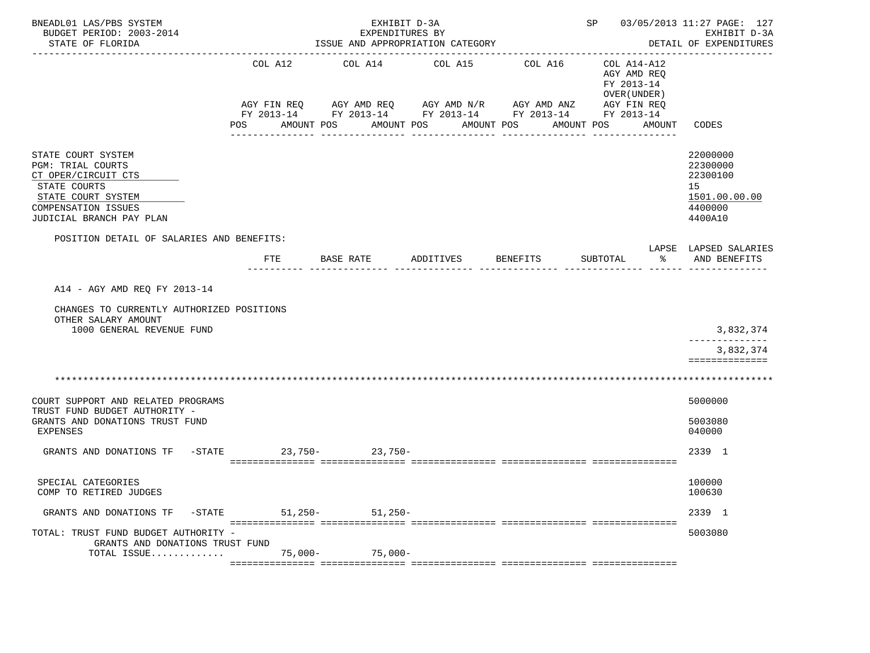| BNEADL01 LAS/PBS SYSTEM<br>BUDGET PERIOD: 2003-2014<br>STATE OF FLORIDA               |           | EXHIBIT D-3A<br>EXPENDITURES BY<br>ISSUE AND APPROPRIATION CATEGORY<br>---------------- |                                                                                                                             | SP 03/05/2013 11:27 PAGE: 127 | EXHIBIT D-3A<br>DETAIL OF EXPENDITURES                                  |                                        |
|---------------------------------------------------------------------------------------|-----------|-----------------------------------------------------------------------------------------|-----------------------------------------------------------------------------------------------------------------------------|-------------------------------|-------------------------------------------------------------------------|----------------------------------------|
|                                                                                       | COL A12   | COL A14                                                                                 | COL A15<br>AGY FIN REQ 6 AGY AMD REQ 6 AGY AMD N/R 66 AGY AMD ANZ<br>FY 2013-14 FY 2013-14 FY 2013-14 FY 2013-14 FY 2013-14 | COL A16                       | COL A14-A12<br>AGY AMD REQ<br>FY 2013-14<br>OVER (UNDER)<br>AGY FIN REQ |                                        |
|                                                                                       | POS       | AMOUNT POS                                                                              | AMOUNT POS<br>-----------                                                                                                   | AMOUNT POS<br>----------      | AMOUNT POS<br>AMOUNT                                                    | CODES                                  |
| STATE COURT SYSTEM<br><b>PGM: TRIAL COURTS</b><br>CT OPER/CIRCUIT CTS<br>STATE COURTS |           |                                                                                         |                                                                                                                             |                               |                                                                         | 22000000<br>22300000<br>22300100<br>15 |
| STATE COURT SYSTEM<br>COMPENSATION ISSUES                                             |           |                                                                                         |                                                                                                                             |                               |                                                                         | 1501.00.00.00<br>4400000               |
| JUDICIAL BRANCH PAY PLAN                                                              |           |                                                                                         |                                                                                                                             |                               |                                                                         | 4400A10                                |
| POSITION DETAIL OF SALARIES AND BENEFITS:                                             | FTE       | BASE RATE                                                                               | ADDITIVES                                                                                                                   | BENEFITS                      | SUBTOTAL<br>ႜႂ                                                          | LAPSE LAPSED SALARIES<br>AND BENEFITS  |
|                                                                                       |           |                                                                                         |                                                                                                                             |                               |                                                                         |                                        |
| A14 - AGY AMD REQ FY 2013-14                                                          |           |                                                                                         |                                                                                                                             |                               |                                                                         |                                        |
| CHANGES TO CURRENTLY AUTHORIZED POSITIONS<br>OTHER SALARY AMOUNT                      |           |                                                                                         |                                                                                                                             |                               |                                                                         |                                        |
| 1000 GENERAL REVENUE FUND                                                             |           |                                                                                         |                                                                                                                             |                               |                                                                         | 3,832,374                              |
|                                                                                       |           |                                                                                         |                                                                                                                             |                               |                                                                         | 3,832,374<br>==============            |
|                                                                                       |           |                                                                                         |                                                                                                                             |                               |                                                                         |                                        |
| COURT SUPPORT AND RELATED PROGRAMS                                                    |           |                                                                                         |                                                                                                                             |                               |                                                                         | 5000000                                |
| TRUST FUND BUDGET AUTHORITY -<br>GRANTS AND DONATIONS TRUST FUND<br>EXPENSES          |           |                                                                                         |                                                                                                                             |                               |                                                                         | 5003080<br>040000                      |
| $ STATE$<br>GRANTS AND DONATIONS TF                                                   |           | $23,750-23,750-$                                                                        |                                                                                                                             |                               |                                                                         | 2339 1                                 |
| SPECIAL CATEGORIES<br>COMP TO RETIRED JUDGES                                          |           |                                                                                         |                                                                                                                             |                               |                                                                         | 100000<br>100630                       |
| GRANTS AND DONATIONS TF<br>$-$ STATE                                                  | $51,250-$ | $51,250-$                                                                               |                                                                                                                             |                               |                                                                         | 2339 1                                 |
| TOTAL: TRUST FUND BUDGET AUTHORITY -<br>GRANTS AND DONATIONS TRUST FUND               |           |                                                                                         |                                                                                                                             |                               |                                                                         | 5003080                                |
| TOTAL ISSUE                                                                           | $75,000-$ | $75,000-$                                                                               |                                                                                                                             |                               |                                                                         |                                        |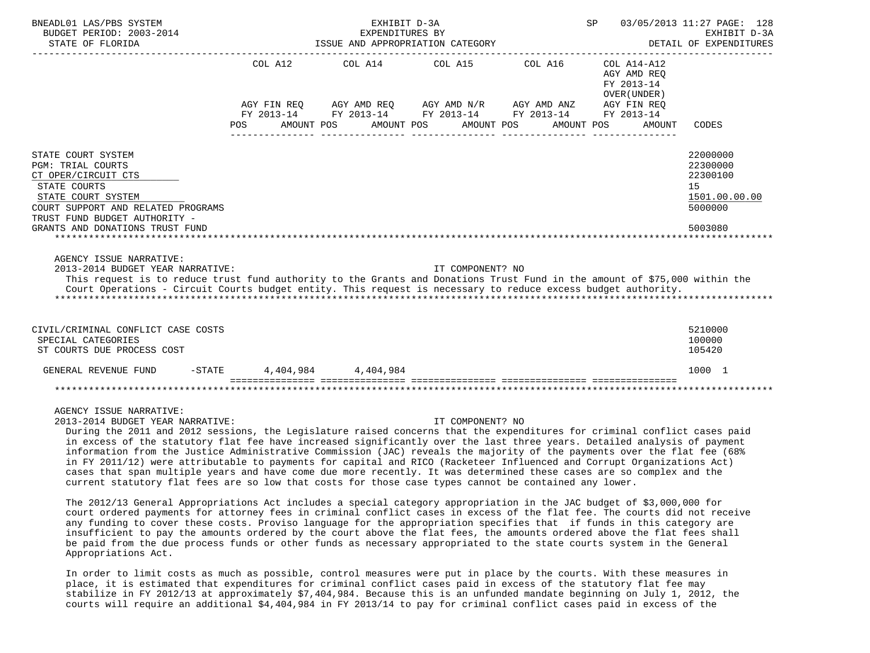| BNEADL01 LAS/PBS SYSTEM<br>BUDGET PERIOD: 2003-2014<br>STATE OF FLORIDA                                                                                                                                                                                                                                    | SP 03/05/2013 11:27 PAGE: 128<br>EXHIBIT D-3A<br>EXPENDITURES BY<br>ISSUE AND APPROPRIATION CATEGORY<br>DETAIL OF EXPENDITURES |  |                                                                                                                                                  |            |                                                          |                                                                               |  |  |  |  |
|------------------------------------------------------------------------------------------------------------------------------------------------------------------------------------------------------------------------------------------------------------------------------------------------------------|--------------------------------------------------------------------------------------------------------------------------------|--|--------------------------------------------------------------------------------------------------------------------------------------------------|------------|----------------------------------------------------------|-------------------------------------------------------------------------------|--|--|--|--|
|                                                                                                                                                                                                                                                                                                            | COL A12                                                                                                                        |  | COL A14 COL A15 COL A16<br>AGY FIN REQ AGY AMD REQ AGY AMD N/R AGY AMD ANZ AGY FIN REQ<br>FY 2013-14 FY 2013-14 FY 2013-14 FY 2013-14 FY 2013-14 |            | COL A14-A12<br>AGY AMD REO<br>FY 2013-14<br>OVER (UNDER) |                                                                               |  |  |  |  |
|                                                                                                                                                                                                                                                                                                            | <b>POS</b>                                                                                                                     |  | AMOUNT POS AMOUNT POS AMOUNT POS                                                                                                                 | AMOUNT POS | AMOUNT                                                   | CODES                                                                         |  |  |  |  |
| STATE COURT SYSTEM<br><b>PGM: TRIAL COURTS</b><br>CT OPER/CIRCUIT CTS<br>STATE COURTS<br>STATE COURT SYSTEM<br>COURT SUPPORT AND RELATED PROGRAMS<br>TRUST FUND BUDGET AUTHORITY -<br>GRANTS AND DONATIONS TRUST FUND                                                                                      |                                                                                                                                |  |                                                                                                                                                  |            |                                                          | 22000000<br>22300000<br>22300100<br>15<br>1501.00.00.00<br>5000000<br>5003080 |  |  |  |  |
| AGENCY ISSUE NARRATIVE:<br>2013-2014 BUDGET YEAR NARRATIVE:<br>This request is to reduce trust fund authority to the Grants and Donations Trust Fund in the amount of \$75,000 within the<br>Court Operations - Circuit Courts budget entity. This request is necessary to reduce excess budget authority. |                                                                                                                                |  | IT COMPONENT? NO                                                                                                                                 |            |                                                          |                                                                               |  |  |  |  |
| CIVIL/CRIMINAL CONFLICT CASE COSTS<br>SPECIAL CATEGORIES<br>ST COURTS DUE PROCESS COST                                                                                                                                                                                                                     |                                                                                                                                |  |                                                                                                                                                  |            |                                                          | 5210000<br>100000<br>105420                                                   |  |  |  |  |
| GENERAL REVENUE FUND                                                                                                                                                                                                                                                                                       | $-$ STATE 4,404,984 4,404,984                                                                                                  |  |                                                                                                                                                  |            |                                                          | 1000 1                                                                        |  |  |  |  |
|                                                                                                                                                                                                                                                                                                            |                                                                                                                                |  |                                                                                                                                                  |            |                                                          |                                                                               |  |  |  |  |
| AGENCY ISSUE NARRATIVE:                                                                                                                                                                                                                                                                                    |                                                                                                                                |  |                                                                                                                                                  |            |                                                          |                                                                               |  |  |  |  |

2013-2014 BUDGET YEAR NARRATIVE: IT COMPONENT? NO

 During the 2011 and 2012 sessions, the Legislature raised concerns that the expenditures for criminal conflict cases paid in excess of the statutory flat fee have increased significantly over the last three years. Detailed analysis of payment information from the Justice Administrative Commission (JAC) reveals the majority of the payments over the flat fee (68% in FY 2011/12) were attributable to payments for capital and RICO (Racketeer Influenced and Corrupt Organizations Act) cases that span multiple years and have come due more recently. It was determined these cases are so complex and the current statutory flat fees are so low that costs for those case types cannot be contained any lower.

 The 2012/13 General Appropriations Act includes a special category appropriation in the JAC budget of \$3,000,000 for court ordered payments for attorney fees in criminal conflict cases in excess of the flat fee. The courts did not receive any funding to cover these costs. Proviso language for the appropriation specifies that if funds in this category are insufficient to pay the amounts ordered by the court above the flat fees, the amounts ordered above the flat fees shall be paid from the due process funds or other funds as necessary appropriated to the state courts system in the General Appropriations Act.

 In order to limit costs as much as possible, control measures were put in place by the courts. With these measures in place, it is estimated that expenditures for criminal conflict cases paid in excess of the statutory flat fee may stabilize in FY 2012/13 at approximately \$7,404,984. Because this is an unfunded mandate beginning on July 1, 2012, the courts will require an additional \$4,404,984 in FY 2013/14 to pay for criminal conflict cases paid in excess of the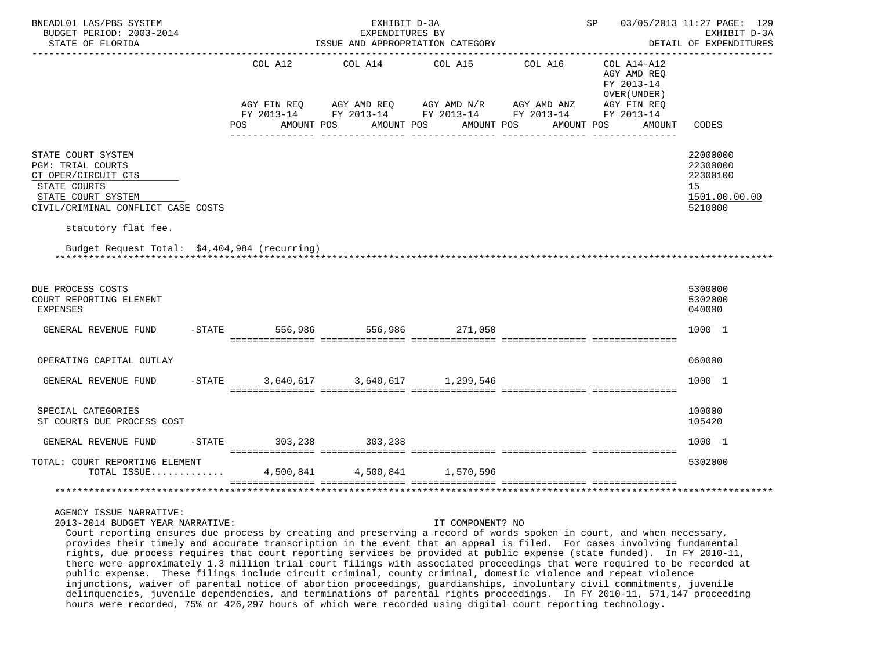| BNEADL01 LAS/PBS SYSTEM<br>BUDGET PERIOD: 2003-2014<br>STATE OF FLORIDA                                                                                                  | SP 03/05/2013 11:27 PAGE: 129<br>EXHIBIT D-3A<br>EXPENDITURES BY<br>ISSUE AND APPROPRIATION CATEGORY |                       |             |            |  |                                                                                                                                        |  |            |                                                           |        | EXHIBIT D-3A<br>DETAIL OF EXPENDITURES<br>_____________            |
|--------------------------------------------------------------------------------------------------------------------------------------------------------------------------|------------------------------------------------------------------------------------------------------|-----------------------|-------------|------------|--|----------------------------------------------------------------------------------------------------------------------------------------|--|------------|-----------------------------------------------------------|--------|--------------------------------------------------------------------|
|                                                                                                                                                                          | AGY FIN REQ<br><b>POS</b>                                                                            | COL A12<br>AMOUNT POS | AGY AMD REQ | AMOUNT POS |  | COL A14 COL A15 COL A16<br>AGY AMD N/R AGY AMD ANZ AGY FIN REQ<br>FY 2013-14 FY 2013-14 FY 2013-14 FY 2013-14 FY 2013-14<br>AMOUNT POS |  | AMOUNT POS | COL A14-A12<br>AGY AMD REQ<br>FY 2013-14<br>OVER (UNDER ) | AMOUNT | CODES                                                              |
| STATE COURT SYSTEM<br><b>PGM: TRIAL COURTS</b><br>CT OPER/CIRCUIT CTS<br>STATE COURTS<br>STATE COURT SYSTEM<br>CIVIL/CRIMINAL CONFLICT CASE COSTS<br>statutory flat fee. |                                                                                                      |                       |             |            |  |                                                                                                                                        |  |            |                                                           |        | 22000000<br>22300000<br>22300100<br>15<br>1501.00.00.00<br>5210000 |
| Budget Request Total: \$4,404,984 (recurring)                                                                                                                            |                                                                                                      |                       |             |            |  |                                                                                                                                        |  |            |                                                           |        |                                                                    |
| DUE PROCESS COSTS<br>COURT REPORTING ELEMENT<br><b>EXPENSES</b>                                                                                                          |                                                                                                      |                       |             |            |  |                                                                                                                                        |  |            |                                                           |        | 5300000<br>5302000<br>040000                                       |
| GENERAL REVENUE FUND                                                                                                                                                     |                                                                                                      |                       |             |            |  | $-$ STATE 556,986 556,986 271,050                                                                                                      |  |            |                                                           |        | 1000 1                                                             |
| OPERATING CAPITAL OUTLAY                                                                                                                                                 |                                                                                                      |                       |             |            |  |                                                                                                                                        |  |            |                                                           |        | 060000                                                             |
| GENERAL REVENUE FUND                                                                                                                                                     | $-$ STATE                                                                                            |                       |             |            |  | 3,640,617 3,640,617 1,299,546                                                                                                          |  |            |                                                           |        | 1000 1                                                             |
| SPECIAL CATEGORIES<br>ST COURTS DUE PROCESS COST                                                                                                                         |                                                                                                      |                       |             |            |  |                                                                                                                                        |  |            |                                                           |        | 100000<br>105420                                                   |
| GENERAL REVENUE FUND                                                                                                                                                     | -STATE 303,238 303,238                                                                               |                       |             |            |  |                                                                                                                                        |  |            |                                                           |        | 1000 1                                                             |
| TOTAL: COURT REPORTING ELEMENT<br>TOTAL ISSUE 4,500,841 4,500,841 1,570,596                                                                                              |                                                                                                      |                       |             |            |  |                                                                                                                                        |  |            |                                                           |        | 5302000                                                            |
|                                                                                                                                                                          |                                                                                                      |                       |             |            |  |                                                                                                                                        |  |            |                                                           |        |                                                                    |

2013-2014 BUDGET YEAR NARRATIVE: IT COMPONENT? NO

 Court reporting ensures due process by creating and preserving a record of words spoken in court, and when necessary, provides their timely and accurate transcription in the event that an appeal is filed. For cases involving fundamental rights, due process requires that court reporting services be provided at public expense (state funded). In FY 2010-11, there were approximately 1.3 million trial court filings with associated proceedings that were required to be recorded at public expense. These filings include circuit criminal, county criminal, domestic violence and repeat violence injunctions, waiver of parental notice of abortion proceedings, guardianships, involuntary civil commitments, juvenile delinquencies, juvenile dependencies, and terminations of parental rights proceedings. In FY 2010-11, 571,147 proceeding hours were recorded, 75% or 426,297 hours of which were recorded using digital court reporting technology.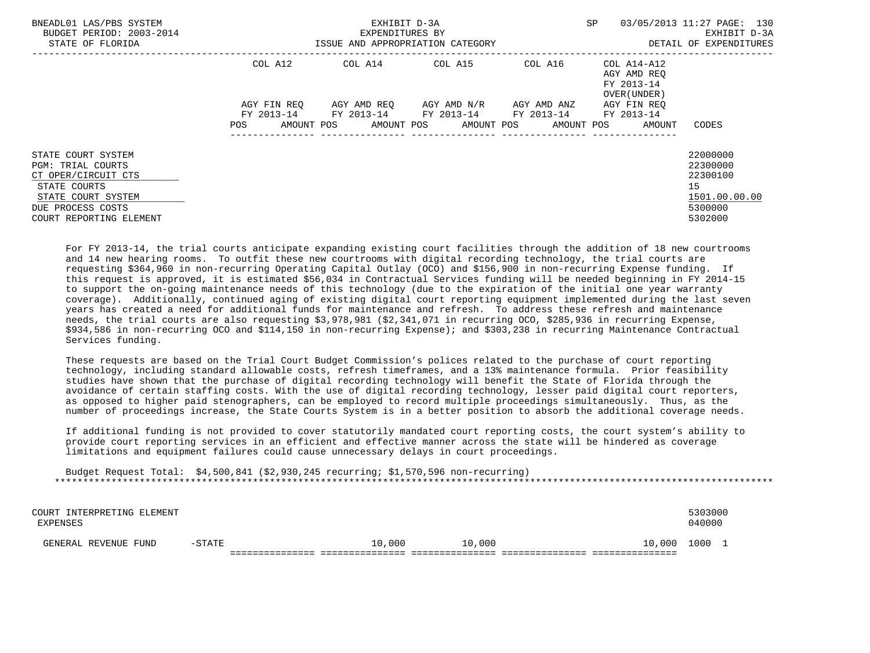| BNEADL01 LAS/PBS SYSTEM<br>BUDGET PERIOD: 2003-2014<br>STATE OF FLORIDA                                                                                     | ISSUE AND APPROPRIATION CATEGORY | <b>SP</b>                                                                                                                                   | 03/05/2013 11:27 PAGE: 130<br>EXHIBIT D-3A<br>DETAIL OF EXPENDITURES |                                            |                                                                               |
|-------------------------------------------------------------------------------------------------------------------------------------------------------------|----------------------------------|---------------------------------------------------------------------------------------------------------------------------------------------|----------------------------------------------------------------------|--------------------------------------------|-------------------------------------------------------------------------------|
|                                                                                                                                                             | COL A12                          |                                                                                                                                             |                                                                      | AGY AMD REO<br>FY 2013-14<br>OVER (UNDER ) |                                                                               |
|                                                                                                                                                             | AGY FIN REO<br>POS               | AGY AMD REO      AGY AMD N/R      AGY AMD ANZ<br>FY 2013-14 FY 2013-14 FY 2013-14 FY 2013-14 FY 2013-14<br>AMOUNT POS AMOUNT POS AMOUNT POS |                                                                      | AGY FIN REO<br>AMOUNT POS<br>AMOUNT        | CODES                                                                         |
| STATE COURT SYSTEM<br><b>PGM: TRIAL COURTS</b><br>CT OPER/CIRCUIT CTS<br>STATE COURTS<br>STATE COURT SYSTEM<br>DUE PROCESS COSTS<br>COURT REPORTING ELEMENT |                                  |                                                                                                                                             |                                                                      |                                            | 22000000<br>22300000<br>22300100<br>15<br>1501.00.00.00<br>5300000<br>5302000 |

 For FY 2013-14, the trial courts anticipate expanding existing court facilities through the addition of 18 new courtrooms and 14 new hearing rooms. To outfit these new courtrooms with digital recording technology, the trial courts are requesting \$364,960 in non-recurring Operating Capital Outlay (OCO) and \$156,900 in non-recurring Expense funding. If this request is approved, it is estimated \$56,034 in Contractual Services funding will be needed beginning in FY 2014-15 to support the on-going maintenance needs of this technology (due to the expiration of the initial one year warranty coverage). Additionally, continued aging of existing digital court reporting equipment implemented during the last seven years has created a need for additional funds for maintenance and refresh. To address these refresh and maintenance needs, the trial courts are also requesting \$3,978,981 (\$2,341,071 in recurring OCO, \$285,936 in recurring Expense, \$934,586 in non-recurring OCO and \$114,150 in non-recurring Expense); and \$303,238 in recurring Maintenance Contractual Services funding.

 These requests are based on the Trial Court Budget Commission's polices related to the purchase of court reporting technology, including standard allowable costs, refresh timeframes, and a 13% maintenance formula. Prior feasibility studies have shown that the purchase of digital recording technology will benefit the State of Florida through the avoidance of certain staffing costs. With the use of digital recording technology, lesser paid digital court reporters, as opposed to higher paid stenographers, can be employed to record multiple proceedings simultaneously. Thus, as the number of proceedings increase, the State Courts System is in a better position to absorb the additional coverage needs.

 If additional funding is not provided to cover statutorily mandated court reporting costs, the court system's ability to provide court reporting services in an efficient and effective manner across the state will be hindered as coverage limitations and equipment failures could cause unnecessary delays in court proceedings.

 Budget Request Total: \$4,500,841 (\$2,930,245 recurring; \$1,570,596 non-recurring) \*\*\*\*\*\*\*\*\*\*\*\*\*\*\*\*\*\*\*\*\*\*\*\*\*\*\*\*\*\*\*\*\*\*\*\*\*\*\*\*\*\*\*\*\*\*\*\*\*\*\*\*\*\*\*\*\*\*\*\*\*\*\*\*\*\*\*\*\*\*\*\*\*\*\*\*\*\*\*\*\*\*\*\*\*\*\*\*\*\*\*\*\*\*\*\*\*\*\*\*\*\*\*\*\*\*\*\*\*\*\*\*\*\*\*\*\*\*\*\*\*\*\*\*\*\*\*

| COURT INTERPRETING ELEMENT<br>EXPENSES |           |        |        |        | 5303000<br>040000 |  |
|----------------------------------------|-----------|--------|--------|--------|-------------------|--|
| GENERAL REVENUE FUND                   | $-$ STATE | 10,000 | 10,000 | 10,000 | 1000 1            |  |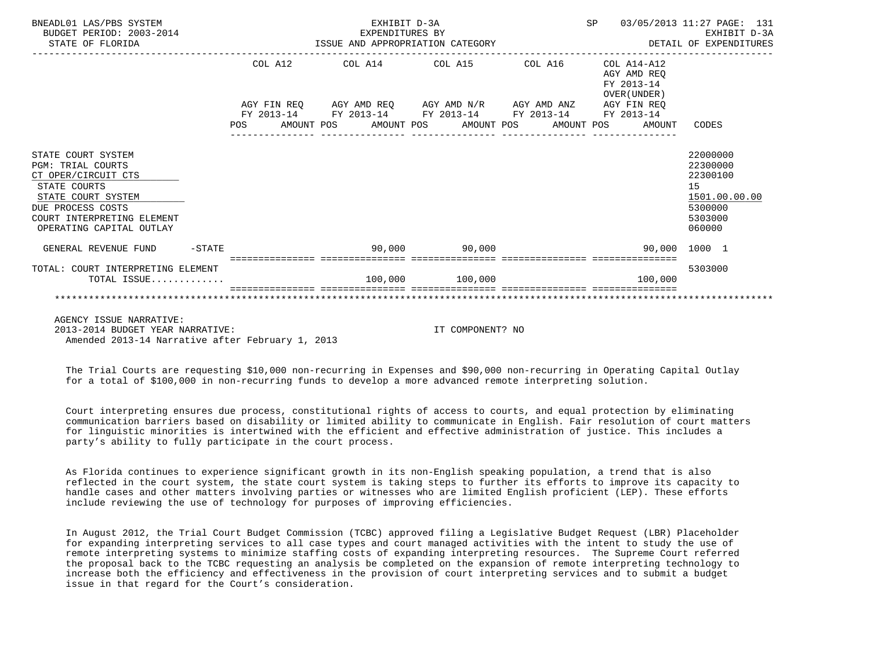| BNEADL01 LAS/PBS SYSTEM<br>BUDGET PERIOD: 2003-2014<br>STATE OF FLORIDA |  |  | EXHIBIT D-3A<br>EXPENDITURES BY<br>EXPENDITURES BY<br>ISSUE AND APPROPRIATION CATEGORY |                  |  | SP 03/05/2013 11:27 PAGE: 131                               |                   | EXHIBIT D-3A<br>DETAIL OF EXPENDITURES |
|-------------------------------------------------------------------------|--|--|----------------------------------------------------------------------------------------|------------------|--|-------------------------------------------------------------|-------------------|----------------------------------------|
|                                                                         |  |  | COL A12 COL A14 COL A15 COL A16                                                        |                  |  | $COL A14- A12$<br>AGY AMD REO<br>FY 2013-14<br>OVER (UNDER) |                   |                                        |
|                                                                         |  |  | AGY FIN REQ AGY AMD REQ AGY AMD N/R AGY AMD ANZ AGY FIN REQ                            |                  |  |                                                             |                   |                                        |
|                                                                         |  |  | FY 2013-14 FY 2013-14 FY 2013-14 FY 2013-14 FY 2013-14                                 |                  |  |                                                             |                   |                                        |
|                                                                         |  |  |                                                                                        |                  |  | POS AMOUNT POS AMOUNT POS AMOUNT POS AMOUNT POS AMOUNT      | CODES             |                                        |
|                                                                         |  |  |                                                                                        |                  |  |                                                             |                   |                                        |
| STATE COURT SYSTEM                                                      |  |  |                                                                                        |                  |  |                                                             | 22000000          |                                        |
| <b>PGM: TRIAL COURTS</b>                                                |  |  |                                                                                        |                  |  |                                                             | 22300000          |                                        |
| CT OPER/CIRCUIT CTS                                                     |  |  |                                                                                        |                  |  |                                                             | 22300100          |                                        |
| STATE COURTS                                                            |  |  |                                                                                        |                  |  |                                                             | 15                |                                        |
| STATE COURT SYSTEM                                                      |  |  |                                                                                        |                  |  |                                                             | 1501.00.00.00     |                                        |
| DUE PROCESS COSTS                                                       |  |  |                                                                                        |                  |  |                                                             | 5300000           |                                        |
| COURT INTERPRETING ELEMENT<br>OPERATING CAPITAL OUTLAY                  |  |  |                                                                                        |                  |  |                                                             | 5303000<br>060000 |                                        |
|                                                                         |  |  |                                                                                        |                  |  |                                                             |                   |                                        |
| GENERAL REVENUE FUND -STATE                                             |  |  | $90,000$ 90,000                                                                        |                  |  | 90,000 1000 1                                               |                   |                                        |
| TOTAL: COURT INTERPRETING ELEMENT                                       |  |  |                                                                                        |                  |  |                                                             | 5303000           |                                        |
| TOTAL ISSUE                                                             |  |  | 100,000 100,000                                                                        |                  |  | 100,000                                                     |                   |                                        |
|                                                                         |  |  |                                                                                        |                  |  |                                                             |                   |                                        |
|                                                                         |  |  |                                                                                        |                  |  |                                                             |                   |                                        |
| AGENCY ISSUE NARRATIVE:                                                 |  |  |                                                                                        |                  |  |                                                             |                   |                                        |
| 2013-2014 BUDGET YEAR NARRATIVE:                                        |  |  |                                                                                        | IT COMPONENT? NO |  |                                                             |                   |                                        |
| Amended 2013-14 Narrative after February 1, 2013                        |  |  |                                                                                        |                  |  |                                                             |                   |                                        |

 The Trial Courts are requesting \$10,000 non-recurring in Expenses and \$90,000 non-recurring in Operating Capital Outlay for a total of \$100,000 in non-recurring funds to develop a more advanced remote interpreting solution.

 Court interpreting ensures due process, constitutional rights of access to courts, and equal protection by eliminating communication barriers based on disability or limited ability to communicate in English. Fair resolution of court matters for linguistic minorities is intertwined with the efficient and effective administration of justice. This includes a party's ability to fully participate in the court process.

 As Florida continues to experience significant growth in its non-English speaking population, a trend that is also reflected in the court system, the state court system is taking steps to further its efforts to improve its capacity to handle cases and other matters involving parties or witnesses who are limited English proficient (LEP). These efforts include reviewing the use of technology for purposes of improving efficiencies.

 In August 2012, the Trial Court Budget Commission (TCBC) approved filing a Legislative Budget Request (LBR) Placeholder for expanding interpreting services to all case types and court managed activities with the intent to study the use of remote interpreting systems to minimize staffing costs of expanding interpreting resources. The Supreme Court referred the proposal back to the TCBC requesting an analysis be completed on the expansion of remote interpreting technology to increase both the efficiency and effectiveness in the provision of court interpreting services and to submit a budget issue in that regard for the Court's consideration.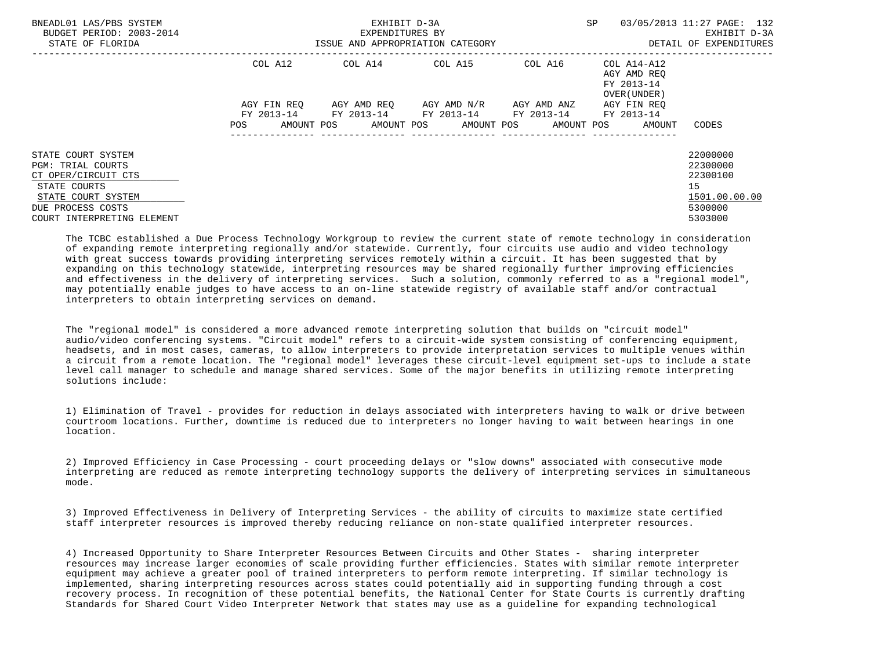| BNEADL01 LAS/PBS SYSTEM<br>BUDGET PERIOD: 2003-2014<br>STATE OF FLORIDA |                   | EXHIBIT D-3A<br>EXPENDITURES BY<br>ISSUE AND APPROPRIATION CATEGORY | SP                      | 03/05/2013 11:27 PAGE: 132<br>EXHIBIT D-3A<br>DETAIL OF EXPENDITURES |                                                          |                          |
|-------------------------------------------------------------------------|-------------------|---------------------------------------------------------------------|-------------------------|----------------------------------------------------------------------|----------------------------------------------------------|--------------------------|
|                                                                         | COL A12           | COL A14                                                             | COL A15                 | COL A16                                                              | COL A14-A12<br>AGY AMD REQ<br>FY 2013-14<br>OVER (UNDER) |                          |
|                                                                         | AGY FIN REO       |                                                                     | AGY AMD REQ AGY AMD N/R | AGY AMD ANZ                                                          | AGY FIN REQ                                              |                          |
|                                                                         | AMOUNT POS<br>POS | FY 2013-14 FY 2013-14 FY 2013-14                                    | AMOUNT POS AMOUNT POS   | FY 2013-14                                                           | FY 2013-14<br>AMOUNT POS<br>AMOUNT                       | CODES                    |
| STATE COURT SYSTEM                                                      |                   |                                                                     |                         |                                                                      |                                                          | 22000000                 |
| <b>PGM: TRIAL COURTS</b>                                                |                   |                                                                     |                         |                                                                      |                                                          | 22300000                 |
| CT OPER/CIRCUIT CTS                                                     |                   |                                                                     |                         |                                                                      |                                                          | 22300100                 |
| STATE COURTS                                                            |                   |                                                                     |                         |                                                                      |                                                          | 15                       |
| STATE COURT SYSTEM<br>DUE PROCESS COSTS                                 |                   |                                                                     |                         |                                                                      |                                                          | 1501.00.00.00<br>5300000 |
| COURT INTERPRETING ELEMENT                                              |                   |                                                                     |                         |                                                                      |                                                          | 5303000                  |

 The TCBC established a Due Process Technology Workgroup to review the current state of remote technology in consideration of expanding remote interpreting regionally and/or statewide. Currently, four circuits use audio and video technology with great success towards providing interpreting services remotely within a circuit. It has been suggested that by expanding on this technology statewide, interpreting resources may be shared regionally further improving efficiencies and effectiveness in the delivery of interpreting services. Such a solution, commonly referred to as a "regional model", may potentially enable judges to have access to an on-line statewide registry of available staff and/or contractual interpreters to obtain interpreting services on demand.

 The "regional model" is considered a more advanced remote interpreting solution that builds on "circuit model" audio/video conferencing systems. "Circuit model" refers to a circuit-wide system consisting of conferencing equipment, headsets, and in most cases, cameras, to allow interpreters to provide interpretation services to multiple venues within a circuit from a remote location. The "regional model" leverages these circuit-level equipment set-ups to include a state level call manager to schedule and manage shared services. Some of the major benefits in utilizing remote interpreting solutions include:

 1) Elimination of Travel - provides for reduction in delays associated with interpreters having to walk or drive between courtroom locations. Further, downtime is reduced due to interpreters no longer having to wait between hearings in one location.

 2) Improved Efficiency in Case Processing - court proceeding delays or "slow downs" associated with consecutive mode interpreting are reduced as remote interpreting technology supports the delivery of interpreting services in simultaneous mode.

 3) Improved Effectiveness in Delivery of Interpreting Services - the ability of circuits to maximize state certified staff interpreter resources is improved thereby reducing reliance on non-state qualified interpreter resources.

 4) Increased Opportunity to Share Interpreter Resources Between Circuits and Other States - sharing interpreter resources may increase larger economies of scale providing further efficiencies. States with similar remote interpreter equipment may achieve a greater pool of trained interpreters to perform remote interpreting. If similar technology is implemented, sharing interpreting resources across states could potentially aid in supporting funding through a cost recovery process. In recognition of these potential benefits, the National Center for State Courts is currently drafting Standards for Shared Court Video Interpreter Network that states may use as a guideline for expanding technological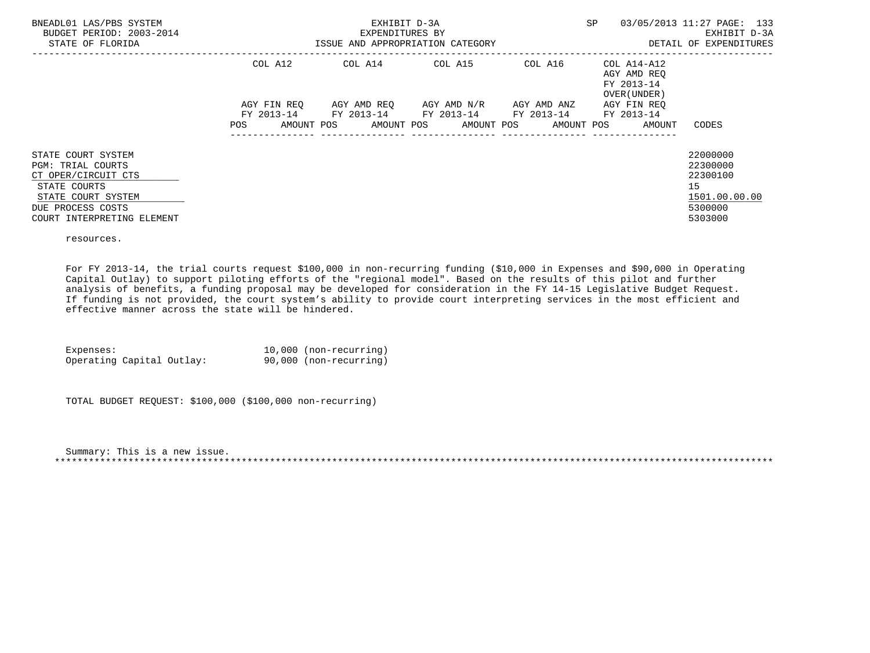| BNEADL01 LAS/PBS SYSTEM<br>BUDGET PERIOD: 2003-2014<br>STATE OF FLORIDA |                   | EXHIBIT D-3A<br>EXPENDITURES BY<br>ISSUE AND APPROPRIATION CATEGORY | <b>SP</b>                                                                                  | 03/05/2013 11:27 PAGE: 133<br>EXHIBIT D-3A<br>DETAIL OF EXPENDITURES |                                                                  |               |
|-------------------------------------------------------------------------|-------------------|---------------------------------------------------------------------|--------------------------------------------------------------------------------------------|----------------------------------------------------------------------|------------------------------------------------------------------|---------------|
|                                                                         | COL A12           | COL A14                                                             | COL A15                                                                                    |                                                                      | COL A16 COL A14-A12<br>AGY AMD REO<br>FY 2013-14<br>OVER (UNDER) |               |
|                                                                         | AGY FIN REO       |                                                                     | AGY AMD REO AGY AMD N/R                                                                    | AGY AMD ANZ                                                          | AGY FIN REO                                                      |               |
|                                                                         | AMOUNT POS<br>POS |                                                                     | FY 2013-14 FY 2013-14 FY 2013-14 FY 2013-14 FY 2013-14<br>AMOUNT POS AMOUNT POS AMOUNT POS |                                                                      | AMOUNT                                                           | CODES         |
| STATE COURT SYSTEM                                                      |                   |                                                                     |                                                                                            |                                                                      |                                                                  | 22000000      |
| <b>PGM: TRIAL COURTS</b>                                                |                   |                                                                     |                                                                                            |                                                                      |                                                                  | 22300000      |
| CT OPER/CIRCUIT CTS                                                     |                   |                                                                     |                                                                                            |                                                                      |                                                                  | 22300100      |
| STATE COURTS                                                            |                   |                                                                     |                                                                                            |                                                                      |                                                                  | 15            |
| STATE COURT SYSTEM                                                      |                   |                                                                     |                                                                                            |                                                                      |                                                                  | 1501.00.00.00 |
| DUE PROCESS COSTS                                                       |                   |                                                                     |                                                                                            |                                                                      |                                                                  | 5300000       |
| COURT INTERPRETING ELEMENT                                              |                   |                                                                     |                                                                                            |                                                                      |                                                                  | 5303000       |

resources.

 For FY 2013-14, the trial courts request \$100,000 in non-recurring funding (\$10,000 in Expenses and \$90,000 in Operating Capital Outlay) to support piloting efforts of the "regional model". Based on the results of this pilot and further analysis of benefits, a funding proposal may be developed for consideration in the FY 14-15 Legislative Budget Request. If funding is not provided, the court system's ability to provide court interpreting services in the most efficient and effective manner across the state will be hindered.

Expenses:  $10,000$  (non-recurring)<br>Operating Capital Outlay: 90,000 (non-recurring) Operating Capital Outlay:

TOTAL BUDGET REQUEST: \$100,000 (\$100,000 non-recurring)

 Summary: This is a new issue. \*\*\*\*\*\*\*\*\*\*\*\*\*\*\*\*\*\*\*\*\*\*\*\*\*\*\*\*\*\*\*\*\*\*\*\*\*\*\*\*\*\*\*\*\*\*\*\*\*\*\*\*\*\*\*\*\*\*\*\*\*\*\*\*\*\*\*\*\*\*\*\*\*\*\*\*\*\*\*\*\*\*\*\*\*\*\*\*\*\*\*\*\*\*\*\*\*\*\*\*\*\*\*\*\*\*\*\*\*\*\*\*\*\*\*\*\*\*\*\*\*\*\*\*\*\*\*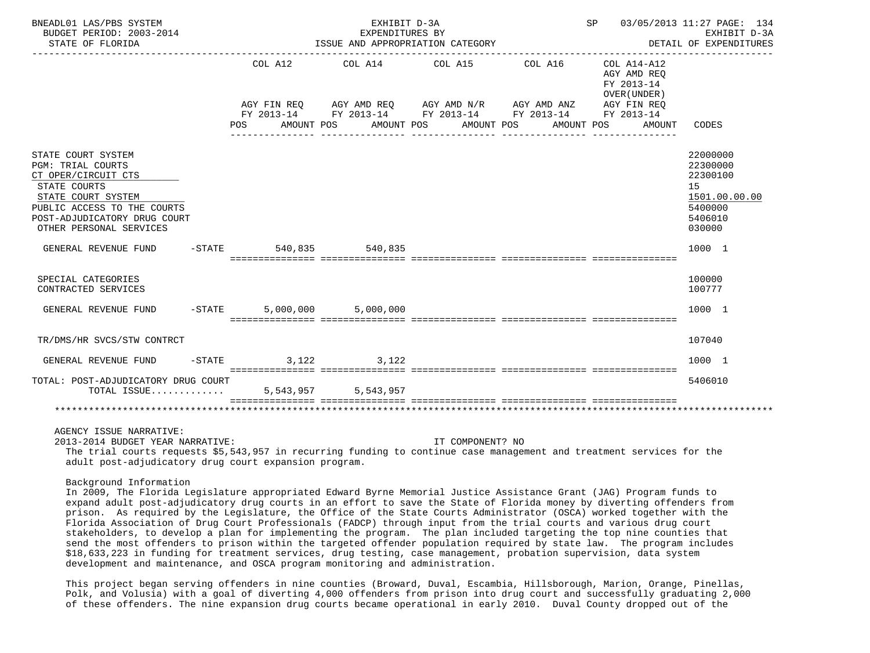| BNEADL01 LAS/PBS SYSTEM<br>BUDGET PERIOD: 2003-2014<br>STATE OF FLORIDA                                                                                                                                                                       |          |                        | EXHIBIT D-3A<br>EXPENDITURES BY | ISSUE AND APPROPRIATION CATEGORY                                                                                                                     |                       |                                                                                   | SP 03/05/2013 11:27 PAGE: 134<br>EXHIBIT D-3A<br>DETAIL OF EXPENDITURES                 |
|-----------------------------------------------------------------------------------------------------------------------------------------------------------------------------------------------------------------------------------------------|----------|------------------------|---------------------------------|------------------------------------------------------------------------------------------------------------------------------------------------------|-----------------------|-----------------------------------------------------------------------------------|-----------------------------------------------------------------------------------------|
|                                                                                                                                                                                                                                               |          | COL A12<br>POS FOR     | COL A14 COL A15<br>AMOUNT POS   | AGY FIN REQ      AGY AMD REQ      AGY AMD N/R      AGY AMD ANZ<br>FY 2013-14 FY 2013-14 FY 2013-14 FY 2013-14 FY 2013-14<br>AMOUNT POS<br>AMOUNT POS | COL A16<br>AMOUNT POS | COL A14-A12<br>AGY AMD REO<br>FY 2013-14<br>OVER (UNDER)<br>AGY FIN REO<br>AMOUNT | CODES                                                                                   |
| STATE COURT SYSTEM<br>PGM: TRIAL COURTS<br>CT OPER/CIRCUIT CTS<br>STATE COURTS<br>STATE COURT SYSTEM<br>PUBLIC ACCESS TO THE COURTS<br>POST-ADJUDICATORY DRUG COURT<br>OTHER PERSONAL SERVICES                                                |          |                        |                                 |                                                                                                                                                      |                       |                                                                                   | 22000000<br>22300000<br>22300100<br>15<br>1501.00.00.00<br>5400000<br>5406010<br>030000 |
| GENERAL REVENUE FUND                                                                                                                                                                                                                          |          | -STATE 540,835 540,835 |                                 |                                                                                                                                                      |                       |                                                                                   | 1000 1                                                                                  |
| SPECIAL CATEGORIES<br>CONTRACTED SERVICES                                                                                                                                                                                                     |          |                        |                                 |                                                                                                                                                      |                       |                                                                                   | 100000<br>100777                                                                        |
| GENERAL REVENUE FUND                                                                                                                                                                                                                          | $-STATE$ |                        | 5,000,000 5,000,000             |                                                                                                                                                      |                       |                                                                                   | 1000 1                                                                                  |
| TR/DMS/HR SVCS/STW CONTRCT                                                                                                                                                                                                                    |          |                        |                                 |                                                                                                                                                      |                       |                                                                                   | 107040                                                                                  |
| GENERAL REVENUE FUND                                                                                                                                                                                                                          |          | $-STATE$ 3, 122 3, 122 |                                 |                                                                                                                                                      |                       |                                                                                   | 1000 1                                                                                  |
| TOTAL: POST-ADJUDICATORY DRUG COURT<br>TOTAL ISSUE 5,543,957 5,543,957                                                                                                                                                                        |          |                        |                                 |                                                                                                                                                      |                       |                                                                                   | 5406010                                                                                 |
|                                                                                                                                                                                                                                               |          |                        |                                 |                                                                                                                                                      |                       |                                                                                   |                                                                                         |
| AGENCY ISSUE NARRATIVE:<br>2013-2014 BUDGET YEAR NARRATIVE:<br>The trial courts requests \$5,543,957 in recurring funding to continue case management and treatment services for the<br>adult post-adjudicatory drug court expansion program. |          |                        |                                 | IT COMPONENT? NO                                                                                                                                     |                       |                                                                                   |                                                                                         |

Background Information

 In 2009, The Florida Legislature appropriated Edward Byrne Memorial Justice Assistance Grant (JAG) Program funds to expand adult post-adjudicatory drug courts in an effort to save the State of Florida money by diverting offenders from prison. As required by the Legislature, the Office of the State Courts Administrator (OSCA) worked together with the Florida Association of Drug Court Professionals (FADCP) through input from the trial courts and various drug court stakeholders, to develop a plan for implementing the program. The plan included targeting the top nine counties that send the most offenders to prison within the targeted offender population required by state law. The program includes \$18,633,223 in funding for treatment services, drug testing, case management, probation supervision, data system development and maintenance, and OSCA program monitoring and administration.

 This project began serving offenders in nine counties (Broward, Duval, Escambia, Hillsborough, Marion, Orange, Pinellas, Polk, and Volusia) with a goal of diverting 4,000 offenders from prison into drug court and successfully graduating 2,000 of these offenders. The nine expansion drug courts became operational in early 2010. Duval County dropped out of the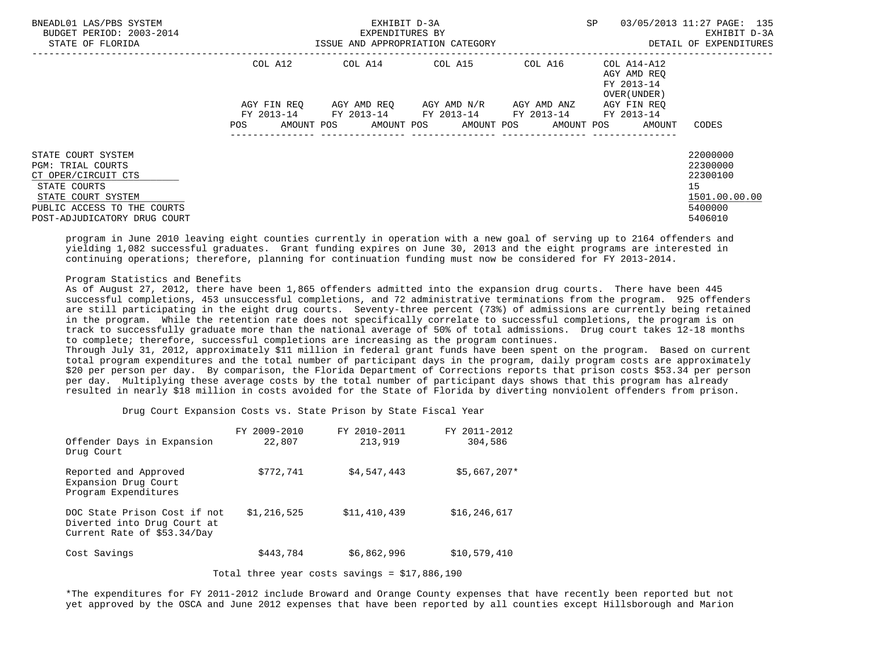| BNEADL01 LAS/PBS SYSTEM<br>BUDGET PERIOD: 2003-2014<br>STATE OF FLORIDA                                                                                             |                                 | EXHIBIT D-3A<br>EXPENDITURES BY<br>ISSUE AND APPROPRIATION CATEGORY | <b>SP</b>               | 03/05/2013 11:27 PAGE: 135<br>EXHIBIT D-3A<br>DETAIL OF EXPENDITURES |                                                                                 |                                                                               |
|---------------------------------------------------------------------------------------------------------------------------------------------------------------------|---------------------------------|---------------------------------------------------------------------|-------------------------|----------------------------------------------------------------------|---------------------------------------------------------------------------------|-------------------------------------------------------------------------------|
|                                                                                                                                                                     | COL A12<br>AGY FIN REO          | COL A14 COL A15                                                     | AGY AMD REO AGY AMD N/R | AGY AMD ANZ                                                          | COL A16 COL A14-A12<br>AGY AMD REO<br>FY 2013-14<br>OVER (UNDER)<br>AGY FIN REO |                                                                               |
|                                                                                                                                                                     | FY 2013-14<br>POS<br>AMOUNT POS | FY 2013-14 FY 2013-14                                               | AMOUNT POS AMOUNT POS   | FY 2013-14 FY 2013-14<br>AMOUNT POS                                  | AMOUNT                                                                          | CODES                                                                         |
| STATE COURT SYSTEM<br>PGM: TRIAL COURTS<br>CT OPER/CIRCUIT CTS<br>STATE COURTS<br>STATE COURT SYSTEM<br>PUBLIC ACCESS TO THE COURTS<br>POST-ADJUDICATORY DRUG COURT |                                 |                                                                     |                         |                                                                      |                                                                                 | 22000000<br>22300000<br>22300100<br>15<br>1501.00.00.00<br>5400000<br>5406010 |

 program in June 2010 leaving eight counties currently in operation with a new goal of serving up to 2164 offenders and yielding 1,082 successful graduates. Grant funding expires on June 30, 2013 and the eight programs are interested in continuing operations; therefore, planning for continuation funding must now be considered for FY 2013-2014.

## Program Statistics and Benefits

 As of August 27, 2012, there have been 1,865 offenders admitted into the expansion drug courts. There have been 445 successful completions, 453 unsuccessful completions, and 72 administrative terminations from the program. 925 offenders are still participating in the eight drug courts. Seventy-three percent (73%) of admissions are currently being retained in the program. While the retention rate does not specifically correlate to successful completions, the program is on track to successfully graduate more than the national average of 50% of total admissions. Drug court takes 12-18 months to complete; therefore, successful completions are increasing as the program continues.

 Through July 31, 2012, approximately \$11 million in federal grant funds have been spent on the program. Based on current total program expenditures and the total number of participant days in the program, daily program costs are approximately \$20 per person per day. By comparison, the Florida Department of Corrections reports that prison costs \$53.34 per person per day. Multiplying these average costs by the total number of participant days shows that this program has already resulted in nearly \$18 million in costs avoided for the State of Florida by diverting nonviolent offenders from prison.

Drug Court Expansion Costs vs. State Prison by State Fiscal Year

| Offender Days in Expansion<br>Drug Court                                                   | FY 2009-2010<br>22,807 | FY 2010-2011<br>213,919 | FY 2011-2012<br>304,586 |
|--------------------------------------------------------------------------------------------|------------------------|-------------------------|-------------------------|
| Reported and Approved<br>Expansion Drug Court<br>Program Expenditures                      | \$772.741              | \$4,547,443             | $$5,667,207*$           |
| DOC State Prison Cost if not<br>Diverted into Drug Court at<br>Current Rate of \$53.34/Day | \$1,216,525            | \$11,410,439            | \$16, 246, 617          |
| Cost Savings                                                                               | \$443,784              | \$6,862,996             | \$10,579,410            |

Total three year costs savings = \$17,886,190

 \*The expenditures for FY 2011-2012 include Broward and Orange County expenses that have recently been reported but not yet approved by the OSCA and June 2012 expenses that have been reported by all counties except Hillsborough and Marion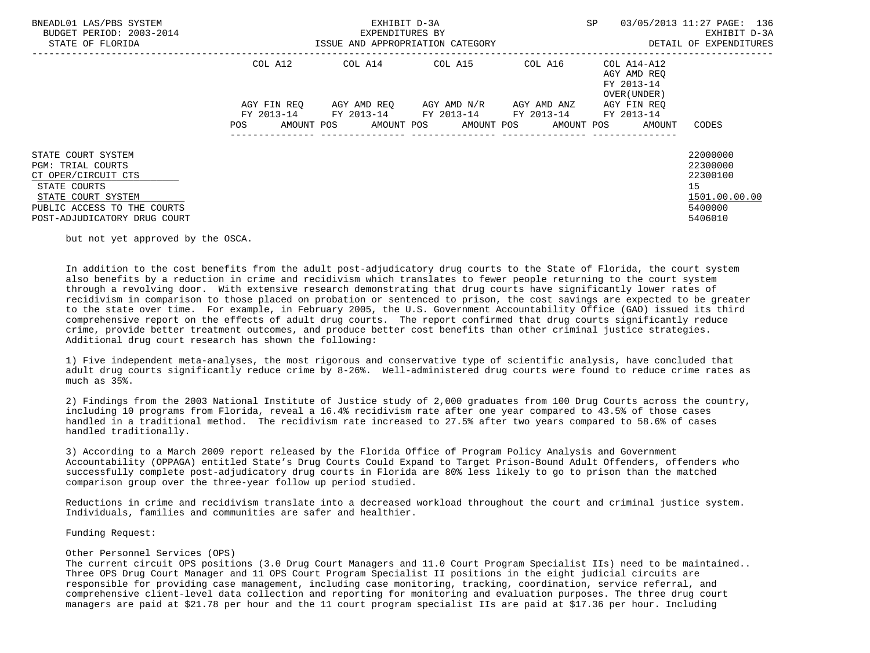| BNEADL01 LAS/PBS SYSTEM<br>BUDGET PERIOD: 2003-2014<br>STATE OF FLORIDA                                                                                                    |                   | EXHIBIT D-3A<br>EXPENDITURES BY<br>ISSUE AND APPROPRIATION CATEGORY | <b>SP</b>                                                                         | 03/05/2013 11:27 PAGE: 136<br>EXHIBIT D-3A<br>DETAIL OF EXPENDITURES |                                                                  |                                                                               |
|----------------------------------------------------------------------------------------------------------------------------------------------------------------------------|-------------------|---------------------------------------------------------------------|-----------------------------------------------------------------------------------|----------------------------------------------------------------------|------------------------------------------------------------------|-------------------------------------------------------------------------------|
|                                                                                                                                                                            | COL A12           |                                                                     | COL A14 COL A15                                                                   |                                                                      | COL A16 COL A14-A12<br>AGY AMD REO<br>FY 2013-14<br>OVER (UNDER) |                                                                               |
|                                                                                                                                                                            | AGY FIN REO       |                                                                     | AGY AMD REO AGY AMD N/R<br>FY 2013-14 FY 2013-14 FY 2013-14 FY 2013-14 FY 2013-14 | AGY AMD ANZ                                                          | AGY FIN REO                                                      |                                                                               |
|                                                                                                                                                                            | AMOUNT POS<br>POS |                                                                     | AMOUNT POS AMOUNT POS                                                             |                                                                      | AMOUNT POS<br>AMOUNT                                             | CODES                                                                         |
| STATE COURT SYSTEM<br><b>PGM: TRIAL COURTS</b><br>CT OPER/CIRCUIT CTS<br>STATE COURTS<br>STATE COURT SYSTEM<br>PUBLIC ACCESS TO THE COURTS<br>POST-ADJUDICATORY DRUG COURT |                   |                                                                     |                                                                                   |                                                                      |                                                                  | 22000000<br>22300000<br>22300100<br>15<br>1501.00.00.00<br>5400000<br>5406010 |

but not yet approved by the OSCA.

 In addition to the cost benefits from the adult post-adjudicatory drug courts to the State of Florida, the court system also benefits by a reduction in crime and recidivism which translates to fewer people returning to the court system through a revolving door. With extensive research demonstrating that drug courts have significantly lower rates of recidivism in comparison to those placed on probation or sentenced to prison, the cost savings are expected to be greater to the state over time. For example, in February 2005, the U.S. Government Accountability Office (GAO) issued its third comprehensive report on the effects of adult drug courts. The report confirmed that drug courts significantly reduce crime, provide better treatment outcomes, and produce better cost benefits than other criminal justice strategies. Additional drug court research has shown the following:

 1) Five independent meta-analyses, the most rigorous and conservative type of scientific analysis, have concluded that adult drug courts significantly reduce crime by 8-26%. Well-administered drug courts were found to reduce crime rates as much as 35%.

 2) Findings from the 2003 National Institute of Justice study of 2,000 graduates from 100 Drug Courts across the country, including 10 programs from Florida, reveal a 16.4% recidivism rate after one year compared to 43.5% of those cases handled in a traditional method. The recidivism rate increased to 27.5% after two years compared to 58.6% of cases handled traditionally.

 3) According to a March 2009 report released by the Florida Office of Program Policy Analysis and Government Accountability (OPPAGA) entitled State's Drug Courts Could Expand to Target Prison-Bound Adult Offenders, offenders who successfully complete post-adjudicatory drug courts in Florida are 80% less likely to go to prison than the matched comparison group over the three-year follow up period studied.

 Reductions in crime and recidivism translate into a decreased workload throughout the court and criminal justice system. Individuals, families and communities are safer and healthier.

Funding Request:

### Other Personnel Services (OPS)

 The current circuit OPS positions (3.0 Drug Court Managers and 11.0 Court Program Specialist IIs) need to be maintained.. Three OPS Drug Court Manager and 11 OPS Court Program Specialist II positions in the eight judicial circuits are responsible for providing case management, including case monitoring, tracking, coordination, service referral, and comprehensive client-level data collection and reporting for monitoring and evaluation purposes. The three drug court managers are paid at \$21.78 per hour and the 11 court program specialist IIs are paid at \$17.36 per hour. Including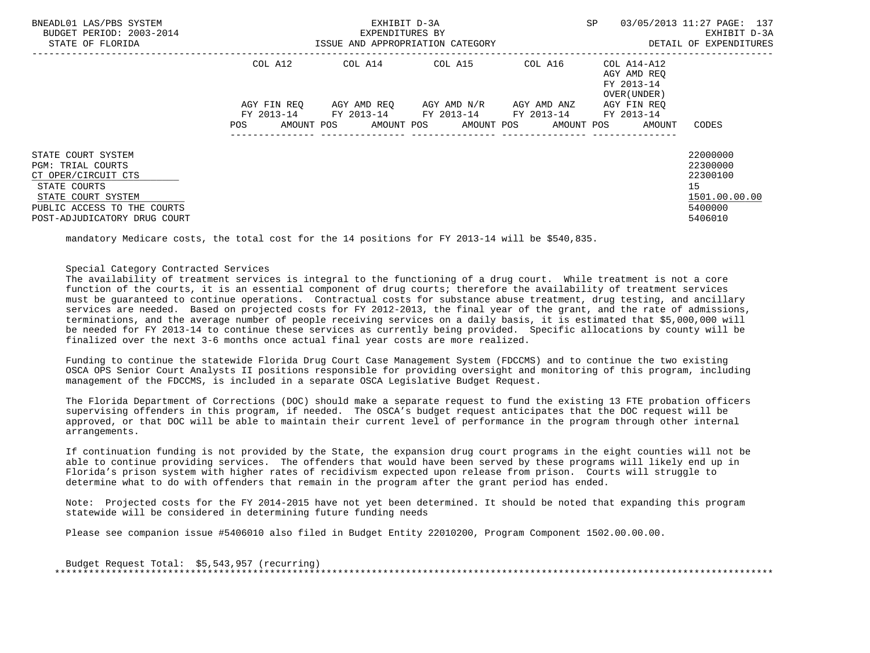| BNEADL01 LAS/PBS SYSTEM<br>BUDGET PERIOD: 2003-2014<br>STATE OF FLORIDA                                                                                                    |                                      | EXHIBIT D-3A<br>EXPENDITURES BY<br>ISSUE AND APPROPRIATION CATEGORY | SP                      | 03/05/2013 11:27 PAGE: 137<br>EXHIBIT D-3A<br>DETAIL OF EXPENDITURES |                                                                                       |                                                                               |
|----------------------------------------------------------------------------------------------------------------------------------------------------------------------------|--------------------------------------|---------------------------------------------------------------------|-------------------------|----------------------------------------------------------------------|---------------------------------------------------------------------------------------|-------------------------------------------------------------------------------|
|                                                                                                                                                                            | COL A12<br>AGY FIN REO<br>FY 2013-14 | COL A14 COL A15<br>FY 2013-14 FY 2013-14 FY 2013-14                 | AGY AMD REO AGY AMD N/R | COL A16<br>AGY AMD ANZ                                               | COL A14-A12<br>AGY AMD REO<br>FY 2013-14<br>OVER (UNDER)<br>AGY FIN REO<br>FY 2013-14 |                                                                               |
|                                                                                                                                                                            | AMOUNT POS<br><b>POS</b>             |                                                                     | AMOUNT POS AMOUNT POS   |                                                                      | AMOUNT POS<br>AMOUNT                                                                  | CODES                                                                         |
| STATE COURT SYSTEM<br><b>PGM: TRIAL COURTS</b><br>CT OPER/CIRCUIT CTS<br>STATE COURTS<br>STATE COURT SYSTEM<br>PUBLIC ACCESS TO THE COURTS<br>POST-ADJUDICATORY DRUG COURT |                                      |                                                                     |                         |                                                                      |                                                                                       | 22000000<br>22300000<br>22300100<br>15<br>1501.00.00.00<br>5400000<br>5406010 |

mandatory Medicare costs, the total cost for the 14 positions for FY 2013-14 will be \$540,835.

## Special Category Contracted Services

 The availability of treatment services is integral to the functioning of a drug court. While treatment is not a core function of the courts, it is an essential component of drug courts; therefore the availability of treatment services must be guaranteed to continue operations. Contractual costs for substance abuse treatment, drug testing, and ancillary services are needed. Based on projected costs for FY 2012-2013, the final year of the grant, and the rate of admissions, terminations, and the average number of people receiving services on a daily basis, it is estimated that \$5,000,000 will be needed for FY 2013-14 to continue these services as currently being provided. Specific allocations by county will be finalized over the next 3-6 months once actual final year costs are more realized.

 Funding to continue the statewide Florida Drug Court Case Management System (FDCCMS) and to continue the two existing OSCA OPS Senior Court Analysts II positions responsible for providing oversight and monitoring of this program, including management of the FDCCMS, is included in a separate OSCA Legislative Budget Request.

 The Florida Department of Corrections (DOC) should make a separate request to fund the existing 13 FTE probation officers supervising offenders in this program, if needed. The OSCA's budget request anticipates that the DOC request will be approved, or that DOC will be able to maintain their current level of performance in the program through other internal arrangements.

 If continuation funding is not provided by the State, the expansion drug court programs in the eight counties will not be able to continue providing services. The offenders that would have been served by these programs will likely end up in Florida's prison system with higher rates of recidivism expected upon release from prison. Courts will struggle to determine what to do with offenders that remain in the program after the grant period has ended.

 Note: Projected costs for the FY 2014-2015 have not yet been determined. It should be noted that expanding this program statewide will be considered in determining future funding needs

Please see companion issue #5406010 also filed in Budget Entity 22010200, Program Component 1502.00.00.00.

 Budget Request Total: \$5,543,957 (recurring) \*\*\*\*\*\*\*\*\*\*\*\*\*\*\*\*\*\*\*\*\*\*\*\*\*\*\*\*\*\*\*\*\*\*\*\*\*\*\*\*\*\*\*\*\*\*\*\*\*\*\*\*\*\*\*\*\*\*\*\*\*\*\*\*\*\*\*\*\*\*\*\*\*\*\*\*\*\*\*\*\*\*\*\*\*\*\*\*\*\*\*\*\*\*\*\*\*\*\*\*\*\*\*\*\*\*\*\*\*\*\*\*\*\*\*\*\*\*\*\*\*\*\*\*\*\*\*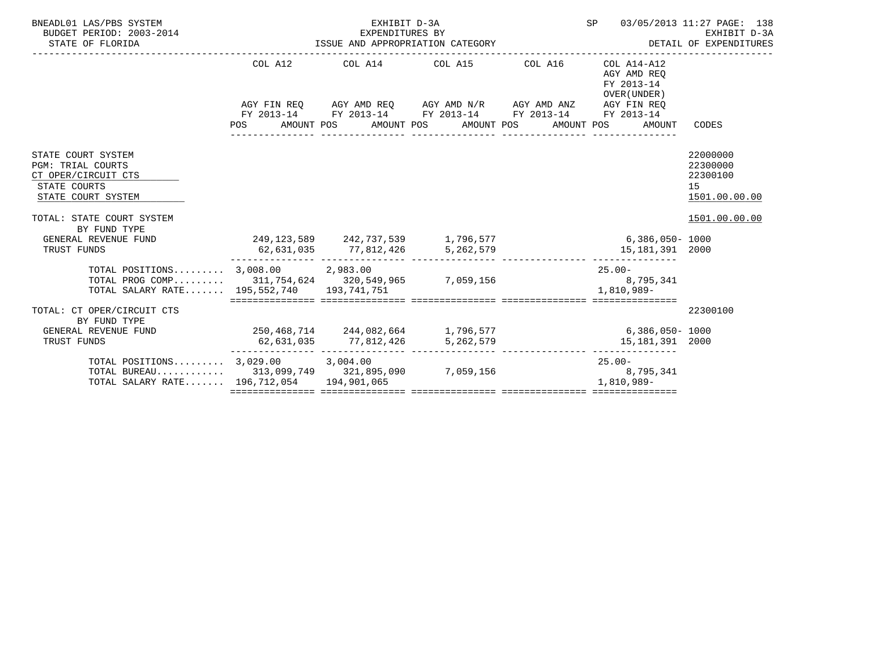| BNEADL01 LAS/PBS SYSTEM<br>BUDGET PERIOD: 2003-2014<br>STATE OF FLORIDA                                                                        | EXHIBIT D-3A<br>EXPENDITURES BY | SP                                                                                                                    | 03/05/2013 11:27 PAGE: 138<br>EXHIBIT D-3A                              |                                                                      |
|------------------------------------------------------------------------------------------------------------------------------------------------|---------------------------------|-----------------------------------------------------------------------------------------------------------------------|-------------------------------------------------------------------------|----------------------------------------------------------------------|
|                                                                                                                                                |                                 | COL A12 COL A14 COL A15 COL A16                                                                                       | COL A14-A12<br>AGY AMD REO<br>FY 2013-14<br>OVER (UNDER)                |                                                                      |
|                                                                                                                                                |                                 | AGY FIN REQ AGY AMD REQ AGY AMD N/R AGY AMD ANZ AGY FIN REQ<br>FY 2013-14 FY 2013-14 FY 2013-14 FY 2013-14 FY 2013-14 | POS AMOUNT POS AMOUNT POS AMOUNT POS AMOUNT POS AMOUNT                  | CODES                                                                |
| STATE COURT SYSTEM<br><b>PGM: TRIAL COURTS</b><br>CT OPER/CIRCUIT CTS<br>STATE COURTS<br>STATE COURT SYSTEM                                    |                                 |                                                                                                                       |                                                                         | 22000000<br>22300000<br>22300100<br>15 <sub>1</sub><br>1501.00.00.00 |
| TOTAL: STATE COURT SYSTEM<br>BY FUND TYPE                                                                                                      |                                 |                                                                                                                       |                                                                         | 1501.00.00.00                                                        |
| GENERAL REVENUE FUND<br>TRUST FUNDS                                                                                                            |                                 | 62,631,035 77,812,426 5,262,579                                                                                       | 249,123,589 242,737,539 1,796,577 6,386,050 - 1000<br>15, 181, 391 2000 |                                                                      |
| TOTAL POSITIONS 3,008.00 2,983.00<br>TOTAL PROG COMP 311,754,624 320,549,965 7,059,156 39,995,341<br>TOTAL SALARY RATE 195,552,740 193,741,751 |                                 |                                                                                                                       | $25.00 -$<br>1,810,989-<br>=============================                |                                                                      |
| TOTAL: CT OPER/CIRCUIT CTS<br>BY FUND TYPE                                                                                                     |                                 |                                                                                                                       |                                                                         | 22300100                                                             |
| GENERAL REVENUE FUND<br>TRUST FUNDS                                                                                                            |                                 | 62,631,035 77,812,426 5,262,579                                                                                       | 250,468,714 244,082,664 1,796,577 6,886,050-1000<br>15, 181, 391 2000   |                                                                      |
| TOTAL POSITIONS 3,029.00 3,004.00<br>TOTAL BUREAU 313,099,749 321,895,090 7,059,156 39799,156<br>TOTAL SALARY RATE 196,712,054 194,901,065     |                                 |                                                                                                                       | $25.00 -$<br>1,810,989-                                                 |                                                                      |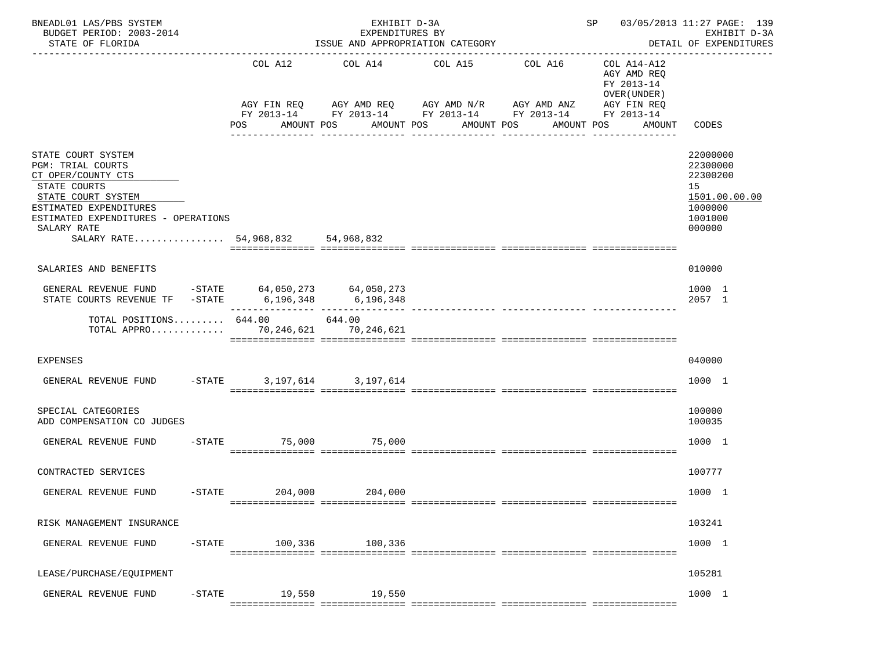| BNEADL01 LAS/PBS SYSTEM<br>BUDGET PERIOD: 2003-2014<br>STATE OF FLORIDA                                                                                                                                                                                                                                              |                | EXHIBIT D-3A<br>EXPENDITURES BY<br>ISSUE AND APPROPRIATION CATEGORY<br>------------------ |                                                                                                                                                  | SP 03/05/2013 11:27 PAGE: 139<br>EXHIBIT D-3A<br>DETAIL OF EXPENDITURES<br>-------------- |                                                                                   |                                                                                         |
|----------------------------------------------------------------------------------------------------------------------------------------------------------------------------------------------------------------------------------------------------------------------------------------------------------------------|----------------|-------------------------------------------------------------------------------------------|--------------------------------------------------------------------------------------------------------------------------------------------------|-------------------------------------------------------------------------------------------|-----------------------------------------------------------------------------------|-----------------------------------------------------------------------------------------|
|                                                                                                                                                                                                                                                                                                                      | COL A12<br>POS | COL A14<br>AMOUNT POS                                                                     | COL A15<br>AGY FIN REQ AGY AMD REQ AGY AMD N/R AGY AMD ANZ<br>FY 2013-14 FY 2013-14 FY 2013-14 FY 2013-14 FY 2013-14<br>AMOUNT POS<br>AMOUNT POS | COL A16<br>AMOUNT POS                                                                     | COL A14-A12<br>AGY AMD REQ<br>FY 2013-14<br>OVER (UNDER)<br>AGY FIN REQ<br>AMOUNT | CODES                                                                                   |
| STATE COURT SYSTEM<br>PGM: TRIAL COURTS<br>CT OPER/COUNTY CTS<br>STATE COURTS<br>STATE COURT SYSTEM<br>ESTIMATED EXPENDITURES<br>ESTIMATED EXPENDITURES - OPERATIONS<br>SALARY RATE<br>SALARY RATE 54,968,832 54,968,832                                                                                             |                |                                                                                           | -----------                                                                                                                                      | ----------                                                                                |                                                                                   | 22000000<br>22300000<br>22300200<br>15<br>1501.00.00.00<br>1000000<br>1001000<br>000000 |
| SALARIES AND BENEFITS                                                                                                                                                                                                                                                                                                |                |                                                                                           |                                                                                                                                                  |                                                                                           |                                                                                   | 010000                                                                                  |
| $\begin{tabular}{llllll} \multicolumn{2}{l}{{\small\tt GENERAL}} & $\verb REVENUE  & $\verb FUND  & $-$STATE$ & & $64\,,050\,,273$ & & $64\,,050\,,273$ \\ \multicolumn{2}{l}{\small\tt STATE} & $\verb COURTS  & $\verb REVENUE  & $\verb TF  & $-$STATE$ & & $6\,,196\,,348$ & & $6\,,196\,,348$ \\ \end{tabular}$ |                |                                                                                           |                                                                                                                                                  |                                                                                           |                                                                                   | 1000 1<br>2057 1                                                                        |
| TOTAL POSITIONS $644.00$ 644.00<br>TOTAL APPRO 70,246,621 70,246,621                                                                                                                                                                                                                                                 |                |                                                                                           |                                                                                                                                                  |                                                                                           |                                                                                   |                                                                                         |
| <b>EXPENSES</b>                                                                                                                                                                                                                                                                                                      |                |                                                                                           |                                                                                                                                                  |                                                                                           |                                                                                   | 040000                                                                                  |
| $-$ STATE<br>GENERAL REVENUE FUND                                                                                                                                                                                                                                                                                    |                | 3, 197, 614 3, 197, 614                                                                   |                                                                                                                                                  |                                                                                           |                                                                                   | 1000 1                                                                                  |
| SPECIAL CATEGORIES<br>ADD COMPENSATION CO JUDGES                                                                                                                                                                                                                                                                     |                |                                                                                           |                                                                                                                                                  |                                                                                           |                                                                                   | 100000<br>100035                                                                        |
| GENERAL REVENUE FUND                                                                                                                                                                                                                                                                                                 | $-$ STATE      | 75,000 75,000                                                                             |                                                                                                                                                  |                                                                                           |                                                                                   | 1000 1                                                                                  |
| CONTRACTED SERVICES                                                                                                                                                                                                                                                                                                  |                |                                                                                           |                                                                                                                                                  |                                                                                           |                                                                                   | 100777                                                                                  |
| GENERAL REVENUE FUND<br>-STATE                                                                                                                                                                                                                                                                                       | 204,000        | 204,000                                                                                   |                                                                                                                                                  |                                                                                           |                                                                                   | 1000 1                                                                                  |
| RISK MANAGEMENT INSURANCE                                                                                                                                                                                                                                                                                            |                |                                                                                           |                                                                                                                                                  |                                                                                           |                                                                                   | 103241                                                                                  |
| $-$ STATE<br>GENERAL REVENUE FUND                                                                                                                                                                                                                                                                                    | 100,336        | 100,336                                                                                   |                                                                                                                                                  |                                                                                           |                                                                                   | 1000 1                                                                                  |
| LEASE/PURCHASE/EQUIPMENT                                                                                                                                                                                                                                                                                             |                |                                                                                           |                                                                                                                                                  |                                                                                           |                                                                                   | 105281                                                                                  |
| $-$ STATE<br>GENERAL REVENUE FUND                                                                                                                                                                                                                                                                                    | 19,550         | 19,550                                                                                    |                                                                                                                                                  |                                                                                           |                                                                                   | 1000 1                                                                                  |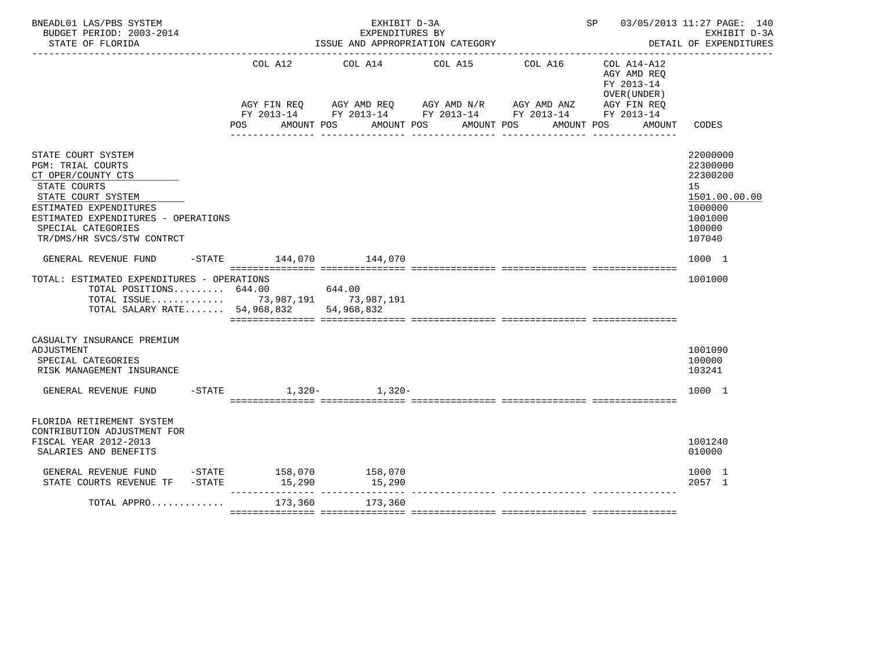| BNEADL01 LAS/PBS SYSTEM<br>BUDGET PERIOD: 2003-2014<br>STATE OF FLORIDA                                                                                                                                                  |                          | EXHIBIT D-3A<br>EXPENDITURES BY<br>ISSUE AND APPROPRIATION CATEGORY |                                                                                                                                     | SP 03/05/2013 11:27 PAGE: 140                                         | EXHIBIT D-3A<br>DETAIL OF EXPENDITURES                                                            |
|--------------------------------------------------------------------------------------------------------------------------------------------------------------------------------------------------------------------------|--------------------------|---------------------------------------------------------------------|-------------------------------------------------------------------------------------------------------------------------------------|-----------------------------------------------------------------------|---------------------------------------------------------------------------------------------------|
|                                                                                                                                                                                                                          | COL A12<br>POS           | COL A14 COL A15 COL A16<br>AMOUNT POS AMOUNT POS AMOUNT POS         | AGY FIN REQ AGY AMD REQ AGY AMD N/R AGY AMD ANZ AGY FIN REQ<br>FY 2013-14 FY 2013-14 FY 2013-14 FY 2013-14 FY 2013-14<br>AMOUNT POS | $COL A14- A12$<br>AGY AMD REQ<br>FY 2013-14<br>OVER (UNDER)<br>AMOUNT | CODES                                                                                             |
| STATE COURT SYSTEM<br>PGM: TRIAL COURTS<br>CT OPER/COUNTY CTS<br>STATE COURTS<br>STATE COURT SYSTEM<br>ESTIMATED EXPENDITURES<br>ESTIMATED EXPENDITURES - OPERATIONS<br>SPECIAL CATEGORIES<br>TR/DMS/HR SVCS/STW CONTRCT |                          |                                                                     |                                                                                                                                     |                                                                       | 22000000<br>22300000<br>22300200<br>15<br>1501.00.00.00<br>1000000<br>1001000<br>100000<br>107040 |
| GENERAL REVENUE FUND                                                                                                                                                                                                     | -STATE 144,070 144,070   |                                                                     |                                                                                                                                     |                                                                       | 1000 1                                                                                            |
| TOTAL: ESTIMATED EXPENDITURES - OPERATIONS<br>TOTAL POSITIONS 644.00 644.00<br>TOTAL ISSUE 73,987,191 73,987,191<br>TOTAL SALARY RATE 54,968,832 54,968,832                                                              |                          |                                                                     |                                                                                                                                     |                                                                       | 1001000                                                                                           |
| CASUALTY INSURANCE PREMIUM<br>ADJUSTMENT<br>SPECIAL CATEGORIES<br>RISK MANAGEMENT INSURANCE                                                                                                                              |                          |                                                                     |                                                                                                                                     |                                                                       | 1001090<br>100000<br>103241                                                                       |
| GENERAL REVENUE FUND                                                                                                                                                                                                     | $-STATE$ 1.320 - 1.320 - |                                                                     |                                                                                                                                     |                                                                       | 1000 1                                                                                            |
| FLORIDA RETIREMENT SYSTEM<br>CONTRIBUTION ADJUSTMENT FOR<br>FISCAL YEAR 2012-2013<br>SALARIES AND BENEFITS                                                                                                               |                          |                                                                     |                                                                                                                                     |                                                                       | 1001240<br>010000                                                                                 |
| $\begin{tabular}{lcccccc} \texttt{GENERAL REVIEW FUND} & -STATE & 158,070 & 158,070 \\ \texttt{STATE COURTS REVIEW TF} & -STATE & 15,290 & 15,290 \\ \end{tabular}$                                                      |                          |                                                                     |                                                                                                                                     |                                                                       | 1000 1<br>2057 1                                                                                  |
| $\texttt{TOTAL}$ APPRO $\ldots \ldots \ldots \ldots \qquad \qquad 173,360$                                                                                                                                               |                          | 173,360                                                             | ------------- --------------- ------                                                                                                |                                                                       |                                                                                                   |
|                                                                                                                                                                                                                          |                          |                                                                     |                                                                                                                                     |                                                                       |                                                                                                   |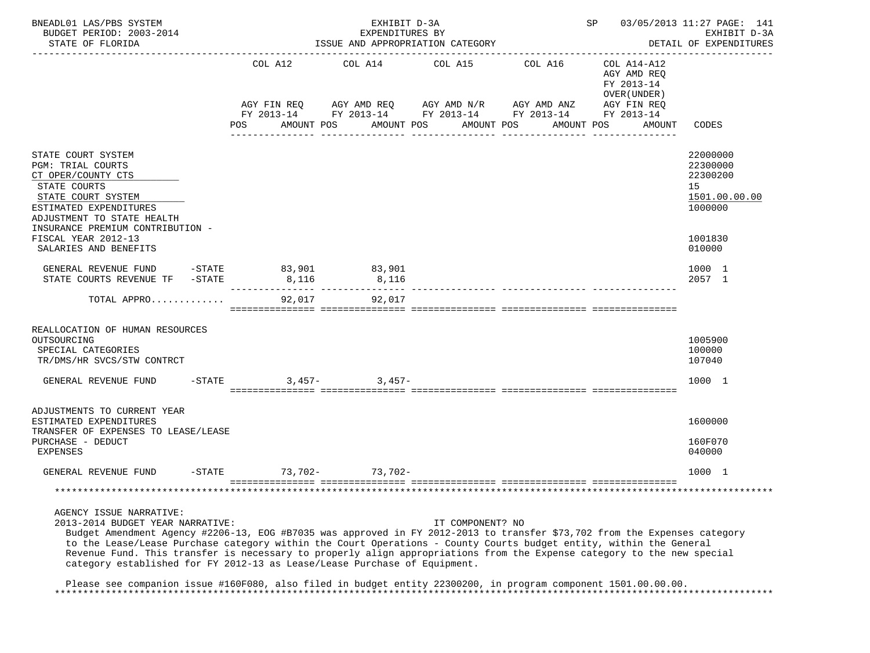| BNEADL01 LAS/PBS SYSTEM<br>BUDGET PERIOD: 2003-2014<br>STATE OF FLORIDA                                                                                                                                                                                                                                        |  |                 | EXHIBIT D-3A<br>EXPENDITURES BY<br>ISSUE AND APPROPRIATION CATEGORY                                        |                                           | SP 03/05/2013 11:27 PAGE: 141<br>EXHIBIT D-3A<br>DETAIL OF EXPENDITURES |                                                          |                                                                    |
|----------------------------------------------------------------------------------------------------------------------------------------------------------------------------------------------------------------------------------------------------------------------------------------------------------------|--|-----------------|------------------------------------------------------------------------------------------------------------|-------------------------------------------|-------------------------------------------------------------------------|----------------------------------------------------------|--------------------------------------------------------------------|
|                                                                                                                                                                                                                                                                                                                |  | COL A12         | COL A14                                                                                                    | COL A15                                   | COL A16                                                                 | COL A14-A12<br>AGY AMD REQ<br>FY 2013-14<br>OVER (UNDER) |                                                                    |
|                                                                                                                                                                                                                                                                                                                |  | POS             | AGY FIN REQ AGY AMD REQ AGY AMD N/R AGY AMD ANZ AGY FIN REQ FY 2013-14 FY 2013-14 FY 2013-14<br>AMOUNT POS | AMOUNT POS AMOUNT POS<br>________________ | AMOUNT POS                                                              | AMOUNT                                                   | CODES                                                              |
| STATE COURT SYSTEM<br><b>PGM: TRIAL COURTS</b><br>CT OPER/COUNTY CTS<br>STATE COURTS<br>STATE COURT SYSTEM<br>ESTIMATED EXPENDITURES<br>ADJUSTMENT TO STATE HEALTH<br>INSURANCE PREMIUM CONTRIBUTION -                                                                                                         |  |                 |                                                                                                            |                                           |                                                                         |                                                          | 22000000<br>22300000<br>22300200<br>15<br>1501.00.00.00<br>1000000 |
| FISCAL YEAR 2012-13<br>SALARIES AND BENEFITS                                                                                                                                                                                                                                                                   |  |                 |                                                                                                            |                                           |                                                                         |                                                          | 1001830<br>010000                                                  |
| GENERAL REVENUE FUND<br>$-$ STATE<br>STATE COURTS REVENUE TF -STATE                                                                                                                                                                                                                                            |  | 83,901<br>8,116 | 83,901<br>8,116                                                                                            |                                           |                                                                         |                                                          | 1000 1<br>2057 1                                                   |
| TOTAL APPRO                                                                                                                                                                                                                                                                                                    |  | 92,017          | 92,017                                                                                                     |                                           |                                                                         |                                                          |                                                                    |
| REALLOCATION OF HUMAN RESOURCES<br>OUTSOURCING<br>SPECIAL CATEGORIES<br>TR/DMS/HR SVCS/STW CONTRCT                                                                                                                                                                                                             |  |                 |                                                                                                            |                                           |                                                                         |                                                          | 1005900<br>100000<br>107040                                        |
| GENERAL REVENUE FUND                                                                                                                                                                                                                                                                                           |  | $-STATE$        | $3,457 3,457-$                                                                                             |                                           |                                                                         |                                                          | 1000 1                                                             |
| ADJUSTMENTS TO CURRENT YEAR<br>ESTIMATED EXPENDITURES<br>TRANSFER OF EXPENSES TO LEASE/LEASE                                                                                                                                                                                                                   |  |                 |                                                                                                            |                                           |                                                                         |                                                          | 1600000                                                            |
| PURCHASE - DEDUCT<br>EXPENSES                                                                                                                                                                                                                                                                                  |  |                 |                                                                                                            |                                           |                                                                         |                                                          | 160F070<br>040000                                                  |
| GENERAL REVENUE FUND                                                                                                                                                                                                                                                                                           |  | $-STATE$        | $73,702 - 73,702 -$                                                                                        |                                           |                                                                         |                                                          | 1000 1                                                             |
|                                                                                                                                                                                                                                                                                                                |  |                 |                                                                                                            |                                           |                                                                         |                                                          |                                                                    |
| AGENCY ISSUE NARRATIVE:<br>2013-2014 BUDGET YEAR NARRATIVE:<br>Budget Amendment Agency #2206-13, EOG #B7035 was approved in FY 2012-2013 to transfer \$73,702 from the Expenses category<br>to the Lease/Lease Purchase category within the Court Operations - County Courts budget entity, within the General |  |                 |                                                                                                            | IT COMPONENT? NO                          |                                                                         |                                                          |                                                                    |

 Revenue Fund. This transfer is necessary to properly align appropriations from the Expense category to the new special category established for FY 2012-13 as Lease/Lease Purchase of Equipment.

 Please see companion issue #160F080, also filed in budget entity 22300200, in program component 1501.00.00.00. \*\*\*\*\*\*\*\*\*\*\*\*\*\*\*\*\*\*\*\*\*\*\*\*\*\*\*\*\*\*\*\*\*\*\*\*\*\*\*\*\*\*\*\*\*\*\*\*\*\*\*\*\*\*\*\*\*\*\*\*\*\*\*\*\*\*\*\*\*\*\*\*\*\*\*\*\*\*\*\*\*\*\*\*\*\*\*\*\*\*\*\*\*\*\*\*\*\*\*\*\*\*\*\*\*\*\*\*\*\*\*\*\*\*\*\*\*\*\*\*\*\*\*\*\*\*\*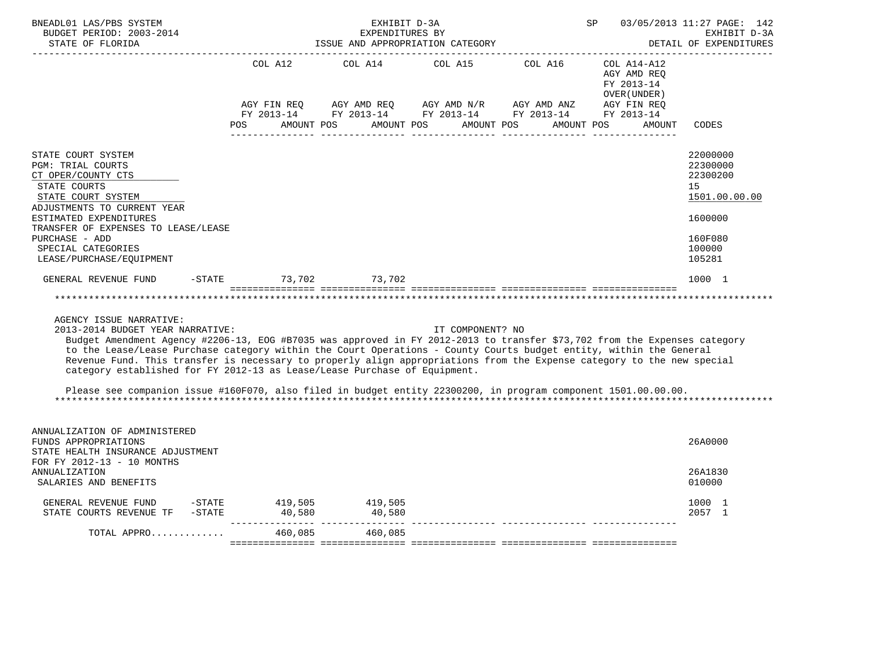| BNEADL01 LAS/PBS SYSTEM<br>BUDGET PERIOD: 2003-2014<br>STATE OF FLORIDA                                                                                                                                                                                                                                                                                                                                                                                                                                                                                                  | EXHIBIT D-3A<br><b>SP</b> SP<br>EXPENDITURES BY<br>ISSUE AND APPROPRIATION CATEGORY |                                                     |                  |                                                                                                                                                          | 03/05/2013 11:27 PAGE: 142<br>EXHIBIT D-3A<br>DETAIL OF EXPENDITURES |                                                                                                   |  |
|--------------------------------------------------------------------------------------------------------------------------------------------------------------------------------------------------------------------------------------------------------------------------------------------------------------------------------------------------------------------------------------------------------------------------------------------------------------------------------------------------------------------------------------------------------------------------|-------------------------------------------------------------------------------------|-----------------------------------------------------|------------------|----------------------------------------------------------------------------------------------------------------------------------------------------------|----------------------------------------------------------------------|---------------------------------------------------------------------------------------------------|--|
|                                                                                                                                                                                                                                                                                                                                                                                                                                                                                                                                                                          | AGY FIN REQ<br>POS DO                                                               | COL A12 COL A14<br>AMOUNT POS AMOUNT POS AMOUNT POS |                  | COL A15 COL A16 COL A14-A12<br>AGY AMD REQ AGY AMD $N/R$ AGY AMD ANZ AGY FIN REQ<br>FY 2013-14 FY 2013-14 FY 2013-14 FY 2013-14 FY 2013-14<br>AMOUNT POS | AGY AMD REQ<br>FY 2013-14<br>OVER (UNDER )<br>AMOUNT                 | CODES                                                                                             |  |
| STATE COURT SYSTEM<br>PGM: TRIAL COURTS<br>CT OPER/COUNTY CTS<br>STATE COURTS<br>STATE COURT SYSTEM<br>ADJUSTMENTS TO CURRENT YEAR<br>ESTIMATED EXPENDITURES<br>TRANSFER OF EXPENSES TO LEASE/LEASE<br>PURCHASE - ADD<br>SPECIAL CATEGORIES<br>LEASE/PURCHASE/EQUIPMENT                                                                                                                                                                                                                                                                                                  |                                                                                     |                                                     |                  |                                                                                                                                                          |                                                                      | 22000000<br>22300000<br>22300200<br>15<br>1501.00.00.00<br>1600000<br>160F080<br>100000<br>105281 |  |
| GENERAL REVENUE FUND<br>AGENCY ISSUE NARRATIVE:<br>2013-2014 BUDGET YEAR NARRATIVE:                                                                                                                                                                                                                                                                                                                                                                                                                                                                                      | -STATE 73,702 73,702                                                                |                                                     | IT COMPONENT? NO |                                                                                                                                                          |                                                                      | 1000 1                                                                                            |  |
| Budget Amendment Agency #2206-13, EOG #B7035 was approved in FY 2012-2013 to transfer \$73,702 from the Expenses category<br>to the Lease/Lease Purchase category within the Court Operations - County Courts budget entity, within the General<br>Revenue Fund. This transfer is necessary to properly align appropriations from the Expense category to the new special<br>category established for FY 2012-13 as Lease/Lease Purchase of Equipment.<br>Please see companion issue #160F070, also filed in budget entity 22300200, in program component 1501.00.00.00. |                                                                                     |                                                     |                  |                                                                                                                                                          |                                                                      |                                                                                                   |  |
| ANNUALIZATION OF ADMINISTERED<br>FUNDS APPROPRIATIONS<br>STATE HEALTH INSURANCE ADJUSTMENT<br>FOR FY 2012-13 - 10 MONTHS                                                                                                                                                                                                                                                                                                                                                                                                                                                 |                                                                                     |                                                     |                  |                                                                                                                                                          |                                                                      | 26A0000                                                                                           |  |
| <b>ANNUALIZATION</b><br>SALARIES AND BENEFITS                                                                                                                                                                                                                                                                                                                                                                                                                                                                                                                            |                                                                                     |                                                     |                  |                                                                                                                                                          |                                                                      | 26A1830<br>010000                                                                                 |  |
| GENERAL REVENUE FUND -STATE 419,505<br>STATE COURTS REVENUE TF $-$ -STATE 40,580 $40,580$                                                                                                                                                                                                                                                                                                                                                                                                                                                                                |                                                                                     | 419,505                                             |                  |                                                                                                                                                          |                                                                      | 1000 1<br>2057 1                                                                                  |  |
| TOTAL APPRO                                                                                                                                                                                                                                                                                                                                                                                                                                                                                                                                                              |                                                                                     | 460,085 460,085                                     |                  |                                                                                                                                                          |                                                                      |                                                                                                   |  |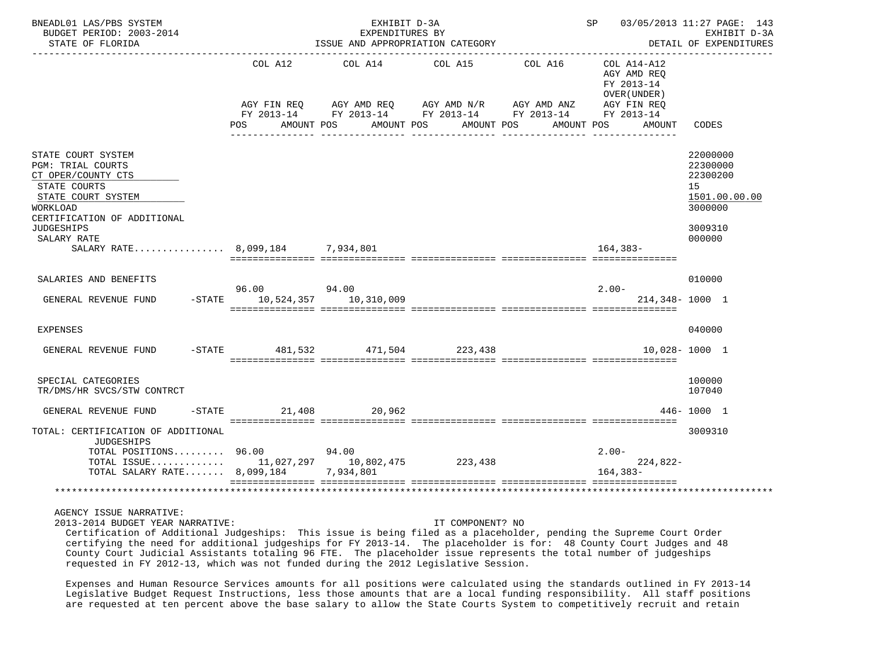| BNEADL01 LAS/PBS SYSTEM<br>BUDGET PERIOD: 2003-2014<br>STATE OF FLORIDA                                                                                                                   | EXHIBIT D-3A<br>EXPENDITURES BY<br>ISSUE AND APPROPRIATION CATEGORY |            |                                                                      |                                                                                 | SP 03/05/2013 11:27 PAGE: 143                                                     | EXHIBIT D-3A<br>DETAIL OF EXPENDITURES                                                  |
|-------------------------------------------------------------------------------------------------------------------------------------------------------------------------------------------|---------------------------------------------------------------------|------------|----------------------------------------------------------------------|---------------------------------------------------------------------------------|-----------------------------------------------------------------------------------|-----------------------------------------------------------------------------------------|
|                                                                                                                                                                                           | COL A12<br>AGY FIN REO<br><b>POS</b><br>AMOUNT POS                  | AMOUNT POS | COL A14 COL A15<br>AGY AMD REQ AGY AMD N/R AGY AMD ANZ<br>AMOUNT POS | COL A16<br>FY 2013-14 FY 2013-14 FY 2013-14 FY 2013-14 FY 2013-14<br>AMOUNT POS | COL A14-A12<br>AGY AMD REO<br>FY 2013-14<br>OVER (UNDER)<br>AGY FIN REQ<br>AMOUNT | CODES                                                                                   |
| STATE COURT SYSTEM<br><b>PGM: TRIAL COURTS</b><br>CT OPER/COUNTY CTS<br>STATE COURTS<br>STATE COURT SYSTEM<br>WORKLOAD<br>CERTIFICATION OF ADDITIONAL<br><b>JUDGESHIPS</b><br>SALARY RATE |                                                                     |            |                                                                      |                                                                                 |                                                                                   | 22000000<br>22300000<br>22300200<br>15<br>1501.00.00.00<br>3000000<br>3009310<br>000000 |
| SALARY RATE 8,099,184 7,934,801                                                                                                                                                           |                                                                     |            |                                                                      |                                                                                 | 164,383-                                                                          |                                                                                         |
| SALARIES AND BENEFITS<br>GENERAL REVENUE FUND                                                                                                                                             | 96.00 94.00<br>-STATE 10,524,357 10,310,009                         |            |                                                                      |                                                                                 | $2.00 -$<br>214,348-1000 1                                                        | 010000                                                                                  |
| EXPENSES                                                                                                                                                                                  |                                                                     |            |                                                                      |                                                                                 |                                                                                   | 040000                                                                                  |
| GENERAL REVENUE FUND                                                                                                                                                                      | $-$ STATE 481,532 471,504 223,438                                   |            |                                                                      |                                                                                 |                                                                                   | $10.028 - 1000$ 1                                                                       |
| SPECIAL CATEGORIES<br>TR/DMS/HR SVCS/STW CONTRCT                                                                                                                                          |                                                                     |            |                                                                      |                                                                                 |                                                                                   | 100000<br>107040                                                                        |
| GENERAL REVENUE FUND                                                                                                                                                                      | -STATE 21,408 20,962                                                |            |                                                                      |                                                                                 |                                                                                   | 446-1000 1                                                                              |
| TOTAL: CERTIFICATION OF ADDITIONAL<br><b>JUDGESHIPS</b><br>TOTAL POSITIONS 96.00 94.00<br>TOTAL ISSUE 11,027,297 10,802,475 223,438<br>TOTAL SALARY RATE 8,099,184                        |                                                                     | 7,934,801  |                                                                      |                                                                                 | $2.00 -$<br>$224,822-$<br>$164.383-$                                              | 3009310                                                                                 |
|                                                                                                                                                                                           |                                                                     |            |                                                                      |                                                                                 |                                                                                   |                                                                                         |

2013-2014 BUDGET YEAR NARRATIVE: IT COMPONENT? NO

 Certification of Additional Judgeships: This issue is being filed as a placeholder, pending the Supreme Court Order certifying the need for additional judgeships for FY 2013-14. The placeholder is for: 48 County Court Judges and 48 County Court Judicial Assistants totaling 96 FTE. The placeholder issue represents the total number of judgeships requested in FY 2012-13, which was not funded during the 2012 Legislative Session.

 Expenses and Human Resource Services amounts for all positions were calculated using the standards outlined in FY 2013-14 Legislative Budget Request Instructions, less those amounts that are a local funding responsibility. All staff positions are requested at ten percent above the base salary to allow the State Courts System to competitively recruit and retain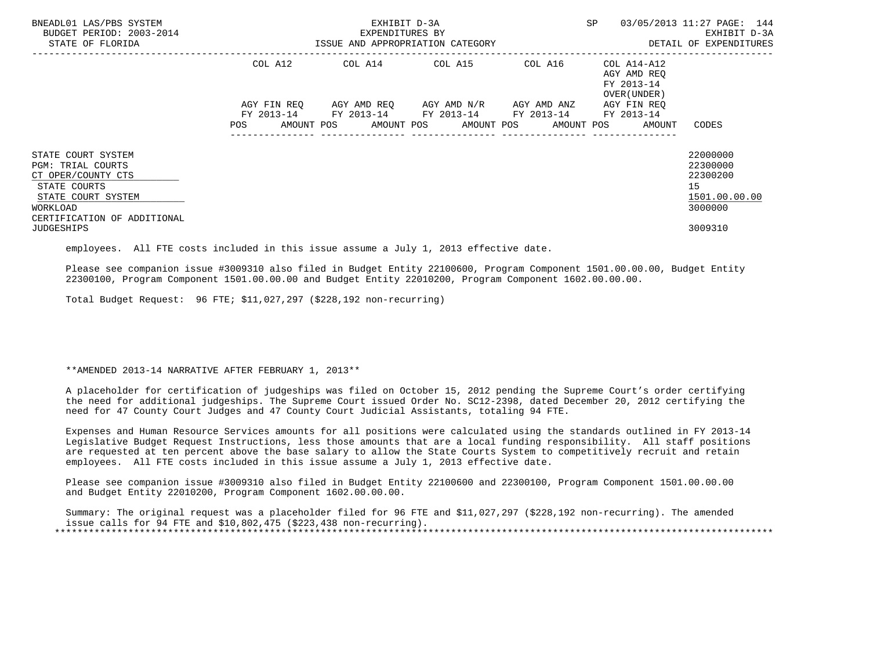| BNEADL01 LAS/PBS SYSTEM<br>BUDGET PERIOD: 2003-2014<br>STATE OF FLORIDA                                                                               | EXHIBIT D-3A<br>EXPENDITURES BY<br>ISSUE AND APPROPRIATION CATEGORY |  |                                                                                                                                    |         | <b>SP</b>                                                         | 03/05/2013 11:27 PAGE: 144<br>EXHIBIT D-3A<br>DETAIL OF EXPENDITURES |
|-------------------------------------------------------------------------------------------------------------------------------------------------------|---------------------------------------------------------------------|--|------------------------------------------------------------------------------------------------------------------------------------|---------|-------------------------------------------------------------------|----------------------------------------------------------------------|
|                                                                                                                                                       | COL A12                                                             |  | COL A14 COL A15                                                                                                                    | COL A16 | COL A14-A12<br>AGY AMD REO<br>FY 2013-14<br>OVER (UNDER)          |                                                                      |
|                                                                                                                                                       | AGY FIN REQ<br><b>POS</b>                                           |  | AGY AMD REQ AGY AMD N/R AGY AMD ANZ<br>FY 2013-14 FY 2013-14 FY 2013-14 FY 2013-14 FY 2013-14<br>---------------- ---------------- |         | AGY FIN REO<br>AMOUNT POS AMOUNT POS AMOUNT POS AMOUNT POS AMOUNT | CODES                                                                |
| STATE COURT SYSTEM<br><b>PGM: TRIAL COURTS</b><br>CT OPER/COUNTY CTS<br>STATE COURTS<br>STATE COURT SYSTEM<br>WORKLOAD<br>CERTIFICATION OF ADDITIONAL |                                                                     |  |                                                                                                                                    |         |                                                                   | 22000000<br>22300000<br>22300200<br>15<br>1501.00.00.00<br>3000000   |
| <b>JUDGESHIPS</b>                                                                                                                                     |                                                                     |  |                                                                                                                                    |         |                                                                   | 3009310                                                              |

employees. All FTE costs included in this issue assume a July 1, 2013 effective date.

 Please see companion issue #3009310 also filed in Budget Entity 22100600, Program Component 1501.00.00.00, Budget Entity 22300100, Program Component 1501.00.00.00 and Budget Entity 22010200, Program Component 1602.00.00.00.

Total Budget Request: 96 FTE; \$11,027,297 (\$228,192 non-recurring)

\*\*AMENDED 2013-14 NARRATIVE AFTER FEBRUARY 1, 2013\*\*

 A placeholder for certification of judgeships was filed on October 15, 2012 pending the Supreme Court's order certifying the need for additional judgeships. The Supreme Court issued Order No. SC12-2398, dated December 20, 2012 certifying the need for 47 County Court Judges and 47 County Court Judicial Assistants, totaling 94 FTE.

 Expenses and Human Resource Services amounts for all positions were calculated using the standards outlined in FY 2013-14 Legislative Budget Request Instructions, less those amounts that are a local funding responsibility. All staff positions are requested at ten percent above the base salary to allow the State Courts System to competitively recruit and retain employees. All FTE costs included in this issue assume a July 1, 2013 effective date.

 Please see companion issue #3009310 also filed in Budget Entity 22100600 and 22300100, Program Component 1501.00.00.00 and Budget Entity 22010200, Program Component 1602.00.00.00.

 Summary: The original request was a placeholder filed for 96 FTE and \$11,027,297 (\$228,192 non-recurring). The amended issue calls for 94 FTE and \$10,802,475 (\$223,438 non-recurring). \*\*\*\*\*\*\*\*\*\*\*\*\*\*\*\*\*\*\*\*\*\*\*\*\*\*\*\*\*\*\*\*\*\*\*\*\*\*\*\*\*\*\*\*\*\*\*\*\*\*\*\*\*\*\*\*\*\*\*\*\*\*\*\*\*\*\*\*\*\*\*\*\*\*\*\*\*\*\*\*\*\*\*\*\*\*\*\*\*\*\*\*\*\*\*\*\*\*\*\*\*\*\*\*\*\*\*\*\*\*\*\*\*\*\*\*\*\*\*\*\*\*\*\*\*\*\*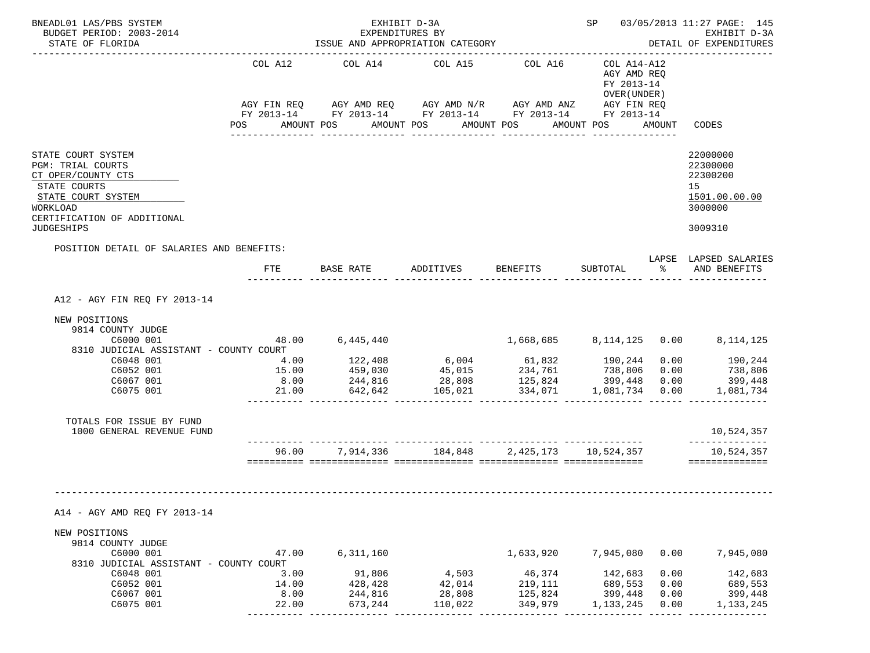| BNEADL01 LAS/PBS SYSTEM<br>BUDGET PERIOD: 2003-2014<br>STATE OF FLORIDA                                                                               |                                                                                                                | EXHIBIT D-3A<br>EXPENDITURES BY<br>ISSUE AND APPROPRIATION CATEGORY                                                                      |                                                  | SP 03/05/2013 11:27 PAGE: 145<br>EXHIBIT D-3A<br>DETAIL OF EXPENDITURES |                                                          |                      |                                                                    |
|-------------------------------------------------------------------------------------------------------------------------------------------------------|----------------------------------------------------------------------------------------------------------------|------------------------------------------------------------------------------------------------------------------------------------------|--------------------------------------------------|-------------------------------------------------------------------------|----------------------------------------------------------|----------------------|--------------------------------------------------------------------|
|                                                                                                                                                       | COL A12                                                                                                        | COL A14 COL A15<br>AGY FIN REQ AGY AMD REQ AGY AMD N/R AGY AMD ANZ AGY FIN REQ<br>FY 2013-14 FY 2013-14 FY 2013-14 FY 2013-14 FY 2013-14 |                                                  | COL A16                                                                 | COL A14-A12<br>AGY AMD REQ<br>FY 2013-14<br>OVER (UNDER) |                      |                                                                    |
|                                                                                                                                                       | POS FOR THE POST OF THE STATE STATE STATE STATE STATE STATE STATE STATE STATE STATE STATE STATE STATE STATE ST | AMOUNT POS                                                                                                                               | AMOUNT POS AMOUNT POS                            |                                                                         | AMOUNT POS AMOUNT                                        |                      | CODES                                                              |
| STATE COURT SYSTEM<br><b>PGM: TRIAL COURTS</b><br>CT OPER/COUNTY CTS<br>STATE COURTS<br>STATE COURT SYSTEM<br>WORKLOAD<br>CERTIFICATION OF ADDITIONAL |                                                                                                                |                                                                                                                                          |                                                  |                                                                         |                                                          |                      | 22000000<br>22300000<br>22300200<br>15<br>1501.00.00.00<br>3000000 |
| <b>JUDGESHIPS</b><br>POSITION DETAIL OF SALARIES AND BENEFITS:                                                                                        |                                                                                                                |                                                                                                                                          |                                                  |                                                                         |                                                          |                      | 3009310                                                            |
|                                                                                                                                                       | FTE                                                                                                            | BASE RATE ADDITIVES                                                                                                                      |                                                  | BENEFITS                                                                | SUBTOTAL                                                 |                      | LAPSE LAPSED SALARIES<br>% AND BENEFITS                            |
| A12 - AGY FIN REQ FY 2013-14                                                                                                                          |                                                                                                                |                                                                                                                                          |                                                  |                                                                         |                                                          |                      |                                                                    |
| NEW POSITIONS<br>9814 COUNTY JUDGE<br>C6000 001<br>8310 JUDICIAL ASSISTANT - COUNTY COURT                                                             |                                                                                                                | 48.00 6,445,440                                                                                                                          |                                                  |                                                                         |                                                          |                      | 1,668,685 8,114,125 0.00 8,114,125                                 |
| C6048 001<br>C6052 001<br>C6067 001<br>C6075 001                                                                                                      | 4.00<br>15.00<br>8.00<br>21.00                                                                                 | $244,816$ 28,808                                                                                                                         | $642,642$ $105,021$ $334,071$ $1,081,734$ $0.00$ | 125,824                                                                 | 738,806<br>399,448                                       | 0.00<br>0.00         | $0.00$ 190,244<br>738,806<br>399,448<br>1,081,734                  |
| TOTALS FOR ISSUE BY FUND<br>1000 GENERAL REVENUE FUND                                                                                                 |                                                                                                                |                                                                                                                                          |                                                  |                                                                         |                                                          |                      | 10,524,357                                                         |
|                                                                                                                                                       | 96.00                                                                                                          | 7,914,336                                                                                                                                | 184,848                                          | 2,425,173                                                               | 10,524,357                                               |                      | ______________<br>10,524,357<br>==============                     |
| A14 - AGY AMD REQ FY 2013-14<br>NEW POSITIONS<br>9814 COUNTY JUDGE                                                                                    |                                                                                                                |                                                                                                                                          |                                                  |                                                                         |                                                          |                      |                                                                    |
| C6000 001<br>8310 JUDICIAL ASSISTANT - COUNTY COURT<br>C6048 001                                                                                      | 47.00<br>3.00                                                                                                  | 6,311,160<br>91,806                                                                                                                      | 4,503                                            | 1,633,920 7,945,080                                                     |                                                          | 0.00<br>0.00         | 7,945,080<br>142,683                                               |
| C6052 001<br>C6067 001<br>C6075 001                                                                                                                   | 14.00<br>8.00<br>22.00                                                                                         | 428,428<br>244,816<br>673,244                                                                                                            | 42,014<br>28,808<br>110,022                      | 46,374<br>219,111<br>125,824 399,448<br>349,979                         | 142,683<br>689,553<br>1,133,245                          | 0.00<br>0.00<br>0.00 | 689,553<br>399,448<br>1,133,245                                    |
|                                                                                                                                                       |                                                                                                                |                                                                                                                                          |                                                  |                                                                         |                                                          |                      |                                                                    |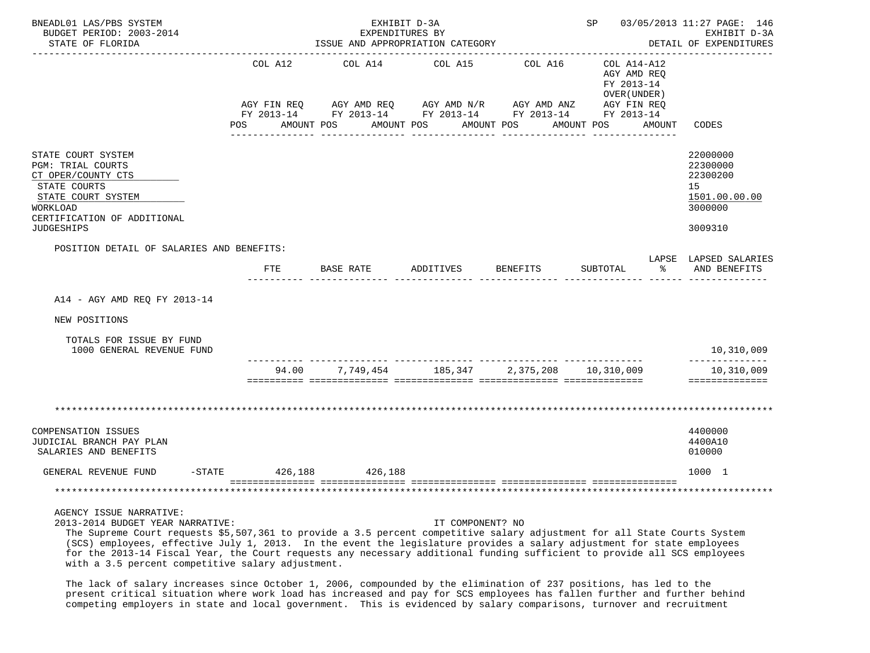| BNEADL01 LAS/PBS SYSTEM<br>BUDGET PERIOD: 2003-2014<br>STATE OF FLORIDA                                                                                                           |                                             | EXHIBIT D-3A<br>EXPENDITURES BY<br>ISSUE AND APPROPRIATION CATEGORY                                                    |                       |                       | -------------------                                                     |        | SP 03/05/2013 11:27 PAGE: 146<br>EXHIBIT D-3A<br>DETAIL OF EXPENDITURES<br>------------- |
|-----------------------------------------------------------------------------------------------------------------------------------------------------------------------------------|---------------------------------------------|------------------------------------------------------------------------------------------------------------------------|-----------------------|-----------------------|-------------------------------------------------------------------------|--------|------------------------------------------------------------------------------------------|
|                                                                                                                                                                                   | COL A12<br>AGY FIN REQ<br>POS<br>AMOUNT POS | COL A14<br>AGY AMD REQ AGY AMD N/R AGY AMD ANZ<br>FY 2013-14 FY 2013-14 FY 2013-14 FY 2013-14 FY 2013-14<br>AMOUNT POS | COL A15<br>AMOUNT POS | COL A16<br>AMOUNT POS | COL A14-A12<br>AGY AMD REO<br>FY 2013-14<br>OVER (UNDER)<br>AGY FIN REQ | AMOUNT | CODES                                                                                    |
| STATE COURT SYSTEM<br><b>PGM: TRIAL COURTS</b><br>CT OPER/COUNTY CTS<br>STATE COURTS<br>STATE COURT SYSTEM<br><b>WORKLOAD</b><br>CERTIFICATION OF ADDITIONAL<br><b>JUDGESHIPS</b> |                                             |                                                                                                                        |                       |                       |                                                                         |        | 22000000<br>22300000<br>22300200<br>15<br>1501.00.00.00<br>3000000<br>3009310            |
| POSITION DETAIL OF SALARIES AND BENEFITS:                                                                                                                                         |                                             |                                                                                                                        |                       |                       |                                                                         |        |                                                                                          |
|                                                                                                                                                                                   | FTE                                         | BASE RATE                                                                                                              | ADDITIVES             | BENEFITS              | SUBTOTAL                                                                | ႜ      | LAPSE LAPSED SALARIES<br>AND BENEFITS                                                    |
| A14 - AGY AMD REQ FY 2013-14                                                                                                                                                      |                                             |                                                                                                                        |                       |                       |                                                                         |        |                                                                                          |
| NEW POSITIONS                                                                                                                                                                     |                                             |                                                                                                                        |                       |                       |                                                                         |        |                                                                                          |
| TOTALS FOR ISSUE BY FUND<br>1000 GENERAL REVENUE FUND                                                                                                                             |                                             |                                                                                                                        |                       |                       |                                                                         |        | 10,310,009                                                                               |
|                                                                                                                                                                                   |                                             | 94.00 7,749,454 185,347 2,375,208 10,310,009                                                                           |                       |                       |                                                                         |        | --------------<br>10,310,009<br>==============                                           |
|                                                                                                                                                                                   |                                             |                                                                                                                        |                       |                       |                                                                         |        |                                                                                          |
| COMPENSATION ISSUES<br>JUDICIAL BRANCH PAY PLAN<br>SALARIES AND BENEFITS                                                                                                          |                                             |                                                                                                                        |                       |                       |                                                                         |        | 4400000<br>4400A10<br>010000                                                             |
| GENERAL REVENUE FUND<br>-STATE                                                                                                                                                    |                                             | 426,188 426,188                                                                                                        |                       |                       |                                                                         |        | 1000 1                                                                                   |
|                                                                                                                                                                                   |                                             |                                                                                                                        |                       |                       |                                                                         |        |                                                                                          |

AGENCY ISSUE NARRATIVE:

2013-2014 BUDGET YEAR NARRATIVE: IT COMPONENT? NO

The Supreme Court requests \$5,507,361 to provide a 3.5 percent competitive salary adjustment for all State Courts System

 (SCS) employees, effective July 1, 2013. In the event the legislature provides a salary adjustment for state employees for the 2013-14 Fiscal Year, the Court requests any necessary additional funding sufficient to provide all SCS employees with a 3.5 percent competitive salary adjustment.

 The lack of salary increases since October 1, 2006, compounded by the elimination of 237 positions, has led to the present critical situation where work load has increased and pay for SCS employees has fallen further and further behind competing employers in state and local government. This is evidenced by salary comparisons, turnover and recruitment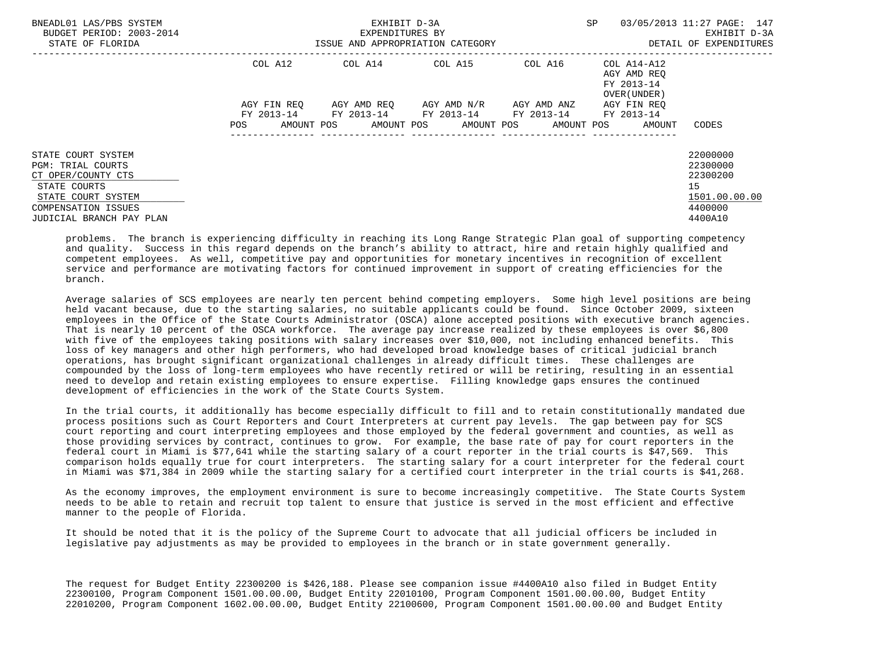| BNEADL01 LAS/PBS SYSTEM<br>BUDGET PERIOD: 2003-2014<br>STATE OF FLORIDA                                                                                       |             | EXHIBIT D-3A<br>EXPENDITURES BY<br>ISSUE AND APPROPRIATION CATEGORY | <b>SP</b>                                                                         | 03/05/2013 11:27 PAGE: 147<br>EXHIBIT D-3A<br>DETAIL OF EXPENDITURES |                                                                  |                                                                               |
|---------------------------------------------------------------------------------------------------------------------------------------------------------------|-------------|---------------------------------------------------------------------|-----------------------------------------------------------------------------------|----------------------------------------------------------------------|------------------------------------------------------------------|-------------------------------------------------------------------------------|
|                                                                                                                                                               | COL A12     |                                                                     | COL A14 COL A15                                                                   |                                                                      | COL A16 COL A14-A12<br>AGY AMD REO<br>FY 2013-14<br>OVER (UNDER) |                                                                               |
|                                                                                                                                                               | AGY FIN REO |                                                                     | AGY AMD REO AGY AMD N/R<br>FY 2013-14 FY 2013-14 FY 2013-14 FY 2013-14 FY 2013-14 | AGY AMD ANZ                                                          | AGY FIN REO                                                      |                                                                               |
|                                                                                                                                                               | POS.        |                                                                     | AMOUNT POS AMOUNT POS AMOUNT POS AMOUNT POS                                       | ----------------                                                     | AMOUNT                                                           | CODES                                                                         |
| STATE COURT SYSTEM<br>PGM: TRIAL COURTS<br>CT OPER/COUNTY CTS<br>STATE COURTS<br>STATE COURT SYSTEM<br><b>COMPENSATION ISSUES</b><br>JUDICIAL BRANCH PAY PLAN |             |                                                                     |                                                                                   |                                                                      |                                                                  | 22000000<br>22300000<br>22300200<br>15<br>1501.00.00.00<br>4400000<br>4400A10 |

 problems. The branch is experiencing difficulty in reaching its Long Range Strategic Plan goal of supporting competency and quality. Success in this regard depends on the branch's ability to attract, hire and retain highly qualified and competent employees. As well, competitive pay and opportunities for monetary incentives in recognition of excellent service and performance are motivating factors for continued improvement in support of creating efficiencies for the branch.

 Average salaries of SCS employees are nearly ten percent behind competing employers. Some high level positions are being held vacant because, due to the starting salaries, no suitable applicants could be found. Since October 2009, sixteen employees in the Office of the State Courts Administrator (OSCA) alone accepted positions with executive branch agencies. That is nearly 10 percent of the OSCA workforce. The average pay increase realized by these employees is over \$6,800 with five of the employees taking positions with salary increases over \$10,000, not including enhanced benefits. This loss of key managers and other high performers, who had developed broad knowledge bases of critical judicial branch operations, has brought significant organizational challenges in already difficult times. These challenges are compounded by the loss of long-term employees who have recently retired or will be retiring, resulting in an essential need to develop and retain existing employees to ensure expertise. Filling knowledge gaps ensures the continued development of efficiencies in the work of the State Courts System.

 In the trial courts, it additionally has become especially difficult to fill and to retain constitutionally mandated due process positions such as Court Reporters and Court Interpreters at current pay levels. The gap between pay for SCS court reporting and court interpreting employees and those employed by the federal government and counties, as well as those providing services by contract, continues to grow. For example, the base rate of pay for court reporters in the federal court in Miami is \$77,641 while the starting salary of a court reporter in the trial courts is \$47,569. This comparison holds equally true for court interpreters. The starting salary for a court interpreter for the federal court in Miami was \$71,384 in 2009 while the starting salary for a certified court interpreter in the trial courts is \$41,268.

 As the economy improves, the employment environment is sure to become increasingly competitive. The State Courts System needs to be able to retain and recruit top talent to ensure that justice is served in the most efficient and effective manner to the people of Florida.

 It should be noted that it is the policy of the Supreme Court to advocate that all judicial officers be included in legislative pay adjustments as may be provided to employees in the branch or in state government generally.

 The request for Budget Entity 22300200 is \$426,188. Please see companion issue #4400A10 also filed in Budget Entity 22300100, Program Component 1501.00.00.00, Budget Entity 22010100, Program Component 1501.00.00.00, Budget Entity 22010200, Program Component 1602.00.00.00, Budget Entity 22100600, Program Component 1501.00.00.00 and Budget Entity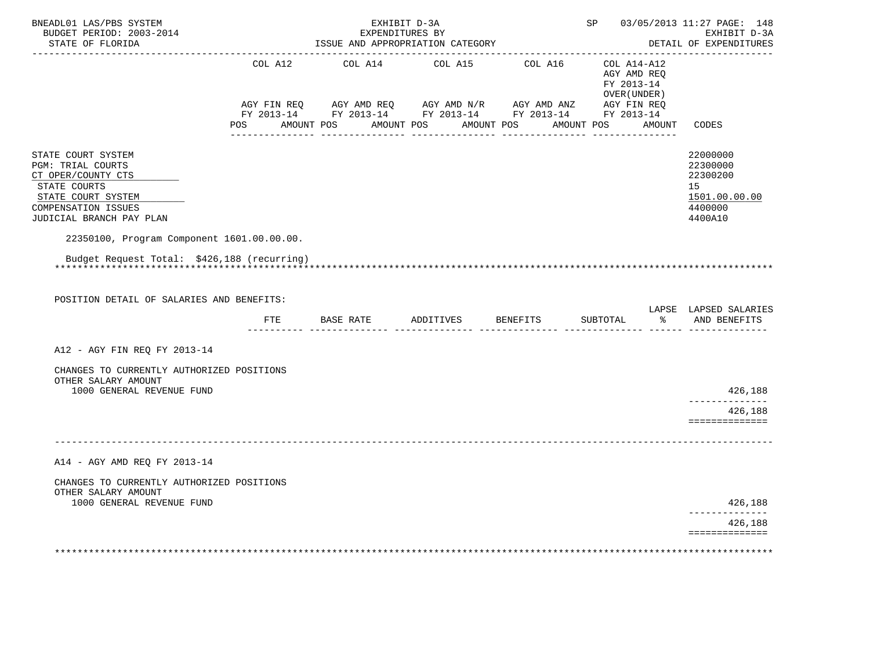| BNEADL01 LAS/PBS SYSTEM<br>BUDGET PERIOD: 2003-2014<br>STATE OF FLORIDA                                                                                       |                | EXHIBIT D-3A<br>EXPENDITURES BY<br>ISSUE AND APPROPRIATION CATEGORY                                     |                                      |          |                                                           | SP 03/05/2013 11:27 PAGE: 148<br>EXHIBIT D-3A<br>DETAIL OF EXPENDITURES       |
|---------------------------------------------------------------------------------------------------------------------------------------------------------------|----------------|---------------------------------------------------------------------------------------------------------|--------------------------------------|----------|-----------------------------------------------------------|-------------------------------------------------------------------------------|
|                                                                                                                                                               | COL A12        | COL A14                                                                                                 | COL A15                              | COL A16  | COL A14-A12<br>AGY AMD REQ<br>FY 2013-14<br>OVER (UNDER ) |                                                                               |
|                                                                                                                                                               | POS AMOUNT POS | AGY FIN REQ AGY AMD REQ AGY AMD N/R AGY AMD ANZ AGY FIN REQ FIN REQ AGY AMD N/R AGY AMD ANZ AGY FIN REQ | AMOUNT POS AMOUNT POS<br>___________ |          | AMOUNT POS AMOUNT                                         | CODES                                                                         |
| STATE COURT SYSTEM<br><b>PGM: TRIAL COURTS</b><br>CT OPER/COUNTY CTS<br>STATE COURTS<br>STATE COURT SYSTEM<br>COMPENSATION ISSUES<br>JUDICIAL BRANCH PAY PLAN |                |                                                                                                         |                                      |          |                                                           | 22000000<br>22300000<br>22300200<br>15<br>1501.00.00.00<br>4400000<br>4400A10 |
| 22350100, Program Component 1601.00.00.00.                                                                                                                    |                |                                                                                                         |                                      |          |                                                           |                                                                               |
| Budget Request Total: \$426,188 (recurring)<br>POSITION DETAIL OF SALARIES AND BENEFITS:                                                                      |                |                                                                                                         |                                      |          |                                                           |                                                                               |
|                                                                                                                                                               | FTE            | BASE RATE                                                                                               | ADDITIVES                            | BENEFITS | SUBTOTAL                                                  | LAPSE LAPSED SALARIES<br>% AND BENEFITS                                       |
| A12 - AGY FIN REO FY 2013-14                                                                                                                                  |                |                                                                                                         |                                      |          |                                                           |                                                                               |
| CHANGES TO CURRENTLY AUTHORIZED POSITIONS<br>OTHER SALARY AMOUNT                                                                                              |                |                                                                                                         |                                      |          |                                                           |                                                                               |
| 1000 GENERAL REVENUE FUND                                                                                                                                     |                |                                                                                                         |                                      |          |                                                           | 426,188<br>--------------<br>426,188<br>==============                        |
|                                                                                                                                                               |                |                                                                                                         |                                      |          |                                                           |                                                                               |
| A14 - AGY AMD REQ FY 2013-14                                                                                                                                  |                |                                                                                                         |                                      |          |                                                           |                                                                               |
| CHANGES TO CURRENTLY AUTHORIZED POSITIONS<br>OTHER SALARY AMOUNT<br>1000 GENERAL REVENUE FUND                                                                 |                |                                                                                                         |                                      |          |                                                           | 426,188                                                                       |
|                                                                                                                                                               |                |                                                                                                         |                                      |          |                                                           | ------------<br>426,188                                                       |
|                                                                                                                                                               |                |                                                                                                         |                                      |          |                                                           | ==============                                                                |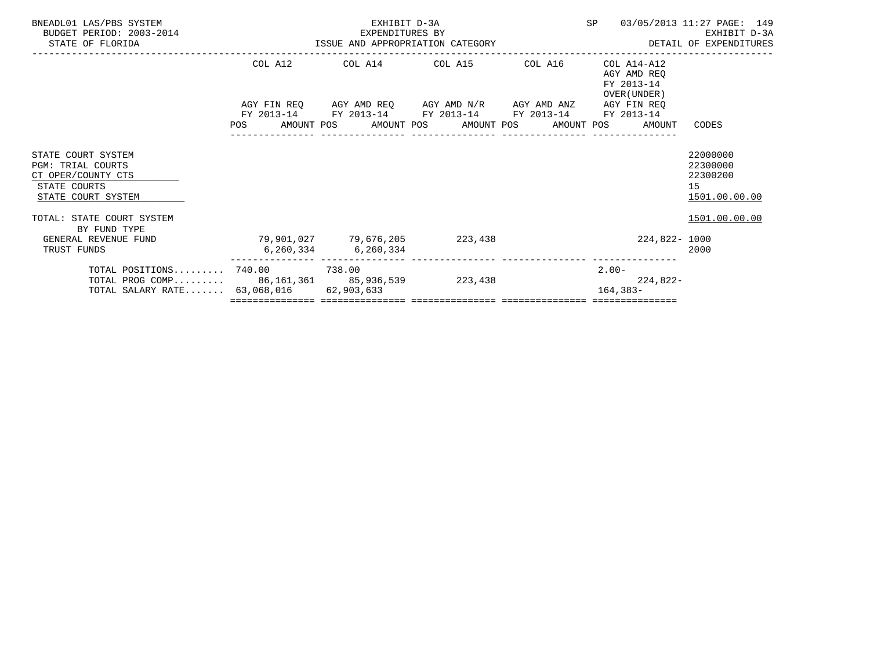| BNEADL01 LAS/PBS SYSTEM<br>BUDGET PERIOD: 2003-2014<br>STATE OF FLORIDA                                                   |                               | EXHIBIT D-3A<br>EXPENDITURES BY | ISSUE AND APPROPRIATION CATEGORY                                                                                       | SP                                                       | 03/05/2013 11:27 PAGE: 149<br>EXHIBIT D-3A<br>DETAIL OF EXPENDITURES |
|---------------------------------------------------------------------------------------------------------------------------|-------------------------------|---------------------------------|------------------------------------------------------------------------------------------------------------------------|----------------------------------------------------------|----------------------------------------------------------------------|
|                                                                                                                           | COL A12                       |                                 | COL A14 COL A15 COL A16                                                                                                | COL A14-A12<br>AGY AMD REO<br>FY 2013-14<br>OVER (UNDER) |                                                                      |
|                                                                                                                           | AGY FIN REO<br>POS            |                                 | AGY AMD REQ AGY AMD N/R AGY AMD ANZ<br>FY 2013-14 FY 2013-14 FY 2013-14 FY 2013-14<br>AMOUNT POS AMOUNT POS AMOUNT POS | AGY FIN REO<br>FY 2013-14<br>AMOUNT POS<br>AMOUNT        | CODES                                                                |
| STATE COURT SYSTEM<br><b>PGM: TRIAL COURTS</b><br>CT OPER/COUNTY CTS<br>STATE COURTS<br>STATE COURT SYSTEM                |                               |                                 |                                                                                                                        |                                                          | 22000000<br>22300000<br>22300200<br>15<br>1501.00.00.00              |
| TOTAL: STATE COURT SYSTEM<br>BY FUND TYPE<br>GENERAL REVENUE FUND<br>TRUST FUNDS                                          | 79,901,027 79,676,205 223,438 | 6,260,334 6,260,334             |                                                                                                                        | 224,822- 1000                                            | 1501.00.00.00<br>2000                                                |
| TOTAL POSITIONS 740.00 738.00<br>TOTAL PROG COMP 86,161,361 85,936,539 223,438<br>TOTAL SALARY RATE 63,068,016 62,903,633 |                               |                                 |                                                                                                                        | $2.00 -$<br>224,822-<br>$164, 383 -$                     |                                                                      |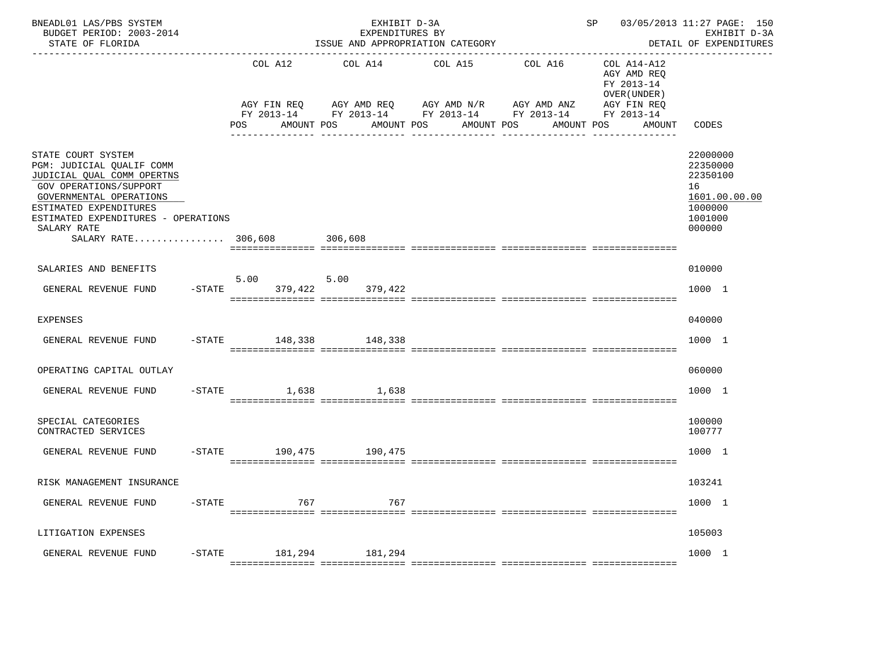| BNEADL01 LAS/PBS SYSTEM<br>BUDGET PERIOD: 2003-2014<br>STATE OF FLORIDA                                                                                                                                                                                  |           |                                             | EXHIBIT D-3A<br>EXPENDITURES BY | ISSUE AND APPROPRIATION CATEGORY                                                                                           | --------------------------------     | SP 03/05/2013 11:27 PAGE: 150                                                                   | EXHIBIT D-3A<br>DETAIL OF EXPENDITURES                                                  |
|----------------------------------------------------------------------------------------------------------------------------------------------------------------------------------------------------------------------------------------------------------|-----------|---------------------------------------------|---------------------------------|----------------------------------------------------------------------------------------------------------------------------|--------------------------------------|-------------------------------------------------------------------------------------------------|-----------------------------------------------------------------------------------------|
|                                                                                                                                                                                                                                                          |           | COL A12<br>AGY FIN REQ<br>AMOUNT POS<br>POS | COL A14<br>AMOUNT POS           | COL A15<br>AGY AMD REQ AGY AMD N/R AGY AMD ANZ<br>FY 2013-14 FY 2013-14 FY 2013-14 FY 2013-14<br>AMOUNT POS<br>----------- | COL A16<br>AMOUNT POS<br>----------- | COL A14-A12<br>AGY AMD REQ<br>FY 2013-14<br>OVER (UNDER)<br>AGY FIN REQ<br>FY 2013-14<br>AMOUNT | CODES                                                                                   |
| STATE COURT SYSTEM<br>PGM: JUDICIAL QUALIF COMM<br>JUDICIAL QUAL COMM OPERTNS<br><b>GOV OPERATIONS/SUPPORT</b><br>GOVERNMENTAL OPERATIONS<br>ESTIMATED EXPENDITURES<br>ESTIMATED EXPENDITURES - OPERATIONS<br>SALARY RATE<br>SALARY RATE 306,608 306,608 |           |                                             |                                 |                                                                                                                            |                                      |                                                                                                 | 22000000<br>22350000<br>22350100<br>16<br>1601.00.00.00<br>1000000<br>1001000<br>000000 |
| SALARIES AND BENEFITS                                                                                                                                                                                                                                    |           |                                             |                                 |                                                                                                                            |                                      |                                                                                                 | 010000                                                                                  |
| GENERAL REVENUE FUND                                                                                                                                                                                                                                     | $-$ STATE | 5.00<br>379.422                             | 5.00<br>379,422                 |                                                                                                                            |                                      |                                                                                                 | 1000 1                                                                                  |
| EXPENSES                                                                                                                                                                                                                                                 |           |                                             |                                 |                                                                                                                            |                                      |                                                                                                 | 040000                                                                                  |
| GENERAL REVENUE FUND                                                                                                                                                                                                                                     |           | -STATE 148,338 148,338                      |                                 |                                                                                                                            |                                      |                                                                                                 | 1000 1                                                                                  |
| OPERATING CAPITAL OUTLAY                                                                                                                                                                                                                                 |           |                                             |                                 |                                                                                                                            |                                      |                                                                                                 | 060000                                                                                  |
| GENERAL REVENUE FUND                                                                                                                                                                                                                                     | $-$ STATE | 1,638                                       | 1,638                           |                                                                                                                            |                                      |                                                                                                 | 1000 1                                                                                  |
| SPECIAL CATEGORIES<br>CONTRACTED SERVICES                                                                                                                                                                                                                |           |                                             |                                 |                                                                                                                            |                                      |                                                                                                 | 100000<br>100777                                                                        |
| GENERAL REVENUE FUND                                                                                                                                                                                                                                     |           | -STATE 190,475 190,475                      |                                 |                                                                                                                            |                                      |                                                                                                 | 1000 1                                                                                  |
| RISK MANAGEMENT INSURANCE                                                                                                                                                                                                                                |           |                                             |                                 |                                                                                                                            |                                      |                                                                                                 | 103241                                                                                  |
| GENERAL REVENUE FUND                                                                                                                                                                                                                                     | $-$ STATE | 767                                         | 767                             |                                                                                                                            |                                      |                                                                                                 | 1000 1                                                                                  |
| LITIGATION EXPENSES                                                                                                                                                                                                                                      |           |                                             |                                 |                                                                                                                            |                                      |                                                                                                 | 105003                                                                                  |
| GENERAL REVENUE FUND                                                                                                                                                                                                                                     | $-$ STATE | 181,294                                     | 181,294                         |                                                                                                                            |                                      |                                                                                                 | 1000 1                                                                                  |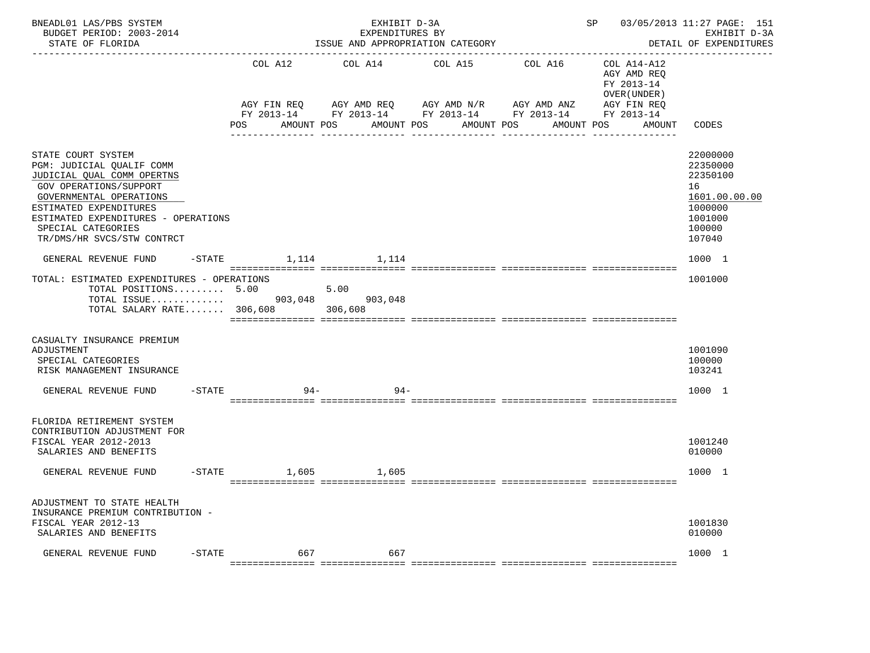| BNEADL01 LAS/PBS SYSTEM<br>BUDGET PERIOD: 2003-2014<br>STATE OF FLORIDA                                                                                                                                                                                 |           |        | EXHIBIT D-3A<br>EXPENDITURES BY<br>ISSUE AND APPROPRIATION CATEGORY                                                                                        |                  |                 | SP 03/05/2013 11:27 PAGE: 151                                                                   | EXHIBIT D-3A<br>DETAIL OF EXPENDITURES                                                            |
|---------------------------------------------------------------------------------------------------------------------------------------------------------------------------------------------------------------------------------------------------------|-----------|--------|------------------------------------------------------------------------------------------------------------------------------------------------------------|------------------|-----------------|-------------------------------------------------------------------------------------------------|---------------------------------------------------------------------------------------------------|
|                                                                                                                                                                                                                                                         |           | POS    | COL A12 COL A14 COL A15 COL A16<br>AGY FIN REQ AGY AMD REQ AGY AMD N/R AGY AMD ANZ<br>FY 2013-14 FY 2013-14 FY 2013-14 FY 2013-14 FY 2013-14<br>AMOUNT POS | AMOUNT POS       | AMOUNT POS      | COL A14-A12<br>AGY AMD REQ<br>FY 2013-14<br>OVER (UNDER)<br>AGY FIN REQ<br>AMOUNT POS<br>AMOUNT | CODES                                                                                             |
| STATE COURT SYSTEM<br>PGM: JUDICIAL QUALIF COMM<br>JUDICIAL QUAL COMM OPERTNS<br>GOV OPERATIONS/SUPPORT<br>GOVERNMENTAL OPERATIONS<br>ESTIMATED EXPENDITURES<br>ESTIMATED EXPENDITURES - OPERATIONS<br>SPECIAL CATEGORIES<br>TR/DMS/HR SVCS/STW CONTRCT |           |        |                                                                                                                                                            | ________________ | _______________ |                                                                                                 | 22000000<br>22350000<br>22350100<br>16<br>1601.00.00.00<br>1000000<br>1001000<br>100000<br>107040 |
| GENERAL REVENUE FUND                                                                                                                                                                                                                                    |           |        | $-$ STATE 1, 114 1, 114                                                                                                                                    |                  |                 |                                                                                                 | 1000 1                                                                                            |
| TOTAL: ESTIMATED EXPENDITURES - OPERATIONS<br>TOTAL POSITIONS $5.00$ 5.00<br>TOTAL SALARY RATE 306,608 306,608                                                                                                                                          |           |        |                                                                                                                                                            |                  |                 |                                                                                                 | 1001000                                                                                           |
| CASUALTY INSURANCE PREMIUM<br>ADJUSTMENT<br>SPECIAL CATEGORIES<br>RISK MANAGEMENT INSURANCE                                                                                                                                                             |           |        |                                                                                                                                                            |                  |                 |                                                                                                 | 1001090<br>100000<br>103241                                                                       |
| GENERAL REVENUE FUND                                                                                                                                                                                                                                    | $-$ STATE | $94 -$ | -94                                                                                                                                                        |                  |                 |                                                                                                 | 1000 1                                                                                            |
| FLORIDA RETIREMENT SYSTEM<br>CONTRIBUTION ADJUSTMENT FOR<br>FISCAL YEAR 2012-2013<br>SALARIES AND BENEFITS<br>GENERAL REVENUE FUND                                                                                                                      |           |        | -STATE 1,605 1,605                                                                                                                                         |                  |                 |                                                                                                 | 1001240<br>010000<br>1000 1                                                                       |
| ADJUSTMENT TO STATE HEALTH<br>INSURANCE PREMIUM CONTRIBUTION -<br>FISCAL YEAR 2012-13<br>SALARIES AND BENEFITS                                                                                                                                          |           |        |                                                                                                                                                            |                  |                 |                                                                                                 | 1001830<br>010000                                                                                 |
| GENERAL REVENUE FUND                                                                                                                                                                                                                                    | $-$ STATE | 667    | 667                                                                                                                                                        |                  |                 |                                                                                                 | 1000 1                                                                                            |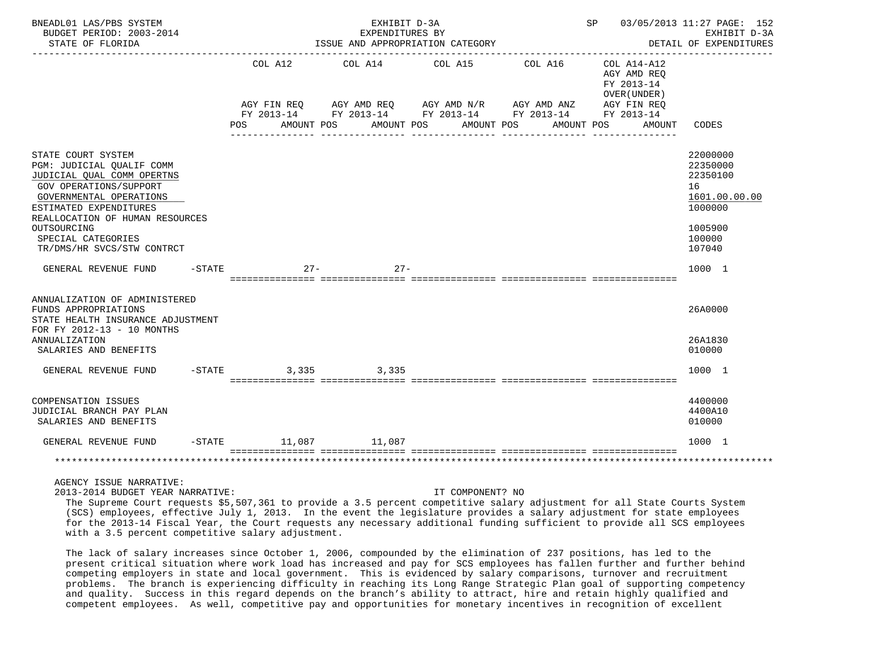| BNEADL01 LAS/PBS SYSTEM<br>BUDGET PERIOD: 2003-2014<br>STATE OF FLORIDA                                                                                                                                                                                            |           |                       | EXHIBIT D-3A         | EXPENDITURES BY<br>ISSUE AND APPROPRIATION CATEGORY |                                                                                                                                  | SP 03/05/2013 11:27 PAGE: 152                                                        | EXHIBIT D-3A<br>DETAIL OF EXPENDITURES                                                            |
|--------------------------------------------------------------------------------------------------------------------------------------------------------------------------------------------------------------------------------------------------------------------|-----------|-----------------------|----------------------|-----------------------------------------------------|----------------------------------------------------------------------------------------------------------------------------------|--------------------------------------------------------------------------------------|---------------------------------------------------------------------------------------------------|
|                                                                                                                                                                                                                                                                    |           | COL A12<br><b>POS</b> | _______________      | COL A14 COL A15<br>AMOUNT POS AMOUNT POS AMOUNT POS | COL A16<br>AGY FIN REQ AGY AMD REQ AGY AMD N/R AGY AMD ANZ AGY FIN REQ<br>FY 2013-14 FY 2013-14 FY 2013-14 FY 2013-14 FY 2013-14 | $COL A14 - A12$<br>AGY AMD REO<br>FY 2013-14<br>OVER (UNDER)<br>AMOUNT POS<br>AMOUNT | CODES                                                                                             |
| STATE COURT SYSTEM<br>PGM: JUDICIAL OUALIF COMM<br>JUDICIAL QUAL COMM OPERTNS<br>GOV OPERATIONS/SUPPORT<br>GOVERNMENTAL OPERATIONS<br>ESTIMATED EXPENDITURES<br>REALLOCATION OF HUMAN RESOURCES<br>OUTSOURCING<br>SPECIAL CATEGORIES<br>TR/DMS/HR SVCS/STW CONTRCT |           |                       |                      |                                                     |                                                                                                                                  |                                                                                      | 22000000<br>22350000<br>22350100<br>16<br>1601.00.00.00<br>1000000<br>1005900<br>100000<br>107040 |
| GENERAL REVENUE FUND                                                                                                                                                                                                                                               | $-$ STATE | $27 -$                | $27 -$               |                                                     |                                                                                                                                  |                                                                                      | 1000 1                                                                                            |
| ANNUALIZATION OF ADMINISTERED<br>FUNDS APPROPRIATIONS<br>STATE HEALTH INSURANCE ADJUSTMENT<br>FOR FY 2012-13 - 10 MONTHS                                                                                                                                           |           |                       |                      |                                                     |                                                                                                                                  |                                                                                      | 26A0000                                                                                           |
| ANNUALIZATION<br>SALARIES AND BENEFITS                                                                                                                                                                                                                             |           |                       |                      |                                                     |                                                                                                                                  |                                                                                      | 26A1830<br>010000                                                                                 |
| GENERAL REVENUE FUND                                                                                                                                                                                                                                               |           |                       | $-STATE$ 3,335 3,335 |                                                     |                                                                                                                                  |                                                                                      | 1000 1                                                                                            |
| <b>COMPENSATION ISSUES</b><br>JUDICIAL BRANCH PAY PLAN<br>SALARIES AND BENEFITS                                                                                                                                                                                    |           |                       |                      |                                                     |                                                                                                                                  |                                                                                      | 4400000<br>4400A10<br>010000                                                                      |
| GENERAL REVENUE FUND                                                                                                                                                                                                                                               |           |                       | -STATE 11,087 11,087 |                                                     |                                                                                                                                  |                                                                                      | 1000 1                                                                                            |
|                                                                                                                                                                                                                                                                    |           |                       |                      |                                                     |                                                                                                                                  |                                                                                      |                                                                                                   |

AGENCY ISSUE NARRATIVE:

2013-2014 BUDGET YEAR NARRATIVE: IT COMPONENT? NO

 The Supreme Court requests \$5,507,361 to provide a 3.5 percent competitive salary adjustment for all State Courts System (SCS) employees, effective July 1, 2013. In the event the legislature provides a salary adjustment for state employees for the 2013-14 Fiscal Year, the Court requests any necessary additional funding sufficient to provide all SCS employees with a 3.5 percent competitive salary adjustment.

 The lack of salary increases since October 1, 2006, compounded by the elimination of 237 positions, has led to the present critical situation where work load has increased and pay for SCS employees has fallen further and further behind competing employers in state and local government. This is evidenced by salary comparisons, turnover and recruitment problems. The branch is experiencing difficulty in reaching its Long Range Strategic Plan goal of supporting competency and quality. Success in this regard depends on the branch's ability to attract, hire and retain highly qualified and competent employees. As well, competitive pay and opportunities for monetary incentives in recognition of excellent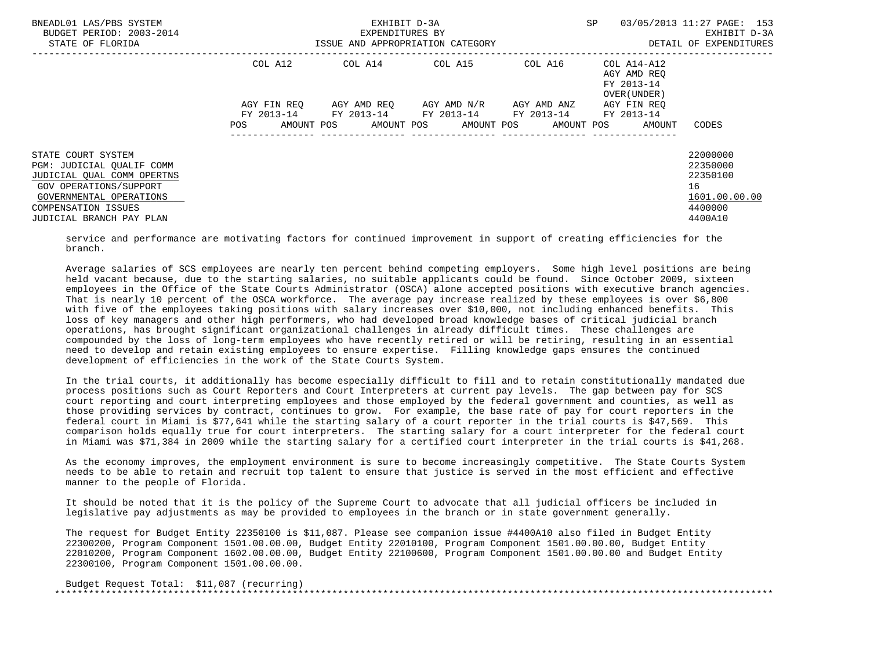| BNEADL01 LAS/PBS SYSTEM<br>BUDGET PERIOD: 2003-2014<br>STATE OF FLORIDA                                                                                                                      |                    | EXHIBIT D-3A<br>EXPENDITURES BY<br>ISSUE AND APPROPRIATION CATEGORY | <b>SP</b>               | 03/05/2013 11:27 PAGE: 153<br>EXHIBIT D-3A<br>DETAIL OF EXPENDITURES |                                           |                                                                               |
|----------------------------------------------------------------------------------------------------------------------------------------------------------------------------------------------|--------------------|---------------------------------------------------------------------|-------------------------|----------------------------------------------------------------------|-------------------------------------------|-------------------------------------------------------------------------------|
|                                                                                                                                                                                              | COL A12            | COL A14 $\phantom{000}$ COL A15 $\phantom{000}$ COL A14-A12         |                         |                                                                      | AGY AMD REO<br>FY 2013-14<br>OVER (UNDER) |                                                                               |
|                                                                                                                                                                                              | AGY FIN REO        | FY 2013-14 FY 2013-14 FY 2013-14 FY 2013-14 FY 2013-14              | AGY AMD REO AGY AMD N/R | AGY AMD ANZ                                                          | AGY FIN REO                               |                                                                               |
|                                                                                                                                                                                              | POS.<br>AMOUNT POS |                                                                     |                         | AMOUNT POS AMOUNT POS AMOUNT POS                                     | AMOUNT                                    | CODES                                                                         |
| STATE COURT SYSTEM<br>PGM: JUDICIAL OUALIF COMM<br>JUDICIAL QUAL COMM OPERTNS<br>GOV OPERATIONS/SUPPORT<br>GOVERNMENTAL OPERATIONS<br><b>COMPENSATION ISSUES</b><br>JUDICIAL BRANCH PAY PLAN |                    |                                                                     |                         |                                                                      |                                           | 22000000<br>22350000<br>22350100<br>16<br>1601.00.00.00<br>4400000<br>4400A10 |

 service and performance are motivating factors for continued improvement in support of creating efficiencies for the branch.

 Average salaries of SCS employees are nearly ten percent behind competing employers. Some high level positions are being held vacant because, due to the starting salaries, no suitable applicants could be found. Since October 2009, sixteen employees in the Office of the State Courts Administrator (OSCA) alone accepted positions with executive branch agencies. That is nearly 10 percent of the OSCA workforce. The average pay increase realized by these employees is over \$6,800 with five of the employees taking positions with salary increases over \$10,000, not including enhanced benefits. This loss of key managers and other high performers, who had developed broad knowledge bases of critical judicial branch operations, has brought significant organizational challenges in already difficult times. These challenges are compounded by the loss of long-term employees who have recently retired or will be retiring, resulting in an essential need to develop and retain existing employees to ensure expertise. Filling knowledge gaps ensures the continued development of efficiencies in the work of the State Courts System.

 In the trial courts, it additionally has become especially difficult to fill and to retain constitutionally mandated due process positions such as Court Reporters and Court Interpreters at current pay levels. The gap between pay for SCS court reporting and court interpreting employees and those employed by the federal government and counties, as well as those providing services by contract, continues to grow. For example, the base rate of pay for court reporters in the federal court in Miami is \$77,641 while the starting salary of a court reporter in the trial courts is \$47,569. This comparison holds equally true for court interpreters. The starting salary for a court interpreter for the federal court in Miami was \$71,384 in 2009 while the starting salary for a certified court interpreter in the trial courts is \$41,268.

 As the economy improves, the employment environment is sure to become increasingly competitive. The State Courts System needs to be able to retain and recruit top talent to ensure that justice is served in the most efficient and effective manner to the people of Florida.

 It should be noted that it is the policy of the Supreme Court to advocate that all judicial officers be included in legislative pay adjustments as may be provided to employees in the branch or in state government generally.

 The request for Budget Entity 22350100 is \$11,087. Please see companion issue #4400A10 also filed in Budget Entity 22300200, Program Component 1501.00.00.00, Budget Entity 22010100, Program Component 1501.00.00.00, Budget Entity 22010200, Program Component 1602.00.00.00, Budget Entity 22100600, Program Component 1501.00.00.00 and Budget Entity 22300100, Program Component 1501.00.00.00.

 Budget Request Total: \$11,087 (recurring) \*\*\*\*\*\*\*\*\*\*\*\*\*\*\*\*\*\*\*\*\*\*\*\*\*\*\*\*\*\*\*\*\*\*\*\*\*\*\*\*\*\*\*\*\*\*\*\*\*\*\*\*\*\*\*\*\*\*\*\*\*\*\*\*\*\*\*\*\*\*\*\*\*\*\*\*\*\*\*\*\*\*\*\*\*\*\*\*\*\*\*\*\*\*\*\*\*\*\*\*\*\*\*\*\*\*\*\*\*\*\*\*\*\*\*\*\*\*\*\*\*\*\*\*\*\*\*